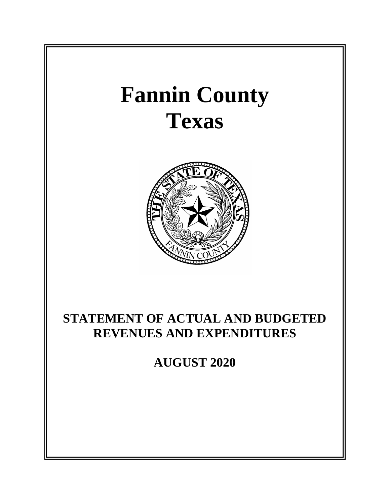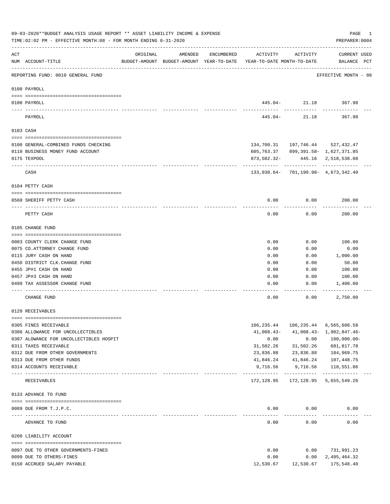|     | 09-03-2020**BUDGET ANALYSIS USAGE REPORT ** ASSET LIABILITY INCOME & EXPENSE<br>TIME: 02:02 PM - EFFECTIVE MONTH: 08 - FOR MONTH ENDING 8-31-2020 |                                                                                 |         |            |                            |                                      | PAGE<br>PREPARER: 0004                                 | 1 |
|-----|---------------------------------------------------------------------------------------------------------------------------------------------------|---------------------------------------------------------------------------------|---------|------------|----------------------------|--------------------------------------|--------------------------------------------------------|---|
| ACT | NUM ACCOUNT-TITLE                                                                                                                                 | ORIGINAL<br>BUDGET-AMOUNT BUDGET-AMOUNT YEAR-TO-DATE YEAR-TO-DATE MONTH-TO-DATE | AMENDED | ENCUMBERED | ACTIVITY                   | ACTIVITY                             | CURRENT USED<br>BALANCE PCT                            |   |
|     | REPORTING FUND: 0010 GENERAL FUND                                                                                                                 |                                                                                 |         |            |                            |                                      | EFFECTIVE MONTH - 08                                   |   |
|     | 0100 PAYROLL                                                                                                                                      |                                                                                 |         |            |                            |                                      |                                                        |   |
|     | 0100 PAYROLL                                                                                                                                      |                                                                                 |         |            |                            | 445.04- 21.18                        | 367.98                                                 |   |
|     | ---- ----<br>PAYROLL                                                                                                                              |                                                                                 |         |            | 445.04-                    | 21.18                                | 367.98                                                 |   |
|     | 0103 CASH                                                                                                                                         |                                                                                 |         |            |                            |                                      |                                                        |   |
|     | 0100 GENERAL-COMBINED FUNDS CHECKING                                                                                                              |                                                                                 |         |            |                            | 134,700.31 197,746.44 527,432.47     |                                                        |   |
|     | 0110 BUSINESS MONEY FUND ACCOUNT                                                                                                                  |                                                                                 |         |            |                            | 605,763.37 899,391.58- 1,627,371.85  |                                                        |   |
|     | 0175 TEXPOOL                                                                                                                                      |                                                                                 |         |            | 873,502.32-                |                                      | 445.16 2,518,538.08                                    |   |
|     | CASH                                                                                                                                              |                                                                                 |         |            |                            | 133,038.64- 701,199.98- 4,673,342.40 |                                                        |   |
|     | 0104 PETTY CASH                                                                                                                                   |                                                                                 |         |            |                            |                                      |                                                        |   |
|     | 0560 SHERIFF PETTY CASH                                                                                                                           |                                                                                 |         |            | 0.00                       | 0.00                                 | 200.00                                                 |   |
|     | PETTY CASH                                                                                                                                        |                                                                                 |         |            | 0.00                       | 0.00                                 | 200.00                                                 |   |
|     | 0105 CHANGE FUND                                                                                                                                  |                                                                                 |         |            |                            |                                      |                                                        |   |
|     |                                                                                                                                                   |                                                                                 |         |            |                            |                                      |                                                        |   |
|     | 0003 COUNTY CLERK CHANGE FUND                                                                                                                     |                                                                                 |         |            | 0.00                       | 0.00                                 | 100.00                                                 |   |
|     | 0075 CO. ATTORNEY CHANGE FUND                                                                                                                     |                                                                                 |         |            | 0.00                       | 0.00                                 | 0.00                                                   |   |
|     | 0115 JURY CASH ON HAND                                                                                                                            |                                                                                 |         |            | 0.00                       | 0.00                                 | 1,000.00                                               |   |
|     | 0450 DISTRICT CLK. CHANGE FUND                                                                                                                    |                                                                                 |         |            | 0.00                       | 0.00                                 | 50.00                                                  |   |
|     | 0455 JP#1 CASH ON HAND                                                                                                                            |                                                                                 |         |            | 0.00                       | 0.00                                 | 100.00                                                 |   |
|     | 0457 JP#3 CASH ON HAND<br>0499 TAX ASSESSOR CHANGE FUND                                                                                           |                                                                                 |         |            | 0.00                       | 0.00                                 | 100.00                                                 |   |
|     |                                                                                                                                                   |                                                                                 |         |            | 0.00                       | 0.00                                 | 1,400.00                                               |   |
|     | CHANGE FUND                                                                                                                                       |                                                                                 |         |            | 0.00                       | 0.00                                 | 2,750.00                                               |   |
|     | 0120 RECEIVABLES                                                                                                                                  |                                                                                 |         |            |                            |                                      |                                                        |   |
|     |                                                                                                                                                   |                                                                                 |         |            |                            |                                      |                                                        |   |
|     | 0305 FINES RECEIVABLE<br>0306 ALLOWANCE FOR UNCOLLECTIBLES                                                                                        |                                                                                 |         |            | 106,235.44<br>$41,008.43-$ |                                      | 106, 235.44 6, 565, 608.58<br>41,008.43- 1,902,847.46- |   |
|     | 0307 ALOWANCE FOR UNCOLLECTIBLES HOSPIT                                                                                                           |                                                                                 |         |            | 0.00                       | 0.00                                 | 100,000.00-                                            |   |
|     | 0311 TAXES RECEIVABLE                                                                                                                             |                                                                                 |         |            | 31,502.26                  | 31,502.26                            | 681,817.78                                             |   |
|     | 0312 DUE FROM OTHER GOVERNMENTS                                                                                                                   |                                                                                 |         |            | 23,836.88                  | 23,836.88                            | 184,969.75                                             |   |
|     | 0313 DUE FROM OTHER FUNDS                                                                                                                         |                                                                                 |         |            |                            | 41,846.24 41,846.24                  | 107,448.75                                             |   |
|     | 0314 ACCOUNTS RECEIVABLE                                                                                                                          |                                                                                 |         |            | 9,716.56                   | 9,716.56                             | 118,551.86                                             |   |
|     | RECEIVABLES                                                                                                                                       |                                                                                 |         |            | 172,128.95                 |                                      | 172, 128.95 5, 655, 549.26                             |   |
|     | 0133 ADVANCE TO FUND                                                                                                                              |                                                                                 |         |            |                            |                                      |                                                        |   |
|     | 0089 DUE FROM T.J.P.C.                                                                                                                            |                                                                                 |         |            | 0.00                       | 0.00                                 | 0.00                                                   |   |
|     | ADVANCE TO FUND                                                                                                                                   |                                                                                 |         |            | 0.00                       | 0.00                                 | 0.00                                                   |   |
|     | 0200 LIABILITY ACCOUNT                                                                                                                            |                                                                                 |         |            |                            |                                      |                                                        |   |
|     |                                                                                                                                                   |                                                                                 |         |            |                            |                                      |                                                        |   |
|     | 0097 DUE TO OTHER GOVERNMENTS-FINES                                                                                                               |                                                                                 |         |            | 0.00                       | 0.00                                 | 731,991.23                                             |   |
|     | 0099 DUE TO OTHERS-FINES                                                                                                                          |                                                                                 |         |            | 0.00                       | 0.00                                 | 2,495,464.32                                           |   |
|     | 0150 ACCRUED SALARY PAYABLE                                                                                                                       |                                                                                 |         |            | 12,530.67                  | 12,530.67                            | 175,548.40                                             |   |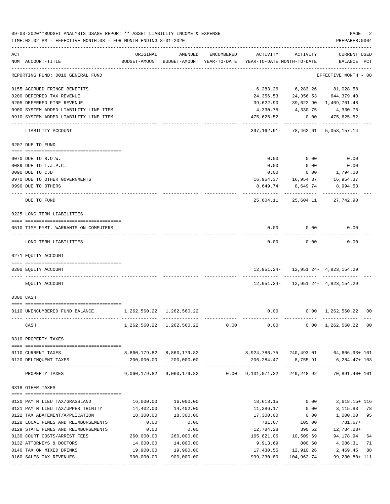|     | 09-03-2020**BUDGET ANALYSIS USAGE REPORT ** ASSET LIABILITY INCOME & EXPENSE<br>TIME: 02:02 PM - EFFECTIVE MONTH: 08 - FOR MONTH ENDING 8-31-2020 |                           |                                                     |            |                     |                                                                              | PAGE<br>PREPARER: 0004             | 2  |
|-----|---------------------------------------------------------------------------------------------------------------------------------------------------|---------------------------|-----------------------------------------------------|------------|---------------------|------------------------------------------------------------------------------|------------------------------------|----|
| ACT | NUM ACCOUNT-TITLE                                                                                                                                 | ORIGINAL                  | AMENDED<br>BUDGET-AMOUNT BUDGET-AMOUNT YEAR-TO-DATE | ENCUMBERED | ACTIVITY            | ACTIVITY<br>YEAR-TO-DATE MONTH-TO-DATE                                       | <b>CURRENT USED</b><br>BALANCE PCT |    |
|     | REPORTING FUND: 0010 GENERAL FUND                                                                                                                 |                           |                                                     |            |                     |                                                                              | EFFECTIVE MONTH - 08               |    |
|     | 0155 ACCRUED FRINGE BENEFITS                                                                                                                      |                           |                                                     |            |                     | 6,283.26 6,283.26 81,028.58                                                  |                                    |    |
|     | 0200 DEFERRED TAX REVENUE                                                                                                                         |                           |                                                     |            |                     | 24, 356.53 24, 356.53 644, 379.40                                            |                                    |    |
|     | 0205 DEFERRED FINE REVENUE                                                                                                                        |                           |                                                     |            |                     | 39,622.90 39,622.90 1,409,701.48                                             |                                    |    |
|     | 0900 SYSTEM ADDED LIABILITY LINE-ITEM                                                                                                             |                           |                                                     |            |                     | $4,330.75 - 4,330.75 - 4,330.75 -$                                           |                                    |    |
|     | 0910 SYSTEM ADDED LIABILITY LINE-ITEM                                                                                                             |                           |                                                     |            | 475,625.52-         |                                                                              | $0.00$ $475,625.52-$               |    |
|     | LIABILITY ACCOUNT                                                                                                                                 |                           |                                                     |            |                     | 397, 162.91 - 78, 462.61 5, 058, 157.14                                      |                                    |    |
|     | 0207 DUE TO FUND                                                                                                                                  |                           |                                                     |            |                     |                                                                              |                                    |    |
|     |                                                                                                                                                   |                           |                                                     |            |                     |                                                                              |                                    |    |
|     | 0070 DUE TO R.O.W.                                                                                                                                |                           |                                                     |            | 0.00                | 0.00                                                                         | 0.00                               |    |
|     | 0089 DUE TO T.J.P.C.                                                                                                                              |                           |                                                     |            | 0.00                | 0.00                                                                         | 0.00                               |    |
|     | 0090 DUE TO CJD                                                                                                                                   |                           |                                                     |            | 0.00                |                                                                              | $0.00$ 1,794.00                    |    |
|     | 0970 DUE TO OTHER GOVERNMENTS                                                                                                                     |                           |                                                     |            |                     | 16,954.37    16,954.37    16,954.37                                          |                                    |    |
|     | 0990 DUE TO OTHERS                                                                                                                                |                           |                                                     |            | 8,649.74            | 8,649.74                                                                     | 8,994.53                           |    |
|     | DUE TO FUND                                                                                                                                       |                           |                                                     |            |                     | 25,604.11 25,604.11 27,742.90                                                |                                    |    |
|     | 0225 LONG TERM LIABILITIES                                                                                                                        |                           |                                                     |            |                     |                                                                              |                                    |    |
|     |                                                                                                                                                   |                           |                                                     |            |                     |                                                                              |                                    |    |
|     | 0510 TIME PYMT. WARRANTS ON COMPUTERS<br>--------------------------------                                                                         |                           |                                                     |            | 0.00<br>$- - - - -$ | 0.00                                                                         | 0.00                               |    |
|     | LONG TERM LIABILITIES                                                                                                                             |                           |                                                     |            | 0.00                | 0.00                                                                         | 0.00                               |    |
|     | 0271 EQUITY ACCOUNT                                                                                                                               |                           |                                                     |            |                     |                                                                              |                                    |    |
|     | 0200 EQUITY ACCOUNT                                                                                                                               |                           |                                                     |            |                     | 12,951.24- 12,951.24- 4,823,154.29                                           |                                    |    |
|     | EQUITY ACCOUNT                                                                                                                                    |                           |                                                     |            |                     | 12,951.24- 12,951.24- 4,823,154.29                                           |                                    |    |
|     | 0300 CASH                                                                                                                                         |                           |                                                     |            |                     |                                                                              |                                    |    |
|     | 0110 UNENCUMBERED FUND BALANCE                                                                                                                    | 1,262,560.22 1,262,560.22 |                                                     |            |                     | $0.00$ $0.00$ $1,262,560.22$ 00                                              |                                    |    |
|     |                                                                                                                                                   |                           |                                                     |            |                     |                                                                              | -------------                      |    |
|     | CASH                                                                                                                                              |                           | 1, 262, 560. 22 1, 262, 560. 22                     | 0.00       |                     | $0.00$ $0.00$ $1,262,560.22$ 00                                              |                                    |    |
|     | 0310 PROPERTY TAXES                                                                                                                               |                           |                                                     |            |                     |                                                                              |                                    |    |
|     |                                                                                                                                                   |                           |                                                     |            |                     |                                                                              |                                    |    |
|     | 0110 CURRENT TAXES<br>0120 DELINQUENT TAXES                                                                                                       |                           | 8,860,179.82 8,860,179.82<br>200,000.00 200,000.00  |            |                     | 8,924,786.75  240,493.01  64,606.93+ 101<br>206,284.47 8,755.91 6,284.47+103 |                                    |    |
|     | -------------------- ---------------                                                                                                              |                           | _____________                                       |            |                     |                                                                              |                                    |    |
|     | PROPERTY TAXES                                                                                                                                    |                           |                                                     |            |                     | 9,060,179.82 9,060,179.82 0.00 9,131,071.22 249,248.92 70,891.40+ 101        |                                    |    |
|     | 0318 OTHER TAXES                                                                                                                                  |                           |                                                     |            |                     |                                                                              |                                    |    |
|     | 0120 PAY N LIEU TAX/GRASSLAND                                                                                                                     | 16,000.00                 | 16,000.00                                           |            | 18,618.15           | 0.00                                                                         | $2,618.15+116$                     |    |
|     | 0121 PAY N LIEU TAX/UPPER TRINITY                                                                                                                 | 14,402.00                 | 14,402.00                                           |            | 11,286.17           | 0.00                                                                         | 3,115.83 78                        |    |
|     | 0122 TAX ABATEMENT/APPLICATION                                                                                                                    | 18,300.00                 | 18,300.00                                           |            | 17,300.00           | 0.00                                                                         | 1,000.00 95                        |    |
|     | 0128 LOCAL FINES AND REIMBURSEMENTS                                                                                                               | 0.00                      | 0.00                                                |            | 781.67              | 105.00                                                                       | 781.67+                            |    |
|     | 0129 STATE FINES AND REIMBURSEMENTS                                                                                                               | 0.00                      | 0.00                                                |            | 12,784.28           | 390.52                                                                       | 12,784.28+                         |    |
|     | 0130 COURT COSTS/ARREST FEES                                                                                                                      | 260,000.00                | 260,000.00                                          |            |                     | 165,821.06    10,509.69    94,178.94                                         |                                    | 64 |
|     | 0132 ATTORNEYS & DOCTORS                                                                                                                          | 14,000.00                 | 14,000.00                                           |            | 9,913.69            | 800.60                                                                       | 4,086.31 71                        |    |
|     | 0140 TAX ON MIXED DRINKS                                                                                                                          | 19,900.00                 | 19,900.00                                           |            |                     | 17,430.55 12,910.26                                                          | 2,469.45 88                        |    |
|     | 0160 SALES TAX REVENUES                                                                                                                           | 900,000.00                | 900,000.00                                          |            | 999,230.80          | 104,962.74                                                                   | 99,230.80+ 111                     |    |
|     |                                                                                                                                                   |                           |                                                     |            |                     |                                                                              |                                    |    |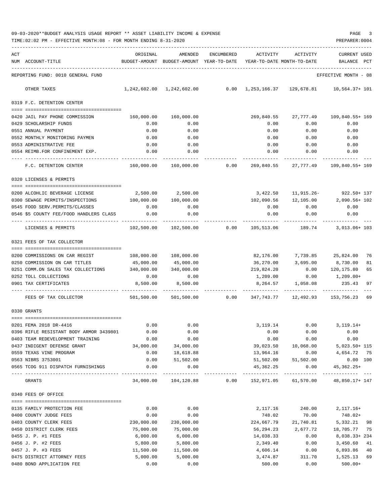| 09-03-2020**BUDGET ANALYSIS USAGE REPORT ** ASSET LIABILITY INCOME & EXPENSE | PAGE           |
|------------------------------------------------------------------------------|----------------|
| TIME:02:02 PM - EFFECTIVE MONTH:08 - FOR MONTH ENDING 8-31-2020              | PREPARER: 0004 |

|     |                                                             | - FUR MUNIA ENDING 0-31-2020 |                                                     |            |                      |                                                      |                                       |          |
|-----|-------------------------------------------------------------|------------------------------|-----------------------------------------------------|------------|----------------------|------------------------------------------------------|---------------------------------------|----------|
| ACT | NUM ACCOUNT-TITLE                                           | ORIGINAL                     | AMENDED<br>BUDGET-AMOUNT BUDGET-AMOUNT YEAR-TO-DATE | ENCUMBERED | ACTIVITY             | ACTIVITY<br>YEAR-TO-DATE MONTH-TO-DATE               | <b>CURRENT USED</b><br>BALANCE<br>PCT |          |
|     | REPORTING FUND: 0010 GENERAL FUND                           |                              |                                                     |            |                      |                                                      | EFFECTIVE MONTH - 08                  |          |
|     | OTHER TAXES                                                 |                              | 1,242,602.00 1,242,602.00                           |            |                      | $0.00 \quad 1,253,166.37 \quad 129,678.81$           | 10,564.37+ 101                        |          |
|     | 0319 F.C. DETENTION CENTER                                  |                              |                                                     |            |                      |                                                      |                                       |          |
|     | 0420 JAIL PAY PHONE COMMISSION                              | 160,000.00                   | 160,000.00                                          |            | 269,840.55           | 27,777.49                                            | 109,840.55+ 169                       |          |
|     | 0429 SCHOLARSHIP FUNDS                                      | 0.00                         | 0.00                                                |            | 0.00                 | 0.00                                                 | 0.00                                  |          |
|     | 0551 ANNUAL PAYMENT                                         | 0.00                         | 0.00                                                |            | 0.00                 | 0.00                                                 | 0.00                                  |          |
|     | 0552 MONTHLY MONITORING PAYMEN                              | 0.00                         | 0.00                                                |            | 0.00                 | 0.00                                                 | 0.00                                  |          |
|     | 0553 ADMINISTRATIVE FEE                                     | 0.00                         | 0.00                                                |            | 0.00                 | 0.00                                                 | 0.00                                  |          |
|     | 0554 REIMB.FOR CONFINEMENT EXP.                             | 0.00                         | 0.00                                                |            | 0.00                 | 0.00                                                 | 0.00                                  |          |
|     | F.C. DETENTION CENTER                                       | 160,000.00                   | 160,000.00                                          |            |                      | $0.00$ 269,840.55 27,777.49                          | 109,840.55+ 169                       |          |
|     | 0320 LICENSES & PERMITS                                     |                              |                                                     |            |                      |                                                      |                                       |          |
|     |                                                             |                              |                                                     |            |                      |                                                      |                                       |          |
|     | 0200 ALCOHLIC BEVERAGE LICENSE                              | 2,500.00                     | 2,500.00                                            |            | 3,422.50             | 11,915.26-                                           | 922.50+ 137                           |          |
|     | 0300 SEWAGE PERMITS/INSPECTIONS                             | 100,000.00                   | 100,000.00                                          |            |                      | 102,090.56 12,105.00                                 | 2,090.56+ 102                         |          |
|     | 0545 FOOD SERV. PERMITS/CLASSES                             | 0.00                         | 0.00                                                |            |                      | $0.00$ 0.00                                          | 0.00                                  |          |
|     | 0546 \$5 COUNTY FEE/FOOD HANDLERS CLASS                     | 0.00                         | 0.00                                                |            | 0.00                 | 0.00                                                 | 0.00                                  |          |
|     | LICENSES & PERMITS                                          |                              | 102,500.00 102,500.00                               |            |                      | 0.00 105,513.06 189.74                               | 3,013.06+ 103                         |          |
|     | 0321 FEES OF TAX COLLECTOR                                  |                              |                                                     |            |                      |                                                      |                                       |          |
|     |                                                             |                              |                                                     |            |                      |                                                      |                                       |          |
|     | 0200 COMMISSIONS ON CAR REGIST                              | 108,000.00                   | 108,000.00                                          |            |                      | 82,176.00 7,739.85 25,824.00                         |                                       | 76       |
|     | 0250 COMMISSION ON CAR TITLES                               | 45,000.00                    | 45,000.00                                           |            |                      | 36,270.00 3,695.00<br>0.00                           | 8,730.00                              | 81<br>65 |
|     | 0251 COMM.ON SALES TAX COLLECTIONS<br>0252 TOLL COLLECTIONS | 0.00                         | 340,000.00 340,000.00<br>0.00                       |            | 219,824.20           | 0.00                                                 | 120,175.80<br>$1,209.00+$             |          |
|     | 0901 TAX CERTIFICATES                                       | 8,500.00                     | 8,500.00                                            |            | 1,209.00<br>8,264.57 | 1,058.08                                             | 235.43                                | 97       |
|     |                                                             | ----------                   | -----------                                         |            |                      | -----------                                          |                                       |          |
|     | FEES OF TAX COLLECTOR                                       |                              | 501,500.00 501,500.00 0.00                          |            |                      | 347,743.77 12,492.93 153,756.23                      |                                       | 69       |
|     | 0330 GRANTS                                                 |                              |                                                     |            |                      |                                                      |                                       |          |
|     | 0201 FEMA 2018 DR-4416                                      | 0.00                         | 0.00                                                |            |                      | 3,119.14                                             | $0.00$ $3,119.14+$                    |          |
|     | 0396 RIFLE RESISTANT BODY ARMOR 3439801                     | 0.00                         | 0.00                                                |            | 0.00                 | 0.00                                                 | 0.00                                  |          |
|     | 0403 TEAM REDEVELOPMENT TRAINING                            | 0.00                         | 0.00                                                |            | 0.00                 | 0.00                                                 | 0.00                                  |          |
|     | 0437 INDIGENT DEFENSE GRANT                                 | 34,000.00                    | 34,000.00                                           |            | 39,023.50            | 10,068.00                                            | $5,023.50+115$                        |          |
|     | 0559 TEXAS VINE PROGRAM                                     | 0.00                         | 18,618.88                                           |            | 13,964.16            | 0.00                                                 | 4,654.72 75                           |          |
|     | 0563 NIBRS 3753001                                          | 0.00                         | 51,502.00                                           |            | 51,502.00            | 51,502.00                                            | $0.00$ 100                            |          |
|     | 0565 TCOG 911 DISPATCH FURNISHINGS                          | 0.00                         | 0.00                                                |            | 45,362.25            | 0.00                                                 | 45,362.25+                            |          |
|     | GRANTS                                                      | 34,000.00                    | 104,120.88                                          | 0.00       |                      | ----------------------------<br>152,971.05 61,570.00 | ------------------<br>48,850.17+ 147  |          |
|     | 0340 FEES OF OFFICE                                         |                              |                                                     |            |                      |                                                      |                                       |          |
|     |                                                             |                              |                                                     |            |                      |                                                      |                                       |          |
|     | 0135 FAMILY PROTECTION FEE                                  | 0.00                         | 0.00                                                |            | 2,117.16             | 240.00                                               | $2,117.16+$                           |          |
|     | 0400 COUNTY JUDGE FEES                                      | 0.00                         | 0.00                                                |            | 748.02               | 70.00                                                | $748.02+$                             |          |
|     | 0403 COUNTY CLERK FEES                                      | 230,000.00                   | 230,000.00                                          |            | 224,667.79           | 21,740.81                                            | 5,332.21 98                           |          |
|     | 0450 DISTRICT CLERK FEES                                    | 75,000.00                    | 75,000.00                                           |            | 56,294.23            | 2,677.72                                             | 18,705.77                             | 75       |
|     | 0455 J. P. #1 FEES                                          | 6,000.00                     | 6,000.00                                            |            | 14,038.33            | 0.00                                                 | 8,038.33+234                          |          |
|     | 0456 J. P. #2 FEES                                          | 5,800.00                     | 5,800.00                                            |            | 2,349.40             | 0.00                                                 | 3,450.60<br>6,893.86                  | 41<br>40 |
|     | 0457 J. P. #3 FEES<br>0475 DISTRICT ATTORNEY FEES           | 11,500.00<br>5,000.00        | 11,500.00<br>5,000.00                               |            | 4,606.14<br>3,474.87 | 0.00<br>311.70                                       | 1,525.13                              | 69       |
|     | 0480 BOND APPLICATION FEE                                   | 0.00                         | 0.00                                                |            | 500.00               | 0.00                                                 | $500.00+$                             |          |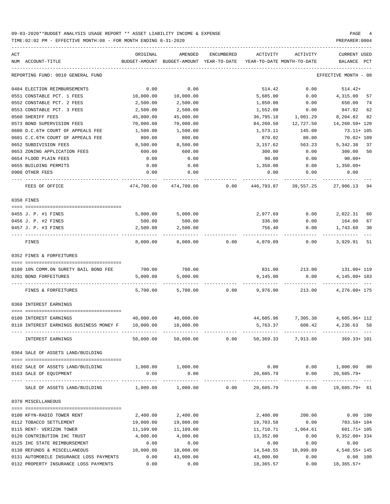TIME:02:02 PM - EFFECTIVE MONTH:08 - FOR MONTH ENDING 8-31-2020

| ACT                                                                          | ORIGINAL  | AMENDED                                  | ENCUMBERED | ACTIVITY  | ACTIVITY                   | CURRENT USED                    |
|------------------------------------------------------------------------------|-----------|------------------------------------------|------------|-----------|----------------------------|---------------------------------|
| NUM ACCOUNT-TITLE                                                            |           | BUDGET-AMOUNT BUDGET-AMOUNT YEAR-TO-DATE |            |           | YEAR-TO-DATE MONTH-TO-DATE | BALANCE<br>PCT                  |
| REPORTING FUND: 0010 GENERAL FUND                                            |           |                                          |            |           |                            | EFFECTIVE MONTH - 08            |
| 0484 ELECTION REIMBURSEMENTS                                                 | 0.00      | 0.00                                     |            | 514.42    | 0.00                       | 514.42+                         |
| 0551 CONSTABLE PCT. 1 FEES                                                   | 10,000.00 | 10,000.00                                |            | 5,685.00  | 0.00                       | 4,315.00<br>57                  |
| 0552 CONSTABLE PCT. 2 FEES                                                   | 2,500.00  | 2,500.00                                 |            | 1,850.00  | 0.00                       | 650.00<br>74                    |
| 0553 CONSTABLE PCT. 3 FEES                                                   | 2,500.00  | 2,500.00                                 |            | 1,552.08  | 0.00                       | 947.92<br>62                    |
| 0560 SHERIFF FEES                                                            | 45,000.00 | 45,000.00                                |            | 36,795.18 | 1,001.29                   | 8,204.82<br>82                  |
| 0573 BOND SUPERVISION FEES                                                   | 70,000.00 | 70,000.00                                |            | 84,260.50 | 12,727.50                  | 14,260.50+ 120                  |
| 0600 D.C.6TH COURT OF APPEALS FEE                                            | 1,500.00  | 1,500.00                                 |            | 1,573.11  | 145.00                     | 73.11+ 105                      |
| 0601 C.C.6TH COURT OF APPEALS FEE                                            | 800.00    | 800.00                                   |            | 870.02    | 80.00                      | 70.02+ 109                      |
| 0652 SUBDIVISION FEES                                                        | 8,500.00  | 8,500.00                                 |            | 3,157.62  | 563.23                     | 37<br>5,342.38                  |
| 0653 ZONING APPLICATION FEES                                                 | 600.00    | 600.00                                   |            | 300.00    | 0.00                       | 300.00<br>50                    |
| 0654 FLOOD PLAIN FEES                                                        | 0.00      | 0.00                                     |            | 90.00     | 0.00                       | $90.00+$                        |
| 0655 BUILDING PERMITS                                                        | 0.00      | 0.00                                     |            | 1,350.00  | 0.00                       | 1,350.00+                       |
| 0900 OTHER FEES                                                              | 0.00      | 0.00                                     |            | 0.00      | 0.00                       | 0.00                            |
| FEES OF OFFICE                                                               |           | 474,700.00 474,700.00                    | 0.00       |           | 446,793.87 39,557.25       | 27,906.13<br>94                 |
| 0350 FINES                                                                   |           |                                          |            |           |                            |                                 |
|                                                                              |           |                                          |            |           |                            |                                 |
| 0455 J. P. #1 FINES                                                          | 5,000.00  | 5,000.00                                 |            | 2,977.69  | 0.00                       | 2,022.31<br>60                  |
| 0456 J. P. #2 FINES                                                          | 500.00    | 500.00                                   |            | 336.00    | 0.00                       | 164.00<br>67                    |
| 0457 J. P. #3 FINES                                                          | 2,500.00  | 2,500.00                                 |            | 756.40    | 0.00                       | 1,743.60<br>30                  |
| FINES                                                                        | 8,000.00  | 8,000.00                                 | 0.00       | 4,070.09  | 0.00                       | 3,929.91<br>51                  |
| 0352 FINES & FORFEITURES                                                     |           |                                          |            |           |                            |                                 |
|                                                                              |           | 700.00                                   |            |           |                            |                                 |
| 0100 10% COMM.ON SURETY BAIL BOND FEE                                        | 700.00    |                                          |            |           |                            | 831.00 213.00 131.00+119        |
| 0201 BOND FORFEITURES                                                        | 5,000.00  | 5,000.00                                 |            | 9,145.00  | 0.00                       | 4, 145.00+ 183                  |
| FINES & FORFEITURES                                                          | 5,700.00  | 5,700.00                                 | 0.00       | 9,976.00  | 213.00                     | 4,276.00+ 175                   |
| 0360 INTEREST EARNINGS                                                       |           |                                          |            |           |                            |                                 |
|                                                                              |           |                                          |            |           |                            |                                 |
| 0100 INTEREST EARNINGS                                                       | 40,000.00 | 40,000.00                                |            |           |                            | 44,605.96 7,305.38 4,605.96+112 |
| 0110 INTEREST EARNINGS BUSINESS MONEY F                                      | 10,000.00 | 10,000.00                                |            | 5,763.37  | 608.42                     | 4,236.63<br>58                  |
| INTEREST EARNINGS                                                            | 50,000.00 | 50,000.00                                | 0.00       | 50,369.33 | 7,913.80                   | $369.33 + 101$                  |
| 0364 SALE OF ASSETS LAND/BUILDING                                            |           |                                          |            |           |                            |                                 |
| 0162 SALE OF ASSETS LAND/BUILDING                                            |           | 1,000.00 1,000.00                        |            |           | $0.00$ 0.00                | 1,000.00 00                     |
| 0163 SALE OF EQUIPMENT                                                       | 0.00      | 0.00                                     |            | 20,605.79 | 0.00                       | 20,605.79+                      |
| SALE OF ASSETS LAND/BUILDING $1,000.00$ $1,000.00$ $0.00$ $0.00$ $20,605.79$ |           |                                          |            |           |                            | $0.00$ 19,605.79+ 61            |
| 0370 MISCELLANEOUS                                                           |           |                                          |            |           |                            |                                 |
|                                                                              |           |                                          |            |           |                            |                                 |
| 0100 KFYN-RADIO TOWER RENT                                                   | 2,400.00  | 2,400.00                                 |            | 2,400.00  | 200.00                     | $0.00$ 100                      |
| 0112 TOBACCO SETTLEMENT                                                      | 19,000.00 | 19,000.00                                |            | 19,703.58 | 0.00                       | 703.58+ 104                     |
| 0115 RENT- VERIZON TOWER                                                     | 11,109.00 | 11,109.00                                |            | 11,710.71 | 1,064.61                   | 601.71+ 105                     |
| 0120 CONTRIBUTION IHC TRUST                                                  | 4,000.00  | 4,000.00                                 |            | 13,352.00 | 0.00                       | $9,352.00+334$                  |
| 0125 IHC STATE REIMBURSEMENT                                                 | 0.00      | 0.00                                     |            | 0.00      | 0.00                       | 0.00                            |
| 0130 REFUNDS & MISCELLANEOUS                                                 | 10,000.00 | 10,000.00                                |            | 14,548.55 | 10,899.89                  | 4,548.55+ 145                   |
| 0131 AUTOMOBILE INSURANCE LOSS PAYMENTS                                      | 0.00      | 43,000.00                                |            | 43,000.00 | 0.00                       | 0.00 100                        |

0132 PROPERTY INSURANCE LOSS PAYMENTS  $0.00$  0.00 0.00 18,365.57 0.00 18,365.57+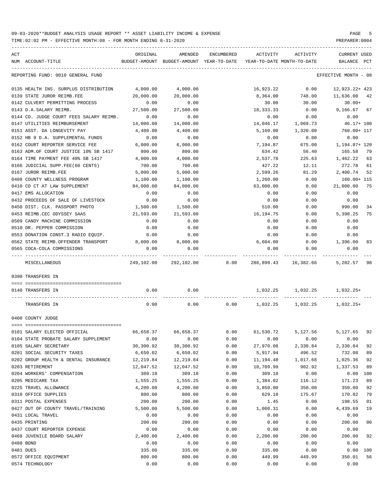TIME:02:02 PM - EFFECTIVE MONTH:08 - FOR MONTH ENDING 8-31-2020

| ACT | NUM ACCOUNT-TITLE                            | ORIGINAL  | AMENDED<br>BUDGET-AMOUNT BUDGET-AMOUNT YEAR-TO-DATE YEAR-TO-DATE MONTH-TO-DATE |      | ENCUMBERED ACTIVITY | ACTIVITY                                        | CURRENT USED<br>BALANCE | PCT            |
|-----|----------------------------------------------|-----------|--------------------------------------------------------------------------------|------|---------------------|-------------------------------------------------|-------------------------|----------------|
|     |                                              |           |                                                                                |      |                     |                                                 |                         |                |
|     | REPORTING FUND: 0010 GENERAL FUND            |           |                                                                                |      |                     |                                                 | EFFECTIVE MONTH - 08    |                |
|     | 0135 HEALTH INS. SURPLUS DISTRIBUTION        | 4,000.00  | 4,000.00                                                                       |      | 16,923.22           | 0.00                                            | 12,923.22+ 423          |                |
|     | 0139 STATE JUROR REIMB.FEE                   | 20,000.00 | 20,000.00                                                                      |      | 8,364.00            | 748.00                                          | 11,636.00 42            |                |
|     | 0142 CULVERT PERMITTING PROCESS              | 0.00      | 0.00                                                                           |      | 30.00               | 30.00                                           | $30.00+$                |                |
|     | 0143 D.A.SALARY REIMB.                       | 27,500.00 | 27,500.00                                                                      |      | 18,333.33           | 0.00                                            | 9,166.67 67             |                |
|     | 0144 CO. JUDGE COURT FEES SALARY REIMB.      | 0.00      | 0.00                                                                           |      | 0.00                | 0.00                                            | 0.00                    |                |
|     | 0147 UTILITIES REIMBURSEMENT                 | 14,000.00 | 14,000.00                                                                      |      | 14,046.17           | 1,069.73                                        | 46.17+ 100              |                |
|     | 0151 ASST. DA LONGEVITY PAY                  | 4,400.00  | 4,400.00                                                                       |      | 5,160.00            | 1,320.00                                        | 760.00+ 117             |                |
|     | 0152 HB 9 D.A. SUPPLEMENTAL FUNDS            | 0.00      | 0.00                                                                           |      | 0.00                | 0.00                                            | 0.00                    |                |
|     | 0162 COURT REPORTER SERVICE FEE              | 6,000.00  | 6,000.00                                                                       |      | 7,194.87            | 675.00                                          | 1,194.87+ 120           |                |
|     | 0163 ADM.OF COURT JUSTICE 10% SB 1417        | 800.00    | 800.00                                                                         |      | 634.42              | 56.40                                           | 165.58                  | 79             |
|     | 0164 TIME PAYMENT FEE 40% SB 1417            | 4,000.00  | 4,000.00                                                                       |      | 2,537.78            | 225.63                                          | 1,462.22                | 63             |
|     | 0166 JUDICIAL SUPP.FEE(60 CENTS)             | 700.00    | 700.00                                                                         |      | 427.22              | 12.11                                           | 272.78                  | 61             |
|     | 0167 JUROR REIMB.FEE                         | 5,000.00  | 5,000.00                                                                       |      | 2,599.26            | 81.29                                           | 2,400.74                | 52             |
|     | 0408 COUNTY WELLNESS PROGRAM                 | 1,100.00  | 1,100.00                                                                       |      | 1,260.00            | 0.00                                            | 160.00+ 115             |                |
|     | 0410 CO CT AT LAW SUPPLEMENT                 | 84,000.00 | 84,000.00                                                                      |      | 63,000.00           | 0.00                                            | 21,000.00               | 75             |
|     | 0417 EMS ALLOCATION                          | 0.00      | 0.00                                                                           |      | 0.00                | 0.00                                            | 0.00                    |                |
|     | 0432 PROCEEDS OF SALE OF LIVESTOCK           | 0.00      | 0.00                                                                           |      | 0.00                | 0.00                                            | 0.00                    |                |
|     | 0450 DIST. CLK. PASSPORT PHOTO               | 1,500.00  | 1,500.00                                                                       |      | 510.00              | 0.00                                            | 990.00                  | 34             |
|     | 0453 REIMB.CEC ODYSSEY SAAS                  | 21,593.00 | 21,593.00                                                                      |      | 16,194.75           | 0.00                                            | 5,398.25                | 75             |
|     | 0509 CANDY MACHINE COMMISSION                | 0.00      | 0.00                                                                           |      | 0.00                | 0.00                                            | 0.00                    |                |
|     | 0510 DR. PEPPER COMMISSION                   | 0.00      | 0.00                                                                           |      | 0.00                | 0.00                                            | 0.00                    |                |
|     | 0553 DONATION CONST.3 RADIO EQUIP.           | 0.00      | 0.00                                                                           |      | 0.00                | 0.00                                            | 0.00                    |                |
|     | 0562 STATE REIMB.OFFENDER TRANSPORT 8,000.00 |           | 8,000.00                                                                       |      | 6,604.00            | 0.00                                            | 1,396.00                | 83             |
|     | 0565 COCA-COLA COMMISSIONS                   | 0.00      | 0.00                                                                           |      | 0.00                | 0.00                                            | 0.00                    |                |
|     | MISCELLANEOUS                                |           | 249,102.00 292,102.00                                                          |      |                     | $0.00 \qquad 286,899.43 \qquad 16,382.66$       | 5,202.57 98             |                |
|     | 0390 TRANSFERS IN                            |           |                                                                                |      |                     |                                                 |                         |                |
|     | 0140 TRANSFERS IN                            | 0.00      | 0.00                                                                           |      |                     | 1,032.25 1,032.25 1,032.25+                     |                         |                |
|     | TRANSFERS IN                                 | 0.00      |                                                                                |      |                     | $0.00$ $0.00$ $1,032.25$ $1,032.25$ $1,032.25+$ |                         |                |
|     | 0400 COUNTY JUDGE                            |           |                                                                                |      |                     |                                                 |                         |                |
|     |                                              |           |                                                                                |      |                     |                                                 |                         |                |
|     | 0101 SALARY ELECTED OFFICIAL                 | 66,658.37 | 66,658.37                                                                      | 0.00 | 61,530.72           | 5,127.56                                        | 5,127.65                | 92             |
|     | 0104 STATE PROBATE SALARY SUPPLEMENT         | 0.00      | 0.00                                                                           | 0.00 | 0.00                | 0.00                                            | 0.00                    |                |
|     | 0105 SALARY SECRETARY                        | 30,300.92 | 30,300.92                                                                      | 0.00 | 27,970.08           | 2,330.84                                        | 2,330.84                | 92             |
|     | 0201 SOCIAL SECURITY TAXES                   | 6,650.02  | 6,650.02                                                                       | 0.00 | 5,917.94            | 496.52                                          | 732.08                  | 89             |
|     | 0202 GROUP HEALTH & DENTAL INSURANCE         | 12,219.84 | 12,219.84                                                                      | 0.00 | 11,194.48           | 1,017.68                                        | 1,025.36                | 92             |
|     | 0203 RETIREMENT                              | 12,047.52 | 12,047.52                                                                      | 0.00 | 10,709.99           | 902.92                                          | 1,337.53                | 89             |
|     | 0204 WORKERS' COMPENSATION                   | 309.18    | 309.18                                                                         | 0.00 | 309.18              | 0.00                                            | 0.00 100                |                |
|     | 0205 MEDICARE TAX                            | 1,555.25  | 1,555.25                                                                       | 0.00 | 1,384.02            | 116.12                                          | 171.23                  | 89             |
|     | 0225 TRAVEL ALLOWANCE                        | 4,200.00  | 4,200.00                                                                       | 0.00 | 3,850.00            | 350.00                                          | 350.00                  | 92             |
|     | 0310 OFFICE SUPPLIES                         | 800.00    | 800.00                                                                         | 0.00 | 629.18              | 175.67                                          | 170.82                  | 79             |
|     | 0311 POSTAL EXPENSES                         | 200.00    | 200.00                                                                         | 0.00 | 1.45                | 0.00                                            | 198.55                  | 01             |
|     | 0427 OUT OF COUNTY TRAVEL/TRAINING           | 5,500.00  | 5,500.00                                                                       | 0.00 | 1,060.31            | 0.00                                            | 4,439.69                | 19             |
|     | 0431 LOCAL TRAVEL                            | 0.00      | 0.00                                                                           | 0.00 | 0.00                | 0.00                                            | 0.00                    |                |
|     | 0435 PRINTING                                | 200.00    | 200.00                                                                         | 0.00 | 0.00                | 0.00                                            | 200.00                  | 0 <sub>0</sub> |
|     | 0437 COURT REPORTER EXPENSE                  | 0.00      | 0.00                                                                           | 0.00 | 0.00                | 0.00                                            | 0.00                    |                |
|     | 0468 JUVENILE BOARD SALARY                   | 2,400.00  | 2,400.00                                                                       | 0.00 | 2,200.00            | 200.00                                          | 200.00                  | 92             |
|     | 0480 BOND                                    | 0.00      | 0.00                                                                           | 0.00 | 0.00                | 0.00                                            | 0.00                    |                |
|     | 0481 DUES                                    | 335.00    | 335.00                                                                         | 0.00 | 335.00              | 0.00                                            | 0.00 100                |                |
|     | 0572 OFFICE EQUIPMENT                        | 800.00    | 800.00                                                                         | 0.00 | 449.99              | 449.99                                          | 350.01                  | 56             |

0574 TECHNOLOGY 0.00 0.00 0.00 0.00 0.00 0.00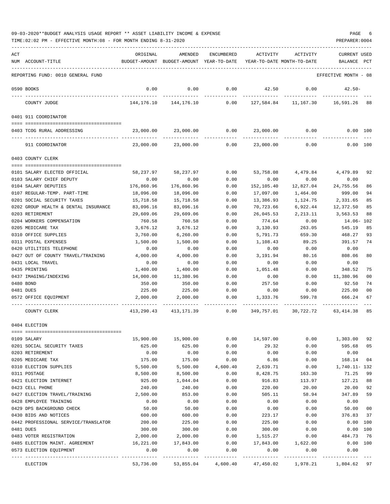| 09-03-2020**BUDGET ANALYSIS USAGE REPORT ** ASSET LIABILITY INCOME & EXPENSE |  |  |  | PAGE |  |
|------------------------------------------------------------------------------|--|--|--|------|--|
|                                                                              |  |  |  |      |  |

|     | TIME: 02:02 PM - EFFECTIVE MONTH: 08 - FOR MONTH ENDING 8-31-2020 |                                                                  |                                                     |                      |                                        |                                                             | PREPARER: 0004                 |          |
|-----|-------------------------------------------------------------------|------------------------------------------------------------------|-----------------------------------------------------|----------------------|----------------------------------------|-------------------------------------------------------------|--------------------------------|----------|
| ACT | NUM ACCOUNT-TITLE                                                 | ORIGINAL                                                         | AMENDED<br>BUDGET-AMOUNT BUDGET-AMOUNT YEAR-TO-DATE | ENCUMBERED           | ACTIVITY<br>YEAR-TO-DATE MONTH-TO-DATE | ACTIVITY                                                    | <b>CURRENT USED</b><br>BALANCE | PCT      |
|     | REPORTING FUND: 0010 GENERAL FUND                                 |                                                                  |                                                     |                      |                                        |                                                             | EFFECTIVE MONTH - 08           |          |
|     | 0590 BOOKS                                                        | 0.00                                                             | 0.00                                                | 0.00<br>------------ | 42.50                                  | 0.00                                                        | $42.50-$                       |          |
|     | COUNTY JUDGE                                                      |                                                                  | 144, 176. 10 144, 176. 10                           | 0.00                 |                                        | 127,584.84 11,167.30 16,591.26 88                           |                                |          |
|     | 0401 911 COORDINATOR                                              |                                                                  |                                                     |                      |                                        |                                                             |                                |          |
|     | 0403 TCOG RURAL ADDRESSING                                        | 23,000.00   23,000.00     0.00   23,000.00     0.00     0.00 100 |                                                     |                      |                                        |                                                             |                                |          |
|     | 911 COORDINATOR                                                   |                                                                  | $23,000.00$ $23,000.00$ $0.00$ $23,000.00$ $0.00$   |                      |                                        |                                                             |                                | 0.00 100 |
|     | 0403 COUNTY CLERK                                                 |                                                                  |                                                     |                      |                                        |                                                             |                                |          |
|     |                                                                   |                                                                  |                                                     |                      |                                        |                                                             |                                |          |
|     | 0101 SALARY ELECTED OFFICIAL                                      | 58,237.97<br>0.00                                                | 58,237.97<br>0.00                                   | 0.00<br>0.00         | 53,758.08<br>0.00                      | 4,479.84 4,479.89<br>0.00                                   |                                | 92       |
|     | 0103 SALARY CHIEF DEPUTY<br>0104 SALARY DEPUTIES                  | 176,860.96                                                       | 176,860.96                                          | 0.00                 | 152,105.40                             | 12,827.04                                                   | 0.00<br>24,755.56              | 86       |
|     | 0107 REGULAR-TEMP. PART-TIME                                      | 18,096.00                                                        | 18,096.00                                           | 0.00                 | 17,097.00                              | 1,464.00                                                    | 999.00                         | 94       |
|     | 0201 SOCIAL SECURITY TAXES                                        | 15,718.58                                                        | 15,718.58                                           | 0.00                 | 13,386.93                              | 1,124.75                                                    | 2,331.65                       | 85       |
|     | 0202 GROUP HEALTH & DENTAL INSURANCE                              | 83,096.16                                                        | 83,096.16                                           | 0.00                 | 70,723.66                              | 6,922.44                                                    | 12,372.50                      | 85       |
|     | 0203 RETIREMENT                                                   | 29,609.06                                                        | 29,609.06                                           | 0.00                 | 26,045.53                              | 2,213.11                                                    | 3,563.53                       | 88       |
|     | 0204 WORKERS COMPENSATION                                         | 760.58                                                           | 760.58                                              | 0.00                 | 774.64                                 | 0.00                                                        | 14.06- 102                     |          |
|     | 0205 MEDICARE TAX                                                 | 3,676.12                                                         | 3,676.12                                            | 0.00                 | 3,130.93                               | 263.05                                                      | 545.19                         | 85       |
|     | 0310 OFFICE SUPPLIES                                              | 3,760.00                                                         | 6,260.00                                            | 0.00                 | 5,791.73                               | 659.30                                                      | 468.27                         | 93       |
|     | 0311 POSTAL EXPENSES                                              | 1,500.00                                                         | 1,500.00                                            | 0.00                 | 1,108.43                               | 89.25                                                       | 391.57                         | 74       |
|     | 0420 UTILITIES TELEPHONE                                          | 0.00                                                             | 0.00                                                | 0.00                 | 0.00                                   | 0.00                                                        | 0.00                           |          |
|     | 0427 OUT OF COUNTY TRAVEL/TRAINING                                | 4,000.00                                                         | 4,000.00                                            | 0.00                 | 3,191.94                               | 80.16                                                       | 808.06                         | 80       |
|     | 0431 LOCAL TRAVEL                                                 | 0.00                                                             | 0.00                                                | 0.00                 | 0.00                                   | 0.00                                                        | 0.00                           |          |
|     | 0435 PRINTING                                                     | 1,400.00                                                         | 1,400.00                                            | 0.00                 | 1,051.48                               | 0.00                                                        | 348.52                         | 75       |
|     | 0437 IMAGING/INDEXING                                             | 14,000.00                                                        | 11,380.96                                           | 0.00                 | 0.00                                   | 0.00                                                        | 11,380.96                      | 00       |
|     | 0480 BOND                                                         | 350.00                                                           | 350.00                                              | 0.00                 | 257.50                                 | 0.00                                                        | 92.50                          | 74       |
|     | 0481 DUES                                                         | 225.00                                                           | 225.00                                              | 0.00                 | 0.00                                   | 0.00                                                        | 225.00                         | 00       |
|     | 0572 OFFICE EQUIPMENT                                             | 2,000.00                                                         | 2,000.00                                            | 0.00                 | 1,333.76                               | 599.78                                                      | 666.24                         | 67       |
|     | COUNTY CLERK                                                      |                                                                  | 413, 290. 43 413, 171. 39                           | 0.00                 |                                        | 349,757.01 30,722.72 63,414.38                              |                                | 85       |
|     | 0404 ELECTION                                                     |                                                                  |                                                     |                      |                                        |                                                             |                                |          |
|     | 0109 SALARY                                                       | 15,900.00                                                        | 15,900.00                                           | 0.00                 | 14,597.00                              | 0.00                                                        | 1,303.00                       | 92       |
|     | 0201 SOCIAL SECURITY TAXES                                        | 625.00                                                           | 625.00                                              | 0.00                 | 29.32                                  | 0.00                                                        | 595.68                         | 05       |
|     | 0203 RETIREMENT                                                   | 0.00                                                             | 0.00                                                | 0.00                 | 0.00                                   | 0.00                                                        | 0.00                           |          |
|     | 0205 MEDICARE TAX                                                 | 175.00                                                           | 175.00                                              | 0.00                 | 6.86                                   | 0.00                                                        | 168.14                         | 04       |
|     | 0310 ELECTION SUPPLIES                                            | 5,500.00                                                         |                                                     | 5,500.00 4,600.40    | 2,639.71                               | 0.00                                                        | 1,740.11- 132                  |          |
|     | 0311 POSTAGE                                                      | 8,500.00                                                         | 8,500.00                                            | 0.00                 | 8,428.75                               | 163.30                                                      | 71.25                          | 99       |
|     | 0421 ELECTION INTERNET                                            | 925.00                                                           | 1,044.04                                            | 0.00                 | 916.83                                 | 113.97                                                      | 127.21                         | 88       |
|     | 0423 CELL PHONE                                                   | 240.00                                                           | 240.00                                              | 0.00                 | 220.00                                 | 20.00                                                       | 20.00                          | 92       |
|     | 0427 ELECTION TRAVEL/TRAINING                                     | 2,500.00                                                         | 853.00                                              | 0.00                 | 505.11                                 | 58.94                                                       | 347.89                         | 59       |
|     | 0428 EMPLOYEE TRAINING                                            | 0.00                                                             | 0.00                                                | 0.00                 | 0.00                                   | 0.00                                                        | 0.00                           |          |
|     | 0429 DPS BACKGROUND CHECK                                         | 50.00                                                            | 50.00                                               | 0.00                 | 0.00                                   | 0.00                                                        | 50.00                          | 00       |
|     | 0430 BIDS AND NOTICES                                             | 600.00                                                           | 600.00                                              | 0.00                 | 223.17                                 | 0.00                                                        | 376.83                         | 37       |
|     | 0442 PROFESSIONAL SERVICE/TRANSLATOR                              | 200.00                                                           | 225.00                                              | 0.00                 | 225.00                                 | 0.00                                                        | $0.00$ 100                     |          |
|     | 0481 DUES                                                         | 300.00                                                           | 300.00<br>2,000.00                                  | 0.00                 | 300.00                                 | 0.00                                                        | 0.00 100<br>484.73             | 76       |
|     | 0483 VOTER REGISTRATION<br>0485 ELECTION MAINT. AGREEMENT         | 2,000.00<br>16,221.00                                            | 17,843.00                                           | 0.00<br>0.00         | 1,515.27                               | 0.00<br>17,843.00 1,622.00                                  | $0.00$ 100                     |          |
|     | 0573 ELECTION EQUIPMENT                                           | 0.00                                                             | 0.00                                                | 0.00                 | 0.00                                   | 0.00                                                        | 0.00                           |          |
|     | ELECTION                                                          |                                                                  | -------------                                       | -------------        | ------------                           | 53,736.00 53,855.04 4,600.40 47,450.02 1,978.21 1,804.62 97 |                                |          |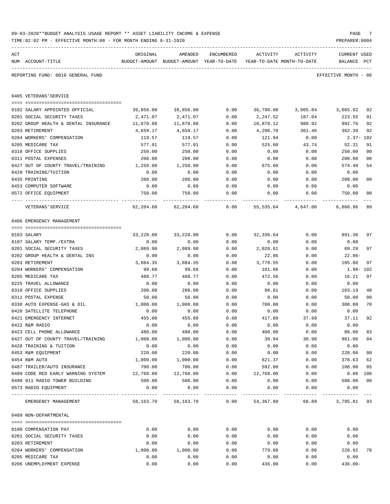| ACT | NUM ACCOUNT-TITLE                          | ORIGINAL<br>BUDGET-AMOUNT | AMENDED<br>BUDGET-AMOUNT YEAR-TO-DATE | ENCUMBERED           | ACTIVITY             | ACTIVITY<br>YEAR-TO-DATE MONTH-TO-DATE | CURRENT USED<br>BALANCE | PCT            |
|-----|--------------------------------------------|---------------------------|---------------------------------------|----------------------|----------------------|----------------------------------------|-------------------------|----------------|
|     |                                            |                           |                                       |                      |                      |                                        |                         |                |
|     | REPORTING FUND: 0010 GENERAL FUND          |                           |                                       |                      |                      |                                        | EFFECTIVE MONTH - 08    |                |
|     | 0405 VETERANS'SERVICE                      |                           |                                       |                      |                      |                                        |                         |                |
|     | 0102 SALARY APPOINTED OFFICIAL             | 39,856.00                 | 39,856.00                             | 0.00                 | 36,790.08            | 3,065.84                               | 3,065.92                | 92             |
|     | 0201 SOCIAL SECURITY TAXES                 | 2,471.07                  | 2,471.07                              | 0.00                 | 2,247.52             | 187.04                                 | 223.55                  | 91             |
|     | 0202 GROUP HEALTH & DENTAL INSURANCE       | 11,870.88                 | 11,870.88                             | 0.00                 | 10,878.12            | 988.92                                 | 992.76                  | 92             |
|     | 0203 RETIREMENT                            | 4,659.17                  | 4,659.17                              | 0.00                 | 4,296.78             | 361.46                                 | 362.39                  | 92             |
|     | 0204 WORKERS' COMPENSATION                 | 119.57                    | 119.57                                | 0.00                 | 121.94               | 0.00                                   | 2.37- 102               |                |
|     | 0205 MEDICARE TAX                          | 577.91                    | 577.91                                | 0.00                 | 525.60               | 43.74                                  | 52.31                   | 91             |
|     | 0310 OFFICE SUPPLIES                       | 250.00                    | 250.00                                | 0.00                 | 0.00                 | 0.00                                   | 250.00                  | 0 <sub>0</sub> |
|     | 0311 POSTAL EXPENSES                       | 200.00                    | 200.00                                | 0.00                 | 0.00                 | 0.00                                   | 200.00                  | 00             |
|     | 0427 OUT OF COUNTY TRAVEL/TRAINING         | 1,250.00                  | 1,250.00                              | 0.00                 | 675.60               | 0.00                                   | 574.40                  | 54             |
|     | 0428 TRAINING/TUITION                      | 0.00                      | 0.00                                  | 0.00                 | 0.00                 | 0.00                                   | 0.00                    |                |
|     | 0435 PRINTING                              | 200.00                    | 200.00                                | 0.00                 | 0.00                 | 0.00                                   | 200.00                  | 0 <sub>0</sub> |
|     | 0453 COMPUTER SOFTWARE                     | 0.00                      | 0.00                                  | 0.00                 | 0.00                 | 0.00                                   | 0.00                    |                |
|     | 0572 OFFICE EQUIPMENT<br>---- ------------ | 750.00<br>. <u>.</u>      | 750.00<br>-------------               | 0.00<br>------------ | 0.00<br>------------ | 0.00                                   | 750.00<br>-----------   | 00             |
|     | VETERANS ' SERVICE                         | 62,204.60                 | 62,204.60                             | 0.00                 | 55,535.64            | 4,647.00                               | 6,668.96                | 89             |
|     | 0406 EMERGENCY MANAGEMENT                  |                           |                                       |                      |                      |                                        |                         |                |
|     |                                            |                           |                                       |                      |                      |                                        |                         |                |
|     | 0103 SALARY                                | 33,228.00                 | 33,228.00                             | 0.00                 | 32,336.64            | 0.00                                   | 891.36                  | 97             |
|     | 0107 SALARY TEMP./EXTRA                    | 0.00                      | 0.00                                  | 0.00                 | 0.00                 | 0.00                                   | 0.00                    |                |
|     | 0201 SOCIAL SECURITY TAXES                 | 2,089.90                  | 2,089.90                              | 0.00                 | 2,020.61             | 0.00                                   | 69.29                   | 97             |
|     | 0202 GROUP HEALTH & DENTAL INS             | 0.00                      | 0.00                                  | 0.00                 | 22.86                | 0.00                                   | $22.86-$                |                |
|     | 0203 RETIREMENT                            | 3,884.35                  | 3,884.35                              | 0.00                 | 3,778.55             | 0.00                                   | 105.80                  | 97             |
|     | 0204 WORKERS' COMPENSATION                 | 99.68                     | 99.68                                 | 0.00                 | 101.66               | 0.00                                   | 1.98– 102               |                |
|     | 0205 MEDICARE TAX                          | 488.77                    | 488.77                                | 0.00                 | 472.56               | 0.00                                   | 16.21                   | 97             |
|     | 0225 TRAVEL ALLOWANCE                      | 0.00                      | 0.00                                  | 0.00                 | 0.00                 | 0.00                                   | 0.00                    |                |
|     | 0310 OFFICE SUPPLIES                       | 200.00                    | 200.00                                | 0.00                 | 96.81                | 0.00                                   | 103.19                  | 48             |
|     | 0311 POSTAL EXPENSE                        | 50.00                     | 50.00                                 | 0.00                 | 0.00                 | 0.00                                   | 50.00                   | 0 <sub>0</sub> |
|     | 0330 AUTO EXPENSE-GAS & OIL                | 1,000.00                  | 1,000.00                              | 0.00                 | 700.00               | 0.00                                   | 300.00                  | 70             |
|     | 0420 SATELLITE TELEPHONE                   | 0.00                      | 0.00                                  | 0.00                 | 0.00                 | 0.00                                   | 0.00                    |                |
|     | 0421 EMERGENCY INTERNET                    | 455.00                    | 455.00                                | 0.00                 | 417.89               | 37.99                                  | 37.11                   | 92             |
|     | 0422 R&M RADIO                             | 0.00                      | 0.00                                  | 0.00                 | 0.00                 | 0.00                                   | 0.00                    |                |
|     | 0423 CELL PHONE ALLOWANCE                  | 480.00                    | 480.00                                | 0.00                 | 400.00               | 0.00                                   | 80.00                   | 83             |
|     | 0427 OUT OF COUNTY TRAVEL/TRAINING         | 1,000.00                  | 1,000.00                              | 0.00                 | 38.94                | 30.90                                  | 961.06                  | 0 <sub>4</sub> |
|     | 0428 TRAINING & TUITION                    | 0.00<br>220.00            | 0.00<br>220.00                        | 0.00<br>0.00         | 0.00                 | 0.00<br>0.00                           | 0.00<br>220.00          | 0 <sub>0</sub> |
|     | 0453 R&M EQUIPMENT<br>0454 R&M AUTO        | 1,000.00                  | 1,000.00                              | 0.00                 | 0.00<br>621.37       | 0.00                                   | 378.63                  | 62             |
|     | 0487 TRAILER/AUTO INSURANCE                | 700.00                    |                                       | 0.00                 |                      |                                        | 108.00                  | 85             |
|     | 0489 CODE RED EARLY WARNING SYSTEM         | 12,768.00                 | 700.00<br>12,768.00                   | 0.00                 | 592.00<br>12,768.00  | 0.00<br>0.00                           | 0.00                    | 100            |
|     | 0490 911 RADIO TOWER BUILDING              | 500.00                    | 500.00                                | 0.00                 | 0.00                 | 0.00                                   | 500.00                  | 0 <sub>0</sub> |
|     | 0573 RADIO EQUIPMENT                       | 0.00                      | 0.00                                  | 0.00                 | 0.00                 | 0.00                                   | 0.00                    |                |
|     | EMERGENCY MANAGEMENT                       | 58,163.70                 | 58,163.70                             | 0.00                 | 54,367.89            | 68.89                                  | 3,795.81 93             |                |
|     | 0409 NON-DEPARTMENTAL                      |                           |                                       |                      |                      |                                        |                         |                |
|     | 0100 COMPENSATION PAY                      | 0.00                      | 0.00                                  | 0.00                 | 0.00                 | 0.00                                   | 0.00                    |                |
|     | 0201 SOCIAL SECURITY TAXES                 | 0.00                      | 0.00                                  | 0.00                 | 0.00                 | 0.00                                   | 0.00                    |                |
|     | 0203 RETIREMENT                            | 0.00                      | 0.00                                  | 0.00                 | 0.00                 | 0.00                                   | 0.00                    |                |
|     | 0204 WORKERS' COMPENSATION                 | 1,000.00                  | 1,000.00                              | 0.00                 | 779.08               | 0.00                                   | 220.92                  | 78             |
|     | 0205 MEDICARE TAX                          | 0.00                      | 0.00                                  | 0.00                 | 0.00                 | 0.00                                   | 0.00                    |                |
|     | 0206 UNEMPLOYMENT EXPENSE                  | 0.00                      | 0.00                                  | 0.00                 | 436.00               | 0.00                                   | $436.00 -$              |                |
|     |                                            |                           |                                       |                      |                      |                                        |                         |                |

### 09-03-2020\*\*BUDGET ANALYSIS USAGE REPORT \*\* ASSET LIABILITY INCOME & EXPENSE PAGE 7 TIME:02:02 PM - EFFECTIVE MONTH:08 - FOR MONTH ENDING 8-31-2020 PREPARER:0004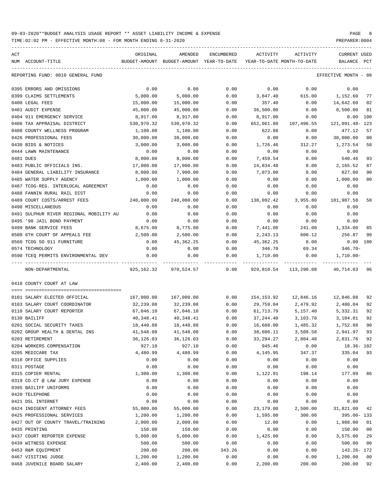TIME:02:02 PM - EFFECTIVE MONTH:08 - FOR MONTH ENDING 8-31-2020

| ACT       | NUM ACCOUNT-TITLE                       | ORIGINAL            | AMENDED<br>BUDGET-AMOUNT BUDGET-AMOUNT YEAR-TO-DATE | ENCUMBERED | ACTIVITY<br>YEAR-TO-DATE MONTH-TO-DATE | ACTIVITY              | <b>CURRENT USED</b><br>BALANCE PCT |                |
|-----------|-----------------------------------------|---------------------|-----------------------------------------------------|------------|----------------------------------------|-----------------------|------------------------------------|----------------|
|           | REPORTING FUND: 0010 GENERAL FUND       |                     |                                                     |            |                                        |                       | EFFECTIVE MONTH - 08               |                |
|           | 0395 ERRORS AND OMISSIONS               | 0.00                | 0.00                                                | 0.00       | 0.00                                   | 0.00                  | 0.00                               |                |
|           | 0399 CLAIMS SETTLEMENTS                 | 5,000.00            | 5,000.00                                            | 0.00       | 3,847.40                               | 615.00                | 1,152.60                           | 77             |
|           | 0400 LEGAL FEES                         | 15,000.00           | 15,000.00                                           | 0.00       | 357.40                                 | 0.00                  | 14,642.60                          | 02             |
|           | 0401 AUDIT EXPENSE                      | 45,000.00           | 45,000.00                                           | 0.00       | 36,500.00                              | 0.00                  | 8,500.00                           | 81             |
|           | 0404 911 EMERGENCY SERVICE              | 8,917.00            | 8,917.00                                            | 0.00       | 8,917.00                               | 0.00                  | $0.00$ 100                         |                |
|           | 0406 TAX APPRAISAL DISTRICT             | 530,970.32          | 530,970.32                                          | 0.00       | 652,061.80                             | 107,496.55            | 121,091.48-123                     |                |
|           | 0408 COUNTY WELLNESS PROGRAM            | 1,100.00            | 1,100.00                                            | 0.00       | 622.88                                 | 0.00                  | 477.12                             | 57             |
|           | 0426 PROFESSIONAL FEES                  | 30,000.00           | 30,000.00                                           | 0.00       | 0.00                                   | 0.00                  | 30,000.00                          | 0 <sub>0</sub> |
|           | 0430 BIDS & NOTICES                     | 3,000.00            | 3,000.00                                            | 0.00       | 1,726.46                               | 312.27                | 1,273.54                           | 58             |
|           | 0444 LAWN MAINTENANCE                   | 0.00                | 0.00                                                | 0.00       | 0.00                                   | 0.00                  | 0.00                               |                |
| 0481 DUES |                                         | 8,000.00            | 8,000.00                                            | 0.00       | 7,459.54                               | 0.00                  | 540.46                             | 93             |
|           | 0483 PUBLIC OFFICIALS INS.              | 17,000.00           | 17,000.00                                           | 0.00       | 14,834.48                              | 0.00                  | 2,165.52                           | 87             |
|           | 0484 GENERAL LIABILITY INSURANCE        | 8,000.00            | 7,900.00                                            | 0.00       | 7,073.00                               | 0.00                  | 827.00                             | 90             |
|           | 0485 WATER SUPPLY AGENCY                | 1,000.00            | 1,000.00                                            | 0.00       | 0.00                                   | 0.00                  | 1,000.00                           | 0 <sub>0</sub> |
|           | 0487 TCOG-REG. INTERLOCAL AGREEMENT     | 0.00                | 0.00                                                | 0.00       | 0.00                                   | 0.00                  | 0.00                               |                |
|           | 0488 FANNIN RURAL RAIL DIST             | 0.00                | 0.00                                                | 0.00       | 0.00                                   | 0.00                  | 0.00                               |                |
|           | 0489 COURT COSTS/ARREST FEES            | 240,000.00          | 240,000.00                                          | 0.00       | 138,092.42                             | 3,955.80              | 101,907.58                         | 58             |
|           | 0490 MISCELLANEOUS                      | 0.00                | 0.00                                                | 0.00       | 0.00                                   | 0.00                  | 0.00                               |                |
|           | 0491 SULPHUR RIVER REGIONAL MOBILITY AU | 0.00                | 0.00                                                | 0.00       | 0.00                                   | 0.00                  | 0.00                               |                |
|           | 0495 '98 JAIL BOND PAYMENT              | 0.00                | 0.00                                                | 0.00       | 0.00                                   | 0.00                  | 0.00                               |                |
|           | 0499 BANK SERVICE FEES                  | 8,675.00            | 8,775.00                                            | 0.00       | 7,441.00                               | 241.00                | 1,334.00                           | 85             |
|           | 0500 6TH COURT OF APPEALS FEE           | 2,500.00            | 2,500.00                                            | 0.00       | 2,243.13                               | 600.12                | 256.87                             | 90             |
|           | 0560 TCOG SO 911 FURNITURE              | 0.00                | 45,362.25                                           | 0.00       | 45,362.25                              | 0.00                  | $0.00$ 100                         |                |
|           | 0574 TECHNOLOGY                         | 0.00                | 0.00                                                | 0.00       | 346.70                                 | 69.34                 | $346.70-$                          |                |
|           | 0590 TCEQ PERMITS ENVIRONMENTAL DEV     | 0.00                | 0.00                                                | 0.00       | 1,710.00                               | 0.00                  | 1,710.00-                          |                |
|           |                                         |                     |                                                     | ---------- |                                        |                       |                                    |                |
|           | NON-DEPARTMENTAL                        |                     | 925,162.32 970,524.57                               | 0.00       |                                        | 929,810.54 113,290.08 | 40,714.03 96                       |                |
|           | 0410 COUNTY COURT AT LAW                |                     |                                                     |            |                                        |                       |                                    |                |
|           | 0101 SALARY ELECTED OFFICIAL            | 167,000.00          | 167,000.00                                          | 0.00       | 154,153.92                             | 12,846.16             | 12,846.08                          | 92             |
|           | 0103 SALARY COURT COORDINATOR           | 32,239.08           | 32,239.08                                           | 0.00       | 29,759.04                              | 2,479.92              | 2,480.04                           | 92             |
|           | 0110 SALARY COURT REPORTER              | 67,046.10           | 67,046.10                                           | 0.00       | 61,713.79                              | 5,157.40              | 5,332.31                           | 92             |
|           | 0130 BAILIFF                            | 40,348.41           | 40,348.41                                           | 0.00       | 37,244.40                              | 3,103.70              | 3,104.01                           | 92             |
|           | 0201 SOCIAL SECURITY TAXES              | 18,440.88           | 18,440.88                                           | 0.00       | 16,688.00                              | 1,485.32              | 1,752.88                           | 90             |
|           | 0202 GROUP HEALTH & DENTAL INS          | 41,548.08           | 41,548.08                                           | 0.00       | 38,606.11                              | 3,509.58              | 2,941.97 93                        |                |
|           | 0203 RETIREMENT                         |                     |                                                     | 0.00       |                                        |                       | 2,831.76 92                        |                |
|           | 0204 WORKERS COMPENSATION               | 36,126.03<br>927.10 | 36,126.03<br>927.10                                 | 0.00       | 33,294.27<br>945.46                    | 2,804.48              | $18.36 - 102$                      |                |
|           | 0205 MEDICARE TAX                       | 4,480.99            | 4,480.99                                            | 0.00       | 4,145.95                               | 0.00<br>347.37        | 335.04                             | 93             |
|           |                                         |                     |                                                     |            |                                        |                       |                                    |                |
|           | 0310 OFFICE SUPPLIES                    | 0.00                | 0.00                                                | 0.00       | 0.00                                   | 0.00                  | 0.00                               |                |
|           | 0311 POSTAGE                            | 0.00                | 0.00<br>1,300.00                                    | 0.00       | 0.00                                   | 0.00                  | 0.00                               | 86             |
|           | 0315 COPIER RENTAL                      | 1,300.00            |                                                     | 0.00       | 1,122.91                               | 198.14                | 177.09                             |                |
|           | 0319 CO.CT @ LAW JURY EXPENSE           | 0.00                | 0.00                                                | 0.00       | 0.00                                   | 0.00                  | 0.00                               |                |
|           | 0395 BAILIFF UNIFORMS                   | 0.00                | 0.00                                                | 0.00       | 0.00                                   | 0.00                  | 0.00                               |                |
|           | 0420 TELEPHONE                          | 0.00                | 0.00                                                | 0.00       | 0.00                                   | 0.00                  | 0.00                               |                |
|           | 0421 DSL INTERNET                       | 0.00                | 0.00                                                | 0.00       | 0.00                                   | 0.00                  | 0.00                               |                |
|           | 0424 INDIGENT ATTORNEY FEES             | 55,000.00           | 55,000.00                                           | 0.00       | 23,179.00                              | 2,500.00              | 31,821.00                          | 42             |
|           | 0425 PROFESSIONAL SERVICES              | 1,200.00            | 1,200.00                                            | 0.00       | 1,595.00                               | 300.00                | 395.00-133                         |                |
|           | 0427 OUT OF COUNTY TRAVEL/TRAINING      | 2,000.00            | 2,000.00                                            | 0.00       | 12.00                                  | 0.00                  | 1,988.00                           | 01             |
|           | 0435 PRINTING                           | 150.00              | 150.00                                              | 0.00       | 0.00                                   | 0.00                  | 150.00                             | 0 <sub>0</sub> |
|           | 0437 COURT REPORTER EXPENSE             | 5,000.00            | 5,000.00                                            | 0.00       | 1,425.00                               | 0.00                  | 3,575.00                           | 29             |
|           | 0439 WITNESS EXPENSE                    | 500.00              | 500.00                                              | 0.00       | 0.00                                   | 0.00                  | 500.00                             | 0 <sub>0</sub> |
|           | 0453 R&M EQUIPMENT                      | 200.00              | 200.00                                              | 343.26     | 0.00                                   | 0.00                  | 143.26- 172                        |                |
|           | 0467 VISITING JUDGE                     | 1,200.00            | 1,200.00                                            | 0.00       | 0.00                                   | 0.00                  | 1,200.00                           | 00             |

0468 JUVENILE BOARD SALARY 2,400.00 2,400.00 0.00 2,200.00 200.00 200.00 92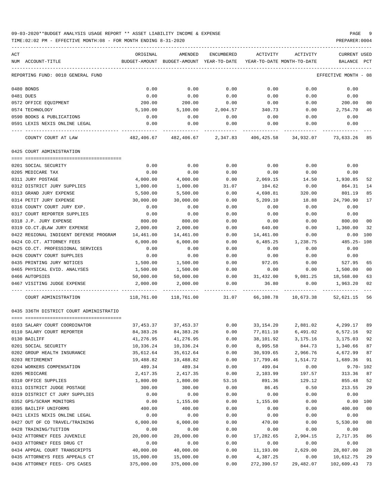| ACT<br>NUM ACCOUNT-TITLE                            | ORIGINAL               | AMENDED<br>BUDGET-AMOUNT BUDGET-AMOUNT YEAR-TO-DATE | ENCUMBERED   | ACTIVITY<br>YEAR-TO-DATE MONTH-TO-DATE | ACTIVITY  | <b>CURRENT USED</b><br>BALANCE                                   | PCT |
|-----------------------------------------------------|------------------------|-----------------------------------------------------|--------------|----------------------------------------|-----------|------------------------------------------------------------------|-----|
|                                                     |                        |                                                     |              |                                        |           |                                                                  |     |
| REPORTING FUND: 0010 GENERAL FUND                   |                        |                                                     |              |                                        |           | EFFECTIVE MONTH - 08                                             |     |
| 0480 BONDS                                          | 0.00                   | 0.00                                                | 0.00         | 0.00                                   | 0.00      | 0.00                                                             |     |
| 0481 DUES                                           | 0.00                   | 0.00                                                | 0.00         | 0.00                                   | 0.00      | 0.00                                                             |     |
| 0572 OFFICE EQUIPMENT                               | 200.00                 | 200.00                                              | 0.00         | 0.00                                   | 0.00      | 200.00                                                           | 00  |
| 0574 TECHNOLOGY                                     | 5,100.00               | 5,100.00                                            | 2,004.57     | 340.73                                 | 0.00      | 2,754.70                                                         | 46  |
| 0590 BOOKS & PUBLICATIONS                           | 0.00                   | 0.00                                                | 0.00         | 0.00                                   | 0.00      | 0.00                                                             |     |
| 0591 LEXIS NEXIS ONLINE LEGAL                       | 0.00                   | 0.00                                                | 0.00         | 0.00                                   | 0.00      | 0.00                                                             |     |
| COUNTY COURT AT LAW                                 | 482,406.67             | 482,406.67 2,347.83 406,425.58                      |              |                                        | 34,932.07 | 73,633.26 85                                                     |     |
| 0425 COURT ADMINISTRATION                           |                        |                                                     |              |                                        |           |                                                                  |     |
|                                                     |                        |                                                     |              |                                        |           |                                                                  |     |
| 0201 SOCIAL SECURITY                                | 0.00                   | 0.00                                                | 0.00         | 0.00                                   | 0.00      | 0.00                                                             |     |
| 0205 MEDICARE TAX                                   | 0.00                   | 0.00                                                | 0.00         | 0.00                                   | 0.00      | 0.00                                                             |     |
| 0311 JURY POSTAGE                                   | 4,000.00               | 4,000.00                                            | 0.00         | 2,069.15                               | 14.50     | 1,930.85                                                         | 52  |
| 0312 DISTRICT JURY SUPPLIES                         | 1,000.00               | 1,000.00                                            | 31.07        | 104.62                                 | 0.00      | 864.31                                                           | 14  |
| 0313 GRAND JURY EXPENSE                             | 5,500.00               | 5,500.00                                            | 0.00         | 4,698.81                               | 320.00    | 801.19                                                           | 85  |
| 0314 PETIT JURY EXPENSE                             | 30,000.00              | 30,000.00                                           | 0.00         | 5,209.10                               | 18.88     | 24,790.90                                                        | 17  |
| 0316 COUNTY COURT JURY EXP.                         | 0.00                   | 0.00                                                | 0.00         | 0.00                                   | 0.00      | 0.00                                                             |     |
| 0317 COURT REPORTER SUPPLIES                        | 0.00                   | 0.00                                                | 0.00         | 0.00                                   | 0.00      | 0.00                                                             |     |
| 0318 J.P. JURY EXPENSE                              | 800.00                 | 800.00                                              | 0.00         | 0.00                                   | 0.00      | 800.00                                                           | 00  |
| 0319 CO.CT.@LAW JURY EXPENSE                        | 2,000.00               | 2,000.00                                            | 0.00         | 640.00                                 | 0.00      | 1,360.00                                                         | 32  |
| 0422 REGIONAL INDIGENT DEFENSE PROGRAM              | 14,461.00              | 14,461.00                                           | 0.00         | 14,461.00                              | 0.00      | 0.00                                                             | 100 |
| 0424 CO.CT. ATTORNEY FEES                           | 6,000.00               | 6,000.00                                            | 0.00         | 6,485.25                               | 1,238.75  | 485.25- 108                                                      |     |
| 0425 CO.CT. PROFESSIONAL SERVICES                   | 0.00                   | 0.00                                                | 0.00         | 0.00                                   | 0.00      | 0.00                                                             |     |
| 0426 COUNTY COURT SUPPLIES                          | 0.00                   | 0.00                                                | 0.00         | 0.00                                   | 0.00      | 0.00                                                             |     |
| 0435 PRINTING JURY NOTICES                          | 1,500.00               | 1,500.00                                            | 0.00         | 972.05                                 | 0.00      | 527.95                                                           | 65  |
| 0465 PHYSICAL EVID. ANALYSES                        | 1,500.00               | 1,500.00                                            | 0.00         | 0.00                                   | 0.00      | 1,500.00                                                         | 00  |
| 0466 AUTOPSIES                                      | 50,000.00              | 50,000.00                                           | 0.00         | 31,432.00                              | 9,081.25  | 18,568.00                                                        | 63  |
| 0467 VISITING JUDGE EXPENSE                         | 2,000.00               | 2,000.00                                            | 0.00         | 36.80                                  | 0.00      | 1,963.20                                                         | 02  |
| COURT ADMINISTRATION                                | 118,761.00             | 118,761.00                                          | 31.07        | 66,108.78                              | 10,673.38 | 52,621.15                                                        | 56  |
| 0435 336TH DISTRICT COURT ADMINISTRATIO             |                        |                                                     |              |                                        |           |                                                                  |     |
|                                                     |                        |                                                     |              |                                        |           | $37,453.37$ $37,453.37$ $0.00$ $33,154.20$ $2,881.02$ $4,299.17$ |     |
| 0103 SALARY COURT COORDINATOR                       |                        |                                                     |              |                                        |           |                                                                  | 89  |
| 0110 SALARY COURT REPORTER                          | 84, 383. 26            | 84, 383. 26                                         | 0.00         | 77,811.10                              | 6,491.02  | 6,572.16                                                         | 92  |
| 0130 BAILIFF                                        | 41,276.95              | 41,276.95                                           | 0.00         | 38,101.92                              | 3,175.16  | 3,175.03                                                         | 92  |
| 0201 SOCIAL SECURITY<br>0202 GROUP HEALTH INSURANCE | 10,336.24              | 10,336.24                                           | 0.00         | 8,995.58                               | 844.73    | 1,340.66                                                         | 87  |
|                                                     | 35,612.64<br>19,488.82 | 35,612.64                                           | 0.00<br>0.00 | 30,939.65                              | 2,966.76  | 4,672.99                                                         | 87  |
| 0203 RETIREMENT<br>0204 WORKERS COMPENSATION        | 489.34                 | 19,488.82<br>489.34                                 |              | 17,799.46<br>499.04                    | 1,514.72  | 1,689.36<br>$9.70 - 102$                                         | 91  |
|                                                     |                        |                                                     | 0.00         |                                        | 0.00      |                                                                  |     |
| 0205 MEDICARE                                       | 2,417.35               | 2,417.35                                            | 0.00         | 2,103.99                               | 197.57    | 313.36                                                           | 87  |
| 0310 OFFICE SUPPLIES                                | 1,800.00               | 1,800.00                                            | 53.16        | 891.36                                 | 129.12    | 855.48                                                           | 52  |
| 0311 DISTRICT JUDGE POSTAGE                         | 300.00                 | 300.00                                              | 0.00         | 86.45                                  | 0.50      | 213.55                                                           | 29  |
| 0319 DISTRICT CT JURY SUPPLIES                      | 0.00                   | 0.00                                                | 0.00         | 0.00                                   | 0.00      | 0.00                                                             |     |
| 0352 GPS/SCRAM MONITORS                             | 0.00                   | 1,155.00                                            | 0.00         | 1,155.00                               | 0.00      | 0.00                                                             | 100 |
| 0395 BAILIFF UNIFORMS                               | 400.00                 | 400.00                                              | 0.00         | 0.00                                   | 0.00      | 400.00                                                           | 00  |
| 0421 LEXIS NEXIS ONLINE LEGAL                       | 0.00                   | 0.00                                                | 0.00         | 0.00                                   | 0.00      | 0.00                                                             |     |
| 0427 OUT OF CO TRAVEL/TRAINING                      | 6,000.00               | 6,000.00                                            | 0.00         | 470.00                                 | 0.00      | 5,530.00                                                         | 08  |
| 0428 TRAINING/TUITION                               | 0.00                   | 0.00                                                | 0.00         | 0.00                                   | 0.00      | 0.00                                                             |     |
| 0432 ATTORNEY FEES JUVENILE                         | 20,000.00              | 20,000.00                                           | 0.00         | 17,282.65                              | 2,904.15  | 2,717.35                                                         | 86  |
| 0433 ATTORNEY FEES DRUG CT                          | 0.00                   | 0.00                                                | 0.00         | 0.00                                   | 0.00      | 0.00                                                             |     |
| 0434 APPEAL COURT TRANSCRIPTS                       | 40,000.00              | 40,000.00                                           | 0.00         | 11,193.00                              | 2,629.00  | 28,807.00                                                        | 28  |
| 0435 ATTORNEYS FEES APPEALS CT                      | 15,000.00              | 15,000.00                                           | 0.00         | 4,387.25                               | 0.00      | 10,612.75                                                        | 29  |
| 0436 ATTORNEY FEES- CPS CASES                       | 375,000.00             | 375,000.00                                          | 0.00         | 272,390.57                             | 29,482.07 | 102,609.43                                                       | 73  |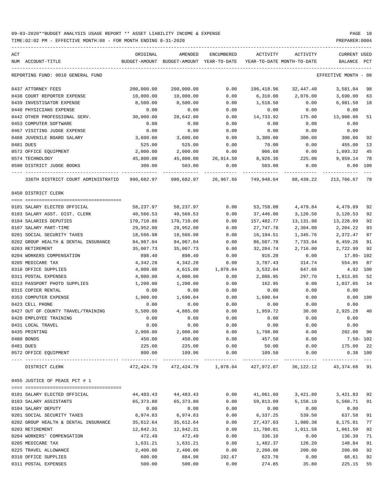| ACT<br>NUM ACCOUNT-TITLE                                   | ORIGINAL            | AMENDED<br>BUDGET-AMOUNT BUDGET-AMOUNT YEAR-TO-DATE | ENCUMBERED          | ACTIVITY            | ACTIVITY<br>YEAR-TO-DATE MONTH-TO-DATE | CURRENT USED<br>BALANCE | PCT     |
|------------------------------------------------------------|---------------------|-----------------------------------------------------|---------------------|---------------------|----------------------------------------|-------------------------|---------|
| REPORTING FUND: 0010 GENERAL FUND                          |                     |                                                     |                     |                     |                                        | EFFECTIVE MONTH - 08    |         |
| 0437 ATTORNEY FEES                                         | 200,000.00          | 200,000.00                                          | 0.00                | 196,418.96          | 32,447.40                              | 3,581.04                | 98      |
| 0438 COURT REPORTER EXPENSE                                | 10,000.00           | 10,000.00                                           | 0.00                | 6,310.00            | 2,076.00                               | 3,690.00                | 63      |
| 0439 INVESTIGATOR EXPENSE                                  | 8,500.00            | 8,500.00                                            | 0.00                | 1,518.50            | 0.00                                   | 6,981.50                | 18      |
| 0440 PHYSICIANS EXPENSE                                    | 0.00                | 0.00                                                | 0.00                | 0.00                | 0.00                                   | 0.00                    |         |
| 0442 OTHER PROFESSIONAL SERV.                              | 30,000.00           | 28,642.00                                           | 0.00                | 14,733.92           | 175.00                                 | 13,908.08               | 51      |
| 0453 COMPUTER SOFTWARE                                     | 0.00                | 0.00                                                | 0.00                | 0.00                | 0.00                                   | 0.00                    |         |
| 0467 VISITING JUDGE EXPENSE                                | 0.00                | 0.00                                                | 0.00                | 0.00                | 0.00                                   | 0.00                    |         |
| 0468 JUVENILE BOARD SALARY                                 | 3,600.00            | 3,600.00                                            | 0.00                | 3,300.00            | 300.00                                 | 300.00                  | 92      |
| 0481 DUES                                                  | 525.00              | 525.00                                              | 0.00                | 70.00               | 0.00                                   | 455.00                  | 13      |
| 0572 OFFICE EQUIPMENT                                      | 2,000.00            | 2,000.00                                            | 0.00                | 906.68              | 0.00                                   | 1,093.32                | 45      |
| 0574 TECHNOLOGY                                            | 45,800.00           |                                                     | 45,800.00 26,914.50 | 8,926.36            | 225.00                                 | 9,959.14                | 78      |
| 0590 DISTRICT JUDGE BOOKS                                  | 300.00              | 503.00                                              | 0.00                | 503.00              | 0.00                                   | 0.00 100                |         |
| 336TH DISTRICT COURT ADMINISTRATIO                         |                     |                                                     |                     |                     | 88,439.22                              | 213,766.67 78           |         |
|                                                            |                     |                                                     |                     |                     |                                        |                         |         |
| 0450 DISTRICT CLERK                                        |                     |                                                     |                     |                     |                                        |                         |         |
| 0101 SALARY ELECTED OFFICIAL                               | 58,237.97           | 58,237.97                                           | 0.00                | 53,758.08           | 4,479.84                               | 4,479.89                | 92      |
| 0103 SALARY ASST. DIST. CLERK                              | 40,566.53           | 40,566.53                                           | 0.00                | 37,446.00           | 3,120.50                               | 3,120.53                | 92      |
| 0104 SALARIES DEPUTIES                                     | 170,710.86          | 170,710.86                                          | 0.00                | 157,482.77          | 13,131.98                              | 13,228.09               | 92      |
| 0107 SALARY PART-TIME                                      | 29,952.00           | 29,952.00                                           | 0.00                | 27,747.78           | 2,304.00                               | 2,204.22                | 93      |
| 0201 SOCIAL SECURITY TAXES                                 | 18,566.98           | 18,566.98                                           | 0.00                | 16,194.51           | 1,345.76                               | 2,372.47                | 87      |
| 0202 GROUP HEALTH & DENTAL INSURANCE                       | 94,967.04           | 94,967.04                                           | 0.00                | 86,507.78           | 7,733.94                               | 8,459.26                | 91      |
| 0203 RETIREMENT                                            |                     |                                                     |                     |                     |                                        |                         | 92      |
|                                                            | 35,007.73<br>898.40 | 35,007.73<br>898.40                                 | 0.00                | 32,284.74<br>916.20 | 2,716.00                               | 2,722.99                |         |
| 0204 WORKERS COMPENSATION                                  |                     |                                                     | 0.00                |                     | 0.00                                   | 17.80- 102              | 87      |
| 0205 MEDICARE TAX                                          | 4,342.28            | 4,342.28                                            | 0.00                | 3,787.43            | 314.74                                 | 554.85                  |         |
| 0310 OFFICE SUPPLIES                                       | 4,000.00            | 4,615.00                                            | 1,078.04            | 3,532.04            | 647.66                                 | 4.92 100                |         |
| 0311 POSTAL EXPENSES                                       | 4,000.00            | 4,000.00                                            | 0.00                | 2,086.95            | 297.70                                 | 1,913.05                | 52      |
| 0313 PASSPORT PHOTO SUPPLIES                               | 1,200.00            | 1,200.00                                            | 0.00                | 162.95              | 0.00                                   | 1,037.05                | 14      |
| 0315 COPIER RENTAL                                         | 0.00                | 0.00                                                | 0.00                | 0.00                | 0.00                                   | 0.00                    |         |
| 0353 COMPUTER EXPENSE                                      | 1,000.00            | 1,690.04                                            | 0.00                | 1,690.04            | 0.00                                   | 0.00 100                |         |
| 0423 CELL PHONE                                            | 0.00                | 0.00                                                | 0.00                | 0.00                | 0.00                                   | 0.00                    |         |
| 0427 OUT OF COUNTY TRAVEL/TRAINING                         | 5,500.00            | 4,885.00                                            | 0.00                | 1,959.72            | 30.00                                  | 2,925.28 40             |         |
| 0428 EMPLOYEE TRAINING                                     | 0.00                | 0.00                                                | 0.00                | 0.00                | 0.00                                   | 0.00                    |         |
| 0431 LOCAL TRAVEL                                          | 0.00                | 0.00                                                | 0.00                | 0.00                | 0.00                                   | 0.00                    |         |
| 0435 PRINTING                                              | 2,000.00            | 2,000.00                                            | 0.00                | 1,798.00            | 0.00                                   | 202.00 90               |         |
| 0480 BONDS                                                 | 450.00              | 450.00                                              | 0.00                | 457.50              | 0.00                                   | $7.50 - 102$            |         |
| 0481 DUES                                                  | 225.00              | 225.00                                              | 0.00                | 50.00               | 0.00                                   | 175.00 22               |         |
| 0572 OFFICE EQUIPMENT<br>------------------- ------------- | 800.00              | 109.96                                              | 0.00                | 109.58              | 0.00                                   | $0.38$ 100              | $- - -$ |
| DISTRICT CLERK                                             | 472,424.79          |                                                     | 472,424.79 1,078.04 |                     | 427,972.07 36,122.12 43,374.68 91      |                         |         |
| 0455 JUSTICE OF PEACE PCT # 1                              |                     |                                                     |                     |                     |                                        |                         |         |
| 0101 SALARY ELECTED OFFICIAL                               | 44,483.43           | 44,483.43                                           | 0.00                | 41,061.60           | 3,421.80                               | 3,421.83                | 92      |
| 0103 SALARY ASSISTANTS                                     | 65,373.80           | 65,373.80                                           | 0.00                | 59,813.09           | 5,158.10                               | 5,560.71                | 91      |
| 0104 SALARY DEPUTY                                         | 0.00                | 0.00                                                | 0.00                | 0.00                | 0.00                                   | 0.00                    |         |
| 0201 SOCIAL SECURITY TAXES                                 | 6,974.83            | 6,974.83                                            | 0.00                | 6,337.25            | 539.50                                 | 637.58                  | 91      |
| 0202 GROUP HEALTH & DENTAL INSURANCE                       | 35,612.64           | 35,612.64                                           | 0.00                | 27,437.63           | 1,980.38                               | 8,175.01                | 77      |
| 0203 RETIREMENT                                            | 12,842.31           | 12,842.31                                           | 0.00                | 11,780.81           | 1,011.58                               | 1,061.50                | 92      |
| 0204 WORKERS' COMPENSATION                                 | 472.49              | 472.49                                              | 0.00                | 336.10              | 0.00                                   | 136.39                  | 71      |
| 0205 MEDICARE TAX                                          | 1,631.21            | 1,631.21                                            | 0.00                | 1,482.37            | 126.20                                 | 148.84                  | 91      |
| 0225 TRAVEL ALLOWANCE                                      | 2,400.00            | 2,400.00                                            | 0.00                | 2,200.00            | 200.00                                 | 200.00                  | 92      |
| 0310 OFFICE SUPPLIES                                       | 600.00              | 884.98                                              | 192.67              | 623.70              | 0.00                                   | 68.61                   | 92      |
| 0311 POSTAL EXPENSES                                       | 500.00              | 500.00                                              | 0.00                | 274.85              | 35.80                                  | 225.15                  | 55      |
|                                                            |                     |                                                     |                     |                     |                                        |                         |         |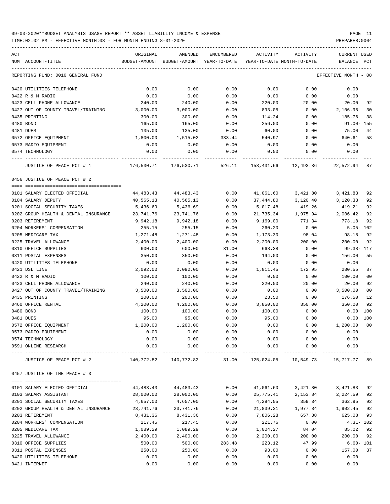| ACT                                  | ORIGINAL   | AMENDED                                  | ENCUMBERED          | ACTIVITY                   | ACTIVITY  | <b>CURRENT USED</b>  |     |
|--------------------------------------|------------|------------------------------------------|---------------------|----------------------------|-----------|----------------------|-----|
| NUM ACCOUNT-TITLE                    |            | BUDGET-AMOUNT BUDGET-AMOUNT YEAR-TO-DATE |                     | YEAR-TO-DATE MONTH-TO-DATE |           | BALANCE              | PCT |
| REPORTING FUND: 0010 GENERAL FUND    |            |                                          |                     |                            |           | EFFECTIVE MONTH - 08 |     |
| 0420 UTILITIES TELEPHONE             | 0.00       | 0.00                                     | 0.00                | 0.00                       | 0.00      | 0.00                 |     |
| 0422 R & M RADIO                     | 0.00       | 0.00                                     | 0.00                | 0.00                       | 0.00      | 0.00                 |     |
| 0423 CELL PHONE ALLOWANCE            | 240.00     | 240.00                                   | 0.00                | 220.00                     | 20.00     | 20.00                | 92  |
| 0427 OUT OF COUNTY TRAVEL/TRAINING   | 3,000.00   | 3,000.00                                 | 0.00                | 893.05                     | 0.00      | 2,106.95             | 30  |
| 0435 PRINTING                        | 300.00     | 300.00                                   | 0.00                | 114.24                     | 0.00      | 185.76               | 38  |
| 0480 BOND                            | 165.00     | 165.00                                   | 0.00                | 256.00                     | 0.00      | 91.00- 155           |     |
| 0481 DUES                            | 135.00     | 135.00                                   | 0.00                | 60.00                      | 0.00      | 75.00                | 44  |
| 0572 OFFICE EQUIPMENT                | 1,800.00   | 1,515.02                                 | 333.44              | 540.97                     | 0.00      | 640.61               | 58  |
| 0573 RADIO EQUIPMENT                 | 0.00       | 0.00                                     | 0.00                | 0.00                       | 0.00      | 0.00                 |     |
| 0574 TECHNOLOGY                      | 0.00       | 0.00                                     | 0.00                | 0.00                       | 0.00      | 0.00                 |     |
| JUSTICE OF PEACE PCT # 1             |            | 176,530.71 176,530.71                    | 526.11              | 153,431.66                 | 12,493.36 | 22,572.94            | 87  |
| 0456 JUSTICE OF PEACE PCT # 2        |            |                                          |                     |                            |           |                      |     |
|                                      |            |                                          |                     |                            |           |                      |     |
| 0101 SALARY ELECTED OFFICIAL         | 44,483.43  | 44,483.43                                | 0.00                | 41,061.60                  | 3,421.80  | 3,421.83             | 92  |
| 0104 SALARY DEPUTY                   | 40,565.13  | 40,565.13                                | 0.00                | 37,444.80                  | 3,120.40  | 3,120.33             | 92  |
| 0201 SOCIAL SECURITY TAXES           | 5,436.69   | 5,436.69                                 | 0.00                | 5,017.48                   | 419.26    | 419.21               | 92  |
| 0202 GROUP HEALTH & DENTAL INSURANCE | 23,741.76  | 23,741.76                                | 0.00                | 21,735.34                  | 1,975.94  | 2,006.42             | 92  |
| 0203 RETIREMENT                      | 9,942.18   | 9,942.18                                 | 0.00                | 9,169.00                   | 771.34    | 773.18               | 92  |
| 0204 WORKERS' COMPENSATION           | 255.15     | 255.15                                   | 0.00                | 260.20                     | 0.00      | $5.05 - 102$         |     |
| 0205 MEDICARE TAX                    | 1,271.48   | 1,271.48                                 | 0.00                | 1,173.30                   | 98.04     | 98.18                | 92  |
| 0225 TRAVEL ALLOWANCE                | 2,400.00   | 2,400.00                                 | 0.00                | 2,200.00                   | 200.00    | 200.00               | 92  |
| 0310 OFFICE SUPPLIES                 | 600.00     | 600.00                                   | 31.00               | 668.38                     | 0.00      | 99.38- 117           |     |
| 0311 POSTAL EXPENSES                 | 350.00     | 350.00                                   | 0.00                | 194.00                     | 0.00      | 156.00               | 55  |
| 0420 UTILITIES TELEPHONE             | 0.00       | 0.00                                     | 0.00                | 0.00                       | 0.00      | 0.00                 |     |
| 0421 DSL LINE                        | 2,092.00   | 2,092.00                                 | 0.00                | 1,811.45                   | 172.95    | 280.55               | 87  |
| 0422 R & M RADIO                     | 100.00     | 100.00                                   | 0.00                | 0.00                       | 0.00      | 100.00               | 00  |
| 0423 CELL PHONE ALLOWANCE            | 240.00     | 240.00                                   | 0.00                | 220.00                     | 20.00     | 20.00                | 92  |
| 0427 OUT OF COUNTY TRAVEL/TRAINING   | 3,500.00   | 3,500.00                                 | 0.00                | 0.00                       | 0.00      | 3,500.00             | 00  |
| 0435 PRINTING                        | 200.00     | 200.00                                   | 0.00                | 23.50                      | 0.00      | 176.50               | 12  |
| 0460 OFFICE RENTAL                   | 4,200.00   | 4,200.00                                 | 0.00                | 3,850.00                   | 350.00    | 350.00               | 92  |
| 0480 BOND                            | 100.00     | 100.00                                   | 0.00                | 100.00                     | 0.00      | 0.00                 | 100 |
| 0481 DUES                            | 95.00      | 95.00                                    | 0.00                | 95.00                      | 0.00      | 0.00                 | 100 |
| 0572 OFFICE EQUIPMENT                | 1,200.00   | 1,200.00                                 | 0.00                | 0.00                       | 0.00      | 1,200.00             | 00  |
| 0573 RADIO EQUIPMENT                 | 0.00       | 0.00                                     | 0.00                | 0.00                       | 0.00      | 0.00                 |     |
| 0574 TECHNOLOGY                      | 0.00       | 0.00                                     | 0.00                | 0.00                       | 0.00      | 0.00                 |     |
| 0591 ONLINE RESEARCH                 | 0.00       | 0.00                                     | 0.00<br>$- - - - -$ | 0.00                       | 0.00      | 0.00                 |     |
| JUSTICE OF PEACE PCT # 2             | 140,772.82 | 140,772.82                               | 31.00               | 125,024.05                 | 10,549.73 | 15,717.77 89         |     |
| 0457 JUSTICE OF THE PEACE # 3        |            |                                          |                     |                            |           |                      |     |
|                                      |            |                                          |                     |                            |           |                      |     |
| 0101 SALARY ELECTED OFFICIAL         | 44,483.43  | 44, 483. 43                              | 0.00                | 41,061.60                  | 3,421.80  | 3,421.83             | 92  |
| 0103 SALARY ASSISTANT                | 28,000.00  | 28,000.00                                | 0.00                | 25,775.41                  | 2,153.84  | 2,224.59             | 92  |
| 0201 SOCIAL SECURITY TAXES           | 4,657.00   | 4,657.00                                 | 0.00                | 4,294.05                   | 359.34    | 362.95               | 92  |
| 0202 GROUP HEALTH & DENTAL INSURANCE | 23,741.76  | 23,741.76                                | 0.00                | 21,839.31                  | 1,977.84  | 1,902.45             | 92  |
| 0203 RETIREMENT                      | 8,431.36   | 8,431.36                                 | 0.00                | 7,806.28                   | 657.38    | 625.08               | 93  |
| 0204 WORKERS' COMPENSATION           | 217.45     | 217.45                                   | 0.00                | 221.76                     | 0.00      | $4.31 - 102$         |     |
| 0205 MEDICARE TAX                    | 1,089.29   | 1,089.29                                 | 0.00                | 1,004.27                   | 84.04     | 85.02                | 92  |
| 0225 TRAVEL ALLOWANCE                | 2,400.00   | 2,400.00                                 | 0.00                | 2,200.00                   | 200.00    | 200.00               | 92  |
| 0310 OFFICE SUPPLIES                 | 500.00     | 500.00                                   | 283.48              | 223.12                     | 47.99     | $6.60 - 101$         |     |
| 0311 POSTAL EXPENSES                 | 250.00     | 250.00                                   | 0.00                | 93.00                      | 0.00      | 157.00               | 37  |
| 0420 UTILITIES TELEPHONE             | 0.00       | 0.00                                     | 0.00                | 0.00                       | 0.00      | 0.00                 |     |
| 0421 INTERNET                        | 0.00       | 0.00                                     | 0.00                | 0.00                       | 0.00      | 0.00                 |     |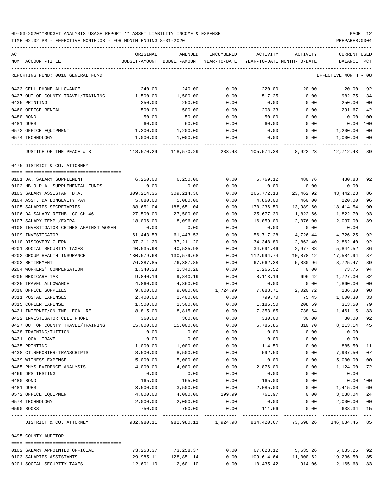| ACT | NUM ACCOUNT-TITLE                      | ORIGINAL   | AMENDED<br>BUDGET-AMOUNT BUDGET-AMOUNT YEAR-TO-DATE | ENCUMBERED | ACTIVITY         | ACTIVITY<br>YEAR-TO-DATE MONTH-TO-DATE | CURRENT USED<br>BALANCE | $_{\rm PCT}$   |
|-----|----------------------------------------|------------|-----------------------------------------------------|------------|------------------|----------------------------------------|-------------------------|----------------|
|     | REPORTING FUND: 0010 GENERAL FUND      |            |                                                     |            |                  |                                        | EFFECTIVE MONTH - 08    |                |
|     | 0423 CELL PHONE ALLOWANCE              | 240.00     | 240.00                                              | 0.00       | 220.00           | 20.00                                  | 20.00                   | 92             |
|     | 0427 OUT OF COUNTY TRAVEL/TRAINING     | 1,500.00   | 1,500.00                                            | 0.00       | 517.25           | 0.00                                   | 982.75                  | 34             |
|     | 0435 PRINTING                          | 250.00     | 250.00                                              | 0.00       | 0.00             | 0.00                                   | 250.00                  | 00             |
|     | 0460 OFFICE RENTAL                     | 500.00     | 500.00                                              | 0.00       | 208.33           | 0.00                                   | 291.67                  | 42             |
|     | 0480 BOND                              | 50.00      | 50.00                                               | 0.00       | 50.00            | 0.00                                   | $0.00$ 100              |                |
|     | 0481 DUES                              | 60.00      | 60.00                                               | 0.00       | 60.00            | 0.00                                   | 0.00                    | 100            |
|     | 0572 OFFICE EQUIPMENT                  | 1,200.00   | 1,200.00                                            | 0.00       | 0.00             | 0.00                                   | 1,200.00                | 00             |
|     | 0574 TECHNOLOGY                        | 1,000.00   | 1,000.00                                            | 0.00       | 0.00             | 0.00                                   | 1,000.00                | 00             |
|     | JUSTICE OF THE PEACE # 3               |            |                                                     | 283.48     |                  | 105,574.38 8,922.23                    | 12,712.43 89            |                |
|     | 0475 DISTRICT & CO. ATTORNEY           |            |                                                     |            |                  |                                        |                         |                |
|     |                                        |            |                                                     |            |                  |                                        |                         |                |
|     | 0101 DA. SALARY SUPPLEMENT             | 6,250.00   | 6,250.00                                            | 0.00       | 5,769.12         | 480.76                                 | 480.88                  | 92             |
|     | 0102 HB 9 D.A. SUPPLEMENTAL FUNDS      | 0.00       | 0.00                                                | 0.00       | 0.00             | 0.00                                   | 0.00                    |                |
|     | 0103 SALARY ASSISTANT D.A.             | 309,214.36 | 309, 214.36                                         | 0.00       | 265,772.13       | 23,462.92                              | 43, 442. 23             | 86             |
|     | 0104 ASST. DA LONGEVITY PAY            | 5,080.00   | 5,080.00                                            | 0.00       | 4,860.00         | 460.00                                 | 220.00                  | 96             |
|     | 0105 SALARIES SECRETARIES              | 188,651.04 | 188,651.04                                          | 0.00       | 170,236.50       | 13,989.60                              | 18,414.54               | 90             |
|     | 0106 DA SALARY REIMB. GC CH 46         | 27,500.00  | 27,500.00                                           | 0.00       | 25,677.30        | 1,822.66                               | 1,822.70                | 93             |
|     | 0107 SALARY TEMP./EXTRA                | 18,096.00  | 18,096.00                                           | 0.00       | 16,059.00        | 2,076.00                               | 2,037.00                | 89             |
|     | 0108 INVESTIGATOR CRIMES AGAINST WOMEN | 0.00       | 0.00                                                | 0.00       | 0.00             | 0.00                                   | 0.00                    |                |
|     | 0109 INVESTIGATOR                      | 61,443.53  | 61,443.53                                           | 0.00       | 56,717.28        | 4,726.44                               | 4,726.25                | 92             |
|     | 0110 DISCOVERY CLERK                   | 37,211.20  | 37,211.20                                           | 0.00       | 34,348.80        | 2,862.40                               | 2,862.40                | 92             |
|     | 0201 SOCIAL SECURITY TAXES             | 40,535.98  | 40,535.98                                           | 0.00       | 34,691.46        | 2,977.88                               | 5,844.52                | 86             |
|     | 0202 GROUP HEALTH INSURANCE            | 130,579.68 | 130,579.68                                          | 0.00       | 112,994.74       | 10,878.12                              | 17,584.94               | 87             |
|     | 0203 RETIREMENT                        | 76,387.85  | 76,387.85                                           | 0.00       | 67,662.38        | 5,880.96                               | 8,725.47                | 89             |
|     | 0204 WORKERS' COMPENSATION             | 1,340.28   | 1,340.28                                            | 0.00       | 1,266.52         | 0.00                                   | 73.76                   | 94             |
|     | 0205 MEDICARE TAX                      | 9,840.19   | 9,840.19                                            | 0.00       | 8,113.19         | 696.42                                 | 1,727.00                | 82             |
|     | 0225 TRAVEL ALLOWANCE                  | 4,860.00   | 4,860.00                                            | 0.00       | 0.00             | 0.00                                   | 4,860.00                | 0 <sub>0</sub> |
|     | 0310 OFFICE SUPPLIES                   | 9,000.00   | 9,000.00                                            | 1,724.99   | 7,088.71         | 2,020.72                               | 186.30                  | 98             |
|     | 0311 POSTAL EXPENSES                   | 2,400.00   | 2,400.00                                            | 0.00       | 799.70           | 75.45                                  | 1,600.30                | 33             |
|     | 0315 COPIER EXPENSE                    | 1,500.00   | 1,500.00                                            | 0.00       | 1,186.50         | 208.59                                 | 313.50                  | 79             |
|     | 0421 INTERNET/ONLINE LEGAL RE          | 8,815.00   | 8,815.00                                            | 0.00       | 7,353.85         | 738.64                                 | 1,461.15                | 83             |
|     | 0422 INVESTIGATOR CELL PHONE           | 360.00     | 360.00                                              | 0.00       | 330.00           | 30.00                                  | 30.00                   | 92             |
|     | 0427 OUT OF COUNTY TRAVEL/TRAINING     | 15,000.00  | 15,000.00                                           | 0.00       | 6,786.86         | 310.70                                 | 8,213.14                | 45             |
|     | 0428 TRAINING/TUITION                  | 0.00       | 0.00                                                | 0.00       | 0.00             | 0.00                                   | 0.00                    |                |
|     | 0431 LOCAL TRAVEL                      | 0.00       | 0.00                                                | 0.00       | 0.00             | 0.00                                   | 0.00                    |                |
|     | 0435 PRINTING                          | 1,000.00   | 1,000.00                                            | 0.00       | 114.50           | 0.00                                   | 885.50                  | 11             |
|     | 0438 CT.REPORTER-TRANSCRIPTS           | 8,500.00   | 8,500.00                                            | 0.00       | 592.50           | 0.00                                   | 7,907.50                | 07             |
|     | 0439 WITNESS EXPENSE                   | 5,000.00   | 5,000.00                                            | 0.00       | 0.00             | 0.00                                   | 5,000.00                | 0 <sub>0</sub> |
|     | 0465 PHYS. EVIDENCE ANALYSIS           | 4,000.00   | 4,000.00                                            | 0.00       | 2,876.00         | 0.00                                   | 1,124.00                | 72             |
|     | 0469 DPS TESTING                       | 0.00       | 0.00                                                | 0.00       | 0.00             | 0.00                                   | 0.00                    |                |
|     | 0480 BOND                              | 165.00     | 165.00                                              | 0.00       | 165.00           | 0.00                                   | 0.00 100                |                |
|     | 0481 DUES                              | 3,500.00   | 3,500.00                                            | 0.00       | 2,085.00         | 0.00                                   | 1,415.00                | 60             |
|     | 0572 OFFICE EQUIPMENT                  | 4,000.00   | 4,000.00                                            | 199.99     | 761.97           | 0.00                                   | 3,038.04                | 24             |
|     | 0574 TECHNOLOGY                        | 2,000.00   | 2,000.00                                            | 0.00       | 0.00             | 0.00                                   | 2,000.00                | 0 <sub>0</sub> |
|     | 0590 BOOKS                             | 750.00     | 750.00                                              | 0.00       | 111.66           | 0.00                                   | 638.34 15               |                |
|     | DISTRICT & CO. ATTORNEY                | 982,980.11 | 982,980.11 1,924.98                                 |            |                  | 834,420.67 73,698.26                   | 146,634.46 85           |                |
|     | 0495 COUNTY AUDITOR                    |            |                                                     |            |                  |                                        |                         |                |
|     | 0102 SALARY APPOINTED OFFICIAL         | 73,258.37  | 73,258.37                                           | 0.00       | 67,623.12        | 5,635.26                               | 5,635.25 92             |                |
|     | 0103 SALARIES ASSISTANTS               | 129,985.11 | 128,851.14                                          | 0.00       |                  | 109,614.64 11,000.62                   | 19,236.50               | 85             |
|     | 0201 SOCIAL SECURITY TAXES             | 12,601.10  | 12,601.10                                           |            | $0.00$ 10,435.42 | 914.06                                 | 2,165.68 83             |                |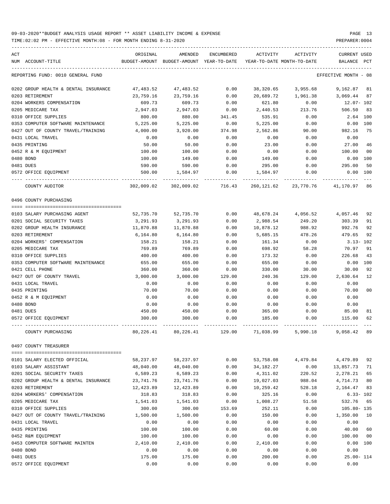TIME:02:02 PM - EFFECTIVE MONTH:08 - FOR MONTH ENDING 8-31-2020

| ACT                                           | ORIGINAL           | AMENDED                                  | ENCUMBERED   | ACTIVITY                   | ACTIVITY       | <b>CURRENT USED</b>  |                |
|-----------------------------------------------|--------------------|------------------------------------------|--------------|----------------------------|----------------|----------------------|----------------|
| NUM ACCOUNT-TITLE                             |                    | BUDGET-AMOUNT BUDGET-AMOUNT YEAR-TO-DATE |              | YEAR-TO-DATE MONTH-TO-DATE |                | BALANCE PCT          |                |
|                                               |                    |                                          |              |                            |                |                      |                |
| REPORTING FUND: 0010 GENERAL FUND             |                    |                                          |              |                            |                | EFFECTIVE MONTH - 08 |                |
| 0202 GROUP HEALTH & DENTAL INSURANCE          | 47,483.52          | 47,483.52                                | 0.00         | 38,320.65                  | 3,955.68       | 9,162.87             | 81             |
| 0203 RETIREMENT                               | 23,759.16          | 23,759.16                                | 0.00         | 20,689.72                  | 1,961.38       | 3,069.44             | 87             |
| 0204 WORKERS COMPENSATION                     | 609.73             | 609.73                                   | 0.00         | 621.80                     | 0.00           | $12.07 - 102$        |                |
| 0205 MEDICARE TAX                             | 2,947.03           | 2,947.03                                 | 0.00         | 2,440.53                   | 213.76         | 506.50               | 83             |
| 0310 OFFICE SUPPLIES                          | 800.00             | 880.00                                   | 341.45       | 535.91                     | 0.00           | 2.64 100             |                |
| 0353 COMPUTER SOFTWARE MAINTENANCE            | 5,225.00           | 5,225.00                                 | 0.00         | 5,225.00                   | 0.00           | 0.00 100             |                |
| 0427 OUT OF COUNTY TRAVEL/TRAINING            | 4,000.00           | 3,920.00                                 | 374.98       | 2,562.86                   | 90.00          | 982.16               | 75             |
| 0431 LOCAL TRAVEL                             | 0.00               | 0.00                                     | 0.00         | 0.00                       | 0.00           | 0.00                 |                |
| 0435 PRINTING                                 | 50.00              | 50.00                                    | 0.00         | 23.00                      | 0.00           | 27.00                | 46             |
| 0452 R & M EQUIPMENT                          | 100.00             | 100.00                                   | 0.00         | 0.00                       | 0.00           | 100.00               | 0 <sub>0</sub> |
| 0480 BOND                                     | 100.00             | 149.00                                   | 0.00         | 149.00                     | 0.00           | 0.00                 | 100            |
| 0481 DUES                                     | 590.00             | 590.00                                   | 0.00         | 295.00                     | 0.00           | 295.00               | 50             |
| 0572 OFFICE EQUIPMENT                         | 500.00             | 1,584.97                                 | 0.00         | 1,584.97                   | 0.00           | 0.00 100             |                |
| COUNTY AUDITOR                                | 302,009.02         | 302,009.02                               | 716.43       | 260,121.62                 | 23,770.76      | 41,170.97            | 86             |
| 0496 COUNTY PURCHASING                        |                    |                                          |              |                            |                |                      |                |
|                                               |                    |                                          |              |                            |                |                      |                |
| 0103 SALARY PURCHASING AGENT                  | 52,735.70          | 52,735.70                                | 0.00         | 48,678.24                  | 4,056.52       | 4,057.46             | 92             |
| 0201 SOCIAL SECURITY TAXES                    | 3,291.93           | 3,291.93                                 | 0.00         | 2,988.54                   | 249.20         | 303.39               | 91             |
| 0202 GROUP HEALTH INSURANCE                   | 11,870.88          | 11,870.88                                | 0.00<br>0.00 | 10,878.12                  | 988.92         | 992.76<br>479.65     | 92<br>92       |
| 0203 RETIREMENT<br>0204 WORKERS' COMPENSATION | 6,164.80<br>158.21 | 6,164.80<br>158.21                       | 0.00         | 5,685.15<br>161.34         | 478.26<br>0.00 | $3.13 - 102$         |                |
| 0205 MEDICARE TAX                             | 769.89             | 769.89                                   | 0.00         | 698.92                     | 58.28          | 70.97                | 91             |
| 0310 OFFICE SUPPLIES                          | 400.00             | 400.00                                   | 0.00         | 173.32                     | 0.00           | 226.68               | 43             |
| 0353 COMPUTER SOFTWARE MAINTENANCE            | 655.00             | 655.00                                   | 0.00         | 655.00                     | 0.00           | 0.00                 | 100            |
| 0421 CELL PHONE                               | 360.00             | 360.00                                   | 0.00         | 330.00                     | 30.00          | 30.00                | 92             |
| 0427 OUT OF COUNTY TRAVEL                     | 3,000.00           | 3,000.00                                 | 129.00       | 240.36                     | 129.00         | 2,630.64             | 12             |
| 0431 LOCAL TRAVEL                             | 0.00               | 0.00                                     | 0.00         | 0.00                       | 0.00           | 0.00                 |                |
| 0435 PRINTING                                 | 70.00              | 70.00                                    | 0.00         | 0.00                       | 0.00           | 70.00                | 0 <sub>0</sub> |
| 0452 R & M EQUIPMENT                          | 0.00               | 0.00                                     | 0.00         | 0.00                       | 0.00           | 0.00                 |                |
| 0480 BOND                                     | 0.00               | 0.00                                     | 0.00         | 0.00                       | 0.00           | 0.00                 |                |
| 0481 DUES                                     | 450.00             | 450.00                                   | 0.00         | 365.00                     | 0.00           | 85.00                | 81             |
| 0572 OFFICE EQUIPMENT                         | 300.00             | 300.00                                   | 0.00         | 185.00                     | 0.00           | 115.00               | 62             |
| COUNTY PURCHASING                             | 80,226.41          | 80,226.41                                | 129.00       | 71,038.99                  | 5,990.18       | 9,058.42             | 89             |
| 0497 COUNTY TREASURER                         |                    |                                          |              |                            |                |                      |                |
| 0101 SALARY ELECTED OFFICIAL                  | 58,237.97          | 58,237.97                                | 0.00         | 53,758.08                  | 4,479.84       | 4,479.89             | 92             |
| 0103 SALARY ASSISTANT                         | 48,040.00          | 48,040.00                                | 0.00         | 34,182.27                  | 0.00           | 13,857.73            | 71             |
| 0201 SOCIAL SECURITY TAXES                    | 6,589.23           | 6,589.23                                 | 0.00         | 4,311.02                   | 220.52         | 2,278.21             | 65             |
| 0202 GROUP HEALTH & DENTAL INSURANCE          | 23,741.76          | 23,741.76                                | 0.00         | 19,027.03                  | 988.04         | 4,714.73             | 80             |
| 0203 RETIREMENT                               | 12,423.89          | 12,423.89                                | 0.00         | 10,259.42                  | 528.18         | 2,164.47             | 83             |
| 0204 WORKERS' COMPENSATION                    | 318.83             | 318.83                                   | 0.00         | 325.16                     | 0.00           | $6.33 - 102$         |                |
| 0205 MEDICARE TAX                             | 1,541.03           | 1,541.03                                 | 0.00         | 1,008.27                   | 51.58          | 532.76               | 65             |
| 0310 OFFICE SUPPLIES                          | 300.00             | 300.00                                   | 153.69       | 252.11                     | 0.00           | $105.80 - 135$       |                |
| 0427 OUT OF COUNTY TRAVEL/TRAINING            | 1,500.00           | 1,500.00                                 | 0.00         | 150.00                     | 0.00           | 1,350.00             | 10             |
| 0431 LOCAL TRAVEL                             | 0.00               | 0.00                                     | 0.00         | 0.00                       | 0.00           | 0.00                 |                |
| 0435 PRINTING                                 | 100.00             | 100.00                                   | 0.00         | 60.00                      | 0.00           | 40.00                | 60             |
| 0452 R&M EQUIPMENT                            | 100.00             | 100.00                                   | 0.00         | 0.00                       | 0.00           | 100.00               | 0 <sub>0</sub> |
| 0453 COMPUTER SOFTWARE MAINTEN                | 2,410.00           | 2,410.00                                 | 0.00         | 2,410.00                   | 0.00           | 0.00 100             |                |
| 0480 BOND                                     | 0.00               | 0.00                                     | 0.00         | 0.00                       | 0.00           | 0.00                 |                |
| 0481 DUES                                     | 175.00             | 175.00                                   | 0.00         | 200.00                     | 0.00           | $25.00 - 114$        |                |

0572 OFFICE EQUIPMENT 0.00 0.00 0.00 0.00 0.00 0.00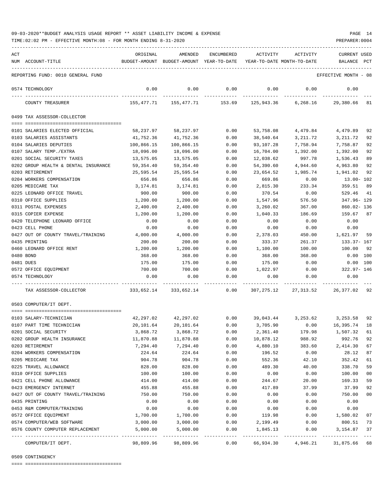TIME:02:02 PM - EFFECTIVE MONTH:08 - FOR MONTH ENDING 8-31-2020

| ACT |                                                | ORIGINAL              | AMENDED                                  | <b>ENCUMBERED</b>    | ACTIVITY           | ACTIVITY                    | <b>CURRENT USED</b>  |          |
|-----|------------------------------------------------|-----------------------|------------------------------------------|----------------------|--------------------|-----------------------------|----------------------|----------|
|     | NUM ACCOUNT-TITLE                              |                       | BUDGET-AMOUNT BUDGET-AMOUNT YEAR-TO-DATE |                      |                    | YEAR-TO-DATE MONTH-TO-DATE  | BALANCE              | PCT      |
|     |                                                |                       |                                          |                      |                    |                             |                      |          |
|     | REPORTING FUND: 0010 GENERAL FUND              |                       |                                          |                      |                    |                             | EFFECTIVE MONTH - 08 |          |
|     | 0574 TECHNOLOGY                                | 0.00                  | 0.00                                     | 0.00                 | 0.00               | 0.00                        | 0.00                 |          |
|     | COUNTY TREASURER                               | 155,477.71            | 155,477.71                               | 153.69               | 125,943.36         | 6,268.16                    | 29,380.66            | 81       |
|     | 0499 TAX ASSESSOR-COLLECTOR                    |                       |                                          |                      |                    |                             |                      |          |
|     | 0101 SALARIES ELECTED OFFICIAL                 | 58,237.97             | 58,237.97                                | 0.00                 | 53,758.08          | 4,479.84                    | 4,479.89             | 92       |
|     | 0103 SALARIES ASSISTANTS                       | 41,752.36             | 41,752.36                                | 0.00                 | 38,540.64          | 3,211.72                    | 3,211.72             | 92       |
|     | 0104 SALARIES DEPUTIES                         | 100,866.15            | 100,866.15                               | 0.00                 | 93,107.28          | 7,758.94                    | 7,758.87             | 92       |
|     | 0107 SALARY TEMP./EXTRA                        | 18,096.00             | 18,096.00                                | 0.00                 | 16,704.00          | 1,392.00                    | 1,392.00             | 92       |
|     | 0201 SOCIAL SECURITY TAXES                     | 13,575.05             | 13,575.05                                | 0.00                 | 12,038.62          | 997.78                      | 1,536.43             | 89       |
|     | 0202 GROUP HEALTH & DENTAL INSURANCE           | 59,354.40             | 59,354.40                                | 0.00                 | 54,390.60          | 4,944.60                    | 4,963.80             | 92       |
|     | 0203 RETIREMENT                                | 25,595.54             | 25,595.54                                | 0.00                 | 23,654.52          | 1,985.74                    | 1,941.02             | 92       |
|     | 0204 WORKERS COMPENSATION                      | 656.86                | 656.86                                   | 0.00                 | 669.86             | 0.00                        | $13.00 - 102$        |          |
|     | 0205 MEDICARE TAX                              | 3,174.81              | 3,174.81                                 | 0.00                 | 2,815.30           | 233.34                      | 359.51               | 89       |
|     | 0225 LEONARD OFFICE TRAVEL                     | 900.00                | 900.00                                   | 0.00                 | 370.54             | 0.00                        | 529.46               | 41       |
|     | 0310 OFFICE SUPPLIES                           | 1,200.00              | 1,200.00                                 | 0.00                 | 1,547.96           | 576.50                      | 347.96- 129          |          |
|     | 0311 POSTAL EXPENSES                           | 2,400.00              | 2,400.00                                 | 0.00                 | 3,260.02           | 367.00                      | 860.02- 136          |          |
|     | 0315 COPIER EXPENSE                            | 1,200.00              | 1,200.00                                 | 0.00                 | 1,040.33           | 186.69                      | 159.67               | 87       |
|     | 0420 TELEPHONE LEONARD OFFICE                  | 0.00                  | 0.00                                     | 0.00                 | 0.00               | 0.00                        | 0.00                 |          |
|     | 0423 CELL PHONE                                | 0.00                  | 0.00                                     | 0.00                 | 0.00               | 0.00                        | 0.00                 |          |
|     | 0427 OUT OF COUNTY TRAVEL/TRAINING             | 4,000.00              | 4,000.00                                 | 0.00                 | 2,378.03           | 450.00                      | 1,621.97             | 59       |
|     | 0435 PRINTING                                  | 200.00                | 200.00                                   | 0.00                 | 333.37             | 261.37                      | 133.37- 167          |          |
|     | 0460 LEONARD OFFICE RENT                       | 1,200.00              | 1,200.00                                 | 0.00                 | 1,100.00           | 100.00                      | 100.00               | 92       |
|     | 0480 BOND                                      | 368.00                | 368.00                                   | 0.00                 | 368.00             | 368.00                      | $0.00$ 100           |          |
|     | 0481 DUES                                      | 175.00                | 175.00                                   | 0.00                 | 175.00             | 0.00                        | 0.00                 | 100      |
|     | 0572 OFFICE EQUIPMENT                          | 700.00                | 700.00                                   | 0.00                 | 1,022.97           | 0.00                        | 322.97- 146          |          |
|     | 0574 TECHNOLOGY                                | 0.00                  | 0.00                                     | 0.00                 | 0.00               | 0.00                        | 0.00                 |          |
|     | TAX ASSESSOR-COLLECTOR                         | 333,652.14            | 333,652.14                               | 0.00                 | 307,275.12         | 27,313.52                   | 26,377.02 92         |          |
|     | 0503 COMPUTER/IT DEPT.                         |                       |                                          |                      |                    |                             |                      |          |
|     |                                                |                       |                                          |                      |                    |                             |                      |          |
|     | 0103 SALARY-TECHNICIAN                         | 42,297.02             | 42,297.02                                | 0.00                 |                    | 39,043.44 3,253.62 3,253.58 |                      | 92       |
|     | 0107 PART TIME TECHNICIAN                      | 20,101.64             | 20,101.64                                | 0.00                 | 3,705.90           | 0.00                        | 16,395.74            | 18       |
|     | 0201 SOCIAL SECURITY                           | 3,868.72              | 3,868.72                                 | 0.00<br>0.00         | 2,361.40           | 179.98                      | 1,507.32<br>992.76   | 61<br>92 |
|     | 0202 GROUP HEALTH INSURANCE<br>0203 RETIREMENT | 11,870.88<br>7,294.40 | 11,870.88                                |                      | 10,878.12          | 988.92<br>383.60            | 2,414.30             | 67       |
|     | 0204 WORKERS COMPENSATION                      | 224.64                | 7,294.40<br>224.64                       | 0.00<br>0.00         | 4,880.10<br>196.52 | 0.00                        | 28.12                | 87       |
|     | 0205 MEDICARE TAX                              | 904.78                | 904.78                                   | 0.00                 | 552.36             | 42.10                       | 352.42               | 61       |
|     | 0225 TRAVEL ALLOWANCE                          | 828.00                | 828.00                                   | 0.00                 | 489.30             | 40.00                       | 338.70               | 59       |
|     | 0310 OFFICE SUPPLIES                           | 100.00                | 100.00                                   | 0.00                 | 0.00               | 0.00                        | 100.00               | 00       |
|     | 0421 CELL PHONE ALLOWANCE                      | 414.00                | 414.00                                   | 0.00                 | 244.67             | 20.00                       | 169.33               | 59       |
|     | 0423 EMERGENCY INTERNET                        | 455.88                | 455.88                                   | 0.00                 | 417.89             | 37.99                       | 37.99                | 92       |
|     | 0427 OUT OF COUNTY TRAVEL/TRAINING             | 750.00                | 750.00                                   | 0.00                 | 0.00               | 0.00                        | 750.00               | 00       |
|     | 0435 PRINTING                                  | 0.00                  | 0.00                                     | 0.00                 | 0.00               | 0.00                        | 0.00                 |          |
|     | 0453 R&M COMPUTER/TRAINING                     | 0.00                  | 0.00                                     | 0.00                 | 0.00               | 0.00                        | 0.00                 |          |
|     | 0572 OFFICE EQUIPMENT                          | 1,700.00              | 1,700.00                                 | 0.00                 | 119.98             | 0.00                        | 1,580.02             | 07       |
|     | 0574 COMPUTER/WEB SOFTWARE                     | 3,000.00              | 3,000.00                                 | 0.00                 | 2,199.49           | 0.00                        | 800.51               | 73       |
|     | 0576 COUNTY COMPUTER REPLACEMENT               | 5,000.00              | 5,000.00                                 | 0.00                 | 1,845.13           | 0.00                        | 3,154.87             | 37       |
|     | COMPUTER/IT DEPT.                              | 98,809.96             | 98,809.96                                | ------------<br>0.00 | 66,934.30          | 4,946.21                    | 31,875.66 68         |          |

0509 CONTINGENCY

==== ===================================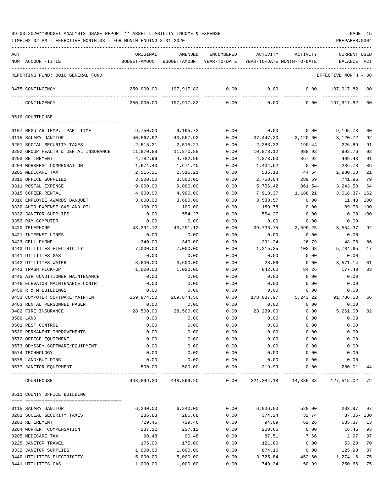| ACT |                                                  | ORIGINAL             | AMENDED                     | ENCUMBERED           | ACTIVITY           | ACTIVITY                          | <b>CURRENT USED</b>    |          |
|-----|--------------------------------------------------|----------------------|-----------------------------|----------------------|--------------------|-----------------------------------|------------------------|----------|
|     | NUM ACCOUNT-TITLE                                | BUDGET-AMOUNT        | BUDGET-AMOUNT YEAR-TO-DATE  |                      |                    | YEAR-TO-DATE MONTH-TO-DATE        | BALANCE                | PCT      |
|     |                                                  |                      |                             |                      |                    |                                   |                        |          |
|     | REPORTING FUND: 0010 GENERAL FUND                |                      |                             |                      |                    |                                   | EFFECTIVE MONTH - 08   |          |
|     | 0475 CONTINGENCY                                 | 250,000.00           | 197,917.82                  | 0.00                 | 0.00               | 0.00                              | 197,917.82             | 00       |
|     | CONTINGENCY                                      | 250,000.00           | 197,917.82                  | 0.00                 | 0.00               | 0.00                              | 197,917.82             | 00       |
|     | 0510 COURTHOUSE                                  |                      |                             |                      |                    |                                   |                        |          |
|     |                                                  |                      |                             |                      |                    |                                   |                        |          |
|     | 0107 REGULAR TEMP. - PART TIME                   | 9,750.00             | 9,195.73                    | 0.00                 | 0.00               | 0.00                              | 9,195.73               | 00       |
|     | 0115 SALARY JANITOR                              | 40,567.92            | 40,567.92                   | 0.00                 | 37,447.20          | 3,120.60                          | 3,120.72               | 92       |
|     | 0201 SOCIAL SECURITY TAXES                       | 2,515.21             | 2,515.21                    | 0.00                 | 2,288.32           | 190.44                            | 226.89                 | 91       |
|     | 0202 GROUP HEALTH & DENTAL INSURANCE             | 11,870.88            | 11,870.88                   | 0.00                 | 10,878.12          | 988.92                            | 992.76                 | 92       |
|     | 0203 RETIREMENT                                  | 4,782.96             | 4,782.96                    | 0.00                 | 4,373.53           | 367.92                            | 409.43                 | 91       |
|     | 0204 WORKERS' COMPENSATION<br>0205 MEDICARE TAX  | 1,671.40             | 1,671.40                    | 0.00                 | 1,434.62           | 0.00                              | 236.78<br>1,980.03     | 86       |
|     | 0310 OFFICE SUPPLIES                             | 2,515.21<br>3,500.00 | 2,515.21<br>3,500.00        | 0.00<br>0.00         | 535.18<br>2,758.04 | 44.54<br>289.59                   | 741.96                 | 21<br>79 |
|     | 0311 POSTAL EXPENSE                              | 9,000.00             | 9,000.00                    | 0.00                 | 5,756.42           | 861.54-                           | 3, 243.58              | 64       |
|     | 0315 COPIER RENTAL                               | 4,900.00             | 4,900.00                    | 0.00                 | 7,918.37           | 1,188.21                          | 3,018.37- 162          |          |
|     | 0316 EMPLOYEE AWARDS BANOUET                     | 3,600.00             | 3,600.00                    | 0.00                 | 3,588.57           | 0.00                              | 11.43                  | 100      |
|     | 0330 AUTO EXPENSE-GAS AND OIL                    | 100.00               | 100.00                      | 0.00                 | 189.78             | 0.00                              | 89.78-190              |          |
|     | 0332 JANITOR SUPPLIES                            | 0.00                 | 554.27                      | 0.00                 | 554.27             | 0.00                              | $0.00$ 100             |          |
|     | 0353 R&M COMPUTER                                | 0.00                 | 0.00                        | 0.00                 | 0.00               | 0.00                              | 0.00                   |          |
|     | 0420 TELEPHONE                                   | 43,291.12            | 43,291.12                   | 0.00                 | 39,736.75          | 3,599.25                          | 3,554.37               | 92       |
|     | 0421 INTERNET LINES                              | 0.00                 | 0.00                        | 0.00                 | 0.00               | 0.00                              | 0.00                   |          |
|     | 0423 CELL PHONE                                  | 340.00               | 340.00                      | 0.00                 | 291.24             | 26.79                             | 48.76                  | 86       |
|     | 0440 UTILITIES ELECTRICITY                       | 7,000.00             | 7,000.00                    | 0.00                 | 1,215.35           | 103.68                            | 5,784.65               | 17       |
|     | 0441 UTILITIES GAS                               | 0.00                 | 0.00                        | 0.00                 | 0.00               | 0.00                              | 0.00                   |          |
|     | 0442 UTILITIES WATER                             | 3,600.00             | 3,600.00                    | 0.00                 | 28.86              | 0.00                              | 3,571.14               | 01       |
|     | 0443 TRASH PICK-UP                               | 1,020.00             | 1,020.00                    | 0.00                 | 842.60             | 84.26                             | 177.40                 | 83       |
|     | 0445 AIR CONDITIONER MAINTENANCE                 | 0.00                 | 0.00                        | 0.00                 | 0.00               | 0.00                              | 0.00                   |          |
|     | 0446 ELEVATOR MAINTENANCE CONTR                  | 0.00                 | 0.00                        | 0.00                 | 0.00               | 0.00                              | 0.00                   |          |
|     | 0450 R & M BUILDINGS                             | 0.00                 | 0.00                        | 0.00                 | 0.00               | 0.00                              | 0.00                   |          |
|     | 0453 COMPUTER SOFTWARE MAINTEN                   | 269,874.50           | 269,874.50                  | 0.00                 | 178,087.97         | 5, 243. 22                        | 91,786.53              | 66       |
|     | 0463 RENTAL PERSONNEL PAGER                      | 0.00                 | 0.00                        | 0.00                 | 0.00               | 0.00                              | 0.00                   |          |
|     | 0482 FIRE INSURANCE                              | 28,500.00            | 28,500.00                   | 0.00                 | 23, 239.00         | 0.00                              | 5,261.00               | 82       |
|     | 0500 LAND                                        | 0.00                 | 0.00                        | 0.00                 | 0.00               | 0.00                              | 0.00                   |          |
|     | 0501 PEST CONTROL                                | 0.00                 | 0.00                        | 0.00                 | 0.00               | 0.00                              | 0.00                   |          |
|     | 0530 PERMANENT IMPROVEMENTS                      | 0.00                 | 0.00                        | 0.00                 | 0.00               | 0.00                              | 0.00                   |          |
|     | 0572 OFFICE EQUIPMENT                            | 0.00                 | 0.00                        | 0.00                 | 0.00               | 0.00                              | 0.00                   |          |
|     | 0573 ODYSSEY SOFTWARE/EQUIPMENT                  | 0.00                 | 0.00                        | 0.00                 | 0.00               | 0.00                              | 0.00                   |          |
|     | 0574 TECHNOLOGY                                  | 0.00                 | 0.00                        | 0.00                 | 0.00               | 0.00                              | 0.00                   |          |
|     | 0575 LAND/BUILDING                               | 0.00                 | 0.00                        | 0.00                 | 0.00               | 0.00                              | 0.00                   |          |
|     | 0577 JANITOR EQUIPMENT                           | 500.00               | 500.00                      | 0.00                 | 219.99             | 0.00<br>----------- ------------- | 280.01<br>------------ | 44       |
|     | COURTHOUSE                                       | 448,899.20           | -------------<br>448,899.20 | ------------<br>0.00 | 321,384.18         | 14,385.88                         | 127,515.02 72          |          |
|     | 0511 COUNTY OFFICE BUILDING                      |                      |                             |                      |                    |                                   |                        |          |
|     |                                                  |                      |                             |                      |                    |                                   |                        |          |
|     | 0115 SALARY JANITOR                              | 6,240.00             | 6,240.00                    | 0.00                 | 6,036.03           | 528.00                            | 203.97 97              |          |
|     | 0201 SOCIAL SECURITY TAXES                       | 286.88               | 286.88                      | 0.00                 | 374.24             | 32.74                             | $87.36 - 130$          |          |
|     | 0203 RETIREMENT                                  | 729.46               | 729.46                      | 0.00                 | 94.09              | 62.26                             | 635.37                 | 13       |
|     | 0204 WORKER' COMPENSATION                        | 237.12               | 237.12                      | 0.00                 | 220.66             | 0.00                              | 16.46                  | 93       |
|     | 0205 MEDICARE TAX                                | 90.48                | 90.48                       | 0.00                 | 87.51              | 7.66                              | 2.97                   | 97       |
|     | 0225 JANITOR TRAVEL                              | 175.00               | 175.00                      | 0.00                 | 121.80             | 0.00                              | 53.20                  | 70       |
|     | 0332 JANITOR SUPPLIES                            | 1,000.00             | 1,000.00                    | 0.00                 | 874.10             | 0.00                              | 125.90                 | 87       |
|     | 0440 UTILITIES ELECTRICITY<br>0441 UTILITIES GAS | 5,000.00<br>1,000.00 | 5,000.00<br>1,000.00        | 0.00<br>0.00         | 3,725.84<br>749.34 | 452.60<br>50.99                   | 1,274.16<br>250.66     | 75<br>75 |
|     |                                                  |                      |                             |                      |                    |                                   |                        |          |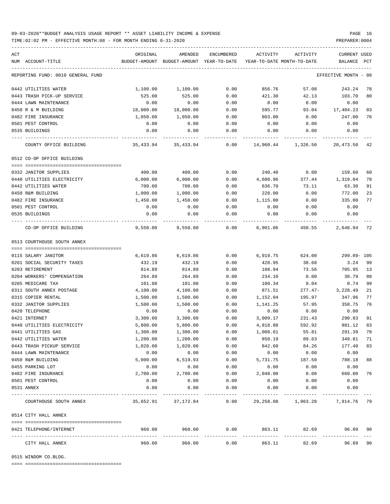TIME:02:02 PM - EFFECTIVE MONTH:08 - FOR MONTH ENDING 8-31-2020

| ACT |                                       | ORIGINAL  | AMENDED                                                             | ENCUMBERED | ACTIVITY | ACTIVITY               | CURRENT USED         |    |
|-----|---------------------------------------|-----------|---------------------------------------------------------------------|------------|----------|------------------------|----------------------|----|
|     | NUM ACCOUNT-TITLE                     |           | BUDGET-AMOUNT BUDGET-AMOUNT YEAR-TO-DATE YEAR-TO-DATE MONTH-TO-DATE |            |          |                        | BALANCE PCT          |    |
|     | REPORTING FUND: 0010 GENERAL FUND     |           |                                                                     |            |          |                        | EFFECTIVE MONTH - 08 |    |
|     |                                       |           |                                                                     |            |          |                        |                      |    |
|     | 0442 UTILITIES WATER                  | 1,100.00  | 1,100.00                                                            | 0.00       | 856.76   |                        | 57.08 243.24         | 78 |
|     | 0443 TRASH PICK-UP SERVICE            | 525.00    | 525.00                                                              | 0.00       | 421.30   | 42.13                  | 103.70               | 80 |
|     | 0444 LAWN MAINTENANCE                 | 0.00      | 0.00                                                                | 0.00       | 0.00     | 0.00                   | 0.00                 |    |
|     | 0450 R & M BUILDING                   | 18,000.00 | 18,000.00                                                           | 0.00       | 595.77   | 93.04                  | 17,404.23            | 03 |
|     | 0482 FIRE INSURANCE                   | 1,050.00  | 1,050.00                                                            | 0.00       | 803.00   | 0.00                   | 247.00               | 76 |
|     | 0501 PEST CONTROL                     | 0.00      | 0.00                                                                | 0.00       | 0.00     | 0.00                   | 0.00                 |    |
|     | 0535 BUILDINGS                        | 0.00      | 0.00                                                                | 0.00       | 0.00     | 0.00                   | 0.00                 |    |
|     | COUNTY OFFICE BUILDING                |           | 35,433.94 35,433.94                                                 | 0.00       |          |                        |                      | 42 |
|     | 0512 CO-OP OFFICE BUILDING            |           |                                                                     |            |          |                        |                      |    |
|     |                                       |           |                                                                     |            |          |                        |                      |    |
|     | 0332 JANITOR SUPPLIES                 | 400.00    | 400.00                                                              | 0.00       | 240.40   | 0.00                   | 159.60               | 60 |
|     | 0440 UTILITIES ELECTRICITY            | 6,000.00  | 6,000.00                                                            | 0.00       | 4,680.96 | 377.44                 | 1,319.04             | 78 |
|     | 0442 UTILITIES WATER                  | 700.00    | 700.00                                                              | 0.00       | 636.70   | 73.11                  | 63.30                | 91 |
|     | 0450 R&M BUILDING                     | 1,000.00  | 1,000.00                                                            | 0.00       | 228.00   | 0.00                   | 772.00               | 23 |
|     | 0482 FIRE INSURANCE                   | 1,450.00  | 1,450.00                                                            | 0.00       | 1,115.00 | 0.00                   | 335.00               | 77 |
|     | 0501 PEST CONTROL                     | 0.00      | 0.00                                                                | 0.00       | 0.00     | 0.00                   | 0.00                 |    |
|     | 0535 BUILDINGS                        | 0.00      | 0.00                                                                | 0.00       | 0.00     | 0.00                   | 0.00                 |    |
|     | CO-OP OFFICE BUILDING                 | 9,550.00  | 9,550.00                                                            |            |          | $0.00$ 6,901.06 450.55 | 2,648.94             | 72 |
|     | 0513 COURTHOUSE SOUTH ANNEX           |           |                                                                     |            |          |                        |                      |    |
|     |                                       |           |                                                                     |            |          |                        |                      |    |
|     | 0115 SALARY JANITOR                   | 6,619.86  | 6,619.86                                                            | 0.00       | 6,919.75 | 624.00                 | 299.89- 105          |    |
|     | 0201 SOCIAL SECURITY TAXES            | 432.19    | 432.19                                                              | 0.00       | 428.95   | 38.68                  | 3.24                 | 99 |
|     | 0203 RETIREMENT                       | 814.89    | 814.89                                                              | 0.00       | 108.94   | 73.56                  | 705.95               | 13 |
|     | 0204 WORKERS' COMPENSATION            | 264.89    | 264.89                                                              | 0.00       | 234.10   | 0.00                   | 30.79                | 88 |
|     | 0205 MEDICARE TAX                     | 101.08    | 101.08                                                              | 0.00       | 100.34   | 9.04                   | 0.74                 | 99 |
|     | 0311 SOUTH ANNEX POSTAGE              | 4,100.00  | 4,100.00                                                            | 0.00       | 871.51   | 277.47-                | 3,228.49             | 21 |
|     | 0315 COPIER RENTAL                    | 1,500.00  | 1,500.00                                                            | 0.00       | 1,152.04 | 195.97                 | 347.96               | 77 |
|     | 0332 JANITOR SUPPLIES                 | 1,500.00  | 1,500.00                                                            | 0.00       | 1,141.25 | 57.95                  | 358.75               | 76 |
|     | 0420 TELEPHONE                        | 0.00      | 0.00                                                                | 0.00       | 0.00     | 0.00                   | 0.00                 |    |
|     | 0421 INTERNET                         | 3,300.00  | 3,300.00                                                            | 0.00       | 3,009.17 | 231.43                 | 290.83               | 91 |
|     | 0440 UTILITIES ELECTRICITY            | 5,800.00  | 5,800.00                                                            | 0.00       | 4,818.88 | 592.92                 | 981.12               | 83 |
|     | 0441 UTILITIES GAS                    | 1,300.00  | 1,300.00                                                            | 0.00       | 1,008.61 | 55.81                  | 291.39               | 78 |
|     | 0442 UTILITIES WATER                  | 1,200.00  | 1,200.00                                                            | 0.00       | 850.19   | 89.63                  | 349.81               | 71 |
|     | 0443 TRASH PICKUP SERVICE             | 1,020.00  | 1,020.00                                                            | 0.00       | 842.60   | 84.26                  | 177.40               | 83 |
|     | 0444 LAWN MAINTENANCE                 | 0.00      | 0.00                                                                | 0.00       | 0.00     | 0.00                   | 0.00                 |    |
|     | 0450 R&M BUILDING                     | 5,000.00  | 6,519.93                                                            | 0.00       | 5,731.75 | 187.50                 | 788.18               | 88 |
|     | 0455 PARKING LOT                      | 0.00      | 0.00                                                                | 0.00       | 0.00     | 0.00                   | 0.00                 |    |
|     | 0482 FIRE INSURANCE                   | 2,700.00  | 2,700.00                                                            | 0.00       | 2,040.00 | 0.00                   | 660.00               | 76 |
|     | 0501 PEST CONTROL                     | 0.00      | 0.00                                                                | 0.00       | 0.00     | 0.00                   | 0.00                 |    |
|     | 0531 ANNEX                            | 0.00      | 0.00                                                                | 0.00       | 0.00     | 0.00                   | 0.00                 |    |
|     | COURTHOUSE SOUTH ANNEX                | 35,652.91 | 37,172.84                                                           | 0.00       |          | 29, 258.08 1, 963.28   | 7,914.76             | 79 |
|     | 0514 CITY HALL ANNEX                  |           |                                                                     |            |          |                        |                      |    |
|     | 0421 TELEPHONE/INTERNET               | 960.00    | 960.00                                                              | 0.00       | 863.11   | 82.69                  | 96.89                | 90 |
|     | ---- -------------<br>CITY HALL ANNEX | 960.00    | 960.00                                                              | 0.00       | 863.11   | ------------<br>82.69  | 96.89                | 90 |

0515 WINDOM CO.BLDG.

==== ===================================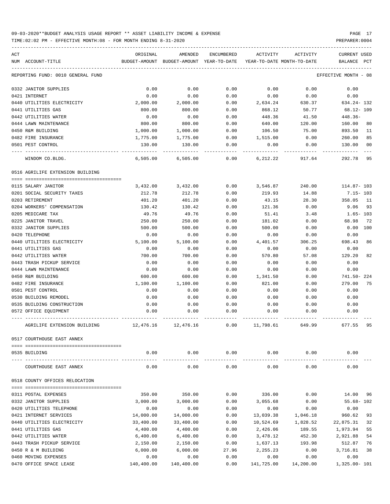TIME:02:02 PM - EFFECTIVE MONTH:08 - FOR MONTH ENDING 8-31-2020 PREPARER:0004

| ACT                               | ORIGINAL   |                                                     | ENCUMBERED |                                        |           |                                       |
|-----------------------------------|------------|-----------------------------------------------------|------------|----------------------------------------|-----------|---------------------------------------|
| NUM ACCOUNT-TITLE                 |            | AMENDED<br>BUDGET-AMOUNT BUDGET-AMOUNT YEAR-TO-DATE |            | ACTIVITY<br>YEAR-TO-DATE MONTH-TO-DATE | ACTIVITY  | <b>CURRENT USED</b><br>BALANCE<br>PCT |
|                                   |            |                                                     |            |                                        |           |                                       |
| REPORTING FUND: 0010 GENERAL FUND |            |                                                     |            |                                        |           | EFFECTIVE MONTH - 08                  |
| 0332 JANITOR SUPPLIES             | 0.00       | 0.00                                                | 0.00       | 0.00                                   | 0.00      | 0.00                                  |
| 0421 INTERNET                     | 0.00       | 0.00                                                | 0.00       | 0.00                                   | 0.00      | 0.00                                  |
| 0440 UTILITIES ELECTRICITY        | 2,000.00   | 2,000.00                                            | 0.00       | 2,634.24                               | 630.37    | 634.24-132                            |
| 0441 UTILITIES GAS                | 800.00     | 800.00                                              | 0.00       | 868.12                                 | 50.77     | 68.12- 109                            |
| 0442 UTILITIES WATER              | 0.00       | 0.00                                                | 0.00       | 448.36                                 | 41.50     | $448.36-$                             |
| 0444 LAWN MAINTENANCE             | 800.00     | 800.00                                              | 0.00       | 640.00                                 | 120.00    | 160.00<br>80                          |
| 0450 R&M BUILDING                 | 1,000.00   | 1,000.00                                            | 0.00       | 106.50                                 | 75.00     | 893.50<br>11                          |
| 0482 FIRE INSURANCE               | 1,775.00   | 1,775.00                                            | 0.00       | 1,515.00                               | 0.00      | 260.00<br>85                          |
| 0501 PEST CONTROL                 | 130.00     | 130.00                                              | 0.00       | 0.00                                   | 0.00      | 130.00<br>00                          |
| WINDOM CO.BLDG.                   | 6,505.00   | 6,505.00                                            | 0.00       | 6,212.22                               | 917.64    | 95<br>292.78                          |
| 0516 AGRILIFE EXTENSION BUILDING  |            |                                                     |            |                                        |           |                                       |
| 0115 SALARY JANITOR               | 3,432.00   | 3,432.00                                            | 0.00       | 3,546.87                               | 240.00    | 114.87- 103                           |
| 0201 SOCIAL SECURITY TAXES        | 212.78     | 212.78                                              | 0.00       | 219.93                                 | 14.88     | $7.15 - 103$                          |
| 0203 RETIREMENT                   | 401.20     | 401.20                                              | 0.00       | 43.15                                  | 28.30     | 358.05 11                             |
| 0204 WORKERS' COMPENSATION        | 130.42     | 130.42                                              | 0.00       | 121.36                                 | 0.00      | 9.06<br>-93                           |
| 0205 MEDICARE TAX                 | 49.76      | 49.76                                               | 0.00       | 51.41                                  | 3.48      | 1.65- 103                             |
| 0225 JANITOR TRAVEL               | 250.00     | 250.00                                              | 0.00       | 181.02                                 | 0.00      | 68.98<br>- 72                         |
| 0332 JANITOR SUPPLIES             | 500.00     | 500.00                                              | 0.00       | 500.00                                 | 0.00      | 0.00 100                              |
| 0420 TELEPHONE                    | 0.00       | 0.00                                                | 0.00       | 0.00                                   | 0.00      | 0.00                                  |
| 0440 UTILITIES ELECTRICITY        | 5,100.00   | 5,100.00                                            | 0.00       | 4,401.57                               | 306.25    | 698.43<br>86                          |
| 0441 UTILITIES GAS                | 0.00       | 0.00                                                | 0.00       | 0.00                                   | 0.00      | 0.00                                  |
| 0442 UTILITIES WATER              | 700.00     | 700.00                                              | 0.00       | 570.80                                 | 57.08     | 129.20<br>82                          |
| 0443 TRASH PICKUP SERVICE         | 0.00       | 0.00                                                | 0.00       | 0.00                                   | 0.00      | 0.00                                  |
| 0444 LAWN MAINTENANCE             | 0.00       | 0.00                                                | 0.00       | 0.00                                   | 0.00      | 0.00                                  |
| 0450 R&M BUILDING                 | 600.00     | 600.00                                              | 0.00       | 1,341.50                               | 0.00      | 741.50-224                            |
| 0482 FIRE INSURANCE               | 1,100.00   | 1,100.00                                            | 0.00       | 821.00                                 | 0.00      | 279.00<br>75                          |
| 0501 PEST CONTROL                 | 0.00       | 0.00                                                | 0.00       | 0.00                                   | 0.00      | 0.00                                  |
| 0530 BUILDING REMODEL             | 0.00       | 0.00                                                | 0.00       | 0.00                                   | 0.00      | 0.00                                  |
| 0535 BUILDING CONSTRUCTION        | 0.00       | 0.00                                                | 0.00       | 0.00                                   | 0.00      | 0.00                                  |
| 0572 OFFICE EQUIPMENT             | 0.00       | 0.00                                                | 0.00       | 0.00                                   | 0.00      | 0.00                                  |
|                                   |            |                                                     |            |                                        |           |                                       |
| AGRILIFE EXTENSION BUILDING       | 12,476.16  | 12,476.16                                           | 0.00       | 11,798.61                              | 649.99    | 677.55<br>95                          |
| 0517 COURTHOUSE EAST ANNEX        |            |                                                     |            |                                        |           |                                       |
| 0535 BUILDING                     | 0.00       | 0.00                                                | 0.00       | 0.00                                   | 0.00      | 0.00                                  |
| COURTHOUSE EAST ANNEX             | 0.00       | 0.00                                                | 0.00       | 0.00                                   | 0.00      | 0.00                                  |
| 0518 COUNTY OFFICES RELOCATION    |            |                                                     |            |                                        |           |                                       |
| 0311 POSTAL EXPENSES              | 350.00     | 350.00                                              | 0.00       | 336.00                                 | 0.00      | 14.00<br>96                           |
| 0332 JANITOR SUPPLIES             | 3,000.00   | 3,000.00                                            | 0.00       | 3,055.68                               | 0.00      | $55.68 - 102$                         |
| 0420 UTILITIES TELEPHONE          | 0.00       | 0.00                                                | 0.00       | 0.00                                   | 0.00      | 0.00                                  |
| 0421 INTERNET SERVICES            | 14,000.00  | 14,000.00                                           | 0.00       | 13,039.38                              | 1,046.18  | 960.62<br>93                          |
| 0440 UTILITIES ELECTRICITY        | 33,400.00  | 33,400.00                                           | 0.00       | 10,524.69                              | 1,828.52  | 22,875.31<br>32                       |
| 0441 UTILITIES GAS                | 4,400.00   | 4,400.00                                            | 0.00       | 2,426.06                               | 189.55    | 1,973.94<br>55                        |
| 0442 UTILITIES WATER              | 6,400.00   | 6,400.00                                            | 0.00       | 3,478.12                               | 452.30    | 2,921.88<br>54                        |
| 0443 TRASH PICKUP SERVICE         | 2,150.00   | 2,150.00                                            | 0.00       | 1,637.13                               | 193.98    | 512.87<br>76                          |
| 0450 R & M BUILDING               | 6,000.00   | 6,000.00                                            | 27.96      | 2,255.23                               | 0.00      | 3,716.81<br>38                        |
| 0460 MOVING EXPENSES              | 0.00       | 0.00                                                | 0.00       | 0.00                                   | 0.00      | 0.00                                  |
| 0470 OFFICE SPACE LEASE           | 140,400.00 | 140,400.00                                          | 0.00       | 141,725.00                             | 14,200.00 | 1,325.00- 101                         |
|                                   |            |                                                     |            |                                        |           |                                       |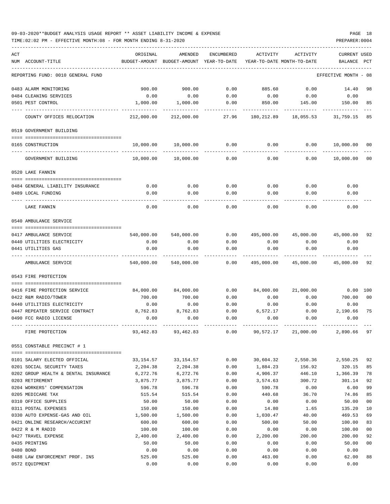| ACT |                                                            | ORIGINAL              | AMENDED                | ENCUMBERED   | ACTIVITY             | ACTIVITY                   | <b>CURRENT USED</b>  |                |
|-----|------------------------------------------------------------|-----------------------|------------------------|--------------|----------------------|----------------------------|----------------------|----------------|
|     | NUM ACCOUNT-TITLE                                          | BUDGET-AMOUNT         | BUDGET-AMOUNT          | YEAR-TO-DATE |                      | YEAR-TO-DATE MONTH-TO-DATE | BALANCE              | $_{\rm PCT}$   |
|     |                                                            |                       |                        |              |                      |                            |                      |                |
|     | REPORTING FUND: 0010 GENERAL FUND                          |                       |                        |              |                      |                            | EFFECTIVE MONTH - 08 |                |
|     | 0483 ALARM MONITORING                                      | 900.00                | 900.00                 | 0.00         | 885.60               | 0.00                       | 14.40                | 98             |
|     | 0484 CLEANING SERVICES                                     | 0.00                  | 0.00                   | 0.00         | 0.00                 | 0.00                       | 0.00                 |                |
|     | 0501 PEST CONTROL                                          | 1,000.00              | 1,000.00               | 0.00         | 850.00               | 145.00                     | 150.00               | 85             |
|     | COUNTY OFFICES RELOCATION                                  | 212,000.00            | 212,000.00             | 27.96        | 180,212.89           | 18,055.53                  | 31,759.15            | 85             |
|     | 0519 GOVERNMENT BUILDING                                   |                       |                        |              |                      |                            |                      |                |
|     |                                                            |                       |                        |              |                      |                            |                      |                |
|     | 0165 CONSTRUCTION                                          | 10,000.00             | 10,000.00              | 0.00         | 0.00                 | 0.00                       | 10,000.00            | 00             |
|     | GOVERNMENT BUILDING                                        | 10,000.00             | 10,000.00              | 0.00         | 0.00                 | 0.00                       | 10,000.00            | 0 <sub>0</sub> |
|     | 0520 LAKE FANNIN                                           |                       |                        |              |                      |                            |                      |                |
|     | 0484 GENERAL LIABILITY INSURANCE                           | 0.00                  | 0.00                   | 0.00         | 0.00                 | 0.00                       | 0.00                 |                |
|     | 0489 LOCAL FUNDING                                         | 0.00                  | 0.00                   | 0.00         | 0.00                 | 0.00                       | 0.00                 |                |
|     | LAKE FANNIN                                                | 0.00                  | 0.00                   | 0.00         | 0.00                 | 0.00                       | 0.00                 |                |
|     | 0540 AMBULANCE SERVICE                                     |                       |                        |              |                      |                            |                      |                |
|     |                                                            |                       |                        |              |                      |                            |                      |                |
|     | 0417 AMBULANCE SERVICE                                     | 540,000.00            | 540,000.00             | 0.00         | 495,000.00           | 45,000.00                  | 45,000.00            | 92             |
|     | 0440 UTILITIES ELECTRICITY                                 | 0.00                  | 0.00                   | 0.00         | 0.00                 | 0.00                       | 0.00                 |                |
|     | 0441 UTILITIES GAS                                         | 0.00                  | 0.00                   | 0.00         | 0.00                 | 0.00                       | 0.00                 |                |
|     | AMBULANCE SERVICE                                          | 540,000.00            | 540,000.00             | 0.00         | 495,000.00           | 45,000.00                  | 45,000.00            | 92             |
|     | 0543 FIRE PROTECTION                                       |                       |                        |              |                      |                            |                      |                |
|     | 0416 FIRE PROTECTION SERVICE                               | 84,000.00             | 84,000.00              | 0.00         | 84,000.00            | 21,000.00                  | $0.00$ $100$         |                |
|     | 0422 R&M RADIO/TOWER                                       | 700.00                | 700.00                 | 0.00         | 0.00                 | 0.00                       | 700.00               | 0 <sub>0</sub> |
|     | 0440 UTILITIES ELECTRICITY                                 | 0.00                  | 0.00                   | 0.00         | 0.00                 | 0.00                       | 0.00                 |                |
|     | 0447 REPEATER SERVICE CONTRACT                             | 8,762.83              | 8,762.83               | 0.00         | 6,572.17             | 0.00                       | 2,190.66             | 75             |
|     | 0490 FCC RADIO LICENSE                                     | 0.00                  | 0.00                   | 0.00         | 0.00                 | 0.00                       | 0.00                 |                |
|     | FIRE PROTECTION                                            | 93,462.83             | 93,462.83              | 0.00         | 90,572.17            | 21,000.00                  | 2,890.66             | 97             |
|     | 0551 CONSTABLE PRECINCT # 1                                |                       |                        |              |                      |                            |                      |                |
|     |                                                            |                       |                        |              |                      |                            |                      |                |
|     | 0101 SALARY ELECTED OFFICIAL<br>0201 SOCIAL SECURITY TAXES | 33,154.57<br>2,204.38 | 33, 154.57<br>2,204.38 | 0.00<br>0.00 | 30,604.32            | 2,550.36<br>156.92         | 2,550.25             | 92<br>85       |
|     | 0202 GROUP HEALTH & DENTAL INSURANCE                       | 6,272.76              | 6,272.76               | 0.00         | 1,884.23<br>4,906.37 | 446.10                     | 320.15<br>1,366.39   | 78             |
|     | 0203 RETIREMENT                                            | 3,875.77              | 3,875.77               | 0.00         | 3,574.63             | 300.72                     | 301.14               | 92             |
|     | 0204 WORKERS' COMPENSATION                                 | 596.78                | 596.78                 | 0.00         | 590.78               | 0.00                       | 6.00                 | 99             |
|     | 0205 MEDICARE TAX                                          | 515.54                | 515.54                 | 0.00         | 440.68               | 36.70                      | 74.86                | 85             |
|     | 0310 OFFICE SUPPLIES                                       | 50.00                 | 50.00                  | 0.00         | 0.00                 | 0.00                       | 50.00                | 0 <sub>0</sub> |
|     | 0311 POSTAL EXPENSES                                       | 150.00                | 150.00                 | 0.00         | 14.80                | 1.65                       | 135.20               | 10             |
|     | 0330 AUTO EXPENSE-GAS AND OIL                              | 1,500.00              | 1,500.00               | 0.00         | 1,030.47             | 40.00                      | 469.53               | 69             |
|     | 0421 ONLINE RESEARCH/ACCURINT                              | 600.00                | 600.00                 | 0.00         | 500.00               | 50.00                      | 100.00               | 83             |
|     | 0422 R & M RADIO                                           | 100.00                | 100.00                 | 0.00         | 0.00                 | 0.00                       | 100.00               | 0 <sub>0</sub> |
|     | 0427 TRAVEL EXPENSE                                        | 2,400.00              | 2,400.00               | 0.00         | 2,200.00             | 200.00                     | 200.00               | 92             |
|     | 0435 PRINTING                                              | 50.00                 | 50.00                  | 0.00         | 0.00                 | 0.00                       | 50.00                | 0 <sub>0</sub> |
|     | 0480 BOND                                                  | 0.00                  | 0.00                   | 0.00         | 0.00                 | 0.00                       | 0.00                 |                |
|     | 0488 LAW ENFORCEMENT PROF. INS                             | 525.00                | 525.00                 | 0.00         | 463.00               | 0.00                       | 62.00                | 88             |
|     | 0572 EQUIPMENT                                             | 0.00                  | 0.00                   | 0.00         | 0.00                 | 0.00                       | 0.00                 |                |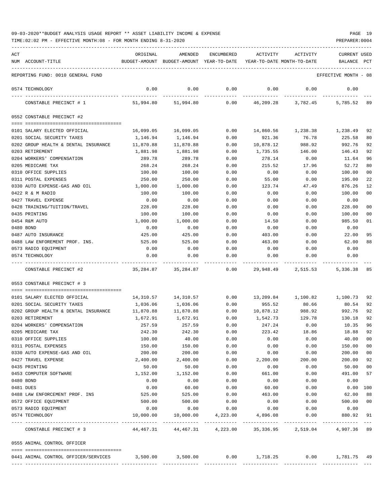TIME:02:02 PM - EFFECTIVE MONTH:08 - FOR MONTH ENDING 8-31-2020

| ACT |                                                            | ORIGINAL              | AMENDED                                                                                                                | <b>ENCUMBERED</b>  | ACTIVITY                   | ACTIVITY                    | <b>CURRENT USED</b>  |                      |
|-----|------------------------------------------------------------|-----------------------|------------------------------------------------------------------------------------------------------------------------|--------------------|----------------------------|-----------------------------|----------------------|----------------------|
|     | NUM ACCOUNT-TITLE                                          |                       | BUDGET-AMOUNT BUDGET-AMOUNT YEAR-TO-DATE                                                                               |                    | YEAR-TO-DATE MONTH-TO-DATE |                             | BALANCE PCT          |                      |
|     | REPORTING FUND: 0010 GENERAL FUND                          |                       |                                                                                                                        |                    |                            |                             | EFFECTIVE MONTH - 08 |                      |
|     | 0574 TECHNOLOGY                                            | 0.00                  | 0.00                                                                                                                   | 0.00               | 0.00                       | 0.00                        | 0.00                 |                      |
|     | CONSTABLE PRECINCT # 1                                     | 51,994.80             | 51,994.80                                                                                                              | 0.00               | 46,209.28                  | 3,782.45                    | 5,785.52             | 89                   |
|     | 0552 CONSTABLE PRECINCT #2                                 |                       |                                                                                                                        |                    |                            |                             |                      |                      |
|     |                                                            |                       |                                                                                                                        |                    |                            |                             |                      |                      |
|     | 0101 SALARY ELECTED OFFICIAL<br>0201 SOCIAL SECURITY TAXES | 16,099.05<br>1,146.94 | 16,099.05<br>1,146.94                                                                                                  | 0.00<br>0.00       | 14,860.56<br>921.36        | 1,238.38<br>76.78           | 1,238.49<br>225.58   | 92<br>80             |
|     | 0202 GROUP HEALTH & DENTAL INSURANCE                       | 11,870.88             | 11,870.88                                                                                                              | 0.00               | 10,878.12                  | 988.92                      | 992.76               | 92                   |
|     | 0203 RETIREMENT                                            | 1,881.98              | 1,881.98                                                                                                               | 0.00               | 1,735.55                   | 146.00                      | 146.43               | 92                   |
|     | 0204 WORKERS' COMPENSATION                                 | 289.78                | 289.78                                                                                                                 | 0.00               | 278.14                     | 0.00                        | 11.64                | 96                   |
|     | 0205 MEDICARE TAX                                          | 268.24                | 268.24                                                                                                                 | 0.00               | 215.52                     | 17.96                       | 52.72                | 80                   |
|     | 0310 OFFICE SUPPLIES                                       | 100.00                | 100.00                                                                                                                 | 0.00               | 0.00                       | 0.00                        | 100.00               | 00                   |
|     | 0311 POSTAL EXPENSES                                       | 250.00                | 250.00                                                                                                                 | 0.00               | 55.00                      | 0.00                        | 195.00               | 22                   |
|     | 0330 AUTO EXPENSE-GAS AND OIL                              | 1,000.00              | 1,000.00                                                                                                               | 0.00               | 123.74                     | 47.49                       | 876.26               | 12                   |
|     | 0422 R & M RADIO                                           | 100.00                | 100.00                                                                                                                 | 0.00               | 0.00                       | 0.00                        | 100.00               | 0 <sub>0</sub>       |
|     | 0427 TRAVEL EXPENSE                                        | 0.00                  | 0.00                                                                                                                   | 0.00               | 0.00                       | 0.00                        | 0.00                 |                      |
|     | 0428 TRAINING/TUITION/TRAVEL                               | 228.00                | 228.00                                                                                                                 | 0.00               | 0.00                       | 0.00                        | 228.00               | 00                   |
|     | 0435 PRINTING                                              | 100.00                | 100.00                                                                                                                 | 0.00               | 0.00                       | 0.00                        | 100.00               | 00                   |
|     | 0454 R&M AUTO                                              | 1,000.00              | 1,000.00                                                                                                               | 0.00               | 14.50                      | 0.00                        | 985.50               | 01                   |
|     | 0480 BOND                                                  | 0.00                  | 0.00                                                                                                                   | 0.00               | 0.00                       | 0.00                        | 0.00                 |                      |
|     | 0487 AUTO INSURANCE                                        | 425.00                | 425.00                                                                                                                 | 0.00               | 403.00                     | 0.00                        | 22.00                | 95                   |
|     | 0488 LAW ENFOREMENT PROF. INS.                             | 525.00                | 525.00                                                                                                                 | 0.00               | 463.00                     | 0.00                        | 62.00                | 88                   |
|     | 0573 RADIO EQUIPMENT                                       | 0.00                  | 0.00                                                                                                                   | 0.00               | 0.00                       | 0.00                        | 0.00                 |                      |
|     | 0574 TECHNOLOGY                                            | 0.00                  | 0.00                                                                                                                   | 0.00<br>-----      | 0.00                       | 0.00                        | 0.00                 |                      |
|     | CONSTABLE PRECINCT #2                                      | 35,284.87             | 35,284.87                                                                                                              | 0.00               |                            | 29,948.49 2,515.53          | 5,336.38             | 85                   |
|     | 0553 CONSTABLE PRECINCT # 3                                |                       |                                                                                                                        |                    |                            |                             |                      |                      |
|     |                                                            |                       |                                                                                                                        |                    |                            |                             |                      |                      |
|     | 0101 SALARY ELECTED OFFICIAL                               | 14,310.57             | 14,310.57                                                                                                              | 0.00               |                            | 13,209.84 1,100.82 1,100.73 |                      | 92                   |
|     | 0201 SOCIAL SECURITY TAXES                                 | 1,036.06              | 1,036.06                                                                                                               | 0.00               | 955.52                     | 80.66                       | 80.54                | 92                   |
|     | 0202 GROUP HEALTH & DENTAL INSURANCE                       | 11,870.88             | 11,870.88                                                                                                              | 0.00               | 10,878.12                  | 988.92                      | 992.76               | 92                   |
|     | 0203 RETIREMENT                                            | 1,672.91              | 1,672.91                                                                                                               | 0.00               | 1,542.73                   | 129.78                      | 130.18               | 92                   |
|     | 0204 WORKERS' COMPENSATION                                 | 257.59                | 257.59                                                                                                                 | 0.00               | 247.24                     | 0.00                        | 10.35                | 96                   |
|     | 0205 MEDICARE TAX<br>0310 OFFICE SUPPLIES                  | 242.30<br>100.00      | 242.30<br>40.00                                                                                                        | 0.00<br>0.00       | 223.42<br>0.00             | 18.86<br>0.00               | 18.88                | 92<br>0 <sub>0</sub> |
|     | 0311 POSTAL EXPENSES                                       | 150.00                | 150.00                                                                                                                 | 0.00               | 0.00                       | 0.00                        | 40.00<br>150.00      | 0 <sub>0</sub>       |
|     | 0330 AUTO EXPENSE-GAS AND OIL                              | 200.00                | 200.00                                                                                                                 | 0.00               | 0.00                       | 0.00                        | 200.00               | 0 <sub>0</sub>       |
|     | 0427 TRAVEL EXPENSE                                        | 2,400.00              | 2,400.00                                                                                                               | 0.00               | 2,200.00                   | 200.00                      | 200.00               | 92                   |
|     | 0435 PRINTING                                              | 50.00                 | 50.00                                                                                                                  | 0.00               | 0.00                       | 0.00                        | 50.00                | 0 <sub>0</sub>       |
|     | 0453 COMPUTER SOFTWARE                                     | 1,152.00              | 1,152.00                                                                                                               | 0.00               | 661.00                     | 0.00                        | 491.00               | 57                   |
|     | 0480 BOND                                                  | 0.00                  | 0.00                                                                                                                   | 0.00               | 0.00                       | 0.00                        | 0.00                 |                      |
|     | 0481 DUES                                                  | 0.00                  | 60.00                                                                                                                  | 0.00               | 60.00                      | 0.00                        | 0.00                 | 100                  |
|     | 0488 LAW ENFORCEMENT PROF. INS                             | 525.00                | 525.00                                                                                                                 | 0.00               | 463.00                     | 0.00                        | 62.00                | 88                   |
|     | 0572 OFFICE EQUIPMENT                                      | 500.00                | 500.00                                                                                                                 | 0.00               | 0.00                       | 0.00                        | 500.00               | 0 <sub>0</sub>       |
|     | 0573 RADIO EQUIPMENT                                       | 0.00                  | 0.00                                                                                                                   | 0.00               | 0.00                       | 0.00                        | 0.00                 |                      |
|     | 0574 TECHNOLOGY                                            | 10,000.00             |                                                                                                                        | 10,000.00 4,223.00 | 4,896.08                   | 0.00                        | 880.92               | 91                   |
|     | CONSTABLE PRECINCT # 3                                     |                       | 44,467.31 44,467.31 4,223.00 35,336.95 2,519.04 4,907.36 89                                                            |                    |                            |                             |                      |                      |
|     | 0555 ANIMAL CONTROL OFFICER                                |                       |                                                                                                                        |                    |                            |                             |                      |                      |
|     |                                                            |                       |                                                                                                                        |                    |                            |                             |                      |                      |
|     | 0441 ANIMAL CONTROL OFFICER/SERVICES                       |                       | 3,500.00              3,500.00             0.00             1,718.25            0.00            1,781.75            49 |                    |                            |                             |                      |                      |

---- ---------------------------------- ------------- ------------- ------------ ------------- ------------ ------------- ---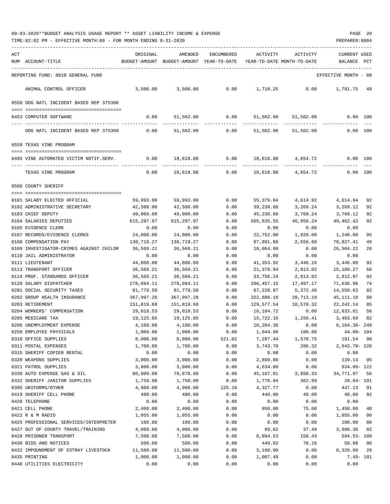| ACT | NUM ACCOUNT-TITLE                                                  | ORIGINAL          | AMENDED<br>BUDGET-AMOUNT BUDGET-AMOUNT YEAR-TO-DATE | <b>ENCUMBERED</b> | ACTIVITY<br>YEAR-TO-DATE MONTH-TO-DATE | ACTIVITY      | <b>CURRENT USED</b><br>BALANCE | PCT       |
|-----|--------------------------------------------------------------------|-------------------|-----------------------------------------------------|-------------------|----------------------------------------|---------------|--------------------------------|-----------|
|     | REPORTING FUND: 0010 GENERAL FUND                                  |                   |                                                     |                   |                                        |               | EFFECTIVE MONTH - 08           |           |
|     | ANIMAL CONTROL OFFICER                                             | 3,500.00          | 3,500.00                                            | 0.00              | 1,718.25                               | 0.00          | 1,781.75                       | -49       |
|     | 0558 OOG NATL INCIDENT BASED REP 375300                            |                   |                                                     |                   |                                        |               |                                |           |
|     | 0453 COMPUTER SOFTWARE                                             |                   | $0.00$ 51,502.00 0.00 51,502.00 51,502.00 0.00 100  |                   |                                        |               |                                |           |
|     | OOG NATL INCIDENT BASED REP 375300                                 | 0.00              | 51,502.00                                           | 0.00              | 51,502.00                              | 51,502.00     |                                | 0.00 100  |
|     | 0559 TEXAS VINE PROGRAM                                            |                   |                                                     |                   |                                        |               |                                |           |
|     | 0495 VINE AUTOMATED VICTIM NOTIF.SERV.                             | 0.00              | 18,618.88                                           | 0.00              | 18,618.88                              | 4,654.72      |                                | 0.00 100  |
|     | TEXAS VINE PROGRAM                                                 | 0.00              | 18,618.88                                           | 0.00              | 18,618.88                              | 4,654.72      |                                | 0.00 100  |
|     | 0560 COUNTY SHERIFF                                                |                   |                                                     |                   |                                        |               |                                |           |
|     | 0101 SALARY ELECTED OFFICIAL                                       | 59,993.98         | 59,993.98                                           | 0.00              | 55,379.04                              | 4,614.92      | 4,614.94                       | 92        |
|     | 0102 ADMINISTRATIVE SECRETARY                                      | 42,500.00         | 42,500.00                                           | 0.00              | 39,230.88                              | 3,269.24      | 3,269.12                       | 92        |
|     | 0103 CHIEF DEPUTY                                                  | 49,000.00         | 49,000.00                                           | 0.00              | 45,230.88                              | 3,769.24      | 3,769.12                       | 92        |
|     | 0104 SALARIES DEPUTIES                                             | 615,297.97        | 615,297.97                                          | 0.00              | 565,835.55                             | 46,956.24     | 49,462.42                      | 92        |
|     | 0105 EVIDENCE CLERK                                                | 0.00              | 0.00                                                | 0.00              | 0.00                                   | 0.00          | 0.00                           |           |
|     | 0107 RECORDS/EVIDENCE CLERKS                                       | 24,000.00         | 24,000.00                                           | 0.00              | 22,752.00                              | 1,920.00      | 1,248.00                       | 95        |
|     | 0108 COMPENSATION PAY                                              | 138,719.27        | 138,719.27                                          | 0.00              | 67,891.86                              | 2,556.60      | 70,827.41<br>26,504.22         | 49        |
|     | 0109 INVESTIGATOR-CRIMES AGAINST CHILDR<br>0110 JAIL ADMINISTRATOR | 36,569.21<br>0.00 | 36,569.21<br>0.00                                   | 0.00<br>0.00      | 10,064.99<br>0.00                      | 0.00<br>0.00  | 0.00                           | 28        |
|     | 0111 LIEUTENANT                                                    | 44,800.00         | 44,800.00                                           | 0.00              | 41,353.92                              | 3,446.16      | 3,446.08                       | 92        |
|     | 0113 TRANSPORT OFFICER                                             | 36,569.21         | 36,569.21                                           | 0.00              | 21,379.94                              | 2,813.02      | 15,189.27                      | 58        |
|     | 0114 PROF. STANDARDS OFFICER                                       | 36,569.21         | 36,569.21                                           | 0.00              | 33,756.24                              | 2,813.02      | 2,812.97                       | 92        |
|     | 0120 SALARY DISPATCHER                                             | 278,094.11        | 278,094.11                                          | 0.00              | 206, 457. 15                           | 17,497.17     | 71,636.96                      | 74        |
|     | 0201 SOCIAL SECURITY TAXES                                         | 81,779.50         | 81,779.50                                           | 0.00              | 67,228.87                              | 5,372.46      | 14,550.63                      | 82        |
|     | 0202 GROUP HEALTH INSURANCE                                        | 367,997.28        | 367,997.28                                          | 0.00              | 322,886.18                             | 28,713.19     | 45,111.10                      | 88        |
|     | 0203 RETIREMENT                                                    | 151,819.68        | 151,819.68                                          | 0.00              | 129,577.54                             | 10,570.32     | 22,242.14                      | 85        |
|     | 0204 WORKERS' COMPENSATION                                         | 29,018.53         | 29,018.53                                           | 0.00              | 16,184.72                              | 0.00          | 12,833.81                      | 56        |
|     | 0205 MEDICARE TAX                                                  | 19,125.85         | 19,125.85                                           | 0.00              | 15,722.16                              | 1,256.41      | 3,403.69                       | 82        |
|     | 0206 UNEMPLOYMENT EXPENSE                                          | 4,100.00          | 4,100.00                                            | 0.00              | 10,204.36                              | 0.00          | $6, 104.36 - 249$              |           |
|     | 0250 EMPLOYEE PHYSICALS                                            | 1,000.00          | 1,000.00                                            | 0.00              | 1,044.00                               | 180.00        | $44.00 - 104$                  |           |
|     | 0310 OFFICE SUPPLIES                                               | 8,000.00          | 8,000.00                                            | 521.02            | 7,287.44                               | 1,578.75      | 191.54                         | 98        |
|     | 0311 POSTAL EXPENSES                                               | 1,700.00          | 1,700.00                                            | 0.00              | 3,743.78                               | 286.32        | 2,043.78-220                   |           |
|     | 0315 SHERIFF COPIER RENTAL                                         | 0.00              | 0.00                                                | 0.00              | 0.00                                   | 0.00          | 0.00                           |           |
|     | 0320 WEAPONS SUPPLIES                                              | 3,000.00          | 3,000.00                                            | 0.00              | 2,860.86                               | 0.00          | 139.14                         | 95        |
|     | 0321 PATROL SUPPLIES                                               | 3,800.00          | 3,800.00                                            | 0.00              | 4,634.80                               | 0.00          | 834.80- 122                    |           |
|     | 0330 AUTO EXPENSE GAS & OIL                                        | 80,000.00         | 79,878.98                                           | 0.00              | 45,107.01                              | 3,850.33      | 34,771.97                      | -56       |
|     | 0332 SHERIFF JANITOR SUPPLIES                                      | 1,750.00          | 1,750.00                                            | 0.00              | 1,770.84                               | 362.99        | $20.84 - 101$                  |           |
|     | 0395 UNIFORMS/OTHER                                                | 4,900.00          | 4,900.00                                            | 125.10            | 4,327.77                               | 0.00          | 447.13                         | 91        |
|     | 0419 SHERIFF CELL PHONE<br>0420 TELEPHONE                          | 480.00<br>0.00    | 480.00<br>0.00                                      | 0.00<br>0.00      | 440.00<br>0.00                         | 40.00<br>0.00 | 40.00<br>0.00                  | 92        |
|     | 0421 CELL PHONE                                                    | 2,400.00          | 2,400.00                                            | 0.00              | 950.00                                 | 75.00         | 1,450.00                       | 40        |
|     | 0422 R & M RADIO                                                   | 1,055.00          | 1,055.00                                            | 0.00              | 0.00                                   | 0.00          | 1,055.00                       | 00        |
|     | 0425 PROFESSIONAL SERVICES/INTERPRETER                             | 100.00            | 100.00                                              | 0.00              | 0.00                                   | 0.00          | 100.00                         | 00        |
|     | 0427 OUT OF COUNTY TRAVEL/TRAINING                                 | 4,000.00          | 4,000.00                                            | 0.00              | 99.62                                  | 37.49         | 3,900.38                       | 02        |
|     | 0428 PRISONER TRANSPORT                                            | 7,500.00          | 7,500.00                                            | 0.00              | 8,094.53                               | 158.43        | $594.53 - 108$                 |           |
|     | 0430 BIDS AND NOTICES                                              | 500.00            | 500.00                                              | 0.00              | 449.92                                 | 70.16         | 50.08                          | 90        |
|     | 0432 IMPOUNDMENT OF ESTRAY LIVESTOCK                               | 11,500.00         | 11,500.00                                           | 0.00              | 3,180.00                               | 0.00          | 8,320.00                       | 28        |
|     | 0435 PRINTING                                                      | 1,000.00          | 1,000.00                                            | 0.00              | 1,007.49                               | 0.00          |                                | 7.49- 101 |
|     | 0440 UTILITIES ELECTRICITY                                         | 0.00              | 0.00                                                | 0.00              | 0.00                                   | 0.00          | 0.00                           |           |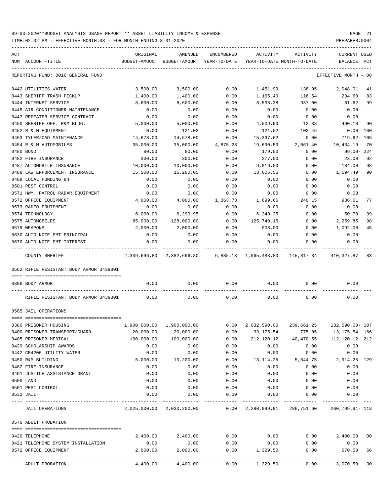| ACT |                                         | ORIGINAL   | AMENDED                                  | ENCUMBERED          | ACTIVITY                  | ACTIVITY                                                                 | CURRENT USED              |              |
|-----|-----------------------------------------|------------|------------------------------------------|---------------------|---------------------------|--------------------------------------------------------------------------|---------------------------|--------------|
|     | NUM ACCOUNT-TITLE                       |            | BUDGET-AMOUNT BUDGET-AMOUNT YEAR-TO-DATE |                     |                           | YEAR-TO-DATE MONTH-TO-DATE                                               | BALANCE                   | $_{\rm PCT}$ |
|     | REPORTING FUND: 0010 GENERAL FUND       |            |                                          |                     |                           |                                                                          | EFFECTIVE MONTH - 08      |              |
|     | 0442 UTILITIES WATER                    | 3,500.00   | 3,500.00                                 | 0.00                | 1,451.99                  | 138.95                                                                   | 2,048.01                  | 41           |
|     | 0443 SHERIFF TRASH PICKUP               | 1,400.00   | 1,400.00                                 | 0.00                | 1,165.40                  | 116.54                                                                   | 234.60                    | 83           |
|     | 0444 INTERNET SERVICE                   | 8,600.00   | 8,600.00                                 | 0.00                | 8,538.38                  | 937.00                                                                   | 61.62                     | 99           |
|     | 0445 AIR CONDITIONER MAINTENANCE        | 0.00       | 0.00                                     | 0.00                | 0.00                      | 0.00                                                                     | 0.00                      |              |
|     | 0447 REPEATER SERVICE CONTRACT          | 0.00       | 0.00                                     | 0.00                | 0.00                      | 0.00                                                                     | 0.00                      |              |
|     | 0450 SHERIFF OFF. R&M BLDG.             | 5,000.00   | 5,000.00                                 | 0.00                | 4,509.90                  | 12.38                                                                    | 490.10                    | 90           |
|     | 0452 R & M EQUIPMENT                    | 0.00       | 121.02                                   | 0.00                | 121.02                    | 103.46                                                                   | $0.00$ 100                |              |
|     | 0453 TYLER/CAD MAINTENANCE              | 14,678.00  | 14,678.00                                | 0.00                | 15,397.62                 | 0.00                                                                     | 719.62- 105               |              |
|     | 0454 R & M AUTOMOBILES                  | 35,000.00  | 35,000.00                                | 4,875.28            | 19,690.53                 | 2,061.40                                                                 | 10,434.19                 | 70           |
|     | 0480 BOND                               | 80.00      | 80.00                                    | 0.00                | 179.00                    | 0.00                                                                     | 99.00- 224                |              |
|     | 0482 FIRE INSURANCE                     | 300.00     | 300.00                                   | 0.00                | 277.00                    | 0.00                                                                     | 23.00                     | 92           |
|     | 0487 AUTOMOBILE INSURANCE               | 10,000.00  | 10,000.00                                | 0.00                | 9,816.00                  | 0.00                                                                     | 184.00                    | 98           |
|     | 0488 LAW ENFORCEMENT INSURANCE          | 15,500.00  | 15,200.05                                | 0.00                | 13,605.56                 | 0.00                                                                     | 1,594.49                  | 90           |
|     | 0489 LOCAL FUNDING 84                   | 0.00       | 0.00                                     | 0.00                | 0.00                      | 0.00                                                                     | 0.00                      |              |
|     | 0501 PEST CONTROL                       | 0.00       | 0.00                                     | 0.00                | 0.00                      | 0.00                                                                     | 0.00                      |              |
|     | 0571 HWY. PATROL RADAR EQUIPMENT        | 0.00       | 0.00                                     | 0.00                | 0.00                      | 0.00                                                                     | 0.00                      |              |
|     | 0572 OFFICE EQUIPMENT                   | 4,000.00   | 4,000.00                                 | 1,363.73            | 1,699.66                  | 240.15                                                                   | 936.61                    | 77           |
|     | 0573 RADIO EQUIPMENT                    | 0.00       | 0.00                                     | 0.00                | 0.00                      | 0.00                                                                     | 0.00                      |              |
|     | 0574 TECHNOLOGY                         | 6,000.00   | 6,299.95                                 | 0.00                | 6,249.25                  | 0.00                                                                     | 50.70                     | 99           |
|     | 0575 AUTOMOBILES                        | 85,000.00  | 128,000.00                               | 0.00                | 125,740.15                | 0.00                                                                     | 2,259.85                  | 98           |
|     | 0579 WEAPONS                            | 2,000.00   | 2,000.00                                 | 0.00                | 908.00                    | 0.00                                                                     | 1,092.00                  | 45           |
|     | 0630 AUTO NOTE PMT-PRINCIPAL            | 0.00       | 0.00                                     | 0.00                | 0.00                      | 0.00                                                                     | 0.00                      |              |
|     | 0670 AUTO NOTE PMT-INTEREST             | 0.00       | 0.00                                     | 0.00                | 0.00                      | 0.00                                                                     | 0.00                      |              |
|     | COUNTY SHERIFF                          |            |                                          |                     |                           | 2,339,696.80 2,382,696.80 6,885.13 1,965,483.80 145,817.34 410,327.87 83 |                           |              |
|     | 0562 RIFLE RESISTANT BODY ARMOR 3439801 |            |                                          |                     |                           |                                                                          |                           |              |
|     |                                         |            |                                          |                     |                           |                                                                          |                           |              |
|     | 0396 BODY ARMOR                         | 0.00       | 0.00                                     | 0.00                | 0.00                      | 0.00                                                                     | 0.00                      |              |
|     | RIFLE RESISTANT BODY ARMOR 3439801      | 0.00       | 0.00                                     | 0.00                | 0.00                      | 0.00                                                                     | 0.00                      |              |
|     | 0565 JAIL OPERATIONS                    |            |                                          |                     |                           |                                                                          |                           |              |
|     | 0380 PRISONER HOUSING                   |            | 1,900,000.00 1,900,000.00                |                     | $0.00 \quad 2,032,590.00$ |                                                                          | 239,661.25 132,590.00-107 |              |
|     | 0400 PRISONER TRANSPORT/GUARD           | 20,000.00  | 20,000.00                                |                     |                           | $0.00$ $33,175.54$ $775.05$ $13,175.54$ $166$                            |                           |              |
|     | 0405 PRISONER MEDICAL                   | 100,000.00 | 100,000.00                               | 0.00                | 212,120.12                | 40,470.55                                                                | 112, 120. 12- 212         |              |
|     | 0429 SCHOLARSHIP AWARDS                 | 0.00       | 0.00                                     | 0.00                | 0.00                      | 0.00                                                                     | 0.00                      |              |
|     | 0442 CR4200 UTILITY WATER               | 0.00       | 0.00                                     | 0.00                | 0.00                      | 0.00                                                                     | 0.00                      |              |
|     | 0450 R&M BUILDING                       | 5,000.00   | 10,200.00                                | 0.00                | 13,114.25                 | 5,844.75                                                                 | 2,914.25-129              |              |
|     | 0482 FIRE INSURANCE                     | 0.00       | 0.00                                     | 0.00                | 0.00                      | 0.00                                                                     | 0.00                      |              |
|     | 0491 JUSTICE ASSISTANCE GRANT           | 0.00       | 0.00                                     | 0.00                | 0.00                      | 0.00                                                                     | 0.00                      |              |
|     | 0500 LAND                               | 0.00       | 0.00                                     | 0.00                | 0.00                      | 0.00                                                                     | 0.00                      |              |
|     | 0501 PEST CONTROL                       | 0.00       | 0.00                                     | 0.00                | 0.00                      | 0.00                                                                     | 0.00                      |              |
|     | 0532 JAIL                               | 0.00       | 0.00                                     | 0.00                | 0.00                      | 0.00                                                                     | 0.00                      |              |
|     | <b>JAIL OPERATIONS</b>                  |            |                                          |                     |                           | 2,025,000.00 2,030,200.00 0.00 2,290,999.91 286,751.60 260,799.91-113    |                           |              |
|     | 0570 ADULT PROBATION                    |            |                                          |                     |                           |                                                                          |                           |              |
|     |                                         |            |                                          |                     |                           |                                                                          |                           |              |
|     | 0420 TELEPHONE                          | 2,400.00   | 2,400.00                                 | 0.00                | 0.00                      |                                                                          | $0.00$ 2,400.00 00        |              |
|     | 0421 TELEPHONE SYSTEM INSTALLATION      | 0.00       | 0.00                                     | 0.00                | 0.00                      | 0.00                                                                     | 0.00                      |              |
|     | 0572 OFFICE EQUIPMENT                   | 2,000.00   | 2,000.00                                 | 0.00<br>----------- | 1,329.50                  | 0.00                                                                     | 670.50 66                 |              |
|     | ADULT PROBATION                         |            | $4,400.00$ $4,400.00$ $0.00$ $1,329.50$  |                     |                           | 0.00                                                                     | 3,070.50 30               |              |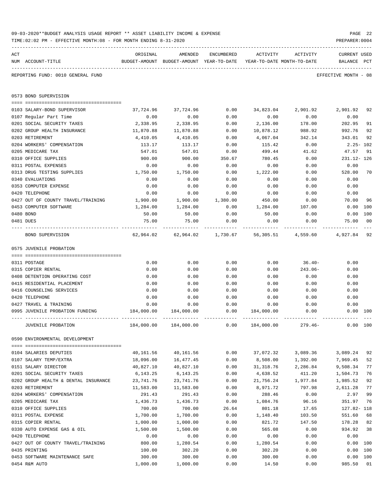|     | TIME: 02:02 PM - EFFECTIVE MONTH: 08 - FOR MONTH ENDING 8-31-2020 |            |                                          |            |                            |                    | PREPARER: 0004       |      |
|-----|-------------------------------------------------------------------|------------|------------------------------------------|------------|----------------------------|--------------------|----------------------|------|
| ACT |                                                                   | ORIGINAL   | AMENDED                                  | ENCUMBERED | ACTIVITY                   | ACTIVITY           | <b>CURRENT USED</b>  |      |
|     | NUM ACCOUNT-TITLE                                                 |            | BUDGET-AMOUNT BUDGET-AMOUNT YEAR-TO-DATE |            | YEAR-TO-DATE MONTH-TO-DATE |                    | BALANCE              | PCT  |
|     | REPORTING FUND: 0010 GENERAL FUND                                 |            |                                          |            |                            |                    | EFFECTIVE MONTH - 08 |      |
|     | 0573 BOND SUPERVISION                                             |            |                                          |            |                            |                    |                      |      |
|     | 0103 SALARY-BOND SUPERVISOR                                       | 37,724.96  | 37,724.96                                | 0.00       | 34,823.04                  | 2,901.92           | 2,901.92 92          |      |
|     | 0107 Regular Part Time                                            | 0.00       | 0.00                                     | 0.00       | 0.00                       | 0.00               | 0.00                 |      |
|     | 0201 SOCIAL SECURITY TAXES                                        | 2,338.95   | 2,338.95                                 | 0.00       | 2,136.00                   | 178.00             | 202.95               | 91   |
|     | 0202 GROUP HEALTH INSURANCE                                       | 11,870.88  | 11,870.88                                | 0.00       | 10,878.12                  | 988.92             | 992.76               | 92   |
|     | 0203 RETIREMENT                                                   | 4,410.05   | 4,410.05                                 | 0.00       | 4,067.04                   | 342.14             | 343.01               | 92   |
|     | 0204 WORKERS' COMPENSATION                                        | 113.17     | 113.17                                   | 0.00       | 115.42                     | 0.00               | 2.25- 102            |      |
|     | 0205 MEDICARE TAX                                                 | 547.01     | 547.01                                   | 0.00       | 499.44                     | 41.62              | 47.57                | 91   |
|     | 0310 OFFICE SUPPLIES                                              | 900.00     | 900.00                                   | 350.67     | 780.45                     | 0.00               | 231.12- 126          |      |
|     | 0311 POSTAL EXPENSES                                              | 0.00       | 0.00                                     | 0.00       | 0.00                       | 0.00               | 0.00                 |      |
|     | 0313 DRUG TESTING SUPPLIES                                        | 1,750.00   | 1,750.00                                 | 0.00       | 1,222.00                   | 0.00               | 528.00               | 70   |
|     | 0340 EVALUATIONS                                                  | 0.00       | 0.00                                     | 0.00       | 0.00                       | 0.00               | 0.00                 |      |
|     | 0353 COMPUTER EXPENSE                                             | 0.00       | 0.00                                     | 0.00       | 0.00                       | 0.00               | 0.00                 |      |
|     | 0420 TELEPHONE                                                    | 0.00       | 0.00                                     | 0.00       | 0.00                       | 0.00               | 0.00                 |      |
|     | 0427 OUT OF COUNTY TRAVEL/TRAINING                                | 1,900.00   | 1,900.00                                 | 1,380.00   | 450.00                     | 0.00               | 70.00                | 96   |
|     | 0453 COMPUTER SOFTWARE                                            | 1,284.00   | 1,284.00                                 | 0.00       | 1,284.00                   | 107.00             | 0.00                 | 100  |
|     | 0480 BOND                                                         | 50.00      | 50.00                                    | 0.00       | 50.00                      | 0.00               | 0.00                 | 100  |
|     | 0481 DUES                                                         | 75.00      | 75.00                                    | 0.00       | 0.00                       | 0.00               | 75.00                | - 00 |
|     | BOND SUPERVISION                                                  | 62,964.02  | 62,964.02                                | 1,730.67   |                            | 56,305.51 4,559.60 | 4,927.84 92          |      |
|     | 0575 JUVENILE PROBATION                                           |            |                                          |            |                            |                    |                      |      |
|     |                                                                   |            |                                          |            |                            |                    |                      |      |
|     | 0311 POSTAGE                                                      | 0.00       | 0.00                                     | 0.00       | 0.00                       | $36.40 -$          | 0.00                 |      |
|     | 0315 COPIER RENTAL                                                | 0.00       | 0.00                                     | 0.00       | 0.00                       | $243.06-$          | 0.00                 |      |
|     | 0408 DETENTION OPERATING COST                                     | 0.00       | 0.00                                     | 0.00       | 0.00                       | 0.00               | 0.00                 |      |
|     | 0415 RESIDENTIAL PLACEMENT                                        | 0.00       | 0.00                                     | 0.00       | 0.00                       | 0.00               | 0.00                 |      |
|     | 0416 COUNSELING SERVICES                                          | 0.00       | 0.00                                     | 0.00       | 0.00                       | 0.00               | 0.00                 |      |
|     | 0420 TELEPHONE                                                    | 0.00       | 0.00                                     | 0.00       | 0.00                       | 0.00               | 0.00                 |      |
|     | 0427 TRAVEL & TRAINING                                            | 0.00       | 0.00                                     | 0.00       | 0.00                       | 0.00               | 0.00                 |      |
|     | 0995 JUVENILE PROBATION FUNDING                                   | 184,000.00 | 184,000.00                               | 0.00       | 184,000.00                 | 0.00               | 0.00 100             |      |
|     | JUVENILE PROBATION                                                | 184,000.00 | 184,000.00                               | 0.00       | 184,000.00                 | 279.46-            | 0.00                 | 100  |
|     | 0590 ENVIRONMENTAL DEVELOPMENT                                    |            |                                          |            |                            |                    |                      |      |
|     |                                                                   |            |                                          |            |                            |                    |                      |      |
|     | 0104 SALARIES DEPUTIES                                            | 40,161.56  | 40,161.56                                | 0.00       | 37,072.32                  | 3,089.36           | 3,089.24             | 92   |
|     | 0107 SALARY TEMP/EXTRA                                            | 18,096.00  | 16,477.45                                | 0.00       | 8,508.00                   | 1,392.00           | 7,969.45             | 52   |
|     | 0151 SALARY DIRECTOR                                              | 40,827.10  | 40,827.10                                | 0.00       | 31, 318.76                 | 2,286.84           | 9,508.34             | 77   |
|     | 0201 SOCIAL SECURITY TAXES                                        | 6,143.25   | 6,143.25                                 | 0.00       | 4,638.52                   | 411.20             | 1,504.73             | 76   |
|     | 0202 GROUP HEALTH & DENTAL INSURANCE                              | 23,741.76  | 23,741.76                                | 0.00       | 21,756.24                  | 1,977.84           | 1,985.52             | 92   |
|     | 0203 RETIREMENT                                                   | 11,583.00  | 11,583.00                                | 0.00       | 8,971.72                   | 797.98             | 2,611.28             | 77   |
|     | 0204 WORKERS' COMPENSATION                                        | 291.43     | 291.43                                   | 0.00       | 288.46                     | 0.00               | 2.97                 | 99   |
|     | 0205 MEDICARE TAX                                                 | 1,436.73   | 1,436.73                                 | 0.00       | 1,084.76                   | 96.16              | 351.97               | 76   |
|     | 0310 OFFICE SUPPLIES                                              | 700.00     | 700.00                                   | 26.64      | 801.18                     | 17.65              | 127.82- 118          |      |
|     | 0311 POSTAL EXPENSE                                               | 1,700.00   | 1,700.00                                 | 0.00       | 1,148.40                   | 103.50             | 551.60               | 68   |
|     | 0315 COPIER RENTAL                                                | 1,000.00   | 1,000.00                                 | 0.00       | 821.72                     | 147.50             | 178.28               | 82   |
|     | 0330 AUTO EXPENSE GAS & OIL                                       | 1,500.00   | 1,500.00                                 | 0.00       | 565.08                     | 0.00               | 934.92               | 38   |
|     | 0420 TELEPHONE                                                    | 0.00       | 0.00                                     | 0.00       | 0.00                       | 0.00               | 0.00                 |      |
|     | 0427 OUT OF COUNTY TRAVEL/TRAINING                                | 800.00     | 1,280.54                                 | 0.00       | 1,280.54                   | 0.00               | 0.00                 | 100  |
|     | 0435 PRINTING                                                     | 100.00     | 302.20                                   | 0.00       | 302.20                     | 0.00               | 0.00                 | 100  |
|     | 0453 SOFTWARE MAINTENANCE SAFE                                    | 300.00     | 300.00                                   | 0.00       | 300.00                     | 0.00               | 0.00                 | 100  |
|     | 0454 R&M AUTO                                                     | 1,000.00   | 1,000.00                                 | 0.00       | 14.50                      | 0.00               | 985.50               | 01   |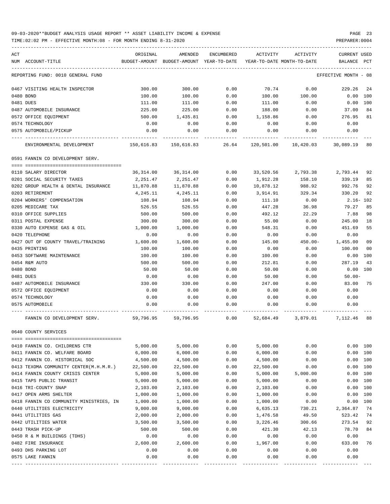TIME:02:02 PM - EFFECTIVE MONTH:08 - FOR MONTH ENDING 8-31-2020

| ACT |                                         | ORIGINAL      | AMENDED                    | ENCUMBERED | ACTIVITY   | ACTIVITY                   | CURRENT USED         |                |
|-----|-----------------------------------------|---------------|----------------------------|------------|------------|----------------------------|----------------------|----------------|
|     | NUM ACCOUNT-TITLE                       | BUDGET-AMOUNT | BUDGET-AMOUNT YEAR-TO-DATE |            |            | YEAR-TO-DATE MONTH-TO-DATE | BALANCE              | PCT            |
|     | REPORTING FUND: 0010 GENERAL FUND       |               |                            |            |            |                            | EFFECTIVE MONTH - 08 |                |
|     | 0467 VISITING HEALTH INSPECTOR          | 300.00        | 300.00                     | 0.00       | 70.74      | 0.00                       | 229.26               | 24             |
|     | 0480 BOND                               | 100.00        | 100.00                     | 0.00       | 100.00     | 100.00                     | 0.00                 | 100            |
|     | 0481 DUES                               | 111.00        | 111.00                     | 0.00       | 111.00     | 0.00                       | $0.00$ 100           |                |
|     | 0487 AUTOMOBILE INSURANCE               | 225.00        | 225.00                     | 0.00       | 188.00     | 0.00                       | 37.00                | 84             |
|     | 0572 OFFICE EQUIPMENT                   | 500.00        | 1,435.81                   | 0.00       | 1,158.86   | 0.00                       | 276.95               | 81             |
|     | 0574 TECHNOLOGY                         | 0.00          | 0.00                       | 0.00       | 0.00       | 0.00                       | 0.00                 |                |
|     | 0575 AUTOMOBILE/PICKUP                  | 0.00          | 0.00                       | 0.00       | 0.00       | 0.00                       | 0.00                 |                |
|     | ENVIRONMENTAL DEVELOPMENT               | 150,616.83    | 150,616.83                 | 26.64      | 120,501.00 | 10,420.03                  | 30,089.19            | 80             |
|     | 0591 FANNIN CO DEVELOPMENT SERV.        |               |                            |            |            |                            |                      |                |
|     | 0110 SALARY DIRECTOR                    | 36,314.00     | 36,314.00                  | 0.00       | 33,520.56  | 2,793.38                   | 2,793.44             | 92             |
|     | 0201 SOCIAL SECURITY TAXES              | 2,251.47      | 2,251.47                   | 0.00       | 1,912.28   | 158.10                     | 339.19               | 85             |
|     | 0202 GROUP HEALTH & DENTAL INSURANCE    | 11,870.88     | 11,870.88                  | 0.00       | 10,878.12  | 988.92                     | 992.76               | 92             |
|     | 0203 RETIREMENT                         | 4,245.11      | 4,245.11                   | 0.00       | 3,914.91   | 329.34                     | 330.20               | 92             |
|     | 0204 WORKERS' COMPENSATION              | 108.94        | 108.94                     | 0.00       | 111.10     | 0.00                       | $2.16 - 102$         |                |
|     | 0205 MEDICARE TAX                       | 526.55        | 526.55                     | 0.00       | 447.28     | 36.98                      | 79.27                | 85             |
|     | 0310 OFFICE SUPPLIES                    | 500.00        | 500.00                     | 0.00       | 492.12     | 22.29                      | 7.88                 | 98             |
|     | 0311 POSTAL EXPENSE                     | 300.00        | 300.00                     | 0.00       | 55.00      | 0.00                       | 245.00               | 18             |
|     | 0330 AUTO EXPENSE GAS & OIL             | 1,000.00      | 1,000.00                   | 0.00       | 548.31     | 0.00                       | 451.69               | 55             |
|     | 0420 TELEPHONE                          | 0.00          | 0.00                       | 0.00       | 0.00       | 0.00                       | 0.00                 |                |
|     | 0427 OUT OF COUNTY TRAVEL/TRAINING      | 1,600.00      | 1,600.00                   | 0.00       | 145.00     | $450.00 -$                 | 1,455.00             | 09             |
|     | 0435 PRINTING                           | 100.00        | 100.00                     | 0.00       | 0.00       | 0.00                       | 100.00               | 0 <sub>0</sub> |
|     | 0453 SOFTWARE MAINTENANCE               | 100.00        | 100.00                     | 0.00       | 100.00     | 0.00                       | 0.00                 | 100            |
|     | 0454 R&M AUTO                           | 500.00        | 500.00                     | 0.00       | 212.81     | 0.00                       | 287.19               | 43             |
|     | 0480 BOND                               | 50.00         | 50.00                      | 0.00       | 50.00      | 0.00                       | 0.00                 | 100            |
|     | 0481 DUES                               | 0.00          | 0.00                       | 0.00       | 50.00      | 0.00                       | $50.00 -$            |                |
|     | 0487 AUTOMOBILE INSURANCE               | 330.00        | 330.00                     | 0.00       | 247.00     | 0.00                       | 83.00                | 75             |
|     | 0572 OFFICE EQUIPMENT                   | 0.00          | 0.00                       | 0.00       | 0.00       | 0.00                       | 0.00                 |                |
|     | 0574 TECHNOLOGY                         | 0.00          | 0.00                       | 0.00       | 0.00       | 0.00                       | 0.00                 |                |
|     | 0575 AUTOMOBILE                         | 0.00          | 0.00                       | 0.00       | 0.00       | 0.00                       | 0.00                 |                |
|     | FANNIN CO DEVELOPMENT SERV.             | 59,796.95     | 59,796.95                  | 0.00       | 52,684.49  | 3,879.01                   | 7,112.46             | 88             |
|     | 0640 COUNTY SERVICES                    |               |                            |            |            |                            |                      |                |
|     | 0410 FANNIN CO. CHILDRENS CTR           | 5,000.00      | 5,000.00                   | 0.00       | 5,000.00   | 0.00                       | 0.00                 | 100            |
|     | 0411 FANNIN CO. WELFARE BOARD           | 6,000.00      | 6,000.00                   | 0.00       | 6,000.00   | 0.00                       | 0.00                 | 100            |
|     | 0412 FANNIN CO. HISTORICAL SOC          | 4,500.00      | 4,500.00                   | 0.00       | 4,500.00   | 0.00                       | 0.00                 | 100            |
|     | 0413 TEXOMA COMMUNITY CENTER (M.H.M.R.) | 22,500.00     | 22,500.00                  | 0.00       | 22,500.00  | 0.00                       | 0.00                 | 100            |
|     | 0414 FANNIN COUNTY CRISIS CENTER        | 5,000.00      | 5,000.00                   | 0.00       | 5,000.00   | 5,000.00                   | 0.00                 | 100            |
|     | 0415 TAPS PUBLIC TRANSIT                | 5,000.00      | 5,000.00                   | 0.00       | 5,000.00   | 0.00                       | 0.00                 | 100            |
|     | 0416 TRI-COUNTY SNAP                    | 2,103.00      | 2,103.00                   | 0.00       | 2,103.00   | 0.00                       | 0.00                 | 100            |
|     | 0417 OPEN ARMS SHELTER                  | 1,000.00      | 1,000.00                   | 0.00       | 1,000.00   | 0.00                       | 0.00                 | 100            |
|     | 0418 FANNIN CO COMMUNITY MINISTRIES, IN | 1,000.00      | 1,000.00                   | 0.00       | 1,000.00   | 0.00                       | 0.00                 | 100            |
|     | 0440 UTILITIES ELECTRICITY              | 9,000.00      | 9,000.00                   | 0.00       | 6,635.13   | 730.21                     | 2,364.87             | 74             |
|     | 0441 UTILITIES GAS                      | 2,000.00      | 2,000.00                   | 0.00       | 1,476.58   | 49.50                      | 523.42               | 74             |
|     | 0442 UTILITIES WATER                    | 3,500.00      | 3,500.00                   | 0.00       | 3,226.46   | 300.66                     | 273.54               | 92             |
|     | 0443 TRASH PICK-UP                      | 500.00        | 500.00                     | 0.00       | 421.30     | 42.13                      | 78.70                | 84             |
|     | 0450 R & M BUILDINGS (TDHS)             | 0.00          | 0.00                       | 0.00       | 0.00       | 0.00                       | 0.00                 |                |
|     | 0482 FIRE INSURANCE                     | 2,600.00      | 2,600.00                   | 0.00       | 1,967.00   | 0.00                       | 633.00               | 76             |
|     | 0493 DHS PARKING LOT                    | 0.00          | 0.00                       | 0.00       | 0.00       | 0.00                       | 0.00                 |                |
|     | 0575 LAKE FANNIN                        | 0.00          | 0.00                       | 0.00       | 0.00       | 0.00                       | 0.00                 |                |

---- ---------------------------------- ------------- ------------- ------------ ------------- ------------ ------------- ---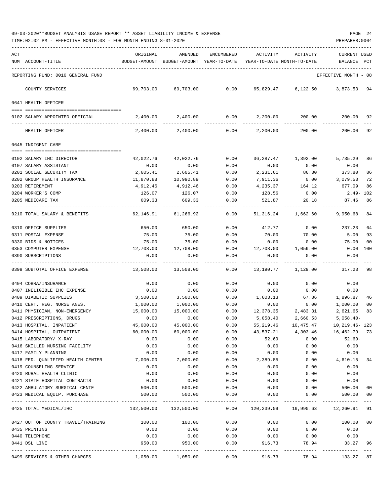| ACT |                                                                | ORIGINAL           | AMENDED                                                             | ENCUMBERED          | ACTIVITY           | ACTIVITY                   | <b>CURRENT USED</b>         |                      |
|-----|----------------------------------------------------------------|--------------------|---------------------------------------------------------------------|---------------------|--------------------|----------------------------|-----------------------------|----------------------|
|     | NUM ACCOUNT-TITLE                                              |                    | BUDGET-AMOUNT BUDGET-AMOUNT YEAR-TO-DATE YEAR-TO-DATE MONTH-TO-DATE |                     |                    |                            | BALANCE                     | $_{\rm PCT}$         |
|     |                                                                |                    |                                                                     |                     |                    |                            |                             |                      |
|     | REPORTING FUND: 0010 GENERAL FUND                              |                    |                                                                     |                     |                    |                            | EFFECTIVE MONTH - 08        |                      |
|     | COUNTY SERVICES                                                | 69,703.00          | 69,703.00                                                           | 0.00                |                    |                            | 65,829.47 6,122.50 3,873.53 | 94                   |
|     | 0641 HEALTH OFFICER                                            |                    |                                                                     |                     |                    |                            |                             |                      |
|     | 0102 SALARY APPOINTED OFFICIAL                                 |                    | 2,400.00 2,400.00                                                   |                     |                    | $0.00$ $2,200.00$ $200.00$ | 200.00                      | 92                   |
|     | HEALTH OFFICER                                                 | 2,400.00           | 2,400.00                                                            | 0.00                | 2,200.00           | 200.00                     | 200.00 92                   |                      |
|     | 0645 INDIGENT CARE                                             |                    |                                                                     |                     |                    |                            |                             |                      |
|     |                                                                |                    |                                                                     |                     |                    |                            |                             |                      |
|     | 0102 SALARY IHC DIRECTOR                                       | 42,022.76          | 42,022.76                                                           | 0.00                | 36,287.47          | 1,392.00                   | 5,735.29                    | 86                   |
|     | 0107 SALARY ASSISTANT                                          | 0.00               | 0.00                                                                | 0.00                | 0.00               | 0.00                       | 0.00                        |                      |
|     | 0201 SOCIAL SECURITY TAX                                       | 2,605.41           | 2,605.41                                                            | 0.00                | 2,231.61           | 86.30                      | 373.80                      | 86                   |
|     | 0202 GROUP HEALTH INSURANCE                                    | 11,870.88          | 10,990.89                                                           | 0.00                | 7,911.36           | 0.00                       | 3,079.53                    | 72<br>86             |
|     | 0203 RETIREMENT<br>0204 WORKER'S COMP                          | 4,912.46<br>126.07 | 4,912.46<br>126.07                                                  | 0.00<br>0.00        | 4,235.37<br>128.56 | 164.12<br>0.00             | 677.09<br>2.49- 102         |                      |
|     | 0205 MEDICARE TAX                                              | 609.33             | 609.33                                                              | 0.00                | 521.87             | 20.18                      | 87.46                       | 86                   |
|     |                                                                |                    |                                                                     |                     |                    |                            |                             |                      |
|     | 0210 TOTAL SALARY & BENEFITS                                   | 62,146.91          | 61,266.92                                                           | 0.00                | 51,316.24          | 1,662.60                   | 9,950.68                    | 84                   |
|     | 0310 OFFICE SUPPLIES                                           | 650.00             | 650.00                                                              | 0.00                | 412.77             | 0.00                       | 237.23                      | 64                   |
|     | 0311 POSTAL EXPENSE                                            | 75.00              | 75.00                                                               | 0.00                | 70.00              | 70.00                      | 5.00                        | 93                   |
|     | 0330 BIDS & NOTICES                                            | 75.00              | 75.00                                                               | 0.00                | 0.00               | 0.00                       | 75.00                       | 00                   |
|     | 0353 COMPUTER EXPENSE                                          | 12,708.00          | 12,708.00                                                           | 0.00                | 12,708.00          | 1,059.00                   | $0.00$ 100                  |                      |
|     | 0390 SUBSCRIPTIONS                                             | 0.00               | 0.00                                                                | 0.00                | 0.00               | 0.00                       | 0.00                        |                      |
|     | 0399 SUBTOTAL OFFICE EXPENSE                                   | 13,508.00          | 13,508.00                                                           | -----------<br>0.00 | 13,190.77          | 1,129.00                   | 317.23                      | 98                   |
|     | 0404 COBRA/INSURANCE                                           | 0.00               | 0.00                                                                | 0.00                | 0.00               | 0.00                       | 0.00                        |                      |
|     | 0407 INELIGIBLE IHC EXPENSE                                    | 0.00               | 0.00                                                                | 0.00                | 0.00               | 0.00                       | 0.00                        |                      |
|     | 0409 DIABETIC SUPPLIES                                         | 3,500.00           | 3,500.00                                                            | 0.00                |                    |                            | 1,603.13 67.86 1,896.87     | 46                   |
|     | 0410 CERT. REG. NURSE ANES.                                    | 1,000.00           | 1,000.00                                                            | 0.00                | 0.00               | 0.00                       | 1,000.00                    | 0 <sub>0</sub>       |
|     | 0411 PHYSICIAN, NON-EMERGENCY                                  | 15,000.00          | 15,000.00                                                           | 0.00                | 12,378.35          | 2,483.31                   | 2,621.65                    | 83                   |
|     | 0412 PRESCRIPTIONS, DRUGS                                      | 0.00               | 0.00                                                                | 0.00                | 5,058.40           | 2,660.53                   | 5,058.40-                   |                      |
|     | 0413 HOSPITAL, INPATIENT                                       | 45,000.00          | 45,000.00                                                           | 0.00                | 55,219.46          | 10,475.47                  | $10, 219.46 - 123$          |                      |
|     | 0414 HOSPITAL, OUTPATIENT                                      | 60,000.00          | 60,000.00                                                           | 0.00                | 43,537.21          | 4,303.46                   | 16,462.79                   | 73                   |
|     | 0415 LABORATORY/ X-RAY                                         | 0.00               | 0.00                                                                | 0.00                | 52.69              | 0.00                       | $52.69-$                    |                      |
|     | 0416 SKILLED NURSING FACILITY                                  | 0.00               | 0.00                                                                | 0.00                | 0.00               | 0.00                       | 0.00                        |                      |
|     | 0417 FAMILY PLANNING                                           | 0.00               | 0.00                                                                | 0.00                | 0.00               | 0.00                       | 0.00                        |                      |
|     | 0418 FED. QUALIFIED HEALTH CENTER                              | 7,000.00           | 7,000.00                                                            | 0.00                | 2,389.85           | 0.00                       | 4,610.15                    | 34                   |
|     | 0419 COUNSELING SERVICE                                        | 0.00               | 0.00                                                                | 0.00                | 0.00               | 0.00                       | 0.00                        |                      |
|     | 0420 RURAL HEALTH CLINIC                                       | 0.00               | 0.00                                                                | 0.00                | 0.00               | 0.00                       | 0.00                        |                      |
|     | 0421 STATE HOSPITAL CONTRACTS                                  | 0.00               | 0.00                                                                | 0.00                | 0.00               | 0.00                       | 0.00                        |                      |
|     | 0422 AMBULATORY SURGICAL CENTE<br>0423 MEDICAL EQUIP. PURCHASE | 500.00<br>500.00   | 500.00<br>500.00                                                    | 0.00<br>0.00        | 0.00<br>0.00       | 0.00<br>0.00               | 500.00<br>500.00            | 00<br>0 <sub>0</sub> |
|     |                                                                |                    |                                                                     |                     |                    |                            |                             | $- - -$              |
|     | 0425 TOTAL MEDICAL/IHC                                         |                    | $132,500.00$ $132,500.00$ $0.00$ $120,239.09$                       |                     |                    |                            | 19,990.63 12,260.91 91      |                      |
|     | 0427 OUT OF COUNTY TRAVEL/TRAINING                             | 100.00             | 100.00                                                              | 0.00                | 0.00               | 0.00                       | 100.00                      | 0 <sub>0</sub>       |
|     | 0435 PRINTING                                                  | 0.00               | 0.00                                                                | 0.00                | 0.00               | 0.00                       | 0.00                        |                      |
|     | 0440 TELEPHONE                                                 | 0.00               | 0.00                                                                | 0.00                | 0.00               | 0.00                       | 0.00                        |                      |
|     | 0441 DSL LINE                                                  | 950.00             | 950.00                                                              | 0.00<br>----------- | 916.73             | 78.94                      | 33.27                       | 96                   |
|     | 0499 SERVICES & OTHER CHARGES                                  | 1,050.00 1,050.00  |                                                                     | 0.00                | 916.73             | 78.94                      | 133.27                      | 87                   |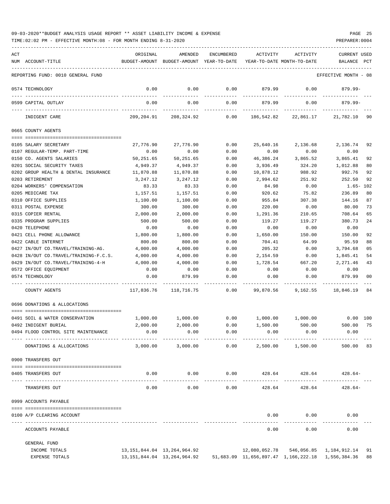| 09-03-2020**BUDGET ANALYSIS USAGE REPORT ** ASSET LIABILITY INCOME & EXPENSE |  |  | PAGE |  |
|------------------------------------------------------------------------------|--|--|------|--|
|                                                                              |  |  |      |  |

| ACT | NUM ACCOUNT-TITLE                     | ORIGINAL   | AMENDED<br>BUDGET-AMOUNT BUDGET-AMOUNT YEAR-TO-DATE | <b>ENCUMBERED</b> | ACTIVITY                                          | ACTIVITY<br>YEAR-TO-DATE MONTH-TO-DATE | <b>CURRENT USED</b><br>BALANCE           | PCT      |
|-----|---------------------------------------|------------|-----------------------------------------------------|-------------------|---------------------------------------------------|----------------------------------------|------------------------------------------|----------|
|     | REPORTING FUND: 0010 GENERAL FUND     |            |                                                     |                   |                                                   |                                        | EFFECTIVE MONTH - 08                     |          |
|     |                                       |            |                                                     |                   |                                                   |                                        |                                          |          |
|     | 0574 TECHNOLOGY                       | 0.00       | 0.00                                                | 0.00              | 879.99                                            | 0.00                                   | 879.99-                                  |          |
|     | 0599 CAPITAL OUTLAY                   | 0.00       | 0.00                                                | 0.00              | 879.99                                            | 0.00                                   | $879.99 -$                               |          |
|     | INDIGENT CARE                         |            | 209,204.91 208,324.92                               |                   | $0.00$ $186,542.82$ $22,861.17$                   |                                        | 21,782.10 90                             |          |
|     | 0665 COUNTY AGENTS                    |            |                                                     |                   |                                                   |                                        |                                          |          |
|     | 0105 SALARY SECRETARY                 | 27,776.90  | 27,776.90                                           | 0.00              | 25,640.16                                         | 2,136.68                               | 2,136.74 92                              |          |
|     | 0107 REGULAR-TEMP. PART-TIME          | 0.00       | 0.00                                                | 0.00              | 0.00                                              | 0.00                                   | 0.00                                     |          |
|     | 0150 CO. AGENTS SALARIES              | 50,251.65  | 50,251.65                                           | 0.00              | 46,386.24                                         | 3,865.52                               | 3,865.41                                 | 92       |
|     | 0201 SOCIAL SECURITY TAXES            | 4,949.37   | 4,949.37                                            | 0.00              | 3,936.49                                          | 324.20                                 | 1,012.88                                 | 80       |
|     | 0202 GROUP HEALTH & DENTAL INSURANCE  | 11,870.88  | 11,870.88                                           | 0.00              | 10,878.12                                         | 988.92                                 | 992.76                                   | 92       |
|     | 0203 RETIREMENT                       | 3,247.12   | 3,247.12                                            | 0.00              | 2,994.62                                          | 251.92                                 | 252.50                                   | 92       |
|     | 0204 WORKERS' COMPENSATION            | 83.33      | 83.33                                               | 0.00              | 84.98                                             | 0.00                                   | $1.65 - 102$                             |          |
|     | 0205 MEDICARE TAX                     | 1,157.51   | 1,157.51                                            | 0.00              | 920.62                                            | 75.82                                  | 236.89                                   | 80       |
|     | 0310 OFFICE SUPPLIES                  | 1,100.00   | 1,100.00                                            | 0.00              | 955.84                                            | 307.38                                 | 144.16                                   | 87       |
|     | 0311 POSTAL EXPENSE                   | 300.00     | 300.00                                              | 0.00              | 220.00                                            | 0.00                                   | 80.00                                    | 73       |
|     | 0315 COPIER RENTAL                    | 2,000.00   | 2,000.00                                            | 0.00              | 1,291.36                                          | 210.65                                 | 708.64                                   | 65       |
|     | 0335 PROGRAM SUPPLIES                 | 500.00     | 500.00                                              | 0.00              | 119.27                                            | 119.27                                 | 380.73                                   | 24       |
|     | 0420 TELEPHONE                        | 0.00       | 0.00                                                | 0.00              | 0.00                                              | 0.00                                   | 0.00                                     |          |
|     | 0421 CELL PHONE ALLOWANCE             | 1,800.00   | 1,800.00                                            | 0.00              | 1,650.00                                          | 150.00                                 | 150.00                                   | 92       |
|     | 0422 CABLE INTERNET                   | 800.00     |                                                     | 0.00              |                                                   |                                        | 95.59                                    |          |
|     |                                       |            | 800.00                                              |                   | 704.41                                            | 64.99                                  |                                          | 88<br>05 |
|     | 0427 IN/OUT CO.TRAVEL/TRAINING-AG.    | 4,000.00   | 4,000.00                                            | 0.00              | 205.32                                            | 0.00                                   | 3,794.68                                 |          |
|     | 0428 IN/OUT CO.TRAVEL/TRAINING-F.C.S. | 4,000.00   | 4,000.00                                            | 0.00              | 2,154.59                                          | 0.00                                   | 1,845.41                                 | 54       |
|     | 0429 IN/OUT CO.TRAVEL/TRAINING-4-H    | 4,000.00   | 4,000.00                                            | 0.00              | 1,728.54                                          | 667.20                                 | 2,271.46                                 | 43       |
|     | 0572 OFFICE EQUIPMENT                 | 0.00       | 0.00                                                | 0.00              | 0.00                                              | 0.00                                   | 0.00                                     |          |
|     | 0574 TECHNOLOGY                       | 0.00       | 879.99                                              | 0.00              | 0.00                                              | 0.00                                   | 879.99<br>----------                     | 00       |
|     | COUNTY AGENTS                         | 117,836.76 | 118,716.75                                          | 0.00              | 99,870.56                                         | 9,162.55                               | 18,846.19                                | 84       |
|     | 0696 DONATIONS & ALLOCATIONS          |            |                                                     |                   |                                                   |                                        |                                          |          |
|     |                                       |            |                                                     |                   |                                                   |                                        |                                          |          |
|     | 0491 SOIL & WATER CONSERVATION        | 1,000.00   | 1,000.00                                            | 0.00              |                                                   |                                        | $1,000.00$ $1,000.00$ 0.00 100           |          |
|     | 0492 INDIGENT BURIAL                  | 2,000.00   | 2,000.00                                            | 0.00              | 1,500.00                                          | 500.00                                 | 500.00                                   | 75       |
|     | 0494 FLOOD CONTROL SITE MAINTENANCE   | 0.00       | 0.00                                                | 0.00              | 0.00                                              | 0.00                                   | 0.00                                     |          |
|     | DONATIONS & ALLOCATIONS               | 3,000.00   | 3,000.00                                            | 0.00              | 2,500.00                                          | 1,500.00                               | 500.00 83                                |          |
|     | 0900 TRANSFERS OUT                    |            |                                                     |                   |                                                   |                                        |                                          |          |
|     | 0405 TRANSFERS OUT                    | 0.00       | 0.00                                                | 0.00              |                                                   | 428.64 428.64                          | 428.64-                                  |          |
|     | TRANSFERS OUT                         | 0.00       | 0.00                                                | 0.00              | 428.64                                            | 428.64                                 | $428.64-$                                |          |
|     | 0999 ACCOUNTS PAYABLE                 |            |                                                     |                   |                                                   |                                        |                                          |          |
|     |                                       |            |                                                     |                   |                                                   |                                        |                                          |          |
|     | 0100 A/P CLEARING ACCOUNT             |            |                                                     |                   | 0.00                                              | 0.00                                   | 0.00                                     |          |
|     | ACCOUNTS PAYABLE                      |            |                                                     |                   | 0.00                                              | 0.00                                   | 0.00                                     |          |
|     | GENERAL FUND                          |            |                                                     |                   |                                                   |                                        |                                          |          |
|     | INCOME TOTALS                         |            | 13, 151, 844.04 13, 264, 964.92                     |                   |                                                   |                                        | 12,080,052.78 546,056.85 1,184,912.14 91 |          |
|     | EXPENSE TOTALS                        |            | 13, 151, 844.04 13, 264, 964.92                     |                   | 51,683.09 11,656,897.47 1,166,222.18 1,556,384.36 |                                        |                                          | 88       |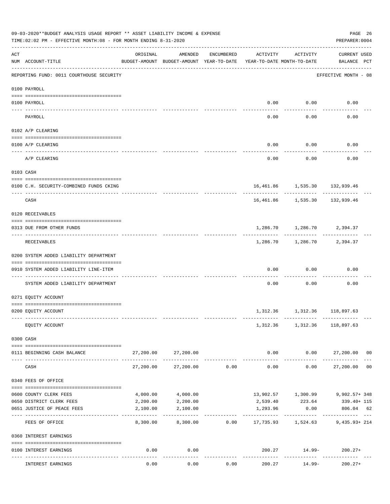|     | 09-03-2020**BUDGET ANALYSIS USAGE REPORT ** ASSET LIABILITY INCOME & EXPENSE<br>TIME: 02:02 PM - EFFECTIVE MONTH: 08 - FOR MONTH ENDING 8-31-2020 |                                          |                                                     |            |                                        |                               | PAGE 26<br>PREPARER: 0004                    |  |
|-----|---------------------------------------------------------------------------------------------------------------------------------------------------|------------------------------------------|-----------------------------------------------------|------------|----------------------------------------|-------------------------------|----------------------------------------------|--|
| ACT | NUM ACCOUNT-TITLE                                                                                                                                 | ORIGINAL                                 | AMENDED<br>BUDGET-AMOUNT BUDGET-AMOUNT YEAR-TO-DATE | ENCUMBERED | ACTIVITY<br>YEAR-TO-DATE MONTH-TO-DATE | ACTIVITY                      | CURRENT USED<br>BALANCE PCT                  |  |
|     | ----------------------------------<br>REPORTING FUND: 0011 COURTHOUSE SECURITY                                                                    |                                          |                                                     |            |                                        |                               | EFFECTIVE MONTH - 08                         |  |
|     | 0100 PAYROLL                                                                                                                                      |                                          |                                                     |            |                                        |                               |                                              |  |
|     | 0100 PAYROLL                                                                                                                                      |                                          |                                                     |            | 0.00                                   | 0.00                          | 0.00                                         |  |
|     | ----- ----<br>PAYROLL                                                                                                                             |                                          |                                                     |            | ----<br>0.00                           | -------<br>0.00               | 0.00                                         |  |
|     | 0102 A/P CLEARING                                                                                                                                 |                                          |                                                     |            |                                        |                               |                                              |  |
|     | 0100 A/P CLEARING                                                                                                                                 |                                          |                                                     |            | 0.00                                   | 0.00                          | 0.00                                         |  |
|     | A/P CLEARING                                                                                                                                      |                                          |                                                     |            | 0.00                                   | 0.00                          | 0.00                                         |  |
|     | 0103 CASH                                                                                                                                         |                                          |                                                     |            |                                        |                               |                                              |  |
|     | 0100 C.H. SECURITY-COMBINED FUNDS CKING                                                                                                           |                                          |                                                     |            |                                        |                               | 16,461.86 1,535.30 132,939.46                |  |
|     | CASH                                                                                                                                              |                                          |                                                     |            |                                        |                               | -----------<br>16,461.86 1,535.30 132,939.46 |  |
|     | 0120 RECEIVABLES                                                                                                                                  |                                          |                                                     |            |                                        |                               |                                              |  |
|     | 0313 DUE FROM OTHER FUNDS                                                                                                                         |                                          |                                                     |            |                                        |                               | 1,286.70    1,286.70    2,394.37             |  |
|     | RECEIVABLES                                                                                                                                       |                                          |                                                     |            | ----------                             | -----------                   | 1,286.70 1,286.70 2,394.37                   |  |
|     | 0200 SYSTEM ADDED LIABILITY DEPARTMENT                                                                                                            |                                          |                                                     |            |                                        |                               |                                              |  |
|     | 0910 SYSTEM ADDED LIABILITY LINE-ITEM                                                                                                             |                                          |                                                     |            | 0.00                                   | 0.00                          | 0.00                                         |  |
|     | SYSTEM ADDED LIABILITY DEPARTMENT                                                                                                                 |                                          |                                                     |            | 0.00                                   | 0.00                          | 0.00                                         |  |
|     | 0271 EQUITY ACCOUNT                                                                                                                               |                                          |                                                     |            |                                        |                               |                                              |  |
|     | 0200 EQUITY ACCOUNT                                                                                                                               |                                          |                                                     |            |                                        |                               | 1,312.36 1,312.36 118,897.63                 |  |
|     | EQUITY ACCOUNT                                                                                                                                    |                                          |                                                     |            |                                        |                               | 1,312.36 1,312.36 118,897.63                 |  |
|     | 0300 CASH                                                                                                                                         |                                          |                                                     |            |                                        |                               |                                              |  |
|     | 0111 BEGINNING CASH BALANCE                                                                                                                       |                                          | 27,200.00 27,200.00                                 |            |                                        |                               | $0.00$ $0.00$ $27,200.00$ 00                 |  |
|     | CASH                                                                                                                                              | 27,200.00                                | -----------<br>27,200.00                            | 0.00       | -------------<br>0.00                  | -----------<br>0.00           | . <u>.</u><br>27,200.00 00                   |  |
|     | 0340 FEES OF OFFICE                                                                                                                               |                                          |                                                     |            |                                        |                               |                                              |  |
|     | 0600 COUNTY CLERK FEES                                                                                                                            | 4,000.00                                 | 4,000.00                                            |            |                                        | 13,902.57    1,300.99         | 9,902.57+ 348                                |  |
|     | 0650 DISTRICT CLERK FEES                                                                                                                          | 2,200.00                                 | 2,200.00                                            |            |                                        | 2,539.40 223.64               | 339.40+ 115                                  |  |
|     | 0651 JUSTICE OF PEACE FEES                                                                                                                        | 2,100.00<br>------------- -------------- | 2,100.00                                            |            | 1,293.96                               | 0.00                          | 806.04 62                                    |  |
|     | FEES OF OFFICE                                                                                                                                    | 8,300.00                                 |                                                     |            |                                        |                               | 9,435.93+ 214                                |  |
|     | 0360 INTEREST EARNINGS                                                                                                                            |                                          |                                                     |            |                                        |                               |                                              |  |
|     | 0100 INTEREST EARNINGS                                                                                                                            | 0.00                                     | 0.00<br>$- - - - -$                                 |            |                                        | 200.27 14.99-<br>------------ | $200.27+$                                    |  |
|     | INTEREST EARNINGS                                                                                                                                 | 0.00                                     | 0.00                                                | 0.00       | 200.27                                 | 14.99-                        | $200.27+$                                    |  |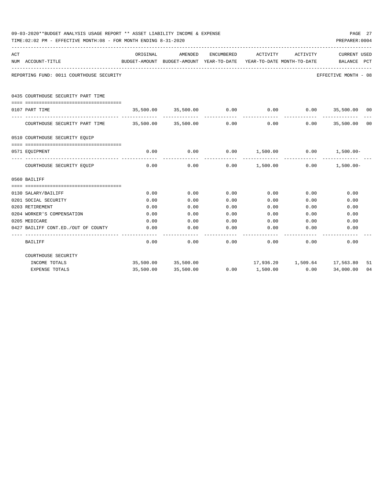|     | 09-03-2020**BUDGET ANALYSIS USAGE REPORT ** ASSET LIABILITY INCOME & EXPENSE<br>TIME:02:02 PM - EFFECTIVE MONTH:08 - FOR MONTH ENDING 8-31-2020 |           |                                                                     |            |                                     |          | PREPARER: 0004                 | PAGE 27 |
|-----|-------------------------------------------------------------------------------------------------------------------------------------------------|-----------|---------------------------------------------------------------------|------------|-------------------------------------|----------|--------------------------------|---------|
| ACT |                                                                                                                                                 | ORIGINAL  | AMENDED                                                             | ENCUMBERED | ACTIVITY                            | ACTIVITY | <b>CURRENT USED</b>            |         |
|     | NUM ACCOUNT-TITLE<br>--------------------------------------                                                                                     |           | BUDGET-AMOUNT BUDGET-AMOUNT YEAR-TO-DATE YEAR-TO-DATE MONTH-TO-DATE |            |                                     |          | BALANCE PCT                    |         |
|     | REPORTING FUND: 0011 COURTHOUSE SECURITY                                                                                                        |           |                                                                     |            |                                     |          | EFFECTIVE MONTH - 08           |         |
|     | 0435 COURTHOUSE SECURITY PART TIME                                                                                                              |           |                                                                     |            |                                     |          |                                |         |
|     | 0107 PART TIME                                                                                                                                  |           | $35,500.00$ $35,500.00$ $0.00$ 0.00 0.00 0.00 35,500.00 00          |            |                                     |          |                                |         |
|     | COURTHOUSE SECURITY PART TIME 35,500.00 35,500.00 0.00                                                                                          |           |                                                                     |            |                                     |          | $0.00$ $0.00$ $35,500.00$ $00$ |         |
|     | 0510 COURTHOUSE SECURITY EQUIP                                                                                                                  |           |                                                                     |            |                                     |          |                                |         |
|     |                                                                                                                                                 |           |                                                                     |            |                                     |          |                                |         |
|     | 0571 EOUIPMENT                                                                                                                                  | 0.00      | 0.00                                                                |            | $0.00$ 1,500.00 0.00 1,500.00-      |          |                                |         |
|     | COURTHOUSE SECURITY EQUIP                                                                                                                       | 0.00      | 0.00                                                                |            | $0.00$ $1,500.00$ $0.00$ $1,500.00$ |          |                                |         |
|     | 0560 BAILIFF                                                                                                                                    |           |                                                                     |            |                                     |          |                                |         |
|     |                                                                                                                                                 |           |                                                                     |            |                                     |          |                                |         |
|     | 0130 SALARY/BAILIFF                                                                                                                             | 0.00      | 0.00                                                                | 0.00       | 0.00                                | 0.00     | 0.00                           |         |
|     | 0201 SOCIAL SECURITY                                                                                                                            | 0.00      | 0.00                                                                | 0.00       | 0.00                                | 0.00     | 0.00                           |         |
|     | 0203 RETIREMENT                                                                                                                                 | 0.00      | 0.00                                                                | 0.00       | 0.00                                | 0.00     | 0.00                           |         |
|     | 0204 WORKER'S COMPENSATION                                                                                                                      | 0.00      | 0.00                                                                | 0.00       | 0.00                                | 0.00     | 0.00                           |         |
|     | 0205 MEDICARE                                                                                                                                   | 0.00      | 0.00                                                                | 0.00       | 0.00                                | 0.00     | 0.00                           |         |
|     | 0427 BAILIFF CONT.ED./OUT OF COUNTY                                                                                                             | 0.00      | 0.00                                                                | 0.00       | 0.00                                | 0.00     | 0.00                           |         |
|     | BAILIFF                                                                                                                                         | 0.00      | 0.00                                                                | 0.00       | 0.00                                | 0.00     | 0.00                           |         |
|     | COURTHOUSE SECURITY                                                                                                                             |           |                                                                     |            |                                     |          |                                |         |
|     | INCOME TOTALS                                                                                                                                   |           | 35,500.00 35,500.00                                                 |            | $17,936.20$ $1,509.64$ $17,563.80$  |          |                                | 51      |
|     | <b>EXPENSE TOTALS</b>                                                                                                                           | 35,500.00 | 35,500.00                                                           |            | $0.00$ 1,500.00 0.00 34,000.00      |          |                                | 04      |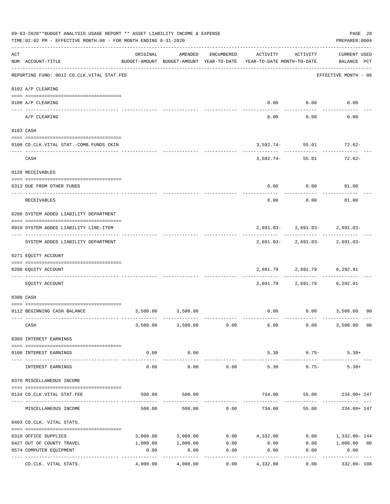|     | 09-03-2020**BUDGET ANALYSIS USAGE REPORT ** ASSET LIABILITY INCOME & EXPENSE<br>TIME: 02:02 PM - EFFECTIVE MONTH: 08 - FOR MONTH ENDING 8-31-2020 |          |                        |                    |                                                                                 |                                    | PAGE 28<br>PREPARER: 0004                                       |
|-----|---------------------------------------------------------------------------------------------------------------------------------------------------|----------|------------------------|--------------------|---------------------------------------------------------------------------------|------------------------------------|-----------------------------------------------------------------|
| ACT | NUM ACCOUNT-TITLE                                                                                                                                 | ORIGINAL | AMENDED                | ENCUMBERED         | ACTIVITY<br>BUDGET-AMOUNT BUDGET-AMOUNT YEAR-TO-DATE YEAR-TO-DATE MONTH-TO-DATE | ACTIVITY                           | <b>CURRENT USED</b><br>BALANCE PCT                              |
|     | ------------------------------------<br>REPORTING FUND: 0012 CO.CLK.VITAL STAT.FEE                                                                |          |                        |                    |                                                                                 |                                    | EFFECTIVE MONTH - 08                                            |
|     | 0102 A/P CLEARING                                                                                                                                 |          |                        |                    |                                                                                 |                                    |                                                                 |
|     | 0100 A/P CLEARING                                                                                                                                 |          |                        |                    |                                                                                 | $0.00$ $0.00$                      | 0.00                                                            |
|     | ---- ---------<br>A/P CLEARING                                                                                                                    |          |                        |                    | 0.00                                                                            | 0.00                               | 0.00                                                            |
|     | 0103 CASH                                                                                                                                         |          |                        |                    |                                                                                 |                                    |                                                                 |
|     | 0100 CO.CLK.VITAL STAT.-COMB.FUNDS CKIN                                                                                                           |          |                        |                    |                                                                                 | $3,592.74 - 55.01$ 72.62-          |                                                                 |
|     | CASH                                                                                                                                              |          |                        |                    | ----------------------                                                          | $3,592.74 - 55.01$                 | 72.62-                                                          |
|     | 0120 RECEIVABLES                                                                                                                                  |          |                        |                    |                                                                                 |                                    |                                                                 |
|     | 0313 DUE FROM OTHER FUNDS                                                                                                                         |          |                        |                    |                                                                                 | $0.00$ 0.00                        | 81.00                                                           |
|     | RECEIVABLES                                                                                                                                       |          |                        |                    | 0.00                                                                            | ----------<br>0.00                 | 81.00                                                           |
|     | 0200 SYSTEM ADDED LIABILITY DEPARTMENT                                                                                                            |          |                        |                    |                                                                                 |                                    |                                                                 |
|     | 0910 SYSTEM ADDED LIABILITY LINE-ITEM                                                                                                             |          |                        |                    |                                                                                 | $2,691.03 - 2,691.03 - 2,691.03 -$ |                                                                 |
|     | SYSTEM ADDED LIABILITY DEPARTMENT                                                                                                                 |          |                        |                    |                                                                                 | $2,691.03 - 2,691.03 - 2,691.03 -$ |                                                                 |
|     | 0271 EQUITY ACCOUNT                                                                                                                               |          |                        |                    |                                                                                 |                                    |                                                                 |
|     | 0200 EQUITY ACCOUNT                                                                                                                               |          |                        |                    |                                                                                 | 2,691.79 2,691.79 6,292.91         |                                                                 |
|     | EOUITY ACCOUNT                                                                                                                                    |          |                        |                    | 2,691.79                                                                        | 2,691.79 6,292.91                  |                                                                 |
|     | 0300 CASH                                                                                                                                         |          |                        |                    |                                                                                 |                                    |                                                                 |
|     | 0112 BEGINNING CASH BALANCE                                                                                                                       |          | 3,500.00 3,500.00      |                    |                                                                                 |                                    | $0.00$ $0.00$ $3,500.00$ 00                                     |
|     | CASH                                                                                                                                              |          | 3,500.00 3,500.00 0.00 |                    |                                                                                 | $0.00$ 0.00                        | 3,500.00 00                                                     |
|     | 0360 INTEREST EARNINGS                                                                                                                            |          |                        |                    |                                                                                 |                                    |                                                                 |
|     | 0100 INTEREST EARNINGS                                                                                                                            | 0.00     | 0.00                   |                    | 5.30                                                                            | $0.75-$                            | $5.30+$                                                         |
|     | INTEREST EARNINGS                                                                                                                                 | 0.00     | -----------<br>0.00    | 0.00               | -------------<br>5.30                                                           | $0.75 -$                           | $5.30+$                                                         |
|     | 0370 MISCELLANEOUS INCOME                                                                                                                         |          |                        |                    |                                                                                 |                                    |                                                                 |
|     | 0134 CO. CLK. VITAL STAT. FEE                                                                                                                     | 500.00   | 500.00                 |                    |                                                                                 |                                    | 734.00 55.00 234.00+147                                         |
|     | MISCELLANEOUS INCOME                                                                                                                              |          | 500.00                 | 500.00 0.00        |                                                                                 |                                    | 734.00 55.00 234.00+ 147                                        |
|     | 0403 CO.CLK. VITAL STATS.                                                                                                                         |          |                        |                    |                                                                                 |                                    |                                                                 |
|     | 0310 OFFICE SUPPLIES                                                                                                                              |          |                        |                    |                                                                                 |                                    | $3,000.00$ $3,000.00$ $0.00$ $4,332.80$ $0.00$ $1,332.80$ $144$ |
|     | 0427 OUT OF COUNTY TRAVEL                                                                                                                         | 1,000.00 |                        | 1,000.00 0.00      | 0.00                                                                            |                                    | $0.00$ 1,000.00 00                                              |
|     | 0574 COMPUTER EQUIPMENT                                                                                                                           | 0.00     | 0.00                   | 0.00               | 0.00                                                                            | 0.00                               | 0.00                                                            |
|     | CO.CLK. VITAL STATS.                                                                                                                              | 4,000.00 | 4,000.00               | ----------<br>0.00 | 4,332.80                                                                        | 0.00                               | 332.80- 108                                                     |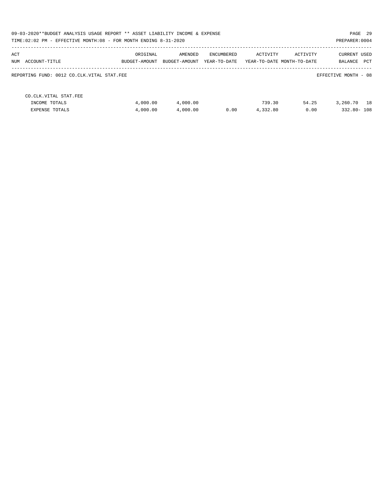| 09-03-2020**BUDGET ANALYSIS USAGE REPORT ** ASSET LIABILITY INCOME & EXPENSE<br>TIME: 02:02 PM - EFFECTIVE MONTH: 08 - FOR MONTH ENDING 8-31-2020 |               |               |              |          |                            | PAGE 29<br>PREPARER: 0004 |
|---------------------------------------------------------------------------------------------------------------------------------------------------|---------------|---------------|--------------|----------|----------------------------|---------------------------|
| ACT                                                                                                                                               | ORIGINAL      | AMENDED       | ENCUMBERED   | ACTIVITY | ACTIVITY                   | <b>CURRENT USED</b>       |
| NUM ACCOUNT-TITLE                                                                                                                                 | BUDGET-AMOUNT | BUDGET-AMOUNT | YEAR-TO-DATE |          | YEAR-TO-DATE MONTH-TO-DATE | PCT<br>BALANCE            |
| REPORTING FUND: 0012 CO.CLK.VITAL STAT.FEE                                                                                                        |               |               |              |          |                            | EFFECTIVE MONTH - 08      |
| CO. CLK. VITAL STAT. FEE                                                                                                                          |               |               |              |          |                            |                           |
| INCOME TOTALS                                                                                                                                     | 4,000.00      | 4,000.00      |              | 739.30   | 54.25                      | 3,260.70 18               |
| EXPENSE TOTALS                                                                                                                                    | 4,000.00      | 4,000.00      | 0.00         | 4,332.80 | 0.00                       | 332.80-108                |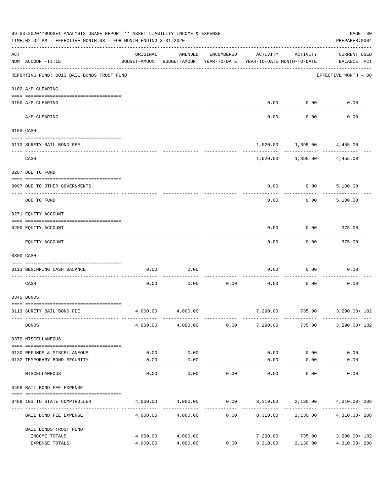|     | 09-03-2020**BUDGET ANALYSIS USAGE REPORT ** ASSET LIABILITY INCOME & EXPENSE<br>TIME: 02:02 PM - EFFECTIVE MONTH: 08 - FOR MONTH ENDING 8-31-2020 |                      |                                                     |            |                                                                     |                                      |                                    |  |  |  |  |
|-----|---------------------------------------------------------------------------------------------------------------------------------------------------|----------------------|-----------------------------------------------------|------------|---------------------------------------------------------------------|--------------------------------------|------------------------------------|--|--|--|--|
| ACT | NUM ACCOUNT-TITLE                                                                                                                                 | ORIGINAL             | AMENDED<br>BUDGET-AMOUNT BUDGET-AMOUNT YEAR-TO-DATE | ENCUMBERED | ACTIVITY<br>YEAR-TO-DATE MONTH-TO-DATE                              | ACTIVITY                             | <b>CURRENT USED</b><br>BALANCE PCT |  |  |  |  |
|     | REPORTING FUND: 0013 BAIL BONDS TRUST FUND                                                                                                        |                      |                                                     |            |                                                                     |                                      | EFFECTIVE MONTH - 08               |  |  |  |  |
|     | 0102 A/P CLEARING                                                                                                                                 |                      |                                                     |            |                                                                     |                                      |                                    |  |  |  |  |
|     | 0100 A/P CLEARING<br>---- ---------                                                                                                               |                      |                                                     |            | 0.00                                                                | 0.00                                 | 0.00                               |  |  |  |  |
|     | A/P CLEARING                                                                                                                                      |                      |                                                     |            | 0.00                                                                | 0.00                                 | 0.00                               |  |  |  |  |
|     | 0103 CASH                                                                                                                                         |                      |                                                     |            |                                                                     |                                      |                                    |  |  |  |  |
|     | 0113 SURETY BAIL BOND FEE                                                                                                                         |                      |                                                     |            |                                                                     | $1,020.00 - 1,395.00 - 4,455.00$     |                                    |  |  |  |  |
|     | CASH                                                                                                                                              |                      |                                                     |            |                                                                     | $1,020.00 - 1,395.00 - 4,455.00$     |                                    |  |  |  |  |
|     | 0207 DUE TO FUND                                                                                                                                  |                      |                                                     |            |                                                                     |                                      |                                    |  |  |  |  |
|     | 0097 DUE TO OTHER GOVERNMENTS                                                                                                                     |                      |                                                     |            | 0.00                                                                | 0.00                                 | 5,100.00                           |  |  |  |  |
|     | DUE TO FUND                                                                                                                                       |                      |                                                     |            | 0.00                                                                | 0.00                                 | 5,100.00                           |  |  |  |  |
|     | 0271 EQUITY ACCOUNT                                                                                                                               |                      |                                                     |            |                                                                     |                                      |                                    |  |  |  |  |
|     | 0200 EQUITY ACCOUNT                                                                                                                               |                      |                                                     |            | 0.00                                                                | 0.00                                 | 375.00                             |  |  |  |  |
|     | EQUITY ACCOUNT                                                                                                                                    |                      |                                                     |            | 0.00                                                                | 0.00                                 | 375.00                             |  |  |  |  |
|     | 0300 CASH                                                                                                                                         |                      |                                                     |            |                                                                     |                                      |                                    |  |  |  |  |
|     | 0113 BEGINNING CASH BALANCE                                                                                                                       | 0.00                 | 0.00                                                |            | 0.00                                                                | 0.00                                 | 0.00                               |  |  |  |  |
|     | CASH                                                                                                                                              | 0.00                 | 0.00                                                | 0.00       | 0.00                                                                | 0.00                                 | 0.00                               |  |  |  |  |
|     | 0345 BONDS                                                                                                                                        |                      |                                                     |            |                                                                     |                                      |                                    |  |  |  |  |
|     | 0113 SURETY BAIL BOND FEE                                                                                                                         | 4,000.00             | 4,000.00                                            |            |                                                                     | 7,290.00 735.00 3,290.00+182         |                                    |  |  |  |  |
|     | <b>BONDS</b>                                                                                                                                      |                      | 4,000.00 4,000.00                                   | 0.00       | 7,290.00                                                            |                                      | 735.00 3,290.00+ 182               |  |  |  |  |
|     | 0370 MISCELLANEOUS                                                                                                                                |                      |                                                     |            |                                                                     |                                      |                                    |  |  |  |  |
|     | 0130 REFUNDS & MISCELLANEOUS                                                                                                                      | 0.00                 | 0.00                                                |            | 0.00                                                                | 0.00                                 | 0.00                               |  |  |  |  |
|     | 0132 TEMPORARY BOND SECURITY                                                                                                                      | 0.00                 | 0.00<br>----------                                  |            | 0.00<br>-----------                                                 | 0.00<br>---------                    | 0.00                               |  |  |  |  |
|     | MISCELLANEOUS                                                                                                                                     | 0.00                 | 0.00                                                | 0.00       | 0.00                                                                | 0.00                                 | 0.00                               |  |  |  |  |
|     | 0498 BAIL BOND FEE EXPENSE                                                                                                                        |                      |                                                     |            |                                                                     |                                      |                                    |  |  |  |  |
|     | 0489 10% TO STATE COMPTROLLER                                                                                                                     |                      |                                                     |            | $4,000.00$ $4,000.00$ $0.00$ $8,310.00$ $2,130.00$ $4,310.00$ $208$ |                                      |                                    |  |  |  |  |
|     | BAIL BOND FEE EXPENSE                                                                                                                             | 4,000.00             | 4,000.00                                            |            | $0.00$ 8,310.00 2,130.00                                            |                                      | 4,310.00-208                       |  |  |  |  |
|     | BAIL BONDS TRUST FUND                                                                                                                             |                      |                                                     |            |                                                                     |                                      |                                    |  |  |  |  |
|     | INCOME TOTALS<br>EXPENSE TOTALS                                                                                                                   | 4,000.00<br>4,000.00 | 4,000.00<br>4,000.00                                | 0.00       |                                                                     | 7,290.00 735.00<br>8,310.00 2,130.00 | 3,290.00+ 182<br>4,310.00- 208     |  |  |  |  |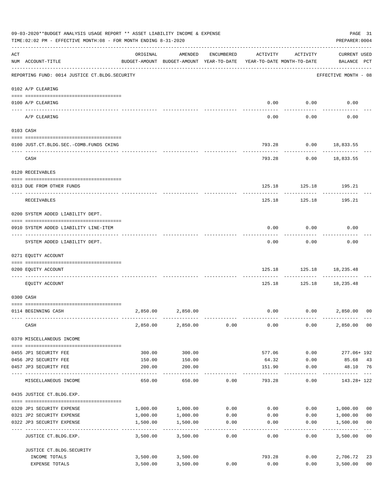|     | 09-03-2020**BUDGET ANALYSIS USAGE REPORT ** ASSET LIABILITY INCOME & EXPENSE<br>TIME: 02:02 PM - EFFECTIVE MONTH: 08 - FOR MONTH ENDING 8-31-2020 |          |                                                                                |            |                     |                        | PREPARER: 0004                     | PAGE 31                 |
|-----|---------------------------------------------------------------------------------------------------------------------------------------------------|----------|--------------------------------------------------------------------------------|------------|---------------------|------------------------|------------------------------------|-------------------------|
| ACT | NUM ACCOUNT-TITLE                                                                                                                                 | ORIGINAL | AMENDED<br>BUDGET-AMOUNT BUDGET-AMOUNT YEAR-TO-DATE YEAR-TO-DATE MONTH-TO-DATE | ENCUMBERED | ACTIVITY            | ACTIVITY               | <b>CURRENT USED</b><br>BALANCE PCT |                         |
|     | REPORTING FUND: 0014 JUSTICE CT. BLDG. SECURITY                                                                                                   |          |                                                                                |            |                     |                        | EFFECTIVE MONTH - 08               |                         |
|     | 0102 A/P CLEARING                                                                                                                                 |          |                                                                                |            |                     |                        |                                    |                         |
|     | 0100 A/P CLEARING                                                                                                                                 |          |                                                                                |            | 0.00                | 0.00                   | 0.00                               |                         |
|     | ---- ----------<br>A/P CLEARING                                                                                                                   |          |                                                                                |            | 0.00                | ---------<br>0.00      | 0.00                               |                         |
|     | 0103 CASH                                                                                                                                         |          |                                                                                |            |                     |                        |                                    |                         |
|     | 0100 JUST.CT.BLDG.SEC.-COMB.FUNDS CKING                                                                                                           |          |                                                                                |            |                     |                        | 793.28 0.00 18,833.55              |                         |
|     | CASH                                                                                                                                              |          |                                                                                |            |                     | ----------             | 793.28 0.00 18,833.55              |                         |
|     | 0120 RECEIVABLES                                                                                                                                  |          |                                                                                |            |                     |                        |                                    |                         |
|     | 0313 DUE FROM OTHER FUNDS                                                                                                                         |          |                                                                                |            | 125.18              |                        | 125.18 195.21                      |                         |
|     | RECEIVABLES                                                                                                                                       |          |                                                                                |            | 125.18              | ------------<br>125.18 | ---------<br>195.21                |                         |
|     | 0200 SYSTEM ADDED LIABILITY DEPT.                                                                                                                 |          |                                                                                |            |                     |                        |                                    |                         |
|     | 0910 SYSTEM ADDED LIABILITY LINE-ITEM                                                                                                             |          |                                                                                |            | 0.00                | 0.00                   | 0.00                               |                         |
|     | SYSTEM ADDED LIABILITY DEPT.                                                                                                                      |          |                                                                                |            | 0.00                | 0.00                   | 0.00                               |                         |
|     | 0271 EQUITY ACCOUNT                                                                                                                               |          |                                                                                |            |                     |                        |                                    |                         |
|     | 0200 EQUITY ACCOUNT                                                                                                                               |          |                                                                                |            | 125.18              |                        | 125.18 18,235.48                   |                         |
|     | EQUITY ACCOUNT                                                                                                                                    |          |                                                                                |            | ---------<br>125.18 | ------------           | ----------<br>125.18 18,235.48     |                         |
|     | 0300 CASH                                                                                                                                         |          |                                                                                |            |                     |                        |                                    |                         |
|     | 0114 BEGINNING CASH                                                                                                                               | 2,850.00 | 2,850.00                                                                       |            | 0.00                | 0.00                   | 2,850.00                           | 00                      |
|     |                                                                                                                                                   |          |                                                                                |            |                     |                        |                                    |                         |
|     | CASH                                                                                                                                              | 2,850.00 | 2,850.00                                                                       | 0.00       | 0.00                | 0.00                   | 2,850.00 00                        |                         |
|     | 0370 MISCELLANEOUS INCOME                                                                                                                         |          |                                                                                |            |                     |                        |                                    |                         |
|     | 0455 JP1 SECURITY FEE                                                                                                                             | 300.00   | 300.00                                                                         |            | 577.06              | 0.00                   | 277.06+ 192                        |                         |
|     | 0456 JP2 SECURITY FEE                                                                                                                             | 150.00   | 150.00                                                                         |            | 64.32               | 0.00                   | 85.68 43                           |                         |
|     | 0457 JP3 SECURITY FEE                                                                                                                             | 200.00   | 200.00<br>-----------                                                          |            | 151.90<br>--------  | 0.00<br>----------     | 48.10 76<br>. <u>.</u>             | $\frac{1}{2}$           |
|     | MISCELLANEOUS INCOME                                                                                                                              | 650.00   | 650.00                                                                         | 0.00       | 793.28              | 0.00                   | 143.28+ 122                        |                         |
|     | 0435 JUSTICE CT.BLDG.EXP.                                                                                                                         |          |                                                                                |            |                     |                        |                                    |                         |
|     | 0320 JP1 SECURITY EXPENSE                                                                                                                         |          | 1,000.00 1,000.00                                                              | 0.00       | 0.00                |                        | 0.00 1,000.00                      | 0 <sub>0</sub>          |
|     | 0321 JP2 SECURITY EXPENSE                                                                                                                         | 1,000.00 | 1,000.00                                                                       | 0.00       | 0.00                |                        | 0.00<br>1,000.00                   | 0 <sub>0</sub>          |
|     | 0322 JP3 SECURITY EXPENSE                                                                                                                         | 1,500.00 | 1,500.00<br>-----------                                                        | 0.00       | 0.00                | 0.00                   | 1,500.00                           | 0 <sub>0</sub><br>$---$ |
|     | JUSTICE CT.BLDG.EXP.                                                                                                                              | 3,500.00 | 3,500.00                                                                       | 0.00       | 0.00                | 0.00                   | 3,500.00 00                        |                         |
|     | JUSTICE CT. BLDG. SECURITY                                                                                                                        |          |                                                                                |            |                     |                        |                                    |                         |
|     | INCOME TOTALS                                                                                                                                     |          | 3,500.00 3,500.00                                                              |            | 793.28              |                        | 0.00<br>2,706.72                   | 23                      |
|     | EXPENSE TOTALS                                                                                                                                    | 3,500.00 | 3,500.00                                                                       | 0.00       | 0.00                | 0.00                   | 3,500.00                           | 0 <sub>0</sub>          |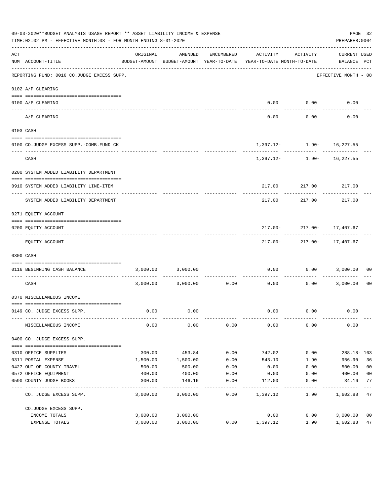|     | 09-03-2020**BUDGET ANALYSIS USAGE REPORT ** ASSET LIABILITY INCOME & EXPENSE<br>TIME: 02:02 PM - EFFECTIVE MONTH: 08 - FOR MONTH ENDING 8-31-2020 |          |                            |                     |                                                                                 |                                                | PAGE 32<br>PREPARER: 0004   |                |
|-----|---------------------------------------------------------------------------------------------------------------------------------------------------|----------|----------------------------|---------------------|---------------------------------------------------------------------------------|------------------------------------------------|-----------------------------|----------------|
| ACT | NUM ACCOUNT-TITLE<br>--------------------------------------                                                                                       | ORIGINAL | AMENDED                    | ENCUMBERED          | ACTIVITY<br>BUDGET-AMOUNT BUDGET-AMOUNT YEAR-TO-DATE YEAR-TO-DATE MONTH-TO-DATE | ACTIVITY                                       | CURRENT USED<br>BALANCE PCT |                |
|     | REPORTING FUND: 0016 CO.JUDGE EXCESS SUPP.                                                                                                        |          |                            |                     |                                                                                 |                                                | EFFECTIVE MONTH - 08        |                |
|     | 0102 A/P CLEARING                                                                                                                                 |          |                            |                     |                                                                                 |                                                |                             |                |
|     | 0100 A/P CLEARING                                                                                                                                 |          |                            |                     | 0.00                                                                            | 0.00                                           | 0.00                        |                |
|     | ---- ---------<br>A/P CLEARING                                                                                                                    |          |                            |                     | 0.00                                                                            | 0.00                                           | 0.00                        |                |
|     | 0103 CASH                                                                                                                                         |          |                            |                     |                                                                                 |                                                |                             |                |
|     |                                                                                                                                                   |          |                            |                     |                                                                                 |                                                |                             |                |
|     | 0100 CO.JUDGE EXCESS SUPP.-COMB.FUND CK                                                                                                           |          |                            |                     |                                                                                 | $1,397.12 - 1.90 - 16,227.55$                  |                             |                |
|     | CASH                                                                                                                                              |          |                            |                     |                                                                                 | -------------<br>$1,397.12 - 1.90 - 16,227.55$ |                             |                |
|     | 0200 SYSTEM ADDED LIABILITY DEPARTMENT                                                                                                            |          |                            |                     |                                                                                 |                                                |                             |                |
|     |                                                                                                                                                   |          |                            |                     |                                                                                 |                                                |                             |                |
|     | 0910 SYSTEM ADDED LIABILITY LINE-ITEM                                                                                                             |          |                            |                     |                                                                                 | 217.00 217.00 217.00                           |                             |                |
|     | SYSTEM ADDED LIABILITY DEPARTMENT                                                                                                                 |          |                            |                     | 217.00                                                                          | 217.00                                         | 217.00                      |                |
|     | 0271 EQUITY ACCOUNT                                                                                                                               |          |                            |                     |                                                                                 |                                                |                             |                |
|     |                                                                                                                                                   |          |                            |                     |                                                                                 |                                                |                             |                |
|     | 0200 EQUITY ACCOUNT                                                                                                                               |          |                            |                     |                                                                                 | $217.00 - 217.00 - 17,407.67$                  |                             |                |
|     | EQUITY ACCOUNT                                                                                                                                    |          |                            |                     |                                                                                 | 217.00- 217.00- 17,407.67                      |                             |                |
|     | 0300 CASH                                                                                                                                         |          |                            |                     |                                                                                 |                                                |                             |                |
|     | 0116 BEGINNING CASH BALANCE<br>______________________________________                                                                             |          | 3,000.00 3,000.00          |                     | 0.00<br>---------------------------                                             | 0.00<br>----------                             | 3,000.00                    | 00             |
|     | CASH                                                                                                                                              |          | $3,000.00$ $3,000.00$ 0.00 |                     | 0.00                                                                            | 0.00                                           | 3,000.00                    | - 00           |
|     | 0370 MISCELLANEOUS INCOME                                                                                                                         |          |                            |                     |                                                                                 |                                                |                             |                |
|     |                                                                                                                                                   |          |                            |                     |                                                                                 |                                                |                             |                |
|     | 0149 CO. JUDGE EXCESS SUPP.                                                                                                                       | 0.00     | 0.00                       |                     | 0.00                                                                            | 0.00                                           | 0.00                        |                |
|     | MISCELLANEOUS INCOME                                                                                                                              | 0.00     | 0.00                       | 0.00                | 0.00                                                                            | 0.00                                           | 0.00                        |                |
|     | 0400 CO. JUDGE EXCESS SUPP.                                                                                                                       |          |                            |                     |                                                                                 |                                                |                             |                |
|     | 0310 OFFICE SUPPLIES                                                                                                                              | 300.00   | 453.84                     | 0.00                | 742.02                                                                          | 0.00                                           | $288.18 - 163$              |                |
|     | 0311 POSTAL EXPENSE                                                                                                                               | 1,500.00 | 1,500.00                   | 0.00                | 543.10                                                                          | 1.90                                           | 956.90                      | 36             |
|     | 0427 OUT OF COUNTY TRAVEL                                                                                                                         | 500.00   | 500.00                     | 0.00                | 0.00                                                                            | 0.00                                           | 500.00                      | 0 <sub>0</sub> |
|     | 0572 OFFICE EQUIPMENT                                                                                                                             | 400.00   | 400.00                     | 0.00                | 0.00                                                                            | 0.00                                           | 400.00                      | 0 <sub>0</sub> |
|     | 0590 COUNTY JUDGE BOOKS                                                                                                                           | 300.00   | 146.16                     | 0.00<br>$- - - - -$ | 112.00                                                                          | 0.00                                           | 34.16                       | 77<br>$---$    |
|     | CO. JUDGE EXCESS SUPP.                                                                                                                            | 3,000.00 | 3,000.00                   | 0.00                | 1,397.12                                                                        | 1.90                                           | 1,602.88 47                 |                |
|     | CO.JUDGE EXCESS SUPP.                                                                                                                             |          |                            |                     |                                                                                 |                                                |                             |                |
|     | INCOME TOTALS                                                                                                                                     | 3,000.00 | 3,000.00                   |                     | 0.00                                                                            | 0.00                                           | 3,000.00                    | 00             |
|     | EXPENSE TOTALS                                                                                                                                    | 3,000.00 | 3,000.00                   | 0.00                | 1,397.12                                                                        | 1.90                                           | 1,602.88                    | 47             |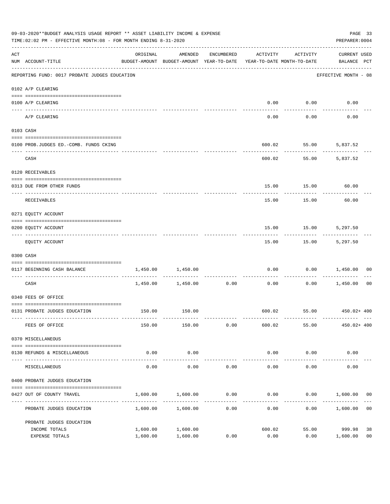|     | 09-03-2020**BUDGET ANALYSIS USAGE REPORT ** ASSET LIABILITY INCOME & EXPENSE<br>TIME: 02:02 PM - EFFECTIVE MONTH: 08 - FOR MONTH ENDING 8-31-2020 |                                                                                 |                     |                      |                        |                     |                                    |                |  |
|-----|---------------------------------------------------------------------------------------------------------------------------------------------------|---------------------------------------------------------------------------------|---------------------|----------------------|------------------------|---------------------|------------------------------------|----------------|--|
| ACT | NUM ACCOUNT-TITLE                                                                                                                                 | ORIGINAL<br>BUDGET-AMOUNT BUDGET-AMOUNT YEAR-TO-DATE YEAR-TO-DATE MONTH-TO-DATE | AMENDED             | ENCUMBERED           | ACTIVITY               | ACTIVITY            | <b>CURRENT USED</b><br>BALANCE PCT |                |  |
|     | REPORTING FUND: 0017 PROBATE JUDGES EDUCATION                                                                                                     |                                                                                 |                     |                      |                        |                     | EFFECTIVE MONTH - 08               |                |  |
|     | 0102 A/P CLEARING                                                                                                                                 |                                                                                 |                     |                      |                        |                     |                                    |                |  |
|     | 0100 A/P CLEARING                                                                                                                                 |                                                                                 |                     |                      | 0.00                   | 0.00                | 0.00                               |                |  |
|     | ----- ---------<br>A/P CLEARING                                                                                                                   |                                                                                 |                     |                      | 0.00                   | 0.00                | 0.00                               |                |  |
|     | 0103 CASH                                                                                                                                         |                                                                                 |                     |                      |                        |                     |                                    |                |  |
|     | 0100 PROB.JUDGES ED. - COMB. FUNDS CKING                                                                                                          |                                                                                 |                     |                      | 600.02                 | 55.00               | 5,837.52                           |                |  |
|     | CASH                                                                                                                                              |                                                                                 |                     |                      | 600.02                 | ---------<br>55.00  | 5,837.52                           |                |  |
|     | 0120 RECEIVABLES                                                                                                                                  |                                                                                 |                     |                      |                        |                     |                                    |                |  |
|     | 0313 DUE FROM OTHER FUNDS                                                                                                                         |                                                                                 |                     |                      |                        | 15.00 15.00         | 60.00                              |                |  |
|     | RECEIVABLES                                                                                                                                       |                                                                                 |                     |                      | 15.00                  | ---------<br>15.00  | 60.00                              |                |  |
|     | 0271 EQUITY ACCOUNT                                                                                                                               |                                                                                 |                     |                      |                        |                     |                                    |                |  |
|     | 0200 EQUITY ACCOUNT                                                                                                                               |                                                                                 |                     |                      | 15.00                  | 15.00               | 5,297.50                           |                |  |
|     | EQUITY ACCOUNT                                                                                                                                    |                                                                                 |                     |                      | 15.00                  | ---------<br>15.00  | 5,297.50                           |                |  |
|     | 0300 CASH                                                                                                                                         |                                                                                 |                     |                      |                        |                     |                                    |                |  |
|     | 0117 BEGINNING CASH BALANCE                                                                                                                       | 1,450.00                                                                        | 1,450.00            |                      | 0.00                   | 0.00                | 1,450.00                           | 00             |  |
|     | CASH                                                                                                                                              |                                                                                 | 1,450.00 1,450.00   | ------------<br>0.00 | 0.00                   | .                   | $0.00$ 1,450.00                    | 00             |  |
|     | 0340 FEES OF OFFICE                                                                                                                               |                                                                                 |                     |                      |                        |                     |                                    |                |  |
|     | 0131 PROBATE JUDGES EDUCATION                                                                                                                     |                                                                                 | 150.00 150.00       |                      |                        |                     | 600.02 55.00 450.02+400            |                |  |
|     | FEES OF OFFICE                                                                                                                                    | 150.00                                                                          | 150.00              | 0.00                 | 600.02                 | 55.00               | $450.02 + 400$                     |                |  |
|     | 0370 MISCELLANEOUS                                                                                                                                |                                                                                 |                     |                      |                        |                     |                                    |                |  |
|     | 0130 REFUNDS & MISCELLANEOUS                                                                                                                      | 0.00                                                                            | 0.00                |                      | 0.00                   | 0.00                | 0.00                               |                |  |
|     | MISCELLANEOUS                                                                                                                                     | 0.00                                                                            | -----------<br>0.00 | 0.00                 | --------------<br>0.00 | -----------<br>0.00 | 0.00                               |                |  |
|     | 0400 PROBATE JUDGES EDUCATION                                                                                                                     |                                                                                 |                     |                      |                        |                     |                                    |                |  |
|     | 0427 OUT OF COUNTY TRAVEL                                                                                                                         | 1,600.00                                                                        | 1,600.00            | 0.00                 | 0.00                   |                     | $0.00$ 1,600.00 00                 |                |  |
|     | PROBATE JUDGES EDUCATION                                                                                                                          |                                                                                 | 1,600.00 1,600.00   | -----------<br>0.00  | 0.00                   |                     | 0.00<br>1,600.00                   | 0 <sub>0</sub> |  |
|     | PROBATE JUDGES EDUCATION                                                                                                                          |                                                                                 |                     |                      |                        |                     |                                    |                |  |
|     | INCOME TOTALS                                                                                                                                     | 1,600.00                                                                        | 1,600.00            |                      | 600.02                 | 55.00               | 999.98                             | 38             |  |
|     | EXPENSE TOTALS                                                                                                                                    | 1,600.00                                                                        | 1,600.00            | 0.00                 | 0.00                   | 0.00                | 1,600.00                           | 0 <sub>0</sub> |  |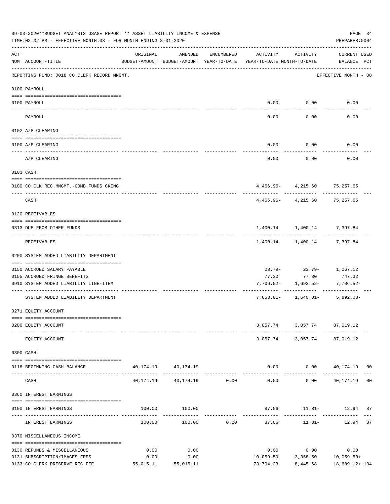| 09-03-2020**BUDGET ANALYSIS USAGE REPORT ** ASSET LIABILITY INCOME & EXPENSE<br>PAGE 34<br>TIME:02:02 PM - EFFECTIVE MONTH:08 - FOR MONTH ENDING 8-31-2020<br>PREPARER: 0004 |                                                                |           |                                                     |             |                                        |                                                               |                                    |  |
|------------------------------------------------------------------------------------------------------------------------------------------------------------------------------|----------------------------------------------------------------|-----------|-----------------------------------------------------|-------------|----------------------------------------|---------------------------------------------------------------|------------------------------------|--|
| ACT                                                                                                                                                                          | NUM ACCOUNT-TITLE                                              | ORIGINAL  | AMENDED<br>BUDGET-AMOUNT BUDGET-AMOUNT YEAR-TO-DATE | ENCUMBERED  | ACTIVITY<br>YEAR-TO-DATE MONTH-TO-DATE | ACTIVITY                                                      | <b>CURRENT USED</b><br>BALANCE PCT |  |
|                                                                                                                                                                              | REPORTING FUND: 0018 CO.CLERK RECORD MNGMT.                    |           |                                                     |             |                                        |                                                               | EFFECTIVE MONTH - 08               |  |
|                                                                                                                                                                              | 0100 PAYROLL                                                   |           |                                                     |             |                                        |                                                               |                                    |  |
|                                                                                                                                                                              | 0100 PAYROLL                                                   |           |                                                     |             | 0.00                                   | 0.00                                                          | 0.00                               |  |
|                                                                                                                                                                              | PAYROLL                                                        |           |                                                     |             | 0.00                                   | 0.00                                                          | 0.00                               |  |
|                                                                                                                                                                              | 0102 A/P CLEARING                                              |           |                                                     |             |                                        |                                                               |                                    |  |
|                                                                                                                                                                              | 0100 A/P CLEARING                                              |           |                                                     |             | 0.00                                   | 0.00                                                          | 0.00                               |  |
|                                                                                                                                                                              | A/P CLEARING                                                   |           |                                                     |             | 0.00                                   | 0.00                                                          | 0.00                               |  |
|                                                                                                                                                                              | 0103 CASH                                                      |           |                                                     |             |                                        |                                                               |                                    |  |
|                                                                                                                                                                              | 0100 CO.CLK.REC.MNGMT.-COMB.FUNDS CKING                        |           |                                                     |             |                                        | $4,466.96 - 4,215.60$                                         | 75,257.65                          |  |
|                                                                                                                                                                              | CASH                                                           |           |                                                     |             |                                        | $4,466.96 - 4,215.60$                                         | . <u>.</u><br>75,257.65            |  |
|                                                                                                                                                                              | 0120 RECEIVABLES                                               |           |                                                     |             |                                        |                                                               |                                    |  |
|                                                                                                                                                                              | 0313 DUE FROM OTHER FUNDS                                      |           |                                                     |             |                                        | 1,400.14 1,400.14 7,397.84                                    |                                    |  |
|                                                                                                                                                                              | RECEIVABLES                                                    |           |                                                     |             |                                        | ----------<br>1,400.14 1,400.14 7,397.84                      |                                    |  |
|                                                                                                                                                                              | 0200 SYSTEM ADDED LIABILITY DEPARTMENT                         |           |                                                     |             |                                        |                                                               |                                    |  |
|                                                                                                                                                                              | 0150 ACCRUED SALARY PAYABLE                                    |           |                                                     |             | 23.79-                                 |                                                               | $23.79 - 1,067.12$                 |  |
|                                                                                                                                                                              | 0155 ACCRUED FRINGE BENEFITS                                   |           |                                                     |             | 77.30                                  | 77.30                                                         | 747.32                             |  |
|                                                                                                                                                                              | 0910 SYSTEM ADDED LIABILITY LINE-ITEM                          |           |                                                     |             | 7,706.52-                              | 1,693.52-                                                     | 7,706.52-                          |  |
|                                                                                                                                                                              | SYSTEM ADDED LIABILITY DEPARTMENT                              |           |                                                     |             |                                        | ---------  -------------  ------------<br>7,653.01- 1,640.01- | $5,892.08-$                        |  |
|                                                                                                                                                                              | 0271 EQUITY ACCOUNT                                            |           |                                                     |             |                                        |                                                               |                                    |  |
|                                                                                                                                                                              | 0200 EQUITY ACCOUNT                                            |           |                                                     |             |                                        | 3,057.74 3,057.74 87,019.12                                   |                                    |  |
|                                                                                                                                                                              | EQUITY ACCOUNT                                                 |           |                                                     |             |                                        | 3,057.74 3,057.74 87,019.12                                   |                                    |  |
|                                                                                                                                                                              | 0300 CASH                                                      |           |                                                     |             |                                        |                                                               |                                    |  |
|                                                                                                                                                                              |                                                                |           |                                                     |             |                                        |                                                               |                                    |  |
|                                                                                                                                                                              | 0118 BEGINNING CASH BALANCE                                    |           | 40, 174. 19 40, 174. 19                             |             |                                        | $0.00$ $0.00$ $40,174.19$ 00                                  |                                    |  |
|                                                                                                                                                                              | CASH                                                           |           | 40, 174. 19   40, 174. 19   0.00                    |             | 0.00                                   |                                                               | $0.00$ $40,174.19$ 00              |  |
|                                                                                                                                                                              | 0360 INTEREST EARNINGS                                         |           |                                                     |             |                                        |                                                               |                                    |  |
|                                                                                                                                                                              | 0100 INTEREST EARNINGS<br>------------------------------------ |           | 100.00 100.00<br>.                                  |             | ----------------------------           | 87.06   11.81-   12.94   87                                   |                                    |  |
|                                                                                                                                                                              | INTEREST EARNINGS                                              | 100.00    |                                                     | 100.00 0.00 | 87.06                                  |                                                               | $11.81 - 12.94 87$                 |  |
|                                                                                                                                                                              | 0370 MISCELLANEOUS INCOME                                      |           |                                                     |             |                                        |                                                               |                                    |  |
|                                                                                                                                                                              | 0130 REFUNDS & MISCELLANEOUS                                   | 0.00      | 0.00                                                |             | 0.00                                   | 0.00                                                          | 0.00                               |  |
|                                                                                                                                                                              | 0131 SUBSCRIPTION/IMAGES FEES                                  | 0.00      | 0.00                                                |             |                                        | $10,059.50$ $3,358.50$ $10,059.50+$                           |                                    |  |
|                                                                                                                                                                              | 0133 CO.CLERK PRESERVE REC FEE                                 | 55,015.11 | 55,015.11                                           |             | 73,704.23                              | 8,445.68                                                      | 18,689.12+ 134                     |  |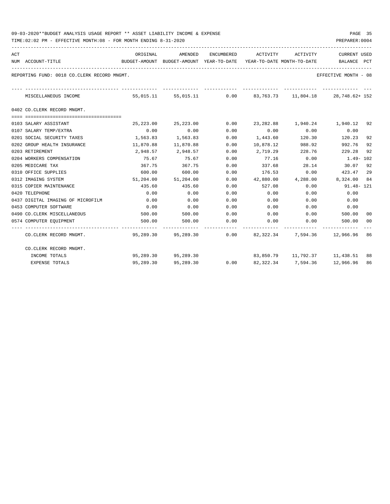| 09-03-2020**BUDGET ANALYSIS USAGE REPORT ** ASSET LIABILITY INCOME & EXPENSE | PAGE |  |
|------------------------------------------------------------------------------|------|--|
|------------------------------------------------------------------------------|------|--|

| ACT | NUM ACCOUNT-TITLE                           | ORIGINAL<br>BUDGET-AMOUNT BUDGET-AMOUNT YEAR-TO-DATE YEAR-TO-DATE MONTH-TO-DATE | AMENDED                                                        |      | ENCUMBERED ACTIVITY ACTIVITY |                    | <b>CURRENT USED</b><br>BALANCE PCT     |    |
|-----|---------------------------------------------|---------------------------------------------------------------------------------|----------------------------------------------------------------|------|------------------------------|--------------------|----------------------------------------|----|
|     | REPORTING FUND: 0018 CO.CLERK RECORD MNGMT. |                                                                                 |                                                                |      |                              |                    | EFFECTIVE MONTH - 08                   |    |
|     | MISCELLANEOUS INCOME                        |                                                                                 | 55,015.11 55,015.11 0.00 83,763.73 11,804.18 28,748.62+ 152    |      |                              |                    |                                        |    |
|     | 0402 CO.CLERK RECORD MNGMT.                 |                                                                                 |                                                                |      |                              |                    |                                        |    |
|     | 0103 SALARY ASSISTANT                       |                                                                                 | 25, 223, 00 25, 223, 00                                        | 0.00 |                              |                    | 23,282.88 1,940.24 1,940.12 92         |    |
|     | 0107 SALARY TEMP/EXTRA                      | 0.00                                                                            | 0.00                                                           | 0.00 | 0.00                         | 0.00               | 0.00                                   |    |
|     | 0201 SOCIAL SECURITY TAXES                  |                                                                                 | 1,563.83 1,563.83                                              | 0.00 | 1,443.60 120.30              |                    | 120.23                                 | 92 |
|     | 0202 GROUP HEALTH INSURANCE                 | 11,870.88                                                                       | 11,870.88                                                      | 0.00 | 10,878.12                    | 988.92             | 992.76                                 | 92 |
|     | 0203 RETIREMENT                             |                                                                                 | 2,948.57 2,948.57                                              | 0.00 | 2,719.29                     | 228.76             | 229.28                                 | 92 |
|     | 0204 WORKERS COMPENSATION                   | 75.67                                                                           | 75.67                                                          | 0.00 | 77.16                        | 0.00               | 1.49- 102                              |    |
|     | 0205 MEDICARE TAX                           | 367.75                                                                          | 367.75                                                         | 0.00 | 337.68                       | 28.14              | 30.07                                  | 92 |
|     | 0310 OFFICE SUPPLIES                        | 600.00                                                                          | 600.00                                                         | 0.00 | $176.53$ 0.00                |                    | 423.47                                 | 29 |
|     | 0312 IMAGING SYSTEM                         |                                                                                 | 51,204.00 51,204.00                                            |      |                              |                    | $0.00$ 42,880.00 4,288.00 8,324.00 84  |    |
|     | 0315 COPIER MAINTENANCE                     | 435.60                                                                          | 435.60                                                         | 0.00 | 527.08                       | 0.00               | 91.48- 121                             |    |
|     | 0420 TELEPHONE                              | 0.00                                                                            | 0.00                                                           | 0.00 | 0.00                         | 0.00               | 0.00                                   |    |
|     | 0437 DIGITAL IMAGING OF MICROFILM           | 0.00                                                                            | 0.00                                                           | 0.00 | 0.00                         | 0.00               | 0.00                                   |    |
|     | 0453 COMPUTER SOFTWARE                      | 0.00                                                                            | 0.00                                                           | 0.00 | 0.00                         | 0.00               | 0.00                                   |    |
|     | 0490 CO. CLERK MISCELLANEOUS                | 500.00                                                                          | 500.00                                                         | 0.00 | $0.00$ 0.00                  |                    | 500.00                                 | 00 |
|     | 0574 COMPUTER EQUIPMENT                     | 500.00                                                                          | 500.00                                                         | 0.00 | 0.00                         | 0.00               | 500.00                                 | 00 |
|     | CO.CLERK RECORD MNGMT.                      |                                                                                 | 95,289.30  95,289.30  0.00  82,322.34  7,594.36  12,966.96  86 |      |                              |                    |                                        |    |
|     | CO.CLERK RECORD MNGMT.                      |                                                                                 |                                                                |      |                              |                    |                                        |    |
|     | INCOME TOTALS                               |                                                                                 | 95,289.30 95,289.30                                            |      |                              |                    | 83,850.79   11,792.37   11,438.51   88 |    |
|     | <b>EXPENSE TOTALS</b>                       | 95,289.30                                                                       | 95,289.30                                                      | 0.00 |                              | 82,322.34 7,594.36 | 12,966.96 86                           |    |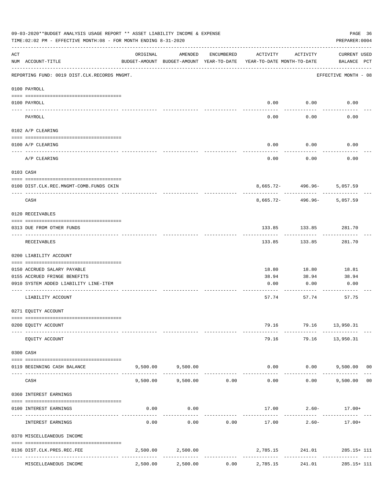|     | 09-03-2020**BUDGET ANALYSIS USAGE REPORT ** ASSET LIABILITY INCOME & EXPENSE<br>TIME:02:02 PM - EFFECTIVE MONTH:08 - FOR MONTH ENDING 8-31-2020 |          |                                                     |             |                                        |                            | PAGE 36<br>PREPARER: 0004                    |    |
|-----|-------------------------------------------------------------------------------------------------------------------------------------------------|----------|-----------------------------------------------------|-------------|----------------------------------------|----------------------------|----------------------------------------------|----|
| ACT | NUM ACCOUNT-TITLE                                                                                                                               | ORIGINAL | AMENDED<br>BUDGET-AMOUNT BUDGET-AMOUNT YEAR-TO-DATE | ENCUMBERED  | ACTIVITY<br>YEAR-TO-DATE MONTH-TO-DATE | ACTIVITY                   | <b>CURRENT USED</b><br>BALANCE PCT           |    |
|     | REPORTING FUND: 0019 DIST.CLK.RECORDS MNGMT.                                                                                                    |          |                                                     |             |                                        |                            | EFFECTIVE MONTH - 08                         |    |
|     | 0100 PAYROLL                                                                                                                                    |          |                                                     |             |                                        |                            |                                              |    |
|     | 0100 PAYROLL<br>---- ----                                                                                                                       |          |                                                     |             | 0.00                                   | 0.00<br>-------            | 0.00                                         |    |
|     | PAYROLL                                                                                                                                         |          |                                                     |             | 0.00                                   | 0.00                       | 0.00                                         |    |
|     | 0102 A/P CLEARING                                                                                                                               |          |                                                     |             |                                        |                            |                                              |    |
|     | 0100 A/P CLEARING                                                                                                                               |          |                                                     |             | 0.00                                   | 0.00                       | 0.00                                         |    |
|     | A/P CLEARING                                                                                                                                    |          |                                                     |             | 0.00                                   | 0.00                       | 0.00                                         |    |
|     | 0103 CASH                                                                                                                                       |          |                                                     |             |                                        |                            |                                              |    |
|     | 0100 DIST.CLK.REC.MNGMT-COMB.FUNDS CKIN                                                                                                         |          |                                                     |             |                                        | 8,665.72- 496.96- 5,057.59 |                                              |    |
|     | CASH                                                                                                                                            |          |                                                     |             | 8,665.72-                              | ------------<br>496.96-    | 5,057.59                                     |    |
|     | 0120 RECEIVABLES                                                                                                                                |          |                                                     |             |                                        |                            |                                              |    |
|     | 0313 DUE FROM OTHER FUNDS                                                                                                                       |          |                                                     |             |                                        | 133.85 133.85              | 281.70                                       |    |
|     | RECEIVABLES                                                                                                                                     |          |                                                     |             | 133.85                                 | 133.85                     | 281.70                                       |    |
|     | 0200 LIABILITY ACCOUNT                                                                                                                          |          |                                                     |             |                                        |                            |                                              |    |
|     | 0150 ACCRUED SALARY PAYABLE                                                                                                                     |          |                                                     |             | 18.80                                  | 18.80                      | 18.81                                        |    |
|     | 0155 ACCRUED FRINGE BENEFITS                                                                                                                    |          |                                                     |             | 38.94                                  | 38.94                      | 38.94                                        |    |
|     | 0910 SYSTEM ADDED LIABILITY LINE-ITEM                                                                                                           |          |                                                     |             | 0.00                                   | 0.00                       | 0.00                                         |    |
|     | LIABILITY ACCOUNT                                                                                                                               |          |                                                     |             | 57.74                                  | 57.74                      | 57.75                                        |    |
|     | 0271 EQUITY ACCOUNT                                                                                                                             |          |                                                     |             |                                        |                            |                                              |    |
|     | 0200 EQUITY ACCOUNT                                                                                                                             |          |                                                     |             | 79.16                                  | 79.16 13,950.31            |                                              |    |
|     | EQUITY ACCOUNT                                                                                                                                  |          |                                                     |             | 79.16                                  |                            | 79.16 13,950.31                              |    |
|     | 0300 CASH                                                                                                                                       |          |                                                     |             |                                        |                            |                                              |    |
|     | 0119 BEGINNING CASH BALANCE                                                                                                                     |          | 9,500.00 9,500.00                                   | ----------- | --------------                         | ------------               | $0.00$ $0.00$ $9,500.00$ 00<br>------------- |    |
|     | CASH                                                                                                                                            | 9,500.00 | 9,500.00                                            | 0.00        | 0.00                                   |                            | $0.00$ 9,500.00                              | 00 |
|     | 0360 INTEREST EARNINGS                                                                                                                          |          |                                                     |             |                                        |                            |                                              |    |
|     | 0100 INTEREST EARNINGS                                                                                                                          | 0.00     | 0.00                                                |             |                                        | $17.00$ $2.60 17.00+$      |                                              |    |
|     | INTEREST EARNINGS                                                                                                                               | 0.00     | 0.00                                                | 0.00        | 17.00                                  | ---------                  | $2.60 - 17.00 +$                             |    |
|     | 0370 MISCELLEANEOUS INCOME                                                                                                                      |          |                                                     |             |                                        |                            |                                              |    |
|     |                                                                                                                                                 |          |                                                     |             |                                        |                            |                                              |    |
|     | 0136 DIST.CLK.PRES.REC.FEE                                                                                                                      |          | 2,500.00 2,500.00                                   | ----------- |                                        | 2,785.15 241.01            | 285.15+ 111<br>-----------                   |    |
|     | MISCELLEANEOUS INCOME                                                                                                                           | 2,500.00 | 2,500.00                                            | 0.00        | 2,785.15                               | 241.01                     | $285.15 + 111$                               |    |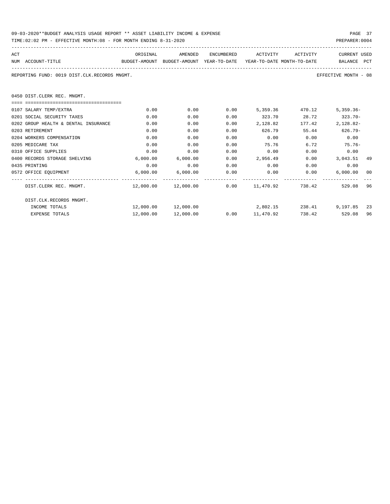| 09-03-2020**BUDGET ANALYSIS USAGE REPORT ** ASSET LIABILITY INCOME & EXPENSE | PAGE 37        |
|------------------------------------------------------------------------------|----------------|
| TIME:02:02 PM - EFFECTIVE MONTH:08 - FOR MONTH ENDING 8-31-2020              | PREPARER: 0004 |

| ACT |                                              | ORIGINAL                                                            | AMENDED                      | ENCUMBERED | ACTIVITY  | ACTIVITY     | <b>CURRENT USED</b>  |    |
|-----|----------------------------------------------|---------------------------------------------------------------------|------------------------------|------------|-----------|--------------|----------------------|----|
|     | NUM ACCOUNT-TITLE                            | BUDGET-AMOUNT BUDGET-AMOUNT YEAR-TO-DATE YEAR-TO-DATE MONTH-TO-DATE |                              |            |           |              | BALANCE PCT          |    |
|     | REPORTING FUND: 0019 DIST.CLK.RECORDS MNGMT. |                                                                     |                              |            |           |              | EFFECTIVE MONTH - 08 |    |
|     | 0450 DIST.CLERK REC. MNGMT.                  |                                                                     |                              |            |           |              |                      |    |
|     |                                              |                                                                     |                              |            |           |              |                      |    |
|     | 0107 SALARY TEMP/EXTRA                       | 0.00                                                                | 0.00                         | 0.00       | 5,359.36  | 470.12       | $5.359.36-$          |    |
|     | 0201 SOCIAL SECURITY TAXES                   | 0.00                                                                | 0.00                         | 0.00       |           | 323.70 28.72 | $323.70-$            |    |
|     | 0202 GROUP HEALTH & DENTAL INSURANCE         | 0.00                                                                | 0.00                         | 0.00       | 2,128.82  | 177.42       | $2,128.82-$          |    |
|     | 0203 RETIREMENT                              | 0.00                                                                | 0.00                         | 0.00       | 626.79    | 55.44        | $626.79-$            |    |
|     | 0204 WORKERS COMPENSATION                    | 0.00                                                                | 0.00                         | 0.00       | 0.00      | 0.00         | 0.00                 |    |
|     | 0205 MEDICARE TAX                            | 0.00                                                                | 0.00                         | 0.00       | 75.76     | 6.72         | $75.76 -$            |    |
|     | 0310 OFFICE SUPPLIES                         | 0.00                                                                | 0.00                         | 0.00       | 0.00      | 0.00         | 0.00                 |    |
|     | 0400 RECORDS STORAGE SHELVING                | 6,000.00                                                            | 6,000.00                     | 0.00       | 2,956.49  |              | $0.00$ 3,043.51 49   |    |
|     | 0435 PRINTING                                | 0.00                                                                | 0.00                         | 0.00       | 0.00      | 0.00         | 0.00                 |    |
|     | 0572 OFFICE EQUIPMENT                        |                                                                     | 6,000.00 6,000.00            | 0.00       | 0.00      | 0.00         | 6,000.00             | 00 |
|     | DIST.CLERK REC. MNGMT.                       |                                                                     | $12,000.00$ $12,000.00$ 0.00 |            | 11,470.92 | 738.42       | 529.08 96            |    |
|     | DIST.CLK.RECORDS MNGMT.                      |                                                                     |                              |            |           |              |                      |    |
|     | INCOME TOTALS                                |                                                                     | 12,000.00 12,000.00          |            | 2,802.15  |              | 238.41 9,197.85 23   |    |
|     | <b>EXPENSE TOTALS</b>                        | 12,000.00                                                           | 12,000.00                    | 0.00       | 11,470.92 |              | 738.42<br>529.08     | 96 |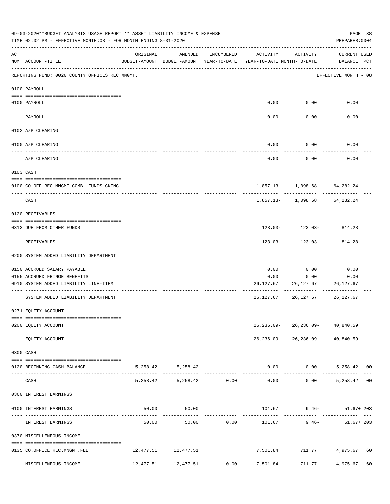|     | 09-03-2020**BUDGET ANALYSIS USAGE REPORT ** ASSET LIABILITY INCOME & EXPENSE<br>TIME:02:02 PM - EFFECTIVE MONTH:08 - FOR MONTH ENDING 8-31-2020 |          |                        |            |                                                                                 |                                                | PAGE 38<br>PREPARER: 0004   |  |
|-----|-------------------------------------------------------------------------------------------------------------------------------------------------|----------|------------------------|------------|---------------------------------------------------------------------------------|------------------------------------------------|-----------------------------|--|
| ACT | NUM ACCOUNT-TITLE                                                                                                                               | ORIGINAL | AMENDED                | ENCUMBERED | ACTIVITY<br>BUDGET-AMOUNT BUDGET-AMOUNT YEAR-TO-DATE YEAR-TO-DATE MONTH-TO-DATE | ACTIVITY                                       | CURRENT USED<br>BALANCE PCT |  |
|     | REPORTING FUND: 0020 COUNTY OFFICES REC.MNGMT.                                                                                                  |          |                        |            |                                                                                 |                                                | EFFECTIVE MONTH - 08        |  |
|     | 0100 PAYROLL                                                                                                                                    |          |                        |            |                                                                                 |                                                |                             |  |
|     | 0100 PAYROLL                                                                                                                                    |          |                        |            |                                                                                 | $0.00$ 0.00                                    | 0.00                        |  |
|     | PAYROLL                                                                                                                                         |          |                        |            | 0.00                                                                            | 0.00                                           | 0.00                        |  |
|     | 0102 A/P CLEARING                                                                                                                               |          |                        |            |                                                                                 |                                                |                             |  |
|     | 0100 A/P CLEARING                                                                                                                               |          |                        |            | 0.00                                                                            | 0.00                                           | 0.00                        |  |
|     | A/P CLEARING                                                                                                                                    |          |                        |            | 0.00                                                                            | 0.00                                           | 0.00                        |  |
|     | 0103 CASH                                                                                                                                       |          |                        |            |                                                                                 |                                                |                             |  |
|     | 0100 CO.OFF.REC.MNGMT-COMB. FUNDS CKING                                                                                                         |          |                        |            |                                                                                 | 1,857.13- 1,098.68 64,282.24                   |                             |  |
|     | -------------------------------<br>CASH                                                                                                         |          |                        |            |                                                                                 | ________________________<br>1,857.13- 1,098.68 | .<br>64,282.24              |  |
|     | 0120 RECEIVABLES                                                                                                                                |          |                        |            |                                                                                 |                                                |                             |  |
|     | 0313 DUE FROM OTHER FUNDS                                                                                                                       |          |                        |            |                                                                                 | $123.03 - 123.03 - 814.28$                     |                             |  |
|     | RECEIVABLES                                                                                                                                     |          |                        |            |                                                                                 | $123.03 - 123.03 -$                            | 814.28                      |  |
|     | 0200 SYSTEM ADDED LIABILITY DEPARTMENT                                                                                                          |          |                        |            |                                                                                 |                                                |                             |  |
|     | 0150 ACCRUED SALARY PAYABLE                                                                                                                     |          |                        |            | 0.00                                                                            | 0.00                                           | 0.00                        |  |
|     | 0155 ACCRUED FRINGE BENEFITS                                                                                                                    |          |                        |            | 0.00                                                                            | 0.00                                           | 0.00                        |  |
|     | 0910 SYSTEM ADDED LIABILITY LINE-ITEM                                                                                                           |          |                        |            |                                                                                 | 26,127.67 26,127.67                            | 26,127.67                   |  |
|     | SYSTEM ADDED LIABILITY DEPARTMENT                                                                                                               |          |                        |            |                                                                                 | 26, 127.67 26, 127.67                          | 26,127.67                   |  |
|     | 0271 EQUITY ACCOUNT                                                                                                                             |          |                        |            |                                                                                 |                                                |                             |  |
|     | 0200 EQUITY ACCOUNT                                                                                                                             |          |                        |            |                                                                                 | 26, 236.09-26, 236.09-40, 840.59               |                             |  |
|     |                                                                                                                                                 |          |                        |            |                                                                                 | --------- ----------- --------                 |                             |  |
|     | EQUITY ACCOUNT                                                                                                                                  |          |                        |            |                                                                                 | $26, 236.09 - 26, 236.09 - 40, 840.59$         |                             |  |
|     | 0300 CASH                                                                                                                                       |          |                        |            |                                                                                 |                                                |                             |  |
|     | 0120 BEGINNING CASH BALANCE                                                                                                                     |          | 5, 258.42 5, 258.42    |            | $0.00$ $0.00$ $5,258.42$ 00                                                     |                                                | ----------- -------------   |  |
|     | CASH                                                                                                                                            |          | 5,258.42 5,258.42 0.00 |            | $0.00$ $0.00$ $5,258.42$ 00                                                     |                                                |                             |  |
|     | 0360 INTEREST EARNINGS                                                                                                                          |          |                        |            |                                                                                 |                                                |                             |  |
|     |                                                                                                                                                 |          |                        |            |                                                                                 |                                                |                             |  |
|     | 0100 INTEREST EARNINGS                                                                                                                          |          | 50.00 50.00            |            | $101.67$ 9.46- 51.67+203<br>-----------------------------                       | ------------------------------                 |                             |  |
|     | INTEREST EARNINGS                                                                                                                               | 50.00    |                        | 50.00 0.00 |                                                                                 | $101.67$ 9.46- 51.67+203                       |                             |  |
|     | 0370 MISCELLENEOUS INCOME                                                                                                                       |          |                        |            |                                                                                 |                                                |                             |  |
|     | 0135 CO.OFFICE REC.MNGMT.FEE                                                                                                                    |          | 12,477.51 12,477.51    |            |                                                                                 | 7,501.84 711.77 4,975.67 60                    |                             |  |
|     | MISCELLENEOUS INCOME                                                                                                                            |          |                        |            | $12,477.51$ $12,477.51$ $0.00$ $7,501.84$ $711.77$ $4,975.67$ 60                |                                                |                             |  |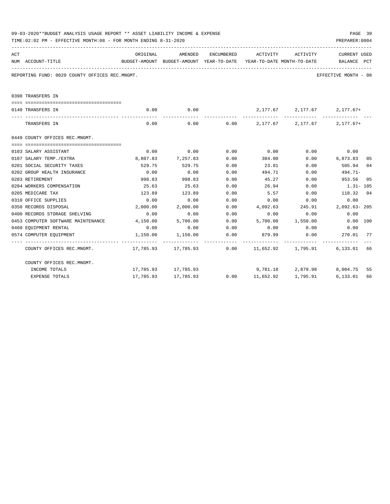|     | 09-03-2020**BUDGET ANALYSIS USAGE REPORT ** ASSET LIABILITY INCOME & EXPENSE<br>PREPARER: 0004<br>TIME:02:02 PM - EFFECTIVE MONTH:08 - FOR MONTH ENDING 8-31-2020 |           |                     |      |                                      |          |                                                                                 |    |  |  |  |
|-----|-------------------------------------------------------------------------------------------------------------------------------------------------------------------|-----------|---------------------|------|--------------------------------------|----------|---------------------------------------------------------------------------------|----|--|--|--|
| ACT |                                                                                                                                                                   | ORIGINAL  |                     |      | AMENDED ENCUMBERED ACTIVITY ACTIVITY |          | CURRENT USED                                                                    |    |  |  |  |
|     | NUM ACCOUNT-TITLE                                                                                                                                                 |           |                     |      |                                      |          | BUDGET-AMOUNT BUDGET-AMOUNT YEAR-TO-DATE YEAR-TO-DATE MONTH-TO-DATE BALANCE PCT |    |  |  |  |
|     | REPORTING FUND: 0020 COUNTY OFFICES REC.MNGMT.                                                                                                                    |           |                     |      |                                      |          | EFFECTIVE MONTH - 08                                                            |    |  |  |  |
|     | 0390 TRANSFERS IN                                                                                                                                                 |           |                     |      |                                      |          |                                                                                 |    |  |  |  |
|     | 0140 TRANSFERS IN                                                                                                                                                 | 0.00      | 0.00                |      |                                      |          | 2, 177.67 2, 177.67 2, 177.67+                                                  |    |  |  |  |
|     | TRANSFERS IN                                                                                                                                                      |           |                     |      |                                      |          | $0.00$ $0.00$ $0.00$ $2,177.67$ $2,177.67$ $2,177.67+$                          |    |  |  |  |
|     | 0449 COUNTY OFFICES REC.MNGMT.                                                                                                                                    |           |                     |      |                                      |          |                                                                                 |    |  |  |  |
|     | 0103 SALARY ASSISTANT                                                                                                                                             | 0.00      | 0.00                | 0.00 | $0.00$ 0.00                          |          | 0.00                                                                            |    |  |  |  |
|     | 0107 SALARY TEMP./EXTRA                                                                                                                                           |           | 8,807.83 7,257.83   |      | $0.00$ 384.00                        |          | $0.00$ 6,873.83                                                                 | 05 |  |  |  |
|     | 0201 SOCIAL SECURITY TAXES                                                                                                                                        | 529.75    | 529.75              | 0.00 | 23.81                                | 0.00     | 505.94                                                                          | 04 |  |  |  |
|     | 0202 GROUP HEALTH INSURANCE                                                                                                                                       | 0.00      | 0.00                | 0.00 | 494.71                               | 0.00     | 494.71-                                                                         |    |  |  |  |
|     | 0203 RETIREMENT                                                                                                                                                   | 998.83    | 998.83              | 0.00 | 45.27                                | 0.00     | 953.56 05                                                                       |    |  |  |  |
|     | 0204 WORKERS COMPENSATION                                                                                                                                         | 25.63     | 25.63               | 0.00 | 26.94                                | 0.00     | $1.31 - 105$                                                                    |    |  |  |  |
|     | 0205 MEDICARE TAX                                                                                                                                                 | 123.89    | 123.89              | 0.00 | 5.57                                 | 0.00     | 118.32 04                                                                       |    |  |  |  |
|     | 0310 OFFICE SUPPLIES                                                                                                                                              | 0.00      | 0.00                | 0.00 | 0.00                                 | 0.00     | 0.00                                                                            |    |  |  |  |
|     | 0350 RECORDS DISPOSAL                                                                                                                                             | 2,000.00  | 2,000.00            | 0.00 | 4,092.63 245.91                      |          | 2,092.63-205                                                                    |    |  |  |  |
|     | 0400 RECORDS STORAGE SHELVING                                                                                                                                     | 0.00      | 0.00                | 0.00 | 0.00                                 | 0.00     | 0.00                                                                            |    |  |  |  |
|     | 0453 COMPUTER SOFTWARE MAINTENANCE 4,150.00                                                                                                                       |           | 5,700.00            | 0.00 | 5,700.00                             | 1,550.00 | $0.00$ 100                                                                      |    |  |  |  |
|     | 0460 EQUIPMENT RENTAL                                                                                                                                             | 0.00      | 0.00                |      | $0.00$ 0.00                          | 0.00     | 0.00                                                                            |    |  |  |  |
|     | 0574 COMPUTER EQUIPMENT                                                                                                                                           | 1,150.00  | 1,150.00            | 0.00 | 879.99                               | 0.00     | 270.01 77                                                                       |    |  |  |  |
|     | COUNTY OFFICES REC.MNGMT. 47,785.93 17,785.93 0.00 11,652.92 1,795.91 6,133.01 66                                                                                 |           |                     |      |                                      |          |                                                                                 |    |  |  |  |
|     | COUNTY OFFICES REC.MNGMT.                                                                                                                                         |           |                     |      |                                      |          |                                                                                 |    |  |  |  |
|     | INCOME TOTALS                                                                                                                                                     |           | 17,785.93 17,785.93 |      |                                      |          | 9,781.18  2,879.98  8,004.75                                                    | 55 |  |  |  |
|     | <b>EXPENSE TOTALS</b>                                                                                                                                             | 17,785.93 | 17,785.93           | 0.00 |                                      |          | 6.133.01                                                                        | 66 |  |  |  |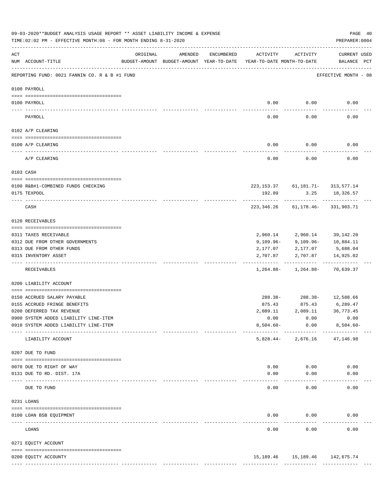|          | 09-03-2020**BUDGET ANALYSIS USAGE REPORT ** ASSET LIABILITY INCOME & EXPENSE<br>TIME: 02:02 PM - EFFECTIVE MONTH: 08 - FOR MONTH ENDING 8-31-2020 |          |         |            |                                                                                 |                                               | PAGE 40<br>PREPARER: 0004          |  |
|----------|---------------------------------------------------------------------------------------------------------------------------------------------------|----------|---------|------------|---------------------------------------------------------------------------------|-----------------------------------------------|------------------------------------|--|
| ACT      | NUM ACCOUNT-TITLE                                                                                                                                 | ORIGINAL | AMENDED | ENCUMBERED | ACTIVITY<br>BUDGET-AMOUNT BUDGET-AMOUNT YEAR-TO-DATE YEAR-TO-DATE MONTH-TO-DATE | ACTIVITY                                      | <b>CURRENT USED</b><br>BALANCE PCT |  |
|          | REPORTING FUND: 0021 FANNIN CO. R & B #1 FUND                                                                                                     |          |         |            |                                                                                 |                                               | EFFECTIVE MONTH - 08               |  |
|          | 0100 PAYROLL                                                                                                                                      |          |         |            |                                                                                 |                                               |                                    |  |
| ---- --- | 0100 PAYROLL                                                                                                                                      |          |         |            | 0.00<br>$---$                                                                   | 0.00<br>-------                               | 0.00                               |  |
|          | PAYROLL                                                                                                                                           |          |         |            | 0.00                                                                            | 0.00                                          | 0.00                               |  |
|          | 0102 A/P CLEARING                                                                                                                                 |          |         |            |                                                                                 |                                               |                                    |  |
|          | 0100 A/P CLEARING                                                                                                                                 |          |         |            | 0.00                                                                            | 0.00                                          | 0.00                               |  |
|          | A/P CLEARING                                                                                                                                      |          |         |            | 0.00                                                                            | 0.00                                          | 0.00                               |  |
|          | 0103 CASH                                                                                                                                         |          |         |            |                                                                                 |                                               |                                    |  |
|          |                                                                                                                                                   |          |         |            |                                                                                 |                                               |                                    |  |
|          | 0100 R&B#1-COMBINED FUNDS CHECKING<br>0175 TEXPOOL                                                                                                |          |         |            | 192.89                                                                          | 223, 153. 37 61, 181. 71 - 313, 577. 14       | 3.25 18,326.57                     |  |
|          | CASH                                                                                                                                              |          |         |            |                                                                                 | 223, 346. 26 61, 178. 46 - 331, 903. 71       |                                    |  |
|          | 0120 RECEIVABLES                                                                                                                                  |          |         |            |                                                                                 |                                               |                                    |  |
|          | 0311 TAXES RECEIVABLE                                                                                                                             |          |         |            | 2,960.14                                                                        | 2,960.14 39,142.20                            |                                    |  |
|          | 0312 DUE FROM OTHER GOVERNMENTS                                                                                                                   |          |         |            | 9,109.96-                                                                       | 9,109.96-                                     | 10,884.11                          |  |
|          | 0313 DUE FROM OTHER FUNDS                                                                                                                         |          |         |            | 2,177.07                                                                        | 2,177.07                                      | 5,688.04                           |  |
|          | 0315 INVENTORY ASSET                                                                                                                              |          |         |            | 2,707.87                                                                        | 2,707.87<br>--------- ------------ ---------- | 14,925.02                          |  |
|          | RECEIVABLES                                                                                                                                       |          |         |            |                                                                                 | $1,264.88 - 1,264.88 - 70,639.37$             |                                    |  |
|          | 0200 LIABILITY ACCOUNT                                                                                                                            |          |         |            |                                                                                 |                                               |                                    |  |
|          | 0150 ACCRUED SALARY PAYABLE                                                                                                                       |          |         |            |                                                                                 | 288.38-288.38-12,588.66                       |                                    |  |
|          | 0155 ACCRUED FRINGE BENEFITS                                                                                                                      |          |         |            |                                                                                 | 875.43 875.43 6,289.47                        |                                    |  |
|          | 0200 DEFERRED TAX REVENUE                                                                                                                         |          |         |            | 2,089.11                                                                        | 2,089.11                                      | 36,773.45                          |  |
|          | 0900 SYSTEM ADDED LIABILITY LINE-ITEM                                                                                                             |          |         |            | 0.00                                                                            | 0.00                                          | 0.00                               |  |
|          | 0910 SYSTEM ADDED LIABILITY LINE-ITEM                                                                                                             |          |         |            | $8,504.60 -$                                                                    | 0.00<br>------------                          | $8,504.60 -$                       |  |
|          | LIABILITY ACCOUNT                                                                                                                                 |          |         |            | 5,828.44-                                                                       | 2,676.16                                      | 47,146.98                          |  |
|          | 0207 DUE TO FUND                                                                                                                                  |          |         |            |                                                                                 |                                               |                                    |  |
|          | 0070 DUE TO RIGHT OF WAY                                                                                                                          |          |         |            | 0.00                                                                            | 0.00                                          | 0.00                               |  |
|          | 0131 DUE TO RD. DIST. 17A<br>----------------------- -----------                                                                                  |          |         |            | 0.00                                                                            | 0.00                                          | 0.00                               |  |
|          | DUE TO FUND                                                                                                                                       |          |         |            | 0.00                                                                            | 0.00                                          | 0.00                               |  |
|          | 0231 LOANS                                                                                                                                        |          |         |            |                                                                                 |                                               |                                    |  |
|          | 0100 LOAN BSB EQUIPMENT                                                                                                                           |          |         |            | 0.00                                                                            | 0.00                                          | 0.00                               |  |
|          | LOANS                                                                                                                                             |          |         |            | 0.00                                                                            | 0.00                                          | 0.00                               |  |
|          | 0271 EQUITY ACCOUNT                                                                                                                               |          |         |            |                                                                                 |                                               |                                    |  |
|          |                                                                                                                                                   |          |         |            |                                                                                 |                                               |                                    |  |
|          | 0200 EQUITY ACCOUNTY                                                                                                                              |          |         |            |                                                                                 | 15, 189. 46   15, 189. 46   142, 675. 74      |                                    |  |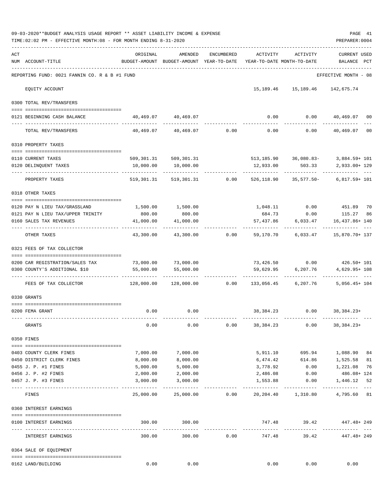|     | 09-03-2020**BUDGET ANALYSIS USAGE REPORT ** ASSET LIABILITY INCOME & EXPENSE<br>TIME: 02:02 PM - EFFECTIVE MONTH: 08 - FOR MONTH ENDING 8-31-2020                                                                                                                                                                                                                                                                                                                                                                       |                                                                                 |                                    |                 |                              |                                                           | PAGE 41<br>PREPARER: 0004      |                |
|-----|-------------------------------------------------------------------------------------------------------------------------------------------------------------------------------------------------------------------------------------------------------------------------------------------------------------------------------------------------------------------------------------------------------------------------------------------------------------------------------------------------------------------------|---------------------------------------------------------------------------------|------------------------------------|-----------------|------------------------------|-----------------------------------------------------------|--------------------------------|----------------|
| ACT | NUM ACCOUNT-TITLE                                                                                                                                                                                                                                                                                                                                                                                                                                                                                                       | ORIGINAL<br>BUDGET-AMOUNT BUDGET-AMOUNT YEAR-TO-DATE YEAR-TO-DATE MONTH-TO-DATE | AMENDED                            | ENCUMBERED      |                              | ACTIVITY ACTIVITY                                         | CURRENT USED<br>BALANCE PCT    |                |
|     | REPORTING FUND: 0021 FANNIN CO. R & B #1 FUND                                                                                                                                                                                                                                                                                                                                                                                                                                                                           |                                                                                 |                                    |                 |                              |                                                           | EFFECTIVE MONTH - 08           |                |
|     | EQUITY ACCOUNT                                                                                                                                                                                                                                                                                                                                                                                                                                                                                                          |                                                                                 |                                    |                 |                              | 15, 189. 46   15, 189. 46   142, 675. 74                  |                                |                |
|     | 0300 TOTAL REV/TRANSFERS                                                                                                                                                                                                                                                                                                                                                                                                                                                                                                |                                                                                 |                                    |                 |                              |                                                           |                                |                |
|     | 0121 BEGINNING CASH BALANCE                                                                                                                                                                                                                                                                                                                                                                                                                                                                                             |                                                                                 | 40,469.07 40,469.07                |                 |                              | $0.00$ $0.00$ $40,469.07$                                 |                                | 00             |
|     | TOTAL REV/TRANSFERS                                                                                                                                                                                                                                                                                                                                                                                                                                                                                                     |                                                                                 |                                    |                 |                              | $40,469.07$ $40,469.07$ $0.00$ $0.00$ $0.00$ $40,469.07$  |                                | 0 <sub>0</sub> |
|     | 0310 PROPERTY TAXES                                                                                                                                                                                                                                                                                                                                                                                                                                                                                                     |                                                                                 |                                    |                 |                              |                                                           |                                |                |
|     |                                                                                                                                                                                                                                                                                                                                                                                                                                                                                                                         |                                                                                 |                                    |                 |                              | 513, 185.90 36, 080.83-                                   |                                |                |
|     | 0110 CURRENT TAXES<br>0120 DELINQUENT TAXES                                                                                                                                                                                                                                                                                                                                                                                                                                                                             | 10,000.00                                                                       | 509,301.31 509,301.31<br>10,000.00 |                 | 12,933.00<br>--------------- | 503.33<br>-------------                                   | 3,884.59+ 101<br>2,933.00+ 129 |                |
|     | PROPERTY TAXES                                                                                                                                                                                                                                                                                                                                                                                                                                                                                                          | 519,301.31                                                                      |                                    | 519,301.31 0.00 |                              | 526,118.90 35,577.50-                                     | $6,817.59+101$                 |                |
|     | 0318 OTHER TAXES                                                                                                                                                                                                                                                                                                                                                                                                                                                                                                        |                                                                                 |                                    |                 |                              |                                                           |                                |                |
|     | 0120 PAY N LIEU TAX/GRASSLAND                                                                                                                                                                                                                                                                                                                                                                                                                                                                                           |                                                                                 | 1,500.00 1,500.00                  |                 |                              | 1,048.11   0.00   451.89   70                             |                                |                |
|     | 0121 PAY N LIEU TAX/UPPER TRINITY                                                                                                                                                                                                                                                                                                                                                                                                                                                                                       | 800.00                                                                          | 800.00                             |                 |                              | 684.73 0.00 115.27                                        |                                | 86             |
|     | 0160 SALES TAX REVENUES                                                                                                                                                                                                                                                                                                                                                                                                                                                                                                 | 41,000.00<br>.                                                                  | 41,000.00<br>------------          |                 | . <u>.</u>                   | $57,437.86$ $6,033.47$ $16,437.86+140$                    |                                |                |
|     | OTHER TAXES                                                                                                                                                                                                                                                                                                                                                                                                                                                                                                             |                                                                                 |                                    |                 |                              | 43,300.00 43,300.00 0.00 59,170.70 6,033.47 15,870.70 137 |                                |                |
|     | 0321 FEES OF TAX COLLECTOR                                                                                                                                                                                                                                                                                                                                                                                                                                                                                              |                                                                                 |                                    |                 |                              |                                                           |                                |                |
|     | $\begin{minipage}{0.03\textwidth} \centering \begin{tabular}{ l l l } \hline \texttt{0.03}\end{tabular} \end{minipage} \end{minipage} \begin{minipage}{0.03\textwidth} \centering \begin{tabular}{ l l l } \hline \texttt{0.03}\end{tabular} \end{minipage} \end{minipage} \begin{minipage}{0.03\textwidth} \centering \begin{tabular}{ l l l l } \hline \texttt{0.03}\end{tabular} \end{minipage} \end{minipage} \begin{minipage}{0.03\textwidth} \centering \begin{tabular}{ l l $<br>0200 CAR REGISTRATION/SALES TAX |                                                                                 | 73,000.00 73,000.00                |                 |                              | 73,426.50 0.00 426.50+ 101                                |                                |                |
|     | 0300 COUNTY'S ADDITIONAL \$10                                                                                                                                                                                                                                                                                                                                                                                                                                                                                           | 55,000.00                                                                       | 55,000.00                          |                 |                              | 59,629.95 6,207.76                                        | 4,629.95+ 108<br>-----------   |                |
|     | FEES OF TAX COLLECTOR                                                                                                                                                                                                                                                                                                                                                                                                                                                                                                   |                                                                                 |                                    |                 |                              | $128,000.00$ $128,000.00$ 0.00 $133,056.45$ 6,207.76      | $5,056.45+104$                 |                |
|     | 0330 GRANTS                                                                                                                                                                                                                                                                                                                                                                                                                                                                                                             |                                                                                 |                                    |                 |                              |                                                           |                                |                |
|     | 0200 FEMA GRANT                                                                                                                                                                                                                                                                                                                                                                                                                                                                                                         |                                                                                 | $0.00$ 0.00                        |                 |                              | 38, 384. 23 0.00 38, 384. 23+                             |                                |                |
|     | GRANTS                                                                                                                                                                                                                                                                                                                                                                                                                                                                                                                  | 0.00                                                                            | 0.00                               | 0.00            | 38,384.23                    |                                                           | $0.00$ 38, 384. 23+            |                |
|     | 0350 FINES                                                                                                                                                                                                                                                                                                                                                                                                                                                                                                              |                                                                                 |                                    |                 |                              |                                                           |                                |                |
|     |                                                                                                                                                                                                                                                                                                                                                                                                                                                                                                                         |                                                                                 |                                    |                 |                              |                                                           |                                |                |
|     | 0403 COUNTY CLERK FINES                                                                                                                                                                                                                                                                                                                                                                                                                                                                                                 | 7,000.00                                                                        | 7,000.00                           |                 | 5,911.10                     | 695.94                                                    | 1,088.90                       | 84             |
|     | 0450 DISTRICT CLERK FINES                                                                                                                                                                                                                                                                                                                                                                                                                                                                                               | 8,000.00                                                                        | 8,000.00                           |                 | 6,474.42                     | 614.86                                                    | 1,525.58                       | 81             |
|     | 0455 J. P. #1 FINES                                                                                                                                                                                                                                                                                                                                                                                                                                                                                                     | 5,000.00                                                                        | 5,000.00                           |                 | 3,778.92                     | 0.00                                                      | 1,221.08                       | 76             |
|     | 0456 J. P. #2 FINES                                                                                                                                                                                                                                                                                                                                                                                                                                                                                                     | 2,000.00                                                                        | 2,000.00                           |                 | 2,486.08                     | 0.00                                                      | 486.08+ 124                    |                |
|     | 0457 J. P. #3 FINES                                                                                                                                                                                                                                                                                                                                                                                                                                                                                                     | 3,000.00                                                                        | 3,000.00                           |                 | 1,553.88                     | 0.00                                                      | 1,446.12                       | 52             |
|     | FINES                                                                                                                                                                                                                                                                                                                                                                                                                                                                                                                   | 25,000.00                                                                       | 25,000.00                          | 0.00            |                              | 20,204.40 1,310.80                                        | 4,795.60 81                    |                |
|     | 0360 INTEREST EARNINGS                                                                                                                                                                                                                                                                                                                                                                                                                                                                                                  |                                                                                 |                                    |                 |                              |                                                           |                                |                |
|     | 0100 INTEREST EARNINGS                                                                                                                                                                                                                                                                                                                                                                                                                                                                                                  | 300.00                                                                          | 300.00                             |                 | 747.48                       | 39.42                                                     | 447.48+ 249                    |                |
|     | INTEREST EARNINGS                                                                                                                                                                                                                                                                                                                                                                                                                                                                                                       | 300.00                                                                          | 300.00                             | 0.00            | 747.48                       | 39.42                                                     | 447.48+ 249                    |                |
|     | 0364 SALE OF EQUIPMENT                                                                                                                                                                                                                                                                                                                                                                                                                                                                                                  |                                                                                 |                                    |                 |                              |                                                           |                                |                |
|     | 0162 LAND/BUILDING                                                                                                                                                                                                                                                                                                                                                                                                                                                                                                      | 0.00                                                                            | 0.00                               |                 | 0.00                         | 0.00                                                      | 0.00                           |                |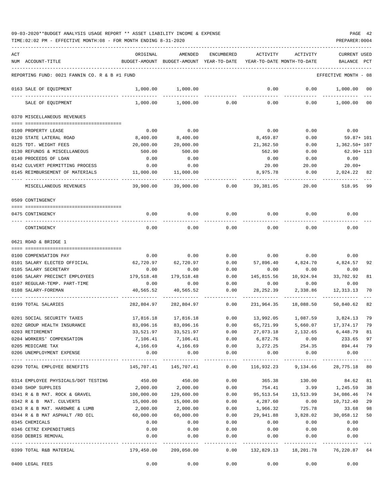TIME:02:02 PM - EFFECTIVE MONTH:08 - FOR MONTH ENDING 8-31-2020 PREPARER:0004

| ACT |                                                | ORIGINAL                     | AMENDED                                                         | ENCUMBERED           | ACTIVITY         | ACTIVITY                   | <b>CURRENT USED</b>                    |     |
|-----|------------------------------------------------|------------------------------|-----------------------------------------------------------------|----------------------|------------------|----------------------------|----------------------------------------|-----|
|     | NUM ACCOUNT-TITLE                              |                              | BUDGET-AMOUNT BUDGET-AMOUNT YEAR-TO-DATE                        |                      |                  | YEAR-TO-DATE MONTH-TO-DATE | BALANCE                                | PCT |
|     |                                                |                              |                                                                 |                      |                  |                            |                                        |     |
|     | REPORTING FUND: 0021 FANNIN CO. R & B #1 FUND  |                              |                                                                 |                      |                  |                            | EFFECTIVE MONTH - 08                   |     |
|     | 0163 SALE OF EQUIPMENT                         | 1,000.00                     | 1,000.00                                                        |                      | 0.00             | 0.00                       | 1,000.00                               | 00  |
|     | SALE OF EQUIPMENT                              | 1,000.00                     | 1,000.00                                                        | 0.00                 | 0.00             | 0.00                       | 1,000.00 00                            |     |
|     | 0370 MISCELLANEOUS REVENUES                    |                              |                                                                 |                      |                  |                            |                                        |     |
|     |                                                |                              | 0.00                                                            |                      |                  |                            |                                        |     |
|     | 0100 PROPERTY LEASE<br>0120 STATE LATERAL ROAD | 0.00<br>8,400.00             | 8,400.00                                                        |                      | 0.00<br>8,459.87 | 0.00<br>0.00               | 0.00<br>59.87+ 101                     |     |
|     | 0125 TDT. WEIGHT FEES                          | 20,000.00                    | 20,000.00                                                       |                      | 21,362.50        | 0.00                       | 1,362.50+ 107                          |     |
|     | 0130 REFUNDS & MISCELLANEOUS                   | 500.00                       | 500.00                                                          |                      | 562.90           | 0.00                       | 62.90+ 113                             |     |
|     | 0140 PROCEEDS OF LOAN                          | 0.00                         | 0.00                                                            |                      | 0.00             | 0.00                       | 0.00                                   |     |
|     | 0142 CULVERT PERMITTING PROCESS                | 0.00                         | 0.00                                                            |                      | 20.00            | 20.00                      | $20.00+$                               |     |
|     | 0145 REIMBURSEMENT OF MATERIALS                | 11,000.00                    | 11,000.00                                                       |                      | 8,975.78         | 0.00                       | 2,024.22 82                            |     |
|     | MISCELLANEOUS REVENUES                         | 39,900.00                    | 39,900.00                                                       | 0.00                 | 39,381.05        | 20.00                      | 518.95                                 | 99  |
|     |                                                |                              |                                                                 |                      |                  |                            |                                        |     |
|     | 0509 CONTINGENCY                               |                              |                                                                 |                      |                  |                            |                                        |     |
|     | 0475 CONTINGENCY                               | 0.00                         | 0.00                                                            | 0.00                 | 0.00             | 0.00                       | 0.00                                   |     |
|     |                                                |                              |                                                                 |                      |                  |                            |                                        |     |
|     | CONTINGENCY                                    | 0.00                         | 0.00                                                            | 0.00                 | 0.00             | 0.00                       | 0.00                                   |     |
|     | 0621 ROAD & BRIDGE 1                           |                              |                                                                 |                      |                  |                            |                                        |     |
|     |                                                |                              |                                                                 |                      |                  |                            |                                        |     |
|     | 0100 COMPENSATION PAY                          | 0.00                         | 0.00                                                            | 0.00                 | 0.00             | 0.00                       | 0.00                                   |     |
|     | 0101 SALARY ELECTED OFFICIAL                   | 62,720.97                    | 62,720.97                                                       | 0.00                 | 57,896.40        | 4,824.70                   | 4,824.57                               | 92  |
|     | 0105 SALARY SECRETARY                          | 0.00                         | 0.00                                                            | 0.00                 | 0.00             | 0.00                       | 0.00                                   |     |
|     | 0106 SALARY PRECINCT EMPLOYEES                 | 179,518.48                   | 179,518.48                                                      | 0.00                 | 145,815.56       | 10,924.94                  | 33,702.92                              | 81  |
|     | 0107 REGULAR-TEMP. PART-TIME                   | 0.00                         | 0.00                                                            | 0.00                 | 0.00             | 0.00                       | 0.00                                   |     |
|     | 0108 SALARY-FOREMAN                            | 40,565.52                    | 40,565.52                                                       | 0.00                 | 28, 252, 39      | 2,338.86                   | 12, 313, 13                            | 70  |
|     | 0199 TOTAL SALARIES                            | 282,804.97                   | 282,804.97                                                      | 0.00                 | 231,964.35       | 18,088.50                  | 50,840.62                              | 82  |
|     | 0201 SOCIAL SECURITY TAXES                     | 17,816.18                    | 17,816.18                                                       | 0.00                 |                  |                            | 13,992.05 1,087.59 3,824.13            | 79  |
|     | 0202 GROUP HEALTH INSURANCE                    | 83,096.16                    | 83,096.16                                                       | 0.00                 | 65,721.99        | 5,660.07                   | 17,374.17                              | 79  |
|     | 0203 RETIREMENT                                | 33,521.97                    | 33,521.97                                                       | 0.00                 |                  | 27,073.18 2,132.65         | 6,448.79 81                            |     |
|     | 0204 WORKERS' COMPENSATION                     | 7,106.41                     | 7,106.41                                                        | 0.00                 | 6,872.76         | 0.00                       | 233.65 97                              |     |
|     | 0205 MEDICARE TAX                              |                              | 4, 166.69   4, 166.69   0.00   3, 272.25   254.35   894.44   79 |                      |                  |                            |                                        |     |
|     | 0206 UNEMPLOYMENT EXPENSE                      | 0.00                         |                                                                 | $0.00$ 0.00          | 0.00             |                            | $0.00$ 0.00                            |     |
|     | 0299 TOTAL EMPLOYEE BENEFITS                   | 145,707.41  145,707.41  0.00 |                                                                 |                      |                  | 116,932.23 9,134.66        | 28,775.18                              | 80  |
|     | 0314 EMPLOYEE PHYSICALS/DOT TESTING            |                              | 450.00 450.00                                                   | 0.00                 | 365.38           | 130.00                     | 84.62 81                               |     |
|     | 0340 SHOP SUPPLIES                             | 2,000.00                     | 2,000.00                                                        | 0.00                 | 754.41           |                            | $3.99$ 1, 245.59                       | 38  |
|     | 0341 R & B MAT. ROCK & GRAVEL                  | 100,000.00                   | 129,600.00                                                      | 0.00                 |                  |                            |                                        | 74  |
|     | 0342 R & B MAT. CULVERTS                       | 15,000.00                    | 15,000.00                                                       | 0.00                 | 4,287.60         | 0.00                       | 10,712.40                              | 29  |
|     | 0343 R & B MAT. HARDWRE & LUMB                 | 2,000.00                     | 2,000.00                                                        | 0.00                 | 1,966.32         | 725.78                     | 33.68                                  | 98  |
|     | 0344 R & B MAT ASPHALT /RD OIL                 | 60,000.00                    | 60,000.00                                                       | 0.00                 | 29,941.88        | 3,828.02                   | 30,058.12                              | 50  |
|     | 0345 CHEMICALS                                 | 0.00                         | 0.00                                                            | 0.00                 | 0.00             | 0.00                       | 0.00                                   |     |
|     | 0346 CETRZ EXPENDITURES                        | 0.00                         | 0.00                                                            | 0.00                 | 0.00             | 0.00                       | 0.00                                   |     |
|     | 0350 DEBRIS REMOVAL                            | 0.00                         | 0.00<br>___________                                             | 0.00<br>------------ | 0.00             | 0.00                       | 0.00                                   |     |
|     | 0399 TOTAL R&B MATERIAL                        |                              | 179,450.00 209,050.00                                           |                      |                  |                            | 0.00 132,829.13 18,201.78 76,220.87 64 |     |
|     | 0400 LEGAL FEES                                | 0.00                         |                                                                 | 0.00<br>0.00         |                  | 0.00                       | 0.00<br>0.00                           |     |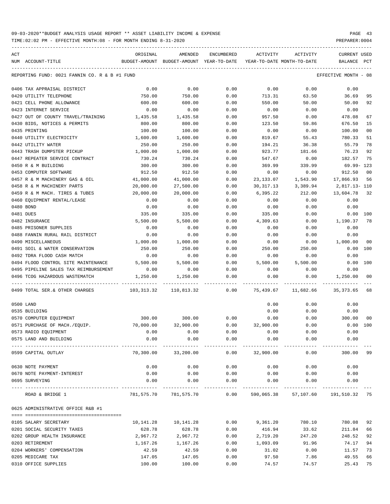| ACT |                                                 | ORIGINAL                                 | AMENDED                    | ENCUMBERED   | ACTIVITY                   | ACTIVITY                           | <b>CURRENT USED</b>  |          |
|-----|-------------------------------------------------|------------------------------------------|----------------------------|--------------|----------------------------|------------------------------------|----------------------|----------|
|     | NUM ACCOUNT-TITLE                               | BUDGET-AMOUNT BUDGET-AMOUNT YEAR-TO-DATE |                            |              | YEAR-TO-DATE MONTH-TO-DATE |                                    | BALANCE              | PCT      |
|     |                                                 |                                          |                            |              |                            |                                    |                      |          |
|     | REPORTING FUND: 0021 FANNIN CO. R & B #1 FUND   |                                          |                            |              |                            |                                    | EFFECTIVE MONTH - 08 |          |
|     | 0406 TAX APPRAISAL DISTRICT                     | 0.00                                     | 0.00                       | 0.00         | 0.00                       | 0.00                               | 0.00                 |          |
|     | 0420 UTILITY TELEPHONE                          | 750.00                                   | 750.00                     | 0.00         | 713.31                     | 63.50                              | 36.69                | 95       |
|     | 0421 CELL PHONE ALLOWANCE                       | 600.00                                   | 600.00                     | 0.00         | 550.00                     | 50.00                              | 50.00                | 92       |
|     | 0423 INTERNET SERVICE                           | 0.00                                     | 0.00                       | 0.00         | 0.00                       | 0.00                               | 0.00                 |          |
|     | 0427 OUT OF COUNTY TRAVEL/TRAINING              | 1,435.58                                 | 1,435.58                   | 0.00         | 957.50                     | 0.00                               | 478.08               | 67       |
|     | 0430 BIDS, NOTICES & PERMITS                    | 800.00                                   | 800.00                     | 0.00         | 123.50                     | 59.86                              | 676.50               | 15       |
|     | 0435 PRINTING                                   | 100.00                                   | 100.00                     | 0.00         | 0.00                       | 0.00                               | 100.00               | 00       |
|     | 0440 UTILITY ELECTRICITY                        | 1,600.00                                 | 1,600.00                   | 0.00         | 819.67                     | 55.43                              | 780.33               | 51       |
|     | 0442 UTILITY WATER                              | 250.00                                   | 250.00                     | 0.00         | 194.21                     | 36.38                              | 55.79                | 78       |
|     | 0443 TRASH DUMPSTER PICKUP                      | 1,000.00                                 | 1,000.00                   | 0.00         | 923.77                     | 181.66                             | 76.23                | 92       |
|     | 0447 REPEATER SERVICE CONTRACT                  | 730.24                                   | 730.24                     | 0.00         | 547.67                     | 0.00                               | 182.57               | 75       |
|     | 0450 R & M BUILDING                             | 300.00                                   | 300.00                     | 0.00         | 369.99                     | 339.99                             | 69.99-123            |          |
|     | 0453 COMPUTER SOFTWARE                          | 912.50                                   | 912.50                     | 0.00         | 0.00                       | 0.00                               | 912.50               | 00       |
|     | 0457 R & M MACHINERY GAS & OIL                  | 41,000.00                                | 41,000.00                  | 0.00         | 23,133.07                  | 1,543.90                           | 17,866.93            | 56       |
|     | 0458 R & M MACHINERY PARTS                      | 20,000.00                                | 27,500.00                  | 0.00         | 30,317.13                  | 3,389.94                           | 2,817.13- 110        |          |
|     | 0459 R & M MACH. TIRES & TUBES                  | 20,000.00                                | 20,000.00                  | 0.00         | 6,395.22                   | 212.00                             | 13,604.78            | 32       |
|     | 0460 EQUIPMENT RENTAL/LEASE                     | 0.00                                     | 0.00                       | 0.00         | 0.00                       | 0.00                               | 0.00                 |          |
|     | 0480 BOND                                       | 0.00                                     | 0.00                       | 0.00         | 0.00                       | 0.00                               | 0.00                 |          |
|     | 0481 DUES                                       | 335.00                                   | 335.00                     | 0.00         | 335.00                     | 0.00                               | $0.00$ 100           |          |
|     | 0482 INSURANCE                                  |                                          |                            |              |                            |                                    | 1,190.37             |          |
|     |                                                 | 5,500.00                                 | 5,500.00                   | 0.00         | 4,309.63                   | 0.00                               |                      | 78       |
|     | 0485 PRISONER SUPPLIES                          | 0.00                                     | 0.00                       | 0.00         | 0.00                       | 0.00                               | 0.00                 |          |
|     | 0488 FANNIN RURAL RAIL DISTRICT                 | 0.00                                     | 0.00                       | 0.00         | 0.00                       | 0.00                               | 0.00                 |          |
|     | 0490 MISCELLANEOUS                              | 1,000.00                                 | 1,000.00                   | 0.00         | 0.00                       | 0.00                               | 1,000.00             | 00       |
|     | 0491 SOIL & WATER CONSERVATION                  | 250.00                                   | 250.00                     | 0.00         | 250.00                     | 250.00                             | 0.00                 | 100      |
|     | 0492 TDRA FLOOD CASH MATCH                      | 0.00                                     | 0.00                       | 0.00         | 0.00                       | 0.00                               | 0.00                 |          |
|     | 0494 FLOOD CONTROL SITE MAINTENANCE             | 5,500.00                                 | 5,500.00                   | 0.00         | 5,500.00                   | 5,500.00                           | 0.00                 | 100      |
|     | 0495 PIPELINE SALES TAX REIMBURSEMENT           | 0.00                                     | 0.00                       | 0.00         | 0.00                       | 0.00                               | 0.00                 |          |
|     | 0496 TCOG HAZARDOUS WASTEMATCH                  | 1,250.00                                 | 1,250.00                   | 0.00         | 0.00                       | 0.00                               | 1,250.00             | -00      |
|     | 0499 TOTAL SER.& OTHER CHARGES                  | 103, 313. 32 110, 813. 32                |                            | 0.00         |                            |                                    |                      | 68       |
|     | 0500 LAND                                       |                                          |                            |              | 0.00                       | 0.00                               | 0.00                 |          |
|     | 0535 BUILDING                                   |                                          |                            |              | 0.00                       | 0.00                               | 0.00                 |          |
|     | 0570 COMPUTER EQUIPMENT                         | 300.00                                   | 300.00                     | 0.00         | 0.00                       | 0.00                               | 300.00               | 00       |
|     | 0571 PURCHASE OF MACH./EQUIP.                   | 70,000.00                                | 32,900.00                  | 0.00         | 32,900.00                  | 0.00                               | $0.00$ 100           |          |
|     | 0573 RADIO EQUIPMENT                            | 0.00                                     | 0.00                       | 0.00         | 0.00                       | 0.00                               | 0.00                 |          |
|     | 0575 LAND AND BUILDING                          | 0.00                                     | 0.00                       | 0.00         | 0.00                       | 0.00                               | 0.00                 |          |
|     |                                                 |                                          |                            | ---------    | ----------                 | ------------                       | -----------          |          |
|     | 0599 CAPITAL OUTLAY                             | 70,300.00                                | 33,200.00                  | 0.00         | 32,900.00                  | 0.00                               | 300.00 99            |          |
|     | 0630 NOTE PAYMENT                               | 0.00                                     | 0.00                       | 0.00         | 0.00                       | 0.00                               | 0.00                 |          |
|     | 0670 NOTE PAYMENT-INTEREST                      | 0.00                                     | 0.00                       | 0.00         | 0.00                       | 0.00                               | 0.00                 |          |
|     | 0695 SURVEYING                                  | 0.00                                     | 0.00                       | 0.00         | 0.00                       | 0.00                               | 0.00                 |          |
|     | ROAD & BRIDGE 1                                 |                                          | 781,575.70 781,575.70 0.00 |              |                            | 590,065.38 57,107.60 191,510.32 75 |                      |          |
|     | 0625 ADMINISTRATIVE OFFICE R&B #1               |                                          |                            |              |                            |                                    |                      |          |
|     |                                                 |                                          |                            |              |                            |                                    |                      |          |
|     | 0105 SALARY SECRETARY                           | 10,141.28<br>628.78                      | 10,141.28                  | 0.00<br>0.00 | 9,361.20                   | 780.10                             | 780.08               | 92       |
|     | 0201 SOCIAL SECURITY TAXES                      |                                          | 628.78                     |              | 416.94                     | 33.62                              | 211.84               | 66       |
|     | 0202 GROUP HEALTH INSURANCE                     | 2,967.72                                 | 2,967.72                   | 0.00         | 2,719.20                   | 247.20                             | 248.52               | 92       |
|     | 0203 RETIREMENT                                 | 1,167.26<br>42.59                        | 1,167.26<br>42.59          | 0.00<br>0.00 | 1,093.09                   | 91.96                              | 74.17                | 94       |
|     | 0204 WORKERS' COMPENSATION<br>0205 MEDICARE TAX |                                          |                            |              | 31.02<br>97.50             | 0.00<br>7.86                       | 11.57<br>49.55       | 73       |
|     | 0310 OFFICE SUPPLIES                            | 147.05<br>100.00                         | 147.05<br>100.00           | 0.00<br>0.00 | 74.57                      | 74.57                              | 25.43                | 66<br>75 |
|     |                                                 |                                          |                            |              |                            |                                    |                      |          |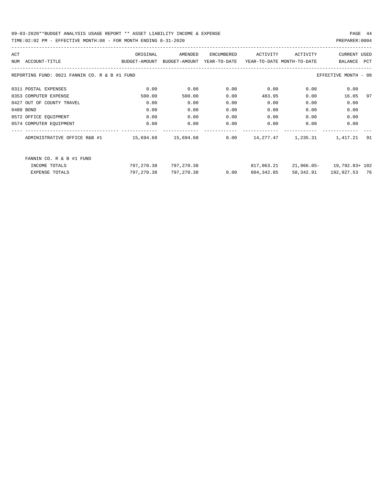### 09-03-2020\*\*BUDGET ANALYSIS USAGE REPORT \*\* ASSET LIABILITY INCOME & EXPENSE PAGE 44 TIME:02:02 PM - EFFECTIVE MONTH:08 - FOR MONTH ENDING 8-31-2020

| ACT |                                               | ORIGINAL      | AMENDED       | ENCUMBERED   | ACTIVITY                   | ACTIVITY   | <b>CURRENT USED</b>  |            |
|-----|-----------------------------------------------|---------------|---------------|--------------|----------------------------|------------|----------------------|------------|
| NUM | ACCOUNT-TITLE                                 | BUDGET-AMOUNT | BUDGET-AMOUNT | YEAR-TO-DATE | YEAR-TO-DATE MONTH-TO-DATE |            | BALANCE              | <b>PCT</b> |
|     | REPORTING FUND: 0021 FANNIN CO. R & B #1 FUND |               |               |              |                            |            | EFFECTIVE MONTH - 08 |            |
|     | 0311 POSTAL EXPENSES                          | 0.00          | 0.00          | 0.00         | 0.00                       | 0.00       | 0.00                 |            |
|     | 0353 COMPUTER EXPENSE                         | 500.00        | 500.00        | 0.00         | 483.95                     | 0.00       | 16.05                | 97         |
|     | 0427 OUT OF COUNTY TRAVEL                     | 0.00          | 0.00          | 0.00         | 0.00                       | 0.00       | 0.00                 |            |
|     | 0480 BOND                                     | 0.00          | 0.00          | 0.00         | 0.00                       | 0.00       | 0.00                 |            |
|     | 0572 OFFICE EQUIPMENT                         | 0.00          | 0.00          | 0.00         | 0.00                       | 0.00       | 0.00                 |            |
|     | 0574 COMPUTER EQUIPMENT                       | 0.00          | 0.00          | 0.00         | 0.00                       | 0.00       | 0.00                 |            |
|     | ADMINISTRATIVE OFFICE R&B #1                  | 15,694.68     | 15,694.68     | 0.00         | 14,277.47                  | 1,235.31   | 1,417.21             | 91         |
|     | FANNIN CO. R & B #1 FUND                      |               |               |              |                            |            |                      |            |
|     | INCOME TOTALS                                 | 797,270.38    | 797,270.38    |              | 817,063.21                 | 21,966.05- | 19,792.83+ 102       |            |
|     | <b>EXPENSE TOTALS</b>                         | 797,270.38    | 797,270.38    | 0.00         | 604, 342.85                | 58,342.91  | 192,927.53 76        |            |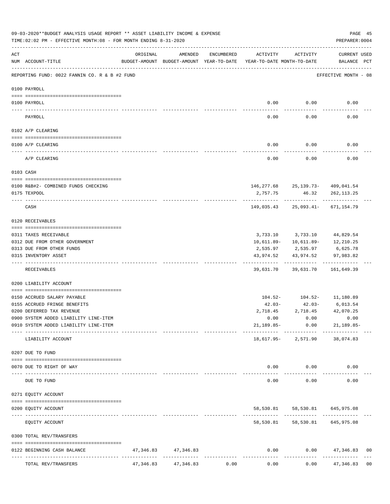|     | 09-03-2020**BUDGET ANALYSIS USAGE REPORT ** ASSET LIABILITY INCOME & EXPENSE<br>TIME: 02:02 PM - EFFECTIVE MONTH: 08 - FOR MONTH ENDING 8-31-2020 |          |                       |            |                                                                                 |                                                  | PAGE 45<br>PREPARER: 0004     |                |
|-----|---------------------------------------------------------------------------------------------------------------------------------------------------|----------|-----------------------|------------|---------------------------------------------------------------------------------|--------------------------------------------------|-------------------------------|----------------|
| ACT | NUM ACCOUNT-TITLE                                                                                                                                 | ORIGINAL | AMENDED               | ENCUMBERED | ACTIVITY<br>BUDGET-AMOUNT BUDGET-AMOUNT YEAR-TO-DATE YEAR-TO-DATE MONTH-TO-DATE | ACTIVITY                                         | CURRENT USED<br>BALANCE PCT   |                |
|     | REPORTING FUND: 0022 FANNIN CO. R & B #2 FUND                                                                                                     |          |                       |            |                                                                                 |                                                  | EFFECTIVE MONTH - 08          |                |
|     | 0100 PAYROLL                                                                                                                                      |          |                       |            |                                                                                 |                                                  |                               |                |
|     | 0100 PAYROLL                                                                                                                                      |          |                       |            | 0.00                                                                            | 0.00                                             | 0.00                          |                |
|     | PAYROLL                                                                                                                                           |          |                       |            | 0.00                                                                            | 0.00                                             | 0.00                          |                |
|     | 0102 A/P CLEARING                                                                                                                                 |          |                       |            |                                                                                 |                                                  |                               |                |
|     | 0100 A/P CLEARING                                                                                                                                 |          |                       |            | 0.00                                                                            | 0.00                                             | 0.00                          |                |
|     | A/P CLEARING                                                                                                                                      |          |                       |            | 0.00                                                                            | 0.00                                             | 0.00                          |                |
|     | 0103 CASH                                                                                                                                         |          |                       |            |                                                                                 |                                                  |                               |                |
|     |                                                                                                                                                   |          |                       |            |                                                                                 |                                                  |                               |                |
|     | 0100 R&B#2- COMBINED FUNDS CHECKING<br>0175 TEXPOOL                                                                                               |          |                       |            | 2,757.75                                                                        | 146, 277.68 25, 139.73- 409, 041.54              | 46.32 262,113.25              |                |
|     | CASH                                                                                                                                              |          |                       |            |                                                                                 | ------------<br>149,035.43 25,093.41- 671,154.79 |                               |                |
|     | 0120 RECEIVABLES                                                                                                                                  |          |                       |            |                                                                                 |                                                  |                               |                |
|     | 0311 TAXES RECEIVABLE                                                                                                                             |          |                       |            |                                                                                 | 3,733.10 3,733.10                                | 44,829.54                     |                |
|     | 0312 DUE FROM OTHER GOVERNMENT                                                                                                                    |          |                       |            |                                                                                 | $10,611.89 - 10,611.89 -$                        | 12,210.25                     |                |
|     | 0313 DUE FROM OTHER FUNDS                                                                                                                         |          |                       |            |                                                                                 | 2,535.97 2,535.97 6,625.78                       |                               |                |
|     | 0315 INVENTORY ASSET                                                                                                                              |          |                       |            |                                                                                 | 43,974.52 43,974.52                              | 97,983.82                     |                |
|     | RECEIVABLES                                                                                                                                       |          |                       |            | 39,631.70                                                                       | 39,631.70 161,649.39                             |                               |                |
|     | 0200 LIABILITY ACCOUNT                                                                                                                            |          |                       |            |                                                                                 |                                                  |                               |                |
|     | 0150 ACCRUED SALARY PAYABLE                                                                                                                       |          |                       |            |                                                                                 | $104.52 - 104.52 - 11,180.89$                    |                               |                |
|     | 0155 ACCRUED FRINGE BENEFITS                                                                                                                      |          |                       |            |                                                                                 | $42.03 - 42.03 - 6,013.54$                       |                               |                |
|     | 0200 DEFERRED TAX REVENUE                                                                                                                         |          |                       |            | 2,718.45                                                                        | 2,718.45                                         | 42,070.25                     |                |
|     | 0900 SYSTEM ADDED LIABILITY LINE-ITEM                                                                                                             |          |                       |            | 0.00                                                                            | 0.00<br>$21,189.85 - 0.00$                       | 0.00                          |                |
|     | 0910 SYSTEM ADDED LIABILITY LINE-ITEM                                                                                                             |          |                       |            |                                                                                 |                                                  | $21,189.85-$<br>------------- |                |
|     | LIABILITY ACCOUNT                                                                                                                                 |          |                       |            |                                                                                 | 18,617.95-2,571.90 38,074.83                     |                               |                |
|     | 0207 DUE TO FUND                                                                                                                                  |          |                       |            |                                                                                 |                                                  |                               |                |
|     | 0070 DUE TO RIGHT OF WAY                                                                                                                          |          |                       |            | -----------                                                                     | $0.00$ 0.00<br>------------                      | 0.00                          |                |
|     | DUE TO FUND                                                                                                                                       |          |                       |            | 0.00                                                                            | 0.00                                             | 0.00                          |                |
|     | 0271 EQUITY ACCOUNT                                                                                                                               |          |                       |            |                                                                                 |                                                  |                               |                |
|     | 0200 EQUITY ACCOUNT                                                                                                                               |          |                       |            |                                                                                 | 58,530.81 58,530.81 645,975.08                   |                               |                |
|     | EQUITY ACCOUNT                                                                                                                                    |          |                       |            |                                                                                 | 58,530.81 58,530.81 645,975.08                   |                               |                |
|     | 0300 TOTAL REV/TRANSFERS                                                                                                                          |          |                       |            |                                                                                 |                                                  |                               |                |
|     | 0122 BEGINNING CASH BALANCE                                                                                                                       |          | 47, 346.83 47, 346.83 |            | 0.00                                                                            |                                                  | $0.00$ 47,346.83              | 0 <sub>0</sub> |
|     | TOTAL REV/TRANSFERS                                                                                                                               |          | 47,346.83 47,346.83   | 0.00       | 0.00                                                                            |                                                  | $0.00$ $47,346.83$            | 0 <sub>0</sub> |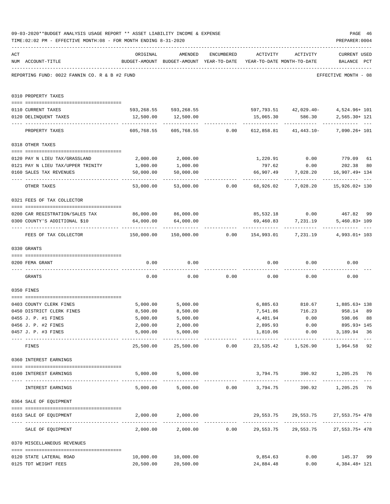|     | 09-03-2020**BUDGET ANALYSIS USAGE REPORT ** ASSET LIABILITY INCOME & EXPENSE<br>TIME: 02:02 PM - EFFECTIVE MONTH: 08 - FOR MONTH ENDING 8-31-2020 |                                                          |                                                                                |            |           |                                                      | PAGE 46<br>PREPARER: 0004            |                     |
|-----|---------------------------------------------------------------------------------------------------------------------------------------------------|----------------------------------------------------------|--------------------------------------------------------------------------------|------------|-----------|------------------------------------------------------|--------------------------------------|---------------------|
| ACT | NUM ACCOUNT-TITLE                                                                                                                                 | ORIGINAL                                                 | AMENDED<br>BUDGET-AMOUNT BUDGET-AMOUNT YEAR-TO-DATE YEAR-TO-DATE MONTH-TO-DATE | ENCUMBERED |           | ACTIVITY ACTIVITY                                    | CURRENT USED<br>BALANCE PCT          |                     |
|     | REPORTING FUND: 0022 FANNIN CO. R & B #2 FUND                                                                                                     |                                                          |                                                                                |            |           |                                                      | EFFECTIVE MONTH - 08                 |                     |
|     | 0310 PROPERTY TAXES                                                                                                                               |                                                          |                                                                                |            |           |                                                      |                                      |                     |
|     | 0110 CURRENT TAXES                                                                                                                                |                                                          | 593,268.55 593,268.55 597,793.51 42,029.40- 4,524.96+101                       |            |           |                                                      |                                      |                     |
|     | 0120 DELINQUENT TAXES                                                                                                                             |                                                          | 12,500.00   12,500.00                                                          |            |           | 15,065.30 586.30                                     | 2,565.30+ 121                        |                     |
|     | PROPERTY TAXES                                                                                                                                    |                                                          | $605,768.55$ $605,768.55$ $0.00$ $612,858.81$ $41,443.10$                      |            |           |                                                      | 7,090.26+ 101                        |                     |
|     |                                                                                                                                                   |                                                          |                                                                                |            |           |                                                      |                                      |                     |
|     | 0318 OTHER TAXES                                                                                                                                  |                                                          |                                                                                |            |           |                                                      |                                      |                     |
|     | 0120 PAY N LIEU TAX/GRASSLAND                                                                                                                     | 2,000.00                                                 | 2,000.00                                                                       |            |           | 1,220.91 0.00                                        | 779.09 61                            |                     |
|     | 0121 PAY N LIEU TAX/UPPER TRINITY                                                                                                                 | 1,000.00                                                 | 1,000.00                                                                       |            | 797.62    | 0.00                                                 | 202.38 80                            |                     |
|     | 0160 SALES TAX REVENUES                                                                                                                           | 50,000.00<br>------------- --------------                | 50,000.00                                                                      |            |           | 66,907.49 7,028.20 16,907.49+134<br>-----------      |                                      |                     |
|     | OTHER TAXES                                                                                                                                       | 53,000.00                                                |                                                                                |            |           |                                                      |                                      |                     |
|     | 0321 FEES OF TAX COLLECTOR                                                                                                                        |                                                          |                                                                                |            |           |                                                      |                                      |                     |
|     |                                                                                                                                                   |                                                          |                                                                                |            |           |                                                      |                                      |                     |
|     | 0200 CAR REGISTRATION/SALES TAX<br>0300 COUNTY'S ADDITIONAL \$10                                                                                  | 86,000.00 86,000.00<br>64,000.00                         | 64,000.00                                                                      |            |           | 85,532.18   0.00   467.82   99<br>69,460.83 7,231.19 |                                      |                     |
|     |                                                                                                                                                   |                                                          |                                                                                |            |           |                                                      | $5,460.83+109$<br>------------------ |                     |
|     | FEES OF TAX COLLECTOR                                                                                                                             | $150,000.00$ $150,000.00$ $0.00$ $154,993.01$ $7,231.19$ |                                                                                |            |           |                                                      | 4,993.01+ 103                        |                     |
|     | 0330 GRANTS                                                                                                                                       |                                                          |                                                                                |            |           |                                                      |                                      |                     |
|     | 0200 FEMA GRANT                                                                                                                                   | 0.00                                                     | 0.00                                                                           |            |           | $0.00$ 0.00                                          | 0.00                                 |                     |
|     | GRANTS                                                                                                                                            | 0.00                                                     |                                                                                |            |           | $0.00$ $0.00$ $0.00$ $0.00$ $0.00$                   | 0.00                                 |                     |
|     | 0350 FINES                                                                                                                                        |                                                          |                                                                                |            |           |                                                      |                                      |                     |
|     | 0403 COUNTY CLERK FINES                                                                                                                           | 5,000.00                                                 | 5,000.00                                                                       |            |           | 6,885.63 810.67 1,885.63+138                         |                                      |                     |
|     | 0450 DISTRICT CLERK FINES                                                                                                                         | 8,500.00                                                 | 8,500.00                                                                       |            | 7,541.86  |                                                      | 716.23 958.14 89                     |                     |
|     | 0455 J. P. #1 FINES                                                                                                                               | 5,000.00                                                 | 5,000.00                                                                       |            | 4,401.94  | 0.00                                                 | 598.06 88                            |                     |
|     | 0456 J. P. #2 FINES                                                                                                                               | 2,000.00                                                 | 2,000.00                                                                       |            | 2,895.93  | 0.00                                                 | 895.93+ 145                          |                     |
|     | 0457 J. P. #3 FINES                                                                                                                               | 5,000.00                                                 | 5,000.00                                                                       |            |           | 1,810.06 0.00<br>------------- ------------          | 3,189.94 36<br>-------------         | $\qquad \qquad - -$ |
|     | FINES                                                                                                                                             | 25,500.00                                                |                                                                                |            |           | 25,500.00   0.00   23,535.42   1,526.90              | 1,964.58 92                          |                     |
|     | 0360 INTEREST EARNINGS                                                                                                                            |                                                          |                                                                                |            |           |                                                      |                                      |                     |
|     | 0100 INTEREST EARNINGS                                                                                                                            |                                                          | 5,000.00 5,000.00                                                              |            |           | 3,794.75 390.92 1,205.25 76                          |                                      |                     |
|     | INTEREST EARNINGS                                                                                                                                 |                                                          | 5,000.00 5,000.00 0.00 3,794.75 390.92 1,205.25                                |            |           |                                                      |                                      | $---$<br>76         |
|     | 0364 SALE OF EQUIPMENT                                                                                                                            |                                                          |                                                                                |            |           |                                                      |                                      |                     |
|     | --------------------------------------<br>0163 SALE OF EQUIPMENT                                                                                  |                                                          | 2,000.00 2,000.00                                                              |            |           | $29,553.75$ $29,553.75$ $27,553.75$ + $478$          |                                      |                     |
|     | SALE OF EQUIPMENT                                                                                                                                 |                                                          | 2,000.00  2,000.00  0.00  29,553.75  29,553.75  27,553.75  478                 |            |           |                                                      |                                      |                     |
|     | 0370 MISCELLANEOUS REVENUES                                                                                                                       |                                                          |                                                                                |            |           |                                                      |                                      |                     |
|     |                                                                                                                                                   |                                                          |                                                                                |            | 9,854.63  |                                                      | 0.00 145.37 99                       |                     |
|     | 0120 STATE LATERAL ROAD<br>0125 TDT WEIGHT FEES                                                                                                   |                                                          | 10,000.00 10,000.00<br>20,500.00 20,500.00                                     |            | 24,884.48 | 0.00                                                 | 4,384.48+ 121                        |                     |
|     |                                                                                                                                                   |                                                          |                                                                                |            |           |                                                      |                                      |                     |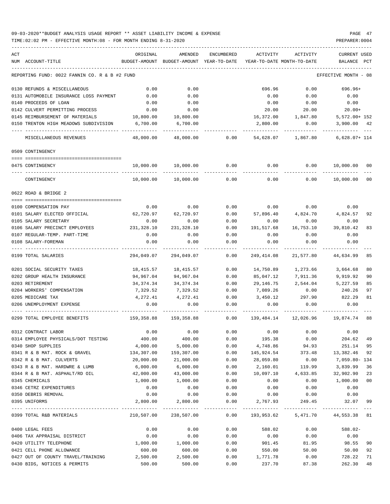| ACT                                           | ORIGINAL      | AMENDED                    | ENCUMBERED | ACTIVITY   | ACTIVITY                                                    | <b>CURRENT USED</b>  |     |
|-----------------------------------------------|---------------|----------------------------|------------|------------|-------------------------------------------------------------|----------------------|-----|
| NUM ACCOUNT-TITLE                             | BUDGET-AMOUNT | BUDGET-AMOUNT YEAR-TO-DATE |            |            | YEAR-TO-DATE MONTH-TO-DATE                                  | BALANCE              | PCT |
| REPORTING FUND: 0022 FANNIN CO. R & B #2 FUND |               |                            |            |            |                                                             | EFFECTIVE MONTH - 08 |     |
| 0130 REFUNDS & MISCELLANEOUS                  | 0.00          | 0.00                       |            | 696.96     | 0.00                                                        | $696.96+$            |     |
| 0131 AUTOMOBILE INSURANCE LOSS PAYMENT        | 0.00          | 0.00                       |            | 0.00       | 0.00                                                        | 0.00                 |     |
| 0140 PROCEEDS OF LOAN                         | 0.00          | 0.00                       |            | 0.00       | 0.00                                                        | 0.00                 |     |
| 0142 CULVERT PERMITTING PROCESS               | 0.00          | 0.00                       |            | 20.00      | 20.00                                                       | $20.00+$             |     |
| 0145 REIMBURSEMENT OF MATERIALS               | 10,800.00     | 10,800.00                  |            | 16,372.00  | 1,847.80                                                    | $5,572.00+152$       |     |
| 0150 TRENTON HIGH MEADOWS SUBDIVISION         | 6,700.00      | 6,700.00                   |            | 2,800.00   | 0.00                                                        | 3,900.00 42          |     |
| MISCELLANEOUS REVENUES                        | 48,000.00     | 48,000.00                  | 0.00       | 54,628.07  | 1,867.80                                                    | $6,628.07+114$       |     |
| 0509 CONTINGENCY                              |               |                            |            |            |                                                             |                      |     |
| 0475 CONTINGENCY                              | 10,000.00     | 10,000.00                  | 0.00       | 0.00       | 0.00                                                        | 10,000.00            | 00  |
| CONTINGENCY                                   | 10,000.00     | 10,000.00                  | 0.00       | 0.00       | 0.00                                                        | 10,000.00            | 00  |
| 0622 ROAD & BRIDGE 2                          |               |                            |            |            |                                                             |                      |     |
| 0100 COMPENSATION PAY                         | 0.00          | 0.00                       | 0.00       | 0.00       | 0.00                                                        | 0.00                 |     |
| 0101 SALARY ELECTED OFFICIAL                  | 62,720.97     | 62,720.97                  | 0.00       | 57,896.40  | 4,824.70                                                    | 4,824.57             | 92  |
| 0105 SALARY SECRETARY                         | 0.00          | 0.00                       | 0.00       | 0.00       | 0.00                                                        | 0.00                 |     |
| 0106 SALARY PRECINCT EMPLOYEES                | 231,328.10    | 231,328.10                 | 0.00       | 191,517.68 | 16,753.10                                                   | 39,810.42            | 83  |
| 0107 REGULAR-TEMP. PART-TIME                  | 0.00          | 0.00                       | 0.00       | 0.00       | 0.00                                                        | 0.00                 |     |
| 0108 SALARY-FOREMAN                           | 0.00          | 0.00                       | 0.00       | 0.00       | 0.00                                                        | 0.00                 |     |
| 0199 TOTAL SALARIES                           | 294,049.07    | 294,049.07                 | 0.00       | 249,414.08 | 21,577.80                                                   | 44,634.99            | 85  |
| 0201 SOCIAL SECURITY TAXES                    | 18,415.57     | 18,415.57                  | 0.00       | 14,750.89  | 1,273.66                                                    | 3,664.68             | 80  |
| 0202 GROUP HEALTH INSURANCE                   | 94,967.04     | 94,967.04                  | 0.00       | 85,047.12  | 7,911.36                                                    | 9,919.92             | 90  |
| 0203 RETIREMENT                               | 34,374.34     | 34, 374. 34                | 0.00       | 29,146.75  | 2,544.04                                                    | 5,227.59             | 85  |
| 0204 WORKERS' COMPENSATION                    | 7,329.52      | 7,329.52                   | 0.00       | 7,089.26   | 0.00                                                        | 240.26               | 97  |
| 0205 MEDICARE TAX                             | 4,272.41      | 4,272.41                   | 0.00       | 3,450.12   | 297.90                                                      | 822.29               | 81  |
| 0206 UNEMPLOYMENT EXPENSE                     | 0.00          | 0.00                       | 0.00       | 0.00       | 0.00                                                        | 0.00                 |     |
| 0299 TOTAL EMPLOYEE BENEFITS                  | 159,358.88    | 159,358.88                 | 0.00       | 139,484.14 | 12,026.96                                                   | 19,874.74            | 88  |
| 0312 CONTRACT LABOR                           | 0.00          | 0.00                       | 0.00       | 0.00       | 0.00                                                        | 0.00                 |     |
| 0314 EMPLOYEE PHYSICALS/DOT TESTING           | 400.00        | 400.00                     | 0.00       | 195.38     | 0.00                                                        | 204.62               | 49  |
| 0340 SHOP SUPPLIES                            | 4,000.00      | 5,000.00                   | 0.00       | 4,748.86   | 94.93                                                       | 251.14 95            |     |
| 0341 R & B MAT. ROCK & GRAVEL                 | 134,307.00    | 159,307.00                 | 0.00       | 145,924.54 | 373.48                                                      | 13,382.46            | 92  |
| 0342 R & B MAT. CULVERTS                      | 20,000.00     | 21,000.00                  | 0.00       | 28,059.80  | 0.00                                                        | 7,059.80- 134        |     |
| 0343 R & B MAT. HARDWRE & LUMB                | 6,000.00      | 6,000.00                   | 0.00       | 2,160.01   | 119.99                                                      | 3,839.99             | 36  |
| 0344 R & B MAT. ASPHALT/RD OIL                | 42,000.00     | 43,000.00                  | 0.00       | 10,097.10  | 4,633.85                                                    | 32,902.90            | 23  |
| 0345 CHEMICALS                                | 1,000.00      | 1,000.00                   | 0.00       | 0.00       | 0.00                                                        | 1,000.00 00          |     |
| 0346 CETRZ EXPENDITURES                       | 0.00          | 0.00                       | 0.00       | 0.00       | 0.00                                                        | 0.00                 |     |
| 0350 DEBRIS REMOVAL                           | 0.00          | 0.00                       | 0.00       | 0.00       | 0.00                                                        | 0.00                 |     |
| 0395 UNIFORMS                                 | 2,800.00      | 2,800.00                   | 0.00       |            | 2,767.93 249.45                                             | 32.07 99             |     |
| 0399 TOTAL R&B MATERIALS                      |               |                            |            |            | 210,507.00 238,507.00 0.00 193,953.62 5,471.70 44,553.38 81 |                      |     |
| 0400 LEGAL FEES                               | 0.00          | 0.00                       | 0.00       | 588.02     | 0.00                                                        | $588.02 -$           |     |
| 0406 TAX APPRAISAL DISTRICT                   | 0.00          | 0.00                       | 0.00       | 0.00       | 0.00                                                        | 0.00                 |     |
| 0420 UTILITY TELEPHONE                        | 1,000.00      | 1,000.00                   | 0.00       | 901.45     | 81.95                                                       | 98.55                | 90  |
| 0421 CELL PHONE ALLOWANCE                     | 600.00        | 600.00                     | 0.00       | 550.00     | 50.00                                                       | 50.00                | 92  |
| 0427 OUT OF COUNTY TRAVEL/TRAINING            | 2,500.00      | 2,500.00                   | 0.00       | 1,771.78   | 0.00                                                        | 728.22               | 71  |
| 0430 BIDS, NOTICES & PERMITS                  | 500.00        | 500.00                     | 0.00       | 237.70     | 87.38                                                       | 262.30               | 48  |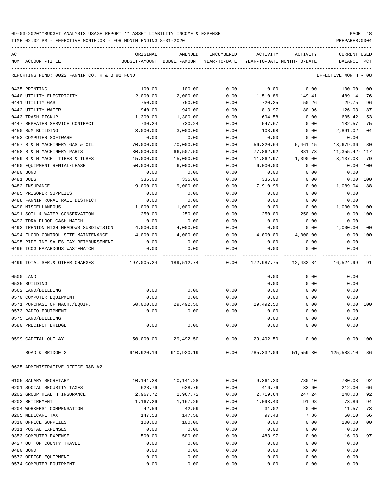| ACT | NUM ACCOUNT-TITLE                                   | ORIGINAL<br>BUDGET-AMOUNT | AMENDED<br>BUDGET-AMOUNT YEAR-TO-DATE | <b>ENCUMBERED</b> | ACTIVITY<br>YEAR-TO-DATE MONTH-TO-DATE            | ACTIVITY  | <b>CURRENT USED</b><br>BALANCE | PCT            |
|-----|-----------------------------------------------------|---------------------------|---------------------------------------|-------------------|---------------------------------------------------|-----------|--------------------------------|----------------|
|     |                                                     |                           |                                       |                   |                                                   |           |                                |                |
|     | REPORTING FUND: 0022 FANNIN CO. R & B #2 FUND       |                           |                                       |                   |                                                   |           | EFFECTIVE MONTH - 08           |                |
|     | 0435 PRINTING                                       | 100.00                    | 100.00                                | 0.00              | 0.00                                              | 0.00      | 100.00                         | 0 <sub>0</sub> |
|     | 0440 UTILITY ELECTRICITY                            | 2,000.00                  | 2,000.00                              | 0.00              | 1,510.86                                          | 149.41    | 489.14                         | 76             |
|     | 0441 UTILITY GAS                                    | 750.00                    | 750.00                                | 0.00              | 720.25                                            | 50.26     | 29.75                          | 96             |
|     | 0442 UTILITY WATER                                  | 940.00                    | 940.00                                | 0.00              | 813.97                                            | 80.96     | 126.03                         | 87             |
|     | 0443 TRASH PICKUP                                   | 1,300.00                  | 1,300.00                              | 0.00              | 694.58                                            | 0.00      | 605.42                         | 53             |
|     | 0447 REPEATER SERVICE CONTRACT                      | 730.24                    | 730.24                                | 0.00              | 547.67                                            | 0.00      | 182.57                         | 75             |
|     | 0450 R&M BUILDING                                   | 3,000.00                  | 3,000.00                              | 0.00              | 108.98                                            | 0.00      | 2,891.02                       | 0 <sub>4</sub> |
|     | 0453 COMPUTER SOFTWARE                              | 0.00                      | 0.00                                  | 0.00              | 0.00                                              | 0.00      | 0.00                           |                |
|     | 0457 R & M MACHINERY GAS & OIL                      | 70,000.00                 | 70,000.00                             | 0.00              | 56,320.64                                         | 5,461.15  | 13,679.36                      | 80             |
|     | 0458 R & M MACHINERY PARTS                          | 30,000.00                 | 66,507.50                             | 0.00              | 77,862.92                                         | 881.73    | 11,355.42- 117                 |                |
|     | 0459 R & M MACH. TIRES & TUBES                      | 15,000.00                 | 15,000.00                             | 0.00              | 11,862.97                                         | 1,390.00  | 3,137.03                       | 79             |
|     | 0460 EQUIPMENT RENTAL/LEASE                         | 50,000.00                 | 6,000.00                              | 0.00              | 6,000.00                                          | 0.00      | 0.00 100                       |                |
|     | 0480 BOND                                           | 0.00                      | 0.00                                  | 0.00              | 0.00                                              | 0.00      | 0.00                           |                |
|     | 0481 DUES                                           | 335.00                    | 335.00                                | 0.00              | 335.00                                            | 0.00      | 0.00 100                       |                |
|     | 0482 INSURANCE                                      | 9,000.00                  | 9,000.00                              | 0.00              | 7,910.96                                          | 0.00      | 1,089.04                       | 88             |
|     | 0485 PRISONER SUPPLIES                              | 0.00                      | 0.00                                  | 0.00              | 0.00                                              | 0.00      | 0.00                           |                |
|     | 0488 FANNIN RURAL RAIL DISTRICT                     | 0.00                      | 0.00                                  | 0.00              | 0.00                                              | 0.00      | 0.00                           |                |
|     | 0490 MISCELLANEOUS                                  | 1,000.00                  | 1,000.00                              | 0.00              | 0.00                                              | 0.00      | 1,000.00                       | 00             |
|     | 0491 SOIL & WATER CONSERVATION                      | 250.00                    | 250.00                                | 0.00              | 250.00                                            | 250.00    | 0.00                           | 100            |
|     | 0492 TDRA FLOOD CASH MATCH                          | 0.00                      | 0.00                                  | 0.00              | 0.00                                              | 0.00      | 0.00                           |                |
|     | 0493 TRENTON HIGH MEADOWS SUBDIVISION               | 4,000.00                  | 4,000.00                              | 0.00              | 0.00                                              | 0.00      | 4,000.00                       | 00             |
|     | 0494 FLOOD CONTROL SITE MAINTENANCE                 | 4,000.00                  | 4,000.00                              | 0.00              | 4,000.00                                          | 4,000.00  | 0.00 100                       |                |
|     | 0495 PIPELINE SALES TAX REIMBURSEMENT               | 0.00                      | 0.00                                  | 0.00              | 0.00                                              | 0.00      | 0.00                           |                |
|     | 0496 TCOG HAZARDOUS WASTEMATCH<br>----------------- | 0.00                      | 0.00                                  | 0.00              | 0.00                                              | 0.00      | 0.00                           |                |
|     | 0499 TOTAL SER.& OTHER CHARGES                      | 197,005.24 189,512.74     |                                       | 0.00              | 172,987.75                                        | 12,482.84 | 16,524.99                      | 91             |
|     | 0500 LAND                                           |                           |                                       |                   | 0.00                                              | 0.00      | 0.00                           |                |
|     | 0535 BUILDING                                       |                           |                                       |                   | 0.00                                              | 0.00      | 0.00                           |                |
|     | 0562 LAND/BUILDING                                  | 0.00                      | 0.00                                  | 0.00              | 0.00                                              | 0.00      | 0.00                           |                |
|     | 0570 COMPUTER EQUIPMENT                             | 0.00                      | 0.00                                  | 0.00              | 0.00                                              | 0.00      | 0.00                           |                |
|     | 0571 PURCHASE OF MACH./EQUIP.                       | 50,000.00                 | 29,492.50                             | 0.00              | 29,492.50                                         | 0.00      | 0.00                           | 100            |
|     | 0573 RADIO EQUIPMENT                                | 0.00                      | 0.00                                  | 0.00              | 0.00                                              | 0.00      | 0.00                           |                |
|     | 0575 LAND/BUILDING                                  |                           |                                       |                   | 0.00                                              | 0.00      | 0.00                           |                |
|     | 0580 PRECINCT BRIDGE                                | 0.00                      | 0.00                                  | 0.00              | 0.00                                              | 0.00      | 0.00                           |                |
|     | 0599 CAPITAL OUTLAY                                 |                           |                                       |                   | $50,000.00$ $29,492.50$ $0.00$ $29,492.50$ $0.00$ |           | $0.00$ 100                     |                |
|     |                                                     |                           |                                       |                   |                                                   |           |                                |                |
|     | ROAD & BRIDGE 2                                     |                           | 910,920.19 910,920.19                 |                   | 0.00 785,332.09 51,559.30 125,588.10 86           |           |                                |                |
|     | 0625 ADMINISTRATIVE OFFICE R&B #2                   |                           |                                       |                   |                                                   |           |                                |                |
|     |                                                     |                           |                                       |                   |                                                   |           |                                |                |
|     | 0105 SALARY SECRETARY                               |                           | 10, 141. 28   10, 141. 28             | 0.00              | 9,361.20                                          | 780.10    | 780.08                         | 92             |
|     | 0201 SOCIAL SECURITY TAXES                          | 628.76                    | 628.76                                | 0.00              | 416.76                                            | 33.60     | 212.00                         | 66             |
|     | 0202 GROUP HEALTH INSURANCE                         | 2,967.72                  | 2,967.72                              | 0.00              | 2,719.64                                          | 247.24    | 248.08                         | 92             |
|     | 0203 RETIREMENT                                     | 1,167.26                  | 1,167.26                              | 0.00              | 1,093.40                                          | 91.98     | 73.86                          | 94             |
|     | 0204 WORKERS' COMPENSATION                          | 42.59                     | 42.59                                 | 0.00              | 31.02                                             | 0.00      | 11.57                          | 73             |
|     | 0205 MEDICARE TAX                                   | 147.58                    | 147.58                                | 0.00              | 97.48                                             | 7.86      | 50.10                          | 66             |
|     | 0310 OFFICE SUPPLIES                                | 100.00                    | 100.00                                | 0.00              | 0.00                                              | 0.00      | 100.00                         | 0 <sub>0</sub> |
|     | 0311 POSTAL EXPENSES                                | 0.00                      | 0.00                                  | 0.00              | 0.00                                              | 0.00      | 0.00                           | 97             |
|     | 0353 COMPUTER EXPENSE                               | 500.00                    | 500.00                                | 0.00              | 483.97                                            | 0.00      | 16.03                          |                |
|     | 0427 OUT OF COUNTY TRAVEL                           | 0.00                      | 0.00                                  | 0.00              | 0.00                                              | 0.00      | 0.00                           |                |
|     | 0480 BOND                                           | 0.00                      | 0.00                                  | 0.00              | 0.00                                              | 0.00      | 0.00                           |                |
|     | 0572 OFFICE EQUIPMENT                               | 0.00                      | 0.00                                  | 0.00              | 0.00                                              | 0.00      | 0.00                           |                |
|     | 0574 COMPUTER EQUIPMENT                             | 0.00                      | 0.00                                  | 0.00              | 0.00                                              | 0.00      | 0.00                           |                |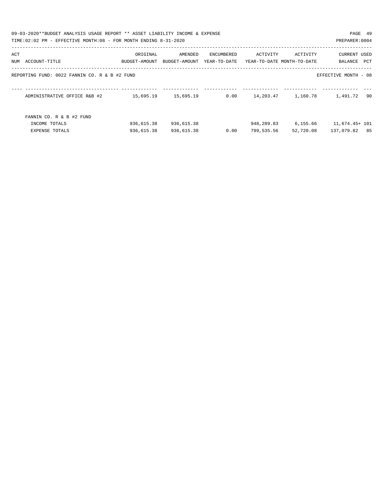|     | 09-03-2020**BUDGET ANALYSIS USAGE REPORT ** ASSET LIABILITY INCOME & EXPENSE<br>TIME:02:02 PM - EFFECTIVE MONTH:08 - FOR MONTH ENDING 8-31-2020 |                           |                          |                            |                                        |                       | PAGE 49<br>PREPARER: 0004       |
|-----|-------------------------------------------------------------------------------------------------------------------------------------------------|---------------------------|--------------------------|----------------------------|----------------------------------------|-----------------------|---------------------------------|
| ACT | NUM ACCOUNT-TITLE                                                                                                                               | ORIGINAL<br>BUDGET-AMOUNT | AMENDED<br>BUDGET-AMOUNT | ENCUMBERED<br>YEAR-TO-DATE | ACTIVITY<br>YEAR-TO-DATE MONTH-TO-DATE | ACTIVITY              | CURRENT USED<br>PCT<br>BALANCE  |
|     | REPORTING FUND: 0022 FANNIN CO. R & B #2 FUND                                                                                                   |                           |                          |                            |                                        |                       | EFFECTIVE MONTH - 08            |
|     | ADMINISTRATIVE OFFICE R&B #2                                                                                                                    | 15,695.19                 | 15,695.19                | 0.00                       |                                        |                       | 90<br>1,491.72                  |
|     | FANNIN CO. R & B #2 FUND<br>INCOME TOTALS<br><b>EXPENSE TOTALS</b>                                                                              | 936,615.38<br>936,615.38  | 936,615.38<br>936,615.38 | 0.00                       | 948,289.83<br>799,535.56               | 6,155.66<br>52,720.08 | 11,674.45+ 101<br>137,079.82 85 |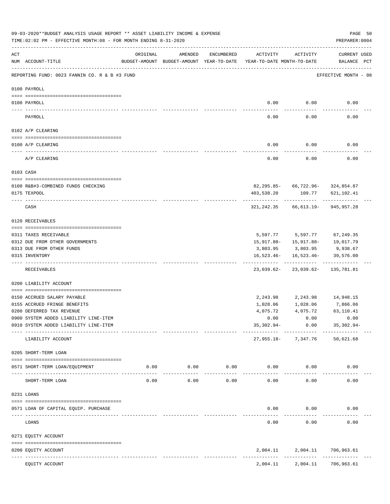|     | 09-03-2020**BUDGET ANALYSIS USAGE REPORT ** ASSET LIABILITY INCOME & EXPENSE<br>TIME: 02:02 PM - EFFECTIVE MONTH: 08 - FOR MONTH ENDING 8-31-2020 |          |                                     |              |                                                                                 |                           | PREPARER: 0004                               | PAGE 50 |
|-----|---------------------------------------------------------------------------------------------------------------------------------------------------|----------|-------------------------------------|--------------|---------------------------------------------------------------------------------|---------------------------|----------------------------------------------|---------|
| ACT | NUM ACCOUNT-TITLE                                                                                                                                 | ORIGINAL | AMENDED                             | ENCUMBERED   | ACTIVITY<br>BUDGET-AMOUNT BUDGET-AMOUNT YEAR-TO-DATE YEAR-TO-DATE MONTH-TO-DATE | ACTIVITY                  | CURRENT USED<br>BALANCE PCT                  |         |
|     | REPORTING FUND: 0023 FANNIN CO. R & B #3 FUND                                                                                                     |          |                                     |              |                                                                                 |                           | EFFECTIVE MONTH - 08                         |         |
|     | 0100 PAYROLL                                                                                                                                      |          |                                     |              |                                                                                 |                           |                                              |         |
|     | 0100 PAYROLL                                                                                                                                      |          |                                     |              | 0.00                                                                            | 0.00                      | 0.00                                         |         |
|     | PAYROLL                                                                                                                                           |          |                                     |              | 0.00                                                                            | 0.00                      | 0.00                                         |         |
|     | 0102 A/P CLEARING                                                                                                                                 |          |                                     |              |                                                                                 |                           |                                              |         |
|     | 0100 A/P CLEARING                                                                                                                                 |          |                                     |              | 0.00                                                                            | 0.00                      | 0.00                                         |         |
|     | A/P CLEARING                                                                                                                                      |          |                                     |              | 0.00                                                                            | 0.00                      | 0.00                                         |         |
|     | 0103 CASH                                                                                                                                         |          |                                     |              |                                                                                 |                           |                                              |         |
|     | 0100 R&B#3-COMBINED FUNDS CHECKING                                                                                                                |          |                                     |              |                                                                                 |                           | 82, 295.85- 66, 722.96- 324, 854.87          |         |
|     | 0175 TEXPOOL                                                                                                                                      |          |                                     |              | 403,538.20                                                                      |                           | 109.77 621,102.41                            |         |
|     | CASH                                                                                                                                              |          |                                     |              |                                                                                 | -----------               | 321, 242.35 66, 613.19 - 945, 957.28         |         |
|     | 0120 RECEIVABLES                                                                                                                                  |          |                                     |              |                                                                                 |                           |                                              |         |
|     | 0311 TAXES RECEIVABLE                                                                                                                             |          |                                     |              |                                                                                 |                           | 5,597.77 5,597.77 67,249.35                  |         |
|     | 0312 DUE FROM OTHER GOVERNMENTS                                                                                                                   |          |                                     |              |                                                                                 | 15,917.88- 15,917.88-     | 19,017.79                                    |         |
|     | 0313 DUE FROM OTHER FUNDS                                                                                                                         |          |                                     |              |                                                                                 |                           | 3,803.95 3,803.95 9,938.67                   |         |
|     | 0315 INVENTORY                                                                                                                                    |          |                                     |              |                                                                                 | $16,523.46 - 16,523.46 -$ | 39,576.00                                    |         |
|     | RECEIVABLES                                                                                                                                       |          |                                     |              |                                                                                 |                           | 23,039.62-23,039.62-135,781.81               |         |
|     | 0200 LIABILITY ACCOUNT                                                                                                                            |          |                                     |              |                                                                                 |                           |                                              |         |
|     | 0150 ACCRUED SALARY PAYABLE                                                                                                                       |          |                                     |              |                                                                                 |                           | 2, 243.98 2, 243.98 14, 948.15               |         |
|     | 0155 ACCRUED FRINGE BENEFITS                                                                                                                      |          |                                     |              |                                                                                 |                           | 1,028.06 1,028.06 7,866.06                   |         |
|     | 0200 DEFERRED TAX REVENUE                                                                                                                         |          |                                     |              | 4,075.72                                                                        | 4,075.72                  | 63,110.41                                    |         |
|     | 0900 SYSTEM ADDED LIABILITY LINE-ITEM                                                                                                             |          |                                     |              | 0.00                                                                            | 0.00                      | 0.00                                         |         |
|     | 0910 SYSTEM ADDED LIABILITY LINE-ITEM                                                                                                             |          |                                     |              |                                                                                 | $35,302.94-$ 0.00         | 35,302.94-                                   |         |
|     | LIABILITY ACCOUNT                                                                                                                                 |          |                                     |              |                                                                                 |                           | 27,955.18- 7,347.76 50,621.68                |         |
|     | 0205 SHORT-TERM LOAN                                                                                                                              |          |                                     |              |                                                                                 |                           |                                              |         |
|     | 0571 SHORT-TERM LOAN/EQUIPMENT                                                                                                                    |          | $0.00$ $0.00$ $0.00$<br>----------- | ------------ | $0.00$ 0.00<br>-----------                                                      | -----------               | 0.00                                         |         |
|     | SHORT-TERM LOAN                                                                                                                                   | 0.00     | 0.00                                | 0.00         | 0.00                                                                            | 0.00                      | 0.00                                         |         |
|     | 0231 LOANS                                                                                                                                        |          |                                     |              |                                                                                 |                           |                                              |         |
|     | 0571 LOAN OF CAPITAL EQUIP. PURCHASE                                                                                                              |          |                                     |              | 0.00                                                                            | 0.00<br>---------         | 0.00                                         |         |
|     | LOANS                                                                                                                                             |          |                                     |              | 0.00                                                                            | 0.00                      | 0.00                                         |         |
|     | 0271 EQUITY ACCOUNT                                                                                                                               |          |                                     |              |                                                                                 |                           |                                              |         |
|     | 0200 EQUITY ACCOUNT                                                                                                                               |          |                                     |              |                                                                                 |                           | 2,004.11 2,004.11 706,963.61<br>------------ |         |
|     | EQUITY ACCOUNT                                                                                                                                    |          |                                     |              | 2,004.11                                                                        | 2,004.11                  | 706,963.61                                   |         |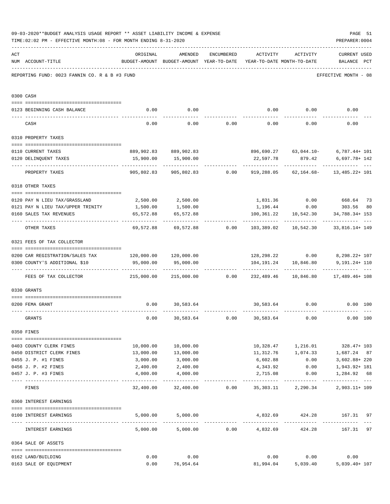|     | 09-03-2020**BUDGET ANALYSIS USAGE REPORT ** ASSET LIABILITY INCOME & EXPENSE<br>TIME: 02:02 PM - EFFECTIVE MONTH: 08 - FOR MONTH ENDING 8-31-2020 |                                                                             |                                                                                |                          |             |                                    | PAGE 51<br>PREPARER: 0004                                    |    |
|-----|---------------------------------------------------------------------------------------------------------------------------------------------------|-----------------------------------------------------------------------------|--------------------------------------------------------------------------------|--------------------------|-------------|------------------------------------|--------------------------------------------------------------|----|
| ACT | NUM ACCOUNT-TITLE                                                                                                                                 | ORIGINAL                                                                    | AMENDED<br>BUDGET-AMOUNT BUDGET-AMOUNT YEAR-TO-DATE YEAR-TO-DATE MONTH-TO-DATE | ENCUMBERED               |             | ACTIVITY ACTIVITY                  | <b>CURRENT USED</b><br>BALANCE PCT                           |    |
|     | REPORTING FUND: 0023 FANNIN CO. R & B #3 FUND                                                                                                     |                                                                             |                                                                                |                          |             |                                    | EFFECTIVE MONTH - 08                                         |    |
|     | 0300 CASH                                                                                                                                         |                                                                             |                                                                                |                          |             |                                    |                                                              |    |
|     | 0123 BEGINNING CASH BALANCE                                                                                                                       | 0.00                                                                        | 0.00                                                                           |                          |             | $0.00$ $0.00$ $0.00$ $0.00$        |                                                              |    |
|     |                                                                                                                                                   |                                                                             |                                                                                |                          |             |                                    |                                                              |    |
|     | CASH                                                                                                                                              | 0.00                                                                        |                                                                                |                          |             | $0.00$ $0.00$ $0.00$ $0.00$ $0.00$ | 0.00                                                         |    |
|     | 0310 PROPERTY TAXES                                                                                                                               |                                                                             |                                                                                |                          |             |                                    |                                                              |    |
|     | 0110 CURRENT TAXES                                                                                                                                |                                                                             | 889,902.83 889,902.83                                                          |                          |             | 896,690.27 63,044.10-              | $6,787.44+101$                                               |    |
|     | 0120 DELINQUENT TAXES                                                                                                                             | 15,900.00                                                                   | 15,900.00                                                                      |                          | 22,597.78   | 879.42                             | $6,697.78 + 142$                                             |    |
|     | PROPERTY TAXES                                                                                                                                    | __________<br>905,802.83                                                    | -----------                                                                    | 905,802.83 0.00          | ----------- | .<br>919,288.05 62,164.68-         | 13,485.22+ 101                                               |    |
|     | 0318 OTHER TAXES                                                                                                                                  |                                                                             |                                                                                |                          |             |                                    |                                                              |    |
|     | 0120 PAY N LIEU TAX/GRASSLAND                                                                                                                     |                                                                             | 2,500.00 2,500.00                                                              |                          |             |                                    | 1,831.36 0.00 668.64                                         | 73 |
|     | 0121 PAY N LIEU TAX/UPPER TRINITY 1,500.00                                                                                                        |                                                                             | 1,500.00                                                                       |                          |             | 1,196.44 0.00                      | 303.56                                                       | 80 |
|     | 0160 SALES TAX REVENUES                                                                                                                           | 65,572.88                                                                   | 65,572.88                                                                      |                          |             |                                    | 100, 361. 22   10, 542. 30   34, 788. 34+ 153                |    |
|     | OTHER TAXES                                                                                                                                       |                                                                             |                                                                                |                          |             |                                    | 69,572.88 69,572.88 0.00 103,389.02 10,542.30 33,816.14+ 149 |    |
|     | 0321 FEES OF TAX COLLECTOR                                                                                                                        |                                                                             |                                                                                |                          |             |                                    |                                                              |    |
|     | 0200 CAR REGISTRATION/SALES TAX                                                                                                                   |                                                                             |                                                                                |                          |             |                                    | $128, 298, 22$ 0.00 8, 298. $22+107$                         |    |
|     | 0300 COUNTY'S ADDITIONAL \$10                                                                                                                     | 95,000.00                                                                   | 95,000.00                                                                      |                          |             | 104, 191. 24   10, 846. 80         | 9,191.24+ 110                                                |    |
|     | FEES OF TAX COLLECTOR                                                                                                                             | 215,000.00   215,000.00      0.00   232,489.46   10,846.80   17,489.46+ 108 |                                                                                |                          |             |                                    |                                                              |    |
|     | 0330 GRANTS                                                                                                                                       |                                                                             |                                                                                |                          |             |                                    |                                                              |    |
|     | 0200 FEMA GRANT                                                                                                                                   |                                                                             | $0.00$ 30,583.64                                                               |                          |             | 30,583.64 0.00                     | $0.00$ 100                                                   |    |
|     |                                                                                                                                                   |                                                                             |                                                                                |                          |             |                                    |                                                              |    |
|     | GRANTS                                                                                                                                            | 0.00                                                                        |                                                                                | 30,583.64 0.00 30,583.64 |             | 0.00                               | 0.00 100                                                     |    |
|     | 0350 FINES                                                                                                                                        |                                                                             |                                                                                |                          |             |                                    |                                                              |    |
|     | 0403 COUNTY CLERK FINES                                                                                                                           |                                                                             | 10,000.00   10,000.00                                                          |                          |             |                                    | 10,328.47   1,216.01   328.47+ 103                           |    |
|     | 0450 DISTRICT CLERK FINES                                                                                                                         | 13,000.00                                                                   | 13,000.00                                                                      |                          |             |                                    | 11,312.76    1,074.33    1,687.24    87                      |    |
|     | 0455 J. P. #1 FINES                                                                                                                               | 3,000.00                                                                    | 3,000.00                                                                       |                          | 6,602.88    | 0.00                               | 3,602.88+220                                                 |    |
|     | 0456 J. P. #2 FINES                                                                                                                               | 2,400.00                                                                    | 2,400.00                                                                       |                          | 4,343.92    | 0.00                               | 1,943.92+181                                                 |    |
|     | 0457 J. P. #3 FINES                                                                                                                               | 4,000.00                                                                    | 4,000.00                                                                       |                          | 2,715.08    | 0.00<br>. <u>.</u> .               | 1,284.92 68<br>.                                             |    |
|     | FINES                                                                                                                                             |                                                                             | $32,400.00$ $32,400.00$ $0.00$ $35,303.11$ $2,290.34$                          |                          |             |                                    | 2,903.11+ 109                                                |    |
|     | 0360 INTEREST EARNINGS                                                                                                                            |                                                                             |                                                                                |                          |             |                                    |                                                              |    |
|     | 0100 INTEREST EARNINGS                                                                                                                            |                                                                             | 5,000.00 5,000.00                                                              |                          | 4,832.69    |                                    | 424.28 167.31 97                                             |    |
|     | INTEREST EARNINGS                                                                                                                                 |                                                                             | $5,000.00$ $5,000.00$ $0.00$ $4,832.69$                                        |                          |             | ------------                       | 424.28 167.31 97                                             |    |
|     | 0364 SALE OF ASSETS                                                                                                                               |                                                                             |                                                                                |                          |             |                                    |                                                              |    |
|     | 0162 LAND/BUILDING                                                                                                                                | 0.00                                                                        | 0.00                                                                           |                          | 0.00        | 0.00                               | 0.00                                                         |    |
|     | 0163 SALE OF EQUIPMENT                                                                                                                            | 0.00                                                                        | 76,954.64                                                                      |                          |             | 81,994.04 5,039.40                 | $5,039.40+107$                                               |    |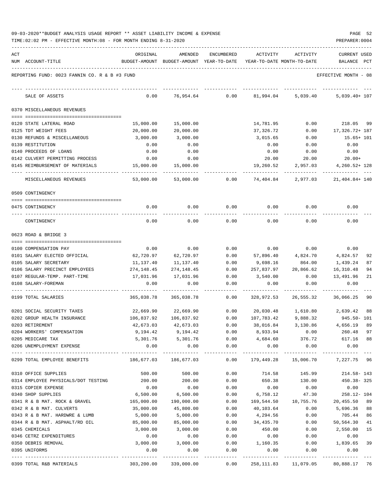| 09-03-2020**BUDGET ANALYSIS USAGE REPORT ** ASSET LIABILITY INCOME & EXPENSE |  |  |  |  |  |  | PAGE | - 52 |
|------------------------------------------------------------------------------|--|--|--|--|--|--|------|------|
|                                                                              |  |  |  |  |  |  |      |      |

| ACT | NUM ACCOUNT-TITLE                                   | ORIGINAL          | AMENDED<br>BUDGET-AMOUNT BUDGET-AMOUNT YEAR-TO-DATE | ENCUMBERED           | ACTIVITY                              | <b>ACTIVITY</b><br>YEAR-TO-DATE MONTH-TO-DATE | <b>CURRENT USED</b><br>BALANCE<br>PCT      |
|-----|-----------------------------------------------------|-------------------|-----------------------------------------------------|----------------------|---------------------------------------|-----------------------------------------------|--------------------------------------------|
|     | REPORTING FUND: 0023 FANNIN CO. R & B #3 FUND       |                   |                                                     |                      |                                       |                                               | EFFECTIVE MONTH - 08                       |
|     |                                                     |                   |                                                     |                      |                                       |                                               |                                            |
|     | SALE OF ASSETS                                      | 0.00              | 76,954.64                                           | 0.00                 | 81,994.04                             | 5,039.40                                      | $5,039.40+107$                             |
|     | 0370 MISCELLANEOUS REVENUES                         |                   |                                                     |                      |                                       |                                               |                                            |
|     | 0120 STATE LATERAL ROAD                             | 15,000.00         | 15,000.00                                           |                      | 14,781.95                             | 0.00                                          | 218.05 99                                  |
|     | 0125 TDT WEIGHT FEES                                | 20,000.00         | 20,000.00                                           |                      | 37,326.72                             | 0.00                                          | 17,326.72+ 187                             |
|     | 0130 REFUNDS & MISCELLANEOUS                        | 3,000.00          | 3,000.00                                            |                      | 3,015.65                              | 0.00                                          | $15.65 + 101$                              |
|     | 0139 RESTITUTION                                    | 0.00              | 0.00                                                |                      | 0.00                                  | 0.00                                          | 0.00                                       |
|     | 0140 PROCEEDS OF LOANS                              | 0.00              | 0.00                                                |                      | 0.00                                  | 0.00                                          | 0.00                                       |
|     | 0142 CULVERT PERMITTING PROCESS                     | 0.00              | 0.00                                                |                      | 20.00                                 | 20.00                                         | $20.00+$                                   |
|     | 0145 REIMBURSEMENT OF MATERIALS                     | 15,000.00         | 15,000.00                                           |                      | 19,260.52                             | 2,957.03                                      | $4,260.52+128$                             |
|     | MISCELLANEOUS REVENUES                              | 53,000.00         | 53,000.00                                           | 0.00                 | 74,404.84                             | 2,977.03                                      | 21, 404.84+ 140                            |
|     | 0509 CONTINGENCY                                    |                   |                                                     |                      |                                       |                                               |                                            |
|     | 0475 CONTINGENCY                                    | 0.00              | 0.00                                                | 0.00                 | 0.00                                  | 0.00                                          | 0.00                                       |
|     |                                                     |                   |                                                     |                      |                                       |                                               |                                            |
|     | CONTINGENCY                                         | 0.00              | 0.00                                                | 0.00                 | 0.00                                  | 0.00                                          | 0.00                                       |
|     | 0623 ROAD & BRIDGE 3                                |                   |                                                     |                      |                                       |                                               |                                            |
|     |                                                     |                   |                                                     |                      |                                       |                                               |                                            |
|     | 0100 COMPENSATION PAY                               | 0.00              | 0.00                                                | 0.00                 | 0.00                                  | 0.00                                          | 0.00                                       |
|     | 0101 SALARY ELECTED OFFICIAL                        | 62,720.97         | 62,720.97                                           | 0.00                 | 57,896.40                             | 4,824.70                                      | 4,824.57<br>92                             |
|     | 0105 SALARY SECRETARY                               | 11,137.40         | 11,137.40                                           | 0.00                 | 9,698.16                              | 864.00                                        | 87<br>1,439.24                             |
|     | 0106 SALARY PRECINCT EMPLOYEES                      | 274,148.45        | 274, 148. 45                                        | 0.00                 | 257,837.97                            | 20,866.62                                     | 16,310.48<br>94                            |
|     | 0107 REGULAR-TEMP. PART-TIME<br>0108 SALARY-FOREMAN | 17,031.96<br>0.00 | 17,031.96<br>0.00                                   | 0.00<br>0.00         | 3,540.00<br>0.00                      | 0.00<br>0.00                                  | 13,491.96<br>21<br>0.00                    |
|     | 0199 TOTAL SALARIES                                 | 365,038.78        | 365,038.78                                          | 0.00                 | 328,972.53                            | 26,555.32                                     | 36,066.25<br>90                            |
|     |                                                     |                   |                                                     |                      |                                       |                                               |                                            |
|     | 0201 SOCIAL SECURITY TAXES                          | 22,669.90         | 22,669.90                                           | 0.00                 | 20,030.48                             | 1,610.80                                      | 2,639.42<br>88                             |
|     | 0202 GROUP HEALTH INSURANCE                         | 106,837.92        | 106,837.92                                          | 0.00                 | 107,783.42                            | 9,888.32                                      | 945.50- 101                                |
|     | 0203 RETIREMENT                                     | 42,673.03         | 42,673.03                                           | 0.00                 | 38,016.84                             | 3,130.86                                      | 4,656.19<br>89                             |
|     | 0204 WORKERS' COMPENSATION                          | 9,194.42          | 9,194.42                                            | 0.00                 | 8,933.94                              | 0.00                                          | 260.48<br>97                               |
|     | 0205 MEDICARE TAX                                   |                   | 5,301.76 5,301.76                                   | 0.00                 | 4,684.60 376.72                       |                                               | 617.16<br>88                               |
|     | 0206 UNEMPLOYMENT EXPENSE                           | 0.00              | 0.00                                                | 0.00                 | 0.00<br>----------------------------- | 0.00                                          | 0.00<br>-------------                      |
|     | 0299 TOTAL EMPLOYEE BENEFITS                        | 186,677.03        | 186,677.03                                          | 0.00                 | 179,449.28                            | 15,006.70                                     | 7,227.75 96                                |
|     | 0310 OFFICE SUPPLIES                                | 500.00            | 500.00                                              | 0.00                 |                                       |                                               | 714.58 145.99 214.58-143                   |
|     | 0314 EMPLOYEE PHYSICALS/DOT TESTING                 | 200.00            | 200.00                                              | 0.00                 | 650.38                                | 130.00                                        | 450.38-325                                 |
|     | 0315 COPIER EXPENSE                                 | 0.00              | 0.00                                                | 0.00                 | 0.00                                  | 0.00                                          | 0.00                                       |
|     | 0340 SHOP SUPPLIES                                  | 6,500.00          | 6,500.00                                            | 0.00                 | 6,758.12                              | 47.30                                         | 258.12- 104                                |
|     | 0341 R & B MAT. ROCK & GRAVEL                       | 165,000.00        | 190,000.00                                          | 0.00                 | 169,544.50                            | 10,755.76                                     | 20,455.50 89                               |
|     | 0342 R & B MAT. CULVERTS                            | 35,000.00         | 45,800.00                                           | 0.00                 | 40,103.64                             | 0.00                                          | 5,696.36 88                                |
|     | 0343 R & B MAT. HARDWRE & LUMB                      | 5,000.00          | 5,000.00                                            | 0.00                 | 4,294.56                              | 0.00                                          | 705.44<br>86                               |
|     | 0344 R & B MAT. ASPHALT/RD OIL                      | 85,000.00         | 85,000.00                                           | 0.00                 | 34,435.70                             | 0.00                                          | 50,564.30<br>41                            |
|     | 0345 CHEMICALS                                      | 3,000.00          | 3,000.00                                            | 0.00                 | 450.00                                | 0.00                                          | 2,550.00<br>15                             |
|     | 0346 CETRZ EXPENDITURES                             | 0.00              | 0.00                                                | 0.00                 | 0.00                                  | 0.00                                          | 0.00                                       |
|     | 0350 DEBRIS REMOVAL                                 | 3,000.00          | 3,000.00                                            | 0.00                 | 1,160.35                              | 0.00                                          | 1,839.65 39                                |
|     | 0395 UNIFORMS                                       | 0.00              | 0.00<br>-------------                               | 0.00<br>------------ | 0.00                                  | 0.00<br>------------ ------------             | 0.00<br>.                                  |
|     | 0399 TOTAL R&B MATERIALS                            |                   | 303,200.00 339,000.00                               | 0.00                 |                                       |                                               | 258, 111.83   11, 079.05   80, 888.17   76 |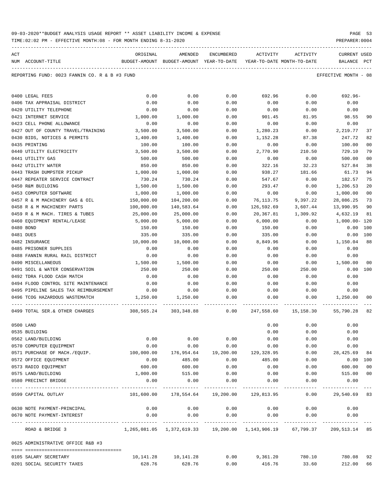| 09-03-2020**BUDGET ANALYSIS USAGE REPORT ** ASSET LIABILITY INCOME & EXPENSE | PAGE 53        |
|------------------------------------------------------------------------------|----------------|
| TIME:02:02 PM - EFFECTIVE MONTH:08 - FOR MONTH ENDING 8-31-2020              | PREPARER: 0004 |

| ACT<br>NUM ACCOUNT-TITLE                                                                                                        | ORIGINAL   | AMENDED<br>BUDGET-AMOUNT BUDGET-AMOUNT YEAR-TO-DATE | ENCUMBERED | ACTIVITY<br>YEAR-TO-DATE MONTH-TO-DATE              | ACTIVITY  | CURRENT USED<br>BALANCE | PCT |
|---------------------------------------------------------------------------------------------------------------------------------|------------|-----------------------------------------------------|------------|-----------------------------------------------------|-----------|-------------------------|-----|
|                                                                                                                                 |            |                                                     |            |                                                     |           |                         |     |
| REPORTING FUND: 0023 FANNIN CO. R & B #3 FUND                                                                                   |            |                                                     |            |                                                     |           | EFFECTIVE MONTH - 08    |     |
| 0400 LEGAL FEES                                                                                                                 | 0.00       | 0.00                                                | 0.00       | 692.96                                              | 0.00      | 692.96-                 |     |
| 0406 TAX APPRAISAL DISTRICT                                                                                                     | 0.00       | 0.00                                                | 0.00       | 0.00                                                | 0.00      | 0.00                    |     |
| 0420 UTILITY TELEPHONE                                                                                                          | 0.00       | 0.00                                                | 0.00       | 0.00                                                | 0.00      | 0.00                    |     |
| 0421 INTERNET SERVICE                                                                                                           | 1,000.00   | 1,000.00                                            | 0.00       | 901.45                                              | 81.95     | 98.55                   | 90  |
| 0423 CELL PHONE ALLOWANCE                                                                                                       | 0.00       | 0.00                                                | 0.00       | 0.00                                                | 0.00      | 0.00                    |     |
| 0427 OUT OF COUNTY TRAVEL/TRAINING                                                                                              | 3,500.00   | 3,500.00                                            | 0.00       | 1,280.23                                            | 0.00      | 2,219.77                | 37  |
| 0430 BIDS, NOTICES & PERMITS                                                                                                    | 1,400.00   | 1,400.00                                            | 0.00       | 1,152.28                                            | 87.38     | 247.72                  | 82  |
| 0435 PRINTING                                                                                                                   | 100.00     | 100.00                                              | 0.00       | 0.00                                                | 0.00      | 100.00                  | 00  |
| 0440 UTILITY ELECTRICITY                                                                                                        | 3,500.00   | 3,500.00                                            | 0.00       | 2,770.90                                            | 210.50    | 729.10                  | 79  |
| 0441 UTILITY GAS                                                                                                                | 500.00     | 500.00                                              | 0.00       | 0.00                                                | 0.00      | 500.00                  | 00  |
| 0442 UTILITY WATER                                                                                                              | 850.00     | 850.00                                              | 0.00       | 322.16                                              | 32.23     | 527.84                  | 38  |
| 0443 TRASH DUMPSTER PICKUP                                                                                                      | 1,000.00   | 1,000.00                                            | 0.00       | 938.27                                              | 181.66    | 61.73                   | 94  |
| 0447 REPEATER SERVICE CONTRACT                                                                                                  | 730.24     | 730.24                                              | 0.00       | 547.67                                              | 0.00      | 182.57                  | 75  |
| 0450 R&M BUILDING                                                                                                               | 1,500.00   | 1,500.00                                            | 0.00       | 293.47                                              | 0.00      | 1,206.53                | 20  |
| 0453 COMPUTER SOFTWARE                                                                                                          | 1,000.00   | 1,000.00                                            | 0.00       | 0.00                                                | 0.00      | 1,000.00                | 00  |
| 0457 R & M MACHINERY GAS & OIL                                                                                                  | 150,000.00 | 104,200.00                                          | 0.00       | 76,113.75                                           | 9,397.22  | 28,086.25               | 73  |
| 0458 R & M MACHINERY PARTS                                                                                                      | 100,000.00 | 140,583.64                                          | 0.00       | 126,592.69                                          | 3,607.44  | 13,990.95               | 90  |
| 0459 R & M MACH. TIRES & TUBES                                                                                                  | 25,000.00  | 25,000.00                                           | 0.00       | 20,367.81                                           | 1,309.92  | 4,632.19                | 81  |
| 0460 EQUIPMENT RENTAL/LEASE                                                                                                     | 5,000.00   | 5,000.00                                            | 0.00       | 6,000.00                                            | 0.00      | 1,000.00-120            |     |
| 0480 BOND                                                                                                                       | 150.00     | 150.00                                              | 0.00       | 150.00                                              | 0.00      | 0.00                    | 100 |
| 0481 DUES                                                                                                                       | 335.00     | 335.00                                              | 0.00       | 335.00                                              | 0.00      | 0.00 100                |     |
| 0482 INSURANCE                                                                                                                  | 10,000.00  | 10,000.00                                           | 0.00       | 8,849.96                                            | 0.00      | 1,150.04                | 88  |
| 0485 PRISONER SUPPLIES                                                                                                          | 0.00       | 0.00                                                | 0.00       | 0.00                                                | 0.00      | 0.00                    |     |
| 0488 FANNIN RURAL RAIL DISTRICT                                                                                                 | 0.00       | 0.00                                                | 0.00       | 0.00                                                | 0.00      | 0.00                    |     |
| 0490 MISCELLANEOUS                                                                                                              | 1,500.00   | 1,500.00                                            | 0.00       | 0.00                                                | 0.00      | 1,500.00                | 00  |
| 0491 SOIL & WATER CONSERVATION                                                                                                  | 250.00     | 250.00                                              | 0.00       | 250.00                                              | 250.00    | 0.00                    | 100 |
| 0492 TDRA FLOOD CASH MATCH                                                                                                      | 0.00       | 0.00                                                | 0.00       | 0.00                                                | 0.00      | 0.00                    |     |
| 0494 FLOOD CONTROL SITE MAINTENANCE                                                                                             | 0.00       | 0.00                                                | 0.00       | 0.00                                                | 0.00      | 0.00                    |     |
| 0495 PIPELINE SALES TAX REIMBURSEMENT                                                                                           | 0.00       | 0.00                                                | 0.00       | 0.00                                                | 0.00      | 0.00                    |     |
| 0496 TCOG HAZARDOUS WASTEMATCH                                                                                                  | 1,250.00   | 1,250.00                                            | 0.00       | 0.00                                                | 0.00      | 1,250.00                | 00  |
| ---- -----------------------<br>0499 TOTAL SER.& OTHER CHARGES 682 308,565.24 303,348.88 0.00 247,558.60 15,158.30 55,790.28 82 |            |                                                     |            |                                                     |           |                         |     |
| 0500 LAND                                                                                                                       |            |                                                     |            | 0.00                                                | 0.00      | 0.00                    |     |
| 0535 BUILDING                                                                                                                   |            |                                                     |            | 0.00                                                | 0.00      | 0.00                    |     |
| 0562 LAND/BUILDING                                                                                                              | 0.00       | 0.00                                                | 0.00       | 0.00                                                | 0.00      | 0.00                    |     |
| 0570 COMPUTER EQUIPMENT                                                                                                         | 0.00       | 0.00                                                | 0.00       | 0.00                                                | 0.00      | 0.00                    |     |
| 0571 PURCHASE OF MACH./EQUIP.                                                                                                   | 100,000.00 | 176,954.64                                          | 19,200.00  | 129,328.95                                          | 0.00      | 28,425.69               | 84  |
| 0572 OFFICE EQUIPMENT                                                                                                           | 0.00       | 485.00                                              | 0.00       | 485.00                                              | 0.00      | 0.00                    | 100 |
| 0573 RADIO EQUIPMENT                                                                                                            | 600.00     | 600.00                                              | 0.00       | 0.00                                                | 0.00      | 600.00                  | 00  |
| 0575 LAND/BUILDING                                                                                                              | 1,000.00   | 515.00                                              | 0.00       | 0.00                                                | 0.00      | 515.00                  | 00  |
| 0580 PRECINCT BRIDGE                                                                                                            | 0.00       | 0.00<br>.                                           | 0.00       | 0.00                                                | 0.00      | 0.00                    |     |
| 0599 CAPITAL OUTLAY                                                                                                             |            | 101,600.00  178,554.64  19,200.00  129,813.95       |            |                                                     | 0.00      | 29,540.69 83            |     |
| 0630 NOTE PAYMENT-PRINCIPAL                                                                                                     | 0.00       | 0.00                                                | 0.00       | 0.00                                                | 0.00      | 0.00                    |     |
| 0670 NOTE PAYMENT-INTEREST                                                                                                      | 0.00       | 0.00                                                | 0.00       | 0.00                                                | 0.00      | 0.00                    |     |
| ROAD & BRIDGE 3                                                                                                                 |            |                                                     |            | 1,265,081.05  1,372,619.33  19,200.00  1,143,906.19 | 67,799.37 | 209, 513. 14 85         |     |
| 0625 ADMINISTRATIVE OFFICE R&B #3                                                                                               |            |                                                     |            |                                                     |           |                         |     |
| 0105 SALARY SECRETARY                                                                                                           | 10,141.28  | 10,141.28                                           |            | $0.00$ 9,361.20                                     | 780.10    | 780.08 92               |     |

0201 SOCIAL SECURITY TAXES 628.76 628.76 0.00 416.76 33.60 212.00 66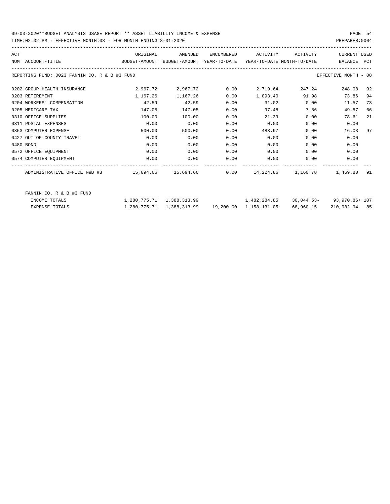TIME:02:02 PM - EFFECTIVE MONTH:08 - FOR MONTH ENDING 8-31-2020 PREPARER:0004

| ACT |                                               |                                                                     |                                                                    |      |          |             | <b>CURRENT USED</b>                                  |    |
|-----|-----------------------------------------------|---------------------------------------------------------------------|--------------------------------------------------------------------|------|----------|-------------|------------------------------------------------------|----|
|     | NUM ACCOUNT-TITLE                             | BUDGET-AMOUNT BUDGET-AMOUNT YEAR-TO-DATE YEAR-TO-DATE MONTH-TO-DATE |                                                                    |      |          |             | BALANCE PCT                                          |    |
|     | REPORTING FUND: 0023 FANNIN CO. R & B #3 FUND |                                                                     |                                                                    |      |          |             | EFFECTIVE MONTH - 08                                 |    |
|     | 0202 GROUP HEALTH INSURANCE                   |                                                                     | $2,967.72$ $2,967.72$ $0.00$ $2,719.64$                            |      |          | 247.24      | 248.08                                               | 92 |
|     | 0203 RETIREMENT                               | 1,167.26                                                            | 1,167.26                                                           | 0.00 | 1,093.40 |             | 91.98<br>73.86                                       | 94 |
|     | 0204 WORKERS' COMPENSATION                    | 42.59                                                               | 42.59                                                              | 0.00 | 31.02    | 0.00        | 11.57                                                | 73 |
|     | 0205 MEDICARE TAX                             | 147.05                                                              | 147.05                                                             | 0.00 |          | 97.48       | 7.86<br>49.57                                        | 66 |
|     | 0310 OFFICE SUPPLIES                          | 100.00                                                              | 100.00                                                             | 0.00 | 21.39    | 0.00        | 78.61                                                | 21 |
|     | 0311 POSTAL EXPENSES                          | 0.00                                                                | 0.00                                                               | 0.00 | 0.00     |             | 0.00<br>0.00                                         |    |
|     | 0353 COMPUTER EXPENSE                         | 500.00                                                              | 500.00                                                             | 0.00 | 483.97   |             | 0.00<br>16.03                                        | 97 |
|     | 0427 OUT OF COUNTY TRAVEL                     | 0.00                                                                | 0.00                                                               | 0.00 | 0.00     | 0.00        | 0.00                                                 |    |
|     | 0480 BOND                                     | 0.00                                                                | 0.00                                                               | 0.00 | 0.00     | 0.00        | 0.00                                                 |    |
|     | 0572 OFFICE EQUIPMENT                         | 0.00                                                                | 0.00                                                               | 0.00 | 0.00     | 0.00        | 0.00                                                 |    |
|     | 0574 COMPUTER EOUIPMENT                       | 0.00                                                                | 0.00                                                               | 0.00 |          | $0.00$ 0.00 | 0.00                                                 |    |
|     |                                               |                                                                     |                                                                    |      |          |             |                                                      |    |
|     | FANNIN CO. R & B #3 FUND                      |                                                                     |                                                                    |      |          |             |                                                      |    |
|     | INCOME TOTALS                                 |                                                                     |                                                                    |      |          |             | $1,482,284.85$ $30,044.53$ $9$ $9$ $93,970.86$ $107$ |    |
|     | EXPENSE TOTALS                                |                                                                     | $1,280,775.71$ $1,388,313.99$ $19,200.00$ $1,158,131.05$ 68,960.15 |      |          |             | 210,982.94 85                                        |    |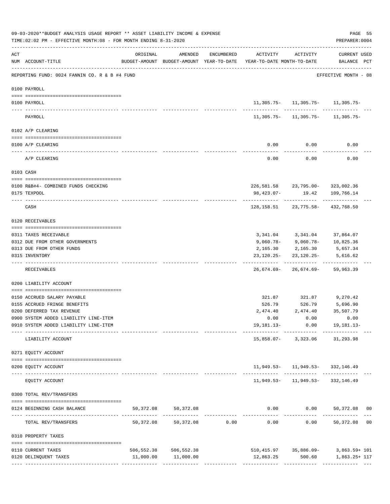|     | 09-03-2020**BUDGET ANALYSIS USAGE REPORT ** ASSET LIABILITY INCOME & EXPENSE<br>TIME: 02:02 PM - EFFECTIVE MONTH: 08 - FOR MONTH ENDING 8-31-2020 |           |                         |            |                                                                          |                                                                      | PAGE 55<br>PREPARER: 0004                   |  |
|-----|---------------------------------------------------------------------------------------------------------------------------------------------------|-----------|-------------------------|------------|--------------------------------------------------------------------------|----------------------------------------------------------------------|---------------------------------------------|--|
| ACT | NUM ACCOUNT-TITLE                                                                                                                                 | ORIGINAL  | AMENDED                 | ENCUMBERED | BUDGET-AMOUNT BUDGET-AMOUNT YEAR-TO-DATE YEAR-TO-DATE MONTH-TO-DATE      | ACTIVITY ACTIVITY                                                    | CURRENT USED<br>BALANCE PCT                 |  |
|     | REPORTING FUND: 0024 FANNIN CO. R & B #4 FUND                                                                                                     |           |                         |            |                                                                          |                                                                      | EFFECTIVE MONTH - 08                        |  |
|     | 0100 PAYROLL                                                                                                                                      |           |                         |            |                                                                          |                                                                      |                                             |  |
|     | 0100 PAYROLL                                                                                                                                      |           |                         |            |                                                                          | $11, 305.75 - 11, 305.75 - 11, 305.75 -$                             |                                             |  |
|     | PAYROLL                                                                                                                                           |           |                         |            |                                                                          | $11,305.75 - 11,305.75 - 11,305.75 -$                                |                                             |  |
|     | 0102 A/P CLEARING                                                                                                                                 |           |                         |            |                                                                          |                                                                      |                                             |  |
|     | 0100 A/P CLEARING                                                                                                                                 |           |                         |            | 0.00                                                                     | 0.00                                                                 | 0.00                                        |  |
|     | A/P CLEARING                                                                                                                                      |           |                         |            | ---------<br>0.00                                                        | ---------<br>0.00                                                    | 0.00                                        |  |
|     | 0103 CASH                                                                                                                                         |           |                         |            |                                                                          |                                                                      |                                             |  |
|     |                                                                                                                                                   |           |                         |            |                                                                          |                                                                      |                                             |  |
|     | 0100 R&B#4- COMBINED FUNDS CHECKING<br>0175 TEXPOOL                                                                                               |           |                         |            | 98,423.07-                                                               | 226,581.58 23,795.00- 323,002.36<br>19.42                            | 109,766.14                                  |  |
|     | CASH                                                                                                                                              |           |                         |            |                                                                          | 128, 158.51 23, 775.58- 432, 768.50                                  |                                             |  |
|     | 0120 RECEIVABLES                                                                                                                                  |           |                         |            |                                                                          |                                                                      |                                             |  |
|     | 0311 TAXES RECEIVABLE                                                                                                                             |           |                         |            | 3,341.04                                                                 | 3,341.04                                                             | 37,864.07                                   |  |
|     | 0312 DUE FROM OTHER GOVERNMENTS                                                                                                                   |           |                         |            |                                                                          | 9,060.78-9,060.78-10,825.36                                          |                                             |  |
|     | 0313 DUE FROM OTHER FUNDS                                                                                                                         |           |                         |            |                                                                          | 2, 165.30 2, 165.30 5, 657.34                                        |                                             |  |
|     | 0315 INVENTORY                                                                                                                                    |           |                         |            | 23,120.25-                                                               | 23,120.25-                                                           | 5,616.62                                    |  |
|     | RECEIVABLES                                                                                                                                       |           |                         |            |                                                                          | ._________     ______________<br>$26,674.69 - 26,674.69 - 59,963.39$ | ---------                                   |  |
|     | 0200 LIABILITY ACCOUNT                                                                                                                            |           |                         |            |                                                                          |                                                                      |                                             |  |
|     | 0150 ACCRUED SALARY PAYABLE                                                                                                                       |           |                         |            | 321.87                                                                   |                                                                      | 321.87 9,270.42                             |  |
|     | 0155 ACCRUED FRINGE BENEFITS                                                                                                                      |           |                         |            | 526.79                                                                   | 526.79                                                               | 5,696.90                                    |  |
|     | 0200 DEFERRED TAX REVENUE                                                                                                                         |           |                         |            | 2,474.40                                                                 | 2,474.40                                                             | 35,507.79                                   |  |
|     | 0900 SYSTEM ADDED LIABILITY LINE-ITEM                                                                                                             |           |                         |            |                                                                          | $0.00$ $0.00$ $0.00$ $0.00$                                          |                                             |  |
|     | 0910 SYSTEM ADDED LIABILITY LINE-ITEM                                                                                                             |           |                         |            |                                                                          | 19, 181.13 - 0.00 19, 181.13 -<br>--------- ----------- ----------   |                                             |  |
|     | LIABILITY ACCOUNT                                                                                                                                 |           |                         |            |                                                                          | 15,858.07-3,323.06 31,293.98                                         |                                             |  |
|     | 0271 EQUITY ACCOUNT                                                                                                                               |           |                         |            |                                                                          |                                                                      |                                             |  |
|     | 0200 EQUITY ACCOUNT                                                                                                                               |           |                         |            |                                                                          | 11,949.53- 11,949.53- 332,146.49                                     |                                             |  |
|     | EQUITY ACCOUNT                                                                                                                                    |           |                         |            |                                                                          | $11,949.53 - 11,949.53 - 332,146.49$                                 |                                             |  |
|     | 0300 TOTAL REV/TRANSFERS                                                                                                                          |           |                         |            |                                                                          |                                                                      |                                             |  |
|     | 0124 BEGINNING CASH BALANCE                                                                                                                       |           | 50,372.08 50,372.08     |            |                                                                          |                                                                      | $0.00$ $0.00$ $50,372.08$ 00                |  |
|     | TOTAL REV/TRANSFERS                                                                                                                               | 50,372.08 |                         |            | 50,372.08        0.00         0.00         0.00        50,372.08      00 |                                                                      |                                             |  |
|     | 0310 PROPERTY TAXES                                                                                                                               |           |                         |            |                                                                          |                                                                      |                                             |  |
|     |                                                                                                                                                   |           |                         |            |                                                                          |                                                                      |                                             |  |
|     | 0110 CURRENT TAXES                                                                                                                                |           | 506, 552.38 506, 552.38 |            |                                                                          |                                                                      | $510, 415.97$ $35, 886.09  3, 863.59 + 101$ |  |
|     | 0120 DELINQUENT TAXES                                                                                                                             |           | 11,000.00 11,000.00     |            | 12,863.25                                                                | 500.60                                                               | 1,863.25+ 117                               |  |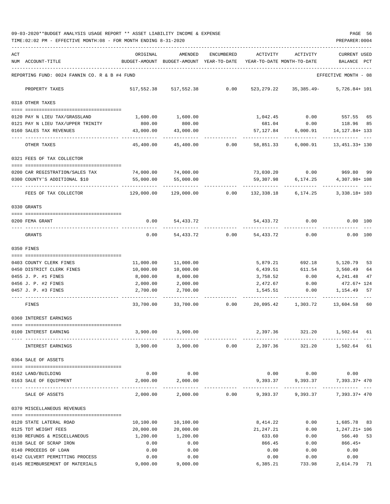|     | TIME:02:02 PM - EFFECTIVE MONTH:08 - FOR MONTH ENDING 8-31-2020 |                                                                     |                                         |                          |                |                              | PREPARER: 0004                                                     |
|-----|-----------------------------------------------------------------|---------------------------------------------------------------------|-----------------------------------------|--------------------------|----------------|------------------------------|--------------------------------------------------------------------|
| ACT |                                                                 | ORIGINAL                                                            | AMENDED                                 | ENCUMBERED               | ACTIVITY       | ACTIVITY                     | <b>CURRENT USED</b>                                                |
|     | NUM ACCOUNT-TITLE                                               | BUDGET-AMOUNT BUDGET-AMOUNT YEAR-TO-DATE YEAR-TO-DATE MONTH-TO-DATE |                                         |                          |                |                              | BALANCE PCT                                                        |
|     | REPORTING FUND: 0024 FANNIN CO. R & B #4 FUND                   |                                                                     |                                         |                          |                |                              | EFFECTIVE MONTH - 08                                               |
|     | PROPERTY TAXES                                                  |                                                                     | 517,552.38 517,552.38                   | 0.00                     |                | 523, 279. 22 35, 385. 49 -   | $5,726.84+101$                                                     |
|     | 0318 OTHER TAXES                                                |                                                                     |                                         |                          |                |                              |                                                                    |
|     | 0120 PAY N LIEU TAX/GRASSLAND                                   | 1,600.00                                                            | 1,600.00                                |                          | 1,042.45       | 0.00                         | 557.55 65                                                          |
|     | 0121 PAY N LIEU TAX/UPPER TRINITY                               | 800.00                                                              | 800.00                                  |                          | 681.04         | 0.00                         | 118.96 85                                                          |
|     | 0160 SALES TAX REVENUES                                         | 43,000.00                                                           | 43,000.00                               |                          |                |                              | 57,127.84 6,000.91 14,127.84+ 133                                  |
|     | OTHER TAXES                                                     | ------------<br>45,400.00                                           |                                         | 45,400.00 0.00           |                |                              | 58,851.33 6,000.91 13,451.33+130                                   |
|     | 0321 FEES OF TAX COLLECTOR                                      |                                                                     |                                         |                          |                |                              |                                                                    |
|     | 0200 CAR REGISTRATION/SALES TAX                                 | 74,000.00 74,000.00                                                 |                                         |                          |                |                              | 73,030.20   0.00   969.80   99                                     |
|     | 0300 COUNTY'S ADDITIONAL \$10                                   | 55,000.00                                                           | 55,000.00                               |                          | 59,307.98      |                              | 6, 174. 25 4, 307. 98 + 108                                        |
|     | ---- --------------------                                       | -------------- -------------                                        | .                                       |                          |                | ---------------------------- | -------------                                                      |
|     | FEES OF TAX COLLECTOR                                           |                                                                     |                                         |                          |                |                              | $129,000.00$ $129,000.00$ 0.00 $132,338.18$ 6,174.25 3,338.18+ 103 |
|     | 0330 GRANTS                                                     |                                                                     |                                         |                          |                |                              |                                                                    |
|     | 0200 FEMA GRANT                                                 |                                                                     | $0.00$ $54,433.72$                      |                          |                |                              | 54,433.72 0.00 0.00 100                                            |
|     | GRANTS                                                          | 0.00                                                                |                                         | 54,433.72 0.00 54,433.72 |                | 0.00                         | $0.00$ 100                                                         |
|     | 0350 FINES                                                      |                                                                     |                                         |                          |                |                              |                                                                    |
|     | 0403 COUNTY CLERK FINES                                         | 11,000.00                                                           | 11,000.00                               |                          |                | 5,879.21 692.18              | 5,120.79<br>53                                                     |
|     | 0450 DISTRICT CLERK FINES                                       | 10,000.00                                                           | 10,000.00                               |                          | 6,439.51       | 611.54                       | 3,560.49<br>64                                                     |
|     | 0455 J. P. #1 FINES                                             | 8,000.00                                                            | 8,000.00                                |                          | 3,758.52       | 0.00                         | 4,241.48<br>47                                                     |
|     | 0456 J. P. #2 FINES                                             | 2,000.00                                                            | 2,000.00                                |                          |                | 2,472.67 0.00                | 472.67+ 124                                                        |
|     | 0457 J. P. #3 FINES                                             | 2,700.00                                                            | 2,700.00                                |                          |                | 1,545.51 0.00 1,154.49       | 57                                                                 |
|     | FINES                                                           | 33,700.00                                                           |                                         | 33,700.00 0.00           |                |                              | 20,095.42 1,303.72 13,604.58 60                                    |
|     | 0360 INTEREST EARNINGS                                          |                                                                     |                                         |                          |                |                              |                                                                    |
|     | 0100 INTEREST EARNING                                           |                                                                     | 3,900.00 3,900.00                       |                          |                |                              | 2,397.36 321.20 1,502.64 61                                        |
|     | INTEREST EARNINGS                                               |                                                                     | $3,900.00$ $3,900.00$ $0.00$ $2,397.36$ |                          |                |                              | 321.20 1,502.64 61                                                 |
|     | 0364 SALE OF ASSETS                                             |                                                                     |                                         |                          |                |                              |                                                                    |
|     |                                                                 |                                                                     |                                         |                          |                |                              |                                                                    |
|     | 0162 LAND/BUILDING<br>0163 SALE OF EQUIPMENT                    |                                                                     | $0.00$ 0.00<br>2,000.00 2,000.00        |                          |                | $0.00$ $0.00$ $0.00$ $0.00$  | 9,393.37 9,393.37 7,393.37 470                                     |
|     | SALE OF ASSETS                                                  | ------------------ -------------                                    |                                         |                          |                |                              | 2,000.00 2,000.00 0.00 9,393.37 9,393.37 7,393.37 470              |
|     | 0370 MISCELLANEOUS REVENUES                                     |                                                                     |                                         |                          |                |                              |                                                                    |
|     |                                                                 |                                                                     |                                         |                          |                |                              |                                                                    |
|     | 0120 STATE LATERAL ROAD                                         | 10,100.00                                                           | 10,100.00                               |                          | 8,414.22       | 0.00                         | 1,685.78 83                                                        |
|     | 0125 TDT WEIGHT FEES                                            | 20,000.00                                                           | 20,000.00                               |                          | 21,247.21      | 0.00                         | 1,247.21+ 106                                                      |
|     | 0130 REFUNDS & MISCELLANEOUS                                    | 1,200.00                                                            | 1,200.00<br>0.00                        |                          | 633.60         | 0.00                         | 566.40 53                                                          |
|     | 0138 SALE OF SCRAP IRON<br>0140 PROCEEDS OF LOAN                | 0.00<br>0.00                                                        | 0.00                                    |                          | 866.45<br>0.00 | 0.00<br>0.00                 | $866.45+$<br>0.00                                                  |
|     | 0142 CULVERT PERMITTING PROCESS                                 | 0.00                                                                | 0.00                                    |                          | 0.00           | 0.00                         | 0.00                                                               |
|     | 0145 REIMBURSEMENT OF MATERIALS                                 | 9,000.00                                                            | 9,000.00                                |                          | 6,385.21       | 733.98                       | 2,614.79 71                                                        |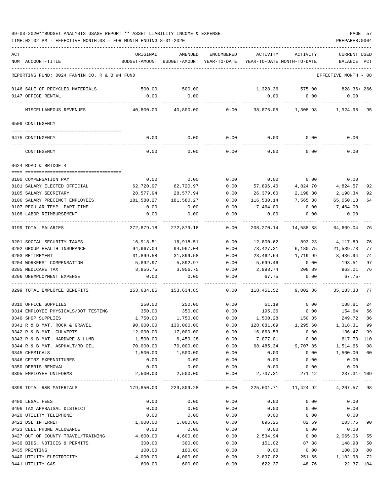| ACT |                                                                | ORIGINAL     | AMENDED                                  | ENCUMBERED          | ACTIVITY                   | ACTIVITY  | <b>CURRENT USED</b>          |     |
|-----|----------------------------------------------------------------|--------------|------------------------------------------|---------------------|----------------------------|-----------|------------------------------|-----|
|     | NUM ACCOUNT-TITLE                                              |              | BUDGET-AMOUNT BUDGET-AMOUNT YEAR-TO-DATE |                     | YEAR-TO-DATE MONTH-TO-DATE |           | BALANCE<br>$_{\rm PCT}$      |     |
|     |                                                                |              |                                          |                     |                            |           |                              |     |
|     | REPORTING FUND: 0024 FANNIN CO. R & B #4 FUND                  |              |                                          |                     |                            |           | EFFECTIVE MONTH - 08         |     |
|     | 0146 SALE OF RECYCLED MATERIALS                                | 500.00       | 500.00                                   |                     | 1,328.36                   | 575.00    | 828.36+ 266                  |     |
|     | 0147 OFFICE RENTAL                                             | 0.00         | 0.00                                     |                     | 0.00                       | 0.00      | 0.00                         |     |
|     |                                                                |              |                                          |                     |                            |           |                              |     |
|     | MISCELLANEOUS REVENUES                                         | 40,800.00    | 40,800.00                                | 0.00                | 38,875.05                  | 1,308.98  | 1,924.95                     | 95  |
|     | 0509 CONTINGENCY                                               |              |                                          |                     |                            |           |                              |     |
|     | 0475 CONTINGENCY                                               | 0.00         | 0.00                                     | 0.00                | 0.00                       | 0.00      | 0.00                         |     |
|     | CONTINGENCY                                                    | 0.00         | 0.00                                     | 0.00                | 0.00                       | 0.00      | 0.00                         |     |
|     | 0624 ROAD & BRIDGE 4                                           |              |                                          |                     |                            |           |                              |     |
|     |                                                                |              |                                          |                     |                            |           |                              |     |
|     | 0100 COMPENSATION PAY                                          | 0.00         | 0.00                                     | 0.00                | 0.00                       | 0.00      | 0.00                         |     |
|     | 0101 SALARY ELECTED OFFICIAL                                   | 62,720.97    | 62,720.97                                | 0.00                | 57,896.40                  | 4,824.70  | 4,824.57                     | 92  |
|     | 0105 SALARY SECRETARY                                          | 28,577.94    | 28,577.94                                | 0.00                | 26,379.60                  | 2,198.30  | 2,198.34                     | 92  |
|     | 0106 SALARY PRECINCT EMPLOYEES<br>0107 REGULAR-TEMP. PART-TIME | 181,580.27   | 181,580.27                               | 0.00                | 116,530.14<br>7,464.00     | 7,565.38  | 65,050.13                    | 64  |
|     | 0108 LABOR REIMBURSEMENT                                       | 0.00<br>0.00 | 0.00                                     | 0.00<br>0.00        |                            | 0.00      | $7,464.00-$                  |     |
|     |                                                                |              | 0.00                                     |                     | 0.00                       | 0.00      | 0.00                         |     |
|     | 0199 TOTAL SALARIES                                            | 272,879.18   | 272,879.18                               | 0.00                | 208, 270.14                | 14,588.38 | 64,609.04                    | 76  |
|     | 0201 SOCIAL SECURITY TAXES                                     | 16,918.51    | 16,918.51                                | 0.00                | 12,800.62                  | 893.23    | 4,117.89                     | 76  |
|     | 0202 GROUP HEALTH INSURANCE                                    | 94,967.04    | 94,967.04                                | 0.00                | 73,427.31                  | 6,180.75  | 21,539.73                    | 77  |
|     | 0203 RETIREMENT                                                | 31,899.58    | 31,899.58                                | 0.00                | 23,462.64                  | 1,719.99  | 8,436.94                     | 74  |
|     | 0204 WORKERS' COMPENSATION                                     | 5,892.97     | 5,892.97                                 | 0.00                | 5,699.46                   | 0.00      | 193.51                       | 97  |
|     | 0205 MEDICARE TAX                                              | 3,956.75     | 3,956.75                                 | 0.00                | 2,993.74                   | 208.89    | 963.01                       | 76  |
|     | 0206 UNEMPLOYMENT EXPENSE                                      | 0.00         | 0.00                                     | 0.00                | 67.75                      | 0.00      | $67.75-$                     |     |
|     |                                                                |              |                                          |                     |                            |           |                              |     |
|     | 0299 TOTAL EMPLOYEE BENEFITS                                   | 153,634.85   | 153,634.85                               | 0.00                | 118,451.52                 | 9,002.86  | 35, 183. 33                  | -77 |
|     | 0310 OFFICE SUPPLIES                                           | 250.00       | 250.00                                   | 0.00                | 61.19                      | 0.00      | 188.81                       | 24  |
|     | 0314 EMPLOYEE PHYSICALS/DOT TESTING                            | 350.00       | 350.00                                   | 0.00                | 195.36                     | 0.00      | 154.64                       | 56  |
|     | 0340 SHOP SUPPLIES                                             | 1,750.00     | 1,750.00                                 | 0.00                | 1,500.28                   | 150.35    | 249.72                       | 86  |
|     | 0341 R & B MAT. ROCK & GRAVEL                                  | 90,000.00    | 130,000.00                               | 0.00                | 128,681.69                 | 1,295.60  | 1,318.31                     | 99  |
|     | 0342 R & B MAT. CULVERTS                                       | 12,000.00    | 17,000.00                                | 0.00                | 16,863.53                  | 0.00      | 136.47 99                    |     |
|     | 0343 R & B MAT. HARDWRE & LUMB                                 | 1,500.00     | 6,459.28                                 | 0.00                | 7,077.01                   | 0.00      | $617.73 - 110$               |     |
|     | 0344 R & B MAT. ASPHALT/RD OIL                                 | 70,000.00    | 70,000.00                                | 0.00                | 68,485.34                  | 9,707.85  | 1,514.66                     | 98  |
|     | 0345 CHEMICALS                                                 | 1,500.00     | 1,500.00                                 | 0.00                | 0.00                       | 0.00      | 1,500.00                     | 00  |
|     | 0346 CETRZ EXPENDITURES                                        | 0.00         | 0.00                                     | 0.00                | 0.00                       | 0.00      | 0.00                         |     |
|     | 0350 DEBRIS REMOVAL                                            | 0.00         | 0.00                                     | 0.00                | 0.00                       | 0.00      | 0.00                         |     |
|     | 0395 EMPLOYEE UNIFORMS                                         | 2,500.00     | 2,500.00                                 | 0.00                | 2,737.31                   | 271.12    | $237.31 - 109$               |     |
|     | 0399 TOTAL R&B MATERIALS                                       | 179,850.00   | -------------<br>229,809.28              | $- - - - -$<br>0.00 | 225,601.71                 | 11,424.92 | -------------<br>4,207.57 98 |     |
|     | 0400 LEGAL FEES                                                | 0.00         | 0.00                                     | 0.00                | 0.00                       | 0.00      | 0.00                         |     |
|     | 0406 TAX APPRAISAL DISTRICT                                    | 0.00         | 0.00                                     | 0.00                | 0.00                       | 0.00      | 0.00                         |     |
|     | 0420 UTILITY TELEPHONE                                         | 0.00         | 0.00                                     | 0.00                | 0.00                       | 0.00      | 0.00                         |     |
|     | 0421 DSL INTERNET                                              | 1,000.00     | 1,000.00                                 | 0.00                | 896.25                     | 82.69     | 103.75                       | 90  |
|     | 0423 CELL PHONE ALLOWANCE                                      | 0.00         | 0.00                                     | 0.00                | 0.00                       | 0.00      | 0.00                         |     |
|     | 0427 OUT OF COUNTY TRAVEL/TRAINING                             | 4,600.00     | 4,600.00                                 | 0.00                | 2,534.94                   | 0.00      | 2,065.06                     | 55  |
|     | 0430 BIDS, NOTICES & PERMITS                                   | 300.00       | 300.00                                   | 0.00                | 151.02                     | 87.38     | 148.98                       | 50  |
|     | 0435 PRINTING                                                  | 100.00       | 100.00                                   | 0.00                | 0.00                       | 0.00      | 100.00                       | 00  |
|     | 0440 UTILITY ELECTRICITY                                       | 4,000.00     | 4,000.00                                 | 0.00                | 2,897.02                   | 251.65    | 1,102.98                     | 72  |
|     | 0441 UTILITY GAS                                               | 600.00       | 600.00                                   | 0.00                | 622.37                     | 48.76     | $22.37 - 104$                |     |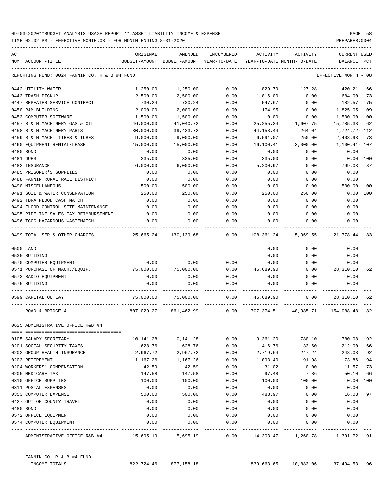| ACT |                                               | ORIGINAL                                 | AMENDED               | ENCUMBERED          | ACTIVITY                   | ACTIVITY                                                                           | CURRENT USED    |      |
|-----|-----------------------------------------------|------------------------------------------|-----------------------|---------------------|----------------------------|------------------------------------------------------------------------------------|-----------------|------|
|     | NUM ACCOUNT-TITLE                             | BUDGET-AMOUNT BUDGET-AMOUNT YEAR-TO-DATE |                       |                     | YEAR-TO-DATE MONTH-TO-DATE |                                                                                    | BALANCE         | PCT  |
|     |                                               |                                          |                       |                     |                            |                                                                                    |                 |      |
|     | REPORTING FUND: 0024 FANNIN CO. R & B #4 FUND |                                          |                       |                     |                            |                                                                                    | EFFECTIVE MONTH | - 08 |
|     | 0442 UTILITY WATER                            | 1,250.00                                 | 1,250.00              | 0.00                | 829.79                     | 127.28                                                                             | 420.21          | 66   |
|     | 0443 TRASH PICKUP                             | 2,500.00                                 | 2,500.00              | 0.00                | 1,816.00                   | 0.00                                                                               | 684.00          | 73   |
|     | 0447 REPEATER SERVICE CONTRACT                | 730.24                                   | 730.24                | 0.00                | 547.67                     | 0.00                                                                               | 182.57          | 75   |
|     | 0450 R&M BUILDING                             | 2,000.00                                 | 2,000.00              | 0.00                | 174.95                     | 0.00                                                                               | 1,825.05        | 09   |
|     | 0453 COMPUTER SOFTWARE                        | 1,500.00                                 | 1,500.00              | 0.00                | 0.00                       | 0.00                                                                               | 1,500.00        | 00   |
|     | 0457 R & M MACHINERY GAS & OIL                | 46,000.00                                | 41,040.72             | 0.00                | 25,255.34                  | 1,607.75                                                                           | 15,785.38       | 62   |
|     | 0458 R & M MACHINERY PARTS                    | 30,000.00                                | 39,433.72             | 0.00                | 44,158.44                  | 264.04                                                                             | 4,724.72- 112   |      |
|     | 0459 R & M MACH. TIRES & TUBES                | 9,000.00                                 | 9,000.00              | 0.00                | 6,591.07                   | 250.00                                                                             | 2,408.93        | 73   |
|     | 0460 EQUIPMENT RENTAL/LEASE                   | 15,000.00                                | 15,000.00             | 0.00                | 16,100.41                  | 3,000.00                                                                           | 1,100.41- 107   |      |
|     | 0480 BOND                                     | 0.00                                     | 0.00                  | 0.00                | 0.00                       | 0.00                                                                               | 0.00            |      |
|     | 0481 DUES                                     | 335.00                                   | 335.00                | 0.00                | 335.00                     | 0.00                                                                               | $0.00$ 100      |      |
|     | 0482 INSURANCE                                | 6,000.00                                 | 6,000.00              | 0.00                | 5,200.97                   | 0.00                                                                               | 799.03          | 87   |
|     | 0485 PRISONER'S SUPPLIES                      | 0.00                                     | 0.00                  | 0.00                | 0.00                       | 0.00                                                                               | 0.00            |      |
|     | 0488 FANNIN RURAL RAIL DISTRICT               | 0.00                                     | 0.00                  | 0.00                | 0.00                       | 0.00                                                                               | 0.00            |      |
|     | 0490 MISCELLANEOUS                            | 500.00                                   | 500.00                | 0.00                | 0.00                       | 0.00                                                                               | 500.00          | 00   |
|     | 0491 SOIL & WATER CONSERVATION                | 250.00                                   | 250.00                | 0.00                | 250.00                     | 250.00                                                                             | 0.00            | 100  |
|     | 0492 TDRA FLOOD CASH MATCH                    | 0.00                                     | 0.00                  | 0.00                | 0.00                       | 0.00                                                                               | 0.00            |      |
|     | 0494 FLOOD CONTROL SITE MAINTENANCE           | 0.00                                     | 0.00                  | 0.00                | 0.00                       | 0.00                                                                               | 0.00            |      |
|     | 0495 PIPELINE SALES TAX REIMBURSEMENT         | 0.00                                     | 0.00                  | 0.00                | 0.00                       | 0.00                                                                               | 0.00            |      |
|     | 0496 TCOG HAZARDOUS WASTEMATCH                | 0.00                                     | 0.00                  | 0.00                | 0.00                       | 0.00                                                                               | 0.00            |      |
|     | 0499 TOTAL SER.& OTHER CHARGES                |                                          | 125,665.24 130,139.68 |                     |                            | $0.00$ $108,361.24$ $5,969.55$ $21,778.44$                                         |                 | 83   |
|     | 0500 LAND                                     |                                          |                       |                     | 0.00                       | 0.00                                                                               | 0.00            |      |
|     | 0535 BUILDING                                 |                                          |                       |                     | 0.00                       | 0.00                                                                               | 0.00            |      |
|     | 0570 COMPUTER EQUIPMENT                       | 0.00                                     | 0.00                  | 0.00                | 0.00                       | 0.00                                                                               | 0.00            |      |
|     | 0571 PURCHASE OF MACH./EQUIP.                 |                                          | 75,000.00 75,000.00   | 0.00                | 46,689.90                  | 0.00                                                                               | 28,310.10       | 62   |
|     | 0573 RADIO EQUIPMENT                          | 0.00                                     | 0.00                  | 0.00                | 0.00                       | 0.00                                                                               | 0.00            |      |
|     | 0575 BUILDING                                 | 0.00                                     | 0.00                  | 0.00                | 0.00                       | 0.00                                                                               | 0.00            |      |
|     | 0599 CAPITAL OUTLAY                           | 75,000.00                                | 75,000.00             | 0.00                | 46,689.90                  | 0.00                                                                               | 28,310.10       | -62  |
|     | ROAD & BRIDGE 4                               |                                          |                       |                     |                            | 807,029.27 861,462.99         0.00 707,374.51         40,985.71         154,088.48 |                 | 82   |
|     | 0625 ADMINISTRATIVE OFFICE R&B #4             |                                          |                       |                     |                            |                                                                                    |                 |      |
|     |                                               |                                          |                       |                     |                            |                                                                                    |                 |      |
|     | 0105 SALARY SECRETARY                         | 10,141.28                                | 10,141.28             | 0.00                | 9,361.20                   | 780.10                                                                             | 780.08          | 92   |
|     | 0201 SOCIAL SECURITY TAXES                    | 628.76                                   | 628.76                | 0.00                | 416.76                     | 33.60                                                                              | 212.00          | 66   |
|     | 0202 GROUP HEALTH INSURANCE                   | 2,967.72                                 | 2,967.72              | 0.00                | 2,719.64                   | 247.24                                                                             | 248.08          | 92   |
|     | 0203 RETIREMENT                               | 1,167.26                                 | 1,167.26              | 0.00                | 1,093.40                   | 91.98                                                                              | 73.86           | 94   |
|     | 0204 WORKERS' COMPENSATION                    | 42.59                                    | 42.59                 | 0.00                | 31.02                      | 0.00                                                                               | 11.57           | 73   |
|     | 0205 MEDICARE TAX                             | 147.58                                   | 147.58                | 0.00                | 97.48                      | 7.86                                                                               | 50.10           | 66   |
|     | 0310 OFFICE SUPPLIES                          | 100.00                                   | 100.00                | 0.00                | 100.00                     | 100.00                                                                             | 0.00            | 100  |
|     | 0311 POSTAL EXPENSES                          | 0.00                                     | 0.00                  | 0.00                | 0.00                       | 0.00                                                                               | 0.00            |      |
|     | 0353 COMPUTER EXPENSE                         | 500.00                                   | 500.00                | 0.00                | 483.97                     | 0.00                                                                               | 16.03           | 97   |
|     | 0427 OUT OF COUNTY TRAVEL                     | 0.00                                     | 0.00                  | 0.00                | 0.00                       | 0.00                                                                               | 0.00            |      |
|     | 0480 BOND                                     | 0.00                                     | 0.00                  | 0.00                | 0.00                       | 0.00                                                                               | 0.00            |      |
|     | 0572 OFFICE EQUIPMENT                         | 0.00                                     | 0.00                  | 0.00                | 0.00                       | 0.00                                                                               | 0.00            |      |
|     | 0574 COMPUTER EQUIPMENT                       | 0.00<br>----- -------------              | 0.00                  | 0.00<br>$- - - - -$ | 0.00<br>---------          | 0.00                                                                               | 0.00            |      |
|     | ADMINISTRATIVE OFFICE R&B #4                  | 15,695.19                                | 15,695.19             | 0.00                | 14,303.47                  | 1,260.78                                                                           | 1,391.72 91     |      |

| FANNIN CO. R & B #4 FUND |            |            |            |            |           |    |
|--------------------------|------------|------------|------------|------------|-----------|----|
| INCOME TOTALS            | 822,724.46 | 877,158.18 | 839,663.65 | 10,883.06- | 37,494.53 | 96 |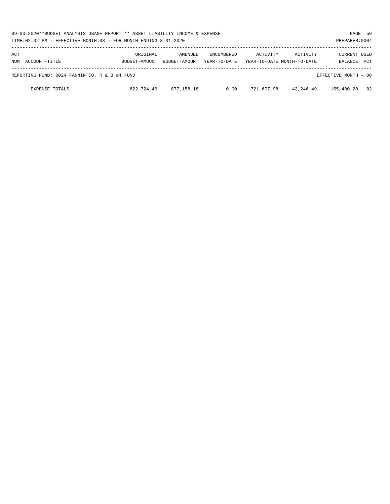| 09-03-2020**BUDGET ANALYSIS USAGE REPORT ** ASSET LIABILITY INCOME & EXPENSE<br>TIME:02:02 PM - EFFECTIVE MONTH:08 - FOR MONTH ENDING 8-31-2020 |                           |                          |                                   |            |                                        | PREPARER: 0004                 | PAGE 59    |
|-------------------------------------------------------------------------------------------------------------------------------------------------|---------------------------|--------------------------|-----------------------------------|------------|----------------------------------------|--------------------------------|------------|
| ACT<br>NUM ACCOUNT-TITLE                                                                                                                        | ORIGINAL<br>BUDGET-AMOUNT | AMENDED<br>BUDGET-AMOUNT | <b>ENCUMBERED</b><br>YEAR-TO-DATE | ACTIVITY   | ACTIVITY<br>YEAR-TO-DATE MONTH-TO-DATE | <b>CURRENT USED</b><br>BALANCE | <b>PCT</b> |
| REPORTING FUND: 0024 FANNIN CO. R & B #4 FUND                                                                                                   |                           |                          |                                   |            |                                        | EFFECTIVE MONTH - 08           |            |
| <b>EXPENSE TOTALS</b>                                                                                                                           | 822,724.46                | 877,158.18               | 0.00                              | 721,677.98 | 42,246.49                              | 155,480.20                     | 82         |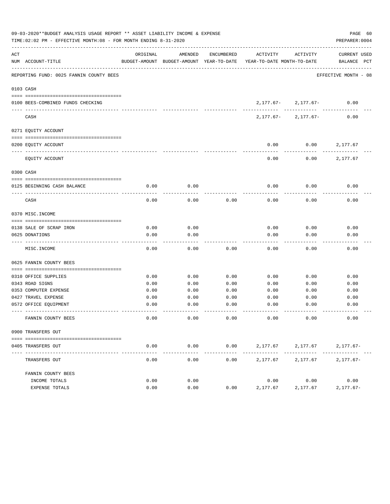|     | 09-03-2020**BUDGET ANALYSIS USAGE REPORT ** ASSET LIABILITY INCOME & EXPENSE<br>TIME:02:02 PM - EFFECTIVE MONTH:08 - FOR MONTH ENDING 8-31-2020 |                       |                                                     |            |                                        |                         | PAGE 60<br>PREPARER: 0004          |
|-----|-------------------------------------------------------------------------------------------------------------------------------------------------|-----------------------|-----------------------------------------------------|------------|----------------------------------------|-------------------------|------------------------------------|
| ACT | NUM ACCOUNT-TITLE                                                                                                                               | ORIGINAL              | AMENDED<br>BUDGET-AMOUNT BUDGET-AMOUNT YEAR-TO-DATE | ENCUMBERED | ACTIVITY<br>YEAR-TO-DATE MONTH-TO-DATE | ACTIVITY                | <b>CURRENT USED</b><br>BALANCE PCT |
|     | REPORTING FUND: 0025 FANNIN COUNTY BEES                                                                                                         | _____________________ |                                                     |            |                                        |                         | EFFECTIVE MONTH - 08               |
|     | 0103 CASH                                                                                                                                       |                       |                                                     |            |                                        |                         |                                    |
|     | 0100 BEES-COMBINED FUNDS CHECKING                                                                                                               |                       |                                                     |            |                                        | $2,177.67 - 2,177.67 -$ | 0.00                               |
|     | CASH                                                                                                                                            |                       |                                                     |            |                                        | $2,177.67 - 2,177.67 -$ | 0.00                               |
|     | 0271 EQUITY ACCOUNT                                                                                                                             |                       |                                                     |            |                                        |                         |                                    |
|     | 0200 EQUITY ACCOUNT                                                                                                                             |                       |                                                     |            | 0.00                                   | 0.00                    | 2,177.67                           |
|     | EOUITY ACCOUNT                                                                                                                                  |                       |                                                     |            | 0.00                                   | 0.00                    | 2,177.67                           |
|     | 0300 CASH                                                                                                                                       |                       |                                                     |            |                                        |                         |                                    |
|     | 0125 BEGINNING CASH BALANCE                                                                                                                     | 0.00                  | 0.00                                                |            | 0.00                                   | 0.00                    | 0.00                               |
|     | CASH                                                                                                                                            | 0.00                  | 0.00                                                | 0.00       | 0.00                                   | 0.00                    | 0.00                               |
|     | 0370 MISC. INCOME                                                                                                                               |                       |                                                     |            |                                        |                         |                                    |
|     | 0138 SALE OF SCRAP IRON                                                                                                                         | 0.00                  | 0.00                                                |            | 0.00                                   | 0.00                    | 0.00                               |
|     | 0625 DONATIONS                                                                                                                                  | 0.00                  | 0.00                                                |            | 0.00                                   | 0.00                    | 0.00                               |
|     |                                                                                                                                                 |                       |                                                     |            |                                        |                         |                                    |
|     | MISC. INCOME                                                                                                                                    | 0.00                  | 0.00                                                | 0.00       | 0.00                                   | 0.00                    | 0.00                               |
|     | 0625 FANNIN COUNTY BEES                                                                                                                         |                       |                                                     |            |                                        |                         |                                    |
|     | 0310 OFFICE SUPPLIES                                                                                                                            | 0.00                  | 0.00                                                | 0.00       | 0.00                                   | 0.00                    | 0.00                               |
|     | 0343 ROAD SIGNS                                                                                                                                 | 0.00                  | 0.00                                                | 0.00       | 0.00                                   | 0.00                    | 0.00                               |
|     | 0353 COMPUTER EXPENSE                                                                                                                           | 0.00                  | 0.00                                                | 0.00       | 0.00                                   | 0.00                    | 0.00                               |
|     | 0427 TRAVEL EXPENSE                                                                                                                             | 0.00                  | 0.00                                                | 0.00       | 0.00                                   | 0.00                    | 0.00                               |
|     | 0572 OFFICE EQUIPMENT                                                                                                                           | 0.00                  | 0.00                                                | 0.00       | 0.00                                   | 0.00                    | 0.00                               |
|     | FANNIN COUNTY BEES                                                                                                                              | 0.00                  | 0.00                                                | 0.00       | 0.00                                   | 0.00                    | 0.00                               |
|     | 0900 TRANSFERS OUT                                                                                                                              |                       |                                                     |            |                                        |                         |                                    |
|     | 0405 TRANSFERS OUT                                                                                                                              | 0.00                  | 0.00                                                | 0.00       | 2,177.67                               | 2,177.67                | $2,177.67-$                        |
|     | TRANSFERS OUT                                                                                                                                   | 0.00                  | 0.00                                                | 0.00       | 2,177.67                               | 2,177.67                | $2,177.67-$                        |
|     | FANNIN COUNTY BEES                                                                                                                              |                       |                                                     |            |                                        |                         |                                    |
|     | INCOME TOTALS                                                                                                                                   | 0.00                  | 0.00                                                |            | 0.00                                   | 0.00                    | 0.00                               |
|     | <b>EXPENSE TOTALS</b>                                                                                                                           | 0.00                  | 0.00                                                | 0.00       | 2,177.67                               | 2,177.67                | $2,177.67-$                        |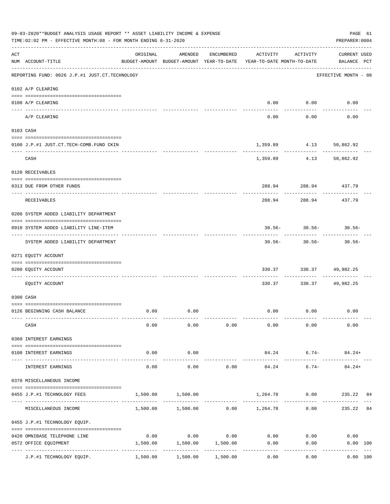|     | 09-03-2020**BUDGET ANALYSIS USAGE REPORT ** ASSET LIABILITY INCOME & EXPENSE<br>TIME:02:02 PM - EFFECTIVE MONTH:08 - FOR MONTH ENDING 8-31-2020 |                             |                                                                                |            |                   |                                         | PAGE 61<br>PREPARER: 0004                |    |
|-----|-------------------------------------------------------------------------------------------------------------------------------------------------|-----------------------------|--------------------------------------------------------------------------------|------------|-------------------|-----------------------------------------|------------------------------------------|----|
| ACT | NUM ACCOUNT-TITLE                                                                                                                               | ORIGINAL                    | AMENDED<br>BUDGET-AMOUNT BUDGET-AMOUNT YEAR-TO-DATE YEAR-TO-DATE MONTH-TO-DATE | ENCUMBERED | ACTIVITY          | ACTIVITY                                | <b>CURRENT USED</b><br>BALANCE PCT       |    |
|     | REPORTING FUND: 0026 J.P.#1 JUST.CT.TECHNOLOGY                                                                                                  |                             |                                                                                |            |                   |                                         | ----------------<br>EFFECTIVE MONTH - 08 |    |
|     | 0102 A/P CLEARING                                                                                                                               |                             |                                                                                |            |                   |                                         |                                          |    |
|     | 0100 A/P CLEARING                                                                                                                               |                             |                                                                                |            |                   | $0.00$ $0.00$                           | 0.00                                     |    |
|     | A/P CLEARING                                                                                                                                    |                             |                                                                                |            | ---------<br>0.00 | ----------<br>0.00                      | 0.00                                     |    |
|     | 0103 CASH                                                                                                                                       |                             |                                                                                |            |                   |                                         |                                          |    |
|     | 0100 J.P.#1 JUST.CT.TECH-COMB.FUND CKIN                                                                                                         |                             |                                                                                |            |                   | 1,359.89 4.13 50,862.92                 |                                          |    |
|     | CASH                                                                                                                                            |                             |                                                                                |            |                   | ------------<br>1,359.89 4.13 50,862.92 |                                          |    |
|     | 0120 RECEIVABLES                                                                                                                                |                             |                                                                                |            |                   |                                         |                                          |    |
|     | 0313 DUE FROM OTHER FUNDS                                                                                                                       |                             |                                                                                |            |                   | 288.94 288.94 437.79                    |                                          |    |
|     | RECEIVABLES                                                                                                                                     |                             |                                                                                |            | 288.94            | -----------<br>288.94                   | 437.79                                   |    |
|     | 0200 SYSTEM ADDED LIABILITY DEPARTMENT                                                                                                          |                             |                                                                                |            |                   |                                         |                                          |    |
|     | 0910 SYSTEM ADDED LIABILITY LINE-ITEM                                                                                                           |                             |                                                                                |            |                   | $30.56 - 30.56 - 30.56 -$               |                                          |    |
|     | -----------------------------<br>SYSTEM ADDED LIABILITY DEPARTMENT                                                                              |                             |                                                                                |            |                   | . <u>.</u> .<br>$30.56 - 30.56 -$       | $30.56 -$                                |    |
|     | 0271 EQUITY ACCOUNT                                                                                                                             |                             |                                                                                |            |                   |                                         |                                          |    |
|     | 0200 EQUITY ACCOUNT<br>------------------- -----------                                                                                          |                             |                                                                                |            |                   | 330.37 330.37 49,982.25                 |                                          |    |
|     | EQUITY ACCOUNT                                                                                                                                  |                             |                                                                                |            | 330.37            |                                         | 330.37 49,982.25                         |    |
|     | 0300 CASH                                                                                                                                       |                             |                                                                                |            |                   |                                         |                                          |    |
|     | 0126 BEGINNING CASH BALANCE                                                                                                                     | 0.00                        | 0.00                                                                           |            |                   | $0.00$ 0.00                             | 0.00                                     |    |
|     | CASH                                                                                                                                            | 0.00                        | 0.00                                                                           | 0.00       | 0.00              | 0.00                                    | 0.00                                     |    |
|     | 0360 INTEREST EARNINGS                                                                                                                          |                             |                                                                                |            |                   |                                         |                                          |    |
|     | 0100 INTEREST EARNINGS                                                                                                                          | 0.00                        | 0.00                                                                           |            |                   | 84.24 6.74-                             | 84.24+                                   |    |
|     | INTEREST EARNINGS                                                                                                                               | ------------<br>0.00        | -----------<br>0.00                                                            | 0.00       | 84.24             | $6.74-$                                 | $84.24+$                                 |    |
|     | 0370 MISCELLANEOUS INCOME                                                                                                                       |                             |                                                                                |            |                   |                                         |                                          |    |
|     | 0455 J.P.#1 TECHNOLOGY FEES                                                                                                                     |                             | 1,500.00 1,500.00                                                              |            |                   | 1,264.78 0.00 235.22 84                 |                                          |    |
|     | MISCELLANEOUS INCOME                                                                                                                            |                             | $1,500.00$ $1,500.00$ $0.00$ $1,264.78$                                        |            |                   | 0.00                                    | 235.22                                   | 84 |
|     | 0455 J.P.#1 TECHNOLOGY EQUIP.                                                                                                                   |                             |                                                                                |            |                   |                                         |                                          |    |
|     | 0420 OMNIBASE TELEPHONE LINE                                                                                                                    |                             | $0.00$ $0.00$ $0.00$ $0.00$                                                    |            |                   | $0.00$ 0.00                             | 0.00                                     |    |
|     | 0572 OFFICE EQUIPMENT                                                                                                                           | ------------- ------------- | 1,500.00   1,500.00   1,500.00<br>.                                            |            | 0.00              | 0.00                                    | 0.00 100                                 |    |
|     | J.P.#1 TECHNOLOGY EQUIP.                                                                                                                        | 1,500.00                    | 1,500.00                                                                       | 1,500.00   | 0.00              | 0.00                                    | 0.00 100                                 |    |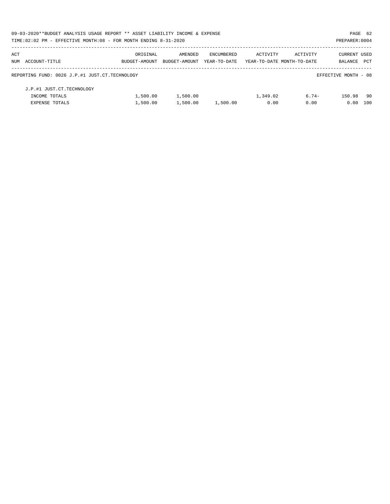| 09-03-2020**BUDGET ANALYSIS USAGE REPORT ** ASSET LIABILITY INCOME & EXPENSE |               |               |              |                            |          | PAGE 62              |     |
|------------------------------------------------------------------------------|---------------|---------------|--------------|----------------------------|----------|----------------------|-----|
| TIME: 02:02 PM - EFFECTIVE MONTH: 08 - FOR MONTH ENDING 8-31-2020            |               |               |              |                            |          | PREPARER: 0004       |     |
| ACT                                                                          | ORIGINAL      | AMENDED       | ENCUMBERED   | ACTIVITY                   | ACTIVITY | <b>CURRENT USED</b>  |     |
| NUM ACCOUNT-TITLE                                                            | BUDGET-AMOUNT | BUDGET-AMOUNT | YEAR-TO-DATE | YEAR-TO-DATE MONTH-TO-DATE |          | BALANCE              | PCT |
| REPORTING FUND: 0026 J.P.#1 JUST.CT.TECHNOLOGY                               |               |               |              |                            |          | EFFECTIVE MONTH - 08 |     |
| J.P.#1 JUST.CT.TECHNOLOGY                                                    |               |               |              |                            |          |                      |     |
| INCOME TOTALS                                                                | 1,500.00      | 1,500.00      |              | 1,349.02                   | $6.74-$  | 150.98               | 90  |
| EXPENSE TOTALS                                                               | 1,500.00      | 1,500.00      | 1,500.00     | 0.00                       | 0.00     | 0.00                 | 100 |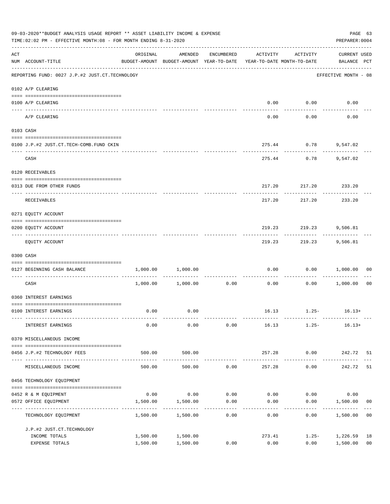|     | 09-03-2020**BUDGET ANALYSIS USAGE REPORT ** ASSET LIABILITY INCOME & EXPENSE<br>TIME: 02:02 PM - EFFECTIVE MONTH: 08 - FOR MONTH ENDING 8-31-2020<br>PREPARER: 0004 |                      |                                                                                |                     |                          |                      |                                    |                      |  |  |
|-----|---------------------------------------------------------------------------------------------------------------------------------------------------------------------|----------------------|--------------------------------------------------------------------------------|---------------------|--------------------------|----------------------|------------------------------------|----------------------|--|--|
| ACT | NUM ACCOUNT-TITLE                                                                                                                                                   | ORIGINAL             | AMENDED<br>BUDGET-AMOUNT BUDGET-AMOUNT YEAR-TO-DATE YEAR-TO-DATE MONTH-TO-DATE | ENCUMBERED          | ACTIVITY                 | ACTIVITY             | <b>CURRENT USED</b><br>BALANCE PCT |                      |  |  |
|     | REPORTING FUND: 0027 J.P.#2 JUST.CT.TECHNOLOGY                                                                                                                      |                      |                                                                                |                     |                          |                      | EFFECTIVE MONTH - 08               |                      |  |  |
|     | 0102 A/P CLEARING                                                                                                                                                   |                      |                                                                                |                     |                          |                      |                                    |                      |  |  |
|     | 0100 A/P CLEARING<br>---- --------                                                                                                                                  |                      |                                                                                |                     | 0.00                     | 0.00                 | 0.00                               |                      |  |  |
|     | A/P CLEARING                                                                                                                                                        |                      |                                                                                |                     | 0.00                     | 0.00                 | 0.00                               |                      |  |  |
|     | 0103 CASH                                                                                                                                                           |                      |                                                                                |                     |                          |                      |                                    |                      |  |  |
|     | 0100 J.P.#2 JUST.CT.TECH-COMB.FUND CKIN                                                                                                                             |                      |                                                                                |                     |                          |                      | 275.44 0.78 9,547.02               |                      |  |  |
|     | CASH                                                                                                                                                                |                      |                                                                                |                     | 275.44                   |                      | $0.78$ 9,547.02                    |                      |  |  |
|     | 0120 RECEIVABLES                                                                                                                                                    |                      |                                                                                |                     |                          |                      |                                    |                      |  |  |
|     | 0313 DUE FROM OTHER FUNDS                                                                                                                                           |                      |                                                                                |                     |                          |                      | 217.20 217.20 233.20               |                      |  |  |
|     | RECEIVABLES                                                                                                                                                         |                      |                                                                                |                     | 217.20                   | 217.20               | 233.20                             |                      |  |  |
|     | 0271 EQUITY ACCOUNT                                                                                                                                                 |                      |                                                                                |                     |                          |                      |                                    |                      |  |  |
|     | 0200 EQUITY ACCOUNT                                                                                                                                                 |                      |                                                                                |                     |                          |                      | 219.23 219.23 9,506.81             |                      |  |  |
|     | EQUITY ACCOUNT                                                                                                                                                      |                      |                                                                                |                     | 219.23                   | ---------            | 219.23 9,506.81                    |                      |  |  |
|     | 0300 CASH                                                                                                                                                           |                      |                                                                                |                     |                          |                      |                                    |                      |  |  |
|     | 0127 BEGINNING CASH BALANCE                                                                                                                                         |                      | 1,000.00 1,000.00                                                              |                     |                          |                      | $0.00$ $0.00$ $1,000.00$           | 00                   |  |  |
|     | CASH                                                                                                                                                                |                      | $1,000.00$ $1,000.00$ 0.00                                                     |                     | 0.00                     | ----------           | $0.00$ 1,000.00                    | 0 <sub>0</sub>       |  |  |
|     | 0360 INTEREST EARNINGS                                                                                                                                              |                      |                                                                                |                     |                          |                      |                                    |                      |  |  |
|     | 0100 INTEREST EARNINGS                                                                                                                                              | 0.00                 | 0.00                                                                           |                     |                          |                      | $16.13$ $1.25 16.13+$              |                      |  |  |
|     | INTEREST EARNINGS                                                                                                                                                   | 0.00                 | 0.00                                                                           | 0.00                |                          | $16.13$ $1.25-$      | $16.13+$                           |                      |  |  |
|     | 0370 MISCELLANEOUS INCOME                                                                                                                                           |                      |                                                                                |                     |                          |                      |                                    |                      |  |  |
|     | --------------------------------------<br>0456 J.P.#2 TECHNOLOGY FEES                                                                                               | 500.00               | 500.00                                                                         |                     | 257.28                   |                      | $0.00$ 242.72 51                   |                      |  |  |
|     | MISCELLANEOUS INCOME                                                                                                                                                | 500.00               | 500.00                                                                         | 0.00                | --------------<br>257.28 | ------------<br>0.00 | -------------<br>242.72            | 51                   |  |  |
|     | 0456 TECHNOLOGY EQUIPMENT                                                                                                                                           |                      |                                                                                |                     |                          |                      |                                    |                      |  |  |
|     | 0452 R & M EQUIPMENT                                                                                                                                                |                      | $0.00$ 0.00                                                                    | 0.00                |                          | $0.00$ 0.00          | 0.00                               |                      |  |  |
|     | 0572 OFFICE EQUIPMENT                                                                                                                                               | 1,500.00             | 1,500.00                                                                       | 0.00<br>----------- | 0.00                     | 0.00<br>----------   | 1,500.00                           | 0 <sub>0</sub>       |  |  |
|     | TECHNOLOGY EQUIPMENT                                                                                                                                                | 1,500.00             | 1,500.00                                                                       | 0.00                | 0.00                     | 0.00                 | 1,500.00                           | 0 <sub>0</sub>       |  |  |
|     | J.P.#2 JUST.CT.TECHNOLOGY                                                                                                                                           |                      |                                                                                |                     |                          |                      |                                    |                      |  |  |
|     | INCOME TOTALS<br>EXPENSE TOTALS                                                                                                                                     | 1,500.00<br>1,500.00 | 1,500.00<br>1,500.00                                                           | 0.00                | 273.41<br>0.00           | $1.25 -$<br>0.00     | 1,226.59<br>1,500.00               | 18<br>0 <sub>0</sub> |  |  |
|     |                                                                                                                                                                     |                      |                                                                                |                     |                          |                      |                                    |                      |  |  |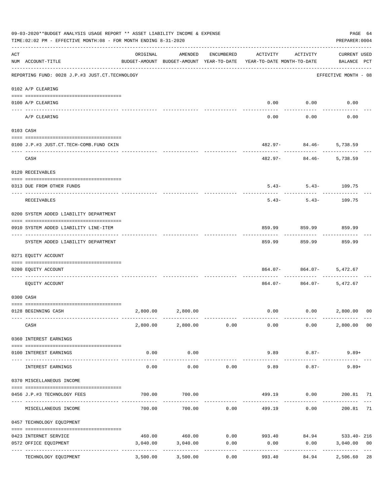|     | 09-03-2020**BUDGET ANALYSIS USAGE REPORT ** ASSET LIABILITY INCOME & EXPENSE<br>TIME: 02:02 PM - EFFECTIVE MONTH: 08 - FOR MONTH ENDING 8-31-2020 |                    |                   |            |                                                                                 |                             | PAGE 64<br>PREPARER: 0004          |                |
|-----|---------------------------------------------------------------------------------------------------------------------------------------------------|--------------------|-------------------|------------|---------------------------------------------------------------------------------|-----------------------------|------------------------------------|----------------|
| ACT | NUM ACCOUNT-TITLE                                                                                                                                 | ORIGINAL           | AMENDED           | ENCUMBERED | ACTIVITY<br>BUDGET-AMOUNT BUDGET-AMOUNT YEAR-TO-DATE YEAR-TO-DATE MONTH-TO-DATE | ACTIVITY                    | <b>CURRENT USED</b><br>BALANCE PCT |                |
|     | REPORTING FUND: 0028 J.P.#3 JUST.CT.TECHNOLOGY                                                                                                    |                    |                   |            |                                                                                 |                             | EFFECTIVE MONTH - 08               |                |
|     | 0102 A/P CLEARING                                                                                                                                 |                    |                   |            |                                                                                 |                             |                                    |                |
|     | 0100 A/P CLEARING<br>---- --------                                                                                                                |                    |                   |            |                                                                                 | $0.00$ 0.00                 | 0.00                               |                |
|     | A/P CLEARING                                                                                                                                      |                    |                   |            | 0.00                                                                            | 0.00                        | 0.00                               |                |
|     | 0103 CASH                                                                                                                                         |                    |                   |            |                                                                                 |                             |                                    |                |
|     | 0100 J.P.#3 JUST.CT.TECH-COMB.FUND CKIN                                                                                                           |                    |                   |            |                                                                                 | $482.97 - 84.46 -$          | 5,738.59                           |                |
|     | CASH                                                                                                                                              |                    |                   |            | 482.97-                                                                         | ---------<br>84.46-         | 5,738.59                           |                |
|     | 0120 RECEIVABLES                                                                                                                                  |                    |                   |            |                                                                                 |                             |                                    |                |
|     | 0313 DUE FROM OTHER FUNDS                                                                                                                         |                    |                   |            |                                                                                 | $5.43 - 5.43 - 109.75$      |                                    |                |
|     | RECEIVABLES                                                                                                                                       |                    |                   |            | $5.43-$                                                                         | $5.43-$                     | 109.75                             |                |
|     | 0200 SYSTEM ADDED LIABILITY DEPARTMENT                                                                                                            |                    |                   |            |                                                                                 |                             |                                    |                |
|     | 0910 SYSTEM ADDED LIABILITY LINE-ITEM                                                                                                             |                    |                   |            | 859.99                                                                          | 859.99                      | 859.99                             |                |
|     | SYSTEM ADDED LIABILITY DEPARTMENT                                                                                                                 |                    |                   |            | 859.99                                                                          | 859.99                      | 859.99                             |                |
|     | 0271 EQUITY ACCOUNT                                                                                                                               |                    |                   |            |                                                                                 |                             |                                    |                |
|     | 0200 EQUITY ACCOUNT                                                                                                                               |                    |                   |            | 864.07-                                                                         | 864.07-                     | 5,472.67                           |                |
|     | EQUITY ACCOUNT                                                                                                                                    |                    |                   |            |                                                                                 | 864.07- 864.07-             | 5,472.67                           |                |
|     | 0300 CASH                                                                                                                                         |                    |                   |            |                                                                                 |                             |                                    |                |
|     |                                                                                                                                                   |                    |                   |            |                                                                                 |                             |                                    |                |
|     | 0128 BEGINNING CASH                                                                                                                               |                    | 2,800.00 2,800.00 |            |                                                                                 | $0.00$ $0.00$ $2,800.00$ 00 |                                    |                |
|     | CASH                                                                                                                                              |                    |                   |            | $2,800.00$ $2,800.00$ $0.00$ $0.00$                                             | 0.00                        | 2,800.00                           | 0 <sub>0</sub> |
|     | 0360 INTEREST EARNINGS                                                                                                                            |                    |                   |            |                                                                                 |                             |                                    |                |
|     | 0100 INTEREST EARNINGS                                                                                                                            | 0.00               | 0.00<br>.         |            | 9.89<br>-------------                                                           | $0.87 -$<br>-----------     | $9.89+$<br>----------              |                |
|     | INTEREST EARNINGS                                                                                                                                 | 0.00               | 0.00              | 0.00       | 9.89                                                                            | $0.87 -$                    | $9.89+$                            |                |
|     | 0370 MISCELLANEOUS INCOME                                                                                                                         |                    |                   |            |                                                                                 |                             |                                    |                |
|     | 0456 J.P.#3 TECHNOLOGY FEES                                                                                                                       | 700.00             | 700.00            |            | 499.19                                                                          | 0.00                        | 200.81 71                          |                |
|     | MISCELLANEOUS INCOME                                                                                                                              | 700.00             | 700.00            | 0.00       | 499.19                                                                          | 0.00                        | 200.81                             | 71             |
|     | 0457 TECHNOLOGY EQUIPMENT                                                                                                                         |                    |                   |            |                                                                                 |                             |                                    |                |
|     |                                                                                                                                                   |                    |                   |            |                                                                                 |                             |                                    |                |
|     | 0423 INTERNET SERVICE<br>0572 OFFICE EQUIPMENT                                                                                                    | 460.00<br>3,040.00 | 3,040.00          | 0.00       | 0.00                                                                            | 0.00                        | 3,040.00                           | 0 <sub>0</sub> |
|     |                                                                                                                                                   |                    |                   |            |                                                                                 | -----------                 | -------------                      |                |
|     | TECHNOLOGY EQUIPMENT                                                                                                                              | 3,500.00           | 3,500.00          | 0.00       | 993.40                                                                          | 84.94                       | 2,506.60                           | 28             |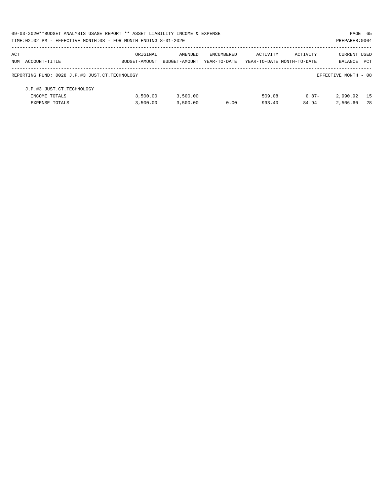|     | 09-03-2020**BUDGET ANALYSIS USAGE REPORT ** ASSET LIABILITY INCOME & EXPENSE |               |               |              |                            |          | PAGE 65              |     |
|-----|------------------------------------------------------------------------------|---------------|---------------|--------------|----------------------------|----------|----------------------|-----|
|     | TIME: 02:02 PM - EFFECTIVE MONTH: 08 - FOR MONTH ENDING 8-31-2020            |               |               |              |                            |          | PREPARER: 0004       |     |
| ACT |                                                                              | ORIGINAL      | AMENDED       | ENCUMBERED   | ACTIVITY                   | ACTIVITY | CURRENT USED         |     |
|     | NUM ACCOUNT-TITLE                                                            | BUDGET-AMOUNT | BUDGET-AMOUNT | YEAR-TO-DATE | YEAR-TO-DATE MONTH-TO-DATE |          | <b>BALANCE</b>       | PCT |
|     | REPORTING FUND: 0028 J.P.#3 JUST.CT.TECHNOLOGY                               |               |               |              |                            |          | EFFECTIVE MONTH - 08 |     |
|     | J.P.#3 JUST.CT.TECHNOLOGY                                                    |               |               |              |                            |          |                      |     |
|     | INCOME TOTALS                                                                | 3,500.00      | 3,500.00      |              | 509.08                     | $0.87 -$ | 2,990.92             | 15  |
|     | <b>EXPENSE TOTALS</b>                                                        | 3,500.00      | 3,500.00      | 0.00         | 993.40                     | 84.94    | 2,506.60             | -28 |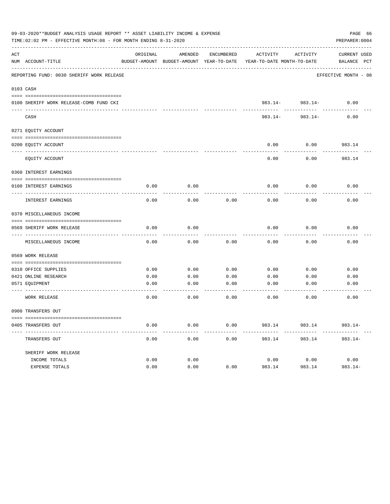|     | 09-03-2020**BUDGET ANALYSIS USAGE REPORT ** ASSET LIABILITY INCOME & EXPENSE<br>TIME:02:02 PM - EFFECTIVE MONTH:08 - FOR MONTH ENDING 8-31-2020 |          |                 |            |                                                                                 |                 | PAGE 66<br>PREPARER: 0004          |
|-----|-------------------------------------------------------------------------------------------------------------------------------------------------|----------|-----------------|------------|---------------------------------------------------------------------------------|-----------------|------------------------------------|
| ACT | NUM ACCOUNT-TITLE                                                                                                                               | ORIGINAL | AMENDED         | ENCUMBERED | ACTIVITY<br>BUDGET-AMOUNT BUDGET-AMOUNT YEAR-TO-DATE YEAR-TO-DATE MONTH-TO-DATE | ACTIVITY        | <b>CURRENT USED</b><br>BALANCE PCT |
|     | REPORTING FUND: 0030 SHERIFF WORK RELEASE                                                                                                       |          |                 |            |                                                                                 |                 | EFFECTIVE MONTH - 08               |
|     | 0103 CASH                                                                                                                                       |          |                 |            |                                                                                 |                 |                                    |
|     | 0100 SHERIFF WORK RELEASE-COMB FUND CKI                                                                                                         |          |                 |            |                                                                                 | 983.14- 983.14- | 0.00                               |
|     | CASH                                                                                                                                            |          |                 |            | 983.14-                                                                         | 983.14-         | 0.00                               |
|     | 0271 EQUITY ACCOUNT                                                                                                                             |          |                 |            |                                                                                 |                 |                                    |
|     | 0200 EQUITY ACCOUNT                                                                                                                             |          |                 |            | 0.00                                                                            | 0.00            | 983.14<br>----------               |
|     | EQUITY ACCOUNT                                                                                                                                  |          |                 |            | 0.00                                                                            | 0.00            | 983.14                             |
|     | 0360 INTEREST EARNINGS                                                                                                                          |          |                 |            |                                                                                 |                 |                                    |
|     | 0100 INTEREST EARNINGS                                                                                                                          | 0.00     | 0.00            |            | 0.00                                                                            | 0.00            | 0.00                               |
|     | INTEREST EARNINGS                                                                                                                               | 0.00     | 0.00            | 0.00       | 0.00                                                                            | 0.00            | 0.00                               |
|     | 0370 MISCELLANEOUS INCOME                                                                                                                       |          |                 |            |                                                                                 |                 |                                    |
|     | 0569 SHERIFF WORK RELEASE                                                                                                                       | 0.00     | 0.00            |            | 0.00                                                                            | 0.00            | 0.00                               |
|     | MISCELLANEOUS INCOME                                                                                                                            | 0.00     | 0.00            | 0.00       | 0.00                                                                            | 0.00            | 0.00                               |
|     | 0569 WORK RELEASE                                                                                                                               |          |                 |            |                                                                                 |                 |                                    |
|     | 0310 OFFICE SUPPLIES                                                                                                                            | 0.00     | 0.00            | 0.00       | 0.00                                                                            | 0.00            | 0.00                               |
|     | 0421 ONLINE RESEARCH                                                                                                                            | 0.00     | 0.00            | 0.00       | 0.00                                                                            | 0.00            | 0.00                               |
|     | 0571 EOUIPMENT<br>--------------------------------- ----                                                                                        | 0.00     | 0.00            | 0.00       | 0.00                                                                            | 0.00            | 0.00                               |
|     | WORK RELEASE                                                                                                                                    | 0.00     | 0.00            | 0.00       | 0.00                                                                            | 0.00            | 0.00                               |
|     | 0900 TRANSFERS OUT                                                                                                                              |          |                 |            |                                                                                 |                 |                                    |
|     | 0405 TRANSFERS OUT                                                                                                                              | 0.00     | 0.00            | 0.00       | 983.14                                                                          | 983.14          | 983.14-                            |
|     | TRANSFERS OUT                                                                                                                                   | 0.00     | -------<br>0.00 | 0.00       | 983.14                                                                          | 983.14          | $983.14-$                          |
|     | SHERIFF WORK RELEASE                                                                                                                            |          |                 |            |                                                                                 |                 |                                    |
|     | INCOME TOTALS                                                                                                                                   | 0.00     | 0.00            |            | 0.00                                                                            | 0.00            | 0.00                               |
|     | EXPENSE TOTALS                                                                                                                                  | 0.00     | 0.00            | 0.00       | 983.14                                                                          | 983.14          | $983.14-$                          |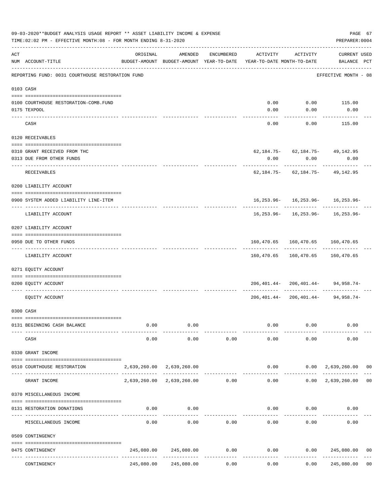|     | 09-03-2020**BUDGET ANALYSIS USAGE REPORT ** ASSET LIABILITY INCOME & EXPENSE<br>TIME: 02:02 PM - EFFECTIVE MONTH: 08 - FOR MONTH ENDING 8-31-2020 |                                                      |                                                 |               |                            |                   | PREPARER: 0004                                                          | PAGE 67        |
|-----|---------------------------------------------------------------------------------------------------------------------------------------------------|------------------------------------------------------|-------------------------------------------------|---------------|----------------------------|-------------------|-------------------------------------------------------------------------|----------------|
| ACT | NUM ACCOUNT-TITLE                                                                                                                                 | ORIGINAL<br>BUDGET-AMOUNT BUDGET-AMOUNT YEAR-TO-DATE | AMENDED                                         | ENCUMBERED    | YEAR-TO-DATE MONTH-TO-DATE | ACTIVITY ACTIVITY | <b>CURRENT USED</b><br>BALANCE PCT                                      |                |
|     | REPORTING FUND: 0031 COURTHOUSE RESTORATION FUND                                                                                                  |                                                      |                                                 |               |                            |                   | -------------------<br>EFFECTIVE MONTH - 08                             |                |
|     | 0103 CASH                                                                                                                                         |                                                      |                                                 |               |                            |                   |                                                                         |                |
|     | 0100 COURTHOUSE RESTORATION-COMB. FUND                                                                                                            |                                                      |                                                 |               |                            |                   | $0.00$ $0.00$ $115.00$                                                  |                |
|     | 0175 TEXPOOL                                                                                                                                      |                                                      |                                                 |               | 0.00                       | 0.00              | 0.00                                                                    |                |
|     | CASH                                                                                                                                              |                                                      |                                                 |               |                            | $0.00$ 0.00       | 115.00                                                                  |                |
|     | 0120 RECEIVABLES                                                                                                                                  |                                                      |                                                 |               |                            |                   |                                                                         |                |
|     | 0310 GRANT RECEIVED FROM THC<br>0313 DUE FROM OTHER FUNDS                                                                                         |                                                      |                                                 |               | 0.00                       | 0.00              | $62, 184.75 - 62, 184.75 - 49, 142.95$<br>0.00                          |                |
|     | RECEIVABLES                                                                                                                                       |                                                      |                                                 |               |                            |                   | $62, 184.75 - 62, 184.75 - 49, 142.95$                                  |                |
|     | 0200 LIABILITY ACCOUNT                                                                                                                            |                                                      |                                                 |               |                            |                   |                                                                         |                |
|     | 0900 SYSTEM ADDED LIABILITY LINE-ITEM                                                                                                             |                                                      |                                                 |               |                            |                   | 16, 253.96 - 16, 253.96 - 16, 253.96 -                                  |                |
|     | LIABILITY ACCOUNT                                                                                                                                 |                                                      |                                                 |               |                            |                   | ------------- -------------<br>$16, 253.96 - 16, 253.96 - 16, 253.96 -$ |                |
|     | 0207 LIABILITY ACCOUNT                                                                                                                            |                                                      |                                                 |               |                            |                   |                                                                         |                |
|     | 0950 DUE TO OTHER FUNDS                                                                                                                           |                                                      |                                                 |               |                            |                   | 160,470.65 160,470.65 160,470.65                                        |                |
|     | ---- --------------<br>LIABILITY ACCOUNT                                                                                                          |                                                      |                                                 |               |                            |                   | ----------- ----------- ----------<br>160,470.65 160,470.65 160,470.65  |                |
|     |                                                                                                                                                   |                                                      |                                                 |               |                            |                   |                                                                         |                |
|     | 0271 EQUITY ACCOUNT                                                                                                                               |                                                      |                                                 |               |                            |                   |                                                                         |                |
|     | 0200 EQUITY ACCOUNT                                                                                                                               |                                                      |                                                 |               |                            |                   | $206, 401.44 - 206, 401.44 - 94, 958.74 -$                              |                |
|     | EOUITY ACCOUNT                                                                                                                                    |                                                      |                                                 |               |                            |                   | 206, 401. 44-206, 401. 44-94, 958. 74-                                  |                |
|     | 0300 CASH                                                                                                                                         |                                                      |                                                 |               |                            |                   |                                                                         |                |
|     | 0131 BEGINNING CASH BALANCE                                                                                                                       | 0.00                                                 | 0.00                                            |               | 0.00                       | 0.00              | 0.00                                                                    |                |
|     | CASH                                                                                                                                              | 0.00                                                 | 0.00                                            | 0.00          | 0.00                       | 0.00              | 0.00                                                                    |                |
|     | 0330 GRANT INCOME                                                                                                                                 |                                                      |                                                 |               |                            |                   |                                                                         |                |
|     | 0510 COURTHOUSE RESTORATION                                                                                                                       |                                                      | 2,639,260.00 2,639,260.00                       |               |                            |                   | $0.00$ $0.00$ $2,639,260.00$                                            | 0 <sub>0</sub> |
|     | ---------------------<br>GRANT INCOME                                                                                                             |                                                      | -------------<br>2,639,260.00 2,639,260.00 0.00 | ------------- | 0.00                       | -----------       | <u>Liste de la calca</u><br>0.00 2,639,260.00                           | 00             |
|     | 0370 MISCELLANEOUS INCOME                                                                                                                         |                                                      |                                                 |               |                            |                   |                                                                         |                |
|     | ==================================<br>0131 RESTORATION DONATIONS                                                                                  | 0.00                                                 | 0.00                                            |               | 0.00                       | 0.00              | 0.00                                                                    |                |
|     | MISCELLANEOUS INCOME                                                                                                                              | 0.00                                                 | 0.00                                            | 0.00          | 0.00                       | 0.00              | 0.00                                                                    |                |
|     | 0509 CONTINGENCY                                                                                                                                  |                                                      |                                                 |               |                            |                   |                                                                         |                |
|     | 0475 CONTINGENCY                                                                                                                                  |                                                      | 245,080.00 245,080.00 0.00                      |               | 0.00                       |                   | 0.00 245,080.00                                                         | 00             |
|     | CONTINGENCY                                                                                                                                       |                                                      | 245,080.00 245,080.00                           | 0.00          | 0.00                       |                   | 0.00 245,080.00                                                         | 0 <sub>0</sub> |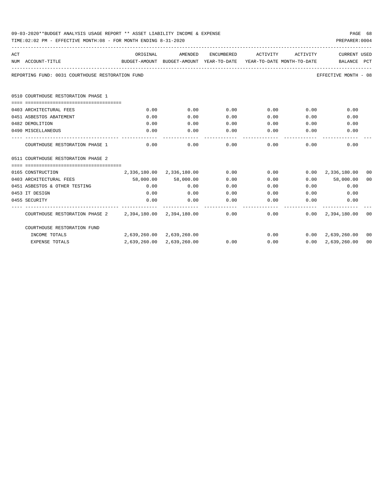| 09-03-2020**BUDGET ANALYSIS USAGE REPORT ** ASSET LIABILITY INCOME & EXPENSE | PAGE 68        |
|------------------------------------------------------------------------------|----------------|
| TIME:02:02 PM - EFFECTIVE MONTH:08 - FOR MONTH ENDING 8-31-2020              | PREPARER: 0004 |

| ACT | NUM ACCOUNT-TITLE                                                                              | BUDGET-AMOUNT BUDGET-AMOUNT YEAR-TO-DATE YEAR-TO-DATE MONTH-TO-DATE BALANCE PCT | ORIGINAL AMENDED          |                       | ENCUMBERED ACTIVITY ACTIVITY |              | CURRENT USED                                                           |  |
|-----|------------------------------------------------------------------------------------------------|---------------------------------------------------------------------------------|---------------------------|-----------------------|------------------------------|--------------|------------------------------------------------------------------------|--|
|     | REPORTING FUND: 0031 COURTHOUSE RESTORATION FUND                                               |                                                                                 |                           |                       |                              |              | EFFECTIVE MONTH - 08                                                   |  |
|     | 0510 COURTHOUSE RESTORATION PHASE 1                                                            |                                                                                 |                           |                       |                              |              |                                                                        |  |
|     | 0403 ARCHITECTURAL FEES                                                                        | 0.00                                                                            | 0.00                      | 0.00                  |                              | $0.00$ 0.00  | 0.00                                                                   |  |
|     | 0451 ASBESTOS ABATEMENT                                                                        | 0.00                                                                            | 0.00                      | 0.00                  | 0.00                         | 0.00         | 0.00                                                                   |  |
|     | 0482 DEMOLITION                                                                                | 0.00                                                                            | 0.00                      | 0.00                  | 0.00                         |              | 0.00<br>0.00                                                           |  |
|     | 0490 MISCELLANEOUS                                                                             | 0.00                                                                            | 0.00                      | 0.00                  | $0.00$ 0.00                  |              | 0.00                                                                   |  |
|     | COURTHOUSE RESTORATION PHASE 1                                                                 | 0.00                                                                            | 0.00                      | -------------<br>0.00 |                              | $0.00$ 0.00  | 0.00                                                                   |  |
|     | 0511 COURTHOUSE RESTORATION PHASE 2                                                            |                                                                                 |                           |                       |                              |              |                                                                        |  |
|     | 0165 CONSTRUCTION                                                                              |                                                                                 |                           |                       |                              |              | $2,336,180.00$ $2,336,180.00$ $0.00$ $0.00$ $0.00$ $2,336,180.00$ $00$ |  |
|     | 0403 ARCHITECTURAL FEES                                                                        |                                                                                 | 58,000.00 58,000.00       | 0.00                  | 0.00                         |              | $0.00$ 58,000.00 00                                                    |  |
|     | 0451 ASBESTOS & OTHER TESTING                                                                  | 0.00                                                                            | 0.00                      | 0.00                  |                              | 0.00         | $0.00$ 0.00                                                            |  |
|     | 0453 IT DESIGN                                                                                 | 0.00                                                                            | 0.00                      | 0.00                  | 0.00                         |              | $0.00$ 0.00                                                            |  |
|     | 0455 SECURITY                                                                                  | 0.00                                                                            | 0.00                      | 0.00                  |                              |              | $0.00$ $0.00$ $0.00$ $0.00$                                            |  |
|     | COURTHOUSE RESTORATION PHASE 2  2,394,180.00  2,394,180.00  0.00  0.00  0.00  2,394,180.00  00 |                                                                                 |                           |                       |                              | ------------ |                                                                        |  |
|     | COURTHOUSE RESTORATION FUND                                                                    |                                                                                 |                           |                       |                              |              |                                                                        |  |
|     | INCOME TOTALS                                                                                  | 2,639,260.00 2,639,260.00                                                       |                           |                       |                              |              | $0.00$ $0.00$ $2.639.260.00$ 00                                        |  |
|     | EXPENSE TOTALS                                                                                 |                                                                                 | 2,639,260.00 2,639,260.00 |                       |                              |              | $0.00$ $0.00$ $0.00$ $0.00$ $2,639,260.00$ $00$                        |  |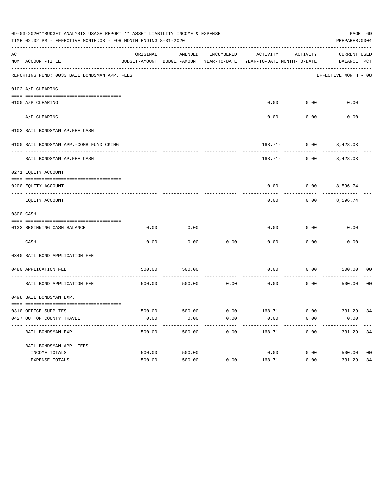| 09-03-2020**BUDGET ANALYSIS USAGE REPORT ** ASSET LIABILITY INCOME & EXPENSE<br>PAGE 69<br>TIME: 02:02 PM - EFFECTIVE MONTH: 08 - FOR MONTH ENDING 8-31-2020<br>PREPARER: 0004 |                                                                    |          |         |            |                                                                                 |                                        |                                    |                |
|--------------------------------------------------------------------------------------------------------------------------------------------------------------------------------|--------------------------------------------------------------------|----------|---------|------------|---------------------------------------------------------------------------------|----------------------------------------|------------------------------------|----------------|
| ACT                                                                                                                                                                            | NUM ACCOUNT-TITLE                                                  | ORIGINAL | AMENDED | ENCUMBERED | ACTIVITY<br>BUDGET-AMOUNT BUDGET-AMOUNT YEAR-TO-DATE YEAR-TO-DATE MONTH-TO-DATE | ACTIVITY                               | <b>CURRENT USED</b><br>BALANCE PCT |                |
|                                                                                                                                                                                | REPORTING FUND: 0033 BAIL BONDSMAN APP. FEES                       |          |         |            |                                                                                 |                                        | EFFECTIVE MONTH - 08               |                |
|                                                                                                                                                                                | 0102 A/P CLEARING                                                  |          |         |            |                                                                                 |                                        |                                    |                |
|                                                                                                                                                                                | 0100 A/P CLEARING                                                  |          |         |            | 0.00                                                                            | 0.00                                   | 0.00                               |                |
|                                                                                                                                                                                | ---- ----------<br>---------------------- --------<br>A/P CLEARING |          |         |            | 0.00                                                                            | 0.00                                   | 0.00                               |                |
|                                                                                                                                                                                | 0103 BAIL BONDSMAN AP.FEE CASH                                     |          |         |            |                                                                                 |                                        |                                    |                |
|                                                                                                                                                                                | 0100 BAIL BONDSMAN APP.-COMB FUND CKING                            |          |         |            |                                                                                 | 168.71- 0.00 8,428.03                  |                                    |                |
|                                                                                                                                                                                | ----------------------------<br>BAIL BONDSMAN AP. FEE CASH         |          |         |            |                                                                                 | ----------<br>$168.71 - 0.00$ 8,428.03 |                                    |                |
|                                                                                                                                                                                | 0271 EQUITY ACCOUNT                                                |          |         |            |                                                                                 |                                        |                                    |                |
|                                                                                                                                                                                | 0200 EQUITY ACCOUNT                                                |          |         |            | 0.00                                                                            | $0.00$ 8,596.74                        |                                    |                |
|                                                                                                                                                                                | EQUITY ACCOUNT                                                     |          |         |            | 0.00                                                                            | 0.00                                   | 8,596.74                           |                |
|                                                                                                                                                                                | 0300 CASH                                                          |          |         |            |                                                                                 |                                        |                                    |                |
|                                                                                                                                                                                | 0133 BEGINNING CASH BALANCE                                        | 0.00     | 0.00    |            | 0.00                                                                            | 0.00                                   | 0.00                               |                |
|                                                                                                                                                                                | CASH                                                               | 0.00     | 0.00    | 0.00       | 0.00                                                                            | 0.00                                   | 0.00                               |                |
|                                                                                                                                                                                | 0340 BAIL BOND APPLICATION FEE                                     |          |         |            |                                                                                 |                                        |                                    |                |
|                                                                                                                                                                                | 0480 APPLICATION FEE<br>-----------------------------------        | 500.00   | 500.00  |            | 0.00                                                                            | 0.00                                   | 500.00                             | 00             |
|                                                                                                                                                                                | BAIL BOND APPLICATION FEE                                          | 500.00   | 500.00  | 0.00       | 0.00                                                                            | 0.00                                   | 500.00                             | 0 <sub>0</sub> |
|                                                                                                                                                                                | 0498 BAIL BONDSMAN EXP.                                            |          |         |            |                                                                                 |                                        |                                    |                |
|                                                                                                                                                                                |                                                                    |          |         |            |                                                                                 |                                        |                                    |                |
|                                                                                                                                                                                | 0310 OFFICE SUPPLIES                                               |          |         |            | 500.00 500.00 6.00 168.71 0.00 331.29 34                                        |                                        |                                    |                |
|                                                                                                                                                                                | 0427 OUT OF COUNTY TRAVEL                                          | 0.00     | 0.00    | 0.00       | 0.00                                                                            | 0.00                                   | 0.00                               |                |
|                                                                                                                                                                                | BAIL BONDSMAN EXP.                                                 | 500.00   | 500.00  | 0.00       | 168.71                                                                          | 0.00                                   | 331.29                             | 34             |
|                                                                                                                                                                                | BAIL BONDSMAN APP. FEES                                            |          |         |            |                                                                                 |                                        |                                    |                |
|                                                                                                                                                                                | INCOME TOTALS                                                      | 500.00   | 500.00  |            | 0.00                                                                            | 0.00                                   | 500.00                             | 0 <sub>0</sub> |
|                                                                                                                                                                                | EXPENSE TOTALS                                                     | 500.00   | 500.00  | 0.00       | 168.71                                                                          | 0.00                                   | 331.29                             | 34             |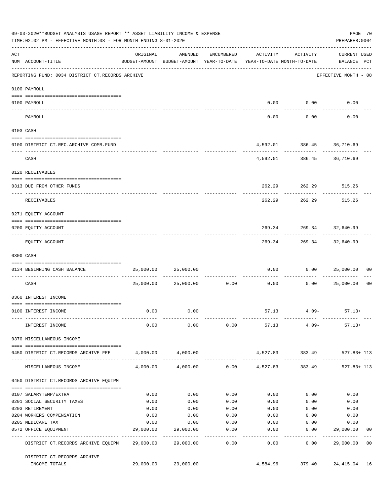| 09-03-2020**BUDGET ANALYSIS USAGE REPORT ** ASSET LIABILITY INCOME & EXPENSE<br>PAGE 70<br>TIME: 02:02 PM - EFFECTIVE MONTH: 08 - FOR MONTH ENDING 8-31-2020<br>PREPARER: 0004 |                                                                                                                                                                                                                                                                                                                                                                                                                                                                                                                     |           |                                                     |                    |                                        |                                           |                             |                |
|--------------------------------------------------------------------------------------------------------------------------------------------------------------------------------|---------------------------------------------------------------------------------------------------------------------------------------------------------------------------------------------------------------------------------------------------------------------------------------------------------------------------------------------------------------------------------------------------------------------------------------------------------------------------------------------------------------------|-----------|-----------------------------------------------------|--------------------|----------------------------------------|-------------------------------------------|-----------------------------|----------------|
| ACT                                                                                                                                                                            | NUM ACCOUNT-TITLE                                                                                                                                                                                                                                                                                                                                                                                                                                                                                                   | ORIGINAL  | AMENDED<br>BUDGET-AMOUNT BUDGET-AMOUNT YEAR-TO-DATE | ENCUMBERED         | ACTIVITY<br>YEAR-TO-DATE MONTH-TO-DATE | ACTIVITY                                  | CURRENT USED<br>BALANCE PCT |                |
|                                                                                                                                                                                | REPORTING FUND: 0034 DISTRICT CT.RECORDS ARCHIVE                                                                                                                                                                                                                                                                                                                                                                                                                                                                    |           |                                                     |                    |                                        |                                           | EFFECTIVE MONTH - 08        |                |
|                                                                                                                                                                                | 0100 PAYROLL                                                                                                                                                                                                                                                                                                                                                                                                                                                                                                        |           |                                                     |                    |                                        |                                           |                             |                |
|                                                                                                                                                                                | 0100 PAYROLL                                                                                                                                                                                                                                                                                                                                                                                                                                                                                                        |           |                                                     |                    |                                        | $0.00$ $0.00$                             | 0.00                        |                |
|                                                                                                                                                                                | ----- ----<br>PAYROLL                                                                                                                                                                                                                                                                                                                                                                                                                                                                                               |           |                                                     |                    | $-- - -$<br>0.00                       | $- - - - - - - -$<br>0.00                 | 0.00                        |                |
|                                                                                                                                                                                | 0103 CASH                                                                                                                                                                                                                                                                                                                                                                                                                                                                                                           |           |                                                     |                    |                                        |                                           |                             |                |
|                                                                                                                                                                                |                                                                                                                                                                                                                                                                                                                                                                                                                                                                                                                     |           |                                                     |                    |                                        |                                           |                             |                |
|                                                                                                                                                                                | 0100 DISTRICT CT.REC.ARCHIVE COMB.FUND                                                                                                                                                                                                                                                                                                                                                                                                                                                                              |           |                                                     |                    |                                        | 4,592.01 386.45 36,710.69<br>------------ |                             |                |
|                                                                                                                                                                                | CASH                                                                                                                                                                                                                                                                                                                                                                                                                                                                                                                |           |                                                     |                    |                                        | 4,592.01 386.45 36,710.69                 |                             |                |
|                                                                                                                                                                                | 0120 RECEIVABLES                                                                                                                                                                                                                                                                                                                                                                                                                                                                                                    |           |                                                     |                    |                                        |                                           |                             |                |
|                                                                                                                                                                                | 0313 DUE FROM OTHER FUNDS                                                                                                                                                                                                                                                                                                                                                                                                                                                                                           |           |                                                     |                    |                                        | 262.29 262.29                             | 515.26                      |                |
|                                                                                                                                                                                | RECEIVABLES                                                                                                                                                                                                                                                                                                                                                                                                                                                                                                         |           |                                                     |                    | 262.29                                 | 262.29                                    | 515.26                      |                |
|                                                                                                                                                                                | 0271 EQUITY ACCOUNT                                                                                                                                                                                                                                                                                                                                                                                                                                                                                                 |           |                                                     |                    |                                        |                                           |                             |                |
|                                                                                                                                                                                | 0200 EQUITY ACCOUNT                                                                                                                                                                                                                                                                                                                                                                                                                                                                                                 |           |                                                     |                    |                                        | 269.34 269.34 32,640.99                   |                             |                |
|                                                                                                                                                                                | ----------------------<br>EQUITY ACCOUNT                                                                                                                                                                                                                                                                                                                                                                                                                                                                            |           |                                                     |                    |                                        | -----------<br>269.34 269.34 32,640.99    | --------------              |                |
|                                                                                                                                                                                | 0300 CASH                                                                                                                                                                                                                                                                                                                                                                                                                                                                                                           |           |                                                     |                    |                                        |                                           |                             |                |
|                                                                                                                                                                                | $\begin{minipage}{0.03\textwidth} \centering \begin{tabular}{ l l l } \hline \texttt{0.03}\end{tabular} \end{minipage} \end{minipage} \begin{minipage}{0.03\textwidth} \centering \begin{tabular}{ l l l } \hline \texttt{0.03}\end{tabular} \end{minipage} \end{minipage} \begin{minipage}{0.03\textwidth} \centering \begin{tabular}{ l l l l } \hline \texttt{0.03}\end{tabular} \end{minipage} \end{minipage} \begin{minipage}{0.03\textwidth} \centering \begin{tabular}{ l l $<br>0134 BEGINNING CASH BALANCE | 25,000.00 | 25,000.00                                           |                    |                                        |                                           | $0.00$ $0.00$ $25,000.00$   | 00             |
|                                                                                                                                                                                | CASH                                                                                                                                                                                                                                                                                                                                                                                                                                                                                                                |           | 25,000.00 25,000.00                                 | 0.00               | --------------------------<br>0.00     | 0.00                                      | 25,000.00                   | 0 <sub>0</sub> |
|                                                                                                                                                                                | 0360 INTEREST INCOME                                                                                                                                                                                                                                                                                                                                                                                                                                                                                                |           |                                                     |                    |                                        |                                           |                             |                |
|                                                                                                                                                                                |                                                                                                                                                                                                                                                                                                                                                                                                                                                                                                                     | 0.00      | 0.00                                                |                    | 57.13                                  |                                           | $57.13+$                    |                |
|                                                                                                                                                                                | 0100 INTEREST INCOME                                                                                                                                                                                                                                                                                                                                                                                                                                                                                                |           |                                                     |                    |                                        | $4.09-$                                   |                             |                |
|                                                                                                                                                                                | INTEREST INCOME                                                                                                                                                                                                                                                                                                                                                                                                                                                                                                     | 0.00      |                                                     |                    | $0.00$ $0.00$ $57.13$ $4.09-$          |                                           | $57.13+$                    |                |
|                                                                                                                                                                                | 0370 MISCELLANEOUS INCOME                                                                                                                                                                                                                                                                                                                                                                                                                                                                                           |           |                                                     |                    |                                        |                                           |                             |                |
|                                                                                                                                                                                | 0450 DISTRICT CT.RECORDS ARCHIVE FEE                                                                                                                                                                                                                                                                                                                                                                                                                                                                                |           | 4,000.00 4,000.00                                   |                    |                                        | 4,527.83 383.49                           | 527.83+ 113                 |                |
|                                                                                                                                                                                | MISCELLANEOUS INCOME                                                                                                                                                                                                                                                                                                                                                                                                                                                                                                | 4,000.00  | 4,000.00                                            |                    | $0.00$ $4,527.83$                      | 383.49                                    | $527.83 + 113$              |                |
|                                                                                                                                                                                | 0450 DISTRICT CT.RECORDS ARCHIVE EQUIPM                                                                                                                                                                                                                                                                                                                                                                                                                                                                             |           |                                                     |                    |                                        |                                           |                             |                |
|                                                                                                                                                                                | 0107 SALARYTEMP/EXTRA                                                                                                                                                                                                                                                                                                                                                                                                                                                                                               | 0.00      | 0.00                                                | 0.00               | 0.00                                   | 0.00                                      | 0.00                        |                |
|                                                                                                                                                                                | 0201 SOCIAL SECURITY TAXES                                                                                                                                                                                                                                                                                                                                                                                                                                                                                          | 0.00      | 0.00                                                | 0.00               | 0.00                                   | 0.00                                      | 0.00                        |                |
|                                                                                                                                                                                | 0203 RETIREMENT                                                                                                                                                                                                                                                                                                                                                                                                                                                                                                     | 0.00      | 0.00                                                | 0.00               | 0.00                                   | 0.00                                      | 0.00                        |                |
|                                                                                                                                                                                | 0204 WORKERS COMPENSATION                                                                                                                                                                                                                                                                                                                                                                                                                                                                                           | 0.00      | 0.00                                                | 0.00               | 0.00                                   | 0.00                                      | 0.00                        |                |
|                                                                                                                                                                                | 0205 MEDICARE TAX                                                                                                                                                                                                                                                                                                                                                                                                                                                                                                   | 0.00      | 0.00                                                | 0.00               | 0.00                                   | 0.00                                      | 0.00                        |                |
|                                                                                                                                                                                | 0572 OFFICE EQUIPMENT                                                                                                                                                                                                                                                                                                                                                                                                                                                                                               | 29,000.00 | 29,000.00                                           | 0.00<br>---------- | 0.00<br>-------                        | 0.00<br>---------                         | 29,000.00<br>------------   | 00             |
|                                                                                                                                                                                | DISTRICT CT.RECORDS ARCHIVE EQUIPM 29,000.00                                                                                                                                                                                                                                                                                                                                                                                                                                                                        |           | 29,000.00                                           | 0.00               | 0.00                                   | 0.00                                      | 29,000.00                   | 0 <sub>0</sub> |
|                                                                                                                                                                                | DISTRICT CT.RECORDS ARCHIVE<br>INCOME TOTALS                                                                                                                                                                                                                                                                                                                                                                                                                                                                        | 29,000.00 | 29,000.00                                           |                    | 4,584.96                               | 379.40                                    | 24, 415.04 16               |                |
|                                                                                                                                                                                |                                                                                                                                                                                                                                                                                                                                                                                                                                                                                                                     |           |                                                     |                    |                                        |                                           |                             |                |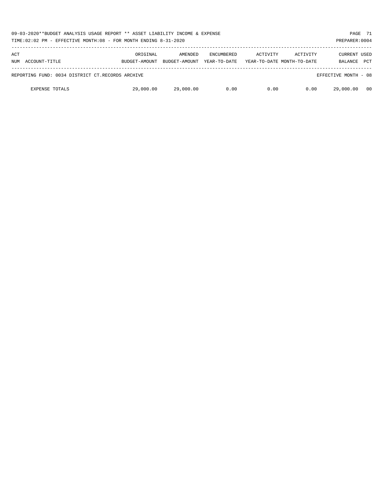| 09-03-2020**BUDGET ANALYSIS USAGE REPORT ** ASSET LIABILITY INCOME & EXPENSE<br>TIME:02:02 PM - EFFECTIVE MONTH:08 - FOR MONTH ENDING 8-31-2020 |                           |                          |                                   |          |                                        | PAGE 71<br>PREPARER: 0004             |            |
|-------------------------------------------------------------------------------------------------------------------------------------------------|---------------------------|--------------------------|-----------------------------------|----------|----------------------------------------|---------------------------------------|------------|
| ACT<br>ACCOUNT-TITLE<br>NUM                                                                                                                     | ORIGINAL<br>BUDGET-AMOUNT | AMENDED<br>BUDGET-AMOUNT | <b>ENCUMBERED</b><br>YEAR-TO-DATE | ACTIVITY | ACTIVITY<br>YEAR-TO-DATE MONTH-TO-DATE | <b>CURRENT USED</b><br><b>BALANCE</b> | <b>PCT</b> |
| REPORTING FUND: 0034 DISTRICT CT.RECORDS ARCHIVE                                                                                                |                           |                          |                                   |          |                                        | EFFECTIVE MONTH - 08                  |            |
| <b>EXPENSE TOTALS</b>                                                                                                                           | 29,000.00                 | 29,000.00                | 0.00                              | 0.00     | 0.00                                   | 29,000.00                             | - 00       |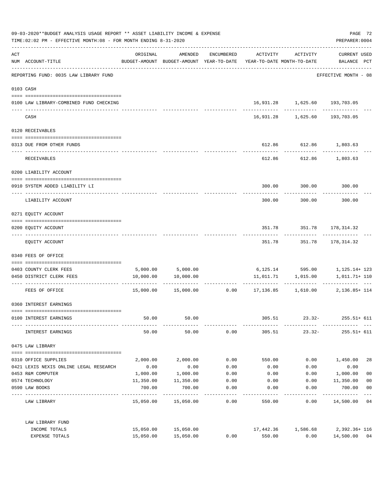|                                                                            | 09-03-2020**BUDGET ANALYSIS USAGE REPORT ** ASSET LIABILITY INCOME & EXPENSE<br>TIME: 02:02 PM - EFFECTIVE MONTH: 08 - FOR MONTH ENDING 8-31-2020 |            |                                                                                |            |          |                                                                      |                                                        |                |  |  |  |
|----------------------------------------------------------------------------|---------------------------------------------------------------------------------------------------------------------------------------------------|------------|--------------------------------------------------------------------------------|------------|----------|----------------------------------------------------------------------|--------------------------------------------------------|----------------|--|--|--|
| ACT                                                                        | NUM ACCOUNT-TITLE                                                                                                                                 | ORIGINAL   | AMENDED<br>BUDGET-AMOUNT BUDGET-AMOUNT YEAR-TO-DATE YEAR-TO-DATE MONTH-TO-DATE | ENCUMBERED | ACTIVITY | ACTIVITY                                                             | <b>CURRENT USED</b><br>BALANCE PCT<br>---------------- |                |  |  |  |
| REPORTING FUND: 0035 LAW LIBRARY FUND<br>EFFECTIVE MONTH - 08<br>0103 CASH |                                                                                                                                                   |            |                                                                                |            |          |                                                                      |                                                        |                |  |  |  |
|                                                                            |                                                                                                                                                   |            |                                                                                |            |          |                                                                      |                                                        |                |  |  |  |
|                                                                            | 0100 LAW LIBRARY-COMBINED FUND CHECKING                                                                                                           |            |                                                                                |            |          | 16,931.28 1,625.60 193,703.05                                        |                                                        |                |  |  |  |
|                                                                            | CASH                                                                                                                                              |            |                                                                                |            |          | 16,931.28 1,625.60 193,703.05                                        |                                                        |                |  |  |  |
|                                                                            | 0120 RECEIVABLES                                                                                                                                  |            |                                                                                |            |          |                                                                      |                                                        |                |  |  |  |
|                                                                            | 0313 DUE FROM OTHER FUNDS                                                                                                                         |            |                                                                                |            |          | 612.86 612.86 1,803.63                                               |                                                        |                |  |  |  |
|                                                                            | RECEIVABLES                                                                                                                                       |            |                                                                                |            |          | -----------<br>612.86 612.86 1,803.63                                |                                                        |                |  |  |  |
|                                                                            | 0200 LIABILITY ACCOUNT                                                                                                                            |            |                                                                                |            |          |                                                                      |                                                        |                |  |  |  |
|                                                                            | 0910 SYSTEM ADDED LIABILITY LI                                                                                                                    |            |                                                                                |            | 300.00   | $300.00$ 300.00                                                      |                                                        |                |  |  |  |
|                                                                            | LIABILITY ACCOUNT                                                                                                                                 |            |                                                                                |            | 300.00   | 300.00                                                               | 300.00                                                 |                |  |  |  |
|                                                                            | 0271 EQUITY ACCOUNT                                                                                                                               |            |                                                                                |            |          |                                                                      |                                                        |                |  |  |  |
|                                                                            | 0200 EQUITY ACCOUNT                                                                                                                               |            |                                                                                |            |          | 351.78 351.78 178,314.32                                             |                                                        |                |  |  |  |
|                                                                            | EQUITY ACCOUNT                                                                                                                                    |            |                                                                                |            |          | 351.78 351.78 178,314.32                                             | -------------                                          |                |  |  |  |
|                                                                            | 0340 FEES OF OFFICE                                                                                                                               |            |                                                                                |            |          |                                                                      |                                                        |                |  |  |  |
|                                                                            | 0403 COUNTY CLERK FEES                                                                                                                            |            |                                                                                |            |          |                                                                      |                                                        |                |  |  |  |
|                                                                            | 0450 DISTRICT CLERK FEES                                                                                                                          |            | 5,000.00 5,000.00<br>10,000.00 10,000.00                                       |            |          | $6,125.14$ $595.00$ $1,125.14+123$<br>11,011.71 1,015.00             | 1,011.71+ 110                                          |                |  |  |  |
|                                                                            | FEES OF OFFICE                                                                                                                                    |            |                                                                                |            |          | $15,000.00$ $15,000.00$ $0.00$ $17,136.85$ $1,610.00$ $2,136.85+114$ |                                                        |                |  |  |  |
|                                                                            | 0360 INTEREST EARNINGS                                                                                                                            |            |                                                                                |            |          |                                                                      |                                                        |                |  |  |  |
|                                                                            | 0100 INTEREST EARNINGS                                                                                                                            | 50.00      | 50.00                                                                          |            | 305.51   |                                                                      | 23.32- 255.51+ 611                                     |                |  |  |  |
|                                                                            | INTEREST EARNINGS                                                                                                                                 | 50.00      | 50.00                                                                          | 0.00       |          | 305.51                                                               | $23.32-$<br>$255.51 + 611$                             |                |  |  |  |
|                                                                            | 0475 LAW LIBRARY                                                                                                                                  |            |                                                                                |            |          |                                                                      |                                                        |                |  |  |  |
|                                                                            | 0310 OFFICE SUPPLIES                                                                                                                              | 2,000.00   | 2,000.00                                                                       | 0.00       | 550.00   | 0.00                                                                 | 1,450.00                                               | 28             |  |  |  |
|                                                                            | 0421 LEXIS NEXIS ONLINE LEGAL RESEARCH                                                                                                            | 0.00       | 0.00                                                                           | 0.00       | 0.00     | 0.00                                                                 | 0.00                                                   |                |  |  |  |
|                                                                            | 0453 R&M COMPUTER                                                                                                                                 | 1,000.00   | 1,000.00                                                                       | 0.00       | 0.00     | 0.00                                                                 | 1,000.00                                               | 0 <sub>0</sub> |  |  |  |
|                                                                            | 0574 TECHNOLOGY                                                                                                                                   | 11,350.00  | 11,350.00                                                                      | 0.00       | 0.00     | 0.00                                                                 | 11,350.00                                              | 0 <sub>0</sub> |  |  |  |
|                                                                            | 0590 LAW BOOKS                                                                                                                                    | 700.00     | 700.00                                                                         | 0.00       | 0.00     | 0.00                                                                 | 700.00                                                 | 0 <sub>0</sub> |  |  |  |
|                                                                            | LAW LIBRARY                                                                                                                                       | ---------- | ----------<br>15,050.00 15,050.00                                              | 0.00       | 550.00   | 0.00                                                                 | . _ _ _ _ _ _ _ _ _<br>14,500.00 04                    | $---$          |  |  |  |
|                                                                            | LAW LIBRARY FUND                                                                                                                                  |            |                                                                                |            |          |                                                                      |                                                        |                |  |  |  |
|                                                                            | INCOME TOTALS                                                                                                                                     |            | 15,050.00 15,050.00                                                            |            |          | 17,442.36 1,586.68                                                   | 2,392.36+ 116                                          |                |  |  |  |
|                                                                            | EXPENSE TOTALS                                                                                                                                    | 15,050.00  | 15,050.00                                                                      | 0.00       | 550.00   | 0.00                                                                 | 14,500.00 04                                           |                |  |  |  |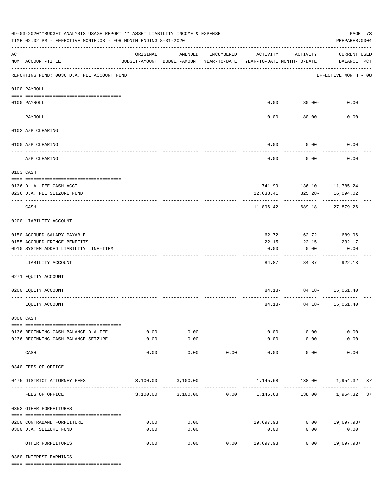|         | 09-03-2020**BUDGET ANALYSIS USAGE REPORT ** ASSET LIABILITY INCOME & EXPENSE<br>TIME: 02:02 PM - EFFECTIVE MONTH: 08 - FOR MONTH ENDING 8-31-2020<br>PREPARER: 0004 |                                                                                 |                                 |            |                         |                          |                                    |  |  |  |  |
|---------|---------------------------------------------------------------------------------------------------------------------------------------------------------------------|---------------------------------------------------------------------------------|---------------------------------|------------|-------------------------|--------------------------|------------------------------------|--|--|--|--|
| ACT     | NUM ACCOUNT-TITLE                                                                                                                                                   | ORIGINAL<br>BUDGET-AMOUNT BUDGET-AMOUNT YEAR-TO-DATE YEAR-TO-DATE MONTH-TO-DATE | AMENDED                         | ENCUMBERED | ACTIVITY                | ACTIVITY                 | <b>CURRENT USED</b><br>BALANCE PCT |  |  |  |  |
|         | REPORTING FUND: 0036 D.A. FEE ACCOUNT FUND                                                                                                                          |                                                                                 |                                 |            |                         |                          | EFFECTIVE MONTH - 08               |  |  |  |  |
|         | 0100 PAYROLL                                                                                                                                                        |                                                                                 |                                 |            |                         |                          |                                    |  |  |  |  |
| ---- -- | 0100 PAYROLL                                                                                                                                                        |                                                                                 |                                 |            | 0.00                    | $80.00 -$                | 0.00                               |  |  |  |  |
|         | PAYROLL                                                                                                                                                             |                                                                                 |                                 |            | 0.00                    | 80.00-                   | 0.00                               |  |  |  |  |
|         | 0102 A/P CLEARING                                                                                                                                                   |                                                                                 |                                 |            |                         |                          |                                    |  |  |  |  |
|         | 0100 A/P CLEARING                                                                                                                                                   |                                                                                 |                                 |            | 0.00                    | 0.00                     | 0.00                               |  |  |  |  |
|         | -----------------------<br>A/P CLEARING                                                                                                                             |                                                                                 |                                 |            | -------<br>0.00         | --------<br>0.00         | 0.00                               |  |  |  |  |
|         | 0103 CASH                                                                                                                                                           |                                                                                 |                                 |            |                         |                          |                                    |  |  |  |  |
|         |                                                                                                                                                                     |                                                                                 |                                 |            |                         |                          |                                    |  |  |  |  |
|         | 0136 D. A. FEE CASH ACCT.                                                                                                                                           |                                                                                 |                                 |            |                         | 741.99- 136.10 11,785.24 |                                    |  |  |  |  |
|         | 0236 D.A. FEE SEIZURE FUND                                                                                                                                          |                                                                                 |                                 |            | 12,638.41               | 825.28-                  | 16,094.02                          |  |  |  |  |
|         | CASH                                                                                                                                                                |                                                                                 |                                 |            | 11,896.42               | 689.18-                  | 27,879.26                          |  |  |  |  |
|         | 0200 LIABILITY ACCOUNT                                                                                                                                              |                                                                                 |                                 |            |                         |                          |                                    |  |  |  |  |
|         | 0150 ACCRUED SALARY PAYABLE                                                                                                                                         |                                                                                 |                                 |            | 62.72                   | 62.72                    | 689.96                             |  |  |  |  |
|         | 0155 ACCRUED FRINGE BENEFITS                                                                                                                                        |                                                                                 |                                 |            | 22.15                   | 22.15                    | 232.17                             |  |  |  |  |
|         | 0910 SYSTEM ADDED LIABILITY LINE-ITEM                                                                                                                               |                                                                                 |                                 |            | 0.00                    | 0.00                     | 0.00                               |  |  |  |  |
|         | LIABILITY ACCOUNT                                                                                                                                                   |                                                                                 |                                 |            | 84.87                   | 84.87                    | 922.13                             |  |  |  |  |
|         | 0271 EQUITY ACCOUNT                                                                                                                                                 |                                                                                 |                                 |            |                         |                          |                                    |  |  |  |  |
|         | 0200 EQUITY ACCOUNT                                                                                                                                                 |                                                                                 |                                 |            |                         | 84.18- 84.18- 15,061.40  |                                    |  |  |  |  |
|         | EQUITY ACCOUNT                                                                                                                                                      |                                                                                 |                                 |            | 84.18-                  | $84.18-$                 | 15,061.40                          |  |  |  |  |
|         | 0300 CASH                                                                                                                                                           |                                                                                 |                                 |            |                         |                          |                                    |  |  |  |  |
|         | 0136 BEGINNING CASH BALANCE-D.A.FEE                                                                                                                                 | 0.00                                                                            | 0.00                            |            |                         | 0.00<br>0.00             | 0.00                               |  |  |  |  |
|         | 0236 BEGINNING CASH BALANCE-SEIZURE                                                                                                                                 | 0.00                                                                            | 0.00                            |            | 0.00                    | 0.00                     | 0.00                               |  |  |  |  |
|         | CASH                                                                                                                                                                | 0.00                                                                            | ---------<br>0.00               | 0.00       | 0.00                    | 0.00                     | 0.00                               |  |  |  |  |
|         | 0340 FEES OF OFFICE                                                                                                                                                 |                                                                                 |                                 |            |                         |                          |                                    |  |  |  |  |
|         | 0475 DISTRICT ATTORNEY FEES                                                                                                                                         |                                                                                 | 3,100.00 3,100.00               |            |                         |                          | 1,145.68 138.00 1,954.32 37        |  |  |  |  |
|         |                                                                                                                                                                     |                                                                                 |                                 |            |                         |                          |                                    |  |  |  |  |
|         | FEES OF OFFICE                                                                                                                                                      |                                                                                 | 3,100.00 3,100.00 0.00 1,145.68 |            |                         |                          | 138.00 1,954.32 37                 |  |  |  |  |
|         | 0352 OTHER FORFEITURES                                                                                                                                              |                                                                                 |                                 |            |                         |                          |                                    |  |  |  |  |
|         | 0200 CONTRABAND FORFEITURE                                                                                                                                          | 0.00                                                                            | 0.00                            |            | 19,697.93               |                          | $0.00$ 19,697.93+                  |  |  |  |  |
|         | 0300 D.A. SEIZURE FUND                                                                                                                                              | 0.00                                                                            | 0.00                            |            | 0.00                    | 0.00                     | 0.00                               |  |  |  |  |
|         | OTHER FORFEITURES                                                                                                                                                   | 0.00                                                                            | ----------<br>0.00              | 0.00       | ----------<br>19,697.93 | .<br>0.00                | ----------<br>$19,697.93+$         |  |  |  |  |

0360 INTEREST EARNINGS

==== ===================================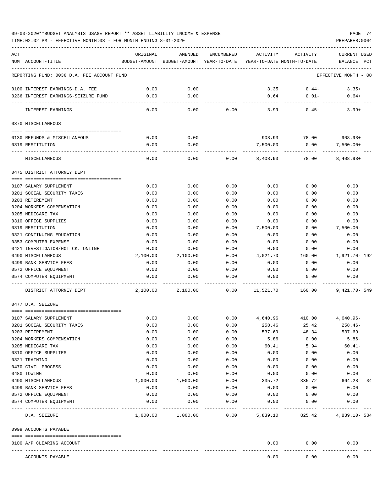| ACT |                                            | ORIGINAL | AMENDED                                  | ENCUMBERED | ACTIVITY                   | ACTIVITY | CURRENT USED         |
|-----|--------------------------------------------|----------|------------------------------------------|------------|----------------------------|----------|----------------------|
|     | NUM ACCOUNT-TITLE                          |          | BUDGET-AMOUNT BUDGET-AMOUNT YEAR-TO-DATE |            | YEAR-TO-DATE MONTH-TO-DATE |          | BALANCE<br>PCT       |
|     |                                            |          |                                          |            |                            |          |                      |
|     | REPORTING FUND: 0036 D.A. FEE ACCOUNT FUND |          |                                          |            |                            |          | EFFECTIVE MONTH - 08 |
|     | 0100 INTEREST EARNINGS-D.A. FEE            | 0.00     | 0.00                                     |            | 3.35                       | $0.44-$  | $3.35+$              |
|     | 0236 INTEREST EARNINGS-SEIZURE FUND        | 0.00     | 0.00                                     |            | 0.64                       | $0.01 -$ | $0.64+$              |
|     | INTEREST EARNINGS                          | 0.00     | ----<br>0.00                             | 0.00       | 3.99                       | $0.45 -$ | $3.99+$              |
|     | 0370 MISCELLANEOUS                         |          |                                          |            |                            |          |                      |
|     |                                            |          |                                          |            |                            |          |                      |
|     | 0130 REFUNDS & MISCELLANEOUS               | 0.00     | 0.00                                     |            | 908.93                     |          | 78.00 908.93+        |
|     | 0319 RESTITUTION                           | 0.00     | 0.00                                     |            | 7,500.00                   | 0.00     | $7,500.00+$          |
|     |                                            |          |                                          |            |                            |          |                      |
|     | MISCELLANEOUS                              | 0.00     | 0.00                                     | 0.00       | 8,408.93                   | 78.00    | $8,408.93+$          |
|     | 0475 DISTRICT ATTORNEY DEPT                |          |                                          |            |                            |          |                      |
|     | 0107 SALARY SUPPLEMENT                     | 0.00     | 0.00                                     | 0.00       | 0.00                       | 0.00     | 0.00                 |
|     | 0201 SOCIAL SECURITY TAXES                 | 0.00     | 0.00                                     | 0.00       | 0.00                       | 0.00     | 0.00                 |
|     | 0203 RETIREMENT                            | 0.00     | 0.00                                     | 0.00       | 0.00                       | 0.00     | 0.00                 |
|     | 0204 WORKERS COMPENSATION                  | 0.00     | 0.00                                     | 0.00       | 0.00                       | 0.00     | 0.00                 |
|     | 0205 MEDICARE TAX                          | 0.00     | 0.00                                     | 0.00       | 0.00                       | 0.00     | 0.00                 |
|     | 0310 OFFICE SUPPLIES                       | 0.00     | 0.00                                     | 0.00       | 0.00                       | 0.00     | 0.00                 |
|     | 0319 RESTITUTION                           | 0.00     | 0.00                                     | 0.00       | 7,500.00                   | 0.00     | $7,500.00 -$         |
|     | 0321 CONTINUING EDUCATION                  | 0.00     | 0.00                                     | 0.00       | 0.00                       | 0.00     | 0.00                 |
|     | 0353 COMPUTER EXPENSE                      | 0.00     | 0.00                                     | 0.00       | 0.00                       | 0.00     | 0.00                 |
|     | 0421 INVESTIGATOR/HOT CK. ONLINE           | 0.00     | 0.00                                     | 0.00       | 0.00                       | 0.00     | 0.00                 |
|     | 0490 MISCELLANEOUS                         | 2,100.00 | 2,100.00                                 | 0.00       | 4,021.70                   | 160.00   | 1,921.70- 192        |
|     | 0499 BANK SERVICE FEES                     | 0.00     | 0.00                                     | 0.00       | 0.00                       | 0.00     | 0.00                 |
|     | 0572 OFFICE EQUIPMENT                      | 0.00     | 0.00                                     | 0.00       | 0.00                       | 0.00     | 0.00                 |
|     | 0574 COMPUTER EOUIPMENT                    | 0.00     | 0.00                                     | 0.00       | 0.00                       | 0.00     | 0.00                 |
|     | DISTRICT ATTORNEY DEPT                     | 2,100.00 | 2,100.00                                 | 0.00       | 11,521.70                  | 160.00   | $9,421.70 - 549$     |
|     | 0477 D.A. SEIZURE                          |          |                                          |            |                            |          |                      |
|     |                                            |          |                                          |            |                            |          |                      |
|     | 0107 SALARY SUPPLEMENT                     | 0.00     | 0.00                                     | 0.00       | 4,640.96                   | 410.00   | 4,640.96-            |
|     | 0201 SOCIAL SECURITY TAXES                 | 0.00     | 0.00                                     | 0.00       | 258.46                     | 25.42    | 258.46-              |
|     | 0203 RETIREMENT                            | 0.00     | 0.00                                     | 0.00       | 537.69                     | 48.34    | $537.69 -$           |
|     | 0204 WORKERS COMPENSATION                  | 0.00     | 0.00                                     | 0.00       | 5.86                       | 0.00     | $5.86-$              |
|     | 0205 MEDICARE TAX                          | 0.00     | 0.00                                     | 0.00       | 60.41                      | 5.94     | $60.41 -$            |
|     | 0310 OFFICE SUPPLIES                       | 0.00     | 0.00                                     | 0.00       | 0.00                       | 0.00     | 0.00                 |
|     | 0321 TRAINING                              | 0.00     | 0.00                                     | 0.00       | 0.00                       | 0.00     | 0.00                 |
|     | 0470 CIVIL PROCESS                         | 0.00     | 0.00                                     | 0.00       | 0.00                       | 0.00     | 0.00                 |
|     | 0480 TOWING                                | 0.00     | 0.00                                     | 0.00       | 0.00                       | 0.00     | 0.00                 |
|     | 0490 MISCELLANEOUS                         | 1,000.00 | 1,000.00                                 | 0.00       | 335.72                     | 335.72   | 664.28<br>34         |
|     | 0499 BANK SERVICE FEES                     | 0.00     | 0.00                                     | 0.00       | 0.00                       | 0.00     | 0.00                 |
|     | 0572 OFFICE EQUIPMENT                      | 0.00     | 0.00                                     | 0.00       | 0.00                       | 0.00     | 0.00                 |
|     | 0574 COMPUTER EQUIPMENT                    | 0.00     | 0.00                                     | 0.00       | 0.00                       | 0.00     | 0.00                 |
|     | D.A. SEIZURE                               | 1,000.00 | 1,000.00                                 | 0.00       | 5,839.10                   | 825.42   | 4,839.10- 584        |
|     | 0999 ACCOUNTS PAYABLE                      |          |                                          |            |                            |          |                      |
|     | 0100 A/P CLEARING ACCOUNT                  |          |                                          |            | 0.00                       | 0.00     | 0.00                 |
|     |                                            |          |                                          |            |                            |          |                      |
|     | ACCOUNTS PAYABLE                           |          |                                          |            | 0.00                       | 0.00     | 0.00                 |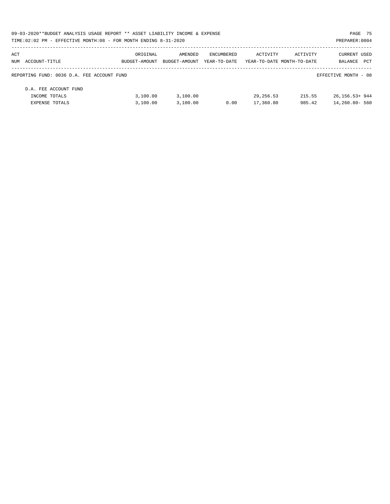| 09-03-2020**BUDGET ANALYSIS USAGE REPORT ** ASSET LIABILITY INCOME & EXPENSE |               |               |              |                            |          | PAGE 75              |     |
|------------------------------------------------------------------------------|---------------|---------------|--------------|----------------------------|----------|----------------------|-----|
| TIME:02:02 PM - EFFECTIVE MONTH:08 - FOR MONTH ENDING 8-31-2020              |               |               |              |                            |          | PREPARER: 0004       |     |
| ACT                                                                          | ORIGINAL      | AMENDED       | ENCUMBERED   | ACTIVITY                   | ACTIVITY | <b>CURRENT USED</b>  |     |
| NUM ACCOUNT-TITLE                                                            | BUDGET-AMOUNT | BUDGET-AMOUNT | YEAR-TO-DATE | YEAR-TO-DATE MONTH-TO-DATE |          | BALANCE              | PCT |
| REPORTING FUND: 0036 D.A. FEE ACCOUNT FUND                                   |               |               |              |                            |          | EFFECTIVE MONTH - 08 |     |
| D.A. FEE ACCOUNT FUND                                                        |               |               |              |                            |          |                      |     |
| INCOME TOTALS                                                                | 3,100.00      | 3,100.00      |              | 29, 256.53                 | 215.55   | $26.156.53+944$      |     |
| <b>EXPENSE TOTALS</b>                                                        | 3.100.00      | 3.100.00      | 0.00         | 17,360.80                  | 985.42   | 14,260.80- 560       |     |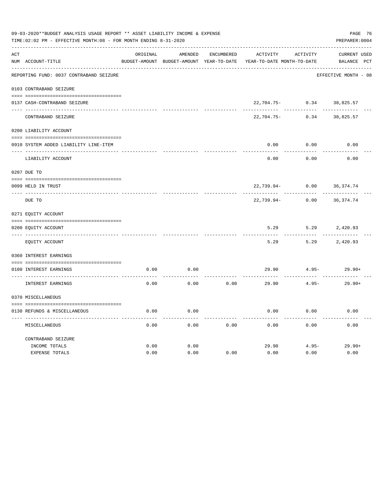|     | 09-03-2020**BUDGET ANALYSIS USAGE REPORT ** ASSET LIABILITY INCOME & EXPENSE<br>TIME:02:02 PM - EFFECTIVE MONTH:08 - FOR MONTH ENDING 8-31-2020 |              |                                                     |                   |                                        |                     | PAGE 76<br>PREPARER: 0004          |  |
|-----|-------------------------------------------------------------------------------------------------------------------------------------------------|--------------|-----------------------------------------------------|-------------------|----------------------------------------|---------------------|------------------------------------|--|
| ACT | NUM ACCOUNT-TITLE                                                                                                                               | ORIGINAL     | AMENDED<br>BUDGET-AMOUNT BUDGET-AMOUNT YEAR-TO-DATE | <b>ENCUMBERED</b> | ACTIVITY<br>YEAR-TO-DATE MONTH-TO-DATE | ACTIVITY            | <b>CURRENT USED</b><br>BALANCE PCT |  |
|     | REPORTING FUND: 0037 CONTRABAND SEIZURE                                                                                                         |              |                                                     |                   |                                        |                     | EFFECTIVE MONTH - 08               |  |
|     | 0103 CONTRABAND SEIZURE                                                                                                                         |              |                                                     |                   |                                        |                     |                                    |  |
|     | 0137 CASH-CONTRABAND SEIZURE                                                                                                                    |              |                                                     |                   | 22,704.75-                             | 0.34                | 38,825.57                          |  |
|     | CONTRABAND SEIZURE                                                                                                                              |              |                                                     |                   | 22,704.75-                             | -----------<br>0.34 | 38,825.57                          |  |
|     | 0200 LIABILITY ACCOUNT                                                                                                                          |              |                                                     |                   |                                        |                     |                                    |  |
|     | 0910 SYSTEM ADDED LIABILITY LINE-ITEM                                                                                                           |              |                                                     |                   | 0.00                                   | 0.00                | 0.00                               |  |
|     | LIABILITY ACCOUNT                                                                                                                               |              |                                                     |                   | 0.00                                   | 0.00                | 0.00                               |  |
|     | 0207 DUE TO                                                                                                                                     |              |                                                     |                   |                                        |                     |                                    |  |
|     | 0099 HELD IN TRUST                                                                                                                              |              |                                                     |                   | 22,739.94-<br>.                        | 0.00                | 36, 374. 74                        |  |
|     | DUE TO                                                                                                                                          |              |                                                     |                   | $22,739.94-$                           | 0.00                | 36, 374.74                         |  |
|     | 0271 EQUITY ACCOUNT                                                                                                                             |              |                                                     |                   |                                        |                     |                                    |  |
|     | 0200 EQUITY ACCOUNT                                                                                                                             |              |                                                     |                   | 5.29                                   | 5.29                | 2,420.93                           |  |
|     | EQUITY ACCOUNT                                                                                                                                  |              |                                                     |                   | 5.29                                   | 5.29                | 2,420.93                           |  |
|     | 0360 INTEREST EARNINGS                                                                                                                          |              |                                                     |                   |                                        |                     |                                    |  |
|     | 0100 INTEREST EARNINGS                                                                                                                          | 0.00         | 0.00                                                |                   | 29.90                                  | $4.95-$             | $29.90+$                           |  |
|     | INTEREST EARNINGS                                                                                                                               | 0.00         | 0.00                                                | 0.00              | 29.90                                  | $4.95-$             | $29.90+$                           |  |
|     | 0370 MISCELLANEOUS                                                                                                                              |              |                                                     |                   |                                        |                     |                                    |  |
|     | 0130 REFUNDS & MISCELLANEOUS                                                                                                                    | 0.00         | 0.00                                                |                   | 0.00                                   | 0.00                | 0.00                               |  |
|     | MISCELLANEOUS                                                                                                                                   | 0.00         | 0.00                                                | 0.00              | 0.00                                   | 0.00                | 0.00                               |  |
|     | CONTRABAND SEIZURE                                                                                                                              |              |                                                     |                   |                                        |                     |                                    |  |
|     | INCOME TOTALS<br><b>EXPENSE TOTALS</b>                                                                                                          | 0.00<br>0.00 | 0.00<br>0.00                                        | 0.00              | 29.90<br>0.00                          | $4.95 -$<br>0.00    | $29.90+$<br>0.00                   |  |
|     |                                                                                                                                                 |              |                                                     |                   |                                        |                     |                                    |  |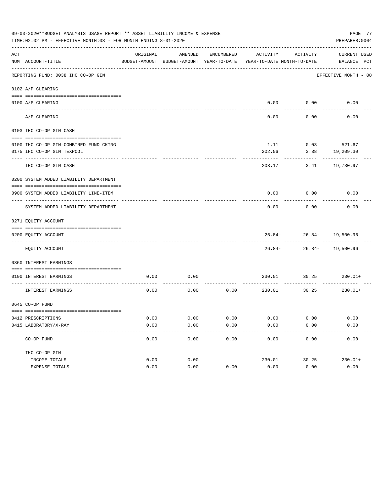|     | 09-03-2020**BUDGET ANALYSIS USAGE REPORT ** ASSET LIABILITY INCOME & EXPENSE<br>PAGE 77<br>TIME: 02:02 PM - EFFECTIVE MONTH: 08 - FOR MONTH ENDING 8-31-2020<br>PREPARER: 0004 |          |                                                                                |                  |        |                                             |                             |  |  |  |  |
|-----|--------------------------------------------------------------------------------------------------------------------------------------------------------------------------------|----------|--------------------------------------------------------------------------------|------------------|--------|---------------------------------------------|-----------------------------|--|--|--|--|
| ACT | NUM ACCOUNT-TITLE                                                                                                                                                              | ORIGINAL | AMENDED<br>BUDGET-AMOUNT BUDGET-AMOUNT YEAR-TO-DATE YEAR-TO-DATE MONTH-TO-DATE |                  |        | ENCUMBERED ACTIVITY ACTIVITY                | CURRENT USED<br>BALANCE PCT |  |  |  |  |
|     | REPORTING FUND: 0038 IHC CO-OP GIN                                                                                                                                             |          |                                                                                |                  |        |                                             | EFFECTIVE MONTH - 08        |  |  |  |  |
|     | 0102 A/P CLEARING                                                                                                                                                              |          |                                                                                |                  |        |                                             |                             |  |  |  |  |
|     | 0100 A/P CLEARING                                                                                                                                                              |          |                                                                                |                  |        | $0.00$ $0.00$ $0.00$                        |                             |  |  |  |  |
|     | A/P CLEARING                                                                                                                                                                   |          |                                                                                |                  | 0.00   | 0.00                                        | 0.00                        |  |  |  |  |
|     | 0103 IHC CO-OP GIN CASH                                                                                                                                                        |          |                                                                                |                  |        |                                             |                             |  |  |  |  |
|     | 0100 IHC CO-OP GIN-COMBINED FUND CKING                                                                                                                                         |          |                                                                                |                  |        | 1.11 0.03 521.67                            |                             |  |  |  |  |
|     | 0175 IHC CO-OP GIN TEXPOOL                                                                                                                                                     |          |                                                                                |                  | 202.06 | 3.38                                        | 19,209.30                   |  |  |  |  |
|     | IHC CO-OP GIN CASH                                                                                                                                                             |          |                                                                                |                  | 203.17 | ----------<br>3.41                          | .<br>19,730.97              |  |  |  |  |
|     | 0200 SYSTEM ADDED LIABILITY DEPARTMENT                                                                                                                                         |          |                                                                                |                  |        |                                             |                             |  |  |  |  |
|     | 0900 SYSTEM ADDED LIABILITY LINE-ITEM                                                                                                                                          |          |                                                                                |                  |        | $0.00$ $0.00$                               | 0.00                        |  |  |  |  |
|     | SYSTEM ADDED LIABILITY DEPARTMENT                                                                                                                                              |          |                                                                                |                  | 0.00   | 0.00                                        | 0.00                        |  |  |  |  |
|     | 0271 EQUITY ACCOUNT                                                                                                                                                            |          |                                                                                |                  |        |                                             |                             |  |  |  |  |
|     | 0200 EQUITY ACCOUNT                                                                                                                                                            |          |                                                                                |                  |        | $26.84 - 26.84 - 19,500.96$<br>------------ |                             |  |  |  |  |
|     | EQUITY ACCOUNT                                                                                                                                                                 |          |                                                                                |                  |        | $26.84 - 26.84 - 19,500.96$                 |                             |  |  |  |  |
|     | 0360 INTEREST EARNINGS                                                                                                                                                         |          |                                                                                |                  |        |                                             |                             |  |  |  |  |
|     | 0100 INTEREST EARNINGS                                                                                                                                                         | 0.00     | 0.00                                                                           |                  |        |                                             | 230.01 30.25 230.01+        |  |  |  |  |
|     | INTEREST EARNINGS                                                                                                                                                              | 0.00     | 0.00                                                                           |                  |        | $0.00$ 230.01 30.25                         | $230.01+$                   |  |  |  |  |
|     | 0645 CO-OP FUND                                                                                                                                                                |          |                                                                                |                  |        |                                             |                             |  |  |  |  |
|     | 0412 PRESCRIPTIONS                                                                                                                                                             | 0.00     | 0.00                                                                           | 0.00             | 0.00   | 0.00                                        | 0.00                        |  |  |  |  |
|     | 0415 LABORATORY/X-RAY                                                                                                                                                          | 0.00     | 0.00<br>$- - - - -$                                                            | 0.00<br>$-- - -$ | 0.00   | 0.00                                        | 0.00                        |  |  |  |  |
|     | CO-OP FUND                                                                                                                                                                     | 0.00     | 0.00                                                                           | 0.00             | 0.00   | 0.00                                        | 0.00                        |  |  |  |  |
|     | IHC CO-OP GIN                                                                                                                                                                  |          |                                                                                |                  |        |                                             |                             |  |  |  |  |
|     | INCOME TOTALS                                                                                                                                                                  | 0.00     | 0.00                                                                           |                  | 230.01 | 30.25                                       | $230.01+$                   |  |  |  |  |
|     | EXPENSE TOTALS                                                                                                                                                                 | 0.00     | 0.00                                                                           | 0.00             | 0.00   | 0.00                                        | 0.00                        |  |  |  |  |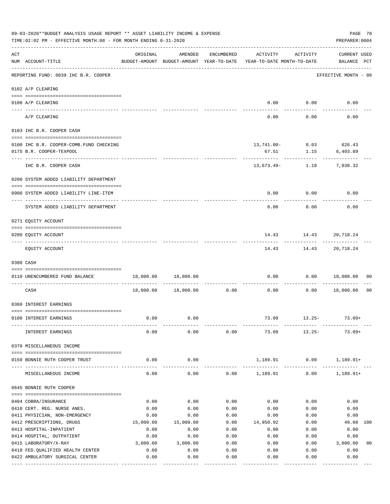| 09-03-2020**BUDGET ANALYSIS USAGE REPORT ** ASSET LIABILITY INCOME & EXPENSE<br>TIME:02:02 PM - EFFECTIVE MONTH:08 - FOR MONTH ENDING 8-31-2020 |                                                    |                                                      |                      |              |                                        |                                                 |                             |                |  |  |
|-------------------------------------------------------------------------------------------------------------------------------------------------|----------------------------------------------------|------------------------------------------------------|----------------------|--------------|----------------------------------------|-------------------------------------------------|-----------------------------|----------------|--|--|
| ACT                                                                                                                                             | NUM ACCOUNT-TITLE                                  | ORIGINAL<br>BUDGET-AMOUNT BUDGET-AMOUNT YEAR-TO-DATE | AMENDED              | ENCUMBERED   | ACTIVITY<br>YEAR-TO-DATE MONTH-TO-DATE | ACTIVITY                                        | CURRENT USED<br>BALANCE PCT |                |  |  |
|                                                                                                                                                 | REPORTING FUND: 0039 IHC B.R. COOPER               |                                                      |                      |              |                                        |                                                 | EFFECTIVE MONTH - 08        |                |  |  |
|                                                                                                                                                 | 0102 A/P CLEARING                                  |                                                      |                      |              |                                        |                                                 |                             |                |  |  |
|                                                                                                                                                 | 0100 A/P CLEARING                                  |                                                      |                      |              |                                        | $0.00$ 0.00                                     | 0.00                        |                |  |  |
|                                                                                                                                                 | ---- ---------<br>A/P CLEARING                     |                                                      |                      |              | 0.00                                   | 0.00                                            | 0.00                        |                |  |  |
|                                                                                                                                                 | 0103 IHC B.R. COOPER CASH                          |                                                      |                      |              |                                        |                                                 |                             |                |  |  |
|                                                                                                                                                 | 0100 IHC B.R. COOPER-COMB.FUND CHECKING            |                                                      |                      |              |                                        | 13,741.00- 0.03 626.43                          |                             |                |  |  |
|                                                                                                                                                 | 0175 B.R. COOPER-TEXPOOL                           |                                                      |                      |              | 67.51                                  | 1.15                                            | 6,403.89                    |                |  |  |
|                                                                                                                                                 | IHC B.R. COOPER CASH                               |                                                      |                      |              |                                        | ----------- -------------<br>$13,673.49 - 1.18$ | -------------<br>7,030.32   |                |  |  |
|                                                                                                                                                 | 0200 SYSTEM ADDED LIABILITY DEPARTMENT             |                                                      |                      |              |                                        |                                                 |                             |                |  |  |
|                                                                                                                                                 |                                                    |                                                      |                      |              |                                        |                                                 |                             |                |  |  |
|                                                                                                                                                 | 0900 SYSTEM ADDED LIABILITY LINE-ITEM              |                                                      |                      |              | 0.00                                   | 0.00                                            | 0.00                        |                |  |  |
|                                                                                                                                                 | SYSTEM ADDED LIABILITY DEPARTMENT                  |                                                      |                      |              | 0.00                                   | 0.00                                            | 0.00                        |                |  |  |
|                                                                                                                                                 | 0271 EQUITY ACCOUNT                                |                                                      |                      |              |                                        |                                                 |                             |                |  |  |
|                                                                                                                                                 | 0200 EQUITY ACCOUNT                                |                                                      |                      |              |                                        | 14.43   14.43   20,718.24                       |                             |                |  |  |
|                                                                                                                                                 | EQUITY ACCOUNT                                     |                                                      |                      |              |                                        | ---------<br>14.43    14.43    20,718.24        |                             |                |  |  |
|                                                                                                                                                 | 0300 CASH                                          |                                                      |                      |              |                                        |                                                 |                             |                |  |  |
|                                                                                                                                                 |                                                    |                                                      |                      |              |                                        |                                                 |                             |                |  |  |
|                                                                                                                                                 | 0110 UNENCUMBERED FUND BALANCE                     |                                                      | 18,000.00 18,000.00  |              | 0.00<br>-----------------------------  |                                                 | $0.00$ 18,000.00 00         |                |  |  |
|                                                                                                                                                 | CASH                                               |                                                      | 18,000.00  18,000.00 | 0.00         | 0.00                                   | 0.00                                            | 18,000.00                   | 0 <sub>0</sub> |  |  |
|                                                                                                                                                 | 0360 INTEREST EARNINGS                             |                                                      |                      |              |                                        |                                                 |                             |                |  |  |
|                                                                                                                                                 | 0100 INTEREST EARNINGS                             | 0.00                                                 | 0.00                 |              | 73.09                                  | $13.25-$                                        | $73.09+$                    |                |  |  |
|                                                                                                                                                 | INTEREST EARNINGS                                  | 0.00                                                 | 0.00                 | 0.00         | 73.09                                  | $13.25-$                                        | $73.09+$                    |                |  |  |
|                                                                                                                                                 | 0370 MISCELLANEOUS INCOME                          |                                                      |                      |              |                                        |                                                 |                             |                |  |  |
|                                                                                                                                                 | 0150 BONNIE RUTH COOPER TRUST                      | 0.00                                                 | 0.00                 |              | 1,189.91                               | 0.00                                            | $1,189.91+$                 |                |  |  |
|                                                                                                                                                 | -----------------                                  |                                                      | $- - - - -$          |              | --------------                         |                                                 |                             |                |  |  |
|                                                                                                                                                 | MISCELLANEOUS INCOME                               | 0.00                                                 | 0.00                 | 0.00         | 1,189.91                               | 0.00                                            | $1,189.91+$                 |                |  |  |
|                                                                                                                                                 | 0645 BONNIE RUTH COOPER                            |                                                      |                      |              |                                        |                                                 |                             |                |  |  |
|                                                                                                                                                 | 0404 COBRA/INSURANCE                               | 0.00                                                 | 0.00                 | 0.00         | 0.00                                   | 0.00                                            | 0.00                        |                |  |  |
|                                                                                                                                                 | 0410 CERT. REG. NURSE ANES.                        | 0.00                                                 | 0.00                 | 0.00         | 0.00                                   | 0.00                                            | 0.00                        |                |  |  |
|                                                                                                                                                 | 0411 PHYSICIAN, NON-EMERGENCY                      | 0.00                                                 | 0.00                 | 0.00         | 0.00                                   | 0.00                                            | 0.00                        |                |  |  |
|                                                                                                                                                 | 0412 PRESCRIPTIONS, DRUGS                          | 15,000.00                                            | 15,000.00            | 0.00         | 14,950.92                              | 0.00                                            | 49.08                       | 100            |  |  |
|                                                                                                                                                 | 0413 HOSPITAL-INPATIENT                            | 0.00                                                 | 0.00                 | 0.00         | 0.00                                   | 0.00                                            | 0.00                        |                |  |  |
|                                                                                                                                                 | 0414 HOSPITAL, OUTPATIENT<br>0415 LABORATORY/X-RAY | 0.00<br>3,000.00                                     | 0.00<br>3,000.00     | 0.00<br>0.00 | 0.00                                   | 0.00<br>0.00                                    | 0.00<br>3,000.00            | 0 <sub>0</sub> |  |  |
|                                                                                                                                                 | 0418 FED. QUALIFIED HEALTH CENTER                  | 0.00                                                 | 0.00                 | 0.00         | 0.00<br>0.00                           | 0.00                                            | 0.00                        |                |  |  |
|                                                                                                                                                 | 0422 AMBULATORY SURGICAL CENTER                    | 0.00                                                 | 0.00                 | 0.00         | 0.00                                   | 0.00                                            | 0.00                        |                |  |  |
|                                                                                                                                                 |                                                    |                                                      | -------------        | -----------  | -----------                            | ---------                                       | ----------                  |                |  |  |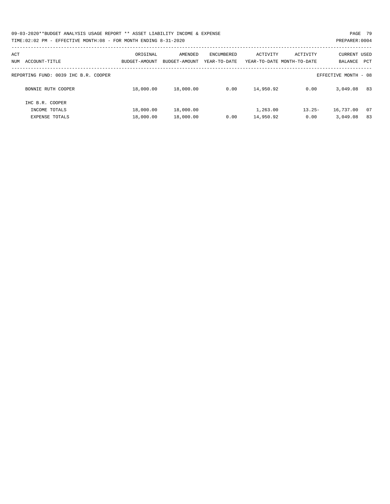| 09-03-2020**BUDGET ANALYSIS USAGE REPORT ** ASSET LIABILITY INCOME & EXPENSE | PAGE 79        |  |
|------------------------------------------------------------------------------|----------------|--|
| TIME:02:02 PM - EFFECTIVE MONTH:08 - FOR MONTH ENDING 8-31-2020              | PREPARER: 0004 |  |

| ACT<br>ACCOUNT-TITLE<br>NUM          | ORIGINAL<br>BUDGET-AMOUNT | AMENDED<br>BUDGET-AMOUNT | ENCUMBERED<br>YEAR-TO-DATE | ACTIVITY  | ACTIVITY<br>YEAR-TO-DATE MONTH-TO-DATE | <b>CURRENT USED</b><br>BALANCE | PCT |
|--------------------------------------|---------------------------|--------------------------|----------------------------|-----------|----------------------------------------|--------------------------------|-----|
| REPORTING FUND: 0039 IHC B.R. COOPER |                           |                          |                            |           |                                        | EFFECTIVE MONTH - 08           |     |
| BONNIE RUTH COOPER                   | 18,000.00                 | 18,000.00                | 0.00                       | 14,950.92 | 0.00                                   | 3,049.08                       | 83  |
| IHC B.R. COOPER                      |                           |                          |                            |           |                                        |                                |     |
| INCOME TOTALS                        | 18,000.00                 | 18,000.00                |                            | 1,263.00  | $13.25-$                               | 16,737.00                      | 07  |
| <b>EXPENSE TOTALS</b>                | 18,000.00                 | 18,000.00                | 0.00                       | 14,950.92 | 0.00                                   | 3,049.08                       | 83  |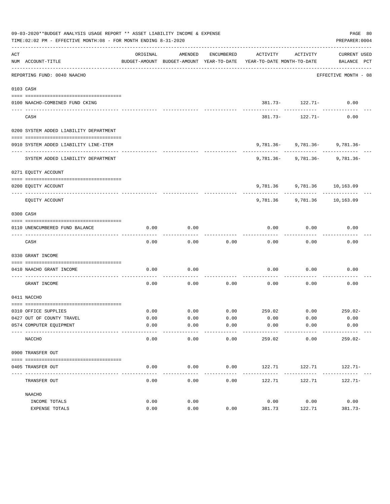| 09-03-2020**BUDGET ANALYSIS USAGE REPORT ** ASSET LIABILITY INCOME & EXPENSE<br>PAGE 80<br>TIME:02:02 PM - EFFECTIVE MONTH:08 - FOR MONTH ENDING 8-31-2020<br>PREPARER: 0004 |                                                   |               |                    |                      |                                                                                 |                                                                         |                             |  |  |
|------------------------------------------------------------------------------------------------------------------------------------------------------------------------------|---------------------------------------------------|---------------|--------------------|----------------------|---------------------------------------------------------------------------------|-------------------------------------------------------------------------|-----------------------------|--|--|
| ACT                                                                                                                                                                          | NUM ACCOUNT-TITLE                                 | ORIGINAL      | AMENDED            | ENCUMBERED           | ACTIVITY<br>BUDGET-AMOUNT BUDGET-AMOUNT YEAR-TO-DATE YEAR-TO-DATE MONTH-TO-DATE | ACTIVITY                                                                | CURRENT USED<br>BALANCE PCT |  |  |
|                                                                                                                                                                              | REPORTING FUND: 0040 NAACHO                       |               |                    |                      |                                                                                 |                                                                         | EFFECTIVE MONTH - 08        |  |  |
|                                                                                                                                                                              | 0103 CASH                                         |               |                    |                      |                                                                                 |                                                                         |                             |  |  |
|                                                                                                                                                                              | 0100 NAACHO-COMBINED FUND CKING                   |               |                    |                      |                                                                                 | 381.73- 122.71-                                                         | 0.00                        |  |  |
|                                                                                                                                                                              | CASH                                              |               |                    |                      |                                                                                 | 381.73- 122.71-                                                         | 0.00                        |  |  |
|                                                                                                                                                                              | 0200 SYSTEM ADDED LIABILITY DEPARTMENT            |               |                    |                      |                                                                                 |                                                                         |                             |  |  |
|                                                                                                                                                                              | 0910 SYSTEM ADDED LIABILITY LINE-ITEM             |               |                    |                      |                                                                                 | $9,781.36 - 9,781.36 - 9,781.36$                                        |                             |  |  |
|                                                                                                                                                                              | SYSTEM ADDED LIABILITY DEPARTMENT                 |               |                    |                      |                                                                                 | --------- ------------ ------------<br>$9,781.36 - 9,781.36 - 9,781.36$ |                             |  |  |
|                                                                                                                                                                              | 0271 EOUITY ACCOUNT                               |               |                    |                      |                                                                                 |                                                                         |                             |  |  |
|                                                                                                                                                                              | 0200 EQUITY ACCOUNT                               |               |                    |                      |                                                                                 | 9,781.36 9,781.36 10,163.09                                             |                             |  |  |
|                                                                                                                                                                              | EQUITY ACCOUNT                                    |               |                    |                      |                                                                                 | 9,781.36 9,781.36 10,163.09                                             |                             |  |  |
|                                                                                                                                                                              | 0300 CASH                                         |               |                    |                      |                                                                                 |                                                                         |                             |  |  |
|                                                                                                                                                                              | 0110 UNENCUMBERED FUND BALANCE                    | 0.00          | 0.00               |                      | 0.00                                                                            | 0.00                                                                    | 0.00                        |  |  |
|                                                                                                                                                                              | CASH                                              | 0.00          | 0.00               | 0.00                 | 0.00                                                                            | 0.00                                                                    | 0.00                        |  |  |
|                                                                                                                                                                              | 0330 GRANT INCOME                                 |               |                    |                      |                                                                                 |                                                                         |                             |  |  |
|                                                                                                                                                                              | 0410 NAACHO GRANT INCOME                          | 0.00          | 0.00               |                      | 0.00                                                                            | 0.00                                                                    | 0.00                        |  |  |
|                                                                                                                                                                              | --------------------- ---<br>GRANT INCOME         | 0.00          | 0.00               | --------- --<br>0.00 | 0.00                                                                            | 0.00                                                                    | 0.00                        |  |  |
|                                                                                                                                                                              | 0411 NACCHO                                       |               |                    |                      |                                                                                 |                                                                         |                             |  |  |
|                                                                                                                                                                              |                                                   |               |                    |                      |                                                                                 |                                                                         |                             |  |  |
|                                                                                                                                                                              | 0310 OFFICE SUPPLIES<br>0427 OUT OF COUNTY TRAVEL | 0.00<br>0.00  | 0.00               | 0.00                 | $0.00$ $0.00$ $259.02$ $0.00$ $259.02$<br>0.00                                  | 0.00                                                                    | 0.00                        |  |  |
|                                                                                                                                                                              | 0574 COMPUTER EQUIPMENT                           | 0.00          | 0.00               | 0.00<br>------       | 0.00                                                                            | 0.00                                                                    | 0.00                        |  |  |
|                                                                                                                                                                              | NACCHO                                            | 0.00          | 0.00               | 0.00                 | --------<br>259.02                                                              | $- - - - -$<br>0.00                                                     | $259.02-$                   |  |  |
|                                                                                                                                                                              | 0900 TRANSFER OUT                                 |               |                    |                      |                                                                                 |                                                                         |                             |  |  |
|                                                                                                                                                                              | 0405 TRANSFER OUT                                 | 0.00          | 0.00               | 0.00                 | 122.71                                                                          | 122.71                                                                  | $122.71-$                   |  |  |
|                                                                                                                                                                              | ---------<br>TRANSFER OUT                         | -----<br>0.00 | ----------<br>0.00 | ----------<br>0.00   | ------------<br>122.71                                                          | ------------<br>122.71                                                  | ____________<br>122.71-     |  |  |
|                                                                                                                                                                              | NAACHO                                            |               |                    |                      |                                                                                 |                                                                         |                             |  |  |
|                                                                                                                                                                              | INCOME TOTALS                                     | 0.00          | 0.00               |                      | 0.00                                                                            | 0.00                                                                    | 0.00                        |  |  |
|                                                                                                                                                                              | EXPENSE TOTALS                                    | 0.00          | 0.00               | 0.00                 | 381.73                                                                          | 122.71                                                                  | $381.73-$                   |  |  |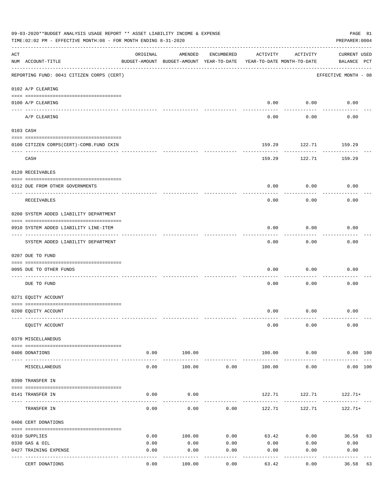|     | 09-03-2020**BUDGET ANALYSIS USAGE REPORT ** ASSET LIABILITY INCOME & EXPENSE<br>PAGE 81<br>TIME: 02:02 PM - EFFECTIVE MONTH: 08 - FOR MONTH ENDING 8-31-2020<br>PREPARER: 0004<br>----------------- |          |                                                                                |            |          |                     |                             |  |  |  |  |
|-----|-----------------------------------------------------------------------------------------------------------------------------------------------------------------------------------------------------|----------|--------------------------------------------------------------------------------|------------|----------|---------------------|-----------------------------|--|--|--|--|
| ACT | NUM ACCOUNT-TITLE                                                                                                                                                                                   | ORIGINAL | AMENDED<br>BUDGET-AMOUNT BUDGET-AMOUNT YEAR-TO-DATE YEAR-TO-DATE MONTH-TO-DATE | ENCUMBERED | ACTIVITY | ACTIVITY            | CURRENT USED<br>BALANCE PCT |  |  |  |  |
|     | REPORTING FUND: 0041 CITIZEN CORPS (CERT)                                                                                                                                                           |          |                                                                                |            |          |                     | EFFECTIVE MONTH - 08        |  |  |  |  |
|     | 0102 A/P CLEARING                                                                                                                                                                                   |          |                                                                                |            |          |                     |                             |  |  |  |  |
|     | 0100 A/P CLEARING                                                                                                                                                                                   |          |                                                                                |            | 0.00     | 0.00                | 0.00                        |  |  |  |  |
|     | ---- ---------<br>A/P CLEARING                                                                                                                                                                      |          |                                                                                |            | 0.00     | 0.00                | 0.00                        |  |  |  |  |
|     | 0103 CASH                                                                                                                                                                                           |          |                                                                                |            |          |                     |                             |  |  |  |  |
|     | 0100 CITIZEN CORPS (CERT) - COMB. FUND CKIN                                                                                                                                                         |          |                                                                                |            | 159.29   | 122.71              | 159.29                      |  |  |  |  |
|     | CASH                                                                                                                                                                                                |          |                                                                                |            | 159.29   | ---------<br>122.71 | ----------<br>159.29        |  |  |  |  |
|     | 0120 RECEIVABLES                                                                                                                                                                                    |          |                                                                                |            |          |                     |                             |  |  |  |  |
|     | 0312 DUE FROM OTHER GOVERNMENTS                                                                                                                                                                     |          |                                                                                |            | 0.00     | 0.00                | 0.00                        |  |  |  |  |
|     |                                                                                                                                                                                                     |          |                                                                                |            |          |                     |                             |  |  |  |  |
|     | RECEIVABLES                                                                                                                                                                                         |          |                                                                                |            | 0.00     | 0.00                | 0.00                        |  |  |  |  |
|     | 0200 SYSTEM ADDED LIABILITY DEPARTMENT                                                                                                                                                              |          |                                                                                |            |          |                     |                             |  |  |  |  |
|     | 0910 SYSTEM ADDED LIABILITY LINE-ITEM                                                                                                                                                               |          |                                                                                |            | 0.00     | 0.00                | 0.00                        |  |  |  |  |
|     | SYSTEM ADDED LIABILITY DEPARTMENT                                                                                                                                                                   |          |                                                                                |            | 0.00     | 0.00                | 0.00                        |  |  |  |  |
|     | 0207 DUE TO FUND                                                                                                                                                                                    |          |                                                                                |            |          |                     |                             |  |  |  |  |
|     | 0095 DUE TO OTHER FUNDS                                                                                                                                                                             |          |                                                                                |            | 0.00     | 0.00                | 0.00                        |  |  |  |  |
|     | -----------------------------------<br>DUE TO FUND                                                                                                                                                  |          |                                                                                |            | 0.00     | 0.00                | 0.00                        |  |  |  |  |
|     | 0271 EQUITY ACCOUNT                                                                                                                                                                                 |          |                                                                                |            |          |                     |                             |  |  |  |  |
|     | 0200 EQUITY ACCOUNT                                                                                                                                                                                 |          |                                                                                |            | 0.00     | 0.00                | 0.00                        |  |  |  |  |
|     | EQUITY ACCOUNT                                                                                                                                                                                      |          |                                                                                |            | 0.00     | 0.00                | 0.00                        |  |  |  |  |
|     | 0370 MISCELLANEOUS                                                                                                                                                                                  |          |                                                                                |            |          |                     |                             |  |  |  |  |
|     |                                                                                                                                                                                                     |          |                                                                                |            |          |                     |                             |  |  |  |  |
|     | 0406 DONATIONS                                                                                                                                                                                      | 0.00     | 100.00                                                                         |            | 100.00   | 0.00<br>---------   | 0.00 100                    |  |  |  |  |
|     | MISCELLANEOUS                                                                                                                                                                                       | 0.00     | 100.00                                                                         | 0.00       | 100.00   | 0.00                | 0.00 100                    |  |  |  |  |
|     | 0390 TRANSFER IN                                                                                                                                                                                    |          |                                                                                |            |          |                     |                             |  |  |  |  |
|     | 0141 TRANSFER IN                                                                                                                                                                                    | 0.00     | 0.00                                                                           |            |          | 122.71 122.71       | $122.71+$                   |  |  |  |  |
|     |                                                                                                                                                                                                     |          |                                                                                |            |          |                     |                             |  |  |  |  |
|     | TRANSFER IN                                                                                                                                                                                         | 0.00     | 0.00                                                                           | 0.00       | 122.71   | 122.71              | $122.71+$                   |  |  |  |  |
|     | 0406 CERT DONATIONS                                                                                                                                                                                 |          |                                                                                |            |          |                     |                             |  |  |  |  |
|     | 0310 SUPPLIES                                                                                                                                                                                       | 0.00     | 100.00                                                                         | 0.00       | 63.42    | 0.00                | 36.58<br>63                 |  |  |  |  |
|     | 0330 GAS & OIL                                                                                                                                                                                      | 0.00     | 0.00                                                                           | 0.00       | 0.00     | 0.00                | 0.00                        |  |  |  |  |
|     | 0427 TRAINING EXPENSE                                                                                                                                                                               | 0.00     | 0.00                                                                           | 0.00       | 0.00     | 0.00                | 0.00                        |  |  |  |  |
|     | CERT DONATIONS                                                                                                                                                                                      | 0.00     | 100.00                                                                         | 0.00       | 63.42    | 0.00                | 36.58<br>63                 |  |  |  |  |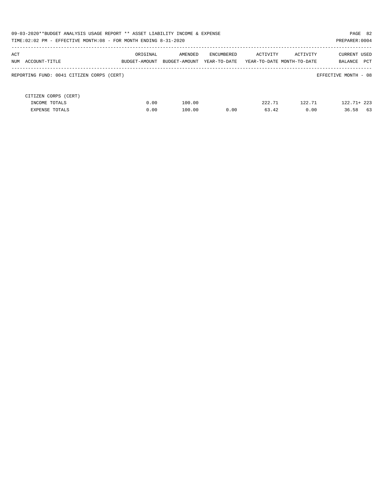| 09-03-2020**BUDGET ANALYSIS USAGE REPORT ** ASSET LIABILITY INCOME & EXPENSE<br>TIME:02:02 PM - EFFECTIVE MONTH:08 - FOR MONTH ENDING 8-31-2020<br>PREPARER: 0004 |              |                                        |            |                 |                                                     |                                       |  |  |  |
|-------------------------------------------------------------------------------------------------------------------------------------------------------------------|--------------|----------------------------------------|------------|-----------------|-----------------------------------------------------|---------------------------------------|--|--|--|
| ACT<br>NUM ACCOUNT-TITLE                                                                                                                                          | ORIGINAL     | AMENDED<br>BUDGET-AMOUNT BUDGET-AMOUNT | ENCUMBERED | ACTIVITY        | ACTIVITY<br>YEAR-TO-DATE YEAR-TO-DATE MONTH-TO-DATE | CURRENT USED<br><b>PCT</b><br>BALANCE |  |  |  |
| REPORTING FUND: 0041 CITIZEN CORPS (CERT)                                                                                                                         |              |                                        |            |                 |                                                     | EFFECTIVE MONTH - 08                  |  |  |  |
| CITIZEN CORPS (CERT)<br>INCOME TOTALS<br><b>EXPENSE TOTALS</b>                                                                                                    | 0.00<br>0.00 | 100.00<br>100.00                       | 0.00       | 222.71<br>63.42 | 122.71<br>0.00                                      | $122.71 + 223$<br>36.58 63            |  |  |  |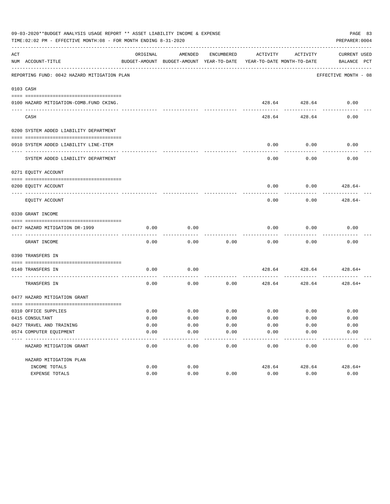| 09-03-2020**BUDGET ANALYSIS USAGE REPORT ** ASSET LIABILITY INCOME & EXPENSE<br>PAGE 83<br>TIME: 02:02 PM - EFFECTIVE MONTH: 08 - FOR MONTH ENDING 8-31-2020<br>PREPARER: 0004 |                                                        |          |                                                                                |            |          |               |                                    |  |  |  |
|--------------------------------------------------------------------------------------------------------------------------------------------------------------------------------|--------------------------------------------------------|----------|--------------------------------------------------------------------------------|------------|----------|---------------|------------------------------------|--|--|--|
| ACT                                                                                                                                                                            | NUM ACCOUNT-TITLE                                      | ORIGINAL | AMENDED<br>BUDGET-AMOUNT BUDGET-AMOUNT YEAR-TO-DATE YEAR-TO-DATE MONTH-TO-DATE | ENCUMBERED | ACTIVITY | ACTIVITY      | <b>CURRENT USED</b><br>BALANCE PCT |  |  |  |
|                                                                                                                                                                                | REPORTING FUND: 0042 HAZARD MITIGATION PLAN            |          |                                                                                |            |          |               | EFFECTIVE MONTH - 08               |  |  |  |
|                                                                                                                                                                                | 0103 CASH                                              |          |                                                                                |            |          |               |                                    |  |  |  |
|                                                                                                                                                                                | 0100 HAZARD MITIGATION-COMB.FUND CKING.                |          |                                                                                |            |          | 428.64 428.64 | 0.00                               |  |  |  |
|                                                                                                                                                                                | CASH                                                   |          |                                                                                |            | 428.64   | 428.64        | 0.00                               |  |  |  |
|                                                                                                                                                                                | 0200 SYSTEM ADDED LIABILITY DEPARTMENT                 |          |                                                                                |            |          |               |                                    |  |  |  |
|                                                                                                                                                                                | 0910 SYSTEM ADDED LIABILITY LINE-ITEM                  |          |                                                                                |            | 0.00     | 0.00          | 0.00                               |  |  |  |
|                                                                                                                                                                                | SYSTEM ADDED LIABILITY DEPARTMENT                      |          |                                                                                |            | 0.00     | 0.00          | 0.00                               |  |  |  |
|                                                                                                                                                                                | 0271 EQUITY ACCOUNT                                    |          |                                                                                |            |          |               |                                    |  |  |  |
|                                                                                                                                                                                | 0200 EQUITY ACCOUNT                                    |          |                                                                                |            | 0.00     | 0.00          | 428.64-                            |  |  |  |
|                                                                                                                                                                                | EQUITY ACCOUNT                                         |          |                                                                                |            | 0.00     | 0.00          | $428.64-$                          |  |  |  |
|                                                                                                                                                                                | 0330 GRANT INCOME                                      |          |                                                                                |            |          |               |                                    |  |  |  |
|                                                                                                                                                                                | 0477 HAZARD MITIGATION DR-1999                         | 0.00     | 0.00                                                                           |            | 0.00     | 0.00          | 0.00                               |  |  |  |
|                                                                                                                                                                                | GRANT INCOME                                           | 0.00     | 0.00                                                                           | 0.00       | 0.00     | 0.00          | 0.00                               |  |  |  |
|                                                                                                                                                                                | 0390 TRANSFERS IN                                      |          |                                                                                |            |          |               |                                    |  |  |  |
|                                                                                                                                                                                | 0140 TRANSFERS IN                                      | 0.00     | 0.00                                                                           |            | 428.64   | 428.64        | 428.64+                            |  |  |  |
|                                                                                                                                                                                | TRANSFERS IN                                           | 0.00     | 0.00                                                                           | 0.00       | 428.64   | 428.64        | $428.64+$                          |  |  |  |
|                                                                                                                                                                                | 0477 HAZARD MITIGATION GRANT                           |          |                                                                                |            |          |               |                                    |  |  |  |
|                                                                                                                                                                                | 0310 OFFICE SUPPLIES                                   | 0.00     | 0.00                                                                           | 0.00       |          | $0.00$ 0.00   | 0.00                               |  |  |  |
|                                                                                                                                                                                | 0415 CONSULTANT                                        | 0.00     | 0.00                                                                           | 0.00       | 0.00     | 0.00          | 0.00                               |  |  |  |
|                                                                                                                                                                                | 0427 TRAVEL AND TRAINING                               | 0.00     | 0.00                                                                           | 0.00       | 0.00     | 0.00          | 0.00                               |  |  |  |
|                                                                                                                                                                                | 0574 COMPUTER EQUIPMENT<br>--------------------------- | 0.00     | 0.00                                                                           | 0.00       | 0.00     | 0.00          | 0.00                               |  |  |  |
|                                                                                                                                                                                | HAZARD MITIGATION GRANT                                | 0.00     | 0.00                                                                           | 0.00       | 0.00     | 0.00          | 0.00                               |  |  |  |
|                                                                                                                                                                                | HAZARD MITIGATION PLAN                                 |          |                                                                                |            |          |               |                                    |  |  |  |
|                                                                                                                                                                                | INCOME TOTALS                                          | 0.00     | 0.00                                                                           |            | 428.64   | 428.64        | $428.64+$                          |  |  |  |
|                                                                                                                                                                                | EXPENSE TOTALS                                         | 0.00     | 0.00                                                                           | 0.00       | 0.00     | 0.00          | 0.00                               |  |  |  |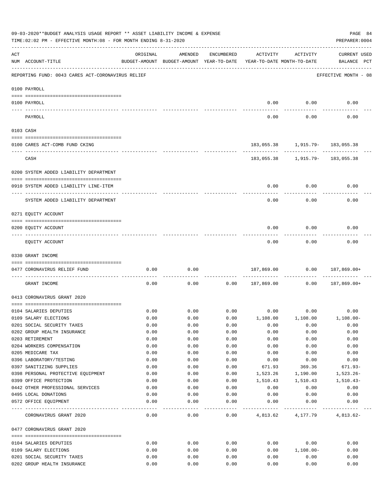| 09-03-2020**BUDGET ANALYSIS USAGE REPORT ** ASSET LIABILITY INCOME & EXPENSE<br>PREPARER: 0004<br>TIME:02:02 PM - EFFECTIVE MONTH:08 - FOR MONTH ENDING 8-31-2020 |                                                   |              |                                                     |                   |                                        |                                       |                                    |  |  |  |
|-------------------------------------------------------------------------------------------------------------------------------------------------------------------|---------------------------------------------------|--------------|-----------------------------------------------------|-------------------|----------------------------------------|---------------------------------------|------------------------------------|--|--|--|
| ACT                                                                                                                                                               | NUM ACCOUNT-TITLE                                 | ORIGINAL     | AMENDED<br>BUDGET-AMOUNT BUDGET-AMOUNT YEAR-TO-DATE | ENCUMBERED        | ACTIVITY<br>YEAR-TO-DATE MONTH-TO-DATE | ACTIVITY                              | <b>CURRENT USED</b><br>BALANCE PCT |  |  |  |
|                                                                                                                                                                   | REPORTING FUND: 0043 CARES ACT-CORONAVIRUS RELIEF |              |                                                     |                   |                                        |                                       | EFFECTIVE MONTH - 08               |  |  |  |
|                                                                                                                                                                   | 0100 PAYROLL                                      |              |                                                     |                   |                                        |                                       |                                    |  |  |  |
|                                                                                                                                                                   | 0100 PAYROLL                                      |              |                                                     |                   | 0.00                                   | 0.00                                  | 0.00                               |  |  |  |
|                                                                                                                                                                   | PAYROLL                                           |              |                                                     |                   | 0.00                                   | 0.00                                  | 0.00                               |  |  |  |
|                                                                                                                                                                   | 0103 CASH                                         |              |                                                     |                   |                                        |                                       |                                    |  |  |  |
|                                                                                                                                                                   | 0100 CARES ACT-COMB FUND CKING                    |              |                                                     |                   |                                        | 183,055.38    1,915.79-    183,055.38 |                                    |  |  |  |
|                                                                                                                                                                   | CASH                                              |              |                                                     |                   |                                        | 183,055.38    1,915.79-    183,055.38 |                                    |  |  |  |
|                                                                                                                                                                   | 0200 SYSTEM ADDED LIABILITY DEPARTMENT            |              |                                                     |                   |                                        |                                       |                                    |  |  |  |
|                                                                                                                                                                   | 0910 SYSTEM ADDED LIABILITY LINE-ITEM             |              |                                                     |                   | 0.00                                   | 0.00                                  | 0.00                               |  |  |  |
|                                                                                                                                                                   | SYSTEM ADDED LIABILITY DEPARTMENT                 |              |                                                     |                   | 0.00                                   | 0.00                                  | 0.00                               |  |  |  |
|                                                                                                                                                                   | 0271 EQUITY ACCOUNT                               |              |                                                     |                   |                                        |                                       |                                    |  |  |  |
|                                                                                                                                                                   | 0200 EQUITY ACCOUNT                               |              |                                                     |                   | 0.00                                   | 0.00                                  | 0.00                               |  |  |  |
|                                                                                                                                                                   | EQUITY ACCOUNT                                    |              |                                                     |                   | 0.00                                   | 0.00                                  | 0.00                               |  |  |  |
|                                                                                                                                                                   | 0330 GRANT INCOME                                 |              |                                                     |                   |                                        |                                       |                                    |  |  |  |
|                                                                                                                                                                   | 0477 CORONAVIRUS RELIEF FUND                      | 0.00         | 0.00                                                |                   | 187,869.00                             | 0.00                                  | 187,869.00+                        |  |  |  |
|                                                                                                                                                                   | GRANT INCOME                                      | 0.00         | 0.00                                                | 0.00              | 187,869.00                             | 0.00                                  | 187,869.00+                        |  |  |  |
|                                                                                                                                                                   | 0413 CORONAVIRUS GRANT 2020                       |              |                                                     |                   |                                        |                                       |                                    |  |  |  |
|                                                                                                                                                                   |                                                   |              |                                                     |                   |                                        |                                       |                                    |  |  |  |
|                                                                                                                                                                   | 0104 SALARIES DEPUTIES<br>0109 SALARY ELECTIONS   | 0.00<br>0.00 | 0.00<br>0.00                                        | 0.00<br>0.00      | 1,108.00                               | $0.00$ 0.00<br>1,108.00               | 0.00<br>$1,108.00 -$               |  |  |  |
|                                                                                                                                                                   | 0201 SOCIAL SECURITY TAXES                        | 0.00         | 0.00                                                | 0.00              | 0.00                                   | 0.00                                  | 0.00                               |  |  |  |
|                                                                                                                                                                   | 0202 GROUP HEALTH INSURANCE                       | 0.00         | 0.00                                                | 0.00              | 0.00                                   | 0.00                                  | 0.00                               |  |  |  |
|                                                                                                                                                                   | 0203 RETIREMENT                                   | 0.00         | 0.00                                                | 0.00              | 0.00                                   | 0.00                                  | 0.00                               |  |  |  |
|                                                                                                                                                                   | 0204 WORKERS COMPENSATION                         | 0.00         | 0.00                                                | 0.00              | 0.00                                   | 0.00                                  | 0.00                               |  |  |  |
|                                                                                                                                                                   | 0205 MEDICARE TAX                                 | 0.00         | 0.00                                                | 0.00              | 0.00                                   | 0.00                                  | 0.00                               |  |  |  |
|                                                                                                                                                                   | 0396 LABORATORY/TESTING                           | 0.00         | 0.00                                                | 0.00              | 0.00                                   | 0.00                                  | 0.00                               |  |  |  |
|                                                                                                                                                                   | 0397 SANITIZING SUPPLIES                          | 0.00         | 0.00                                                | 0.00              | 671.93                                 | 369.36                                | $671.93 -$                         |  |  |  |
|                                                                                                                                                                   | 0398 PERSONAL PROTECTIVE EQUIPMENT                | 0.00         | 0.00                                                | 0.00              | 1,523.26                               | 1,190.00                              | 1,523.26-                          |  |  |  |
|                                                                                                                                                                   | 0399 OFFICE PROTECTION                            | 0.00         | 0.00                                                | 0.00              | 1,510.43                               | 1,510.43                              | $1,510.43-$                        |  |  |  |
|                                                                                                                                                                   | 0442 OTHER PROFESSIONAL SERVICES                  | 0.00         | 0.00                                                | 0.00              | 0.00                                   | 0.00                                  | 0.00                               |  |  |  |
|                                                                                                                                                                   | 0495 LOCAL DONATIONS                              |              |                                                     |                   |                                        |                                       |                                    |  |  |  |
|                                                                                                                                                                   |                                                   | 0.00         | 0.00                                                | 0.00              | 0.00                                   | 0.00                                  | 0.00                               |  |  |  |
|                                                                                                                                                                   | 0572 OFFICE EQUIPMENT                             | 0.00         | 0.00<br>-----                                       | 0.00<br>$- - - -$ | 0.00<br>---------                      | 0.00<br>------------                  | 0.00<br>-------------              |  |  |  |
|                                                                                                                                                                   | CORONAVIRUS GRANT 2020                            | 0.00         | 0.00                                                | 0.00              |                                        | 4,813.62 4,177.79 4,813.62-           |                                    |  |  |  |
|                                                                                                                                                                   | 0477 CORONAVIRUS GRANT 2020                       |              |                                                     |                   |                                        |                                       |                                    |  |  |  |
|                                                                                                                                                                   | 0104 SALARIES DEPUTIES                            | 0.00         | 0.00                                                | 0.00              | 0.00                                   | 0.00                                  | 0.00                               |  |  |  |
|                                                                                                                                                                   | 0109 SALARY ELECTIONS                             | 0.00         | 0.00                                                | 0.00              | 0.00                                   | $1,108.00 -$                          | 0.00                               |  |  |  |
|                                                                                                                                                                   | 0201 SOCIAL SECURITY TAXES                        | 0.00         | 0.00                                                | 0.00              | 0.00                                   | 0.00                                  | 0.00                               |  |  |  |
|                                                                                                                                                                   | 0202 GROUP HEALTH INSURANCE                       | 0.00         | 0.00                                                | 0.00              | 0.00                                   | 0.00                                  | 0.00                               |  |  |  |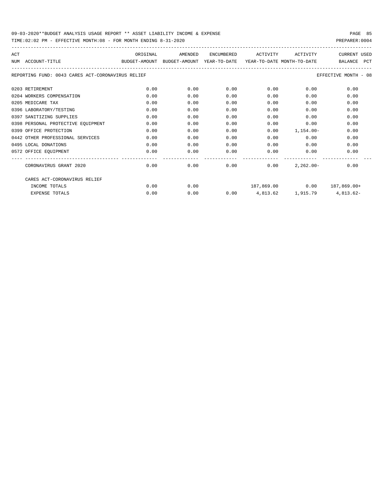| ACT | NUM ACCOUNT-TITLE<br>BUDGET-AMOUNT BUDGET-AMOUNT YEAR-TO-DATE YEAR-TO-DATE_MONTH-TO-DATE | ORIGINAL | AMENDED | ENCUMBERED    | ACTIVITY                           | ACTIVITY     | <b>CURRENT USED</b><br>BALANCE PCT |
|-----|------------------------------------------------------------------------------------------|----------|---------|---------------|------------------------------------|--------------|------------------------------------|
|     |                                                                                          |          |         |               |                                    |              |                                    |
|     | REPORTING FUND: 0043 CARES ACT-CORONAVIRUS RELIEF                                        |          |         |               |                                    |              | EFFECTIVE MONTH - 08               |
|     | 0203 RETIREMENT                                                                          | 0.00     | 0.00    | 0.00          | 0.00                               | 0.00         | 0.00                               |
|     | 0204 WORKERS COMPENSATION                                                                | 0.00     | 0.00    | 0.00          | 0.00                               | 0.00         | 0.00                               |
|     | 0205 MEDICARE TAX                                                                        | 0.00     | 0.00    | 0.00          | 0.00                               | 0.00         | 0.00                               |
|     | 0396 LABORATORY/TESTING                                                                  | 0.00     | 0.00    | 0.00          | 0.00                               | 0.00         | 0.00                               |
|     | 0397 SANITIZING SUPPLIES                                                                 | 0.00     | 0.00    | 0.00          | 0.00                               | 0.00         | 0.00                               |
|     | 0398 PERSONAL PROTECTIVE EOUIPMENT                                                       | 0.00     | 0.00    | 0.00          | 0.00                               | 0.00         | 0.00                               |
|     | 0399 OFFICE PROTECTION                                                                   | 0.00     | 0.00    | 0.00          | 0.00                               | 1,154.00-    | 0.00                               |
|     | 0442 OTHER PROFESSIONAL SERVICES                                                         | 0.00     | 0.00    | 0.00          | 0.00                               | 0.00         | 0.00                               |
|     | 0495 LOCAL DONATIONS                                                                     | 0.00     | 0.00    | 0.00          | 0.00                               | 0.00         | 0.00                               |
|     | 0572 OFFICE EOUIPMENT                                                                    | 0.00     | 0.00    | 0.00          |                                    | 0.00         | 0.00<br>0.00                       |
|     | CORONAVIRUS GRANT 2020                                                                   | 0.00     | 0.00    | _____________ | 0.00<br>0.00                       | $2.262.00 -$ | 0.00                               |
|     | CARES ACT-CORONAVIRUS RELIEF                                                             |          |         |               |                                    |              |                                    |
|     | INCOME TOTALS                                                                            | 0.00     | 0.00    |               | $187,869.00$ $0.00$ $187,869.00+$  |              |                                    |
|     | <b>EXPENSE TOTALS</b>                                                                    | 0.00     | 0.00    |               | $0.00$ 4,813.62 1,915.79 4,813.62- |              |                                    |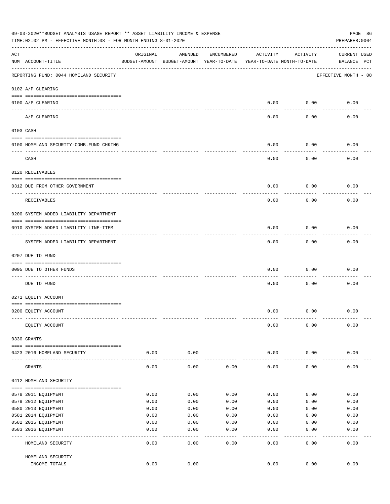|     | 09-03-2020**BUDGET ANALYSIS USAGE REPORT ** ASSET LIABILITY INCOME & EXPENSE<br>TIME:02:02 PM - EFFECTIVE MONTH:08 - FOR MONTH ENDING 8-31-2020 |          |                                                     |              |                                        |           | PAGE 86<br>PREPARER: 0004          |
|-----|-------------------------------------------------------------------------------------------------------------------------------------------------|----------|-----------------------------------------------------|--------------|----------------------------------------|-----------|------------------------------------|
| ACT | NUM ACCOUNT-TITLE                                                                                                                               | ORIGINAL | AMENDED<br>BUDGET-AMOUNT BUDGET-AMOUNT YEAR-TO-DATE | ENCUMBERED   | ACTIVITY<br>YEAR-TO-DATE MONTH-TO-DATE | ACTIVITY  | <b>CURRENT USED</b><br>BALANCE PCT |
|     | REPORTING FUND: 0044 HOMELAND SECURITY                                                                                                          |          |                                                     |              |                                        |           | EFFECTIVE MONTH - 08               |
|     | 0102 A/P CLEARING                                                                                                                               |          |                                                     |              |                                        |           |                                    |
|     | 0100 A/P CLEARING<br>---- ----------                                                                                                            |          |                                                     |              | 0.00                                   | 0.00      | 0.00                               |
|     | A/P CLEARING                                                                                                                                    |          |                                                     |              | 0.00                                   | 0.00      | 0.00                               |
|     | 0103 CASH                                                                                                                                       |          |                                                     |              |                                        |           |                                    |
|     | 0100 HOMELAND SECURITY-COMB.FUND CHKING                                                                                                         |          |                                                     |              | 0.00                                   | 0.00      | 0.00                               |
|     | CASH                                                                                                                                            |          |                                                     |              | 0.00                                   | 0.00      | 0.00                               |
|     | 0120 RECEIVABLES                                                                                                                                |          |                                                     |              |                                        |           |                                    |
|     |                                                                                                                                                 |          |                                                     |              | 0.00                                   | 0.00      | 0.00                               |
|     | 0312 DUE FROM OTHER GOVERNMENT                                                                                                                  |          |                                                     |              |                                        |           |                                    |
|     | RECEIVABLES                                                                                                                                     |          |                                                     |              | 0.00                                   | 0.00      | 0.00                               |
|     | 0200 SYSTEM ADDED LIABILITY DEPARTMENT                                                                                                          |          |                                                     |              |                                        |           |                                    |
|     | 0910 SYSTEM ADDED LIABILITY LINE-ITEM                                                                                                           |          |                                                     |              | 0.00                                   | 0.00      | 0.00                               |
|     | SYSTEM ADDED LIABILITY DEPARTMENT                                                                                                               |          |                                                     |              | 0.00                                   | 0.00      | 0.00                               |
|     | 0207 DUE TO FUND                                                                                                                                |          |                                                     |              |                                        |           |                                    |
|     | 0095 DUE TO OTHER FUNDS                                                                                                                         |          |                                                     |              | 0.00                                   | 0.00      | 0.00                               |
|     | DUE TO FUND                                                                                                                                     |          |                                                     |              | 0.00                                   | 0.00      | 0.00                               |
|     | 0271 EQUITY ACCOUNT                                                                                                                             |          |                                                     |              |                                        |           |                                    |
|     | 0200 EQUITY ACCOUNT                                                                                                                             |          |                                                     |              | 0.00                                   | 0.00      | 0.00                               |
|     | EQUITY ACCOUNT                                                                                                                                  |          |                                                     |              | 0.00                                   | 0.00      | 0.00                               |
|     | 0330 GRANTS                                                                                                                                     |          |                                                     |              |                                        |           |                                    |
|     | 0423 2016 HOMELAND SECURITY                                                                                                                     | 0.00     | 0.00                                                |              | 0.00                                   | 0.00      | 0.00                               |
|     | GRANTS                                                                                                                                          | 0.00     | 0.00                                                | 0.00         | 0.00                                   | 0.00      | 0.00                               |
|     | 0412 HOMELAND SECURITY                                                                                                                          |          |                                                     |              |                                        |           |                                    |
|     | 0578 2011 EQUIPMENT                                                                                                                             | 0.00     | 0.00                                                | 0.00         | 0.00                                   | 0.00      | 0.00                               |
|     | 0579 2012 EQUIPMENT                                                                                                                             | 0.00     | 0.00                                                | 0.00         | 0.00                                   | 0.00      | 0.00                               |
|     | 0580 2013 EQUIPMENT                                                                                                                             | 0.00     | 0.00                                                | 0.00         | 0.00                                   | 0.00      | 0.00                               |
|     | 0581 2014 EQUIPMENT                                                                                                                             | 0.00     | 0.00                                                | 0.00         | 0.00                                   | 0.00      | 0.00                               |
|     | 0582 2015 EQUIPMENT                                                                                                                             | 0.00     | 0.00                                                | 0.00         | 0.00                                   | 0.00      | 0.00                               |
|     | 0583 2016 EQUIPMENT                                                                                                                             | 0.00     | 0.00                                                | 0.00         | 0.00                                   | 0.00      | 0.00                               |
|     | HOMELAND SECURITY                                                                                                                               | 0.00     | - - - -<br>0.00                                     | ----<br>0.00 | $---$<br>0.00                          | .<br>0.00 | 0.00                               |
|     | HOMELAND SECURITY                                                                                                                               |          |                                                     |              |                                        |           |                                    |
|     | INCOME TOTALS                                                                                                                                   | 0.00     | 0.00                                                |              | 0.00                                   | 0.00      | 0.00                               |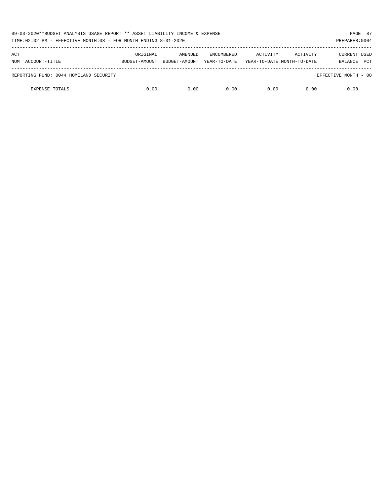| 09-03-2020**BUDGET ANALYSIS USAGE REPORT ** ASSET LIABILITY INCOME & EXPENSE<br>TIME:02:02 PM - EFFECTIVE MONTH:08 - FOR MONTH ENDING 8-31-2020<br>PREPARER: 0004 |          |                                        |                                   |                                        |          |                                              |  |  |
|-------------------------------------------------------------------------------------------------------------------------------------------------------------------|----------|----------------------------------------|-----------------------------------|----------------------------------------|----------|----------------------------------------------|--|--|
| ACT<br>NUM ACCOUNT-TITLE                                                                                                                                          | ORIGINAL | AMENDED<br>BUDGET-AMOUNT BUDGET-AMOUNT | <b>ENCUMBERED</b><br>YEAR-TO-DATE | ACTIVITY<br>YEAR-TO-DATE MONTH-TO-DATE | ACTIVITY | <b>CURRENT USED</b><br><b>PCT</b><br>BALANCE |  |  |
| REPORTING FUND: 0044 HOMELAND SECURITY                                                                                                                            |          |                                        |                                   |                                        |          | EFFECTIVE MONTH - 08                         |  |  |
| <b>EXPENSE TOTALS</b>                                                                                                                                             | 0.00     | 0.00                                   | 0.00                              | 0.00                                   | 0.00     | 0.00                                         |  |  |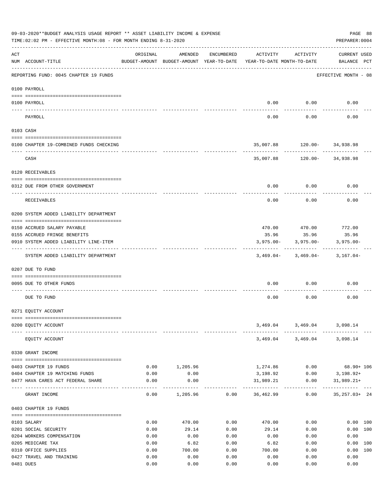|     | 09-03-2020**BUDGET ANALYSIS USAGE REPORT ** ASSET LIABILITY INCOME & EXPENSE<br>TIME: 02:02 PM - EFFECTIVE MONTH: 08 - FOR MONTH ENDING 8-31-2020 |              |                                                                                |            |                            |                                           | PAGE 88<br>PREPARER: 0004                          |  |
|-----|---------------------------------------------------------------------------------------------------------------------------------------------------|--------------|--------------------------------------------------------------------------------|------------|----------------------------|-------------------------------------------|----------------------------------------------------|--|
| ACT | NUM ACCOUNT-TITLE                                                                                                                                 | ORIGINAL     | AMENDED<br>BUDGET-AMOUNT BUDGET-AMOUNT YEAR-TO-DATE YEAR-TO-DATE MONTH-TO-DATE | ENCUMBERED | ACTIVITY                   | ACTIVITY                                  | <b>CURRENT USED</b><br>BALANCE PCT                 |  |
|     | REPORTING FUND: 0045 CHAPTER 19 FUNDS                                                                                                             |              |                                                                                |            |                            |                                           | EFFECTIVE MONTH - 08                               |  |
|     | 0100 PAYROLL                                                                                                                                      |              |                                                                                |            |                            |                                           |                                                    |  |
|     | 0100 PAYROLL                                                                                                                                      |              |                                                                                |            | 0.00                       | 0.00                                      | 0.00                                               |  |
|     | PAYROLL                                                                                                                                           |              |                                                                                |            | 0.00                       | 0.00                                      | 0.00                                               |  |
|     | 0103 CASH                                                                                                                                         |              |                                                                                |            |                            |                                           |                                                    |  |
|     | 0100 CHAPTER 19-COMBINED FUNDS CHECKING                                                                                                           |              |                                                                                |            |                            | 35,007.88 120.00- 34,938.98               |                                                    |  |
|     | CASH                                                                                                                                              |              |                                                                                |            |                            | 35,007.88 120.00- 34,938.98               |                                                    |  |
|     | 0120 RECEIVABLES                                                                                                                                  |              |                                                                                |            |                            |                                           |                                                    |  |
|     | 0312 DUE FROM OTHER GOVERNMENT                                                                                                                    |              |                                                                                |            |                            | $0.00$ 0.00                               | 0.00                                               |  |
|     | RECEIVABLES                                                                                                                                       |              |                                                                                |            | 0.00                       | 0.00                                      | 0.00                                               |  |
|     | 0200 SYSTEM ADDED LIABILITY DEPARTMENT                                                                                                            |              |                                                                                |            |                            |                                           |                                                    |  |
|     | 0150 ACCRUED SALARY PAYABLE                                                                                                                       |              |                                                                                |            |                            | 470.00  470.00  772.00                    |                                                    |  |
|     | 0155 ACCRUED FRINGE BENEFITS                                                                                                                      |              |                                                                                |            | 35.96                      | 35.96                                     | 35.96                                              |  |
|     | 0910 SYSTEM ADDED LIABILITY LINE-ITEM                                                                                                             |              |                                                                                |            | $3,975.00 -$               | 3,975.00-                                 | $3,975.00 -$                                       |  |
|     | SYSTEM ADDED LIABILITY DEPARTMENT                                                                                                                 |              |                                                                                |            |                            | $3,469.04 - 3,469.04 - 3,167.04 -$        |                                                    |  |
|     | 0207 DUE TO FUND                                                                                                                                  |              |                                                                                |            |                            |                                           |                                                    |  |
|     | 0095 DUE TO OTHER FUNDS                                                                                                                           |              |                                                                                |            | 0.00                       | 0.00                                      | 0.00                                               |  |
|     | DUE TO FUND                                                                                                                                       |              |                                                                                |            | 0.00                       | 0.00                                      | 0.00                                               |  |
|     | 0271 EQUITY ACCOUNT                                                                                                                               |              |                                                                                |            |                            |                                           |                                                    |  |
|     | 0200 EQUITY ACCOUNT                                                                                                                               |              |                                                                                |            | 3,469.04                   | 3,469.04                                  | 3,098.14                                           |  |
|     | EQUITY ACCOUNT                                                                                                                                    |              |                                                                                |            |                            | -----------<br>3,469.04 3,469.04 3,098.14 |                                                    |  |
|     | 0330 GRANT INCOME                                                                                                                                 |              |                                                                                |            |                            |                                           |                                                    |  |
|     |                                                                                                                                                   |              |                                                                                |            |                            |                                           |                                                    |  |
|     | 0403 CHAPTER 19 FUNDS                                                                                                                             | 0.00         | 1,205.96                                                                       |            | 1,274.86                   | 0.00                                      | $68.90 + 106$                                      |  |
|     | 0404 CHAPTER 19 MATCHING FUNDS<br>0477 HAVA CARES ACT FEDERAL SHARE                                                                               | 0.00<br>0.00 | 0.00<br>0.00                                                                   |            | 3,198.92<br>31,989.21      | 0.00<br>0.00                              | 3,198.92+<br>$31,989.21+$                          |  |
|     | GRANT INCOME                                                                                                                                      | 0.00         | 1,205.96                                                                       | 0.00       | -------------<br>36,462.99 | ------------<br>0.00                      | . _ _ _ _ _ _ _ _ _ _ _ _ _ _<br>$35, 257.03 + 24$ |  |
|     | 0403 CHAPTER 19 FUNDS                                                                                                                             |              |                                                                                |            |                            |                                           |                                                    |  |
|     | 0103 SALARY                                                                                                                                       | 0.00         | 470.00                                                                         | 0.00       | 470.00                     | 0.00                                      | 0.00 100                                           |  |
|     | 0201 SOCIAL SECURITY                                                                                                                              | 0.00         | 29.14                                                                          | 0.00       | 29.14                      | 0.00                                      | 0.00 100                                           |  |
|     | 0204 WORKERS COMPENSATION                                                                                                                         | 0.00         | 0.00                                                                           | 0.00       | 0.00                       | 0.00                                      | 0.00                                               |  |
|     | 0205 MEDICARE TAX                                                                                                                                 | 0.00         | 6.82                                                                           | 0.00       | 6.82                       | 0.00                                      | 0.00 100                                           |  |
|     | 0310 OFFICE SUPPLIES                                                                                                                              | 0.00         | 700.00                                                                         | 0.00       | 700.00                     | 0.00                                      | 0.00 100                                           |  |
|     | 0427 TRAVEL AND TRAINING                                                                                                                          | 0.00         | 0.00                                                                           | 0.00       | 0.00                       | 0.00                                      | 0.00                                               |  |
|     | 0481 DUES                                                                                                                                         | 0.00         | 0.00                                                                           | 0.00       | 0.00                       | 0.00                                      | 0.00                                               |  |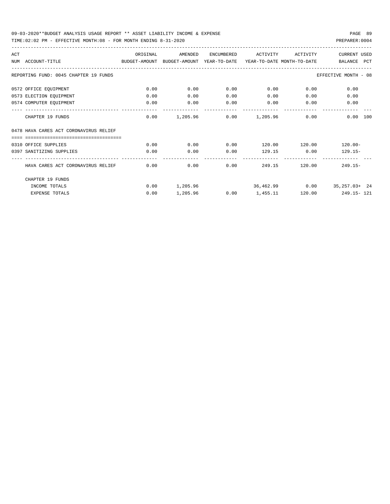| ACT |                                                                                          | ORIGINAL | AMENDED       | ENCUMBERED | ACTIVITY ACTIVITY                      |        | CURRENT USED                      |
|-----|------------------------------------------------------------------------------------------|----------|---------------|------------|----------------------------------------|--------|-----------------------------------|
|     | NUM ACCOUNT-TITLE<br>BUDGET-AMOUNT BUDGET-AMOUNT YEAR-TO-DATE YEAR-TO-DATE MONTH-TO-DATE |          |               |            |                                        |        | BALANCE PCT                       |
|     | REPORTING FUND: 0045 CHAPTER 19 FUNDS                                                    |          |               |            |                                        |        | EFFECTIVE MONTH - 08              |
|     | 0572 OFFICE EQUIPMENT                                                                    | 0.00     | 0.00          | 0.00       | 0.00                                   |        | $0.00$ and $0.00$<br>0.00         |
|     | 0573 ELECTION EQUIPMENT                                                                  | 0.00     | 0.00          | 0.00       | 0.00                                   |        | $0.00$ and $0.00$<br>0.00         |
|     | 0574 COMPUTER EQUIPMENT                                                                  | 0.00     | 0.00          |            | $0.00$ $0.00$ $0.00$ $0.00$            |        | 0.00                              |
|     | CHAPTER 19 FUNDS                                                                         |          |               |            | $0.00$ 1,205.96 $0.00$ 1,205.96 $0.00$ |        | $0.00$ 100                        |
|     | 0478 HAVA CARES ACT CORONAVIRUS RELIEF                                                   |          |               |            |                                        |        |                                   |
|     | ====================================                                                     |          |               |            |                                        |        |                                   |
|     | 0310 OFFICE SUPPLIES                                                                     | 0.00     | 0.00          |            | $0.00$ 120.00 120.00                   |        | 120.00-                           |
|     | 0397 SANITIZING SUPPLIES                                                                 | 0.00     | 0.00          | 0.00       | 129.15 0.00                            |        | $129.15-$                         |
|     | HAVA CARES ACT CORONAVIRUS RELIEF                                                        |          | 0.00          | 0.00       | 0.00<br>249.15                         | 120.00 | $249.15-$                         |
|     | CHAPTER 19 FUNDS                                                                         |          |               |            |                                        |        |                                   |
|     | INCOME TOTALS                                                                            |          | 0.00 1,205.96 |            |                                        |        | 36,462.99 0.00 35,257.03+ 24      |
|     | <b>EXPENSE TOTALS</b>                                                                    | 0.00     | 1,205.96      |            |                                        |        | $0.00$ 1,455.11 120.00 249.15-121 |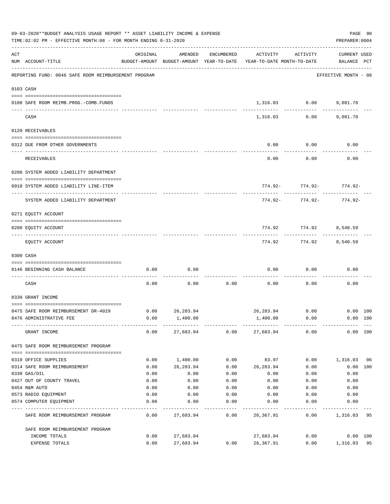|     | 09-03-2020**BUDGET ANALYSIS USAGE REPORT ** ASSET LIABILITY INCOME & EXPENSE<br>TIME: 02:02 PM - EFFECTIVE MONTH: 08 - FOR MONTH ENDING 8-31-2020 |              |                        |            |                                                                                 |                            |                                    |                |  |  |
|-----|---------------------------------------------------------------------------------------------------------------------------------------------------|--------------|------------------------|------------|---------------------------------------------------------------------------------|----------------------------|------------------------------------|----------------|--|--|
| ACT | NUM ACCOUNT-TITLE                                                                                                                                 | ORIGINAL     | AMENDED                | ENCUMBERED | ACTIVITY<br>BUDGET-AMOUNT BUDGET-AMOUNT YEAR-TO-DATE YEAR-TO-DATE MONTH-TO-DATE | ACTIVITY                   | <b>CURRENT USED</b><br>BALANCE PCT |                |  |  |
|     | REPORTING FUND: 0046 SAFE ROOM REIMBURSEMENT PROGRAM                                                                                              |              |                        |            |                                                                                 |                            | EFFECTIVE MONTH - 08               |                |  |  |
|     | 0103 CASH                                                                                                                                         |              |                        |            |                                                                                 |                            |                                    |                |  |  |
|     | 0100 SAFE ROOM REIMB.PROG.-COMB.FUNDS                                                                                                             |              |                        |            |                                                                                 | 1,316.03 0.00              | 9,081.70                           |                |  |  |
|     | CASH                                                                                                                                              |              |                        |            |                                                                                 | 1,316.03 0.00              | 9,081.70                           |                |  |  |
|     | 0120 RECEIVABLES                                                                                                                                  |              |                        |            |                                                                                 |                            |                                    |                |  |  |
|     | 0312 DUE FROM OTHER GOVERNMENTS                                                                                                                   |              |                        |            | 0.00                                                                            | 0.00                       | 0.00                               |                |  |  |
|     | RECEIVABLES                                                                                                                                       |              |                        |            | 0.00                                                                            | 0.00                       | 0.00                               |                |  |  |
|     | 0200 SYSTEM ADDED LIABILITY DEPARTMENT                                                                                                            |              |                        |            |                                                                                 |                            |                                    |                |  |  |
|     | 0910 SYSTEM ADDED LIABILITY LINE-ITEM                                                                                                             |              |                        |            |                                                                                 | $774.92 - 774.92 - 774.92$ |                                    |                |  |  |
|     | SYSTEM ADDED LIABILITY DEPARTMENT                                                                                                                 |              |                        |            | 774.92-                                                                         | 774.92-                    | $774.92 -$                         |                |  |  |
|     | 0271 EQUITY ACCOUNT                                                                                                                               |              |                        |            |                                                                                 |                            |                                    |                |  |  |
|     | 0200 EQUITY ACCOUNT                                                                                                                               |              |                        |            | 774.92                                                                          | 774.92                     | 8,540.59                           |                |  |  |
|     | EQUITY ACCOUNT                                                                                                                                    |              |                        |            | 774.92                                                                          |                            | 774.92 8,540.59                    |                |  |  |
|     | 0300 CASH                                                                                                                                         |              |                        |            |                                                                                 |                            |                                    |                |  |  |
|     | 0146 BEGINNING CASH BALANCE                                                                                                                       | 0.00         | 0.00                   |            | 0.00                                                                            | 0.00                       | 0.00                               |                |  |  |
|     | CASH                                                                                                                                              | 0.00         | 0.00                   | 0.00       | 0.00                                                                            | 0.00                       | 0.00                               |                |  |  |
|     | 0330 GRANT INCOME                                                                                                                                 |              |                        |            |                                                                                 |                            |                                    |                |  |  |
|     | 0475 SAFE ROOM REIMBURSEMENT DR-4029                                                                                                              | 0.00         | 26,283.94              |            |                                                                                 | 26,283.94 0.00             | $0.00$ 100                         |                |  |  |
|     | 0476 ADMINISTRATIVE FEE                                                                                                                           | 0.00         | 1,400.00               |            | 1,400.00                                                                        | 0.00                       |                                    | 0.00 100       |  |  |
|     | GRANT INCOME                                                                                                                                      | 0.00         | 27,683.94              |            | $0.00$ 27,683.94                                                                | 0.00                       |                                    | 0.00 100       |  |  |
|     | 0475 SAFE ROOM REIMBURSEMENT PROGRAM                                                                                                              |              |                        |            |                                                                                 |                            |                                    |                |  |  |
|     | 0310 OFFICE SUPPLIES                                                                                                                              | 0.00         | 1,400.00               | 0.00       | 83.97                                                                           | 0.00                       | 1,316.03 06                        |                |  |  |
|     | 0314 SAFE ROOM REIMBURSEMENT                                                                                                                      | 0.00         | 26, 283.94             | 0.00       | 26,283.94                                                                       | 0.00                       |                                    | 0.00 100       |  |  |
|     | 0330 GAS/OIL                                                                                                                                      | 0.00         | 0.00                   | 0.00       | 0.00                                                                            | 0.00                       | 0.00                               |                |  |  |
|     | 0427 OUT OF COUNTY TRAVEL                                                                                                                         | 0.00         | 0.00                   | 0.00       | 0.00                                                                            | 0.00                       | 0.00                               |                |  |  |
|     | 0454 R&M AUTO                                                                                                                                     | 0.00         | 0.00                   | 0.00       | 0.00                                                                            | 0.00                       | 0.00                               |                |  |  |
|     | 0573 RADIO EQUIPMENT                                                                                                                              | 0.00         | 0.00                   | 0.00       | 0.00                                                                            | 0.00                       | 0.00                               |                |  |  |
|     | 0574 COMPUTER EQUIPMENT                                                                                                                           | 0.00         | 0.00                   | 0.00       | 0.00                                                                            | 0.00                       | 0.00                               |                |  |  |
|     | SAFE ROOM REIMBURSEMENT PROGRAM                                                                                                                   | 0.00         | 27,683.94              | 0.00       | 26,367.91                                                                       | 0.00                       | 1,316.03                           | 95             |  |  |
|     | SAFE ROOM REIMBURSEMENT PROGRAM                                                                                                                   |              |                        |            |                                                                                 |                            |                                    |                |  |  |
|     | INCOME TOTALS<br>EXPENSE TOTALS                                                                                                                   | 0.00<br>0.00 | 27,683.94<br>27,683.94 | 0.00       | 27,683.94<br>26,367.91                                                          | 0.00<br>0.00               | 1,316.03                           | 0.00 100<br>95 |  |  |
|     |                                                                                                                                                   |              |                        |            |                                                                                 |                            |                                    |                |  |  |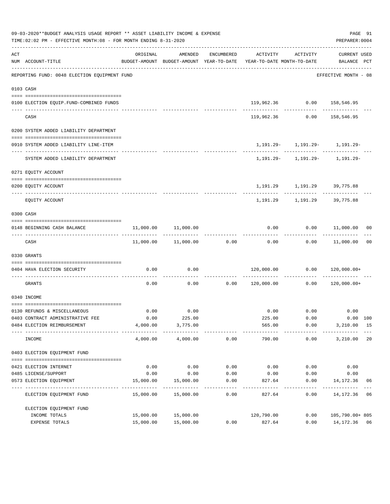|     | 09-03-2020**BUDGET ANALYSIS USAGE REPORT ** ASSET LIABILITY INCOME & EXPENSE<br>TIME: 02:02 PM - EFFECTIVE MONTH: 08 - FOR MONTH ENDING 8-31-2020 |                   |                                                     |                      |                                                |                                                                          | PAGE 91<br>PREPARER: 0004   |    |
|-----|---------------------------------------------------------------------------------------------------------------------------------------------------|-------------------|-----------------------------------------------------|----------------------|------------------------------------------------|--------------------------------------------------------------------------|-----------------------------|----|
| ACT | NUM ACCOUNT-TITLE                                                                                                                                 | ORIGINAL          | AMENDED<br>BUDGET-AMOUNT BUDGET-AMOUNT YEAR-TO-DATE | ENCUMBERED           | ACTIVITY<br>YEAR-TO-DATE MONTH-TO-DATE         | ACTIVITY                                                                 | CURRENT USED<br>BALANCE PCT |    |
|     | REPORTING FUND: 0048 ELECTION EQUIPMENT FUND                                                                                                      |                   |                                                     |                      |                                                |                                                                          | EFFECTIVE MONTH - 08        |    |
|     | 0103 CASH                                                                                                                                         |                   |                                                     |                      |                                                |                                                                          |                             |    |
|     |                                                                                                                                                   |                   |                                                     |                      |                                                |                                                                          |                             |    |
|     | 0100 ELECTION EQUIP.FUND-COMBINED FUNDS<br>_____________________________                                                                          |                   |                                                     |                      | ----------------------------                   | 119,962.36   0.00   158,546.95                                           | ---------                   |    |
|     | CASH                                                                                                                                              |                   |                                                     |                      | 119,962.36                                     | 0.00                                                                     | 158,546.95                  |    |
|     | 0200 SYSTEM ADDED LIABILITY DEPARTMENT                                                                                                            |                   |                                                     |                      |                                                |                                                                          |                             |    |
|     |                                                                                                                                                   |                   |                                                     |                      |                                                |                                                                          |                             |    |
|     | 0910 SYSTEM ADDED LIABILITY LINE-ITEM                                                                                                             |                   |                                                     |                      |                                                | $1,191.29 - 1,191.29 - 1,191.29 -$<br>---------- ----------- ----------- |                             |    |
|     | SYSTEM ADDED LIABILITY DEPARTMENT                                                                                                                 |                   |                                                     |                      |                                                | $1,191.29 - 1,191.29 - 1,191.29 -$                                       |                             |    |
|     | 0271 EOUITY ACCOUNT                                                                                                                               |                   |                                                     |                      |                                                |                                                                          |                             |    |
|     |                                                                                                                                                   |                   |                                                     |                      |                                                |                                                                          |                             |    |
|     | 0200 EQUITY ACCOUNT                                                                                                                               |                   |                                                     |                      |                                                | 1, 191. 29 1, 191. 29 39, 775. 88<br>------------- -------------         |                             |    |
|     | EQUITY ACCOUNT                                                                                                                                    |                   |                                                     |                      |                                                | 1, 191. 29 1, 191. 29 39, 775. 88                                        |                             |    |
|     | 0300 CASH                                                                                                                                         |                   |                                                     |                      |                                                |                                                                          |                             |    |
|     |                                                                                                                                                   |                   |                                                     |                      |                                                |                                                                          |                             |    |
|     | 0148 BEGINNING CASH BALANCE                                                                                                                       | 11,000.00         | 11,000.00                                           |                      | 0.00                                           | $0.00$ $11,000.00$ 00<br>----------                                      |                             |    |
|     | CASH                                                                                                                                              |                   | 11,000.00    11,000.00    0.00                      |                      | 0.00                                           |                                                                          | $0.00$ $11,000.00$ 00       |    |
|     | 0330 GRANTS                                                                                                                                       |                   |                                                     |                      |                                                |                                                                          |                             |    |
|     | 0404 HAVA ELECTION SECURITY                                                                                                                       | 0.00              | 0.00                                                |                      |                                                |                                                                          |                             |    |
|     | _________________________________<br>GRANTS                                                                                                       | 0.00              | -----------<br>0.00                                 |                      | ---------------------------<br>0.00 120,000.00 | 0.00                                                                     | 120,000.00+                 |    |
|     | 0340 INCOME                                                                                                                                       |                   |                                                     |                      |                                                |                                                                          |                             |    |
|     |                                                                                                                                                   |                   |                                                     |                      |                                                |                                                                          |                             |    |
|     | 0130 REFUNDS & MISCELLANEOUS                                                                                                                      | 0.00              | 0.00                                                |                      |                                                | $0.00$ $0.00$                                                            | 0.00                        |    |
|     | 0403 CONTRACT ADMINISTRATIVE FEE                                                                                                                  | 0.00              | 225.00                                              |                      | 225.00                                         | 0.00                                                                     | 0.00 100                    |    |
|     | 0484 ELECTION REIMBURSEMENT                                                                                                                       | 4,000.00          | 3,775.00                                            |                      | 565.00                                         | 0.00                                                                     | 3,210.00 15                 |    |
|     | INCOME                                                                                                                                            | 4,000.00          | 4,000.00                                            | ------------<br>0.00 | 790.00                                         | ------------<br>0.00                                                     | 3,210.00                    | 20 |
|     | 0403 ELECTION EQUIPMENT FUND                                                                                                                      |                   |                                                     |                      |                                                |                                                                          |                             |    |
|     |                                                                                                                                                   |                   |                                                     |                      |                                                |                                                                          |                             |    |
|     | 0421 ELECTION INTERNET                                                                                                                            | 0.00              | 0.00                                                | 0.00                 | 0.00                                           | 0.00                                                                     | 0.00                        |    |
|     | 0485 LICENSE/SUPPORT<br>0573 ELECTION EQUIPMENT                                                                                                   | 0.00<br>15,000.00 | 0.00<br>15,000.00                                   | 0.00<br>0.00         | 0.00<br>827.64                                 | 0.00<br>0.00                                                             | 0.00<br>14,172.36           | 06 |
|     |                                                                                                                                                   |                   | ______________                                      | -----------          |                                                | ---------                                                                | ------------                |    |
|     | ELECTION EQUIPMENT FUND                                                                                                                           |                   | 15,000.00  15,000.00                                | 0.00                 | 827.64                                         | 0.00                                                                     | 14, 172. 36 06              |    |
|     | ELECTION EQUIPMENT FUND                                                                                                                           |                   |                                                     |                      |                                                |                                                                          |                             |    |
|     | INCOME TOTALS                                                                                                                                     | 15,000.00         | 15,000.00                                           | 0.00                 | 120,790.00<br>827.64                           | 0.00<br>0.00                                                             | 105,790.00+ 805             |    |
|     | EXPENSE TOTALS                                                                                                                                    | 15,000.00         | 15,000.00                                           |                      |                                                |                                                                          | 14,172.36 06                |    |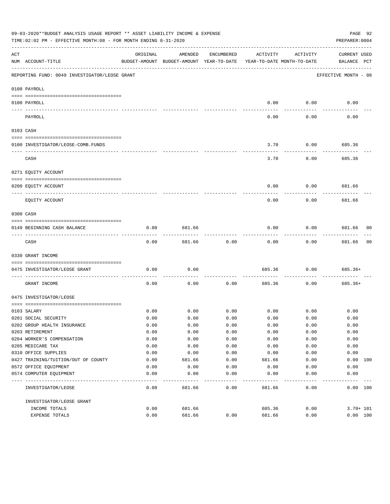|          | 09-03-2020**BUDGET ANALYSIS USAGE REPORT ** ASSET LIABILITY INCOME & EXPENSE<br>TIME: 02:02 PM - EFFECTIVE MONTH: 08 - FOR MONTH ENDING 8-31-2020 |          |                                                     |            |                                        |             | PAGE 92<br>PREPARER: 0004          |
|----------|---------------------------------------------------------------------------------------------------------------------------------------------------|----------|-----------------------------------------------------|------------|----------------------------------------|-------------|------------------------------------|
| ACT      | NUM ACCOUNT-TITLE                                                                                                                                 | ORIGINAL | AMENDED<br>BUDGET-AMOUNT BUDGET-AMOUNT YEAR-TO-DATE | ENCUMBERED | ACTIVITY<br>YEAR-TO-DATE MONTH-TO-DATE | ACTIVITY    | <b>CURRENT USED</b><br>BALANCE PCT |
|          | REPORTING FUND: 0049 INVESTIGATOR/LEOSE GRANT                                                                                                     |          |                                                     |            |                                        |             | EFFECTIVE MONTH - 08               |
|          | 0100 PAYROLL                                                                                                                                      |          |                                                     |            |                                        |             |                                    |
|          | 0100 PAYROLL                                                                                                                                      |          |                                                     |            | 0.00                                   | 0.00        | 0.00                               |
| -------- | PAYROLL                                                                                                                                           |          |                                                     |            | 0.00                                   | 0.00        | 0.00                               |
|          | 0103 CASH                                                                                                                                         |          |                                                     |            |                                        |             |                                    |
|          | 0100 INVESTIGATOR/LEOSE-COMB.FUNDS                                                                                                                |          |                                                     |            | 3.70                                   | 0.00        | 685.36                             |
|          | CASH                                                                                                                                              |          |                                                     |            | 3.70                                   | 0.00        | 685.36                             |
|          | 0271 EQUITY ACCOUNT                                                                                                                               |          |                                                     |            |                                        |             |                                    |
|          | 0200 EQUITY ACCOUNT                                                                                                                               |          |                                                     |            | 0.00                                   | 0.00        | 681.66                             |
|          | EQUITY ACCOUNT                                                                                                                                    |          |                                                     |            | 0.00                                   | 0.00        | 681.66                             |
|          | 0300 CASH                                                                                                                                         |          |                                                     |            |                                        |             |                                    |
|          | 0149 BEGINNING CASH BALANCE                                                                                                                       | 0.00     | 681.66                                              |            | 0.00                                   | 0.00        | 681.66 00                          |
|          | CASH                                                                                                                                              | 0.00     | 681.66                                              | 0.00       | 0.00                                   | 0.00        | 681.66<br>00                       |
|          | 0330 GRANT INCOME                                                                                                                                 |          |                                                     |            |                                        |             |                                    |
|          | 0475 INVESTIGATOR/LEOSE GRANT                                                                                                                     | 0.00     | 0.00                                                |            | 685.36                                 | 0.00        | 685.36+                            |
|          | GRANT INCOME                                                                                                                                      | 0.00     | 0.00                                                | 0.00       | 685.36                                 | 0.00        | 685.36+                            |
|          | 0475 INVESTIGATOR/LEOSE                                                                                                                           |          |                                                     |            |                                        |             |                                    |
|          | 0103 SALARY                                                                                                                                       | 0.00     | 0.00                                                | 0.00       |                                        | $0.00$ 0.00 | 0.00                               |
|          | 0201 SOCIAL SECURITY                                                                                                                              | 0.00     | 0.00                                                | 0.00       | 0.00                                   | 0.00        | 0.00                               |
|          | 0202 GROUP HEALTH INSURANCE                                                                                                                       | 0.00     | 0.00                                                | 0.00       | 0.00                                   | 0.00        | 0.00                               |
|          | 0203 RETIREMENT                                                                                                                                   | 0.00     | 0.00                                                | 0.00       | 0.00                                   | 0.00        | 0.00                               |
|          | 0204 WORKER'S COMPENSATION                                                                                                                        | 0.00     | 0.00                                                | 0.00       | 0.00                                   | 0.00        | 0.00                               |
|          | 0205 MEDICARE TAX                                                                                                                                 | 0.00     | 0.00                                                | 0.00       | 0.00                                   | 0.00        | 0.00                               |
|          | 0310 OFFICE SUPPLIES                                                                                                                              | 0.00     | 0.00                                                | 0.00       | 0.00                                   | 0.00        | 0.00                               |
|          | 0427 TRAINING/TUITION/OUT OF COUNTY                                                                                                               | 0.00     | 681.66                                              | 0.00       | 681.66                                 | 0.00        | 0.00 100                           |
|          | 0572 OFFICE EQUIPMENT                                                                                                                             | 0.00     | 0.00                                                | 0.00       | 0.00                                   | 0.00        | 0.00                               |
|          | 0574 COMPUTER EQUIPMENT                                                                                                                           | 0.00     | 0.00                                                | 0.00       | 0.00                                   | 0.00        | 0.00                               |
|          | INVESTIGATOR/LEOSE                                                                                                                                | 0.00     | 681.66                                              | 0.00       | 681.66                                 | 0.00        | 0.00 100                           |
|          | INVESTIGATOR/LEOSE GRANT                                                                                                                          |          |                                                     |            |                                        |             |                                    |
|          | INCOME TOTALS                                                                                                                                     | 0.00     | 681.66                                              |            | 685.36                                 | 0.00        | $3.70 + 101$                       |
|          | EXPENSE TOTALS                                                                                                                                    | 0.00     | 681.66                                              | 0.00       | 681.66                                 | 0.00        | 0.00 100                           |
|          |                                                                                                                                                   |          |                                                     |            |                                        |             |                                    |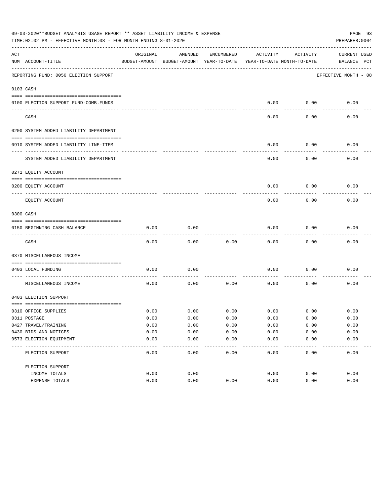|     | 09-03-2020**BUDGET ANALYSIS USAGE REPORT ** ASSET LIABILITY INCOME & EXPENSE<br>TIME: 02:02 PM - EFFECTIVE MONTH: 08 - FOR MONTH ENDING 8-31-2020 |          |                                                     |            |                                        |          | PAGE 93<br>PREPARER: 0004          |
|-----|---------------------------------------------------------------------------------------------------------------------------------------------------|----------|-----------------------------------------------------|------------|----------------------------------------|----------|------------------------------------|
| ACT | NUM ACCOUNT-TITLE                                                                                                                                 | ORIGINAL | AMENDED<br>BUDGET-AMOUNT BUDGET-AMOUNT YEAR-TO-DATE | ENCUMBERED | ACTIVITY<br>YEAR-TO-DATE MONTH-TO-DATE | ACTIVITY | <b>CURRENT USED</b><br>BALANCE PCT |
|     | REPORTING FUND: 0050 ELECTION SUPPORT                                                                                                             |          |                                                     |            |                                        |          | EFFECTIVE MONTH - 08               |
|     | 0103 CASH                                                                                                                                         |          |                                                     |            |                                        |          |                                    |
|     | 0100 ELECTION SUPPORT FUND-COMB.FUNDS                                                                                                             |          |                                                     |            | 0.00                                   | 0.00     | 0.00                               |
|     | CASH                                                                                                                                              |          |                                                     |            | 0.00                                   | 0.00     | 0.00                               |
|     | 0200 SYSTEM ADDED LIABILITY DEPARTMENT                                                                                                            |          |                                                     |            |                                        |          |                                    |
|     | 0910 SYSTEM ADDED LIABILITY LINE-ITEM                                                                                                             |          |                                                     |            | 0.00                                   | 0.00     | 0.00                               |
|     | SYSTEM ADDED LIABILITY DEPARTMENT                                                                                                                 |          |                                                     |            | 0.00                                   | 0.00     | 0.00                               |
|     | 0271 EQUITY ACCOUNT                                                                                                                               |          |                                                     |            |                                        |          |                                    |
|     | 0200 EQUITY ACCOUNT                                                                                                                               |          |                                                     |            | 0.00                                   | 0.00     | 0.00                               |
|     | EQUITY ACCOUNT                                                                                                                                    |          |                                                     |            | 0.00                                   | 0.00     | 0.00                               |
|     | 0300 CASH                                                                                                                                         |          |                                                     |            |                                        |          |                                    |
|     | 0150 BEGINNING CASH BALANCE                                                                                                                       | 0.00     | 0.00                                                |            | 0.00                                   | 0.00     | 0.00                               |
|     | CASH                                                                                                                                              | 0.00     | 0.00                                                | 0.00       | 0.00                                   | 0.00     | 0.00                               |
|     | 0370 MISCELLANEOUS INCOME                                                                                                                         |          |                                                     |            |                                        |          |                                    |
|     | 0403 LOCAL FUNDING                                                                                                                                | 0.00     | 0.00                                                |            | 0.00                                   | 0.00     | 0.00                               |
|     | MISCELLANEOUS INCOME                                                                                                                              | 0.00     | 0.00                                                | 0.00       | 0.00                                   | 0.00     | 0.00                               |
|     | 0403 ELECTION SUPPORT                                                                                                                             |          |                                                     |            |                                        |          |                                    |
|     | 0310 OFFICE SUPPLIES                                                                                                                              | 0.00     | 0.00                                                | 0.00       | 0.00                                   | 0.00     | 0.00                               |
|     | 0311 POSTAGE                                                                                                                                      | 0.00     | 0.00                                                | 0.00       | 0.00                                   | 0.00     | 0.00                               |
|     | 0427 TRAVEL/TRAINING                                                                                                                              | 0.00     | 0.00                                                | 0.00       | 0.00                                   | 0.00     | 0.00                               |
|     | 0430 BIDS AND NOTICES                                                                                                                             | 0.00     | 0.00                                                | 0.00       | 0.00                                   | 0.00     | 0.00                               |
|     | 0573 ELECTION EQUIPMENT                                                                                                                           | 0.00     | 0.00                                                | 0.00       | 0.00                                   | 0.00     | 0.00                               |
|     | ELECTION SUPPORT                                                                                                                                  | 0.00     | 0.00                                                | 0.00       | 0.00                                   | 0.00     | 0.00                               |
|     | ELECTION SUPPORT                                                                                                                                  |          |                                                     |            |                                        |          |                                    |
|     | INCOME TOTALS                                                                                                                                     | 0.00     | 0.00                                                |            | 0.00                                   | 0.00     | 0.00                               |
|     | EXPENSE TOTALS                                                                                                                                    | 0.00     | 0.00                                                | 0.00       | 0.00                                   | 0.00     | 0.00                               |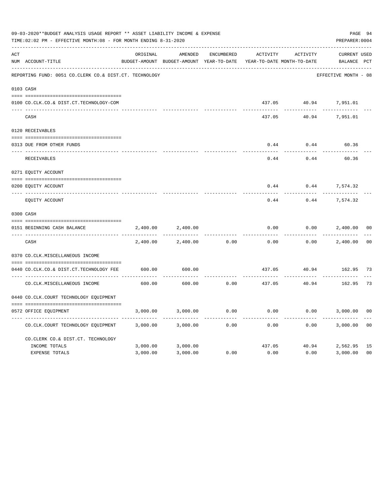|     | 09-03-2020**BUDGET ANALYSIS USAGE REPORT ** ASSET LIABILITY INCOME & EXPENSE<br>TIME: 02:02 PM - EFFECTIVE MONTH: 08 - FOR MONTH ENDING 8-31-2020 |          |                                                     |                   |          |                                        | PAGE 94<br>PREPARER: 0004          |                |
|-----|---------------------------------------------------------------------------------------------------------------------------------------------------|----------|-----------------------------------------------------|-------------------|----------|----------------------------------------|------------------------------------|----------------|
| ACT | NUM ACCOUNT-TITLE                                                                                                                                 | ORIGINAL | AMENDED<br>BUDGET-AMOUNT BUDGET-AMOUNT YEAR-TO-DATE | <b>ENCUMBERED</b> | ACTIVITY | ACTIVITY<br>YEAR-TO-DATE MONTH-TO-DATE | <b>CURRENT USED</b><br>BALANCE PCT |                |
|     | REPORTING FUND: 0051 CO.CLERK CO.& DIST.CT. TECHNOLOGY                                                                                            |          |                                                     |                   |          |                                        | EFFECTIVE MONTH - 08               |                |
|     | 0103 CASH                                                                                                                                         |          |                                                     |                   |          |                                        |                                    |                |
|     | 0100 CO.CLK.CO.& DIST.CT.TECHNOLOGY-COM                                                                                                           |          |                                                     |                   | 437.05   |                                        | 40.94 7,951.01                     |                |
|     | CASH                                                                                                                                              |          |                                                     |                   | 437.05   | 40.94                                  | 7,951.01                           |                |
|     | 0120 RECEIVABLES                                                                                                                                  |          |                                                     |                   |          |                                        |                                    |                |
|     | 0313 DUE FROM OTHER FUNDS                                                                                                                         |          |                                                     |                   | 0.44     | 0.44                                   | 60.36                              |                |
|     | RECEIVABLES                                                                                                                                       |          |                                                     |                   | 0.44     | 0.44                                   | 60.36                              |                |
|     | 0271 EQUITY ACCOUNT                                                                                                                               |          |                                                     |                   |          |                                        |                                    |                |
|     | 0200 EQUITY ACCOUNT                                                                                                                               |          |                                                     |                   | 0.44     | 0.44                                   | 7,574.32                           |                |
|     | ---- ------------<br>EQUITY ACCOUNT                                                                                                               |          |                                                     |                   | 0.44     | 0.44                                   | 7,574.32                           |                |
|     | 0300 CASH                                                                                                                                         |          |                                                     |                   |          |                                        |                                    |                |
|     | 0151 BEGINNING CASH BALANCE                                                                                                                       | 2,400.00 | 2,400.00                                            |                   | 0.00     | 0.00                                   | 2,400.00                           | 0 <sub>0</sub> |
|     | CASH                                                                                                                                              | 2,400.00 | 2,400.00                                            | 0.00              | 0.00     | 0.00                                   | 2,400.00                           | 0 <sup>0</sup> |
|     | 0370 CO.CLK.MISCELLANEOUS INCOME                                                                                                                  |          |                                                     |                   |          |                                        |                                    |                |
|     | 0440 CO.CLK.CO.& DIST.CT.TECHNOLOGY FEE                                                                                                           | 600.00   | 600.00                                              |                   | 437.05   | 40.94                                  | 162.95 73                          |                |
|     | CO. CLK. MISCELLANEOUS INCOME                                                                                                                     | 600.00   | 600.00                                              | 0.00              | 437.05   | ---------<br>40.94                     | 162.95                             | 73             |
|     | 0440 CO.CLK.COURT TECHNOLOGY EQUIPMENT                                                                                                            |          |                                                     |                   |          |                                        |                                    |                |
|     | 0572 OFFICE EOUIPMENT                                                                                                                             | 3,000.00 | 3,000.00                                            | 0.00              | 0.00     | 0.00                                   | 3,000.00                           | 0 <sub>0</sub> |
|     | CO.CLK.COURT TECHNOLOGY EQUIPMENT                                                                                                                 | 3,000.00 | 3,000.00                                            | 0.00              | 0.00     | 0.00                                   | 3,000.00                           | 0 <sub>0</sub> |
|     | CO.CLERK CO.& DIST.CT. TECHNOLOGY                                                                                                                 |          |                                                     |                   |          |                                        |                                    |                |
|     | INCOME TOTALS                                                                                                                                     | 3,000.00 | 3,000.00                                            |                   | 437.05   |                                        | 40.94 2,562.95                     | 15             |
|     | <b>EXPENSE TOTALS</b>                                                                                                                             | 3,000.00 | 3,000.00                                            | 0.00              | 0.00     | 0.00                                   | 3,000.00                           | 0 <sub>0</sub> |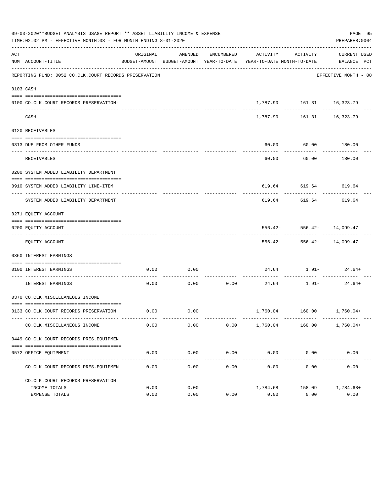|     | 09-03-2020**BUDGET ANALYSIS USAGE REPORT ** ASSET LIABILITY INCOME & EXPENSE<br>TIME:02:02 PM - EFFECTIVE MONTH:08 - FOR MONTH ENDING 8-31-2020<br>PREPARER: 0004 |          |              |                            |                       |                                 |                                                                                                 |  |  |  |
|-----|-------------------------------------------------------------------------------------------------------------------------------------------------------------------|----------|--------------|----------------------------|-----------------------|---------------------------------|-------------------------------------------------------------------------------------------------|--|--|--|
| ACT | NUM ACCOUNT-TITLE                                                                                                                                                 | ORIGINAL | AMENDED      | ENCUMBERED                 | ACTIVITY              | ACTIVITY                        | CURRENT USED<br>BUDGET-AMOUNT BUDGET-AMOUNT YEAR-TO-DATE YEAR-TO-DATE MONTH-TO-DATE BALANCE PCT |  |  |  |
|     | REPORTING FUND: 0052 CO.CLK.COURT RECORDS PRESERVATION                                                                                                            |          |              |                            |                       |                                 | EFFECTIVE MONTH - 08                                                                            |  |  |  |
|     | 0103 CASH                                                                                                                                                         |          |              |                            |                       |                                 |                                                                                                 |  |  |  |
|     | 0100 CO.CLK.COURT RECORDS PRESERVATION-                                                                                                                           |          |              |                            |                       | 1,787.90    161.31    16,323.79 |                                                                                                 |  |  |  |
|     | CASH                                                                                                                                                              |          |              |                            | ---------<br>1,787.90 | ------------                    | -----------<br>161.31 16,323.79                                                                 |  |  |  |
|     | 0120 RECEIVABLES                                                                                                                                                  |          |              |                            |                       |                                 |                                                                                                 |  |  |  |
|     | 0313 DUE FROM OTHER FUNDS                                                                                                                                         |          |              |                            |                       | 60.00 60.00 180.00              |                                                                                                 |  |  |  |
|     | <b>RECEIVABLES</b>                                                                                                                                                |          |              |                            | 60.00                 | . <u>.</u>                      | -----------<br>60.00 180.00                                                                     |  |  |  |
|     | 0200 SYSTEM ADDED LIABILITY DEPARTMENT                                                                                                                            |          |              |                            |                       |                                 |                                                                                                 |  |  |  |
|     | 0910 SYSTEM ADDED LIABILITY LINE-ITEM                                                                                                                             |          |              |                            |                       | 619.64 619.64 619.64            |                                                                                                 |  |  |  |
|     | SYSTEM ADDED LIABILITY DEPARTMENT                                                                                                                                 |          |              |                            | 619.64                | 619.64                          | 619.64                                                                                          |  |  |  |
|     | 0271 EQUITY ACCOUNT                                                                                                                                               |          |              |                            |                       |                                 |                                                                                                 |  |  |  |
|     | 0200 EQUITY ACCOUNT                                                                                                                                               |          |              |                            |                       | $556.42 - 556.42 - 14,099.47$   |                                                                                                 |  |  |  |
|     | EQUITY ACCOUNT                                                                                                                                                    |          |              |                            |                       | $556.42 - 556.42 - 14,099.47$   |                                                                                                 |  |  |  |
|     | 0360 INTEREST EARNINGS                                                                                                                                            |          |              |                            |                       |                                 |                                                                                                 |  |  |  |
|     | 0100 INTEREST EARNINGS                                                                                                                                            | 0.00     | 0.00         |                            |                       | $24.64$ 1.91- 24.64+            |                                                                                                 |  |  |  |
|     | INTEREST EARNINGS                                                                                                                                                 | 0.00     |              | -----------<br>$0.00$ 0.00 |                       | $24.64$ 1.91-                   | $24.64+$                                                                                        |  |  |  |
|     | 0370 CO.CLK.MISCELLANEOUS INCOME                                                                                                                                  |          |              |                            |                       |                                 |                                                                                                 |  |  |  |
|     | 0133 CO.CLK.COURT RECORDS PRESERVATION                                                                                                                            | 0.00     | 0.00         |                            |                       | 1,760.04    160.00    1,760.04+ |                                                                                                 |  |  |  |
|     | CO. CLK. MISCELLANEOUS INCOME                                                                                                                                     | 0.00     | 0.00         | 0.00                       | 1,760.04              | 160.00                          | $1,760.04+$                                                                                     |  |  |  |
|     | 0449 CO.CLK.COURT RECORDS PRES.EOUIPMEN                                                                                                                           |          |              |                            |                       |                                 |                                                                                                 |  |  |  |
|     | 0572 OFFICE EQUIPMENT                                                                                                                                             | 0.00     | 0.00         | 0.00                       | $0.00$ 0.00           |                                 | 0.00                                                                                            |  |  |  |
|     | CO. CLK. COURT RECORDS PRES. EQUIPMEN                                                                                                                             | 0.00     | 0.00         | -------------<br>0.00      | 0.00                  | 0.00                            | 0.00                                                                                            |  |  |  |
|     | CO. CLK. COURT RECORDS PRESERVATION                                                                                                                               |          |              |                            |                       |                                 |                                                                                                 |  |  |  |
|     | INCOME TOTALS                                                                                                                                                     | 0.00     | 0.00<br>0.00 |                            | 1,784.68<br>0.00      | 158.09<br>0.00                  | 1,784.68+<br>0.00                                                                               |  |  |  |
|     | EXPENSE TOTALS                                                                                                                                                    | 0.00     |              | 0.00                       |                       |                                 |                                                                                                 |  |  |  |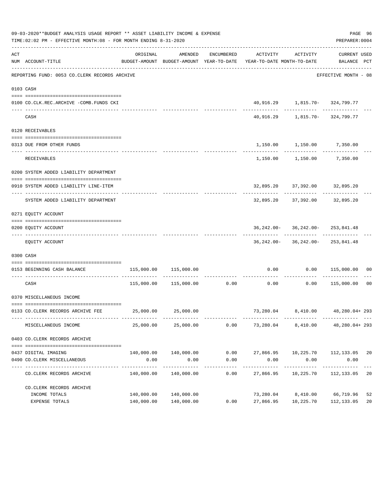|     | 09-03-2020**BUDGET ANALYSIS USAGE REPORT ** ASSET LIABILITY INCOME & EXPENSE<br>TIME:02:02 PM - EFFECTIVE MONTH:08 - FOR MONTH ENDING 8-31-2020 |            |                               |                       |                                                                                 |                                              | PAGE 96<br>PREPARER: 0004   |             |
|-----|-------------------------------------------------------------------------------------------------------------------------------------------------|------------|-------------------------------|-----------------------|---------------------------------------------------------------------------------|----------------------------------------------|-----------------------------|-------------|
| ACT | NUM ACCOUNT-TITLE                                                                                                                               | ORIGINAL   | AMENDED                       | ENCUMBERED            | ACTIVITY<br>BUDGET-AMOUNT BUDGET-AMOUNT YEAR-TO-DATE YEAR-TO-DATE_MONTH-TO-DATE | ACTIVITY                                     | CURRENT USED<br>BALANCE PCT |             |
|     | REPORTING FUND: 0053 CO.CLERK RECORDS ARCHIVE                                                                                                   |            |                               |                       |                                                                                 |                                              | EFFECTIVE MONTH - 08        |             |
|     | 0103 CASH                                                                                                                                       |            |                               |                       |                                                                                 |                                              |                             |             |
|     | 0100 CO.CLK.REC.ARCHIVE -COMB.FUNDS CKI                                                                                                         |            |                               |                       |                                                                                 | 40,916.29    1,815.70-    324,799.77         |                             |             |
|     | CASH                                                                                                                                            |            |                               |                       |                                                                                 | _________ ______________ ________            |                             |             |
|     | 0120 RECEIVABLES                                                                                                                                |            |                               |                       |                                                                                 |                                              |                             |             |
|     | 0313 DUE FROM OTHER FUNDS                                                                                                                       |            |                               |                       |                                                                                 | 1,150.00   1,150.00   7,350.00               |                             |             |
|     | RECEIVABLES                                                                                                                                     |            |                               |                       |                                                                                 | 1,150.00 1,150.00 7,350.00                   |                             |             |
|     | 0200 SYSTEM ADDED LIABILITY DEPARTMENT                                                                                                          |            |                               |                       |                                                                                 |                                              |                             |             |
|     | 0910 SYSTEM ADDED LIABILITY LINE-ITEM                                                                                                           |            |                               |                       |                                                                                 | 32,895.20 37,392.00 32,895.20                |                             |             |
|     | SYSTEM ADDED LIABILITY DEPARTMENT                                                                                                               |            |                               |                       |                                                                                 | 32,895.20 37,392.00 32,895.20                |                             |             |
|     | 0271 EQUITY ACCOUNT                                                                                                                             |            |                               |                       |                                                                                 |                                              |                             |             |
|     | 0200 EQUITY ACCOUNT                                                                                                                             |            |                               |                       |                                                                                 | 36, 242.00 - 36, 242.00 - 253, 841.48        |                             |             |
|     | EQUITY ACCOUNT                                                                                                                                  |            |                               |                       |                                                                                 | 36, 242.00 - 36, 242.00 - 253, 841.48        |                             |             |
|     | 0300 CASH                                                                                                                                       |            |                               |                       |                                                                                 |                                              |                             |             |
|     | 0153 BEGINNING CASH BALANCE                                                                                                                     |            | 115,000.00 115,000.00         |                       |                                                                                 | $0.00$ $0.00$ $115,000.00$ 00<br>----------- |                             |             |
|     | CASH                                                                                                                                            |            |                               |                       | $115,000.00$ $115,000.00$ 0.00 0.00 0.00                                        |                                              | $0.00$ 115,000.00 00        |             |
|     | 0370 MISCELLANEOUS INCOME                                                                                                                       |            |                               |                       |                                                                                 |                                              |                             |             |
|     | 0133 CO.CLERK RECORDS ARCHIVE FEE 25,000.00 25,000.00                                                                                           |            |                               |                       |                                                                                 | 73,280.04 8,410.00 48,280.04+293             |                             |             |
|     | MISCELLANEOUS INCOME                                                                                                                            | 25,000.00  | 25,000.00                     | 0.00                  |                                                                                 | 73,280.04 8,410.00 48,280.04+293             |                             |             |
|     | 0403 CO. CLERK RECORDS ARCHIVE                                                                                                                  |            |                               |                       |                                                                                 |                                              |                             |             |
|     |                                                                                                                                                 |            |                               |                       |                                                                                 |                                              |                             |             |
|     | 0437 DIGITAL IMAGING<br>0490 CO. CLERK MISCELLANEOUS                                                                                            | 0.00       | 140,000.00 140,000.00<br>0.00 | 0.00                  | $0.00$ 27,866.95 10,225.70 112,133.05 20<br>0.00                                | 0.00                                         | 0.00                        |             |
|     | CO. CLERK RECORDS ARCHIVE                                                                                                                       | 140,000.00 | 140,000.00                    | -------------<br>0.00 | --------------<br>27,866.95                                                     | 10,225.70                                    | 112,133.05                  | $  -$<br>20 |
|     | CO. CLERK RECORDS ARCHIVE                                                                                                                       |            |                               |                       |                                                                                 |                                              |                             |             |
|     | INCOME TOTALS                                                                                                                                   | 140,000.00 | 140,000.00                    |                       |                                                                                 | 73,280.04 8,410.00 66,719.96                 |                             | 52          |
|     | EXPENSE TOTALS                                                                                                                                  |            | 140,000.00 140,000.00         | 0.00                  | 27,866.95                                                                       | 10,225.70                                    | 112,133.05                  | 20          |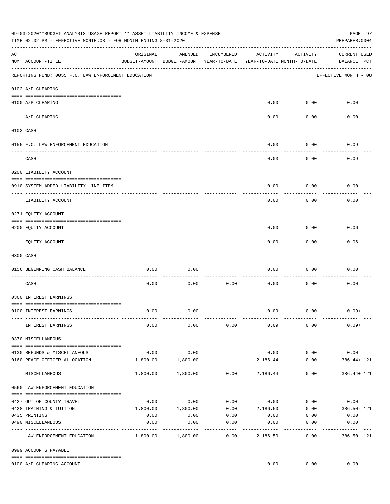|                | 09-03-2020**BUDGET ANALYSIS USAGE REPORT ** ASSET LIABILITY INCOME & EXPENSE<br>TIME: 02:02 PM - EFFECTIVE MONTH: 08 - FOR MONTH ENDING 8-31-2020                                                                                                                                                                                                                                                                                                                                                                                      |          |                                                     |                   |                                        |                   | PAGE 97<br>PREPARER: 0004          |
|----------------|----------------------------------------------------------------------------------------------------------------------------------------------------------------------------------------------------------------------------------------------------------------------------------------------------------------------------------------------------------------------------------------------------------------------------------------------------------------------------------------------------------------------------------------|----------|-----------------------------------------------------|-------------------|----------------------------------------|-------------------|------------------------------------|
| $\mathtt{ACT}$ | NUM ACCOUNT-TITLE                                                                                                                                                                                                                                                                                                                                                                                                                                                                                                                      | ORIGINAL | AMENDED<br>BUDGET-AMOUNT BUDGET-AMOUNT YEAR-TO-DATE | ENCUMBERED        | ACTIVITY<br>YEAR-TO-DATE MONTH-TO-DATE | ACTIVITY          | <b>CURRENT USED</b><br>BALANCE PCT |
|                | REPORTING FUND: 0055 F.C. LAW ENFORCEMENT EDUCATION                                                                                                                                                                                                                                                                                                                                                                                                                                                                                    |          |                                                     |                   |                                        |                   | EFFECTIVE MONTH - 08               |
|                | 0102 A/P CLEARING                                                                                                                                                                                                                                                                                                                                                                                                                                                                                                                      |          |                                                     |                   |                                        |                   |                                    |
|                | 0100 A/P CLEARING<br>---- ---------                                                                                                                                                                                                                                                                                                                                                                                                                                                                                                    |          |                                                     |                   | 0.00                                   | 0.00              | 0.00                               |
|                | A/P CLEARING                                                                                                                                                                                                                                                                                                                                                                                                                                                                                                                           |          |                                                     |                   | 0.00                                   | 0.00              | 0.00                               |
|                | 0103 CASH                                                                                                                                                                                                                                                                                                                                                                                                                                                                                                                              |          |                                                     |                   |                                        |                   |                                    |
|                | 0155 F.C. LAW ENFORCEMENT EDUCATION                                                                                                                                                                                                                                                                                                                                                                                                                                                                                                    |          |                                                     |                   | 0.03                                   | 0.00              | 0.09                               |
|                | CASH                                                                                                                                                                                                                                                                                                                                                                                                                                                                                                                                   |          |                                                     |                   | 0.03                                   | 0.00              | 0.09                               |
|                | 0200 LIABILITY ACCOUNT                                                                                                                                                                                                                                                                                                                                                                                                                                                                                                                 |          |                                                     |                   |                                        |                   |                                    |
|                | 0910 SYSTEM ADDED LIABILITY LINE-ITEM                                                                                                                                                                                                                                                                                                                                                                                                                                                                                                  |          |                                                     |                   | 0.00                                   | 0.00              | 0.00                               |
|                | LIABILITY ACCOUNT                                                                                                                                                                                                                                                                                                                                                                                                                                                                                                                      |          |                                                     |                   | 0.00                                   | 0.00              | 0.00                               |
|                | 0271 EQUITY ACCOUNT                                                                                                                                                                                                                                                                                                                                                                                                                                                                                                                    |          |                                                     |                   |                                        |                   |                                    |
|                | 0200 EQUITY ACCOUNT                                                                                                                                                                                                                                                                                                                                                                                                                                                                                                                    |          |                                                     |                   | 0.00                                   | 0.00              | 0.06                               |
|                | EQUITY ACCOUNT                                                                                                                                                                                                                                                                                                                                                                                                                                                                                                                         |          |                                                     |                   | 0.00                                   | 0.00              | 0.06                               |
|                | 0300 CASH                                                                                                                                                                                                                                                                                                                                                                                                                                                                                                                              |          |                                                     |                   |                                        |                   |                                    |
|                | 0156 BEGINNING CASH BALANCE                                                                                                                                                                                                                                                                                                                                                                                                                                                                                                            | 0.00     | 0.00                                                |                   | 0.00                                   | 0.00              | 0.00                               |
|                | CASH                                                                                                                                                                                                                                                                                                                                                                                                                                                                                                                                   | 0.00     | 0.00                                                | 0.00              | 0.00                                   | 0.00              | 0.00                               |
|                | 0360 INTEREST EARNINGS                                                                                                                                                                                                                                                                                                                                                                                                                                                                                                                 |          |                                                     |                   |                                        |                   |                                    |
|                | 0100 INTEREST EARNINGS                                                                                                                                                                                                                                                                                                                                                                                                                                                                                                                 | 0.00     | 0.00                                                |                   | 0.09                                   | 0.00              | $0.09+$                            |
|                | INTEREST EARNINGS                                                                                                                                                                                                                                                                                                                                                                                                                                                                                                                      | 0.00     | 0.00                                                | 0.00              | 0.09                                   | 0.00              | $0.09+$                            |
|                | 0370 MISCELLANEOUS                                                                                                                                                                                                                                                                                                                                                                                                                                                                                                                     |          |                                                     |                   |                                        |                   |                                    |
|                | $\begin{minipage}{0.03\textwidth} \centering \begin{tabular}{ l l l } \hline \texttt{0.03\textwidth} \centering \end{tabular} \end{minipage} \begin{minipage}{0.03\textwidth} \centering \begin{tabular}{ l l l } \hline \texttt{0.03\textwidth} \centering \end{tabular} \end{minipage} \end{minipage} \begin{minipage}{0.03\textwidth} \centering \begin{tabular}{ l l l l } \hline \texttt{0.03\textwidth} \centering \end{tabular} \end{minipage} \end{minipage} \begin{minipage}{0.03\textwidth}$<br>0130 REFUNDS & MISCELLANEOUS | 0.00     | 0.00                                                |                   |                                        | $0.00$ 0.00       | 0.00                               |
|                | 0160 PEACE OFFICER ALLOCATION                                                                                                                                                                                                                                                                                                                                                                                                                                                                                                          | 1,800.00 | 1,800.00                                            |                   | 2,186.44                               | 0.00              | 386.44+ 121                        |
|                | MISCELLANEOUS                                                                                                                                                                                                                                                                                                                                                                                                                                                                                                                          |          | 1,800.00 1,800.00                                   |                   | $0.00$ 2,186.44                        | 0.00              | 386.44+ 121                        |
|                | 0560 LAW ENFORCEMENT EDUCATION                                                                                                                                                                                                                                                                                                                                                                                                                                                                                                         |          |                                                     |                   |                                        |                   |                                    |
|                | 0427 OUT OF COUNTY TRAVEL                                                                                                                                                                                                                                                                                                                                                                                                                                                                                                              | 0.00     | 0.00                                                |                   |                                        |                   | $0.00$ $0.00$ $0.00$ $0.00$ $0.00$ |
|                | 0428 TRAINING & TUITION                                                                                                                                                                                                                                                                                                                                                                                                                                                                                                                |          | 1,800.00    1,800.00                                |                   |                                        |                   | $0.00$ 2,186.50 0.00 386.50 121    |
|                | 0435 PRINTING                                                                                                                                                                                                                                                                                                                                                                                                                                                                                                                          | 0.00     | 0.00                                                | 0.00              | 0.00                                   | 0.00              | 0.00                               |
|                | 0490 MISCELLANEOUS                                                                                                                                                                                                                                                                                                                                                                                                                                                                                                                     | 0.00     | 0.00<br>----------                                  | 0.00<br>--------- | 0.00<br>----------                     | 0.00<br>--------- | 0.00<br>---------- ---             |
|                | LAW ENFORCEMENT EDUCATION                                                                                                                                                                                                                                                                                                                                                                                                                                                                                                              |          | 1,800.00 1,800.00                                   | 0.00              | 2,186.50                               | 0.00              | 386.50-121                         |
|                | 0999 ACCOUNTS PAYABLE                                                                                                                                                                                                                                                                                                                                                                                                                                                                                                                  |          |                                                     |                   |                                        |                   |                                    |
|                | 0100 A/P CLEARING ACCOUNT                                                                                                                                                                                                                                                                                                                                                                                                                                                                                                              |          |                                                     |                   | 0.00                                   | 0.00              | 0.00                               |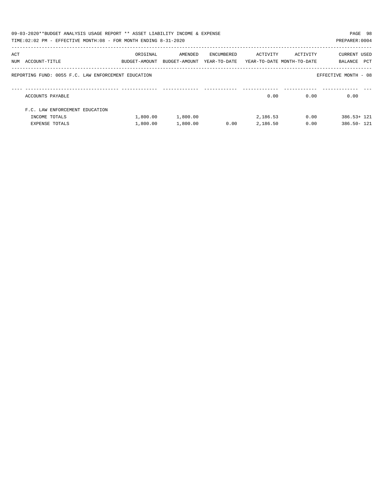|     | 09-03-2020**BUDGET ANALYSIS USAGE REPORT ** ASSET LIABILITY INCOME & EXPENSE<br>TIME:02:02 PM - EFFECTIVE MONTH:08 - FOR MONTH ENDING 8-31-2020 |                           |                          |                            |                                        |          | PAGE 98<br>PREPARER: 0004      |
|-----|-------------------------------------------------------------------------------------------------------------------------------------------------|---------------------------|--------------------------|----------------------------|----------------------------------------|----------|--------------------------------|
| ACT | NUM ACCOUNT-TITLE                                                                                                                               | ORIGINAL<br>BUDGET-AMOUNT | AMENDED<br>BUDGET-AMOUNT | ENCUMBERED<br>YEAR-TO-DATE | ACTIVITY<br>YEAR-TO-DATE MONTH-TO-DATE | ACTIVITY | CURRENT USED<br>PCT<br>BALANCE |
|     | REPORTING FUND: 0055 F.C. LAW ENFORCEMENT EDUCATION                                                                                             |                           |                          |                            |                                        |          | EFFECTIVE MONTH - 08           |
|     | ACCOUNTS PAYABLE                                                                                                                                |                           |                          |                            | 0.00                                   | 0.00     | 0.00                           |
|     | F.C. LAW ENFORCEMENT EDUCATION                                                                                                                  |                           |                          |                            |                                        |          |                                |
|     | INCOME TOTALS                                                                                                                                   | 1,800.00                  | 1,800.00                 |                            | 2,186.53                               | 0.00     | $386.53 + 121$                 |
|     | EXPENSE TOTALS                                                                                                                                  | 1,800.00                  | 1,800.00                 | 0.00                       | 2,186.50                               | 0.00     | 386.50- 121                    |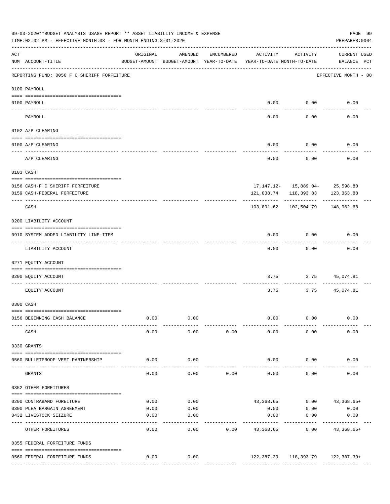|                    | 09-03-2020**BUDGET ANALYSIS USAGE REPORT ** ASSET LIABILITY INCOME & EXPENSE<br>TIME: 02:02 PM - EFFECTIVE MONTH: 08 - FOR MONTH ENDING 8-31-2020 |                                                      |         |            |                                        |                       | PAGE 99<br>PREPARER: 0004               |
|--------------------|---------------------------------------------------------------------------------------------------------------------------------------------------|------------------------------------------------------|---------|------------|----------------------------------------|-----------------------|-----------------------------------------|
| $\mathop{\rm ACT}$ | NUM ACCOUNT-TITLE                                                                                                                                 | ORIGINAL<br>BUDGET-AMOUNT BUDGET-AMOUNT YEAR-TO-DATE | AMENDED | ENCUMBERED | ACTIVITY<br>YEAR-TO-DATE MONTH-TO-DATE | ACTIVITY              | <b>CURRENT USED</b><br>BALANCE PCT      |
|                    | REPORTING FUND: 0056 F C SHERIFF FORFEITURE                                                                                                       |                                                      |         |            |                                        |                       | EFFECTIVE MONTH - 08                    |
|                    | 0100 PAYROLL                                                                                                                                      |                                                      |         |            |                                        |                       |                                         |
| $- - - - - - - -$  | 0100 PAYROLL                                                                                                                                      |                                                      |         |            |                                        | $0.00$ $0.00$         | 0.00                                    |
|                    | PAYROLL                                                                                                                                           |                                                      |         |            | 0.00                                   | 0.00                  | 0.00                                    |
|                    | 0102 A/P CLEARING                                                                                                                                 |                                                      |         |            |                                        |                       |                                         |
|                    | 0100 A/P CLEARING                                                                                                                                 |                                                      |         |            | 0.00                                   | 0.00                  | 0.00                                    |
|                    | A/P CLEARING                                                                                                                                      |                                                      |         |            | 0.00                                   | 0.00                  | 0.00                                    |
|                    | 0103 CASH                                                                                                                                         |                                                      |         |            |                                        |                       |                                         |
|                    |                                                                                                                                                   |                                                      |         |            |                                        |                       |                                         |
|                    | 0156 CASH-F C SHERIFF FORFEITURE                                                                                                                  |                                                      |         |            |                                        |                       | $17, 147, 12 - 15, 889.04 - 25, 598.80$ |
|                    | 0159 CASH-FEDERAL FORFEITURE                                                                                                                      |                                                      |         |            |                                        |                       | 121,038.74 118,393.83 123,363.88        |
|                    | CASH                                                                                                                                              |                                                      |         |            |                                        | 103,891.62 102,504.79 | 148,962.68                              |
|                    | 0200 LIABILITY ACCOUNT                                                                                                                            |                                                      |         |            |                                        |                       |                                         |
|                    | 0910 SYSTEM ADDED LIABILITY LINE-ITEM                                                                                                             |                                                      |         |            | 0.00                                   | 0.00                  | 0.00                                    |
|                    | LIABILITY ACCOUNT                                                                                                                                 |                                                      |         |            | 0.00                                   | 0.00                  | 0.00                                    |
|                    | 0271 EQUITY ACCOUNT                                                                                                                               |                                                      |         |            |                                        |                       |                                         |
|                    | 0200 EQUITY ACCOUNT                                                                                                                               |                                                      |         |            | 3.75                                   | 3.75                  | 45,074.81                               |
|                    | EQUITY ACCOUNT                                                                                                                                    |                                                      |         |            | 3.75                                   | 3.75                  | 45,074.81                               |
|                    | 0300 CASH                                                                                                                                         |                                                      |         |            |                                        |                       |                                         |
|                    | 0156 BEGINNING CASH BALANCE                                                                                                                       | 0.00                                                 | 0.00    |            | 0.00                                   | 0.00                  | 0.00                                    |
|                    | CASH                                                                                                                                              | 0.00                                                 | 0.00    | 0.00       | 0.00                                   | 0.00                  | 0.00                                    |
|                    | 0330 GRANTS                                                                                                                                       |                                                      |         |            |                                        |                       |                                         |
|                    | 0560 BULLETPROOF VEST PARTNERSHIP                                                                                                                 | 0.00                                                 | 0.00    |            | 0.00                                   | 0.00                  | 0.00                                    |
|                    | GRANTS                                                                                                                                            | 0.00                                                 | 0.00    | 0.00       | 0.00                                   | 0.00                  | 0.00                                    |
|                    | 0352 OTHER FOREITURES                                                                                                                             |                                                      |         |            |                                        |                       |                                         |
|                    | 0200 CONTRABAND FOREITURE                                                                                                                         | 0.00                                                 | 0.00    |            |                                        |                       | 43,368.65 0.00 43,368.65+               |
|                    | 0300 PLEA BARGAIN AGREEMENT                                                                                                                       | 0.00                                                 | 0.00    |            | 0.00                                   | 0.00                  | 0.00                                    |
|                    | 0432 LIVESTOCK SEIZURE                                                                                                                            | 0.00                                                 | 0.00    |            | 0.00                                   | 0.00                  | 0.00                                    |
|                    | OTHER FOREITURES                                                                                                                                  | 0.00                                                 | 0.00    | 0.00       | ---------<br>43,368.65                 | 0.00                  | $43,368.65+$                            |
|                    | 0355 FEDERAL FORFEITURE FUNDS                                                                                                                     |                                                      |         |            |                                        |                       |                                         |
|                    |                                                                                                                                                   |                                                      |         |            |                                        |                       |                                         |
|                    | 0560 FEDERAL FORFEITURE FUNDS                                                                                                                     | 0.00                                                 | 0.00    |            |                                        |                       | 122,387.39 118,393.79 122,387.39+       |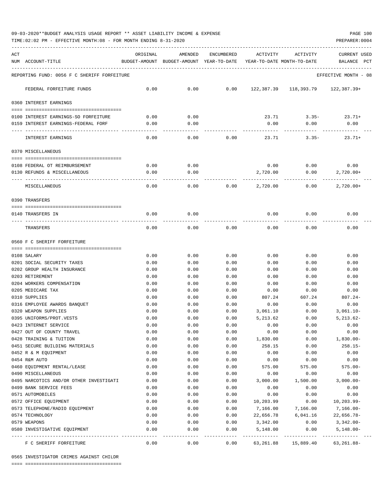TIME:02:02 PM - EFFECTIVE MONTH:08 - FOR MONTH ENDING 8-31-2020 PREPARER:0004

| ACT | NUM ACCOUNT-TITLE                              | ORIGINAL     | AMENDED<br>BUDGET-AMOUNT BUDGET-AMOUNT YEAR-TO-DATE | ENCUMBERED                | ACTIVITY<br>YEAR-TO-DATE MONTH-TO-DATE | ACTIVITY                 | <b>CURRENT USED</b><br>BALANCE<br>PCT |
|-----|------------------------------------------------|--------------|-----------------------------------------------------|---------------------------|----------------------------------------|--------------------------|---------------------------------------|
|     | REPORTING FUND: 0056 F C SHERIFF FORFEITURE    |              |                                                     |                           |                                        |                          | EFFECTIVE MONTH - 08                  |
|     | FEDERAL FORFEITURE FUNDS                       | 0.00         | 0.00                                                | 0.00                      | 122,387.39                             |                          |                                       |
|     | 0360 INTEREST EARNINGS                         |              |                                                     |                           |                                        |                          |                                       |
|     | 0100 INTEREST EARNINGS-SO FORFEITURE           | 0.00         | 0.00                                                |                           | 23.71                                  | $3.35-$                  | $23.71+$                              |
|     | 0159 INTEREST EARNINGS-FEDERAL FORF            | 0.00         | 0.00                                                |                           | 0.00                                   | 0.00                     | 0.00                                  |
|     |                                                |              |                                                     |                           |                                        |                          |                                       |
|     | INTEREST EARNINGS                              | 0.00         | 0.00                                                | 0.00                      | 23.71                                  | $3.35 -$                 | $23.71+$                              |
|     | 0370 MISCELLANEOUS                             |              |                                                     |                           |                                        |                          |                                       |
|     | 0108 FEDERAL OT REIMBURSEMENT                  | 0.00         | 0.00                                                |                           | 0.00                                   | 0.00                     | 0.00                                  |
|     | 0130 REFUNDS & MISCELLANEOUS                   | 0.00         | 0.00                                                |                           | 2,720.00                               | 0.00                     | $2,720.00+$                           |
|     |                                                |              |                                                     |                           |                                        |                          |                                       |
|     | MISCELLANEOUS                                  | 0.00         | 0.00                                                | 0.00                      | 2,720.00                               | 0.00                     | $2.720.00+$                           |
|     | 0390 TRANSFERS                                 |              |                                                     |                           |                                        |                          |                                       |
|     |                                                |              |                                                     |                           |                                        |                          |                                       |
|     | 0140 TRANSFERS IN                              | 0.00         | 0.00                                                |                           | 0.00                                   | 0.00                     | 0.00                                  |
|     | TRANSFERS                                      | 0.00         | 0.00                                                | 0.00                      | 0.00                                   | 0.00                     | 0.00                                  |
|     | 0560 F C SHERIFF FORFEITURE                    |              |                                                     |                           |                                        |                          |                                       |
|     |                                                |              |                                                     |                           |                                        |                          |                                       |
|     | 0108 SALARY                                    | 0.00         | 0.00                                                | 0.00                      | 0.00                                   | 0.00                     | 0.00                                  |
|     | 0201 SOCIAL SECURITY TAXES                     | 0.00         | 0.00                                                | 0.00                      | 0.00                                   | 0.00                     | 0.00                                  |
|     | 0202 GROUP HEALTH INSURANCE                    | 0.00         | 0.00                                                | 0.00                      | 0.00                                   | 0.00                     | 0.00                                  |
|     | 0203 RETIREMENT                                | 0.00         | 0.00                                                | 0.00                      | 0.00                                   | 0.00                     | 0.00                                  |
|     | 0204 WORKERS COMPENSATION<br>0205 MEDICARE TAX | 0.00         | 0.00                                                | 0.00                      | 0.00                                   | 0.00                     | 0.00                                  |
|     | 0310 SUPPLIES                                  | 0.00<br>0.00 | 0.00<br>0.00                                        | 0.00<br>0.00              | 0.00<br>807.24                         | 0.00<br>607.24           | 0.00<br>$807.24-$                     |
|     | 0316 EMPLOYEE AWARDS BANOUET                   | 0.00         | 0.00                                                | 0.00                      | 0.00                                   | 0.00                     | 0.00                                  |
|     | 0320 WEAPON SUPPLIES                           | 0.00         | 0.00                                                | 0.00                      | 3,061.10                               | 0.00                     | $3,061.10 -$                          |
|     | 0395 UNIFORMS/PROT.VESTS                       | 0.00         | 0.00                                                | 0.00                      | 5,213.62                               | 0.00                     | $5, 213.62 -$                         |
|     | 0423 INTERNET SERVICE                          | 0.00         | 0.00                                                | 0.00                      | 0.00                                   | 0.00                     | 0.00                                  |
|     | 0427 OUT OF COUNTY TRAVEL                      | 0.00         | 0.00                                                | 0.00                      | 0.00                                   | 0.00                     | 0.00                                  |
|     | 0428 TRAINING & TUITION                        | 0.00         | 0.00                                                | 0.00                      | 1,830.00                               | 0.00                     | $1,830.00 -$                          |
|     | 0451 SECURE BUILDING MATERIALS                 | 0.00         | 0.00                                                | 0.00                      | 258.15                                 | 0.00                     | $258.15-$                             |
|     | 0452 R & M EQUIPMENT                           | 0.00         | 0.00                                                | 0.00                      | 0.00                                   | 0.00                     | 0.00                                  |
|     | 0454 R&M AUTO                                  | 0.00         | 0.00                                                | 0.00                      | 0.00                                   | 0.00                     | 0.00                                  |
|     | 0460 EQUIPMENT RENTAL/LEASE                    | 0.00         | 0.00                                                | 0.00                      | 575.00                                 | 575.00                   | $575.00 -$                            |
|     | 0490 MISCELLANEOUS                             | 0.00         | 0.00                                                | 0.00                      | 0.00                                   | 0.00                     | 0.00                                  |
|     | 0495 NARCOTICS AND/OR OTHER INVESTIGATI        | 0.00         | 0.00                                                | 0.00                      | 3,000.00                               | 1,500.00                 | $3,000.00-$                           |
|     | 0499 BANK SERVICE FEES                         | 0.00         | 0.00                                                | 0.00                      | 0.00                                   | 0.00                     | 0.00                                  |
|     | 0571 AUTOMOBILES                               | 0.00         | 0.00                                                | 0.00                      | 0.00                                   | 0.00                     | 0.00                                  |
|     | 0572 OFFICE EQUIPMENT                          | 0.00         | 0.00                                                | 0.00                      | 10,203.99                              | 0.00                     | $10, 203.99 -$                        |
|     | 0573 TELEPHONE/RADIO EQUIPMENT                 | 0.00         | 0.00                                                | 0.00                      | 7,166.00                               | 7,166.00                 | 7,166.00-                             |
|     | 0574 TECHNOLOGY<br>0579 WEAPONS                | 0.00<br>0.00 | 0.00<br>0.00                                        | 0.00<br>0.00              | 22,656.78                              | 6,041.16<br>0.00         | $22,656.78-$                          |
|     | 0580 INVESTIGATIVE EQUIPMENT                   | 0.00         | 0.00                                                | 0.00                      | 3,342.00<br>5,148.00                   | 0.00                     | 3,342.00-<br>$5,148.00 -$             |
|     | F C SHERIFF FORFEITURE                         | 0.00         | $- - - - -$<br>0.00                                 | $--- - - - - - -$<br>0.00 | 63,261.88                              | -----------<br>15,889.40 | -----------<br>63,261.88-             |

0565 INVESTIGATOR CRIMES AGAINST CHILDR

==== ===================================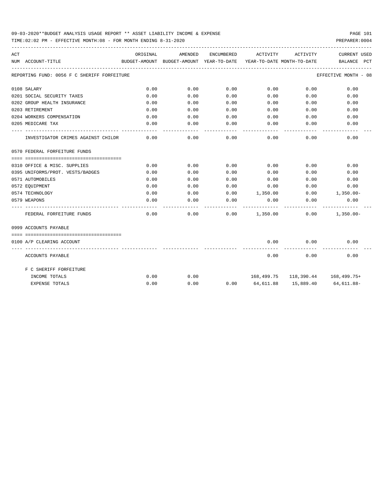| ACT |                                             | ORIGINAL | AMENDED                                                             | ENCUMBERED | ACTIVITY            | ACTIVITY                                | CURRENT USED         |  |
|-----|---------------------------------------------|----------|---------------------------------------------------------------------|------------|---------------------|-----------------------------------------|----------------------|--|
|     | NUM ACCOUNT-TITLE                           |          | BUDGET-AMOUNT BUDGET-AMOUNT YEAR-TO-DATE YEAR-TO-DATE_MONTH-TO-DATE |            |                     |                                         | BALANCE PCT          |  |
|     | REPORTING FUND: 0056 F C SHERIFF FORFEITURE |          |                                                                     |            |                     |                                         | EFFECTIVE MONTH - 08 |  |
|     | 0108 SALARY                                 | 0.00     | 0.00                                                                | 0.00       | 0.00                | 0.00                                    | 0.00                 |  |
|     | 0201 SOCIAL SECURITY TAXES                  | 0.00     | 0.00                                                                | 0.00       | 0.00                | 0.00                                    | 0.00                 |  |
|     | 0202 GROUP HEALTH INSURANCE                 | 0.00     | 0.00                                                                | 0.00       | 0.00                | 0.00                                    | 0.00                 |  |
|     | 0203 RETIREMENT                             | 0.00     | 0.00                                                                | 0.00       | 0.00                | 0.00                                    | 0.00                 |  |
|     | 0204 WORKERS COMPENSATION                   | 0.00     | 0.00                                                                | 0.00       | 0.00                | 0.00                                    | 0.00                 |  |
|     | 0205 MEDICARE TAX                           | 0.00     | 0.00                                                                | 0.00       | 0.00                | 0.00                                    | 0.00                 |  |
|     | INVESTIGATOR CRIMES AGAINST CHILDR          | 0.00     | 0.00                                                                | 0.00       | 0.00                | 0.00                                    | 0.00                 |  |
|     | 0570 FEDERAL FORFEITURE FUNDS               |          |                                                                     |            |                     |                                         |                      |  |
|     | 0310 OFFICE & MISC. SUPPLIES                | 0.00     | 0.00                                                                | 0.00       | 0.00                | 0.00                                    | 0.00                 |  |
|     | 0395 UNIFORMS/PROT. VESTS/BADGES            | 0.00     | 0.00                                                                | 0.00       | 0.00                | 0.00                                    | 0.00                 |  |
|     | 0571 AUTOMOBILES                            | 0.00     | 0.00                                                                | 0.00       | 0.00                | 0.00                                    | 0.00                 |  |
|     | 0572 EQUIPMENT                              | 0.00     | 0.00                                                                | 0.00       | 0.00                | 0.00                                    | 0.00                 |  |
|     | 0574 TECHNOLOGY                             | 0.00     | 0.00                                                                | 0.00       | 1,350.00            |                                         | $0.00$ 1,350.00-     |  |
|     | 0579 WEAPONS                                | 0.00     | 0.00                                                                | 0.00       | 0.00                | 0.00                                    | 0.00                 |  |
|     | FEDERAL FORFEITURE FUNDS                    | 0.00     | 0.00                                                                |            | $0.00$ 1,350.00     |                                         | $0.00$ 1,350.00-     |  |
|     | 0999 ACCOUNTS PAYABLE                       |          |                                                                     |            |                     |                                         |                      |  |
|     | 0100 A/P CLEARING ACCOUNT                   |          |                                                                     |            | 0.00                | 0.00                                    | 0.00                 |  |
|     | ACCOUNTS PAYABLE                            |          |                                                                     |            | -----------<br>0.00 | ---------                               | 0.00<br>0.00         |  |
|     | F C SHERIFF FORFEITURE                      |          |                                                                     |            |                     |                                         |                      |  |
|     | INCOME TOTALS                               | 0.00     | 0.00                                                                |            |                     | 168, 499. 75 118, 390. 44 168, 499. 75+ |                      |  |
|     | <b>EXPENSE TOTALS</b>                       | 0.00     | 0.00                                                                | 0.00       |                     | 64,611.88 15,889.40                     | 64,611.88-           |  |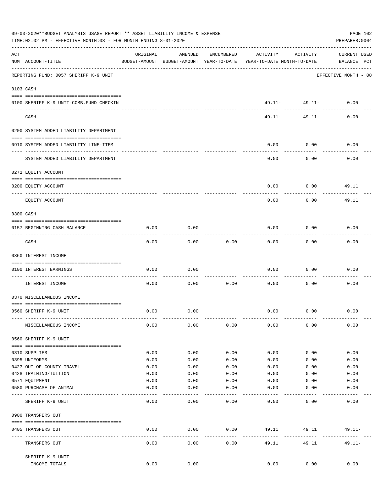|     | 09-03-2020**BUDGET ANALYSIS USAGE REPORT ** ASSET LIABILITY INCOME & EXPENSE<br>TIME:02:02 PM - EFFECTIVE MONTH:08 - FOR MONTH ENDING 8-31-2020 |              |                                                     |                  |                                        |                        | PAGE 102<br>PREPARER: 0004         |  |
|-----|-------------------------------------------------------------------------------------------------------------------------------------------------|--------------|-----------------------------------------------------|------------------|----------------------------------------|------------------------|------------------------------------|--|
| ACT | NUM ACCOUNT-TITLE                                                                                                                               | ORIGINAL     | AMENDED<br>BUDGET-AMOUNT BUDGET-AMOUNT YEAR-TO-DATE | ENCUMBERED       | ACTIVITY<br>YEAR-TO-DATE MONTH-TO-DATE | ACTIVITY               | <b>CURRENT USED</b><br>BALANCE PCT |  |
|     | REPORTING FUND: 0057 SHERIFF K-9 UNIT                                                                                                           |              |                                                     |                  |                                        |                        | EFFECTIVE MONTH - 08               |  |
|     | 0103 CASH                                                                                                                                       |              |                                                     |                  |                                        |                        |                                    |  |
|     | 0100 SHERIFF K-9 UNIT-COMB. FUND CHECKIN                                                                                                        |              |                                                     |                  | $49.11 -$                              | $49.11 -$              | 0.00                               |  |
|     | CASH                                                                                                                                            |              |                                                     |                  | $49.11 -$                              | ---------<br>$49.11 -$ | 0.00                               |  |
|     | 0200 SYSTEM ADDED LIABILITY DEPARTMENT                                                                                                          |              |                                                     |                  |                                        |                        |                                    |  |
|     | 0910 SYSTEM ADDED LIABILITY LINE-ITEM                                                                                                           |              |                                                     |                  | 0.00                                   | 0.00                   | 0.00                               |  |
|     | SYSTEM ADDED LIABILITY DEPARTMENT                                                                                                               |              |                                                     |                  | 0.00                                   | 0.00                   | 0.00                               |  |
|     | 0271 EQUITY ACCOUNT                                                                                                                             |              |                                                     |                  |                                        |                        |                                    |  |
|     | 0200 EQUITY ACCOUNT                                                                                                                             |              |                                                     |                  | 0.00                                   | 0.00                   | 49.11                              |  |
|     |                                                                                                                                                 |              |                                                     |                  |                                        |                        |                                    |  |
|     | EQUITY ACCOUNT                                                                                                                                  |              |                                                     |                  | 0.00                                   | 0.00                   | 49.11                              |  |
|     | 0300 CASH                                                                                                                                       |              |                                                     |                  |                                        |                        |                                    |  |
|     | 0157 BEGINNING CASH BALANCE                                                                                                                     | 0.00         | 0.00                                                |                  | 0.00                                   | 0.00                   | 0.00                               |  |
|     | CASH                                                                                                                                            | 0.00         | 0.00                                                | 0.00             | 0.00                                   | 0.00                   | 0.00                               |  |
|     | 0360 INTEREST INCOME                                                                                                                            |              |                                                     |                  |                                        |                        |                                    |  |
|     | 0100 INTEREST EARNINGS                                                                                                                          | 0.00         | 0.00                                                |                  | 0.00                                   | 0.00                   | 0.00                               |  |
|     | INTEREST INCOME                                                                                                                                 | 0.00         | 0.00                                                | 0.00             | 0.00                                   | 0.00                   | 0.00                               |  |
|     | 0370 MISCELLANEOUS INCOME                                                                                                                       |              |                                                     |                  |                                        |                        |                                    |  |
|     | 0560 SHERIFF K-9 UNIT                                                                                                                           | 0.00         | 0.00                                                |                  | 0.00                                   | 0.00                   | 0.00                               |  |
|     | MISCELLANEOUS INCOME                                                                                                                            | 0.00         |                                                     | 0.00             | 0.00                                   | 0.00                   | 0.00                               |  |
|     |                                                                                                                                                 |              | 0.00                                                |                  |                                        |                        |                                    |  |
|     | 0560 SHERIFF K-9 UNIT                                                                                                                           |              |                                                     |                  |                                        |                        |                                    |  |
|     | 0310 SUPPLIES                                                                                                                                   | 0.00         | 0.00                                                | 0.00             | 0.00                                   | 0.00                   | 0.00                               |  |
|     | 0395 UNIFORMS                                                                                                                                   | 0.00         | 0.00                                                | 0.00             | 0.00                                   | 0.00                   | 0.00                               |  |
|     | 0427 OUT OF COUNTY TRAVEL                                                                                                                       | 0.00         | 0.00                                                | 0.00             | 0.00                                   | 0.00                   | 0.00                               |  |
|     | 0428 TRAINING/TUITION<br>0571 EQUIPMENT                                                                                                         | 0.00<br>0.00 | 0.00<br>0.00                                        | 0.00<br>0.00     | 0.00<br>0.00                           | 0.00<br>0.00           | 0.00<br>0.00                       |  |
|     | 0580 PURCHASE OF ANIMAL                                                                                                                         | 0.00         | 0.00                                                | 0.00             | 0.00                                   | 0.00                   | 0.00                               |  |
|     | SHERIFF K-9 UNIT                                                                                                                                | 0.00         | 0.00                                                | 0.00             | 0.00                                   | 0.00                   | 0.00                               |  |
|     | 0900 TRANSFERS OUT                                                                                                                              |              |                                                     |                  |                                        |                        |                                    |  |
|     | 0405 TRANSFERS OUT                                                                                                                              | 0.00         | 0.00                                                | 0.00             | 49.11 49.11                            |                        | $49.11 -$                          |  |
|     | TRANSFERS OUT                                                                                                                                   | 0.00         | --------<br>0.00                                    | --------<br>0.00 | ---------<br>49.11                     | 49.11                  | $49.11 -$                          |  |
|     | SHERIFF K-9 UNIT                                                                                                                                |              |                                                     |                  |                                        |                        |                                    |  |
|     | INCOME TOTALS                                                                                                                                   | 0.00         | 0.00                                                |                  | 0.00                                   | 0.00                   | 0.00                               |  |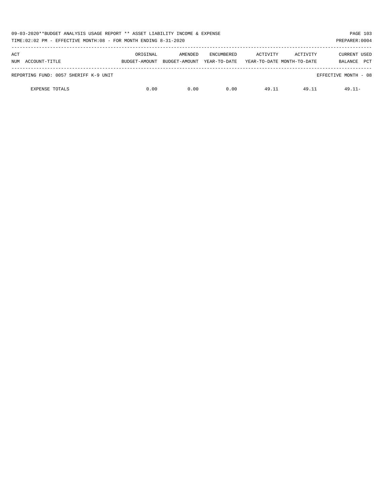| 09-03-2020**BUDGET ANALYSIS USAGE REPORT ** ASSET LIABILITY INCOME & EXPENSE<br>TIME:02:02 PM - EFFECTIVE MONTH:08 - FOR MONTH ENDING 8-31-2020 | PAGE 103<br>PREPARER: 0004 |                          |                                   |          |                                        |                                       |
|-------------------------------------------------------------------------------------------------------------------------------------------------|----------------------------|--------------------------|-----------------------------------|----------|----------------------------------------|---------------------------------------|
| ACT<br>NUM ACCOUNT-TITLE                                                                                                                        | ORIGINAL<br>BUDGET-AMOUNT  | AMENDED<br>BUDGET-AMOUNT | <b>ENCUMBERED</b><br>YEAR-TO-DATE | ACTIVITY | ACTIVITY<br>YEAR-TO-DATE MONTH-TO-DATE | CURRENT USED<br><b>PCT</b><br>BALANCE |
| REPORTING FUND: 0057 SHERIFF K-9 UNIT                                                                                                           |                            |                          |                                   |          |                                        | EFFECTIVE MONTH - 08                  |
| <b>EXPENSE TOTALS</b>                                                                                                                           | 0.00                       | 0.00                     | 0.00                              | 49.11    | 49.11                                  | $49.11 -$                             |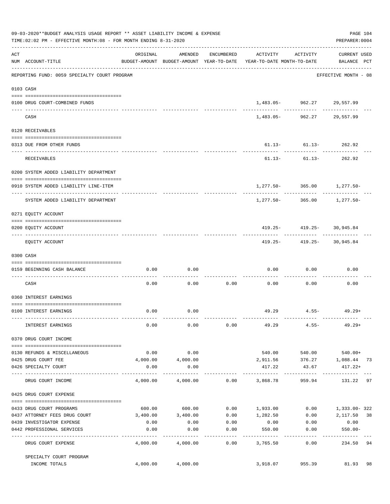|     | 09-03-2020**BUDGET ANALYSIS USAGE REPORT ** ASSET LIABILITY INCOME & EXPENSE<br>TIME: 02:02 PM - EFFECTIVE MONTH: 08 - FOR MONTH ENDING 8-31-2020 |                    |                       |                    |                                                                                 |                                                                | PAGE 104<br>PREPARER: 0004         |    |
|-----|---------------------------------------------------------------------------------------------------------------------------------------------------|--------------------|-----------------------|--------------------|---------------------------------------------------------------------------------|----------------------------------------------------------------|------------------------------------|----|
| ACT | NUM ACCOUNT-TITLE                                                                                                                                 | ORIGINAL           |                       | AMENDED ENCUMBERED | ACTIVITY<br>BUDGET-AMOUNT BUDGET-AMOUNT YEAR-TO-DATE YEAR-TO-DATE MONTH-TO-DATE | ACTIVITY                                                       | <b>CURRENT USED</b><br>BALANCE PCT |    |
|     | REPORTING FUND: 0059 SPECIALTY COURT PROGRAM                                                                                                      |                    |                       |                    |                                                                                 |                                                                | EFFECTIVE MONTH - 08               |    |
|     | 0103 CASH                                                                                                                                         |                    |                       |                    |                                                                                 |                                                                |                                    |    |
|     | 0100 DRUG COURT-COMBINED FUNDS                                                                                                                    |                    |                       |                    |                                                                                 | 1,483.05- 962.27 29,557.99                                     |                                    |    |
|     | CASH                                                                                                                                              |                    |                       |                    |                                                                                 | ---------- ------------<br>1,483.05 - 962.27 29,557.99         | __________                         |    |
|     |                                                                                                                                                   |                    |                       |                    |                                                                                 |                                                                |                                    |    |
|     | 0120 RECEIVABLES                                                                                                                                  |                    |                       |                    |                                                                                 |                                                                |                                    |    |
|     | 0313 DUE FROM OTHER FUNDS                                                                                                                         |                    |                       |                    |                                                                                 | $61.13 - 61.13 - 262.92$<br>--------- ------------ ----------- |                                    |    |
|     | RECEIVABLES                                                                                                                                       |                    |                       |                    |                                                                                 | $61.13 - 61.13 - 262.92$                                       |                                    |    |
|     | 0200 SYSTEM ADDED LIABILITY DEPARTMENT                                                                                                            |                    |                       |                    |                                                                                 |                                                                |                                    |    |
|     | 0910 SYSTEM ADDED LIABILITY LINE-ITEM                                                                                                             |                    |                       |                    |                                                                                 | 1,277.50- 365.00 1,277.50-                                     |                                    |    |
|     | SYSTEM ADDED LIABILITY DEPARTMENT                                                                                                                 |                    |                       |                    |                                                                                 | $1,277.50 - 365.00$ $1,277.50 -$                               |                                    |    |
|     | 0271 EQUITY ACCOUNT                                                                                                                               |                    |                       |                    |                                                                                 |                                                                |                                    |    |
|     | 0200 EQUITY ACCOUNT                                                                                                                               |                    |                       |                    |                                                                                 | $419.25 - 419.25 - 30.945.84$                                  |                                    |    |
|     | EQUITY ACCOUNT                                                                                                                                    |                    |                       |                    |                                                                                 | $419.25 - 419.25 - 30.945.84$                                  |                                    |    |
|     | 0300 CASH                                                                                                                                         |                    |                       |                    |                                                                                 |                                                                |                                    |    |
|     | 0159 BEGINNING CASH BALANCE                                                                                                                       | 0.00               | 0.00                  |                    | 0.00                                                                            | 0.00                                                           | 0.00                               |    |
|     |                                                                                                                                                   |                    |                       | ---------- -       |                                                                                 |                                                                |                                    |    |
|     | CASH                                                                                                                                              | 0.00               | 0.00                  | 0.00               | 0.00                                                                            | 0.00                                                           | 0.00                               |    |
|     | 0360 INTEREST EARNINGS                                                                                                                            |                    |                       |                    |                                                                                 |                                                                |                                    |    |
|     | 0100 INTEREST EARNINGS                                                                                                                            | 0.00               | 0.00                  |                    |                                                                                 | $49.29$ $4.55 49.29+$                                          |                                    |    |
|     | INTEREST EARNINGS                                                                                                                                 | 0.00               | 0.00                  | 0.00               |                                                                                 | $49.29$ $4.55 49.29+$                                          |                                    |    |
|     | 0370 DRUG COURT INCOME                                                                                                                            |                    |                       |                    |                                                                                 |                                                                |                                    |    |
|     | 0130 REFUNDS & MISCELLANEOUS                                                                                                                      | 0.00               | 0.00                  |                    | 540.00                                                                          | 540.00                                                         | 540.00+                            |    |
|     | 0425 DRUG COURT FEE                                                                                                                               |                    | $4,000.00$ $4,000.00$ |                    | 2,911.56                                                                        |                                                                | 376.27 1,088.44 73                 |    |
|     | 0426 SPECIALTY COURT<br>----------------- --                                                                                                      | 0.00<br>---------- | 0.00<br>-----------   |                    | 417.22<br>-----------                                                           | 43.67<br>------------                                          | $417.22+$<br>-------------         |    |
|     | DRUG COURT INCOME                                                                                                                                 | 4,000.00           | 4,000.00              |                    | $0.00$ 3,868.78                                                                 | 959.94                                                         | 131.22                             | 97 |
|     | 0425 DRUG COURT EXPENSE                                                                                                                           |                    |                       |                    |                                                                                 |                                                                |                                    |    |
|     | 0433 DRUG COURT PROGRAMS                                                                                                                          |                    |                       |                    | $600.00$ $600.00$ $0.00$ $1,933.00$ $0.00$ $1,333.00$ $322$                     |                                                                |                                    |    |
|     | 0437 ATTORNEY FEES DRUG COURT                                                                                                                     | 3,400.00           | 3,400.00              | 0.00               | 1,282.50                                                                        | 0.00                                                           | 2,117.50                           | 38 |
|     | 0439 INVESTIGATOR EXPENSE                                                                                                                         | 0.00               | 0.00                  | 0.00               | 0.00                                                                            | 0.00                                                           | 0.00                               |    |
|     | 0442 PROFESSIONAL SERVICES                                                                                                                        | 0.00<br>---------- | 0.00<br>----------    | 0.00<br>---------  | 550.00<br>---------                                                             | 0.00<br>$- - - - - - - -$                                      | $550.00 -$<br>----------           |    |
|     | DRUG COURT EXPENSE                                                                                                                                | 4,000.00           | 4,000.00              | 0.00               | 3,765.50                                                                        | 0.00                                                           | 234.50                             | 94 |
|     | SPECIALTY COURT PROGRAM<br>INCOME TOTALS                                                                                                          | 4,000.00           | 4,000.00              |                    | 3,918.07                                                                        | 955.39                                                         | 81.93                              | 98 |
|     |                                                                                                                                                   |                    |                       |                    |                                                                                 |                                                                |                                    |    |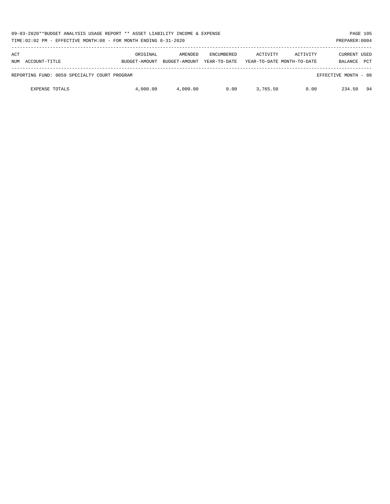| 09-03-2020**BUDGET ANALYSIS USAGE REPORT ** ASSET LIABILITY INCOME & EXPENSE<br>TIME:02:02 PM - EFFECTIVE MONTH:08 - FOR MONTH ENDING 8-31-2020 |                           |                          |                                   |                                        |          | PREPARER: 0004          | PAGE 105   |
|-------------------------------------------------------------------------------------------------------------------------------------------------|---------------------------|--------------------------|-----------------------------------|----------------------------------------|----------|-------------------------|------------|
| ACT<br>NUM ACCOUNT-TITLE                                                                                                                        | ORIGINAL<br>BUDGET-AMOUNT | AMENDED<br>BUDGET-AMOUNT | <b>ENCUMBERED</b><br>YEAR-TO-DATE | ACTIVITY<br>YEAR-TO-DATE MONTH-TO-DATE | ACTIVITY | CURRENT USED<br>BALANCE | <b>PCT</b> |
| REPORTING FUND: 0059 SPECIALTY COURT PROGRAM                                                                                                    |                           |                          |                                   |                                        |          | EFFECTIVE MONTH - 08    |            |
| <b>EXPENSE TOTALS</b>                                                                                                                           | 4,000.00                  | 4,000.00                 | 0.00                              | 3,765.50                               | 0.00     | 234.50                  | 94         |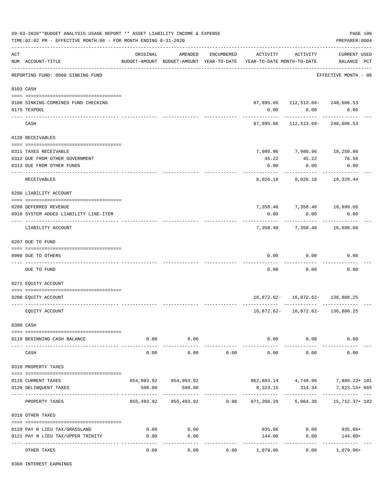|     | 09-03-2020**BUDGET ANALYSIS USAGE REPORT ** ASSET LIABILITY INCOME & EXPENSE<br>TIME: 02:02 PM - EFFECTIVE MONTH: 08 - FOR MONTH ENDING 8-31-2020 |                 |                                 |            |                                                                     |                                      |                                                                             |  |  |  |
|-----|---------------------------------------------------------------------------------------------------------------------------------------------------|-----------------|---------------------------------|------------|---------------------------------------------------------------------|--------------------------------------|-----------------------------------------------------------------------------|--|--|--|
| ACT | NUM ACCOUNT-TITLE                                                                                                                                 | ORIGINAL        | AMENDED                         | ENCUMBERED | BUDGET-AMOUNT BUDGET-AMOUNT YEAR-TO-DATE YEAR-TO-DATE MONTH-TO-DATE | ACTIVITY ACTIVITY                    | <b>CURRENT USED</b><br>BALANCE PCT                                          |  |  |  |
|     | REPORTING FUND: 0060 SINKING FUND                                                                                                                 |                 |                                 |            |                                                                     |                                      | EFFECTIVE MONTH - 08                                                        |  |  |  |
|     | 0103 CASH                                                                                                                                         |                 |                                 |            |                                                                     |                                      |                                                                             |  |  |  |
|     |                                                                                                                                                   |                 |                                 |            |                                                                     |                                      |                                                                             |  |  |  |
|     | 0100 SINKING-COMBINED FUND CHECKING                                                                                                               |                 |                                 |            |                                                                     | 87,895.66 112,513.60- 240,606.53     |                                                                             |  |  |  |
|     | 0175 TEXPOOL                                                                                                                                      |                 |                                 |            | 0.00                                                                | 0.00                                 | 0.00                                                                        |  |  |  |
|     | CASH                                                                                                                                              |                 |                                 |            |                                                                     | 87,895.66 112,513.60- 240,606.53     |                                                                             |  |  |  |
|     | 0120 RECEIVABLES                                                                                                                                  |                 |                                 |            |                                                                     |                                      |                                                                             |  |  |  |
|     |                                                                                                                                                   |                 |                                 |            |                                                                     |                                      |                                                                             |  |  |  |
|     | 0311 TAXES RECEIVABLE                                                                                                                             |                 |                                 |            |                                                                     | 7,980.96 7,980.96 18,250.88          |                                                                             |  |  |  |
|     | 0312 DUE FROM OTHER GOVERNMENT                                                                                                                    |                 |                                 |            | 45.22                                                               | 45.22                                | 78.56                                                                       |  |  |  |
|     | 0313 DUE FROM OTHER FUNDS                                                                                                                         |                 |                                 |            | 0.00                                                                | 0.00                                 | 0.00                                                                        |  |  |  |
|     | RECEIVABLES                                                                                                                                       |                 |                                 |            | 8,026.18                                                            | ---------<br>8,026.18                | 18,329.44                                                                   |  |  |  |
|     | 0200 LIABILITY ACCOUNT                                                                                                                            |                 |                                 |            |                                                                     |                                      |                                                                             |  |  |  |
|     |                                                                                                                                                   |                 |                                 |            |                                                                     |                                      |                                                                             |  |  |  |
|     | 0200 DEFERRED REVENUE                                                                                                                             |                 |                                 |            |                                                                     | 7,358.40 7,358.40 16,699.66          |                                                                             |  |  |  |
|     | 0910 SYSTEM ADDED LIABILITY LINE-ITEM                                                                                                             |                 |                                 |            | 0.00                                                                | 0.00<br>.                            | 0.00                                                                        |  |  |  |
|     | LIABILITY ACCOUNT                                                                                                                                 |                 |                                 |            |                                                                     | 7,358.40 7,358.40 16,699.66          |                                                                             |  |  |  |
|     | 0207 DUE TO FUND                                                                                                                                  |                 |                                 |            |                                                                     |                                      |                                                                             |  |  |  |
|     | 0990 DUE TO OTHERS                                                                                                                                |                 |                                 |            | 0.00                                                                | 0.00                                 | 0.00                                                                        |  |  |  |
|     | DUE TO FUND                                                                                                                                       |                 |                                 |            | 0.00                                                                | 0.00                                 | 0.00                                                                        |  |  |  |
|     | 0271 EQUITY ACCOUNT                                                                                                                               |                 |                                 |            |                                                                     |                                      |                                                                             |  |  |  |
|     |                                                                                                                                                   |                 |                                 |            |                                                                     |                                      |                                                                             |  |  |  |
|     | 0200 EQUITY ACCOUNT                                                                                                                               |                 |                                 |            |                                                                     | $16,872.62 - 16,872.62 - 136,800.25$ |                                                                             |  |  |  |
|     | EQUITY ACCOUNT                                                                                                                                    |                 |                                 |            |                                                                     | 16,872.62- 16,872.62- 136,800.25     |                                                                             |  |  |  |
|     | 0300 CASH                                                                                                                                         |                 |                                 |            |                                                                     |                                      |                                                                             |  |  |  |
|     |                                                                                                                                                   |                 |                                 |            |                                                                     |                                      |                                                                             |  |  |  |
|     | 0110 BEGINNING CASH BALANCE                                                                                                                       | 0.00            | 0.00                            |            |                                                                     | $0.00$ 0.00                          | 0.00                                                                        |  |  |  |
|     | CASH                                                                                                                                              | -------<br>0.00 | ---------<br>0.00               | 0.00       | 0.00                                                                | 0.00                                 | 0.00                                                                        |  |  |  |
|     | 0310 PROPERTY TAXES                                                                                                                               |                 |                                 |            |                                                                     |                                      |                                                                             |  |  |  |
|     |                                                                                                                                                   |                 |                                 |            |                                                                     |                                      |                                                                             |  |  |  |
|     | 0110 CURRENT TAXES<br>0120 DELINQUENT TAXES                                                                                                       |                 | 854,993.92 854,993.92<br>500.00 |            |                                                                     | 862,883.14 4,749.96                  | 7,889.22+ 101<br>7,823.15+ 665                                              |  |  |  |
|     |                                                                                                                                                   | 500.00          |                                 |            | 8,323.15                                                            | 314.34<br>----------                 |                                                                             |  |  |  |
|     | PROPERTY TAXES                                                                                                                                    |                 |                                 |            |                                                                     |                                      | 855,493.92   855,493.92      0.00   871,206.29    5,064.30   15,712.37+ 102 |  |  |  |
|     | 0318 OTHER TAXES                                                                                                                                  |                 |                                 |            |                                                                     |                                      |                                                                             |  |  |  |
|     | 0120 PAY N LIEU TAX/GRASSLAND                                                                                                                     | 0.00            | 0.00                            |            | 935.06                                                              |                                      | $0.00$ 935.06+                                                              |  |  |  |
|     | 0121 PAY N LIEU TAX/UPPER TRINITY                                                                                                                 | 0.00            | 0.00                            |            | 144.00                                                              | 0.00                                 | 144.00+                                                                     |  |  |  |
|     |                                                                                                                                                   | --------        | ----------                      |            | ------------                                                        | -----------                          | .                                                                           |  |  |  |
|     | OTHER TAXES                                                                                                                                       | 0.00            | 0.00                            | 0.00       | 1,079.06                                                            | 0.00                                 | 1,079.06+                                                                   |  |  |  |

0360 INTEREST EARNINGS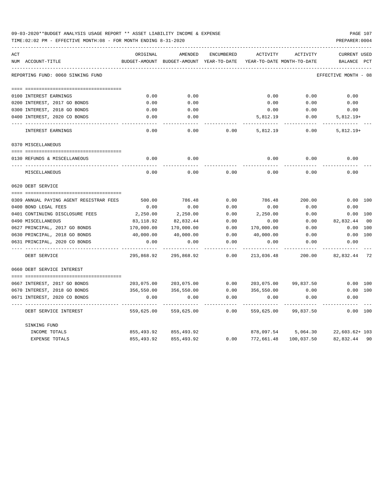| 09-03-2020**BUDGET ANALYSIS USAGE REPORT ** ASSET LIABILITY INCOME & EXPENSE | <b>PAGE 107</b> |
|------------------------------------------------------------------------------|-----------------|
| TIME:02:02 PM - EFFECTIVE MONTH:08 - FOR MONTH ENDING 8-31-2020              | PREPARER: 0004  |

| ACT |                                         | ORIGINAL      | AMENDED                    | <b>ENCUMBERED</b> | ACTIVITY                   | ACTIVITY             | <b>CURRENT USED</b>  |     |
|-----|-----------------------------------------|---------------|----------------------------|-------------------|----------------------------|----------------------|----------------------|-----|
|     | NUM ACCOUNT-TITLE                       | BUDGET-AMOUNT | BUDGET-AMOUNT YEAR-TO-DATE |                   | YEAR-TO-DATE MONTH-TO-DATE |                      | BALANCE              | PCT |
|     | REPORTING FUND: 0060 SINKING FUND       |               |                            |                   |                            |                      | EFFECTIVE MONTH - 08 |     |
|     |                                         |               |                            |                   |                            |                      |                      |     |
|     | 0100 INTEREST EARNINGS                  | 0.00          | 0.00                       |                   | 0.00                       | 0.00                 | 0.00                 |     |
|     | 0200 INTEREST, 2017 GO BONDS            | 0.00          | 0.00                       |                   | 0.00                       | 0.00                 | 0.00                 |     |
|     | 0300 INTEREST, 2018 GO BONDS            | 0.00          | 0.00                       |                   | 0.00                       | 0.00                 | 0.00                 |     |
|     | 0400 INTEREST, 2020 CO BONDS            | 0.00          | 0.00                       |                   | 5,812.19                   | 0.00                 | $5,812.19+$          |     |
|     | INTEREST EARNINGS                       | 0.00          | 0.00                       | 0.00              | 5,812.19                   | 0.00                 | $5,812.19+$          |     |
|     | 0370 MISCELLANEOUS                      |               |                            |                   |                            |                      |                      |     |
|     |                                         |               |                            |                   |                            |                      |                      |     |
|     | 0130 REFUNDS & MISCELLANEOUS            | 0.00          | 0.00                       |                   | 0.00                       | 0.00                 | 0.00                 |     |
|     | MISCELLANEOUS                           | 0.00          | 0.00                       | 0.00              | 0.00                       | 0.00                 | 0.00                 |     |
|     | 0620 DEBT SERVICE                       |               |                            |                   |                            |                      |                      |     |
|     |                                         |               |                            |                   |                            |                      |                      |     |
|     | 0309 ANNUAL PAYING AGENT REGISTRAR FEES | 500.00        | 786.48                     | 0.00              | 786.48                     | 200.00               | 0.00 100             |     |
|     | 0400 BOND LEGAL FEES                    | 0.00          | 0.00                       | 0.00              | 0.00                       | 0.00                 | 0.00                 |     |
|     | 0401 CONTINUING DISCLOSURE FEES         | 2,250.00      | 2,250.00                   | 0.00              | 2,250.00                   | 0.00                 | 0.00 100             |     |
|     | 0490 MISCELLANEOUS                      | 83,118.92     | 82,832.44                  | 0.00              | 0.00                       | 0.00                 | 82,832.44            | 00  |
|     | 0627 PRINCIPAL, 2017 GO BONDS           | 170,000.00    | 170,000.00                 | 0.00              | 170,000.00                 | 0.00                 | 0.00                 | 100 |
|     | 0630 PRINCIPAL, 2018 GO BONDS           | 40,000.00     | 40,000.00                  | 0.00              | 40,000.00                  | 0.00                 | 0.00                 | 100 |
|     | 0631 PRINCIPAL, 2020 CO BONDS           | 0.00          | 0.00                       | 0.00              | 0.00                       | 0.00                 | 0.00                 |     |
|     | DEBT SERVICE                            | 295,868.92    | 295,868.92                 | 0.00              | 213,036.48                 | 200.00               | 82,832.44 72         |     |
|     | 0660 DEBT SERVICE INTEREST              |               |                            |                   |                            |                      |                      |     |
|     |                                         |               |                            |                   |                            |                      |                      |     |
|     | 0667 INTEREST, 2017 GO BONDS            | 203,075.00    | 203,075.00                 | 0.00              |                            | 203,075.00 99,837.50 | 0.00 100             |     |
|     | 0670 INTEREST, 2018 GO BONDS            | 356,550.00    | 356,550.00                 | 0.00              | 356,550.00                 | 0.00                 | 0.00 100             |     |
|     | 0671 INTEREST, 2020 CO BONDS            | 0.00          | 0.00                       | 0.00              | 0.00                       | 0.00                 | 0.00                 |     |
|     | DEBT SERVICE INTEREST                   | 559,625.00    | 559,625.00                 | 0.00              | 559,625.00                 | 99,837.50            | 0.00 100             |     |
|     | SINKING FUND                            |               |                            |                   |                            |                      |                      |     |
|     | INCOME TOTALS                           | 855,493.92    | 855,493.92                 |                   |                            | 878,097.54 5,064.30  | 22,603.62+ 103       |     |
|     | EXPENSE TOTALS                          | 855,493.92    | 855, 493.92                | 0.00              | 772,661.48                 | 100,037.50           | 82,832.44            | 90  |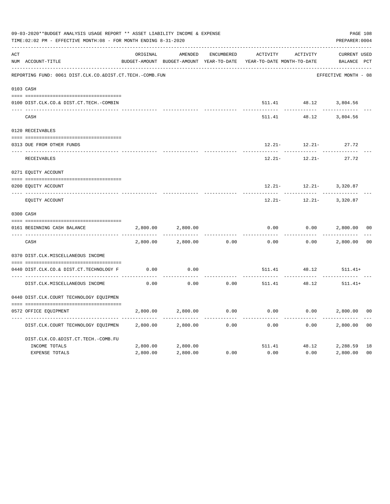|     | 09-03-2020**BUDGET ANALYSIS USAGE REPORT ** ASSET LIABILITY INCOME & EXPENSE<br>TIME: 02:02 PM - EFFECTIVE MONTH: 08 - FOR MONTH ENDING 8-31-2020 |          |                   |            |                                                                                 |            | PAGE 108<br>PREPARER: 0004         |                |
|-----|---------------------------------------------------------------------------------------------------------------------------------------------------|----------|-------------------|------------|---------------------------------------------------------------------------------|------------|------------------------------------|----------------|
| ACT | NUM ACCOUNT-TITLE                                                                                                                                 | ORIGINAL | AMENDED           | ENCUMBERED | ACTIVITY<br>BUDGET-AMOUNT BUDGET-AMOUNT YEAR-TO-DATE YEAR-TO-DATE MONTH-TO-DATE | ACTIVITY   | <b>CURRENT USED</b><br>BALANCE PCT |                |
|     | REPORTING FUND: 0061 DIST.CLK.CO.&DIST.CT.TECH.-COMB.FUN                                                                                          |          |                   |            |                                                                                 |            | EFFECTIVE MONTH - 08               |                |
|     | 0103 CASH                                                                                                                                         |          |                   |            |                                                                                 |            |                                    |                |
|     | 0100 DIST.CLK.CO.& DIST.CT.TECH.-COMBIN                                                                                                           |          |                   |            |                                                                                 |            | 511.41 48.12 3,804.56              |                |
|     | CASH                                                                                                                                              |          |                   |            | 511.41                                                                          | 48.12      | 3,804.56                           |                |
|     | 0120 RECEIVABLES                                                                                                                                  |          |                   |            |                                                                                 |            |                                    |                |
|     | 0313 DUE FROM OTHER FUNDS                                                                                                                         |          |                   |            | 12.21-                                                                          | $12.21-$   | 27.72                              |                |
|     | RECEIVABLES                                                                                                                                       |          |                   |            | 12.21-                                                                          | 12.21-     | 27.72                              |                |
|     | 0271 EQUITY ACCOUNT                                                                                                                               |          |                   |            |                                                                                 |            |                                    |                |
|     | 0200 EQUITY ACCOUNT                                                                                                                               |          |                   |            | 12.21-                                                                          | $12.21-$   | 3,320.87                           |                |
|     | EQUITY ACCOUNT                                                                                                                                    |          |                   |            | 12.21-                                                                          |            | 12.21- 3,320.87                    |                |
|     | 0300 CASH                                                                                                                                         |          |                   |            |                                                                                 |            |                                    |                |
|     | 0161 BEGINNING CASH BALANCE                                                                                                                       | 2,800.00 | 2,800.00          |            | 0.00                                                                            | 0.00       | 2,800.00                           | 0 <sup>0</sup> |
|     | CASH                                                                                                                                              | 2,800.00 | 2,800.00          | 0.00       | 0.00                                                                            | 0.00       | 2,800.00                           | 0 <sub>0</sub> |
|     | 0370 DIST.CLK.MISCELLANEOUS INCOME                                                                                                                |          |                   |            |                                                                                 |            |                                    |                |
|     | 0440 DIST.CLK.CO.& DIST.CT.TECHNOLOGY F                                                                                                           | 0.00     | 0.00              |            |                                                                                 |            | 511.41 48.12 511.41+               |                |
|     | DIST.CLK.MISCELLANEOUS INCOME                                                                                                                     | 0.00     | .<br>0.00         | 0.00       |                                                                                 | ---------- | $511.41$ $48.12$ $511.41+$         |                |
|     | 0440 DIST.CLK.COURT TECHNOLOGY EQUIPMEN                                                                                                           |          |                   |            |                                                                                 |            |                                    |                |
|     | 0572 OFFICE EQUIPMENT                                                                                                                             |          | 2,800.00 2,800.00 | 0.00       | 0.00                                                                            | 0.00       | 2,800.00                           | 0 <sub>0</sub> |
|     | DIST.CLK.COURT TECHNOLOGY EQUIPMEN                                                                                                                | 2,800.00 | 2,800.00          | 0.00       | ---------<br>0.00                                                               | 0.00       | 2,800.00                           | 0 <sub>0</sub> |
|     | DIST.CLK.CO.&DIST.CT.TECH.-COMB.FU                                                                                                                |          |                   |            |                                                                                 |            |                                    |                |
|     | INCOME TOTALS                                                                                                                                     | 2,800.00 | 2,800.00          |            |                                                                                 |            | 511.41 48.12 2,288.59              | 18             |
|     | EXPENSE TOTALS                                                                                                                                    | 2,800.00 | 2,800.00          | 0.00       | 0.00                                                                            | 0.00       | 2,800.00                           | 0 <sub>0</sub> |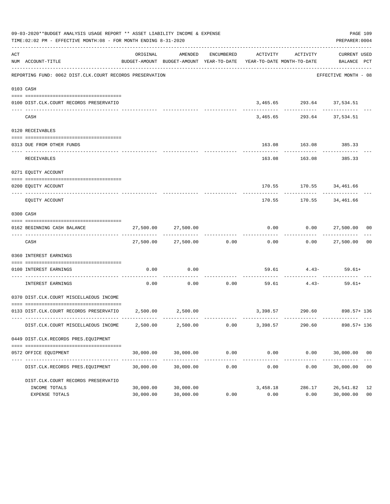|     | 09-03-2020**BUDGET ANALYSIS USAGE REPORT ** ASSET LIABILITY INCOME & EXPENSE<br>TIME:02:02 PM - EFFECTIVE MONTH:08 - FOR MONTH ENDING 8-31-2020 |                        |                          |             |                                                                                 |                                                          | PAGE 109<br>PREPARER: 0004   |                |
|-----|-------------------------------------------------------------------------------------------------------------------------------------------------|------------------------|--------------------------|-------------|---------------------------------------------------------------------------------|----------------------------------------------------------|------------------------------|----------------|
| ACT | NUM ACCOUNT-TITLE                                                                                                                               | ORIGINAL               | AMENDED                  | ENCUMBERED  | BUDGET-AMOUNT BUDGET-AMOUNT YEAR-TO-DATE YEAR-TO-DATE MONTH-TO-DATE BALANCE PCT | ACTIVITY ACTIVITY                                        | CURRENT USED                 |                |
|     | REPORTING FUND: 0062 DIST.CLK.COURT RECORDS PRESERVATION                                                                                        |                        |                          |             |                                                                                 |                                                          | EFFECTIVE MONTH - 08         |                |
|     | 0103 CASH                                                                                                                                       |                        |                          |             |                                                                                 |                                                          |                              |                |
|     | 0100 DIST.CLK.COURT RECORDS PRESERVATIO                                                                                                         |                        |                          |             |                                                                                 | 3,465.65 293.64 37,534.51                                |                              |                |
|     | CASH                                                                                                                                            |                        |                          |             | ----------                                                                      | ------------- -------------<br>3,465.65 293.64 37,534.51 |                              |                |
|     | 0120 RECEIVABLES                                                                                                                                |                        |                          |             |                                                                                 |                                                          |                              |                |
|     | 0313 DUE FROM OTHER FUNDS                                                                                                                       |                        |                          |             |                                                                                 | 163.08 163.08 385.33                                     |                              |                |
|     | <b>RECEIVABLES</b>                                                                                                                              |                        |                          |             |                                                                                 | ------------<br>163.08 163.08 385.33                     | -----------                  |                |
|     | 0271 EQUITY ACCOUNT                                                                                                                             |                        |                          |             |                                                                                 |                                                          |                              |                |
|     | 0200 EQUITY ACCOUNT                                                                                                                             |                        |                          |             |                                                                                 | 170.55 170.55 34,461.66                                  |                              |                |
|     | EQUITY ACCOUNT                                                                                                                                  |                        |                          |             | 170.55                                                                          |                                                          | 170.55 34,461.66             |                |
|     | 0300 CASH                                                                                                                                       |                        |                          |             |                                                                                 |                                                          |                              |                |
|     | 0162 BEGINNING CASH BALANCE                                                                                                                     |                        | 27,500.00 27,500.00      |             |                                                                                 |                                                          | $0.00$ $0.00$ $27,500.00$ 00 |                |
|     | CASH                                                                                                                                            |                        | 27,500.00 27,500.00 0.00 |             | 0.00                                                                            |                                                          | $0.00$ 27,500.00 00          |                |
|     | 0360 INTEREST EARNINGS                                                                                                                          |                        |                          |             |                                                                                 |                                                          |                              |                |
|     | 0100 INTEREST EARNINGS                                                                                                                          | 0.00                   | 0.00                     |             |                                                                                 |                                                          | 59.61 4.43- 59.61+           |                |
|     | INTEREST EARNINGS                                                                                                                               | 0.00                   |                          | $0.00$ 0.00 | ----------- --------------                                                      | 59.61 4.43-                                              | 59.61+                       |                |
|     | 0370 DIST.CLK.COURT MISCELLAEOUS INCOME                                                                                                         |                        |                          |             |                                                                                 |                                                          |                              |                |
|     | 0133 DIST.CLK.COURT RECORDS PRESERVATIO 2,500.00 2,500.00                                                                                       |                        |                          |             |                                                                                 |                                                          | 3,398.57 290.60 898.57+136   |                |
|     | DIST.CLK.COURT MISCELLAEOUS INCOME                                                                                                              | 2,500.00               | 2,500.00                 | 0.00        | 3,398.57                                                                        | 290.60                                                   | 898.57+ 136                  |                |
|     | 0449 DIST.CLK.RECORDS PRES.EQUIPMENT                                                                                                            |                        |                          |             |                                                                                 |                                                          |                              |                |
|     | 0572 OFFICE EQUIPMENT                                                                                                                           | 30,000.00              | 30,000.00                | 0.00        | 0.00                                                                            | 0.00                                                     | 30,000.00 00                 |                |
|     | DIST.CLK.RECORDS PRES.EQUIPMENT                                                                                                                 | 30,000.00              | 30,000.00                | 0.00        | -------------<br>0.00                                                           | 0.00                                                     | 30,000.00                    | 0 <sub>0</sub> |
|     | DIST.CLK.COURT RECORDS PRESERVATIO                                                                                                              |                        |                          |             |                                                                                 |                                                          |                              |                |
|     | INCOME TOTALS<br>EXPENSE TOTALS                                                                                                                 | 30,000.00<br>30,000.00 | 30,000.00<br>30,000.00   | 0.00        | 3,458.18<br>0.00                                                                | 286.17<br>0.00                                           | 26,541.82 12<br>30,000.00    | 0 <sub>0</sub> |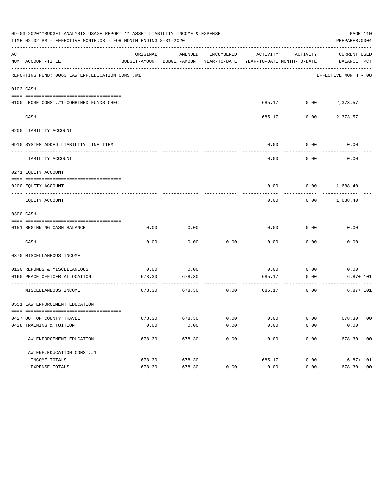|     | 09-03-2020**BUDGET ANALYSIS USAGE REPORT ** ASSET LIABILITY INCOME & EXPENSE<br>TIME:02:02 PM - EFFECTIVE MONTH:08 - FOR MONTH ENDING 8-31-2020 |                     |                                                     |                   |                         |                                                 | PAGE 110<br>PREPARER: 0004  |
|-----|-------------------------------------------------------------------------------------------------------------------------------------------------|---------------------|-----------------------------------------------------|-------------------|-------------------------|-------------------------------------------------|-----------------------------|
| ACT | NUM ACCOUNT-TITLE                                                                                                                               | ORIGINAL            | AMENDED<br>BUDGET-AMOUNT BUDGET-AMOUNT YEAR-TO-DATE | ENCUMBERED        |                         | ACTIVITY ACTIVITY<br>YEAR-TO-DATE MONTH-TO-DATE | CURRENT USED<br>BALANCE PCT |
|     | REPORTING FUND: 0063 LAW ENF. EDUCATION CONST.#1                                                                                                |                     |                                                     |                   |                         |                                                 | EFFECTIVE MONTH - 08        |
|     | 0103 CASH                                                                                                                                       |                     |                                                     |                   |                         |                                                 |                             |
|     | 0100 LEOSE CONST.#1-COMBINED FUNDS CHEC                                                                                                         |                     |                                                     |                   |                         | 685.17 0.00 2,373.57                            |                             |
|     |                                                                                                                                                 |                     |                                                     |                   |                         |                                                 |                             |
|     | CASH                                                                                                                                            |                     |                                                     |                   | 685.17                  |                                                 | $0.00$ 2,373.57             |
|     | 0200 LIABILITY ACCOUNT                                                                                                                          |                     |                                                     |                   |                         |                                                 |                             |
|     |                                                                                                                                                 |                     |                                                     |                   |                         |                                                 |                             |
|     | 0910 SYSTEM ADDED LIABILITY LINE ITEM                                                                                                           |                     |                                                     |                   | 0.00<br>$- - - - - - -$ | 0.00<br>---------                               | 0.00                        |
|     | LIABILITY ACCOUNT                                                                                                                               |                     |                                                     |                   | 0.00                    | 0.00                                            | 0.00                        |
|     | 0271 EQUITY ACCOUNT                                                                                                                             |                     |                                                     |                   |                         |                                                 |                             |
|     | 0200 EOUITY ACCOUNT                                                                                                                             |                     |                                                     |                   |                         | $0.00$ $0.00$ $1,688.40$                        |                             |
|     | EQUITY ACCOUNT                                                                                                                                  |                     |                                                     |                   | 0.00                    |                                                 | $0.00$ 1,688.40             |
|     | 0300 CASH                                                                                                                                       |                     |                                                     |                   |                         |                                                 |                             |
|     | 0151 BEGINNING CASH BALANCE                                                                                                                     | 0.00                | 0.00                                                |                   | 0.00                    | 0.00                                            | 0.00                        |
|     | CASH                                                                                                                                            | 0.00                | 0.00                                                | 0.00              | 0.00                    | ---------<br>0.00                               | 0.00                        |
|     | 0370 MISCELLANEOUS INCOME                                                                                                                       |                     |                                                     |                   |                         |                                                 |                             |
|     |                                                                                                                                                 |                     |                                                     |                   |                         |                                                 |                             |
|     | 0130 REFUNDS & MISCELLANEOUS                                                                                                                    | 0.00                | 0.00                                                |                   |                         | $0.00$ 0.00                                     | 0.00                        |
|     | 0160 PEACE OFFICER ALLOCATION                                                                                                                   | 678.30              | 678.30                                              |                   | 685.17                  | 0.00                                            | $6.87 + 101$                |
|     | MISCELLANEOUS INCOME                                                                                                                            | 678.30              | 678.30                                              | 0.00              | 685.17                  | 0.00                                            | $6.87 + 101$                |
|     | 0551 LAW ENFORCEMENT EDUCATION                                                                                                                  |                     |                                                     |                   |                         |                                                 |                             |
|     |                                                                                                                                                 |                     |                                                     |                   |                         |                                                 |                             |
|     | 0427 OUT OF COUNTY TRAVEL                                                                                                                       | 678.30              | 678.30                                              | 0.00              | 0.00                    | 0.00                                            | 678.30 00                   |
|     | 0428 TRAINING & TUITION                                                                                                                         | 0.00                | 0.00                                                | 0.00              | 0.00                    | 0.00                                            | 0.00                        |
|     | ----------------------------------- --<br>LAW ENFORCEMENT EDUCATION                                                                             | ---------<br>678.30 | -----------<br>678.30                               | ---------<br>0.00 | ------------<br>0.00    | ----------<br>0.00                              | -------------<br>678.30 00  |
|     | LAW ENF. EDUCATION CONST. #1                                                                                                                    |                     |                                                     |                   |                         |                                                 |                             |
|     | INCOME TOTALS                                                                                                                                   | 678.30              | 678.30                                              |                   | 685.17                  | 0.00                                            | $6.87 + 101$                |
|     | EXPENSE TOTALS                                                                                                                                  | 678.30              | 678.30                                              | 0.00              | 0.00                    | 0.00                                            | 0 <sub>0</sub><br>678.30    |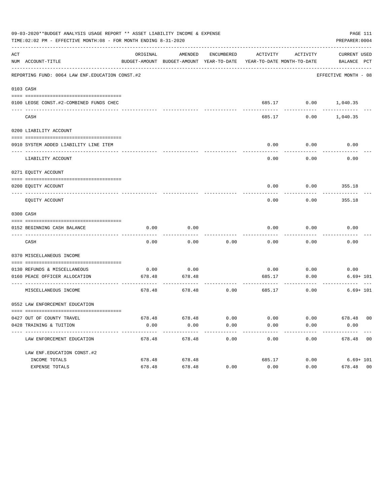| 09-03-2020**BUDGET ANALYSIS USAGE REPORT ** ASSET LIABILITY INCOME & EXPENSE<br>PAGE 111<br>TIME:02:02 PM - EFFECTIVE MONTH:08 - FOR MONTH ENDING 8-31-2020<br>PREPARER: 0004 |                                                                      |                      |                                                     |                   |                            |                      |                             |  |  |  |  |
|-------------------------------------------------------------------------------------------------------------------------------------------------------------------------------|----------------------------------------------------------------------|----------------------|-----------------------------------------------------|-------------------|----------------------------|----------------------|-----------------------------|--|--|--|--|
| ACT                                                                                                                                                                           | NUM ACCOUNT-TITLE                                                    | ORIGINAL             | AMENDED<br>BUDGET-AMOUNT BUDGET-AMOUNT YEAR-TO-DATE | ENCUMBERED        | YEAR-TO-DATE MONTH-TO-DATE | ACTIVITY ACTIVITY    | CURRENT USED<br>BALANCE PCT |  |  |  |  |
|                                                                                                                                                                               | REPORTING FUND: 0064 LAW ENF. EDUCATION CONST.#2                     |                      |                                                     |                   |                            |                      | EFFECTIVE MONTH - 08        |  |  |  |  |
|                                                                                                                                                                               | 0103 CASH                                                            |                      |                                                     |                   |                            |                      |                             |  |  |  |  |
|                                                                                                                                                                               |                                                                      |                      |                                                     |                   |                            |                      |                             |  |  |  |  |
|                                                                                                                                                                               | 0100 LEOSE CONST.#2-COMBINED FUNDS CHEC                              |                      |                                                     |                   |                            |                      | 685.17 0.00 1,040.35        |  |  |  |  |
|                                                                                                                                                                               | CASH                                                                 |                      |                                                     |                   | 685.17                     |                      | $0.00$ 1,040.35             |  |  |  |  |
|                                                                                                                                                                               | 0200 LIABILITY ACCOUNT                                               |                      |                                                     |                   |                            |                      |                             |  |  |  |  |
|                                                                                                                                                                               |                                                                      |                      |                                                     |                   |                            |                      |                             |  |  |  |  |
|                                                                                                                                                                               | 0910 SYSTEM ADDED LIABILITY LINE ITEM                                |                      |                                                     |                   | 0.00                       | 0.00                 | 0.00                        |  |  |  |  |
|                                                                                                                                                                               | LIABILITY ACCOUNT                                                    |                      |                                                     |                   | .<br>0.00                  | ---------<br>0.00    | 0.00                        |  |  |  |  |
|                                                                                                                                                                               | 0271 EQUITY ACCOUNT                                                  |                      |                                                     |                   |                            |                      |                             |  |  |  |  |
|                                                                                                                                                                               | 0200 EOUITY ACCOUNT                                                  |                      |                                                     |                   | 0.00                       |                      | $0.00$ 355.18               |  |  |  |  |
|                                                                                                                                                                               | EQUITY ACCOUNT                                                       |                      |                                                     |                   | 0.00                       | 0.00                 | 355.18                      |  |  |  |  |
|                                                                                                                                                                               | 0300 CASH                                                            |                      |                                                     |                   |                            |                      |                             |  |  |  |  |
|                                                                                                                                                                               | 0152 BEGINNING CASH BALANCE                                          | 0.00                 | 0.00                                                |                   | 0.00                       | 0.00<br>---------    | 0.00                        |  |  |  |  |
|                                                                                                                                                                               | CASH                                                                 | 0.00                 | 0.00                                                | 0.00              | 0.00                       | 0.00                 | 0.00                        |  |  |  |  |
|                                                                                                                                                                               | 0370 MISCELLANEOUS INCOME                                            |                      |                                                     |                   |                            |                      |                             |  |  |  |  |
|                                                                                                                                                                               | 0130 REFUNDS & MISCELLANEOUS                                         | 0.00                 | 0.00                                                |                   |                            | $0.00$ 0.00          | 0.00                        |  |  |  |  |
|                                                                                                                                                                               | 0160 PEACE OFFICER ALLOCATION                                        | 678.48               | 678.48                                              |                   | 685.17                     | 0.00                 | $6.69 + 101$                |  |  |  |  |
|                                                                                                                                                                               | MISCELLANEOUS INCOME                                                 | 678.48               | 678.48                                              | 0.00              | 685.17                     | 0.00                 | $6.69 + 101$                |  |  |  |  |
|                                                                                                                                                                               | 0552 LAW ENFORCEMENT EDUCATION                                       |                      |                                                     |                   |                            |                      |                             |  |  |  |  |
|                                                                                                                                                                               | 0427 OUT OF COUNTY TRAVEL                                            | 678.48               | 678.48                                              | 0.00              | 0.00                       | 0.00                 | 678.48 00                   |  |  |  |  |
|                                                                                                                                                                               | 0428 TRAINING & TUITION                                              | 0.00                 | 0.00                                                | 0.00              | 0.00                       | 0.00                 | 0.00                        |  |  |  |  |
|                                                                                                                                                                               | ----------------------------------- ---<br>LAW ENFORCEMENT EDUCATION | ----------<br>678.48 | -------------<br>678.48                             | ---------<br>0.00 | -------------<br>0.00      | ------------<br>0.00 | -------------<br>678.48 00  |  |  |  |  |
|                                                                                                                                                                               | LAW ENF. EDUCATION CONST. #2                                         |                      |                                                     |                   |                            |                      |                             |  |  |  |  |
|                                                                                                                                                                               | INCOME TOTALS                                                        | 678.48               | 678.48                                              |                   | 685.17                     | 0.00                 | $6.69 + 101$                |  |  |  |  |
|                                                                                                                                                                               | EXPENSE TOTALS                                                       | 678.48               | 678.48                                              | 0.00              | 0.00                       | 0.00                 | 0 <sub>0</sub><br>678.48    |  |  |  |  |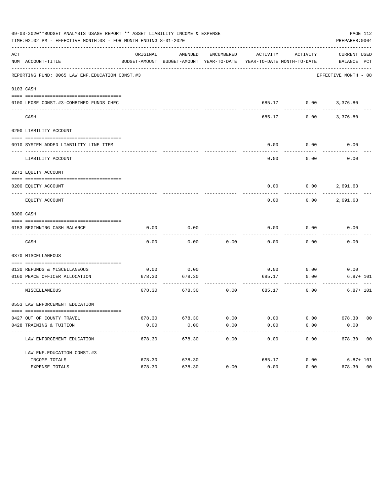|     | 09-03-2020**BUDGET ANALYSIS USAGE REPORT ** ASSET LIABILITY INCOME & EXPENSE<br>TIME: 02:02 PM - EFFECTIVE MONTH: 08 - FOR MONTH ENDING 8-31-2020 |                    |                                                     |                      |                                        |                      | PAGE 112<br>PREPARER: 0004  |
|-----|---------------------------------------------------------------------------------------------------------------------------------------------------|--------------------|-----------------------------------------------------|----------------------|----------------------------------------|----------------------|-----------------------------|
| ACT | NUM ACCOUNT-TITLE                                                                                                                                 | ORIGINAL           | AMENDED<br>BUDGET-AMOUNT BUDGET-AMOUNT YEAR-TO-DATE | ENCUMBERED           | ACTIVITY<br>YEAR-TO-DATE MONTH-TO-DATE | ACTIVITY             | CURRENT USED<br>BALANCE PCT |
|     | REPORTING FUND: 0065 LAW ENF. EDUCATION CONST.#3                                                                                                  |                    |                                                     |                      |                                        |                      | EFFECTIVE MONTH - 08        |
|     | 0103 CASH                                                                                                                                         |                    |                                                     |                      |                                        |                      |                             |
|     | 0100 LEOSE CONST.#3-COMBINED FUNDS CHEC                                                                                                           |                    |                                                     |                      |                                        | 685.17 0.00 3,376.80 |                             |
|     | CASH                                                                                                                                              |                    |                                                     |                      | 685.17                                 | 0.00                 | 3,376.80                    |
|     | 0200 LIABILITY ACCOUNT                                                                                                                            |                    |                                                     |                      |                                        |                      |                             |
|     | 0910 SYSTEM ADDED LIABILITY LINE ITEM                                                                                                             |                    |                                                     |                      | 0.00                                   | 0.00                 | 0.00                        |
|     | LIABILITY ACCOUNT                                                                                                                                 |                    |                                                     |                      | 0.00                                   | 0.00                 | 0.00                        |
|     | 0271 EQUITY ACCOUNT                                                                                                                               |                    |                                                     |                      |                                        |                      |                             |
|     | 0200 EOUITY ACCOUNT                                                                                                                               |                    |                                                     |                      | 0.00                                   |                      | $0.00$ 2,691.63             |
|     | EQUITY ACCOUNT                                                                                                                                    |                    |                                                     |                      | 0.00                                   |                      | $0.00$ 2,691.63             |
|     | 0300 CASH                                                                                                                                         |                    |                                                     |                      |                                        |                      |                             |
|     | 0153 BEGINNING CASH BALANCE                                                                                                                       | 0.00               | 0.00                                                |                      | 0.00                                   | 0.00                 | 0.00                        |
|     | CASH                                                                                                                                              | 0.00               | 0.00                                                | 0.00                 | 0.00                                   | 0.00                 | 0.00                        |
|     | 0370 MISCELLANEOUS                                                                                                                                |                    |                                                     |                      |                                        |                      |                             |
|     |                                                                                                                                                   |                    |                                                     |                      |                                        |                      |                             |
|     | 0130 REFUNDS & MISCELLANEOUS                                                                                                                      | 0.00               | 0.00                                                |                      | 0.00                                   | 0.00                 | 0.00                        |
|     | 0160 PEACE OFFICER ALLOCATION                                                                                                                     | 678.30             | 678.30                                              |                      | 685.17                                 | 0.00                 | $6.87 + 101$                |
|     | MISCELLANEOUS                                                                                                                                     | 678.30             | 678.30                                              | 0.00                 | 685.17                                 | 0.00                 | $6.87 + 101$                |
|     | 0553 LAW ENFORCEMENT EDUCATION                                                                                                                    |                    |                                                     |                      |                                        |                      |                             |
|     |                                                                                                                                                   |                    |                                                     |                      |                                        |                      |                             |
|     | 0427 OUT OF COUNTY TRAVEL                                                                                                                         | 678.30             | 678.30                                              | 0.00                 | 0.00                                   | 0.00                 | 678.30 00                   |
|     | 0428 TRAINING & TUITION                                                                                                                           | 0.00<br>---------- | 0.00<br>-------------                               | 0.00<br>------------ | 0.00<br>-------------                  | 0.00<br>------------ | 0.00<br>-------------       |
|     | LAW ENFORCEMENT EDUCATION                                                                                                                         | 678.30             | 678.30                                              | 0.00                 | 0.00                                   | 0.00                 | 678.30 00                   |
|     | LAW ENF. EDUCATION CONST. #3                                                                                                                      |                    |                                                     |                      |                                        |                      |                             |
|     | INCOME TOTALS                                                                                                                                     | 678.30             | 678.30                                              |                      | 685.17                                 | 0.00                 | $6.87 + 101$                |
|     | <b>EXPENSE TOTALS</b>                                                                                                                             | 678.30             | 678.30                                              | 0.00                 | 0.00                                   | 0.00                 | 678.30 00                   |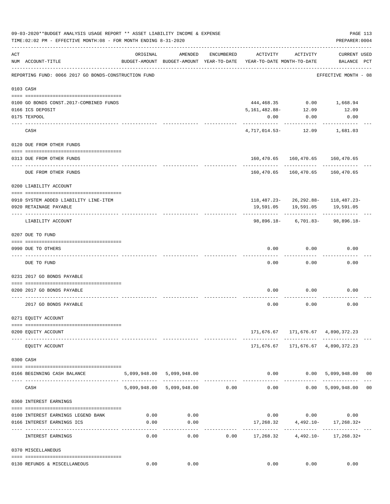|     | 09-03-2020**BUDGET ANALYSIS USAGE REPORT ** ASSET LIABILITY INCOME & EXPENSE<br>TIME: 02:02 PM - EFFECTIVE MONTH: 08 - FOR MONTH ENDING 8-31-2020 |                |                                                     |            |                                        |                       | PREPARER: 0004                           | PAGE 113 |
|-----|---------------------------------------------------------------------------------------------------------------------------------------------------|----------------|-----------------------------------------------------|------------|----------------------------------------|-----------------------|------------------------------------------|----------|
| ACT | NUM ACCOUNT-TITLE                                                                                                                                 | ORIGINAL       | AMENDED<br>BUDGET-AMOUNT BUDGET-AMOUNT YEAR-TO-DATE | ENCUMBERED | ACTIVITY<br>YEAR-TO-DATE MONTH-TO-DATE | ACTIVITY              | <b>CURRENT USED</b><br>BALANCE PCT       |          |
|     | REPORTING FUND: 0066 2017 GO BONDS-CONSTRUCTION FUND                                                                                              |                |                                                     |            |                                        |                       | EFFECTIVE MONTH - 08                     |          |
|     | 0103 CASH                                                                                                                                         |                |                                                     |            |                                        |                       |                                          |          |
|     | 0100 GO BONDS CONST. 2017-COMBINED FUNDS                                                                                                          |                |                                                     |            | 444,468.35                             |                       | $0.00$ 1,668.94                          |          |
|     | 0166 ICS DEPOSIT                                                                                                                                  |                |                                                     |            | 5,161,482.88-                          | 12.09                 | 12.09                                    |          |
|     | 0175 TEXPOOL                                                                                                                                      |                |                                                     |            | 0.00                                   | 0.00                  | 0.00                                     |          |
|     | CASH                                                                                                                                              |                |                                                     |            |                                        |                       | 4,717,014.53- 12.09 1,681.03             |          |
|     | 0120 DUE FROM OTHER FUNDS                                                                                                                         |                |                                                     |            |                                        |                       |                                          |          |
|     |                                                                                                                                                   |                |                                                     |            |                                        |                       |                                          |          |
|     | 0313 DUE FROM OTHER FUNDS<br>---- -----------------------                                                                                         |                |                                                     |            |                                        |                       | 160,470.65 160,470.65 160,470.65         |          |
|     | DUE FROM OTHER FUNDS                                                                                                                              |                |                                                     |            |                                        | 160,470.65 160,470.65 | 160,470.65                               |          |
|     | 0200 LIABILITY ACCOUNT                                                                                                                            |                |                                                     |            |                                        |                       |                                          |          |
|     | 0910 SYSTEM ADDED LIABILITY LINE-ITEM                                                                                                             |                |                                                     |            |                                        |                       | $118,487.23 - 26,292.88 - 118,487.23 -$  |          |
|     | 0920 RETAINAGE PAYABLE                                                                                                                            |                |                                                     |            | 19,591.05                              |                       | 19,591.05    19,591.05                   |          |
|     | LIABILITY ACCOUNT                                                                                                                                 |                |                                                     |            |                                        |                       | 98,896.18- 6,701.83- 98,896.18-          |          |
|     | 0207 DUE TO FUND                                                                                                                                  |                |                                                     |            |                                        |                       |                                          |          |
|     |                                                                                                                                                   |                |                                                     |            |                                        |                       |                                          |          |
|     | 0990 DUE TO OTHERS                                                                                                                                |                |                                                     |            | 0.00                                   | 0.00                  | 0.00                                     |          |
|     | DUE TO FUND                                                                                                                                       |                |                                                     |            | 0.00                                   | 0.00                  | 0.00                                     |          |
|     | 0231 2017 GO BONDS PAYABLE                                                                                                                        |                |                                                     |            |                                        |                       |                                          |          |
|     | 0200 2017 GO BONDS PAYABLE                                                                                                                        |                |                                                     |            | 0.00                                   | 0.00                  | 0.00                                     |          |
|     | 2017 GO BONDS PAYABLE                                                                                                                             |                |                                                     |            | 0.00                                   | 0.00                  | 0.00                                     |          |
|     | 0271 EQUITY ACCOUNT                                                                                                                               |                |                                                     |            |                                        |                       |                                          |          |
|     | 0200 EQUITY ACCOUNT                                                                                                                               |                |                                                     |            |                                        |                       | 171,676.67    171,676.67    4,890,372.23 |          |
|     | EQUITY ACCOUNT                                                                                                                                    |                |                                                     |            |                                        | ______________        | 171,676.67    171,676.67    4,890,372.23 |          |
|     | 0300 CASH                                                                                                                                         |                |                                                     |            |                                        |                       |                                          |          |
|     | 0166 BEGINNING CASH BALANCE                                                                                                                       |                | 5,099,948.00 5,099,948.00                           |            |                                        |                       | $0.00$ $0.00$ $5,099,948.00$ $00$        |          |
|     | CASH                                                                                                                                              |                | 5,099,948.00 5,099,948.00 0.00                      |            | ------------ -------------<br>0.00     | ----------            | $0.00$ 5,099,948.00 00                   |          |
|     | 0360 INTEREST EARNINGS                                                                                                                            |                |                                                     |            |                                        |                       |                                          |          |
|     |                                                                                                                                                   |                |                                                     |            |                                        |                       |                                          |          |
|     | 0100 INTEREST EARNINGS LEGEND BANK<br>0166 INTEREST EARNINGS ICS                                                                                  | 0.00<br>0.00   | 0.00<br>0.00                                        |            | 17,268.32                              | $0.00$ 0.00           | 0.00<br>$4,492.10 - 17,268.32 +$         |          |
|     | INTEREST EARNINGS                                                                                                                                 | ------<br>0.00 | .<br>0.00                                           |            |                                        |                       | $0.00$ 17,268.32 $4,492.10$ - 17,268.32+ |          |
|     | 0370 MISCELLANEOUS                                                                                                                                |                |                                                     |            |                                        |                       |                                          |          |
|     |                                                                                                                                                   | 0.00           | 0.00                                                |            | 0.00                                   | 0.00                  | 0.00                                     |          |
|     | 0130 REFUNDS & MISCELLANEOUS                                                                                                                      |                |                                                     |            |                                        |                       |                                          |          |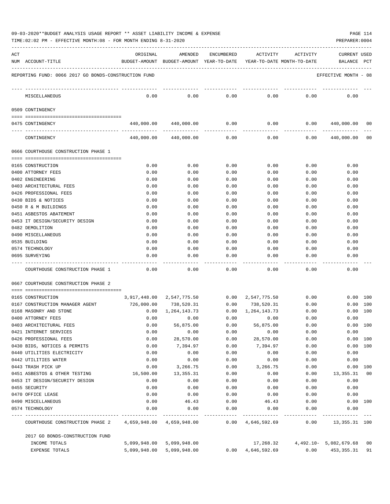|  |  |  | 09-03-2020**BUDGET ANALYSIS USAGE REPORT ** ASSET LIABILITY INCOME & EXPENSE |  | PAGE 114 |  |
|--|--|--|------------------------------------------------------------------------------|--|----------|--|
|  |  |  |                                                                              |  |          |  |

| ACT | NUM ACCOUNT-TITLE                                         | ORIGINAL<br>BUDGET-AMOUNT | AMENDED<br>BUDGET-AMOUNT YEAR-TO-DATE | ENCUMBERED   | ACTIVITY<br>YEAR-TO-DATE MONTH-TO-DATE | ACTIVITY     | <b>CURRENT USED</b><br>BALANCE | PCT |
|-----|-----------------------------------------------------------|---------------------------|---------------------------------------|--------------|----------------------------------------|--------------|--------------------------------|-----|
|     | REPORTING FUND: 0066 2017 GO BONDS-CONSTRUCTION FUND      |                           |                                       |              |                                        |              | EFFECTIVE MONTH - 08           |     |
|     |                                                           |                           |                                       |              |                                        |              |                                |     |
|     | MISCELLANEOUS                                             | 0.00                      | 0.00                                  | 0.00         | 0.00                                   | 0.00         | 0.00                           |     |
|     | 0509 CONTINGENCY                                          |                           |                                       |              |                                        |              |                                |     |
|     |                                                           |                           |                                       |              |                                        |              |                                |     |
|     | 0475 CONTINGENCY                                          | 440,000.00                | 440,000.00                            | 0.00         | 0.00                                   | 0.00         | 440,000.00                     | 00  |
|     | CONTINGENCY                                               | 440,000.00                | 440,000.00                            | 0.00         | 0.00                                   | 0.00         | 440,000.00                     | 00  |
|     | 0666 COURTHOUSE CONSTRUCTION PHASE 1                      |                           |                                       |              |                                        |              |                                |     |
|     |                                                           |                           |                                       |              |                                        |              |                                |     |
|     | 0165 CONSTRUCTION                                         | 0.00                      | 0.00                                  | 0.00         | 0.00                                   | 0.00         | 0.00                           |     |
|     | 0400 ATTORNEY FEES                                        | 0.00                      | 0.00                                  | 0.00         | 0.00                                   | 0.00         | 0.00                           |     |
|     | 0402 ENGINEERING                                          | 0.00                      | 0.00                                  | 0.00         | 0.00                                   | 0.00         | 0.00                           |     |
|     | 0403 ARCHITECTURAL FEES                                   | 0.00                      | 0.00                                  | 0.00         | 0.00                                   | 0.00         | 0.00                           |     |
|     | 0426 PROFESSIONAL FEES                                    | 0.00                      | 0.00                                  | 0.00         | 0.00                                   | 0.00         | 0.00                           |     |
|     | 0430 BIDS & NOTICES                                       | 0.00                      | 0.00                                  | 0.00         | 0.00                                   | 0.00         | 0.00                           |     |
|     | 0450 R & M BUILDINGS                                      | 0.00                      | 0.00                                  | 0.00         | 0.00                                   | 0.00         | 0.00                           |     |
|     | 0451 ASBESTOS ABATEMENT                                   | 0.00                      | 0.00                                  | 0.00         | 0.00                                   | 0.00         | 0.00                           |     |
|     | 0453 IT DESIGN/SECURITY DESIGN                            | 0.00                      | 0.00                                  | 0.00         | 0.00                                   | 0.00         | 0.00                           |     |
|     | 0482 DEMOLITION                                           | 0.00                      | 0.00                                  | 0.00         | 0.00                                   | 0.00         | 0.00                           |     |
|     | 0490 MISCELLANEOUS                                        | 0.00                      | 0.00                                  | 0.00         | 0.00                                   | 0.00         | 0.00                           |     |
|     | 0535 BUILDING                                             | 0.00                      | 0.00                                  | 0.00         | 0.00                                   | 0.00         | 0.00                           |     |
|     | 0574 TECHNOLOGY                                           | 0.00                      | 0.00                                  | 0.00         | 0.00                                   | 0.00         | 0.00                           |     |
|     | 0695 SURVEYING                                            | 0.00                      | 0.00                                  | 0.00         | 0.00                                   | 0.00         | 0.00                           |     |
|     | COURTHOUSE CONSTRUCTION PHASE 1                           | 0.00                      | 0.00                                  | 0.00         | 0.00                                   | 0.00         | 0.00                           |     |
|     | 0667 COURTHOUSE CONSTRUCTION PHASE 2                      |                           |                                       |              |                                        |              |                                |     |
|     | 0165 CONSTRUCTION                                         | 3,917,448.00              | 2,547,775.50                          | 0.00         | 2,547,775.50                           | 0.00         | 0.00 100                       |     |
|     | 0167 CONSTRUCTION MANAGER AGENT                           | 726,000.00                | 738,520.31                            | 0.00         | 738,520.31                             | 0.00         | 0.00                           | 100 |
|     | 0168 MASONRY AND STONE                                    | 0.00                      | 1,264,143.73                          | 0.00         | 1,264,143.73                           | 0.00         | 0.00 100                       |     |
|     | 0400 ATTORNEY FEES                                        | 0.00                      | 0.00                                  | 0.00         | 0.00                                   | 0.00         | 0.00                           |     |
|     | 0403 ARCHITECTURAL FEES                                   | 0.00                      | 56,875.00                             | 0.00         | 56,875.00                              | 0.00         | 0.00                           | 100 |
|     | 0421 INTERNET SERVICES                                    | 0.00                      | 0.00                                  | 0.00         | 0.00                                   | 0.00         | 0.00                           |     |
|     | 0426 PROFESSIONAL FEES                                    | 0.00                      | 28,570.00                             | 0.00         | 28,570.00                              | 0.00         | 0.00 100                       |     |
|     | 0430 BIDS, NOTICES & PERMITS                              | 0.00                      | 7,394.97                              | 0.00         | 7,394.97                               | 0.00         | 0.00 100                       |     |
|     | 0440 UTILITIES ELECTRICITY                                | 0.00                      | 0.00                                  | 0.00         | 0.00                                   | 0.00         | 0.00                           |     |
|     | 0442 UTILITIES WATER                                      | 0.00                      | 0.00                                  | 0.00         | 0.00                                   | 0.00         | 0.00                           |     |
|     | 0443 TRASH PICK UP                                        | 0.00                      | 3,266.75                              | 0.00         | 3,266.75                               | 0.00         | 0.00 100                       |     |
|     | 0451 ASBESTOS & OTHER TESTING                             | 16,500.00                 | 13,355.31                             | 0.00         | 0.00                                   | 0.00         | 13,355.31                      | 00  |
|     | 0453 IT DESIGN/SECURITY DESIGN                            | 0.00                      | 0.00                                  | 0.00         | 0.00                                   | 0.00         | 0.00                           |     |
|     | 0455 SECURITY                                             | 0.00                      | 0.00                                  | 0.00         | 0.00                                   | 0.00         | 0.00                           |     |
|     | 0470 OFFICE LEASE                                         | 0.00                      | 0.00                                  | 0.00         | 0.00                                   | 0.00         | 0.00                           |     |
|     | 0490 MISCELLANEOUS<br>0574 TECHNOLOGY                     | 0.00<br>0.00              | 46.43<br>0.00                         | 0.00<br>0.00 | 46.43<br>0.00                          | 0.00<br>0.00 | 0.00 100<br>0.00               |     |
|     | COURTHOUSE CONSTRUCTION PHASE 2 4,659,948.00 4,659,948.00 |                           |                                       | $---$        | $0.00 \quad 4,646,592.69$              | 0.00         | 13,355.31 100                  |     |
|     | 2017 GO BONDS-CONSTRUCTION FUND                           |                           |                                       |              |                                        |              |                                |     |
|     | INCOME TOTALS                                             | 5,099,948.00              | 5,099,948.00                          |              | 17,268.32                              |              | 4,492.10- 5,082,679.68 00      |     |
|     | EXPENSE TOTALS                                            |                           | 5,099,948.00 5,099,948.00             |              | $0.00 \quad 4,646,592.69$              | 0.00         | 453,355.31                     | 91  |
|     |                                                           |                           |                                       |              |                                        |              |                                |     |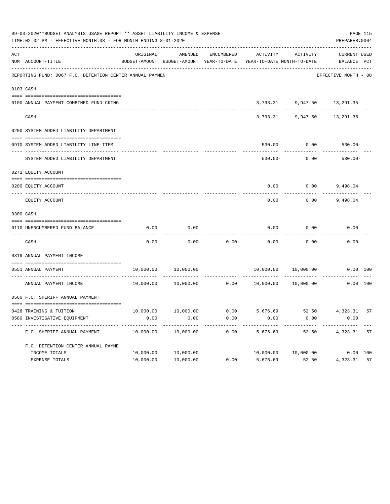|     | 09-03-2020**BUDGET ANALYSIS USAGE REPORT ** ASSET LIABILITY INCOME & EXPENSE<br>TIME:02:02 PM - EFFECTIVE MONTH:08 - FOR MONTH ENDING 8-31-2020 |           |                                                     |            |                                                         |                                              | PREPARER: 0004              | PAGE 115 |
|-----|-------------------------------------------------------------------------------------------------------------------------------------------------|-----------|-----------------------------------------------------|------------|---------------------------------------------------------|----------------------------------------------|-----------------------------|----------|
| ACT | NUM ACCOUNT-TITLE                                                                                                                               | ORIGINAL  | AMENDED<br>BUDGET-AMOUNT BUDGET-AMOUNT YEAR-TO-DATE | ENCUMBERED | ACTIVITY<br>YEAR-TO-DATE MONTH-TO-DATE                  | ACTIVITY                                     | CURRENT USED<br>BALANCE PCT |          |
|     | REPORTING FUND: 0067 F.C. DETENTION CENTER ANNUAL PAYMEN                                                                                        |           |                                                     |            |                                                         |                                              | EFFECTIVE MONTH - 08        |          |
|     | 0103 CASH                                                                                                                                       |           |                                                     |            |                                                         |                                              |                             |          |
|     | 0100 ANNUAL PAYMENT-COMBINED FUND CKING                                                                                                         |           |                                                     |            |                                                         | 3,793.31 9,947.50 13,291.35                  |                             |          |
|     | CASH                                                                                                                                            |           |                                                     |            |                                                         | -------------<br>3,793.31 9,947.50 13,291.35 | ___________                 |          |
|     | 0200 SYSTEM ADDED LIABILITY DEPARTMENT                                                                                                          |           |                                                     |            |                                                         |                                              |                             |          |
|     | 0910 SYSTEM ADDED LIABILITY LINE-ITEM                                                                                                           |           |                                                     |            |                                                         | $530.00 - 0.00$                              | $530.00 -$                  |          |
|     | SYSTEM ADDED LIABILITY DEPARTMENT                                                                                                               |           |                                                     |            | $530.00 -$                                              | ---------<br>0.00                            | $530.00 -$                  |          |
|     | 0271 EQUITY ACCOUNT                                                                                                                             |           |                                                     |            |                                                         |                                              |                             |          |
|     | 0200 EQUITY ACCOUNT                                                                                                                             |           |                                                     |            | 0.00                                                    |                                              | $0.00$ 9,498.04             |          |
|     | EQUITY ACCOUNT                                                                                                                                  |           |                                                     |            | 0.00                                                    | 0.00                                         | 9,498.04                    |          |
|     | 0300 CASH                                                                                                                                       |           |                                                     |            |                                                         |                                              |                             |          |
|     | 0110 UNENCUMBERED FUND BALANCE                                                                                                                  | 0.00      | 0.00                                                |            | 0.00                                                    | 0.00                                         | 0.00                        |          |
|     | CASH                                                                                                                                            | 0.00      | 0.00                                                | 0.00       | 0.00                                                    | 0.00                                         | 0.00                        |          |
|     | 0319 ANNUAL PAYMENT INCOME                                                                                                                      |           |                                                     |            |                                                         |                                              |                             |          |
|     | 0551 ANNUAL PAYMENT                                                                                                                             | 10,000.00 | 10,000.00                                           |            |                                                         | 10,000.00 10,000.00                          | 0.00 100                    |          |
|     | .<br>ANNUAL PAYMENT INCOME                                                                                                                      | 10,000.00 | 10,000.00                                           |            | 0.00 10,000.00                                          | 10,000.00                                    | 0.00 100                    |          |
|     | 0560 F.C. SHERIFF ANNUAL PAYMENT                                                                                                                |           |                                                     |            |                                                         |                                              |                             |          |
|     |                                                                                                                                                 |           |                                                     |            | $10,000.00$ $10,000.00$ 0.00 5,676.69 52.50 4,323.31 57 |                                              |                             |          |
|     | 0428 TRAINING & TUITION<br>0580 INVESTIGATIVE EQUIPMENT                                                                                         | 0.00      | 0.00                                                | 0.00       | 0.00                                                    | 0.00                                         | 0.00                        |          |
|     | F.C. SHERIFF ANNUAL PAYMENT                                                                                                                     | 10,000.00 | 10,000.00                                           | 0.00       | 5,676.69                                                | 52.50                                        | 4,323.31                    | 57       |
|     | F.C. DETENTION CENTER ANNUAL PAYME                                                                                                              |           |                                                     |            |                                                         |                                              |                             |          |
|     | INCOME TOTALS                                                                                                                                   | 10,000.00 | 10,000.00                                           |            | 10,000.00                                               | 10,000.00                                    | 0.00 100                    |          |
|     | EXPENSE TOTALS                                                                                                                                  | 10,000.00 | 10,000.00                                           | 0.00       | 5,676.69                                                | 52.50                                        | 4,323.31                    | 57       |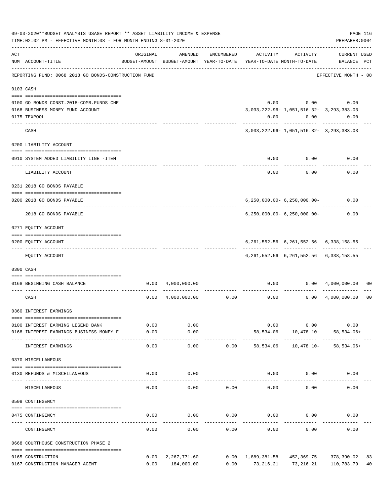|     | 09-03-2020**BUDGET ANALYSIS USAGE REPORT ** ASSET LIABILITY INCOME & EXPENSE<br>TIME: 02:02 PM - EFFECTIVE MONTH: 08 - FOR MONTH ENDING 8-31-2020 |          |                                                                                |            |                                                    |                                     | PREPARER: 0004                                                | PAGE 116       |
|-----|---------------------------------------------------------------------------------------------------------------------------------------------------|----------|--------------------------------------------------------------------------------|------------|----------------------------------------------------|-------------------------------------|---------------------------------------------------------------|----------------|
| ACT | NUM ACCOUNT-TITLE                                                                                                                                 | ORIGINAL | AMENDED<br>BUDGET-AMOUNT BUDGET-AMOUNT YEAR-TO-DATE YEAR-TO-DATE MONTH-TO-DATE | ENCUMBERED | ACTIVITY                                           | ACTIVITY                            | <b>CURRENT USED</b><br>BALANCE PCT                            |                |
|     | REPORTING FUND: 0068 2018 GO BONDS-CONSTRUCTION FUND                                                                                              |          |                                                                                |            |                                                    |                                     | EFFECTIVE MONTH - 08                                          |                |
|     | 0103 CASH                                                                                                                                         |          |                                                                                |            |                                                    |                                     |                                                               |                |
|     | 0100 GO BONDS CONST. 2018-COMB. FUNDS CHE                                                                                                         |          |                                                                                |            |                                                    |                                     | $0.00$ $0.00$ $0.00$                                          |                |
|     | 0168 BUSINESS MONEY FUND ACCOUNT                                                                                                                  |          |                                                                                |            |                                                    |                                     | 3, 033, 222. 96 - 1, 051, 516. 32 - 3, 293, 383. 03           |                |
|     | 0175 TEXPOOL                                                                                                                                      |          |                                                                                |            |                                                    | $0.00$ $0.00$                       | 0.00                                                          |                |
|     | CASH                                                                                                                                              |          |                                                                                |            |                                                    |                                     | 3, 033, 222.96 - 1, 051, 516.32 - 3, 293, 383.03              |                |
|     | 0200 LIABILITY ACCOUNT                                                                                                                            |          |                                                                                |            |                                                    |                                     |                                                               |                |
|     | 0910 SYSTEM ADDED LIABILITY LINE -ITEM                                                                                                            |          |                                                                                |            |                                                    | $0.00$ 0.00                         | 0.00                                                          |                |
|     | LIABILITY ACCOUNT                                                                                                                                 |          |                                                                                |            | 0.00                                               | ----------<br>0.00                  | 0.00                                                          |                |
|     | 0231 2018 GO BONDS PAYABLE                                                                                                                        |          |                                                                                |            |                                                    |                                     |                                                               |                |
|     | 0200 2018 GO BONDS PAYABLE                                                                                                                        |          |                                                                                |            |                                                    | $6, 250, 000.00 - 6, 250, 000.00 -$ | 0.00                                                          |                |
|     | 2018 GO BONDS PAYABLE                                                                                                                             |          |                                                                                |            |                                                    | $6, 250, 000.00 - 6, 250, 000.00 -$ | 0.00                                                          |                |
|     | 0271 EQUITY ACCOUNT                                                                                                                               |          |                                                                                |            |                                                    |                                     |                                                               |                |
|     | 0200 EQUITY ACCOUNT                                                                                                                               |          |                                                                                |            |                                                    |                                     | 6, 261, 552.56 6, 261, 552.56 6, 338, 158.55<br>------------- |                |
|     | EQUITY ACCOUNT                                                                                                                                    |          |                                                                                |            |                                                    |                                     | 6, 261, 552.56 6, 261, 552.56 6, 338, 158.55                  |                |
|     | 0300 CASH                                                                                                                                         |          |                                                                                |            |                                                    |                                     |                                                               |                |
|     | 0168 BEGINNING CASH BALANCE                                                                                                                       |          | $0.00 \quad 4,000,000.00$                                                      |            | ----------------------------                       | -----------                         | $0.00$ $0.00$ $4,000,000.00$                                  | 00             |
|     | CASH                                                                                                                                              | 0.00     |                                                                                |            | $4,000,000.00$ $0.00$ $0.00$ $0.00$ $4,000,000.00$ |                                     |                                                               | 0 <sub>0</sub> |
|     | 0360 INTEREST EARNINGS                                                                                                                            |          |                                                                                |            |                                                    |                                     |                                                               |                |
|     | 0100 INTEREST EARNING LEGEND BANK                                                                                                                 | 0.00     | 0.00                                                                           |            |                                                    | 0.00<br>0.00                        | 0.00                                                          |                |
|     | 0168 INTEREST EARNINGS BUSINESS MONEY F                                                                                                           | 0.00     | 0.00<br>-------                                                                |            | -------------                                      |                                     | 58,534.06   10,478.10   58,534.06+                            |                |
|     | INTEREST EARNINGS                                                                                                                                 | 0.00     | 0.00                                                                           | 0.00       | 58,534.06                                          | 10,478.10-                          | 58,534.06+                                                    |                |
|     | 0370 MISCELLANEOUS                                                                                                                                |          |                                                                                |            |                                                    |                                     |                                                               |                |
|     | 0130 REFUNDS & MISCELLANEOUS                                                                                                                      | 0.00     | 0.00                                                                           |            |                                                    | $0.00$ 0.00                         | 0.00                                                          |                |
|     | MISCELLANEOUS                                                                                                                                     | 0.00     | 0.00                                                                           | 0.00       | 0.00                                               | 0.00                                | 0.00                                                          |                |
|     | 0509 CONTINGENCY                                                                                                                                  |          |                                                                                |            |                                                    |                                     |                                                               |                |
|     | 0475 CONTINGENCY                                                                                                                                  | 0.00     | 0.00                                                                           | 0.00       | 0.00                                               | 0.00                                | 0.00                                                          |                |
|     | CONTINGENCY                                                                                                                                       | 0.00     | 0.00                                                                           | 0.00       | 0.00                                               | 0.00                                | 0.00                                                          |                |
|     | 0668 COURTHOUSE CONSTRUCTION PHASE 2                                                                                                              |          |                                                                                |            |                                                    |                                     |                                                               |                |
|     | 0165 CONSTRUCTION                                                                                                                                 |          | $0.00 \quad 2,267,771.60$                                                      |            | 0.00 1,889,381.58 452,369.75 378,390.02            |                                     |                                                               | 83             |
|     | 0167 CONSTRUCTION MANAGER AGENT                                                                                                                   |          | 0.00 184,000.00                                                                | 0.00       | 73, 216. 21 73, 216. 21                            |                                     | 110,783.79                                                    | 40             |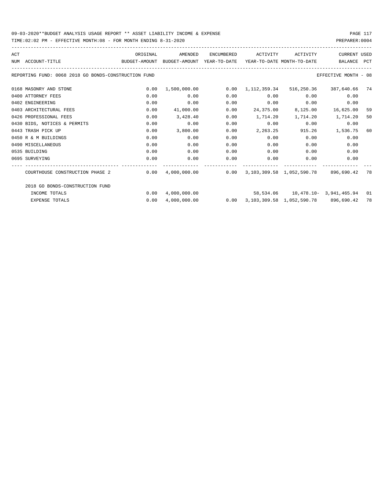### 09-03-2020\*\*BUDGET ANALYSIS USAGE REPORT \*\* ASSET LIABILITY INCOME & EXPENSE PAGE 117 TIME:02:02 PM - EFFECTIVE MONTH:08 - FOR MONTH ENDING 8-31-2020

| ACT |                                                                                          | ORIGINAL | AMENDED      | ENCUMBERED | ACTIVITY  | ACTIVITY                                                               | <b>CURRENT USED</b>      |    |
|-----|------------------------------------------------------------------------------------------|----------|--------------|------------|-----------|------------------------------------------------------------------------|--------------------------|----|
|     | BUDGET-AMOUNT BUDGET-AMOUNT YEAR-TO-DATE YEAR-TO-DATE_MONTH-TO-DATE<br>NUM ACCOUNT-TITLE |          |              |            |           |                                                                        | BALANCE PCT              |    |
|     |                                                                                          |          |              |            |           |                                                                        |                          |    |
|     | REPORTING FUND: 0068 2018 GO BONDS-CONSTRUCTION FUND                                     |          |              |            |           |                                                                        | EFFECTIVE MONTH - 08     |    |
|     | 0168 MASONRY AND STONE                                                                   | 0.00     |              |            |           |                                                                        | 516,250.36 387,640.66 74 |    |
|     | 0400 ATTORNEY FEES                                                                       | 0.00     | 0.00         | 0.00       | 0.00      | 0.00                                                                   | 0.00                     |    |
|     | 0402 ENGINEERING                                                                         | 0.00     | 0.00         | 0.00       | 0.00      | $0.00$ 0.00                                                            |                          |    |
|     | 0403 ARCHITECTURAL FEES                                                                  | 0.00     | 41,000.00    | 0.00       | 24,375.00 | 8,125.00                                                               | 16,625.00                | 59 |
|     | 0426 PROFESSIONAL FEES                                                                   | 0.00     | 3,428.40     | 0.00       | 1,714.20  |                                                                        | 1,714.20 1,714.20        | 50 |
|     | 0430 BIDS, NOTICES & PERMITS                                                             | 0.00     | 0.00         | 0.00       | 0.00      | 0.00                                                                   | 0.00                     |    |
|     | 0443 TRASH PICK UP                                                                       | 0.00     | 3,800.00     | 0.00       | 2,263.25  |                                                                        | 915.26 1,536.75          | 60 |
|     | 0450 R & M BUILDINGS                                                                     | 0.00     | 0.00         | 0.00       | 0.00      | 0.00                                                                   | 0.00                     |    |
|     | 0490 MISCELLANEOUS                                                                       | 0.00     | 0.00         | 0.00       | 0.00      | 0.00                                                                   | 0.00                     |    |
|     | 0535 BUILDING                                                                            | 0.00     | 0.00         | 0.00       | 0.00      | 0.00                                                                   | 0.00                     |    |
|     | 0695 SURVEYING                                                                           | 0.00     | 0.00         | 0.00       | 0.00      | 0.00                                                                   | 0.00                     |    |
|     | COURTHOUSE CONSTRUCTION PHASE 2                                                          | 0.00     |              |            |           |                                                                        |                          |    |
|     | 2018 GO BONDS-CONSTRUCTION FUND                                                          |          |              |            |           |                                                                        |                          |    |
|     | INCOME TOTALS                                                                            | 0.00     | 4,000,000.00 |            |           | $58,534.06$ 10,478.10- 3,941,465.94 01                                 |                          |    |
|     | <b>EXPENSE TOTALS</b>                                                                    | 0.00     | 4,000,000.00 |            |           | $0.00 \quad 3.103.309.58 \quad 1.052.590.78 \quad 896.690.42 \quad 78$ |                          |    |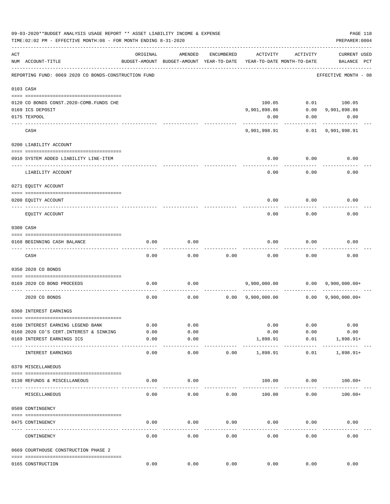|     | 09-03-2020**BUDGET ANALYSIS USAGE REPORT ** ASSET LIABILITY INCOME & EXPENSE<br>TIME:02:02 PM - EFFECTIVE MONTH:08 - FOR MONTH ENDING 8-31-2020 |               |                                                     |              |                           |                                        | PREPARER: 0004                                  | PAGE 118 |
|-----|-------------------------------------------------------------------------------------------------------------------------------------------------|---------------|-----------------------------------------------------|--------------|---------------------------|----------------------------------------|-------------------------------------------------|----------|
| ACT | NUM ACCOUNT-TITLE                                                                                                                               | ORIGINAL      | AMENDED<br>BUDGET-AMOUNT BUDGET-AMOUNT YEAR-TO-DATE | ENCUMBERED   | ACTIVITY                  | ACTIVITY<br>YEAR-TO-DATE MONTH-TO-DATE | <b>CURRENT USED</b><br>BALANCE PCT              |          |
|     | REPORTING FUND: 0069 2020 CO BONDS-CONSTRUCTION FUND                                                                                            |               |                                                     |              |                           |                                        | EFFECTIVE MONTH - 08                            |          |
|     | 0103 CASH                                                                                                                                       |               |                                                     |              |                           |                                        |                                                 |          |
|     |                                                                                                                                                 |               |                                                     |              |                           |                                        |                                                 |          |
|     | 0120 CO BONDS CONST. 2020-COMB. FUNDS CHE                                                                                                       |               |                                                     |              | 100.05                    |                                        | $0.01$ 100.05                                   |          |
|     | 0169 ICS DEPOSIT                                                                                                                                |               |                                                     |              | 9,901,898.86              |                                        | $0.00$ 9,901,898.86                             |          |
|     | 0175 TEXPOOL                                                                                                                                    |               |                                                     |              | 0.00                      |                                        | $0.00$ 0.00                                     |          |
|     | CASH                                                                                                                                            |               |                                                     |              |                           |                                        |                                                 |          |
|     | 0200 LIABILITY ACCOUNT                                                                                                                          |               |                                                     |              |                           |                                        |                                                 |          |
|     |                                                                                                                                                 |               |                                                     |              |                           |                                        |                                                 |          |
|     | 0910 SYSTEM ADDED LIABILITY LINE-ITEM                                                                                                           |               |                                                     |              | 0.00                      | 0.00                                   | 0.00                                            |          |
|     | LIABILITY ACCOUNT                                                                                                                               |               |                                                     |              | 0.00                      | 0.00                                   | 0.00                                            |          |
|     | 0271 EQUITY ACCOUNT                                                                                                                             |               |                                                     |              |                           |                                        |                                                 |          |
|     | 0200 EQUITY ACCOUNT                                                                                                                             |               |                                                     |              | 0.00                      | 0.00                                   | 0.00                                            |          |
|     | EQUITY ACCOUNT                                                                                                                                  |               |                                                     |              | 0.00                      | 0.00                                   | 0.00                                            |          |
|     | 0300 CASH                                                                                                                                       |               |                                                     |              |                           |                                        |                                                 |          |
|     |                                                                                                                                                 |               |                                                     |              |                           |                                        |                                                 |          |
|     | 0168 BEGINNING CASH BALANCE<br>-------------------------------                                                                                  | 0.00          | 0.00                                                |              | 0.00                      | 0.00                                   | 0.00                                            |          |
|     | CASH                                                                                                                                            | 0.00          | 0.00                                                | 0.00         | 0.00                      | 0.00                                   | 0.00                                            |          |
|     | 0350 2020 CO BONDS                                                                                                                              |               |                                                     |              |                           |                                        |                                                 |          |
|     | 0169 2020 CO BOND PROCEEDS                                                                                                                      | 0.00          | 0.00                                                |              |                           |                                        |                                                 |          |
|     | 2020 CO BONDS                                                                                                                                   | 0.00          | 0.00                                                |              |                           |                                        | $0.00 \t 9,900,000.00 \t 0.00 \t 9,900,000.00+$ |          |
|     | 0360 INTEREST EARNINGS                                                                                                                          |               |                                                     |              |                           |                                        |                                                 |          |
|     |                                                                                                                                                 |               |                                                     |              |                           |                                        |                                                 |          |
|     | 0100 INTEREST EARNING LEGEND BANK                                                                                                               | 0.00          | 0.00                                                |              | 0.00                      | 0.00                                   | 0.00                                            |          |
|     | 0160 2020 CO'S CERT. INTEREST & SINKING                                                                                                         | 0.00          | 0.00                                                |              | 0.00                      | 0.00                                   | 0.00                                            |          |
|     | 0169 INTEREST EARNINGS ICS<br>---- ----------------------------                                                                                 | 0.00<br>----- | 0.00<br>$- - - - -$                                 |              | 1,898.91<br>------------- | 0.01<br>------------                   | $1,898.91+$<br>------------                     |          |
|     | INTEREST EARNINGS                                                                                                                               | 0.00          | 0.00                                                | 0.00         | 1,898.91                  | 0.01                                   | $1,898.91+$                                     |          |
|     | 0370 MISCELLANEOUS                                                                                                                              |               |                                                     |              |                           |                                        |                                                 |          |
|     | 0130 REFUNDS & MISCELLANEOUS                                                                                                                    | 0.00          | 0.00                                                |              | 100.00                    | 0.00                                   | $100.00+$                                       |          |
|     | MISCELLANEOUS                                                                                                                                   | 0.00          | 0.00                                                | 0.00         | 100.00                    | 0.00                                   | $100.00+$                                       |          |
|     | 0509 CONTINGENCY                                                                                                                                |               |                                                     |              |                           |                                        |                                                 |          |
|     |                                                                                                                                                 |               |                                                     |              |                           |                                        |                                                 |          |
|     | 0475 CONTINGENCY<br>----- --------                                                                                                              | 0.00          | 0.00                                                | 0.00         | 0.00                      | 0.00                                   | 0.00                                            |          |
|     | CONTINGENCY                                                                                                                                     | 0.00          | 0.00                                                | 0.00         | 0.00                      | 0.00                                   | 0.00                                            |          |
|     | 0669 COURTHOUSE CONSTRUCTION PHASE 2                                                                                                            |               |                                                     |              |                           |                                        |                                                 |          |
|     | 0165 CONSTRUCTION                                                                                                                               | 0.00          |                                                     | 0.00<br>0.00 |                           | 0.00<br>0.00                           | 0.00                                            |          |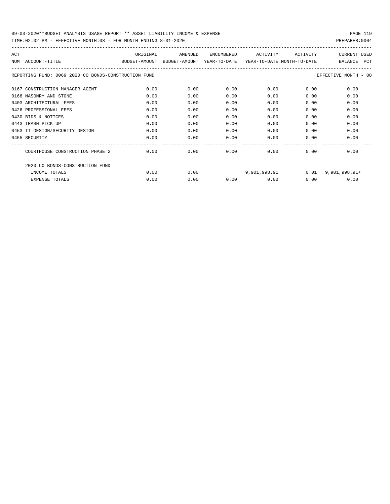| ACT                                                  | ORIGINAL      | AMENDED       | <b>ENCUMBERED</b> | ACTIVITY                   | ACTIVITY | <b>CURRENT USED</b>          |
|------------------------------------------------------|---------------|---------------|-------------------|----------------------------|----------|------------------------------|
| NUM<br>ACCOUNT-TITLE                                 | BUDGET-AMOUNT | BUDGET-AMOUNT | YEAR-TO-DATE      | YEAR-TO-DATE MONTH-TO-DATE |          | <b>PCT</b><br><b>BALANCE</b> |
|                                                      |               |               |                   |                            |          |                              |
| REPORTING FUND: 0069 2020 CO BONDS-CONSTRUCTION FUND |               |               |                   |                            |          | EFFECTIVE MONTH - 08         |
|                                                      |               |               |                   |                            |          |                              |
| 0167 CONSTRUCTION MANAGER AGENT                      | 0.00          | 0.00          | 0.00              | 0.00                       | 0.00     | 0.00                         |
| 0168 MASONRY AND STONE                               | 0.00          | 0.00          | 0.00              | 0.00                       | 0.00     | 0.00                         |
| 0403 ARCHITECTURAL FEES                              | 0.00          | 0.00          | 0.00              | 0.00                       | 0.00     | 0.00                         |
| 0426 PROFESSIONAL FEES                               | 0.00          | 0.00          | 0.00              | 0.00                       | 0.00     | 0.00                         |
| 0430 BIDS & NOTICES                                  | 0.00          | 0.00          | 0.00              | 0.00                       | 0.00     | 0.00                         |
| 0443 TRASH PICK UP                                   | 0.00          | 0.00          | 0.00              | 0.00                       | 0.00     | 0.00                         |
| 0453 IT DESIGN/SECURITY DESIGN                       | 0.00          | 0.00          | 0.00              | 0.00                       | 0.00     | 0.00                         |
| 0455 SECURITY                                        | 0.00          | 0.00          | 0.00              | 0.00                       | 0.00     | 0.00                         |
|                                                      |               |               |                   |                            |          |                              |
| COURTHOUSE CONSTRUCTION PHASE 2                      | 0.00          | 0.00          | 0.00              | 0.00                       | 0.00     | 0.00                         |
| 2020 CO BONDS-CONSTRUCTION FUND                      |               |               |                   |                            |          |                              |
| INCOME TOTALS                                        | 0.00          | 0.00          |                   | 9,901,998.91               | 0.01     | $9,901,998.91+$              |
| <b>EXPENSE TOTALS</b>                                | 0.00          | 0.00          | 0.00              | 0.00                       | 0.00     | 0.00                         |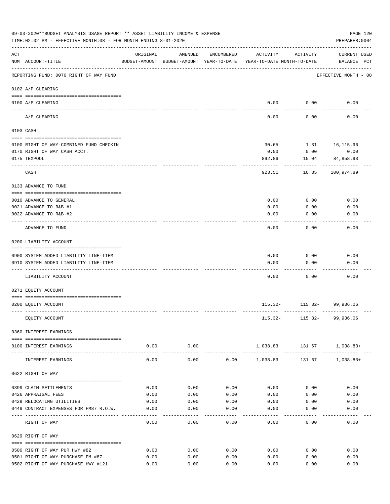|     | 09-03-2020**BUDGET ANALYSIS USAGE REPORT ** ASSET LIABILITY INCOME & EXPENSE<br>TIME: 02:02 PM - EFFECTIVE MONTH: 08 - FOR MONTH ENDING 8-31-2020 |          |                     |            |                                                                                 |              | PAGE 120<br>PREPARER: 0004         |
|-----|---------------------------------------------------------------------------------------------------------------------------------------------------|----------|---------------------|------------|---------------------------------------------------------------------------------|--------------|------------------------------------|
| ACT | NUM ACCOUNT-TITLE                                                                                                                                 | ORIGINAL | AMENDED             | ENCUMBERED | ACTIVITY<br>BUDGET-AMOUNT BUDGET-AMOUNT YEAR-TO-DATE YEAR-TO-DATE MONTH-TO-DATE | ACTIVITY     | <b>CURRENT USED</b><br>BALANCE PCT |
|     | REPORTING FUND: 0070 RIGHT OF WAY FUND                                                                                                            |          |                     |            |                                                                                 |              | EFFECTIVE MONTH - 08               |
|     | 0102 A/P CLEARING                                                                                                                                 |          |                     |            |                                                                                 |              |                                    |
|     | 0100 A/P CLEARING                                                                                                                                 |          |                     |            | 0.00                                                                            | 0.00         | 0.00                               |
|     | ---- --------<br>A/P CLEARING                                                                                                                     |          |                     |            | 0.00                                                                            | 0.00         | 0.00                               |
|     | 0103 CASH                                                                                                                                         |          |                     |            |                                                                                 |              |                                    |
|     | 0100 RIGHT OF WAY-COMBINED FUND CHECKIN                                                                                                           |          |                     |            | 30.65                                                                           |              | 1.31 16,115.96                     |
|     | 0170 RIGHT OF WAY CASH ACCT.                                                                                                                      |          |                     |            | 0.00                                                                            | 0.00         | 0.00                               |
|     | 0175 TEXPOOL                                                                                                                                      |          |                     |            | 892.86                                                                          | 15.04        | 84,858.93                          |
|     | CASH                                                                                                                                              |          |                     |            | 923.51                                                                          | 16.35        | 100,974.89                         |
|     | 0133 ADVANCE TO FUND                                                                                                                              |          |                     |            |                                                                                 |              |                                    |
|     | 0010 ADVANCE TO GENERAL                                                                                                                           |          |                     |            | 0.00                                                                            | 0.00         | 0.00                               |
|     | 0021 ADVANCE TO R&B #1                                                                                                                            |          |                     |            | 0.00                                                                            | 0.00         | 0.00                               |
|     | 0022 ADVANCE TO R&B #2                                                                                                                            |          |                     |            | 0.00                                                                            | 0.00         | 0.00                               |
|     | ADVANCE TO FUND                                                                                                                                   |          |                     |            | 0.00                                                                            | 0.00         | 0.00                               |
|     | 0200 LIABILITY ACCOUNT                                                                                                                            |          |                     |            |                                                                                 |              |                                    |
|     |                                                                                                                                                   |          |                     |            |                                                                                 |              |                                    |
|     | 0900 SYSTEM ADDED LIABILITY LINE-ITEM<br>0910 SYSTEM ADDED LIABILITY LINE-ITEM                                                                    |          |                     |            | 0.00<br>0.00                                                                    | 0.00<br>0.00 | 0.00<br>0.00                       |
|     |                                                                                                                                                   |          |                     |            |                                                                                 |              |                                    |
|     | LIABILITY ACCOUNT                                                                                                                                 |          |                     |            | 0.00                                                                            | 0.00         | 0.00                               |
|     | 0271 EQUITY ACCOUNT                                                                                                                               |          |                     |            |                                                                                 |              |                                    |
|     |                                                                                                                                                   |          |                     |            |                                                                                 |              |                                    |
|     | 0200 EQUITY ACCOUNT                                                                                                                               |          |                     |            |                                                                                 |              | $115.32 - 115.32 - 99.936.06$      |
|     | EQUITY ACCOUNT                                                                                                                                    |          |                     |            |                                                                                 |              | 115.32- 115.32- 99,936.06          |
|     | 0360 INTEREST EARNINGS                                                                                                                            |          |                     |            |                                                                                 |              |                                    |
|     | 0100 INTEREST EARNINGS                                                                                                                            | 0.00     | 0.00<br>----------- |            |                                                                                 |              | 1,038.83 131.67 1,038.83+          |
|     | INTEREST EARNINGS                                                                                                                                 | 0.00     | 0.00                |            | $0.00$ 1,038.83                                                                 |              | 131.67 1,038.83+                   |
|     | 0622 RIGHT OF WAY                                                                                                                                 |          |                     |            |                                                                                 |              |                                    |
|     | 0399 CLAIM SETTLEMENTS                                                                                                                            | 0.00     | 0.00                | 0.00       | 0.00                                                                            | 0.00         | 0.00                               |
|     | 0426 APPRAISAL FEES                                                                                                                               | 0.00     | 0.00                | 0.00       | 0.00                                                                            | 0.00         | 0.00                               |
|     | 0429 RELOCATING UTILITIES                                                                                                                         | 0.00     | 0.00                | 0.00       | 0.00                                                                            | 0.00         | 0.00                               |
|     | 0449 CONTRACT EXPENSES FOR FM87 R.O.W.                                                                                                            | 0.00     | 0.00                | 0.00       | 0.00                                                                            | 0.00         | 0.00                               |
|     | RIGHT OF WAY                                                                                                                                      | 0.00     | 0.00                | 0.00       | 0.00                                                                            | 0.00         | 0.00                               |
|     | 0629 RIGHT OF WAY                                                                                                                                 |          |                     |            |                                                                                 |              |                                    |
|     | 0500 RIGHT OF WAY PUR HWY #82                                                                                                                     | 0.00     | 0.00                | 0.00       | 0.00                                                                            | 0.00         | 0.00                               |
|     | 0501 RIGHT OF WAY PURCHASE FM #87                                                                                                                 | 0.00     | 0.00                | 0.00       | 0.00                                                                            | 0.00         | 0.00                               |
|     | 0502 RIGHT OF WAY PURCHASE HWY #121                                                                                                               | 0.00     | 0.00                | 0.00       | 0.00                                                                            | 0.00         | 0.00                               |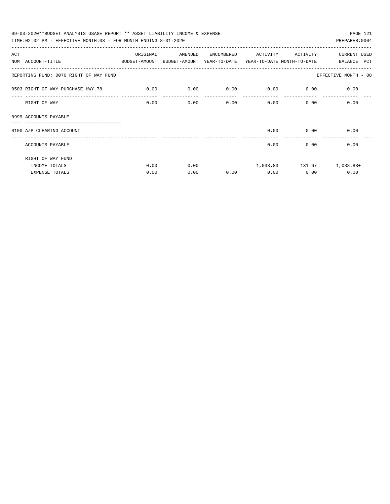| PAGE 121<br>09-03-2020**BUDGET ANALYSIS USAGE REPORT ** ASSET LIABILITY INCOME & EXPENSE |          |         |            |             |          |                           |  |  |  |  |
|------------------------------------------------------------------------------------------|----------|---------|------------|-------------|----------|---------------------------|--|--|--|--|
| TIME: 02:02 PM - EFFECTIVE MONTH: 08 - FOR MONTH ENDING 8-31-2020                        |          |         |            |             |          | PREPARER: 0004            |  |  |  |  |
| ACT                                                                                      | ORIGINAL | AMENDED | ENCUMBERED | ACTIVITY    | ACTIVITY | <b>CURRENT USED</b>       |  |  |  |  |
| BUDGET-AMOUNT BUDGET-AMOUNT YEAR-TO-DATE YEAR-TO-DATE_MONTH-TO-DATE<br>NUM ACCOUNT-TITLE |          |         |            |             |          | BALANCE PCT               |  |  |  |  |
| REPORTING FUND: 0070 RIGHT OF WAY FUND                                                   |          |         |            |             |          | EFFECTIVE MONTH - 08      |  |  |  |  |
| 0503 RIGHT OF WAY PURCHASE HWY.78 0.00                                                   |          | 0.00    | 0.00       | $0.00$ 0.00 |          | 0.00                      |  |  |  |  |
| RIGHT OF WAY                                                                             | 0.00     | 0.00    | 0.00       |             | 0.00     | 0.00<br>0.00              |  |  |  |  |
| 0999 ACCOUNTS PAYABLE                                                                    |          |         |            |             |          |                           |  |  |  |  |
| 0100 A/P CLEARING ACCOUNT                                                                |          |         |            | 0.00        | 0.00     | 0.00                      |  |  |  |  |
| ACCOUNTS PAYABLE                                                                         |          |         |            | 0.00        | 0.00     | 0.00                      |  |  |  |  |
| RIGHT OF WAY FUND                                                                        |          |         |            |             |          |                           |  |  |  |  |
| INCOME TOTALS                                                                            | 0.00     | 0.00    |            |             |          | 1,038.83 131.67 1,038.83+ |  |  |  |  |
| <b>EXPENSE TOTALS</b>                                                                    | 0.00     | 0.00    | 0.00       | 0.00        | 0.00     | 0.00                      |  |  |  |  |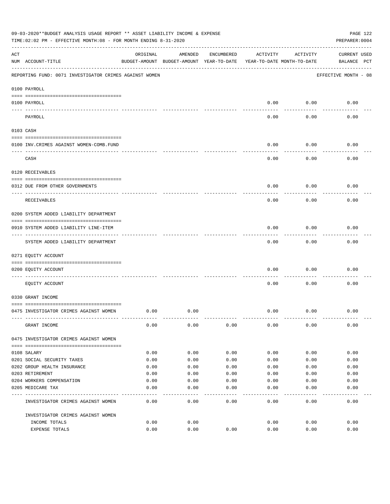|     | 09-03-2020**BUDGET ANALYSIS USAGE REPORT ** ASSET LIABILITY INCOME & EXPENSE<br>TIME:02:02 PM - EFFECTIVE MONTH:08 - FOR MONTH ENDING 8-31-2020 |                                                      |         |            |          |                                        | PAGE 122<br>PREPARER: 0004         |
|-----|-------------------------------------------------------------------------------------------------------------------------------------------------|------------------------------------------------------|---------|------------|----------|----------------------------------------|------------------------------------|
| ACT | NUM ACCOUNT-TITLE                                                                                                                               | ORIGINAL<br>BUDGET-AMOUNT BUDGET-AMOUNT YEAR-TO-DATE | AMENDED | ENCUMBERED | ACTIVITY | ACTIVITY<br>YEAR-TO-DATE MONTH-TO-DATE | <b>CURRENT USED</b><br>BALANCE PCT |
|     | REPORTING FUND: 0071 INVESTIGATOR CRIMES AGAINST WOMEN                                                                                          |                                                      |         |            |          |                                        | EFFECTIVE MONTH - 08               |
|     | 0100 PAYROLL                                                                                                                                    |                                                      |         |            |          |                                        |                                    |
|     | 0100 PAYROLL                                                                                                                                    |                                                      |         |            | 0.00     | 0.00                                   | 0.00                               |
|     | ---- ----<br>PAYROLL                                                                                                                            |                                                      |         |            | 0.00     | 0.00                                   | 0.00                               |
|     | 0103 CASH                                                                                                                                       |                                                      |         |            |          |                                        |                                    |
|     | 0100 INV. CRIMES AGAINST WOMEN-COMB. FUND                                                                                                       |                                                      |         |            | 0.00     | 0.00                                   | 0.00                               |
|     | CASH                                                                                                                                            |                                                      |         |            | 0.00     | 0.00                                   | 0.00                               |
|     | 0120 RECEIVABLES                                                                                                                                |                                                      |         |            |          |                                        |                                    |
|     | 0312 DUE FROM OTHER GOVERNMENTS                                                                                                                 |                                                      |         |            | 0.00     | 0.00                                   | 0.00                               |
|     | RECEIVABLES                                                                                                                                     |                                                      |         |            | 0.00     | 0.00                                   | 0.00                               |
|     | 0200 SYSTEM ADDED LIABILITY DEPARTMENT                                                                                                          |                                                      |         |            |          |                                        |                                    |
|     | 0910 SYSTEM ADDED LIABILITY LINE-ITEM                                                                                                           |                                                      |         |            | 0.00     | 0.00                                   | 0.00                               |
|     | SYSTEM ADDED LIABILITY DEPARTMENT                                                                                                               |                                                      |         |            | 0.00     | 0.00                                   | 0.00                               |
|     | 0271 EQUITY ACCOUNT                                                                                                                             |                                                      |         |            |          |                                        |                                    |
|     | 0200 EQUITY ACCOUNT                                                                                                                             |                                                      |         |            | 0.00     | 0.00                                   | 0.00                               |
|     | EQUITY ACCOUNT                                                                                                                                  |                                                      |         |            | 0.00     | 0.00                                   | 0.00                               |
|     | 0330 GRANT INCOME                                                                                                                               |                                                      |         |            |          |                                        |                                    |
|     | 0475 INVESTIGATOR CRIMES AGAINST WOMEN                                                                                                          | 0.00                                                 | 0.00    |            | 0.00     | 0.00                                   | 0.00                               |
|     | GRANT INCOME                                                                                                                                    | 0.00                                                 | 0.00    | 0.00       | 0.00     | 0.00                                   | 0.00                               |
|     | 0475 INVESTIGATOR CRIMES AGAINST WOMEN                                                                                                          |                                                      |         |            |          |                                        |                                    |
|     | 0108 SALARY                                                                                                                                     | 0.00                                                 | 0.00    | 0.00       | 0.00     | 0.00                                   | 0.00                               |
|     | 0201 SOCIAL SECURITY TAXES                                                                                                                      | 0.00                                                 | 0.00    | 0.00       | 0.00     | 0.00                                   | 0.00                               |
|     | 0202 GROUP HEALTH INSURANCE                                                                                                                     | 0.00                                                 | 0.00    | 0.00       | 0.00     | 0.00                                   | 0.00                               |
|     | 0203 RETIREMENT                                                                                                                                 | 0.00                                                 | 0.00    | 0.00       | 0.00     | 0.00                                   | 0.00                               |
|     | 0204 WORKERS COMPENSATION                                                                                                                       | 0.00                                                 | 0.00    | 0.00       | 0.00     | 0.00                                   | 0.00                               |
|     | 0205 MEDICARE TAX                                                                                                                               | 0.00                                                 | 0.00    | 0.00       | 0.00     | 0.00                                   | 0.00                               |
|     | INVESTIGATOR CRIMES AGAINST WOMEN                                                                                                               | 0.00                                                 | 0.00    | 0.00       | 0.00     | 0.00                                   | 0.00                               |
|     | INVESTIGATOR CRIMES AGAINST WOMEN                                                                                                               |                                                      |         |            |          |                                        |                                    |
|     | INCOME TOTALS                                                                                                                                   | 0.00                                                 | 0.00    |            | 0.00     | 0.00                                   | 0.00                               |
|     | EXPENSE TOTALS                                                                                                                                  | 0.00                                                 | 0.00    | 0.00       | 0.00     | 0.00                                   | 0.00                               |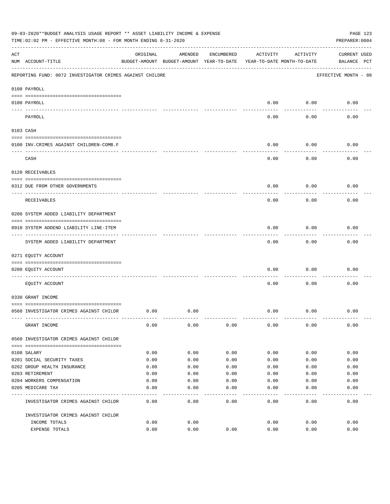|     | 09-03-2020**BUDGET ANALYSIS USAGE REPORT ** ASSET LIABILITY INCOME & EXPENSE<br>TIME:02:02 PM - EFFECTIVE MONTH:08 - FOR MONTH ENDING 8-31-2020 |          |                                                     |            |                                        |          | PAGE 123<br>PREPARER: 0004         |
|-----|-------------------------------------------------------------------------------------------------------------------------------------------------|----------|-----------------------------------------------------|------------|----------------------------------------|----------|------------------------------------|
| ACT | NUM ACCOUNT-TITLE                                                                                                                               | ORIGINAL | AMENDED<br>BUDGET-AMOUNT BUDGET-AMOUNT YEAR-TO-DATE | ENCUMBERED | ACTIVITY<br>YEAR-TO-DATE MONTH-TO-DATE | ACTIVITY | <b>CURRENT USED</b><br>BALANCE PCT |
|     | REPORTING FUND: 0072 INVESTIGATOR CRIMES AGAINST CHILDRE                                                                                        |          |                                                     |            |                                        |          | EFFECTIVE MONTH - 08               |
|     | 0100 PAYROLL                                                                                                                                    |          |                                                     |            |                                        |          |                                    |
|     | 0100 PAYROLL<br>---- ----                                                                                                                       |          |                                                     |            | 0.00                                   | 0.00     | 0.00                               |
|     | PAYROLL                                                                                                                                         |          |                                                     |            | 0.00                                   | 0.00     | 0.00                               |
|     | 0103 CASH                                                                                                                                       |          |                                                     |            |                                        |          |                                    |
|     | 0100 INV. CRIMES AGAINST CHILDREN-COMB.F                                                                                                        |          |                                                     |            | 0.00                                   | 0.00     | 0.00                               |
|     | CASH                                                                                                                                            |          |                                                     |            | 0.00                                   | 0.00     | 0.00                               |
|     | 0120 RECEIVABLES                                                                                                                                |          |                                                     |            |                                        |          |                                    |
|     | 0312 DUE FROM OTHER GOVERNMENTS                                                                                                                 |          |                                                     |            | 0.00                                   | 0.00     | 0.00                               |
|     | RECEIVABLES                                                                                                                                     |          |                                                     |            | 0.00                                   | 0.00     | 0.00                               |
|     | 0200 SYSTEM ADDED LIABILITY DEPARTMENT                                                                                                          |          |                                                     |            |                                        |          |                                    |
|     | 0910 SYSTEM ADDEND LIABILITY LINE-ITEM                                                                                                          |          |                                                     |            | 0.00                                   | 0.00     | 0.00                               |
|     | SYSTEM ADDED LIABILITY DEPARTMENT                                                                                                               |          |                                                     |            | 0.00                                   | 0.00     | 0.00                               |
|     | 0271 EQUITY ACCOUNT                                                                                                                             |          |                                                     |            |                                        |          |                                    |
|     | 0200 EQUITY ACCOUNT                                                                                                                             |          |                                                     |            | 0.00                                   | 0.00     | 0.00                               |
|     | EQUITY ACCOUNT                                                                                                                                  |          |                                                     |            | 0.00                                   | 0.00     | 0.00                               |
|     | 0330 GRANT INCOME                                                                                                                               |          |                                                     |            |                                        |          |                                    |
|     | 0560 INVESTIGATOR CRIMES AGAINST CHILDR                                                                                                         | 0.00     | 0.00                                                |            | 0.00                                   | 0.00     | 0.00                               |
|     | GRANT INCOME                                                                                                                                    | 0.00     | 0.00                                                | 0.00       | 0.00                                   | 0.00     | 0.00                               |
|     | 0560 INVESTIGATOR CRIMES AGAINST CHILDR                                                                                                         |          |                                                     |            |                                        |          |                                    |
|     | 0108 SALARY                                                                                                                                     | 0.00     | 0.00                                                | 0.00       | 0.00                                   | 0.00     | 0.00                               |
|     | 0201 SOCIAL SECURITY TAXES                                                                                                                      | 0.00     | 0.00                                                | 0.00       | 0.00                                   | 0.00     | 0.00                               |
|     | 0202 GROUP HEALTH INSURANCE                                                                                                                     | 0.00     | 0.00                                                | 0.00       | 0.00                                   | 0.00     | 0.00                               |
|     | 0203 RETIREMENT                                                                                                                                 | 0.00     | 0.00                                                | 0.00       | 0.00                                   | 0.00     | 0.00                               |
|     | 0204 WORKERS COMPENSATION                                                                                                                       | 0.00     | 0.00                                                | 0.00       | 0.00                                   | 0.00     | 0.00                               |
|     | 0205 MEDICARE TAX                                                                                                                               | 0.00     | 0.00                                                | 0.00       | 0.00                                   | 0.00     | 0.00                               |
|     | INVESTIGATOR CRIMES AGAINST CHILDR                                                                                                              | 0.00     | 0.00                                                | 0.00       | 0.00                                   | 0.00     | 0.00                               |
|     | INVESTIGATOR CRIMES AGAINST CHILDR                                                                                                              |          |                                                     |            |                                        |          |                                    |
|     | INCOME TOTALS                                                                                                                                   | 0.00     | 0.00                                                |            | 0.00                                   | 0.00     | 0.00                               |
|     | EXPENSE TOTALS                                                                                                                                  | 0.00     | 0.00                                                | 0.00       | 0.00                                   | 0.00     | 0.00                               |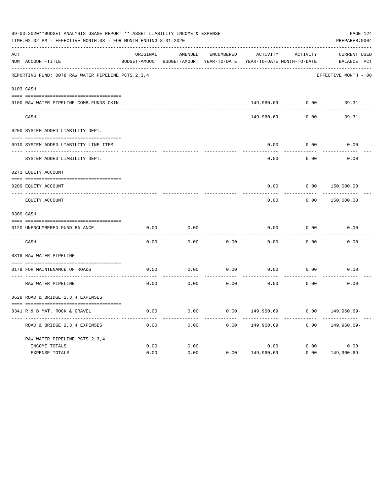|     | 09-03-2020**BUDGET ANALYSIS USAGE REPORT ** ASSET LIABILITY INCOME & EXPENSE<br>TIME: 02:02 PM - EFFECTIVE MONTH: 08 - FOR MONTH ENDING 8-31-2020 |          |                                                     |                   |                                        |          | PREPARER: 0004              | PAGE 124 |
|-----|---------------------------------------------------------------------------------------------------------------------------------------------------|----------|-----------------------------------------------------|-------------------|----------------------------------------|----------|-----------------------------|----------|
| ACT | NUM ACCOUNT-TITLE                                                                                                                                 | ORIGINAL | AMENDED<br>BUDGET-AMOUNT BUDGET-AMOUNT YEAR-TO-DATE | <b>ENCUMBERED</b> | ACTIVITY<br>YEAR-TO-DATE MONTH-TO-DATE | ACTIVITY | CURRENT USED<br>BALANCE PCT |          |
|     | REPORTING FUND: 0078 RAW WATER PIPELINE PCTS.2,3,4                                                                                                |          |                                                     |                   |                                        |          | EFFECTIVE MONTH - 08        |          |
|     | 0103 CASH                                                                                                                                         |          |                                                     |                   |                                        |          |                             |          |
|     | 0100 RAW WATER PIPELINE-COMB.FUNDS CKIN                                                                                                           |          |                                                     |                   | 149,960.69-                            | 0.00     | 39.31                       |          |
|     | CASH                                                                                                                                              |          |                                                     |                   | 149,960.69-                            | 0.00     | 39.31                       |          |
|     | 0200 SYSTEM ADDED LIABILITY DEPT.                                                                                                                 |          |                                                     |                   |                                        |          |                             |          |
|     | 0910 SYSTEM ADDED LIABILITY LINE ITEM                                                                                                             |          |                                                     |                   | 0.00                                   | 0.00     | 0.00                        |          |
|     | SYSTEM ADDED LIABILITY DEPT.                                                                                                                      |          |                                                     |                   | 0.00                                   | 0.00     | 0.00                        |          |
|     | 0271 EQUITY ACCOUNT                                                                                                                               |          |                                                     |                   |                                        |          |                             |          |
|     | 0200 EQUITY ACCOUNT                                                                                                                               |          |                                                     |                   | 0.00                                   | 0.00     | 150,000.00                  |          |
|     | ---- -----------------<br>EQUITY ACCOUNT                                                                                                          |          |                                                     |                   | 0.00                                   | 0.00     | 150,000.00                  |          |
|     | 0300 CASH                                                                                                                                         |          |                                                     |                   |                                        |          |                             |          |
|     | 0120 UNENCUMBERED FUND BALANCE                                                                                                                    | 0.00     | 0.00                                                |                   | 0.00                                   | 0.00     | 0.00                        |          |
|     | CASH                                                                                                                                              | 0.00     | 0.00                                                | 0.00              | 0.00                                   | 0.00     | 0.00                        |          |
|     | 0319 RAW WATER PIPELINE                                                                                                                           |          |                                                     |                   |                                        |          |                             |          |
|     | 0179 FOR MAINTENANCE OF ROADS                                                                                                                     | 0.00     | 0.00                                                | 0.00              | 0.00                                   | 0.00     | 0.00                        |          |
|     | RAW WATER PIPELINE                                                                                                                                | 0.00     | 0.00                                                | 0.00              | 0.00                                   | 0.00     | 0.00                        |          |
|     | 0628 ROAD & BRIDGE 2,3,4 EXPENSES                                                                                                                 |          |                                                     |                   |                                        |          |                             |          |
|     | 0341 R & B MAT. ROCK & GRAVEL                                                                                                                     | 0.00     | 0.00                                                | 0.00              | 149,960.69                             | 0.00     | 149,960.69-                 |          |
|     | ROAD & BRIDGE 2, 3, 4 EXPENSES                                                                                                                    | 0.00     | 0.00                                                | 0.00              | 149,960.69                             | 0.00     | 149,960.69-                 |          |
|     | RAW WATER PIPELINE PCTS. 2, 3, 4                                                                                                                  |          |                                                     |                   |                                        |          |                             |          |
|     | INCOME TOTALS                                                                                                                                     | 0.00     | 0.00                                                |                   | 0.00                                   | 0.00     | 0.00                        |          |
|     | <b>EXPENSE TOTALS</b>                                                                                                                             | 0.00     | 0.00                                                | 0.00              | 149,960.69                             | 0.00     | 149,960.69-                 |          |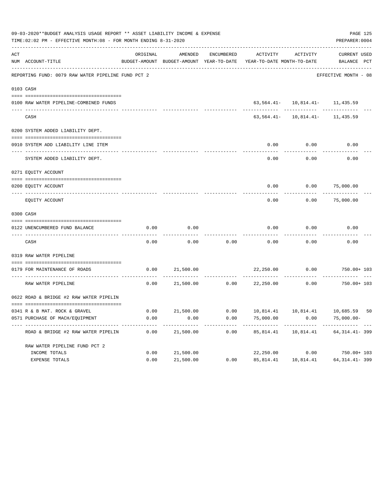|     | 09-03-2020**BUDGET ANALYSIS USAGE REPORT ** ASSET LIABILITY INCOME & EXPENSE<br>TIME: 02:02 PM - EFFECTIVE MONTH: 08 - FOR MONTH ENDING 8-31-2020 |              |                |             |                                                                                 |                                        | PAGE 125<br>PREPARER: 0004                                                |
|-----|---------------------------------------------------------------------------------------------------------------------------------------------------|--------------|----------------|-------------|---------------------------------------------------------------------------------|----------------------------------------|---------------------------------------------------------------------------|
| ACT | NUM ACCOUNT-TITLE                                                                                                                                 | ORIGINAL     | AMENDED        | ENCUMBERED  | ACTIVITY<br>BUDGET-AMOUNT BUDGET-AMOUNT YEAR-TO-DATE YEAR-TO-DATE MONTH-TO-DATE | ACTIVITY                               | CURRENT USED<br>BALANCE PCT                                               |
|     | REPORTING FUND: 0079 RAW WATER PIPELINE FUND PCT 2                                                                                                |              |                |             |                                                                                 |                                        | EFFECTIVE MONTH - 08                                                      |
|     | 0103 CASH                                                                                                                                         |              |                |             |                                                                                 |                                        |                                                                           |
|     | 0100 RAW WATER PIPELINE-COMBINED FUNDS                                                                                                            |              |                |             |                                                                                 | $63, 564.41 - 10, 814.41 - 11, 435.59$ |                                                                           |
|     | CASH                                                                                                                                              |              | -------------  | ---------   |                                                                                 | $63,564.41 - 10,814.41 - 11,435.59$    |                                                                           |
|     | 0200 SYSTEM ADDED LIABILITY DEPT.                                                                                                                 |              |                |             |                                                                                 |                                        |                                                                           |
|     | 0910 SYSTEM ADD LIABILITY LINE ITEM                                                                                                               |              |                |             | 0.00                                                                            | 0.00                                   | 0.00                                                                      |
|     | ---------------------<br>SYSTEM ADDED LIABILITY DEPT.                                                                                             |              |                |             | 0.00                                                                            | ---------<br>0.00                      | 0.00                                                                      |
|     | 0271 EQUITY ACCOUNT                                                                                                                               |              |                |             |                                                                                 |                                        |                                                                           |
|     | 0200 EQUITY ACCOUNT                                                                                                                               |              |                |             | 0.00                                                                            | 0.00                                   | 75,000.00                                                                 |
|     | EQUITY ACCOUNT                                                                                                                                    |              |                |             | 0.00                                                                            | 0.00                                   | 75,000.00                                                                 |
|     | 0300 CASH                                                                                                                                         |              |                |             |                                                                                 |                                        |                                                                           |
|     | 0122 UNENCUMBERED FUND BALANCE                                                                                                                    | 0.00         | 0.00           |             | 0.00                                                                            | 0.00                                   | 0.00                                                                      |
|     | CASH                                                                                                                                              | 0.00         | 0.00           | 0.00        | 0.00                                                                            | 0.00                                   | 0.00                                                                      |
|     | 0319 RAW WATER PIPELINE                                                                                                                           |              |                |             |                                                                                 |                                        |                                                                           |
|     | 0179 FOR MAINTENANCE OF ROADS                                                                                                                     | 0.00         | 21,500.00      |             | 22,250.00                                                                       | 0.00                                   | 750.00+ 103                                                               |
|     | RAW WATER PIPELINE                                                                                                                                | 0.00         | 21,500.00 0.00 | ----------- | 22,250.00                                                                       | ----------<br>0.00                     | 750.00+ 103                                                               |
|     | 0622 ROAD & BRIDGE #2 RAW WATER PIPELIN                                                                                                           |              |                |             |                                                                                 |                                        |                                                                           |
|     |                                                                                                                                                   |              |                |             |                                                                                 |                                        |                                                                           |
|     | 0341 R & B MAT. ROCK & GRAVEL<br>0571 PURCHASE OF MACH/EQUIPMENT                                                                                  | 0.00<br>0.00 | 0.00           | 0.00        | 75,000.00                                                                       | 0.00                                   | 21,500.00   0.00   10,814.41   10,814.41   10,685.59   50<br>$75,000.00-$ |
|     | ROAD & BRIDGE #2 RAW WATER PIPELIN                                                                                                                | 0.00         | 21,500.00      | 0.00        | 85,814.41                                                                       | ---------<br>10,814.41                 | 64, 314. 41- 399                                                          |
|     | RAW WATER PIPELINE FUND PCT 2                                                                                                                     |              |                |             |                                                                                 |                                        |                                                                           |
|     | INCOME TOTALS                                                                                                                                     | 0.00         | 21,500.00      |             | 22,250.00                                                                       | 0.00                                   | 750.00+ 103                                                               |
|     | EXPENSE TOTALS                                                                                                                                    | 0.00         | 21,500.00      | 0.00        | 85,814.41                                                                       | 10,814.41                              | 64, 314. 41- 399                                                          |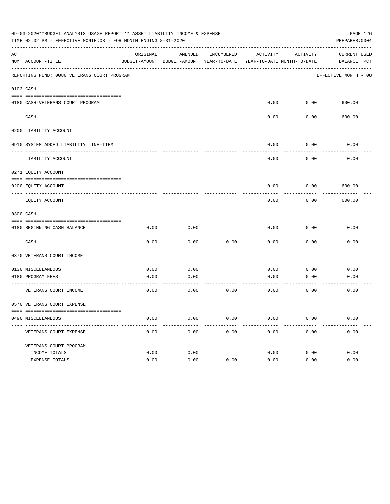| 09-03-2020**BUDGET ANALYSIS USAGE REPORT ** ASSET LIABILITY INCOME & EXPENSE<br>PAGE 126<br>TIME:02:02 PM - EFFECTIVE MONTH:08 - FOR MONTH ENDING 8-31-2020<br>PREPARER: 0004 |                                                     |          |                                          |            |          |                            |                      |  |  |  |
|-------------------------------------------------------------------------------------------------------------------------------------------------------------------------------|-----------------------------------------------------|----------|------------------------------------------|------------|----------|----------------------------|----------------------|--|--|--|
| ACT                                                                                                                                                                           |                                                     | ORIGINAL | AMENDED                                  | ENCUMBERED | ACTIVITY | ACTIVITY                   | <b>CURRENT USED</b>  |  |  |  |
|                                                                                                                                                                               | NUM ACCOUNT-TITLE                                   |          | BUDGET-AMOUNT BUDGET-AMOUNT YEAR-TO-DATE |            |          | YEAR-TO-DATE MONTH-TO-DATE | BALANCE PCT          |  |  |  |
|                                                                                                                                                                               | REPORTING FUND: 0080 VETERANS COURT PROGRAM         |          |                                          |            |          |                            | EFFECTIVE MONTH - 08 |  |  |  |
|                                                                                                                                                                               | 0103 CASH                                           |          |                                          |            |          |                            |                      |  |  |  |
|                                                                                                                                                                               | 0180 CASH-VETERANS COURT PROGRAM                    |          |                                          |            | 0.00     | 0.00                       | 600.00               |  |  |  |
| ---- --                                                                                                                                                                       | CASH                                                |          |                                          |            | 0.00     | 0.00                       | 600.00               |  |  |  |
|                                                                                                                                                                               | 0200 LIABILITY ACCOUNT                              |          |                                          |            |          |                            |                      |  |  |  |
|                                                                                                                                                                               | 0910 SYSTEM ADDED LIABILITY LINE-ITEM               |          |                                          |            | 0.00     | 0.00                       | 0.00                 |  |  |  |
|                                                                                                                                                                               | LIABILITY ACCOUNT                                   |          |                                          |            | 0.00     | 0.00                       | 0.00                 |  |  |  |
|                                                                                                                                                                               | 0271 EQUITY ACCOUNT                                 |          |                                          |            |          |                            |                      |  |  |  |
|                                                                                                                                                                               | 0200 EQUITY ACCOUNT                                 |          |                                          |            | 0.00     | 0.00                       | 600.00               |  |  |  |
|                                                                                                                                                                               | EQUITY ACCOUNT                                      |          |                                          |            | 0.00     | 0.00                       | 600.00               |  |  |  |
|                                                                                                                                                                               | 0300 CASH                                           |          |                                          |            |          |                            |                      |  |  |  |
|                                                                                                                                                                               | 0180 BEGINNING CASH BALANCE                         | 0.00     | 0.00                                     |            | 0.00     | 0.00                       | 0.00                 |  |  |  |
|                                                                                                                                                                               | CASH                                                | 0.00     | 0.00                                     | 0.00       | 0.00     | 0.00                       | 0.00                 |  |  |  |
|                                                                                                                                                                               | 0370 VETERANS COURT INCOME                          |          |                                          |            |          |                            |                      |  |  |  |
|                                                                                                                                                                               | 0130 MISCELLANEOUS                                  | 0.00     | 0.00                                     |            | 0.00     | 0.00                       | 0.00                 |  |  |  |
|                                                                                                                                                                               | 0180 PROGRAM FEES<br>------------------------ ----- | 0.00     | 0.00                                     |            | 0.00     | 0.00                       | 0.00                 |  |  |  |
|                                                                                                                                                                               | VETERANS COURT INCOME                               | 0.00     | 0.00                                     | 0.00       | 0.00     | 0.00                       | 0.00                 |  |  |  |
|                                                                                                                                                                               | 0570 VETERANS COURT EXPENSE                         |          |                                          |            |          |                            |                      |  |  |  |
|                                                                                                                                                                               | 0490 MISCELLANEOUS                                  | 0.00     | 0.00                                     | 0.00       | 0.00     | 0.00                       | 0.00                 |  |  |  |
|                                                                                                                                                                               | VETERANS COURT EXPENSE                              | 0.00     | 0.00                                     | 0.00       | 0.00     | 0.00                       | 0.00                 |  |  |  |
|                                                                                                                                                                               | VETERANS COURT PROGRAM                              |          |                                          |            |          |                            |                      |  |  |  |
|                                                                                                                                                                               | INCOME TOTALS                                       | 0.00     | 0.00                                     |            | 0.00     | 0.00                       | 0.00                 |  |  |  |
|                                                                                                                                                                               | EXPENSE TOTALS                                      | 0.00     | 0.00                                     | 0.00       | 0.00     | 0.00                       | 0.00                 |  |  |  |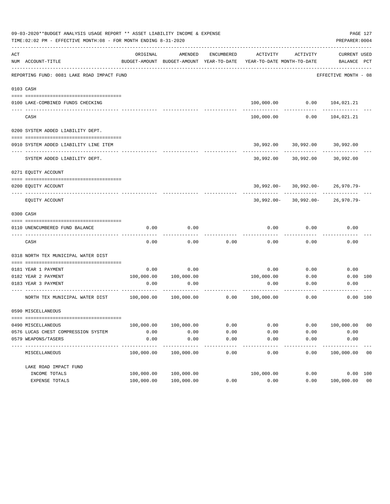|     | 09-03-2020**BUDGET ANALYSIS USAGE REPORT ** ASSET LIABILITY INCOME & EXPENSE<br>TIME: 02:02 PM - EFFECTIVE MONTH: 08 - FOR MONTH ENDING 8-31-2020 |            |                                                     |            |                                        |                                       | PREPARER: 0004                     | PAGE 127       |
|-----|---------------------------------------------------------------------------------------------------------------------------------------------------|------------|-----------------------------------------------------|------------|----------------------------------------|---------------------------------------|------------------------------------|----------------|
| ACT | NUM ACCOUNT-TITLE                                                                                                                                 | ORIGINAL   | AMENDED<br>BUDGET-AMOUNT BUDGET-AMOUNT YEAR-TO-DATE | ENCUMBERED | ACTIVITY<br>YEAR-TO-DATE MONTH-TO-DATE | ACTIVITY                              | <b>CURRENT USED</b><br>BALANCE PCT |                |
|     | REPORTING FUND: 0081 LAKE ROAD IMPACT FUND                                                                                                        |            |                                                     |            |                                        |                                       | EFFECTIVE MONTH - 08               |                |
|     | 0103 CASH                                                                                                                                         |            |                                                     |            |                                        |                                       |                                    |                |
|     |                                                                                                                                                   |            |                                                     |            |                                        | 100,000.00   0.00   104,021.21        |                                    |                |
|     | 0100 LAKE-COMBINED FUNDS CHECKING                                                                                                                 |            |                                                     |            |                                        |                                       |                                    |                |
|     | CASH                                                                                                                                              |            |                                                     |            | 100,000.00                             | 0.00                                  | 104,021.21                         |                |
|     | 0200 SYSTEM ADDED LIABILITY DEPT.                                                                                                                 |            |                                                     |            |                                        |                                       |                                    |                |
|     | 0910 SYSTEM ADDED LIABILITY LINE ITEM                                                                                                             |            |                                                     |            | 30,992.00                              | 30,992.00                             | 30,992.00                          |                |
|     | SYSTEM ADDED LIABILITY DEPT.                                                                                                                      |            |                                                     |            | 30,992.00                              | 30,992.00                             | 30,992.00                          |                |
|     | 0271 EQUITY ACCOUNT                                                                                                                               |            |                                                     |            |                                        |                                       |                                    |                |
|     | 0200 EQUITY ACCOUNT                                                                                                                               |            |                                                     |            |                                        | $30,992.00 - 30,992.00 - 26,970.79 -$ |                                    |                |
|     |                                                                                                                                                   |            |                                                     |            |                                        |                                       |                                    |                |
|     | EQUITY ACCOUNT                                                                                                                                    |            |                                                     |            |                                        | $30,992.00 - 30,992.00 - 26,970.79 -$ |                                    |                |
|     | 0300 CASH                                                                                                                                         |            |                                                     |            |                                        |                                       |                                    |                |
|     | 0110 UNENCUMBERED FUND BALANCE                                                                                                                    | 0.00       | 0.00                                                |            | 0.00                                   | 0.00                                  | 0.00                               |                |
|     | CASH                                                                                                                                              | 0.00       | 0.00                                                | 0.00       | 0.00                                   | 0.00                                  | 0.00                               |                |
|     | 0318 NORTH TEX MUNICIPAL WATER DIST                                                                                                               |            |                                                     |            |                                        |                                       |                                    |                |
|     | 0181 YEAR 1 PAYMENT                                                                                                                               | 0.00       | 0.00                                                |            | 0.00                                   | 0.00                                  | 0.00                               |                |
|     | 0182 YEAR 2 PAYMENT                                                                                                                               | 100,000.00 | 100,000.00                                          |            | 100,000.00                             | 0.00                                  | 0.00 100                           |                |
|     | 0183 YEAR 3 PAYMENT                                                                                                                               | 0.00       | 0.00                                                |            | 0.00                                   | 0.00                                  | 0.00                               |                |
|     | NORTH TEX MUNICIPAL WATER DIST $100,000.00$ $100,000.00$                                                                                          |            |                                                     | 0.00       | 100,000.00                             | 0.00                                  | 0.00 100                           |                |
|     | 0590 MISCELLANEOUS                                                                                                                                |            |                                                     |            |                                        |                                       |                                    |                |
|     | 0490 MISCELLANEOUS                                                                                                                                | 100,000.00 | 100,000.00                                          | 0.00       | 0.00                                   | 0.00                                  | 100,000.00                         | 0 <sub>0</sub> |
|     | 0576 LUCAS CHEST COMPRESSION SYSTEM                                                                                                               | 0.00       | 0.00                                                | 0.00       | 0.00                                   | 0.00                                  | 0.00                               |                |
|     | 0579 WEAPONS/TASERS                                                                                                                               | 0.00       | 0.00                                                | 0.00       | 0.00                                   | 0.00                                  | 0.00                               |                |
|     | -----------<br>MISCELLANEOUS                                                                                                                      | 100,000.00 | ----------<br>100,000.00                            | 0.00       | 0.00                                   | 0.00                                  | 100,000.00                         | 00             |
|     | LAKE ROAD IMPACT FUND                                                                                                                             |            |                                                     |            |                                        |                                       |                                    |                |
|     | INCOME TOTALS                                                                                                                                     | 100,000.00 | 100,000.00                                          |            | 100,000.00                             | 0.00                                  | 0.00 100                           |                |
|     | EXPENSE TOTALS                                                                                                                                    | 100,000.00 | 100,000.00                                          | 0.00       | 0.00                                   | 0.00                                  | 100,000.00                         | 0 <sub>0</sub> |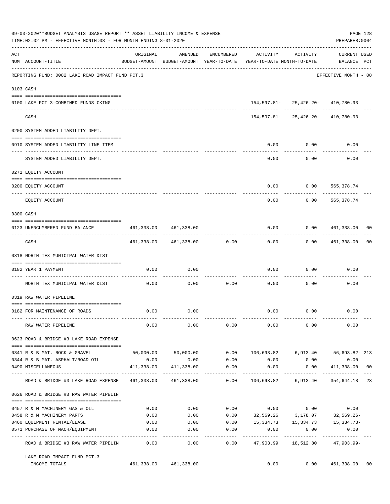|     | 09-03-2020**BUDGET ANALYSIS USAGE REPORT ** ASSET LIABILITY INCOME & EXPENSE<br>TIME:02:02 PM - EFFECTIVE MONTH:08 - FOR MONTH ENDING 8-31-2020 |                                                 |                                                     |                   |                                        |                                                                          | PREPARER: 0004              | PAGE 128 |
|-----|-------------------------------------------------------------------------------------------------------------------------------------------------|-------------------------------------------------|-----------------------------------------------------|-------------------|----------------------------------------|--------------------------------------------------------------------------|-----------------------------|----------|
| ACT | NUM ACCOUNT-TITLE                                                                                                                               | ORIGINAL                                        | AMENDED<br>BUDGET-AMOUNT BUDGET-AMOUNT YEAR-TO-DATE | ENCUMBERED        | ACTIVITY<br>YEAR-TO-DATE MONTH-TO-DATE | ACTIVITY                                                                 | CURRENT USED<br>BALANCE PCT |          |
|     | REPORTING FUND: 0082 LAKE ROAD IMPACT FUND PCT.3                                                                                                |                                                 |                                                     |                   |                                        |                                                                          | EFFECTIVE MONTH - 08        |          |
|     | 0103 CASH                                                                                                                                       |                                                 |                                                     |                   |                                        |                                                                          |                             |          |
|     | 0100 LAKE PCT 3-COMBINED FUNDS CKING                                                                                                            |                                                 |                                                     |                   |                                        | 154, 597.81 - 25, 426.20 - 410, 780.93                                   |                             |          |
|     | CASH                                                                                                                                            |                                                 |                                                     |                   |                                        | ------------- ------------ --------<br>154,597.81- 25,426.20- 410,780.93 |                             |          |
|     | 0200 SYSTEM ADDED LIABILITY DEPT.                                                                                                               |                                                 |                                                     |                   |                                        |                                                                          |                             |          |
|     | 0910 SYSTEM ADDED LIABILITY LINE ITEM                                                                                                           |                                                 |                                                     |                   | 0.00                                   | 0.00                                                                     | 0.00                        |          |
|     | SYSTEM ADDED LIABILITY DEPT.                                                                                                                    |                                                 |                                                     |                   | 0.00                                   | 0.00                                                                     | 0.00                        |          |
|     | 0271 EQUITY ACCOUNT                                                                                                                             |                                                 |                                                     |                   |                                        |                                                                          |                             |          |
|     | 0200 EQUITY ACCOUNT                                                                                                                             |                                                 |                                                     |                   | 0.00                                   |                                                                          | $0.00$ 565,378.74           |          |
|     | -------------------- --------<br>EOUITY ACCOUNT                                                                                                 |                                                 |                                                     |                   | 0.00                                   | 0.00                                                                     | ---------<br>565,378.74     |          |
|     | 0300 CASH                                                                                                                                       |                                                 |                                                     |                   |                                        |                                                                          |                             |          |
|     | 0123 UNENCUMBERED FUND BALANCE                                                                                                                  | 461,338.00                                      | 461,338.00                                          |                   | 0.00                                   |                                                                          | 0.0000461,338.00000         |          |
|     | CASH                                                                                                                                            |                                                 | 461,338.00 461,338.00                               | 0.00              | 0.00                                   |                                                                          | $0.00$ $461,338.00$         | 00       |
|     | 0318 NORTH TEX MUNICIPAL WATER DIST                                                                                                             |                                                 |                                                     |                   |                                        |                                                                          |                             |          |
|     | 0182 YEAR 1 PAYMENT<br>----------------------------------                                                                                       | 0.00                                            | 0.00                                                |                   | 0.00                                   | 0.00                                                                     | 0.00                        |          |
|     | NORTH TEX MUNICIPAL WATER DIST                                                                                                                  | 0.00                                            | 0.00                                                | 0.00              | 0.00                                   | 0.00                                                                     | 0.00                        |          |
|     | 0319 RAW WATER PIPELINE                                                                                                                         |                                                 |                                                     |                   |                                        |                                                                          |                             |          |
|     | 0182 FOR MAINTENANCE OF ROADS                                                                                                                   | 0.00                                            | 0.00                                                |                   |                                        | $0.00$ $0.00$                                                            | 0.00                        |          |
|     | RAW WATER PIPELINE                                                                                                                              | 0.00                                            | 0.00                                                | 0.00              | 0.00                                   | 0.00                                                                     | 0.00                        |          |
|     | 0623 ROAD & BRIDGE #3 LAKE ROAD EXPENSE                                                                                                         |                                                 |                                                     |                   |                                        |                                                                          |                             |          |
|     | 0341 R & B MAT. ROCK & GRAVEL                                                                                                                   |                                                 | 50,000.00 50,000.00                                 |                   |                                        | $0.00$ $106,693.82$ $6,913.40$                                           | 56,693.82- 213              |          |
|     | 0344 R & B MAT. ASPHALT/ROAD OIL                                                                                                                | 0.00                                            | 0.00                                                | 0.00              |                                        | $0.00$ $0.00$                                                            | 0.00                        |          |
|     | 0490 MISCELLANEOUS                                                                                                                              | 411,338.00<br>----- ------------- ------------- | 411,338.00                                          | 0.00<br>--------- | 0.00                                   | 0.00<br>-----------                                                      | 411,338.00 00               |          |
|     | ROAD & BRIDGE #3 LAKE ROAD EXPENSE                                                                                                              |                                                 | 461,338.00 461,338.00                               | 0.00              |                                        | 106,693.82 6,913.40                                                      | 354,644.18                  | 23       |
|     | 0626 ROAD & BRIDGE #3 RAW WATER PIPELIN                                                                                                         |                                                 |                                                     |                   |                                        |                                                                          |                             |          |
|     | 0457 R & M MACHINERY GAS & OIL                                                                                                                  | 0.00                                            | 0.00                                                |                   |                                        | $0.00$ $0.00$ $0.00$ $0.00$ $0.00$                                       |                             |          |
|     | 0458 R & M MACHINERY PARTS                                                                                                                      | 0.00                                            | 0.00                                                |                   |                                        | $0.00$ $32,569.26$ $3,178.07$ $32,569.26$                                |                             |          |
|     | 0460 EQUIPMENT RENTAL/LEASE                                                                                                                     | 0.00                                            | 0.00                                                | 0.00              |                                        | $15,334.73$ $15,334.73$ $15,334.73$                                      |                             |          |
|     | 0571 PURCHASE OF MACH/EQUIPMENT                                                                                                                 | 0.00                                            | 0.00                                                | 0.00              | 0.00                                   | 0.00<br>----------                                                       | 0.00<br>----------          |          |
|     | ROAD & BRIDGE #3 RAW WATER PIPELIN                                                                                                              | 0.00                                            | 0.00                                                | 0.00              | 47,903.99                              | 18,512.80                                                                | 47,903.99-                  |          |
|     | LAKE ROAD IMPACT FUND PCT.3<br>INCOME TOTALS                                                                                                    |                                                 | 461,338.00 461,338.00                               |                   | 0.00                                   | 0.00                                                                     | 461,338.00                  | 00       |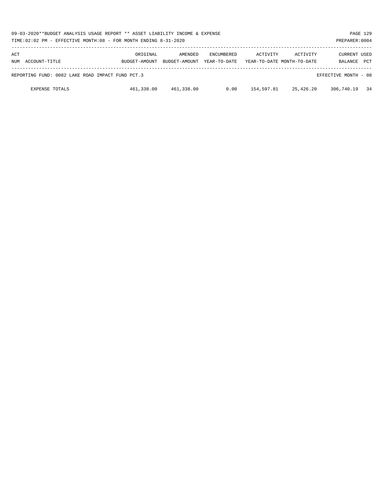| 09-03-2020**BUDGET ANALYSIS USAGE REPORT ** ASSET LIABILITY INCOME & EXPENSE<br>TIME:02:02 PM - EFFECTIVE MONTH:08 - FOR MONTH ENDING 8-31-2020 |                           |                          |                                   |            |                                        | PREPARER: 0004                 | PAGE 129   |
|-------------------------------------------------------------------------------------------------------------------------------------------------|---------------------------|--------------------------|-----------------------------------|------------|----------------------------------------|--------------------------------|------------|
| ACT<br>NUM ACCOUNT-TITLE                                                                                                                        | ORIGINAL<br>BUDGET-AMOUNT | AMENDED<br>BUDGET-AMOUNT | <b>ENCUMBERED</b><br>YEAR-TO-DATE | ACTIVITY   | ACTIVITY<br>YEAR-TO-DATE MONTH-TO-DATE | <b>CURRENT USED</b><br>BALANCE | <b>PCT</b> |
| REPORTING FUND: 0082 LAKE ROAD IMPACT FUND PCT.3                                                                                                |                           |                          |                                   |            |                                        | EFFECTIVE MONTH - 08           |            |
| <b>EXPENSE TOTALS</b>                                                                                                                           | 461,338.00                | 461,338.00               | 0.00                              | 154,597.81 | 25,426.20                              | 306,740.19                     | 34         |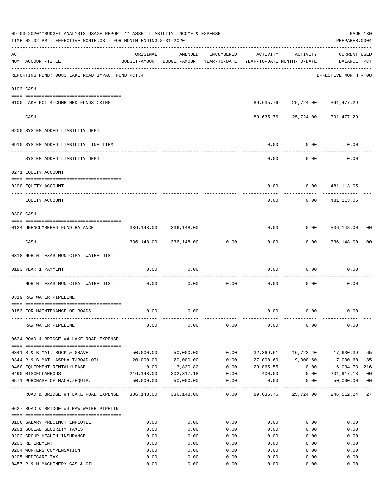|     | 09-03-2020**BUDGET ANALYSIS USAGE REPORT ** ASSET LIABILITY INCOME & EXPENSE<br>TIME: 02:02 PM - EFFECTIVE MONTH: 08 - FOR MONTH ENDING 8-31-2020 |            |                            |            |                                                                                 |                                      | PAGE 130<br>PREPARER: 0004         |                |
|-----|---------------------------------------------------------------------------------------------------------------------------------------------------|------------|----------------------------|------------|---------------------------------------------------------------------------------|--------------------------------------|------------------------------------|----------------|
| ACT | NUM ACCOUNT-TITLE                                                                                                                                 | ORIGINAL   | AMENDED                    | ENCUMBERED | ACTIVITY<br>BUDGET-AMOUNT BUDGET-AMOUNT YEAR-TO-DATE YEAR-TO-DATE MONTH-TO-DATE | ACTIVITY                             | <b>CURRENT USED</b><br>BALANCE PCT |                |
|     | REPORTING FUND: 0083 LAKE ROAD IMPACT FUND PCT.4                                                                                                  |            |                            |            |                                                                                 |                                      | EFFECTIVE MONTH - 08               |                |
|     | 0103 CASH                                                                                                                                         |            |                            |            |                                                                                 |                                      |                                    |                |
|     | 0100 LAKE PCT 4-COMBINED FUNDS CKING                                                                                                              |            |                            |            |                                                                                 | 89,635.76-25,724.00-391,477.29       |                                    |                |
|     | CASH                                                                                                                                              |            |                            |            |                                                                                 | $89,635.76 - 25,724.00 - 391,477.29$ |                                    |                |
|     | 0200 SYSTEM ADDED LIABILITY DEPT.                                                                                                                 |            |                            |            |                                                                                 |                                      |                                    |                |
|     | 0910 SYSTEM ADDED LIABILITY LINE ITEM                                                                                                             |            |                            |            | 0.00                                                                            | 0.00                                 | 0.00                               |                |
|     | SYSTEM ADDED LIABILITY DEPT.                                                                                                                      |            |                            |            | 0.00                                                                            | 0.00                                 | 0.00                               |                |
|     | 0271 EQUITY ACCOUNT                                                                                                                               |            |                            |            |                                                                                 |                                      |                                    |                |
|     | 0200 EQUITY ACCOUNT                                                                                                                               |            |                            |            | 0.00                                                                            | 0.0000481,113.05                     |                                    |                |
|     | EQUITY ACCOUNT                                                                                                                                    |            |                            |            | -----<br>0.00                                                                   | . <u>.</u> .<br>0.00                 | ------------<br>481,113.05         |                |
|     | 0300 CASH                                                                                                                                         |            |                            |            |                                                                                 |                                      |                                    |                |
|     | 0124 UNENCUMBERED FUND BALANCE                                                                                                                    | 336,148.00 | 336,148.00                 |            | 0.00                                                                            |                                      | $0.00$ 336,148.00                  | 00             |
|     | CASH                                                                                                                                              |            | 336,148.00 336,148.00      | 0.00       | 0.00                                                                            |                                      | $0.00$ 336,148.00                  | 0 <sub>0</sub> |
|     | 0318 NORTH TEXAS MUNICIPAL WATER DIST                                                                                                             |            |                            |            |                                                                                 |                                      |                                    |                |
|     | 0183 YEAR 1 PAYMENT                                                                                                                               | 0.00       | 0.00                       |            | 0.00                                                                            | 0.00                                 | 0.00                               |                |
|     | NORTH TEXAS MUNICIPAL WATER DIST                                                                                                                  | 0.00       | 0.00                       | 0.00       | 0.00                                                                            | 0.00                                 | 0.00                               |                |
|     | 0319 RAW WATER PIPELINE                                                                                                                           |            |                            |            |                                                                                 |                                      |                                    |                |
|     | 0183 FOR MAINTENANCE OF ROADS                                                                                                                     | 0.00       | 0.00                       |            |                                                                                 | $0.00$ $0.00$                        | 0.00                               |                |
|     | RAW WATER PIPELINE                                                                                                                                | 0.00       | 0.00                       | 0.00       | 0.00                                                                            | 0.00                                 | 0.00                               |                |
|     | 0624 ROAD & BRIDGE #4 LAKE ROAD EXPENSE                                                                                                           |            |                            |            |                                                                                 |                                      |                                    |                |
|     | 0341 R & B MAT. ROCK & GRAVEL                                                                                                                     | 50,000.00  | 50,000.00                  | 0.00       | 32,369.61                                                                       | 16,723.40                            | 17,630.39 65                       |                |
|     | 0344 R & B MAT. ASPHALT/ROAD OIL                                                                                                                  | 20,000.00  | 20,000.00                  | 0.00       | 27,000.60                                                                       | 9,000.60                             | 7,000.60- 135                      |                |
|     | 0460 EQUIPMENT RENTAL/LEASE                                                                                                                       | 0.00       | 13,830.82                  |            | $0.00$ 29,865.55                                                                |                                      | $0.00$ $16,034.73 - 216$           |                |
|     | 0490 MISCELLANEOUS                                                                                                                                |            | 216,148.00 202,317.18 0.00 |            | 400.00                                                                          | 0.0000001,917.18                     |                                    | 0 <sub>0</sub> |
|     | 0571 PURCHASE OF MACH./EQUIP.                                                                                                                     |            | 50,000.00 50,000.00        | 0.00       | 0.00<br>------------                                                            | 0.00<br>------------                 | 50,000.00<br>.                     | 0 <sub>0</sub> |
|     | ROAD & BRIDGE #4 LAKE ROAD EXPENSE 336,148.00 336,148.00 0.00 89,635.76 25,724.00 246,512.24 27                                                   |            |                            |            |                                                                                 |                                      |                                    |                |
|     | 0627 ROAD & BRIDGE #4 RAW WATER PIPELIN                                                                                                           |            |                            |            |                                                                                 |                                      |                                    |                |
|     | 0106 SALARY PRECINCT EMPLOYEE                                                                                                                     | 0.00       | 0.00                       | 0.00       | 0.00                                                                            | 0.00                                 | 0.00                               |                |
|     | 0201 SOCIAL SECURITY TAXES                                                                                                                        | 0.00       | 0.00                       | 0.00       | 0.00                                                                            | 0.00                                 | 0.00                               |                |
|     | 0202 GROUP HEALTH INSURANCE                                                                                                                       | 0.00       | 0.00                       | 0.00       | 0.00                                                                            | 0.00                                 | 0.00                               |                |
|     | 0203 RETIREMENT                                                                                                                                   | 0.00       | 0.00                       | 0.00       | 0.00                                                                            | 0.00                                 | 0.00                               |                |
|     | 0204 WORKERS COMPENSATION                                                                                                                         | 0.00       | 0.00                       | 0.00       | 0.00                                                                            | 0.00                                 | 0.00                               |                |
|     | 0205 MEDICARE TAX                                                                                                                                 | 0.00       | 0.00                       | 0.00       | 0.00                                                                            | 0.00                                 | 0.00                               |                |
|     | 0457 R & M MACHINERY GAS & OIL                                                                                                                    | 0.00       | 0.00                       | 0.00       | 0.00                                                                            | 0.00                                 | 0.00                               |                |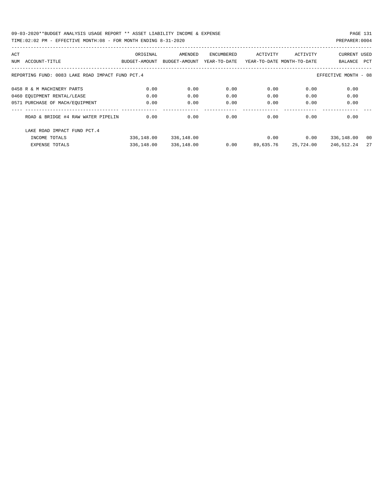| ACT |                                                  | ORIGINAL      | AMENDED       | ENCUMBERED   | ACTIVITY                   | ACTIVITY  | <b>CURRENT USED</b>  |            |
|-----|--------------------------------------------------|---------------|---------------|--------------|----------------------------|-----------|----------------------|------------|
| NUM | ACCOUNT-TITLE                                    | BUDGET-AMOUNT | BUDGET-AMOUNT | YEAR-TO-DATE | YEAR-TO-DATE MONTH-TO-DATE |           | <b>BALANCE</b>       | <b>PCT</b> |
|     | REPORTING FUND: 0083 LAKE ROAD IMPACT FUND PCT.4 |               |               |              |                            |           | EFFECTIVE MONTH - 08 |            |
|     | 0458 R & M MACHINERY PARTS                       | 0.00          | 0.00          | 0.00         | 0.00                       | 0.00      | 0.00                 |            |
|     | 0460 EQUIPMENT RENTAL/LEASE                      | 0.00          | 0.00          | 0.00         | 0.00                       | 0.00      | 0.00                 |            |
|     | 0571 PURCHASE OF MACH/EOUIPMENT                  | 0.00          | 0.00          | 0.00         | 0.00                       | 0.00      | 0.00                 |            |
|     | ROAD & BRIDGE #4 RAW WATER PIPELIN               | 0.00          | 0.00          | 0.00         | 0.00                       | 0.00      | 0.00                 |            |
|     | LAKE ROAD IMPACT FUND PCT. 4                     |               |               |              |                            |           |                      |            |
|     | INCOME TOTALS                                    | 336,148.00    | 336,148.00    |              | 0.00                       | 0.00      | 336,148.00           | 00         |
|     | <b>EXPENSE TOTALS</b>                            | 336,148.00    | 336,148.00    | 0.00         | 89,635.76                  | 25,724.00 | 246,512.24           | 27         |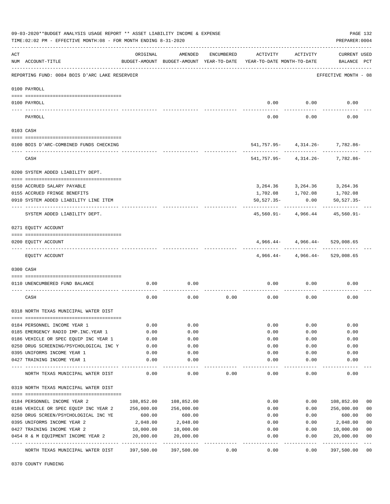|     | 09-03-2020**BUDGET ANALYSIS USAGE REPORT ** ASSET LIABILITY INCOME & EXPENSE<br>TIME: 02:02 PM - EFFECTIVE MONTH: 08 - FOR MONTH ENDING 8-31-2020 |                            |                          |            |                                                                                 |                                    | PAGE 132<br>PREPARER: 0004         |                |
|-----|---------------------------------------------------------------------------------------------------------------------------------------------------|----------------------------|--------------------------|------------|---------------------------------------------------------------------------------|------------------------------------|------------------------------------|----------------|
| ACT | NUM ACCOUNT-TITLE                                                                                                                                 | ORIGINAL                   | AMENDED                  | ENCUMBERED | ACTIVITY<br>BUDGET-AMOUNT BUDGET-AMOUNT YEAR-TO-DATE YEAR-TO-DATE MONTH-TO-DATE | ACTIVITY                           | CURRENT USED<br>BALANCE PCT        |                |
|     | REPORTING FUND: 0084 BOIS D'ARC LAKE RESERVOIR                                                                                                    |                            |                          |            |                                                                                 |                                    | EFFECTIVE MONTH - 08               |                |
|     | 0100 PAYROLL                                                                                                                                      |                            |                          |            |                                                                                 |                                    |                                    |                |
|     | 0100 PAYROLL                                                                                                                                      |                            |                          |            | 0.00                                                                            | 0.00                               | 0.00                               |                |
|     | ---- ----<br>PAYROLL                                                                                                                              |                            |                          |            | 0.00                                                                            | 0.00                               | 0.00                               |                |
|     | 0103 CASH                                                                                                                                         |                            |                          |            |                                                                                 |                                    |                                    |                |
|     | 0100 BOIS D'ARC-COMBINED FUNDS CHECKING                                                                                                           |                            |                          |            |                                                                                 |                                    | 541, 757.95- 4, 314.26- 7, 782.86- |                |
|     | CASH                                                                                                                                              |                            |                          |            |                                                                                 |                                    | 541, 757.95- 4, 314.26- 7, 782.86- |                |
|     | 0200 SYSTEM ADDED LIABILITY DEPT.                                                                                                                 |                            |                          |            |                                                                                 |                                    |                                    |                |
|     | 0150 ACCRUED SALARY PAYABLE                                                                                                                       |                            |                          |            |                                                                                 | 3, 264.36 3, 264.36 3, 264.36      |                                    |                |
|     | 0155 ACCRUED FRINGE BENEFITS                                                                                                                      |                            |                          |            |                                                                                 | 1,702.08 1,702.08                  | 1,702.08                           |                |
|     | 0910 SYSTEM ADDED LIABILITY LINE ITEM                                                                                                             |                            |                          |            | $50,527.35-$                                                                    | 0.00                               | $50, 527.35 -$                     |                |
|     |                                                                                                                                                   |                            |                          |            |                                                                                 |                                    |                                    |                |
|     | SYSTEM ADDED LIABILITY DEPT.                                                                                                                      |                            |                          |            |                                                                                 | 45,560.91- 4,966.44                | 45,560.91-                         |                |
|     | 0271 EQUITY ACCOUNT                                                                                                                               |                            |                          |            |                                                                                 |                                    |                                    |                |
|     | 0200 EQUITY ACCOUNT                                                                                                                               |                            |                          |            |                                                                                 | $4,966.44 - 4,966.44 - 529,008.65$ |                                    |                |
|     | EQUITY ACCOUNT                                                                                                                                    |                            |                          |            |                                                                                 | $4,966.44 - 4,966.44 - 529,008.65$ |                                    |                |
|     | 0300 CASH                                                                                                                                         |                            |                          |            |                                                                                 |                                    |                                    |                |
|     | 0110 UNENCUMBERED FUND BALANCE                                                                                                                    | 0.00                       | 0.00                     |            | 0.00                                                                            | 0.00                               | 0.00                               |                |
|     | CASH                                                                                                                                              | 0.00                       | 0.00                     | 0.00       | 0.00                                                                            | 0.00                               | 0.00                               |                |
|     | 0318 NORTH TEXAS MUNICIPAL WATER DIST                                                                                                             |                            |                          |            |                                                                                 |                                    |                                    |                |
|     |                                                                                                                                                   |                            |                          |            |                                                                                 |                                    |                                    |                |
|     | 0184 PERSONNEL INCOME YEAR 1<br>0185 EMERGENCY RADIO IMP. INC. YEAR 1                                                                             | 0.00                       | 0.00                     |            | 0.00                                                                            | 0.00                               | 0.00                               |                |
|     | 0186 VEHICLE OR SPEC EQUIP INC YEAR 1                                                                                                             | 0.00<br>0.00               | 0.00<br>0.00             |            | 0.00<br>0.00                                                                    | 0.00<br>0.00                       | 0.00<br>0.00                       |                |
|     | 0250 DRUG SCREENING/PSYCHOLOGICAL INC Y                                                                                                           | 0.00                       | 0.00                     |            | 0.00                                                                            | 0.00                               | 0.00                               |                |
|     | 0395 UNIFORMS INCOME YEAR 1                                                                                                                       | 0.00                       | 0.00                     |            | 0.00                                                                            | 0.00                               | 0.00                               |                |
|     | 0427 TRAINING INCOME YEAR 1                                                                                                                       | 0.00                       | 0.00                     |            | 0.00                                                                            | 0.00                               | 0.00                               |                |
|     | NORTH TEXAS MUNICIPAL WATER DIST                                                                                                                  | 0.00                       | 0.00                     | 0.00       | 0.00                                                                            | 0.00                               | 0.00                               |                |
|     | 0319 NORTH TEXAS MUNICIPAL WATER DIST                                                                                                             |                            |                          |            |                                                                                 |                                    |                                    |                |
|     |                                                                                                                                                   |                            |                          |            |                                                                                 |                                    |                                    |                |
|     | 0184 PERSONNEL INCOME YEAR 2                                                                                                                      | 108,852.00                 | 108,852.00               |            | 0.00                                                                            | 0.00                               | 108,852.00                         | 00             |
|     | 0186 VEHICLE OR SPEC EQUIP INC YEAR 2                                                                                                             | 256,000.00                 | 256,000.00               |            | 0.00                                                                            | 0.00                               | 256,000.00                         | 0 <sub>0</sub> |
|     | 0250 DRUG SCREEN/PSYCHOLOGICAL INC YE                                                                                                             | 600.00                     | 600.00                   |            | 0.00                                                                            | 0.00                               | 600.00                             | 00             |
|     | 0395 UNIFORMS INCOME YEAR 2                                                                                                                       | 2,048.00                   | 2,048.00                 |            | 0.00                                                                            | 0.00                               | 2,048.00                           | 0 <sub>0</sub> |
|     | 0427 TRAINING INCOME YEAR 2                                                                                                                       | 10,000.00                  | 10,000.00                |            | 0.00                                                                            | 0.00                               | 10,000.00                          | 0 <sub>0</sub> |
|     | 0454 R & M EQUIPMENT INCOME YEAR 2                                                                                                                | 20,000.00<br>------------- | 20,000.00<br>----------- |            | 0.00                                                                            | 0.00                               | 20,000.00                          | 00             |
|     | NORTH TEXAS MUNICIPAL WATER DIST                                                                                                                  | 397,500.00                 | 397,500.00               | 0.00       | 0.00                                                                            | 0.00                               | 397,500.00                         | 0 <sub>0</sub> |

0370 COUNTY FUNDING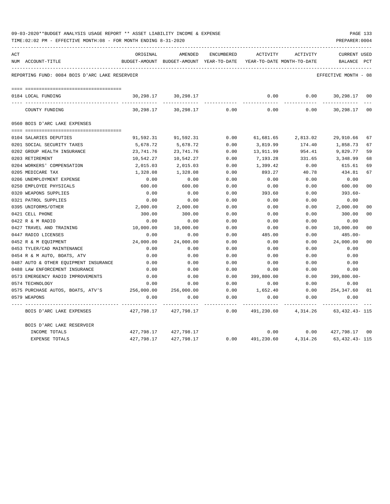|     | 09-03-2020**BUDGET ANALYSIS USAGE REPORT ** ASSET LIABILITY INCOME & EXPENSE<br>TIME: 02:02 PM - EFFECTIVE MONTH: 08 - FOR MONTH ENDING 8-31-2020 |                            |                                                     |            |                                        |               | PREPARER: 0004                 | PAGE 133       |
|-----|---------------------------------------------------------------------------------------------------------------------------------------------------|----------------------------|-----------------------------------------------------|------------|----------------------------------------|---------------|--------------------------------|----------------|
| ACT | NUM ACCOUNT-TITLE                                                                                                                                 | ORIGINAL                   | AMENDED<br>BUDGET-AMOUNT BUDGET-AMOUNT YEAR-TO-DATE | ENCUMBERED | ACTIVITY<br>YEAR-TO-DATE MONTH-TO-DATE | ACTIVITY      | <b>CURRENT USED</b><br>BALANCE | $_{\rm PCT}$   |
|     | REPORTING FUND: 0084 BOIS D'ARC LAKE RESERVOIR                                                                                                    |                            |                                                     |            |                                        |               | EFFECTIVE MONTH - 08           |                |
|     |                                                                                                                                                   |                            |                                                     |            |                                        |               |                                |                |
|     | 0184 LOCAL FUNDING                                                                                                                                | 30,298.17                  | 30,298.17                                           |            | 0.00                                   | 0.00          | 30,298.17                      | $_{00}$        |
|     | --- ---------------------------<br>COUNTY FUNDING                                                                                                 | -------------<br>30,298.17 | -----------<br>30,298.17                            | 0.00       | 0.00                                   | -----<br>0.00 | ----------<br>30,298.17        | 00             |
|     | 0560 BOIS D'ARC LAKE EXPENSES                                                                                                                     |                            |                                                     |            |                                        |               |                                |                |
|     | 0104 SALARIES DEPUTIES                                                                                                                            | 91,592.31                  | 91,592.31                                           | 0.00       | 61,681.65                              | 2,813.02      | 29,910.66                      | 67             |
|     | 0201 SOCIAL SECURITY TAXES                                                                                                                        | 5,678.72                   | 5,678.72                                            | 0.00       | 3,819.99                               | 174.40        | 1,858.73                       | 67             |
|     | 0202 GROUP HEALTH INSURANCE                                                                                                                       | 23,741.76                  | 23,741.76                                           | 0.00       | 13,911.99                              | 954.41        | 9,829.77                       | 59             |
|     | 0203 RETIREMENT                                                                                                                                   | 10,542.27                  | 10,542.27                                           | 0.00       | 7,193.28                               | 331.65        | 3,348.99                       | 68             |
|     | 0204 WORKERS' COMPENSATION                                                                                                                        | 2,015.03                   | 2,015.03                                            | 0.00       | 1,399.42                               | 0.00          | 615.61                         | 69             |
|     | 0205 MEDICARE TAX                                                                                                                                 | 1,328.08                   | 1,328.08                                            | 0.00       | 893.27                                 | 40.78         | 434.81                         | 67             |
|     | 0206 UNEMPLOYMENT EXPENSE                                                                                                                         | 0.00                       | 0.00                                                | 0.00       | 0.00                                   | 0.00          | 0.00                           |                |
|     | 0250 EMPLOYEE PHYSICALS                                                                                                                           | 600.00                     | 600.00                                              | 0.00       | 0.00                                   | 0.00          | 600.00                         | 00             |
|     | 0320 WEAPONS SUPPLIES                                                                                                                             | 0.00                       | 0.00                                                | 0.00       | 393.60                                 | 0.00          | $393.60 -$                     |                |
|     | 0321 PATROL SUPPLIES                                                                                                                              | 0.00                       | 0.00                                                | 0.00       | 0.00                                   | 0.00          | 0.00                           |                |
|     | 0395 UNIFORMS/OTHER                                                                                                                               | 2,000.00                   | 2,000.00                                            | 0.00       | 0.00                                   | 0.00          | 2,000.00                       | 00             |
|     | 0421 CELL PHONE                                                                                                                                   | 300.00                     | 300.00                                              | 0.00       | 0.00                                   | 0.00          | 300.00                         | 0 <sub>0</sub> |
|     | 0422 R & M RADIO                                                                                                                                  | 0.00                       | 0.00                                                | 0.00       | 0.00                                   | 0.00          | 0.00                           |                |
|     | 0427 TRAVEL AND TRAINING                                                                                                                          | 10,000.00                  | 10,000.00                                           | 0.00       | 0.00                                   | 0.00          | 10,000.00                      | 0 <sub>0</sub> |
|     | 0447 RADIO LICENSES                                                                                                                               | 0.00                       | 0.00                                                | 0.00       | 485.00                                 | 0.00          | $485.00 -$                     |                |
|     | 0452 R & M EQUIPMENT                                                                                                                              | 24,000.00                  | 24,000.00                                           | 0.00       | 0.00                                   | 0.00          | 24,000.00                      | 00             |
|     | 0453 TYLER/CAD MAINTENANCE                                                                                                                        | 0.00                       | 0.00                                                | 0.00       | 0.00                                   | 0.00          | 0.00                           |                |
|     | 0454 R & M AUTO, BOATS, ATV                                                                                                                       | 0.00                       | 0.00                                                | 0.00       | 0.00                                   | 0.00          | 0.00                           |                |
|     | 0487 AUTO & OTHER EQUIPMENT INSURANCE                                                                                                             | 0.00                       | 0.00                                                | 0.00       | 0.00                                   | 0.00          | 0.00                           |                |
|     | 0488 LAW ENFORCEMENT INSURANCE                                                                                                                    | 0.00                       | 0.00                                                | 0.00       | 0.00                                   | 0.00          | 0.00                           |                |
|     | 0573 EMERGENCY RADIO IMPROVEMENTS                                                                                                                 | 0.00                       | 0.00                                                | 0.00       | 399,800.00                             | 0.00          | $399,800.00 -$                 |                |
|     | 0574 TECHNOLOGY                                                                                                                                   | 0.00                       | 0.00                                                | 0.00       | 0.00                                   | 0.00          | 0.00                           |                |
|     | 0575 PURCHASE AUTOS, BOATS, ATV'S                                                                                                                 | 256,000.00                 | 256,000.00                                          | 0.00       | 1,652.40                               | 0.00          | 254,347.60                     | 01             |
|     | 0579 WEAPONS                                                                                                                                      | 0.00                       | 0.00                                                | 0.00       | 0.00                                   | 0.00          | 0.00                           |                |
|     | BOIS D'ARC LAKE EXPENSES                                                                                                                          | 427,798.17                 | 427,798.17                                          | 0.00       | 491,230.60                             | 4,314.26      | 63, 432. 43- 115               |                |
|     | BOIS D'ARC LAKE RESERVOIR                                                                                                                         |                            |                                                     |            |                                        |               |                                |                |
|     | INCOME TOTALS                                                                                                                                     | 427,798.17                 | 427,798.17                                          |            | 0.00                                   | 0.00          | 427,798.17 00                  |                |
|     | <b>EXPENSE TOTALS</b>                                                                                                                             | 427,798.17                 | 427,798.17                                          | 0.00       | 491,230.60                             | 4,314.26      | 63, 432. 43- 115               |                |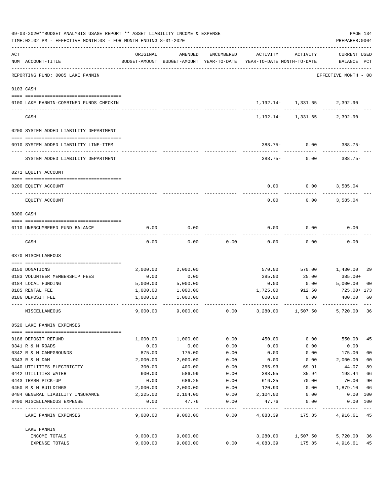|     | 09-03-2020**BUDGET ANALYSIS USAGE REPORT ** ASSET LIABILITY INCOME & EXPENSE<br>TIME: 02:02 PM - EFFECTIVE MONTH: 08 - FOR MONTH ENDING 8-31-2020 |          |          |            |                                                                                 |                         |                                    |                |  |  |
|-----|---------------------------------------------------------------------------------------------------------------------------------------------------|----------|----------|------------|---------------------------------------------------------------------------------|-------------------------|------------------------------------|----------------|--|--|
| ACT | NUM ACCOUNT-TITLE                                                                                                                                 | ORIGINAL | AMENDED  | ENCUMBERED | ACTIVITY<br>BUDGET-AMOUNT BUDGET-AMOUNT YEAR-TO-DATE YEAR-TO-DATE MONTH-TO-DATE | ACTIVITY                | <b>CURRENT USED</b><br>BALANCE PCT |                |  |  |
|     | REPORTING FUND: 0085 LAKE FANNIN                                                                                                                  |          |          |            |                                                                                 |                         | EFFECTIVE MONTH - 08               |                |  |  |
|     | 0103 CASH                                                                                                                                         |          |          |            |                                                                                 |                         |                                    |                |  |  |
|     | 0100 LAKE FANNIN-COMBINED FUNDS CHECKIN                                                                                                           |          |          |            |                                                                                 | 1, 192. 14 - 1, 331. 65 | 2,392.90                           |                |  |  |
|     | CASH                                                                                                                                              |          |          |            |                                                                                 | 1, 192. 14 - 1, 331. 65 | 2,392.90                           |                |  |  |
|     | 0200 SYSTEM ADDED LIABILITY DEPARTMENT                                                                                                            |          |          |            |                                                                                 |                         |                                    |                |  |  |
|     | 0910 SYSTEM ADDED LIABILITY LINE-ITEM                                                                                                             |          |          |            |                                                                                 |                         | 388.75- 0.00 388.75-               |                |  |  |
|     | SYSTEM ADDED LIABILITY DEPARTMENT                                                                                                                 |          |          |            | $388.75 -$                                                                      | 0.00                    | 388.75-                            |                |  |  |
|     | 0271 EQUITY ACCOUNT                                                                                                                               |          |          |            |                                                                                 |                         |                                    |                |  |  |
|     | 0200 EQUITY ACCOUNT                                                                                                                               |          |          |            | 0.00                                                                            | 0.00                    | 3,585.04                           |                |  |  |
|     | EQUITY ACCOUNT                                                                                                                                    |          |          |            | 0.00                                                                            | 0.00                    | 3,585.04                           |                |  |  |
|     | 0300 CASH                                                                                                                                         |          |          |            |                                                                                 |                         |                                    |                |  |  |
|     | 0110 UNENCUMBERED FUND BALANCE                                                                                                                    | 0.00     | 0.00     |            | 0.00                                                                            | 0.00                    | 0.00                               |                |  |  |
|     | CASH                                                                                                                                              | 0.00     | 0.00     | 0.00       | 0.00                                                                            | 0.00                    | 0.00                               |                |  |  |
|     | 0370 MISCELLANEOUS                                                                                                                                |          |          |            |                                                                                 |                         |                                    |                |  |  |
|     | 0150 DONATIONS                                                                                                                                    | 2,000.00 | 2,000.00 |            | 570.00                                                                          | 570.00                  | 1,430.00                           | 29             |  |  |
|     | 0183 VOLUNTEER MEMBERSHIP FEES                                                                                                                    | 0.00     | 0.00     |            | 385.00                                                                          | 25.00                   | 385.00+                            |                |  |  |
|     | 0184 LOCAL FUNDING                                                                                                                                | 5,000.00 | 5,000.00 |            | 0.00                                                                            | 0.00                    | 5,000.00                           | 00             |  |  |
|     | 0185 RENTAL FEE                                                                                                                                   | 1,000.00 | 1,000.00 |            | 1,725.00                                                                        | 912.50                  | 725.00+ 173                        |                |  |  |
|     | 0186 DEPOSIT FEE                                                                                                                                  | 1,000.00 | 1,000.00 |            | 600.00                                                                          | 0.00                    | 400.00                             | 60             |  |  |
|     | MISCELLANEOUS                                                                                                                                     | 9,000.00 | 9,000.00 | 0.00       | 3,280.00                                                                        | 1,507.50                | 5,720.00                           | 36             |  |  |
|     | 0520 LAKE FANNIN EXPENSES                                                                                                                         |          |          |            |                                                                                 |                         |                                    |                |  |  |
|     | 0186 DEPOSIT REFUND                                                                                                                               | 1,000.00 | 1,000.00 | 0.00       | 450.00                                                                          | 0.00                    | 550.00                             | 45             |  |  |
|     | 0341 R & M ROADS                                                                                                                                  | 0.00     | 0.00     | 0.00       | 0.00                                                                            | 0.00                    | 0.00                               |                |  |  |
|     | 0342 R & M CAMPGROUNDS                                                                                                                            | 875.00   | 175.00   | 0.00       | 0.00                                                                            | 0.00                    | 175.00                             | 0 <sub>0</sub> |  |  |
|     | 0343 R & M DAM                                                                                                                                    | 2,000.00 | 2,000.00 | 0.00       | 0.00                                                                            | 0.00                    | 2,000.00                           | 0 <sub>0</sub> |  |  |
|     | 0440 UTILITIES ELECTRICITY                                                                                                                        | 300.00   | 400.00   | 0.00       | 355.93                                                                          | 69.91                   | 44.07                              | 89             |  |  |
|     | 0442 UTILITIES WATER                                                                                                                              | 600.00   | 586.99   | 0.00       | 388.55                                                                          | 35.94                   | 198.44                             | 66             |  |  |
|     | 0443 TRASH PICK-UP                                                                                                                                | 0.00     | 686.25   | 0.00       | 616.25                                                                          | 70.00                   | 70.00                              | 90             |  |  |
|     | 0450 R & M BUILDINGS                                                                                                                              | 2,000.00 | 2,000.00 | 0.00       | 120.90                                                                          | 0.00                    | 1,879.10                           | 06             |  |  |
|     | 0484 GENERAL LIABILITY INSURANCE                                                                                                                  | 2,225.00 | 2,104.00 | 0.00       | 2,104.00                                                                        | 0.00                    | 0.00 100                           |                |  |  |
|     | 0490 MISCELLANEOUS EXPENSE                                                                                                                        | 0.00     | 47.76    | 0.00       | 47.76                                                                           | 0.00                    | 0.00 100                           |                |  |  |
|     | LAKE FANNIN EXPENSES                                                                                                                              | 9,000.00 | 9,000.00 | 0.00       | 4,083.39                                                                        | 175.85                  | 4,916.61 45                        |                |  |  |
|     | LAKE FANNIN                                                                                                                                       |          |          |            |                                                                                 |                         |                                    |                |  |  |
|     | INCOME TOTALS                                                                                                                                     | 9,000.00 | 9,000.00 |            | 3,280.00                                                                        | 1,507.50                | 5,720.00                           | 36             |  |  |
|     | EXPENSE TOTALS                                                                                                                                    | 9,000.00 | 9,000.00 | 0.00       | 4,083.39                                                                        | 175.85                  | 4,916.61                           | 45             |  |  |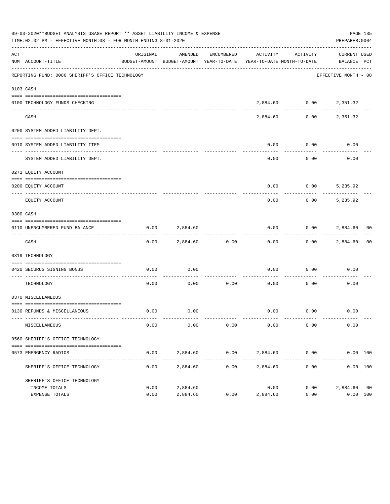|           | 09-03-2020**BUDGET ANALYSIS USAGE REPORT ** ASSET LIABILITY INCOME & EXPENSE<br>TIME:02:02 PM - EFFECTIVE MONTH:08 - FOR MONTH ENDING 8-31-2020 |              |                        |                      |                                                                                 |                              | PAGE 135<br>PREPARER: 0004  |  |
|-----------|-------------------------------------------------------------------------------------------------------------------------------------------------|--------------|------------------------|----------------------|---------------------------------------------------------------------------------|------------------------------|-----------------------------|--|
| ACT       | NUM ACCOUNT-TITLE                                                                                                                               | ORIGINAL     | AMENDED                | ENCUMBERED           | ACTIVITY<br>BUDGET-AMOUNT BUDGET-AMOUNT YEAR-TO-DATE YEAR-TO-DATE MONTH-TO-DATE | ACTIVITY                     | CURRENT USED<br>BALANCE PCT |  |
|           | REPORTING FUND: 0086 SHERIFF'S OFFICE TECHNOLOGY                                                                                                |              |                        |                      |                                                                                 |                              | EFFECTIVE MONTH - 08        |  |
| 0103 CASH |                                                                                                                                                 |              |                        |                      |                                                                                 |                              |                             |  |
|           | 0100 TECHNOLOGY FUNDS CHECKING                                                                                                                  |              |                        |                      |                                                                                 | $2,884.60 - 0.00$ $2,351.32$ |                             |  |
|           | CASH                                                                                                                                            |              |                        |                      | 2,884.60-                                                                       |                              | $0.00$ 2,351.32             |  |
|           | 0200 SYSTEM ADDED LIABILITY DEPT.                                                                                                               |              |                        |                      |                                                                                 |                              |                             |  |
|           | 0910 SYSTEM ADDED LIABILITY ITEM                                                                                                                |              |                        |                      | 0.00                                                                            | 0.00                         | 0.00                        |  |
|           | SYSTEM ADDED LIABILITY DEPT.                                                                                                                    |              |                        |                      | 0.00                                                                            | 0.00                         | 0.00                        |  |
|           | 0271 EQUITY ACCOUNT                                                                                                                             |              |                        |                      |                                                                                 |                              |                             |  |
|           | 0200 EQUITY ACCOUNT                                                                                                                             |              |                        |                      | 0.00                                                                            | $0.00$ 5, 235.92             |                             |  |
|           | EQUITY ACCOUNT                                                                                                                                  |              |                        |                      | -----<br>0.00                                                                   |                              | $0.00$ 5,235.92             |  |
| 0300 CASH |                                                                                                                                                 |              |                        |                      |                                                                                 |                              |                             |  |
|           | 0110 UNENCUMBERED FUND BALANCE                                                                                                                  | 0.00         | 2,884.60               |                      | 0.00                                                                            | $0.00$ 2,884.60 00           |                             |  |
|           | CASH                                                                                                                                            | 0.00         |                        | 2,884.60 0.00        | 0.00                                                                            |                              | $0.00$ 2,884.60 00          |  |
|           | 0319 TECHNOLOGY                                                                                                                                 |              |                        |                      |                                                                                 |                              |                             |  |
|           | 0420 SECURUS SIGNING BONUS                                                                                                                      | 0.00         | 0.00                   |                      | 0.00                                                                            | $0.00$ 0.00                  |                             |  |
|           | TECHNOLOGY                                                                                                                                      | 0.00         | 0.00                   | 0.00                 | ---------- -------------<br>0.00                                                | 0.00                         | 0.00                        |  |
|           | 0370 MISCELLANEOUS                                                                                                                              |              |                        |                      |                                                                                 |                              |                             |  |
|           | 0130 REFUNDS & MISCELLANEOUS                                                                                                                    | 0.00         | 0.00                   |                      |                                                                                 | $0.00$ $0.00$ $0.00$ $0.00$  |                             |  |
|           | MISCELLANEOUS                                                                                                                                   | 0.00         | 0.00                   | 0.00                 | 0.00                                                                            | 0.00                         | 0.00                        |  |
|           | 0560 SHERIFF'S OFFICE TECHNOLOGY                                                                                                                |              |                        |                      |                                                                                 |                              |                             |  |
|           | 0573 EMERGENCY RADIOS                                                                                                                           | 0.00         | 2,884.60<br>---------- | 0.00<br>------------ | ------------- ------------                                                      | 2,884.60 0.00                | 0.00 100<br>. <u>.</u>      |  |
|           | SHERIFF'S OFFICE TECHNOLOGY                                                                                                                     | 0.00         | 2,884.60               | 0.00                 | 2,884.60                                                                        | 0.00                         | 0.00 100                    |  |
|           | SHERIFF'S OFFICE TECHNOLOGY                                                                                                                     |              |                        |                      |                                                                                 |                              |                             |  |
|           | INCOME TOTALS<br>EXPENSE TOTALS                                                                                                                 | 0.00<br>0.00 | 2,884.60<br>2,884.60   | 0.00                 | 0.00<br>2,884.60                                                                | 0.00<br>0.00                 | 2,884.60 00<br>0.00 100     |  |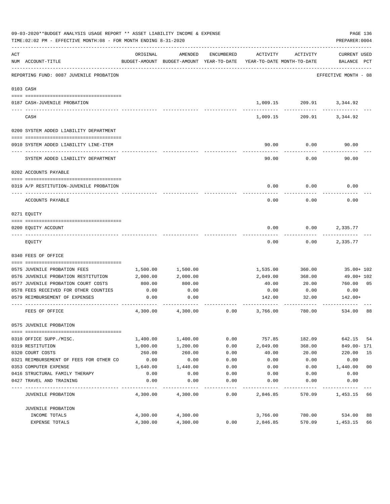|     | 09-03-2020**BUDGET ANALYSIS USAGE REPORT ** ASSET LIABILITY INCOME & EXPENSE<br>TIME:02:02 PM - EFFECTIVE MONTH:08 - FOR MONTH ENDING 8-31-2020 |          |                                                                                |              |          |                                        | PAGE 136<br>PREPARER: 0004         |
|-----|-------------------------------------------------------------------------------------------------------------------------------------------------|----------|--------------------------------------------------------------------------------|--------------|----------|----------------------------------------|------------------------------------|
| ACT | NUM ACCOUNT-TITLE                                                                                                                               | ORIGINAL | AMENDED<br>BUDGET-AMOUNT BUDGET-AMOUNT YEAR-TO-DATE YEAR-TO-DATE MONTH-TO-DATE | ENCUMBERED   | ACTIVITY | ACTIVITY                               | <b>CURRENT USED</b><br>BALANCE PCT |
|     | -----------------------------<br>REPORTING FUND: 0087 JUVENILE PROBATION                                                                        |          |                                                                                |              |          |                                        | EFFECTIVE MONTH - 08               |
|     | 0103 CASH                                                                                                                                       |          |                                                                                |              |          |                                        |                                    |
|     |                                                                                                                                                 |          |                                                                                |              |          |                                        |                                    |
|     | 0187 CASH-JUVENILE PROBATION                                                                                                                    |          |                                                                                |              |          | 1,009.15 209.91 3,344.92<br>---------- |                                    |
|     | CASH                                                                                                                                            |          |                                                                                |              | 1,009.15 |                                        | 209.91 3,344.92                    |
|     | 0200 SYSTEM ADDED LIABILITY DEPARTMENT                                                                                                          |          |                                                                                |              |          |                                        |                                    |
|     |                                                                                                                                                 |          |                                                                                |              |          |                                        |                                    |
|     | 0910 SYSTEM ADDED LIABILITY LINE-ITEM                                                                                                           |          |                                                                                |              | 90.00    | 0.00                                   | 90.00                              |
|     | SYSTEM ADDED LIABILITY DEPARTMENT                                                                                                               |          |                                                                                |              | 90.00    | 0.00                                   | 90.00                              |
|     | 0202 ACCOUNTS PAYABLE                                                                                                                           |          |                                                                                |              |          |                                        |                                    |
|     |                                                                                                                                                 |          |                                                                                |              |          |                                        |                                    |
|     | 0319 A/P RESTITUTION-JUVENILE PROBATION                                                                                                         |          |                                                                                |              | 0.00     | 0.00                                   | 0.00                               |
|     | ACCOUNTS PAYABLE                                                                                                                                |          |                                                                                |              | 0.00     | 0.00                                   | 0.00                               |
|     | 0271 EQUITY                                                                                                                                     |          |                                                                                |              |          |                                        |                                    |
|     |                                                                                                                                                 |          |                                                                                |              |          |                                        |                                    |
|     | 0200 EQUITY ACCOUNT                                                                                                                             |          |                                                                                |              | 0.00     | 0.00                                   | 2,335.77                           |
|     | EQUITY                                                                                                                                          |          |                                                                                |              | 0.00     | 0.00                                   | 2,335.77                           |
|     | 0340 FEES OF OFFICE                                                                                                                             |          |                                                                                |              |          |                                        |                                    |
|     |                                                                                                                                                 |          |                                                                                |              |          |                                        |                                    |
|     | 0575 JUVENILE PROBATION FEES                                                                                                                    | 1,500.00 | 1,500.00                                                                       |              | 1,535.00 | 360.00                                 | 35.00+ 102                         |
|     | 0576 JUVENILE PROBATION RESTITUTION                                                                                                             | 2,000.00 | 2,000.00                                                                       |              | 2,049.00 | 368.00                                 | 49.00+ 102                         |
|     | 0577 JUVENILE PROBATION COURT COSTS                                                                                                             | 800.00   | 800.00                                                                         |              | 40.00    | 20.00                                  | 760.00 05                          |
|     | 0578 FEES RECEIVED FOR OTHER COUNTIES<br>0579 REIMBURSEMENT OF EXPENSES                                                                         | 0.00     | 0.00                                                                           |              | 0.00     | 0.00                                   | 0.00                               |
|     |                                                                                                                                                 | 0.00     | 0.00                                                                           |              | 142.00   | 32.00                                  | 142.00+                            |
|     | FEES OF OFFICE                                                                                                                                  | 4,300.00 | 4,300.00                                                                       | 0.00         | 3,766.00 | 780.00                                 | 534.00<br>88                       |
|     | 0575 JUVENILE PROBATION                                                                                                                         |          |                                                                                |              |          |                                        |                                    |
|     | 0310 OFFICE SUPP./MISC.                                                                                                                         | 1,400.00 | 1,400.00                                                                       | 0.00         | 757.85   | 182.09                                 | 642.15<br>54                       |
|     | 0319 RESTITUTION                                                                                                                                | 1,000.00 | 1,200.00                                                                       | 0.00         | 2,049.00 | 368.00                                 | 849.00- 171                        |
|     | 0320 COURT COSTS                                                                                                                                | 260.00   | 260.00                                                                         | 0.00         | 40.00    | 20.00                                  | 220.00<br>15                       |
|     | 0321 REIMBURSEMENT OF FEES FOR OTHER CO                                                                                                         | 0.00     | 0.00                                                                           | 0.00         | 0.00     | 0.00                                   | 0.00                               |
|     | 0353 COMPUTER EXPENSE                                                                                                                           | 1,640.00 | 1,440.00                                                                       | 0.00         | 0.00     | 0.00                                   | 0 <sub>0</sub><br>1,440.00         |
|     | 0416 STRUCTURAL FAMILY THERAPY                                                                                                                  | 0.00     | 0.00                                                                           | 0.00         | 0.00     | 0.00                                   | 0.00                               |
|     | 0427 TRAVEL AND TRAINING                                                                                                                        | 0.00     | 0.00                                                                           | 0.00         | 0.00     | 0.00                                   | 0.00                               |
|     | <b>JUVENILE PROBATION</b>                                                                                                                       | 4,300.00 | 4,300.00                                                                       | ----<br>0.00 | 2,846.85 | 570.09                                 | 1,453.15<br>66                     |
|     | JUVENILE PROBATION                                                                                                                              |          |                                                                                |              |          |                                        |                                    |
|     | INCOME TOTALS                                                                                                                                   | 4,300.00 | 4,300.00                                                                       |              | 3,766.00 | 780.00                                 | 534.00<br>88                       |
|     | <b>EXPENSE TOTALS</b>                                                                                                                           | 4,300.00 | 4,300.00                                                                       | 0.00         | 2,846.85 | 570.09                                 | 1,453.15<br>66                     |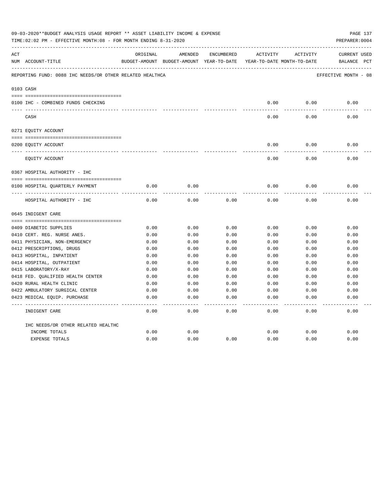|     | 09-03-2020**BUDGET ANALYSIS USAGE REPORT ** ASSET LIABILITY INCOME & EXPENSE<br>TIME: 02:02 PM - EFFECTIVE MONTH: 08 - FOR MONTH ENDING 8-31-2020 |          |                                                                     |                   |          |          | PAGE 137<br>PREPARER: 0004 |
|-----|---------------------------------------------------------------------------------------------------------------------------------------------------|----------|---------------------------------------------------------------------|-------------------|----------|----------|----------------------------|
| ACT |                                                                                                                                                   | ORIGINAL | AMENDED                                                             | ENCUMBERED        | ACTIVITY | ACTIVITY | <b>CURRENT USED</b>        |
|     | NUM ACCOUNT-TITLE                                                                                                                                 |          | BUDGET-AMOUNT BUDGET-AMOUNT YEAR-TO-DATE YEAR-TO-DATE MONTH-TO-DATE |                   |          |          | BALANCE PCT                |
|     | REPORTING FUND: 0088 IHC NEEDS/OR OTHER RELATED HEALTHCA                                                                                          |          |                                                                     |                   |          |          | EFFECTIVE MONTH - 08       |
|     | 0103 CASH                                                                                                                                         |          |                                                                     |                   |          |          |                            |
|     |                                                                                                                                                   |          |                                                                     |                   |          |          |                            |
|     | 0100 IHC - COMBINED FUNDS CHECKING                                                                                                                |          |                                                                     |                   | 0.00     | 0.00     | 0.00                       |
|     | CASH                                                                                                                                              |          |                                                                     |                   | 0.00     | 0.00     | 0.00                       |
|     | 0271 EQUITY ACCOUNT                                                                                                                               |          |                                                                     |                   |          |          |                            |
|     | 0200 EQUITY ACCOUNT                                                                                                                               |          |                                                                     |                   | 0.00     | 0.00     | 0.00                       |
|     | _____ _______________________________<br>EQUITY ACCOUNT                                                                                           |          |                                                                     |                   | 0.00     | 0.00     | 0.00                       |
|     | 0367 HOSPITAL AUTHORITY - IHC                                                                                                                     |          |                                                                     |                   |          |          |                            |
|     |                                                                                                                                                   |          |                                                                     |                   |          |          |                            |
|     | 0100 HOSPITAL QUARTERLY PAYMENT                                                                                                                   | 0.00     | 0.00                                                                |                   | 0.00     | 0.00     | 0.00                       |
|     | HOSPITAL AUTHORITY - IHC                                                                                                                          | 0.00     | 0.00                                                                | 0.00              | 0.00     | 0.00     | 0.00                       |
|     | 0645 INDIGENT CARE                                                                                                                                |          |                                                                     |                   |          |          |                            |
|     |                                                                                                                                                   |          |                                                                     |                   |          |          |                            |
|     | 0409 DIABETIC SUPPLIES                                                                                                                            | 0.00     | 0.00                                                                | 0.00              | 0.00     | 0.00     | 0.00                       |
|     | 0410 CERT. REG. NURSE ANES.                                                                                                                       | 0.00     | 0.00                                                                | 0.00              | 0.00     | 0.00     | 0.00                       |
|     | 0411 PHYSICIAN, NON-EMERGENCY                                                                                                                     | 0.00     | 0.00                                                                | 0.00              | 0.00     | 0.00     | 0.00                       |
|     | 0412 PRESCRIPTIONS, DRUGS                                                                                                                         | 0.00     | 0.00                                                                | 0.00              | 0.00     | 0.00     | 0.00                       |
|     | 0413 HOSPITAL, INPATIENT                                                                                                                          | 0.00     | 0.00                                                                | 0.00              | 0.00     | 0.00     | 0.00                       |
|     | 0414 HOSPITAL, OUTPATIENT                                                                                                                         | 0.00     | 0.00                                                                | 0.00              | 0.00     | 0.00     | 0.00                       |
|     | 0415 LABORATORY/X-RAY                                                                                                                             | 0.00     | 0.00                                                                | 0.00              | 0.00     | 0.00     | 0.00                       |
|     | 0418 FED. OUALIFIED HEALTH CENTER                                                                                                                 | 0.00     | 0.00                                                                | 0.00              | 0.00     | 0.00     | 0.00                       |
|     | 0420 RURAL HEALTH CLINIC                                                                                                                          | 0.00     | 0.00                                                                | 0.00              | 0.00     | 0.00     | 0.00                       |
|     | 0422 AMBULATORY SURGICAL CENTER                                                                                                                   | 0.00     | 0.00                                                                | 0.00              | 0.00     | 0.00     | 0.00                       |
|     | 0423 MEDICAL EQUIP. PURCHASE                                                                                                                      | 0.00     | 0.00                                                                | 0.00              | 0.00     | 0.00     | 0.00                       |
|     | INDIGENT CARE                                                                                                                                     | 0.00     | 0.00                                                                | $- - - -$<br>0.00 | 0.00     | 0.00     | -----<br>0.00              |
|     | IHC NEEDS/OR OTHER RELATED HEALTHC                                                                                                                |          |                                                                     |                   |          |          |                            |
|     | INCOME TOTALS                                                                                                                                     | 0.00     | 0.00                                                                |                   | 0.00     | 0.00     | 0.00                       |
|     | <b>EXPENSE TOTALS</b>                                                                                                                             | 0.00     | 0.00                                                                | 0.00              | 0.00     | 0.00     | 0.00                       |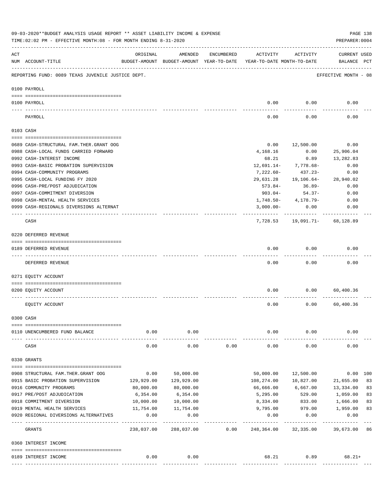|          | 09-03-2020**BUDGET ANALYSIS USAGE REPORT ** ASSET LIABILITY INCOME & EXPENSE<br>TIME: 02:02 PM - EFFECTIVE MONTH: 08 - FOR MONTH ENDING 8-31-2020 |            |            |            |                                                                                 |                                 | PREPARER: 0004                     | PAGE 138 |
|----------|---------------------------------------------------------------------------------------------------------------------------------------------------|------------|------------|------------|---------------------------------------------------------------------------------|---------------------------------|------------------------------------|----------|
| ACT      | NUM ACCOUNT-TITLE                                                                                                                                 | ORIGINAL   | AMENDED    | ENCUMBERED | ACTIVITY<br>BUDGET-AMOUNT BUDGET-AMOUNT YEAR-TO-DATE YEAR-TO-DATE MONTH-TO-DATE | ACTIVITY                        | <b>CURRENT USED</b><br>BALANCE PCT |          |
|          | REPORTING FUND: 0089 TEXAS JUVENILE JUSTICE DEPT.                                                                                                 |            |            |            |                                                                                 |                                 | EFFECTIVE MONTH - 08               |          |
|          | 0100 PAYROLL                                                                                                                                      |            |            |            |                                                                                 |                                 |                                    |          |
|          | 0100 PAYROLL                                                                                                                                      |            |            |            | 0.00                                                                            | 0.00                            | 0.00                               |          |
| ---- --- | PAYROLL                                                                                                                                           |            |            |            | 0.00                                                                            | 0.00                            | 0.00                               |          |
|          | 0103 CASH                                                                                                                                         |            |            |            |                                                                                 |                                 |                                    |          |
|          | 0689 CASH-STRUCTURAL FAM.THER.GRANT OOG                                                                                                           |            |            |            | 0.00                                                                            | 12,500.00                       | 0.00                               |          |
|          | 0988 CASH-LOCAL FUNDS CARRIED FORWARD                                                                                                             |            |            |            | 4,168.16                                                                        | 0.00                            | 25,906.04                          |          |
|          | 0992 CASH-INTEREST INCOME                                                                                                                         |            |            |            | 68.21                                                                           | 0.89                            | 13,282.83                          |          |
|          | 0993 CASH-BASIC PROBATION SUPERVISION                                                                                                             |            |            |            | 12,691.14-                                                                      | 7,778.68-                       | 0.00                               |          |
|          | 0994 CASH-COMMUNITY PROGRAMS                                                                                                                      |            |            |            | 7,222.60-                                                                       | 437.23-                         | 0.00                               |          |
|          | 0995 CASH-LOCAL FUNDING FY 2020                                                                                                                   |            |            |            |                                                                                 | 29,631.28 19,106.64-            | 28,940.02                          |          |
|          | 0996 CASH-PRE/POST ADJUDICATION                                                                                                                   |            |            |            | 573.84-                                                                         | 36.89-                          | 0.00                               |          |
|          | 0997 CASH-COMMITMENT DIVERSION                                                                                                                    |            |            |            | 903.04-                                                                         | 54.37-                          | 0.00                               |          |
|          | 0998 CASH-MENTAL HEALTH SERVICES                                                                                                                  |            |            |            |                                                                                 | $1,748.50 - 4,178.79 -$         | 0.00                               |          |
|          | 0999 CASH-REGIONALS DIVERSIONS ALTERNAT                                                                                                           |            |            |            | $3,000.00-$                                                                     | 0.00                            | 0.00                               |          |
|          |                                                                                                                                                   |            |            |            |                                                                                 | -----------                     | .                                  |          |
|          | CASH                                                                                                                                              |            |            |            |                                                                                 | $7,728.53$ 19,091.71- 68,128.89 |                                    |          |
|          | 0220 DEFERRED REVENUE                                                                                                                             |            |            |            |                                                                                 |                                 |                                    |          |
|          |                                                                                                                                                   |            |            |            |                                                                                 |                                 |                                    |          |
|          | 0189 DEFERRED REVENUE                                                                                                                             |            |            |            | 0.00                                                                            | 0.00                            | 0.00                               |          |
|          | DEFERRED REVENUE                                                                                                                                  |            |            |            | 0.00                                                                            | 0.00                            | 0.00                               |          |
|          | 0271 EQUITY ACCOUNT                                                                                                                               |            |            |            |                                                                                 |                                 |                                    |          |
|          | 0200 EQUITY ACCOUNT                                                                                                                               |            |            |            | 0.00                                                                            | 0.00                            | 60,400.36                          |          |
|          | EQUITY ACCOUNT                                                                                                                                    |            |            |            | 0.00                                                                            | 0.00                            | 60,400.36                          |          |
|          | 0300 CASH                                                                                                                                         |            |            |            |                                                                                 |                                 |                                    |          |
|          |                                                                                                                                                   | 0.00       | 0.00       |            | 0.00                                                                            | 0.00                            | 0.00                               |          |
|          | 0110 UNENCUMBERED FUND BALANCE                                                                                                                    |            |            |            |                                                                                 |                                 |                                    |          |
|          | CASH                                                                                                                                              | 0.00       | 0.00       | 0.00       | 0.00                                                                            | 0.00                            | 0.00                               |          |
|          | 0330 GRANTS                                                                                                                                       |            |            |            |                                                                                 |                                 |                                    |          |
|          | 0908 STRUCTURAL FAM. THER. GRANT OOG                                                                                                              | 0.00       | 50,000.00  |            | 50,000.00                                                                       | 12,500.00                       | $0.00$ 100                         |          |
|          | 0915 BASIC PROBATION SUPERVISION                                                                                                                  | 129,929.00 | 129,929.00 |            | 108,274.00                                                                      | 10,827.00                       | 21,655.00                          | 83       |
|          | 0916 COMMUNITY PROGRAMS                                                                                                                           | 80,000.00  | 80,000.00  |            | 66,666.00                                                                       | 6,667.00                        | 13,334.00                          | 83       |
|          | 0917 PRE/POST ADJUDICATION                                                                                                                        | 6,354.00   | 6,354.00   |            | 5,295.00                                                                        | 529.00                          | 1,059.00                           | 83       |
|          | 0918 COMMITMENT DIVERSION                                                                                                                         | 10,000.00  | 10,000.00  |            | 8,334.00                                                                        | 833.00                          | 1,666.00                           | 83       |
|          | 0919 MENTAL HEALTH SERVICES                                                                                                                       | 11,754.00  | 11,754.00  |            | 9,795.00                                                                        | 979.00 1,959.00                 |                                    | 83       |
|          | 0920 REGIONAL DIVERSIONS ALTERNATIVES                                                                                                             | 0.00       | 0.00       |            | 0.00                                                                            | 0.00                            | 0.00                               |          |
|          |                                                                                                                                                   | .          |            |            | .                                                                               |                                 |                                    |          |
|          | GRANTS                                                                                                                                            | 238,037.00 | 288,037.00 | 0.00       | 248,364.00                                                                      | 32,335.00                       | 39,673.00                          | 86       |
|          | 0360 INTEREST INCOME                                                                                                                              |            |            |            |                                                                                 |                                 |                                    |          |
|          |                                                                                                                                                   |            |            |            |                                                                                 |                                 |                                    |          |
|          | 0189 INTEREST INCOME                                                                                                                              | 0.00       | 0.00       |            | 68.21                                                                           | 0.89                            | $68.21+$                           |          |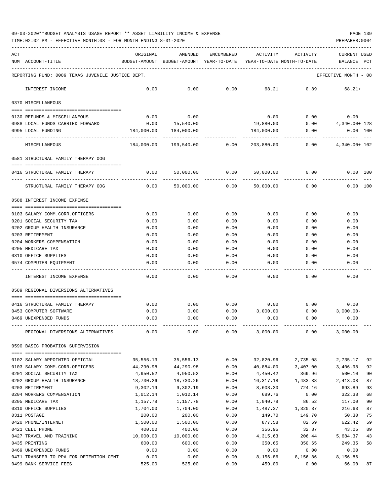TIME:02:02 PM - EFFECTIVE MONTH:08 - FOR MONTH ENDING 8-31-2020

| ACT |                                                            | ORIGINAL            | AMENDED                                  | ENCUMBERED   | ACTIVITY                   | ACTIVITY        | CURRENT USED         |          |
|-----|------------------------------------------------------------|---------------------|------------------------------------------|--------------|----------------------------|-----------------|----------------------|----------|
| NUM | ACCOUNT-TITLE                                              |                     | BUDGET-AMOUNT BUDGET-AMOUNT YEAR-TO-DATE |              | YEAR-TO-DATE MONTH-TO-DATE |                 | BALANCE              | PCT      |
|     | REPORTING FUND: 0089 TEXAS JUVENILE JUSTICE DEPT.          |                     |                                          |              |                            |                 | EFFECTIVE MONTH - 08 |          |
|     | INTEREST INCOME                                            | 0.00                | 0.00                                     | 0.00         | 68.21                      | 0.89            | $68.21+$             |          |
|     | 0370 MISCELLANEOUS                                         |                     |                                          |              |                            |                 |                      |          |
|     | 0130 REFUNDS & MISCELLANEOUS                               | 0.00                | 0.00                                     |              | 0.00                       | 0.00            | 0.00                 |          |
|     | 0988 LOCAL FUNDS CARRIED FORWARD                           | 0.00                | 15,540.00                                |              | 19,880.00                  | 0.00            | 4,340.00+ 128        |          |
|     | 0995 LOCAL FUNDING                                         | 184,000.00          | 184,000.00                               |              | 184,000.00                 | 0.00            | $0.00$ 100           |          |
|     | MISCELLANEOUS                                              |                     | 184,000.00    199,540.00                 | 0.00         | 203,880.00                 | 0.00            | 4,340.00+ 102        |          |
|     | 0581 STRUCTURAL FAMILY THERAPY OOG                         |                     |                                          |              |                            |                 |                      |          |
|     | 0416 STRUCTURAL FAMILY THERAPY                             | 0.00                | 50,000.00                                | 0.00         | 50,000.00                  | 0.00            | 0.00 100             |          |
|     | STRUCTURAL FAMILY THERAPY OOG                              | 0.00                | 50,000.00                                | 0.00         | 50,000.00                  | 0.00            | 0.00 100             |          |
|     | 0588 INTEREST INCOME EXPENSE                               |                     |                                          |              |                            |                 |                      |          |
|     |                                                            |                     |                                          |              |                            |                 |                      |          |
|     | 0103 SALARY COMM.CORR.OFFICERS<br>0201 SOCIAL SECURITY TAX | 0.00<br>0.00        | 0.00<br>0.00                             | 0.00<br>0.00 | 0.00<br>0.00               | 0.00<br>0.00    | 0.00<br>0.00         |          |
|     | 0202 GROUP HEALTH INSURANCE                                | 0.00                | 0.00                                     | 0.00         | 0.00                       | 0.00            | 0.00                 |          |
|     | 0203 RETIREMENT                                            | 0.00                | 0.00                                     | 0.00         | 0.00                       | 0.00            | 0.00                 |          |
|     | 0204 WORKERS COMPENSATION                                  | 0.00                | 0.00                                     | 0.00         | 0.00                       | 0.00            | 0.00                 |          |
|     | 0205 MEDICARE TAX                                          | 0.00                | 0.00                                     | 0.00         | 0.00                       | 0.00            | 0.00                 |          |
|     | 0310 OFFICE SUPPLIES                                       | 0.00                | 0.00                                     | 0.00         | 0.00                       | 0.00            | 0.00                 |          |
|     | 0574 COMPUTER EQUIPMENT                                    | 0.00                | 0.00                                     | 0.00         | 0.00                       | 0.00            | 0.00                 |          |
|     | INTEREST INCOME EXPENSE                                    | 0.00                | 0.00                                     | 0.00         | 0.00                       | 0.00            | 0.00                 |          |
|     | 0589 REGIONAL DIVERSIONS ALTERNATIVES                      |                     |                                          |              |                            |                 |                      |          |
|     | 0416 STRUCTURAL FAMILY THERAPY                             | 0.00                | 0.00                                     | 0.00         | 0.00                       | 0.00            | 0.00                 |          |
|     | 0453 COMPUTER SOFTWARE                                     | 0.00                | 0.00                                     | 0.00         | 3,000.00                   | 0.00            | $3,000.00 -$         |          |
|     | 0469 UNEXPENDED FUNDS                                      | 0.00                | 0.00                                     | 0.00         | 0.00                       | 0.00            | 0.00                 |          |
|     | REGIONAL DIVERSIONS ALTERNATIVES                           | 0.00                | 0.00                                     | 0.00         | 3,000.00                   | 0.00            | $3,000.00-$          |          |
|     | 0590 BASIC PROBATION SUPERVISION                           |                     |                                          |              |                            |                 |                      |          |
|     | 0102 SALARY APPOINTED OFFICIAL                             | 35,556.13           | 35,556.13                                | 0.00         | 32,820.96                  | 2,735.08        | 2,735.17             | 92       |
|     | 0103 SALARY COMM.CORR.OFFICERS                             | 44,290.98           | 44,290.98                                | 0.00         | 40,884.00                  | 3,407.00        | 3,406.98             | 92       |
|     | 0201 SOCIAL SECURITY TAX                                   | 4,950.52            | 4,950.52                                 | 0.00         | 4,450.42                   | 369.96          | 500.10               | 90       |
|     | 0202 GROUP HEALTH INSURANCE                                | 18,730.26           | 18,730.26                                | 0.00         | 16,317.18                  | 1,483.38        | 2,413.08             | 87       |
|     | 0203 RETIREMENT                                            | 9,302.19            | 9,302.19                                 | 0.00         | 8,608.30                   | 724.16          | 693.89               | 93       |
|     | 0204 WORKERS COMPENSATION                                  | 1,012.14            | 1,012.14                                 | 0.00         | 689.76                     | 0.00            | 322.38               | 68       |
|     | 0205 MEDICARE TAX                                          | 1,157.78            | 1,157.78                                 | 0.00         | 1,040.78                   | 86.52           | 117.00               | 90       |
|     | 0310 OFFICE SUPPLIES                                       | 1,704.00            | 1,704.00                                 | 0.00         | 1,487.37                   | 1,320.37        | 216.63               | 87       |
|     | 0311 POSTAGE                                               | 200.00              | 200.00                                   | 0.00         | 149.70                     | 149.70          | 50.30                | 75       |
|     | 0420 PHONE/INTERNET                                        | 1,500.00            | 1,500.00                                 | 0.00         | 877.58                     | 82.69           | 622.42               | 59       |
|     | 0421 CELL PHONE<br>0427 TRAVEL AND TRAINING                | 400.00<br>10,000.00 | 400.00<br>10,000.00                      | 0.00<br>0.00 | 356.95<br>4,315.63         | 32.87<br>206.44 | 43.05<br>5,684.37    | 89<br>43 |
|     | 0435 PRINTING                                              | 600.00              | 600.00                                   | 0.00         | 350.65                     | 350.65          | 249.35               | 58       |
|     | 0469 UNEXPENDED FUNDS                                      | 0.00                | 0.00                                     | 0.00         | 0.00                       | 0.00            | 0.00                 |          |
|     | 0471 TRANSFER TO PPA FOR DETENTION CENT                    | 0.00                | 0.00                                     | 0.00         | 8,156.86                   | 8,156.86        | $8,156.86 -$         |          |

0499 BANK SERVICE FEES 66.00 SERS 525.00 525.00 0.00 459.00 0.00 0.00 66.00 87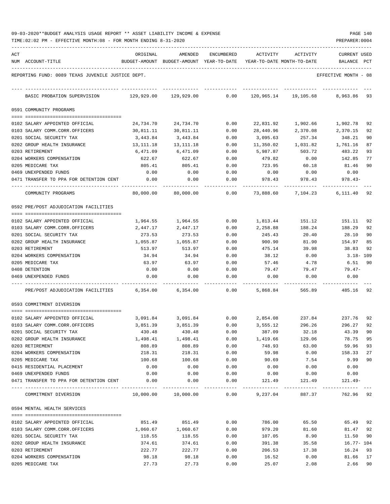| ACT | NUM ACCOUNT-TITLE                                                | ORIGINAL           | AMENDED<br>BUDGET-AMOUNT BUDGET-AMOUNT YEAR-TO-DATE | ENCUMBERED   | ACTIVITY<br>YEAR-TO-DATE MONTH-TO-DATE | ACTIVITY                                           | <b>CURRENT USED</b><br>BALANCE<br>PCT |
|-----|------------------------------------------------------------------|--------------------|-----------------------------------------------------|--------------|----------------------------------------|----------------------------------------------------|---------------------------------------|
|     | REPORTING FUND: 0089 TEXAS JUVENILE JUSTICE DEPT.                |                    |                                                     |              |                                        |                                                    | EFFECTIVE MONTH - 08                  |
|     | BASIC PROBATION SUPERVISION                                      | 129,929.00         | 129,929.00                                          | 0.00         | 120,965.14                             | 19,105.68                                          | 8,963.86<br>93                        |
|     | 0591 COMMUNITY PROGRAMS                                          |                    |                                                     |              |                                        |                                                    |                                       |
|     |                                                                  |                    |                                                     |              |                                        |                                                    |                                       |
|     | 0102 SALARY APPOINTED OFFICIAL                                   | 24,734.70          | 24,734.70                                           | 0.00         | 22,831.92                              | 1,902.66                                           | 1,902.78<br>92                        |
|     | 0103 SALARY COMM.CORR.OFFICERS                                   | 30,811.11          | 30,811.11                                           | 0.00         | 28,440.96                              | 2,370.08                                           | 2,370.15<br>92                        |
|     | 0201 SOCIAL SECURITY TAX                                         | 3,443.84           | 3,443.84                                            | 0.00         | 3,095.63                               | 257.34                                             | 348.21<br>90                          |
|     | 0202 GROUP HEALTH INSURANCE                                      | 13,111.18          | 13,111.18                                           | 0.00         | 11,350.02                              | 1,031.82                                           | 1,761.16<br>87                        |
|     | 0203 RETIREMENT<br>0204 WORKERS COMPENSATION                     | 6,471.09<br>622.67 | 6,471.09<br>622.67                                  | 0.00<br>0.00 | 5,987.87<br>479.82                     | 503.72<br>0.00                                     | 93<br>483.22<br>142.85<br>77          |
|     | 0205 MEDICARE TAX                                                | 805.41             | 805.41                                              | 0.00         | 723.95                                 | 60.18                                              | 90<br>81.46                           |
|     | 0469 UNEXPENDED FUNDS                                            | 0.00               | 0.00                                                | 0.00         | 0.00                                   | 0.00                                               | 0.00                                  |
|     | 0471 TRANSFER TO PPA FOR DETENTION CENT                          | 0.00               | 0.00                                                | 0.00         | 978.43                                 | 978.43                                             | 978.43-                               |
|     | COMMUNITY PROGRAMS                                               | 80,000.00          | 80,000.00                                           | 0.00         | 73,888.60                              | 7,104.23                                           | 6,111.40 92                           |
|     | 0592 PRE/POST ADJUDICATION FACILITIES                            |                    |                                                     |              |                                        |                                                    |                                       |
|     |                                                                  |                    |                                                     |              |                                        |                                                    |                                       |
|     | 0102 SALARY APPOINTED OFFICIAL<br>0103 SALARY COMM.CORR.OFFICERS | 1,964.55           | 1,964.55                                            | 0.00<br>0.00 | 1,813.44<br>2,258.88                   | 151.12<br>188.24                                   | 92<br>151.11<br>92<br>188.29          |
|     | 0201 SOCIAL SECURITY TAX                                         | 2,447.17<br>273.53 | 2,447.17<br>273.53                                  | 0.00         | 245.43                                 | 20.40                                              | 28.10<br>90                           |
|     | 0202 GROUP HEALTH INSURANCE                                      | 1,055.87           | 1,055.87                                            | 0.00         | 900.90                                 | 81.90                                              | 154.97<br>85                          |
|     | 0203 RETIREMENT                                                  | 513.97             | 513.97                                              | 0.00         | 475.14                                 | 39.98                                              | 38.83<br>92                           |
|     | 0204 WORKERS COMPENSATION                                        | 34.94              | 34.94                                               | 0.00         | 38.12                                  | 0.00                                               | 3.18–109                              |
|     | 0205 MEDICARE TAX                                                | 63.97              | 63.97                                               | 0.00         | 57.46                                  | 4.78                                               | 6.51<br>90                            |
|     | 0408 DETENTION                                                   | 0.00               | 0.00                                                | 0.00         | 79.47                                  | 79.47                                              | 79.47-                                |
|     | 0469 UNEXPENDED FUNDS                                            | 0.00               | 0.00                                                | 0.00         | 0.00                                   | 0.00                                               | 0.00                                  |
|     | PRE/POST ADJUDICATION FACILITIES                                 | 6,354.00           | 6,354.00                                            | 0.00         | 5,868.84                               | 565.89                                             | 485.16<br>92                          |
|     | 0593 COMMITMENT DIVERSION                                        |                    |                                                     |              |                                        |                                                    |                                       |
|     | 0102 SALARY APPOINTED OFFICIAL                                   |                    | 3,091.84 3,091.84                                   | 0.00         | 2,854.08                               | 237.84                                             | 237.76<br>92                          |
|     | 0103 SALARY COMM.CORR.OFFICERS                                   | 3,851.39           | 3,851.39                                            | 0.00         | 3,555.12                               | 296.26                                             | 296.27<br>92                          |
|     | 0201 SOCIAL SECURITY TAX                                         | 430.48             | 430.48                                              | 0.00         | 387.09                                 | 32.18                                              | 43.39<br>90                           |
|     | 0202 GROUP HEALTH INSURANCE                                      | 1,498.41           | 1,498.41                                            | 0.00         | 1,419.66                               | 129.06                                             | 95<br>78.75                           |
|     | 0203 RETIREMENT                                                  | 808.89             | 808.89                                              | 0.00         | 748.93                                 | 63.00                                              | 59.96<br>93                           |
|     | 0204 WORKERS COMPENSATION                                        | 218.31             | 218.31                                              | 0.00         | 59.98                                  | 0.00                                               | 158.33<br>27                          |
|     | 0205 MEDICARE TAX                                                | 100.68             | 100.68                                              | 0.00         | 90.69                                  | 7.54                                               | 9.99<br>90                            |
|     | 0415 RESIDENTIAL PLACEMENT                                       | 0.00               | 0.00                                                | 0.00         | 0.00                                   | 0.00                                               | 0.00                                  |
|     | 0469 UNEXPENDED FUNDS                                            | 0.00               | 0.00                                                | 0.00         | 0.00                                   | 0.00                                               | 0.00                                  |
|     | 0471 TRANSFER TO PPA FOR DETENTION CENT                          | 0.00               | 0.00                                                | 0.00         | 121.49                                 | 121.49                                             | 121.49-                               |
|     | COMMITMENT DIVERSION                                             |                    |                                                     |              |                                        | $10,000.00$ $10,000.00$ $0.00$ $9,237.04$ $887.37$ | 762.96 92                             |
|     | 0594 MENTAL HEALTH SERVICES                                      |                    |                                                     |              |                                        |                                                    |                                       |
|     | 0102 SALARY APPOINTED OFFICIAL                                   | 851.49             | 851.49                                              | 0.00         | 786.00                                 | 65.50                                              | 65.49 92                              |
|     | 0103 SALARY COMM.CORR.OFFICERS                                   | 1,060.67           | 1,060.67                                            | 0.00         | 979.20                                 | 81.60                                              | 81.47<br>92                           |
|     | 0201 SOCIAL SECURITY TAX                                         | 118.55             | 118.55                                              | 0.00         | 107.05                                 | 8.90                                               | 11.50<br>90                           |
|     | 0202 GROUP HEALTH INSURANCE                                      | 374.61             | 374.61                                              | 0.00         | 391.38                                 | 35.58                                              | $16.77 - 104$                         |
|     | 0203 RETIREMENT                                                  | 222.77             | 222.77                                              | 0.00         | 206.53                                 | 17.38                                              | 16.24<br>93                           |
|     | 0204 WORKERS COMPENSATION                                        | 98.18              | 98.18                                               | 0.00         | 16.52                                  | 0.00                                               | 81.66<br>17                           |
|     | 0205 MEDICARE TAX                                                | 27.73              | 27.73                                               | 0.00         | 25.07                                  | 2.08                                               | 2.66<br>90                            |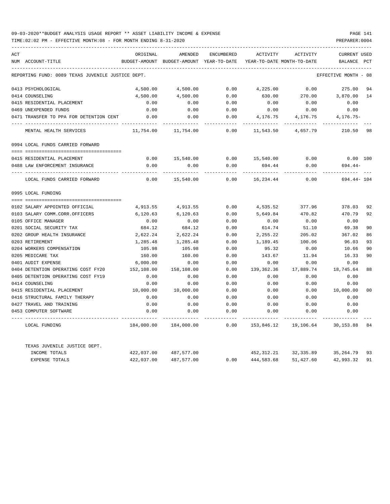| ACT |                                                         | ORIGINAL           | AMENDED                                  | ENCUMBERED   | ACTIVITY           | ACTIVITY                   | <b>CURRENT USED</b>  |                |
|-----|---------------------------------------------------------|--------------------|------------------------------------------|--------------|--------------------|----------------------------|----------------------|----------------|
|     | NUM ACCOUNT-TITLE                                       |                    | BUDGET-AMOUNT BUDGET-AMOUNT YEAR-TO-DATE |              |                    | YEAR-TO-DATE MONTH-TO-DATE | BALANCE              | PCT            |
|     | REPORTING FUND: 0089 TEXAS JUVENILE JUSTICE DEPT.       |                    |                                          |              |                    |                            | EFFECTIVE MONTH - 08 |                |
|     | 0413 PSYCHOLOGICAL                                      | 4,500.00           | 4,500.00                                 | 0.00         | 4,225.00           | 0.00                       | 275.00               | 94             |
|     | 0414 COUNSELING                                         | 4,500.00           | 4,500.00                                 | 0.00         | 630.00             | 270.00                     | 3,870.00             | 14             |
|     | 0415 RESIDENTIAL PLACEMENT                              | 0.00               | 0.00                                     | 0.00         | 0.00               | 0.00                       | 0.00                 |                |
|     | 0469 UNEXPENDED FUNDS                                   | 0.00               | 0.00                                     | 0.00         | 0.00               | 0.00                       | 0.00                 |                |
|     | 0471 TRANSFER TO PPA FOR DETENTION CENT                 | 0.00               | 0.00                                     | 0.00         | 4,176.75           | 4,176.75                   | $4,176.75-$          |                |
|     | MENTAL HEALTH SERVICES                                  | 11,754.00          | 11,754.00                                | 0.00         | 11,543.50          | 4,657.79                   | 210.50               | 98             |
|     | 0994 LOCAL FUNDS CARRIED FORWARD                        |                    |                                          |              |                    |                            |                      |                |
|     |                                                         |                    |                                          |              |                    |                            |                      |                |
|     | 0415 RESIDENTIAL PLACEMENT                              | 0.00               | 15,540.00                                |              | $0.00$ 15,540.00   | 0.00                       | $0.00$ 100           |                |
|     | 0488 LAW ENFORCEMENT INSURANCE                          | 0.00               | 0.00                                     | 0.00         | 694.44             | 0.00                       | $694.44-$            |                |
|     | LOCAL FUNDS CARRIED FORWARD                             | 0.00               | 15,540.00                                | 0.00         | 16,234.44          | 0.00                       | 694.44- 104          |                |
|     | 0995 LOCAL FUNDING                                      |                    |                                          |              |                    |                            |                      |                |
|     |                                                         |                    |                                          |              |                    |                            |                      |                |
|     | 0102 SALARY APPOINTED OFFICIAL                          | 4,913.55           | 4,913.55                                 | 0.00         | 4,535.52           | 377.96                     | 378.03               | 92<br>92       |
|     | 0103 SALARY COMM.CORR.OFFICERS<br>0105 OFFICE MANAGER   | 6,120.63<br>0.00   | 6,120.63<br>0.00                         | 0.00<br>0.00 | 5,649.84<br>0.00   | 470.82<br>0.00             | 470.79<br>0.00       |                |
|     |                                                         |                    |                                          |              |                    |                            | 69.38                | 90             |
|     | 0201 SOCIAL SECURITY TAX<br>0202 GROUP HEALTH INSURANCE | 684.12<br>2,622.24 | 684.12<br>2,622.24                       | 0.00<br>0.00 | 614.74<br>2,255.22 | 51.10<br>205.02            | 367.02               | 86             |
|     | 0203 RETIREMENT                                         | 1,285.48           | 1,285.48                                 | 0.00         | 1,189.45           | 100.06                     | 96.03                | 93             |
|     | 0204 WORKERS COMPENSATION                               | 105.98             | 105.98                                   | 0.00         | 95.32              | 0.00                       | 10.66                | 90             |
|     | 0205 MEDICARE TAX                                       | 160.00             | 160.00                                   | 0.00         | 143.67             | 11.94                      | 16.33                | 90             |
|     | 0401 AUDIT EXPENSE                                      | 6,000.00           | 0.00                                     | 0.00         | 0.00               | 0.00                       | 0.00                 |                |
|     | 0404 DETENTION OPERATING COST FY20                      | 152,108.00         | 158,108.00                               | 0.00         | 139,362.36         | 17,889.74                  | 18,745.64            | 88             |
|     | 0405 DETENTION OPERATING COST FY19                      | 0.00               | 0.00                                     | 0.00         | 0.00               | 0.00                       | 0.00                 |                |
|     | 0414 COUNSELING                                         | 0.00               | 0.00                                     | 0.00         | 0.00               | 0.00                       | 0.00                 |                |
|     | 0415 RESIDENTIAL PLACEMENT                              | 10,000.00          | 10,000.00                                | 0.00         | 0.00               | 0.00                       | 10,000.00            | 0 <sub>0</sub> |
|     | 0416 STRUCTURAL FAMILY THERAPY                          | 0.00               | 0.00                                     | 0.00         | 0.00               | 0.00                       | 0.00                 |                |
|     | 0427 TRAVEL AND TRAINING                                | 0.00               | 0.00                                     | 0.00         | 0.00               | 0.00                       | 0.00                 |                |
|     | 0453 COMPUTER SOFTWARE                                  | 0.00               | 0.00                                     | 0.00         | 0.00               | 0.00                       | 0.00                 |                |
|     | LOCAL FUNDING                                           | 184,000.00         | 184,000.00                               | 0.00         | 153,846.12         | 19,106.64                  | 30,153.88            | 84             |
|     | TEXAS JUVENILE JUSTICE DEPT.                            |                    |                                          |              |                    |                            |                      |                |
|     | INCOME TOTALS                                           | 422,037.00         | 487,577.00                               |              | 452,312.21         | 32,335.89                  | 35,264.79            | 93             |
|     | EXPENSE TOTALS                                          | 422,037.00         | 487,577.00                               | 0.00         | 444,583.68         | 51,427.60                  | 42,993.32            | 91             |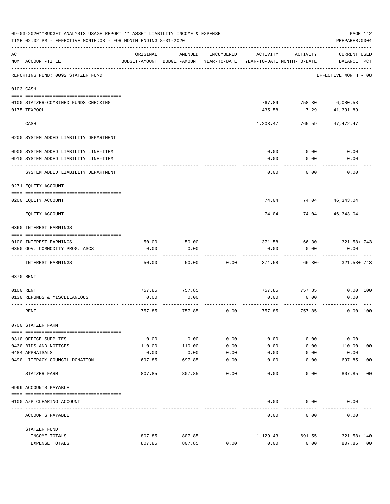|     | 09-03-2020**BUDGET ANALYSIS USAGE REPORT ** ASSET LIABILITY INCOME & EXPENSE<br>TIME: 02:02 PM - EFFECTIVE MONTH: 08 - FOR MONTH ENDING 8-31-2020 |          |                                                     |            |                       |                                        | PAGE 142<br>PREPARER: 0004         |                |
|-----|---------------------------------------------------------------------------------------------------------------------------------------------------|----------|-----------------------------------------------------|------------|-----------------------|----------------------------------------|------------------------------------|----------------|
| ACT | NUM ACCOUNT-TITLE                                                                                                                                 | ORIGINAL | AMENDED<br>BUDGET-AMOUNT BUDGET-AMOUNT YEAR-TO-DATE | ENCUMBERED | ACTIVITY              | ACTIVITY<br>YEAR-TO-DATE MONTH-TO-DATE | <b>CURRENT USED</b><br>BALANCE PCT |                |
|     | REPORTING FUND: 0092 STATZER FUND                                                                                                                 |          |                                                     |            |                       |                                        | EFFECTIVE MONTH - 08               |                |
|     | 0103 CASH                                                                                                                                         |          |                                                     |            |                       |                                        |                                    |                |
|     | 0100 STATZER-COMBINED FUNDS CHECKING<br>0175 TEXPOOL                                                                                              |          |                                                     |            | 767.89<br>435.58      | 7.29                                   | 758.30 6,080.58<br>41,391.89       |                |
|     | CASH                                                                                                                                              |          |                                                     |            | 1,203.47              | 765.59                                 | 47,472.47                          |                |
|     | 0200 SYSTEM ADDED LIABILITY DEPARTMENT                                                                                                            |          |                                                     |            |                       |                                        |                                    |                |
|     | 0900 SYSTEM ADDED LIABILITY LINE-ITEM                                                                                                             |          |                                                     |            | 0.00                  | 0.00                                   | 0.00                               |                |
|     | 0910 SYSTEM ADDED LIABILITY LINE-ITEM                                                                                                             |          |                                                     |            | 0.00                  | 0.00                                   | 0.00                               |                |
|     | SYSTEM ADDED LIABILITY DEPARTMENT                                                                                                                 |          |                                                     |            | 0.00                  | 0.00                                   | 0.00                               |                |
|     | 0271 EQUITY ACCOUNT                                                                                                                               |          |                                                     |            |                       |                                        |                                    |                |
|     | 0200 EQUITY ACCOUNT                                                                                                                               |          |                                                     |            | 74.04                 |                                        | 74.04 46,343.04                    |                |
|     | EQUITY ACCOUNT                                                                                                                                    |          |                                                     |            | 74.04                 |                                        | 74.04 46,343.04                    |                |
|     | 0360 INTEREST EARNINGS                                                                                                                            |          |                                                     |            |                       |                                        |                                    |                |
|     | 0100 INTEREST EARNINGS                                                                                                                            | 50.00    | 50.00                                               |            | 371.58                |                                        | 66.30- 321.58+743                  |                |
|     | 0350 GOV. COMMODITY PROG. ASCS                                                                                                                    | 0.00     | 0.00                                                |            | 0.00                  | 0.00                                   | 0.00                               |                |
|     | INTEREST EARNINGS                                                                                                                                 | 50.00    | 50.00                                               | 0.00       | 371.58                | 66.30-                                 | 321.58+ 743                        |                |
|     | 0370 RENT                                                                                                                                         |          |                                                     |            |                       |                                        |                                    |                |
|     |                                                                                                                                                   |          |                                                     |            |                       |                                        |                                    |                |
|     | 0100 RENT                                                                                                                                         | 757.85   | 757.85                                              |            |                       | 757.85 757.85                          | 0.00 100                           |                |
|     | 0130 REFUNDS & MISCELLANEOUS                                                                                                                      | 0.00     | 0.00                                                |            | 0.00                  | 0.00                                   | 0.00                               |                |
|     | RENT                                                                                                                                              | 757.85   | 757.85                                              | 0.00       | 757.85                | 757.85                                 | 0.00 100                           |                |
|     | 0700 STATZER FARM                                                                                                                                 |          |                                                     |            |                       |                                        |                                    |                |
|     | 0310 OFFICE SUPPLIES                                                                                                                              | 0.00     | 0.00                                                | 0.00       | 0.00                  | 0.00                                   | 0.00                               |                |
|     | 0430 BIDS AND NOTICES                                                                                                                             | 110.00   | 110.00                                              | 0.00       | 0.00                  | 0.00                                   | 110.00                             | 0 <sub>0</sub> |
|     | 0484 APPRAISALS                                                                                                                                   | 0.00     | 0.00                                                | 0.00       | 0.00                  | 0.00                                   | 0.00                               |                |
|     | 0490 LITERACY COUNCIL DONATION                                                                                                                    | 697.85   | 697.85                                              | 0.00       | 0.00                  | 0.00                                   | 697.85                             | 0 <sub>0</sub> |
|     | STATZER FARM                                                                                                                                      | 807.85   | 807.85                                              | 0.00       | 0.00                  | 0.00                                   | 807.85                             | 0 <sub>0</sub> |
|     | 0999 ACCOUNTS PAYABLE                                                                                                                             |          |                                                     |            |                       |                                        |                                    |                |
|     | 0100 A/P CLEARING ACCOUNT                                                                                                                         |          |                                                     |            | 0.00                  | 0.00                                   | 0.00                               |                |
|     | ACCOUNTS PAYABLE                                                                                                                                  |          |                                                     |            | $- - - - - -$<br>0.00 | ----------<br>0.00                     | ------------<br>0.00               |                |
|     | STATZER FUND                                                                                                                                      |          |                                                     |            |                       |                                        |                                    |                |
|     | INCOME TOTALS                                                                                                                                     | 807.85   | 807.85                                              |            | 1,129.43              | 691.55                                 | 321.58+ 140                        |                |
|     | EXPENSE TOTALS                                                                                                                                    | 807.85   | 807.85                                              | 0.00       | 0.00                  | 0.00                                   | 807.85                             | 00             |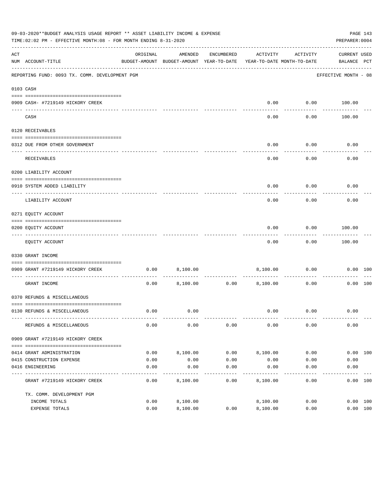| 09-03-2020**BUDGET ANALYSIS USAGE REPORT ** ASSET LIABILITY INCOME & EXPENSE<br>PAGE 143<br>TIME: 02:02 PM - EFFECTIVE MONTH: 08 - FOR MONTH ENDING 8-31-2020<br>PREPARER: 0004 |                                                             |          |          |            |                                                                                 |                   |                             |          |
|---------------------------------------------------------------------------------------------------------------------------------------------------------------------------------|-------------------------------------------------------------|----------|----------|------------|---------------------------------------------------------------------------------|-------------------|-----------------------------|----------|
| ACT                                                                                                                                                                             | NUM ACCOUNT-TITLE                                           | ORIGINAL | AMENDED  | ENCUMBERED | ACTIVITY<br>BUDGET-AMOUNT BUDGET-AMOUNT YEAR-TO-DATE YEAR-TO-DATE MONTH-TO-DATE | ACTIVITY          | CURRENT USED<br>BALANCE PCT |          |
|                                                                                                                                                                                 | REPORTING FUND: 0093 TX. COMM. DEVELOPMENT PGM              |          |          |            |                                                                                 |                   | EFFECTIVE MONTH - 08        |          |
|                                                                                                                                                                                 | 0103 CASH                                                   |          |          |            |                                                                                 |                   |                             |          |
|                                                                                                                                                                                 | 0909 CASH- #7219149 HICKORY CREEK                           |          |          |            | 0.00                                                                            |                   | $0.00$ 100.00               |          |
|                                                                                                                                                                                 | CASH                                                        |          |          |            | -----<br>0.00                                                                   | ---------<br>0.00 | 100.00                      |          |
|                                                                                                                                                                                 | 0120 RECEIVABLES                                            |          |          |            |                                                                                 |                   |                             |          |
|                                                                                                                                                                                 | 0312 DUE FROM OTHER GOVERNMENT                              |          |          |            | 0.00                                                                            | 0.00              | 0.00                        |          |
|                                                                                                                                                                                 | RECEIVABLES                                                 |          |          |            | 0.00                                                                            | ---------<br>0.00 | 0.00                        |          |
|                                                                                                                                                                                 | 0200 LIABILITY ACCOUNT                                      |          |          |            |                                                                                 |                   |                             |          |
|                                                                                                                                                                                 | 0910 SYSTEM ADDED LIABILITY<br>---- ---------------         |          |          |            | 0.00                                                                            | 0.00              | 0.00                        |          |
|                                                                                                                                                                                 | LIABILITY ACCOUNT                                           |          |          |            | 0.00                                                                            | 0.00              | 0.00                        |          |
|                                                                                                                                                                                 | 0271 EQUITY ACCOUNT                                         |          |          |            |                                                                                 |                   |                             |          |
|                                                                                                                                                                                 | 0200 EQUITY ACCOUNT<br>------------------------------       |          |          |            | 0.00                                                                            | 0.00<br>--------- | 100.00<br>----------        |          |
|                                                                                                                                                                                 | EQUITY ACCOUNT                                              |          |          |            | 0.00                                                                            | 0.00              | 100.00                      |          |
|                                                                                                                                                                                 | 0330 GRANT INCOME                                           |          |          |            |                                                                                 |                   |                             |          |
|                                                                                                                                                                                 | 0909 GRANT #7219149 HICKORY CREEK<br>---------------------- | 0.00     | 8,100.00 |            |                                                                                 | 8,100.00 0.00     |                             | 0.00 100 |
|                                                                                                                                                                                 | GRANT INCOME                                                | 0.00     | 8,100.00 | 0.00       | 8,100.00                                                                        | 0.00              |                             | 0.00 100 |
|                                                                                                                                                                                 | 0370 REFUNDS & MISCELLANEOUS                                |          |          |            |                                                                                 |                   |                             |          |
|                                                                                                                                                                                 | 0130 REFUNDS & MISCELLANEOUS                                | 0.00     | 0.00     |            |                                                                                 | $0.00$ $0.00$     | 0.00                        |          |
|                                                                                                                                                                                 | REFUNDS & MISCELLANEOUS                                     | 0.00     | 0.00     | 0.00       | 0.00                                                                            | 0.00              | 0.00                        |          |
|                                                                                                                                                                                 | 0909 GRANT #7219149 HICKORY CREEK                           |          |          |            |                                                                                 |                   |                             |          |
|                                                                                                                                                                                 | 0414 GRANT ADMINISTRATION                                   | 0.00     | 8,100.00 | 0.00       | 8,100.00                                                                        | 0.00              |                             | 0.00 100 |
|                                                                                                                                                                                 | 0415 CONSTRUCTION EXPENSE                                   | 0.00     | 0.00     | 0.00       | 0.00                                                                            | 0.00              | 0.00                        |          |
|                                                                                                                                                                                 | 0416 ENGINEERING                                            | 0.00     | 0.00     | 0.00       | 0.00<br>$- - - - - - -$                                                         | 0.00              | 0.00                        |          |
|                                                                                                                                                                                 | GRANT #7219149 HICKORY CREEK                                | 0.00     | 8,100.00 | 0.00       | 8,100.00                                                                        | 0.00              |                             | 0.00 100 |
|                                                                                                                                                                                 | TX. COMM. DEVELOPMENT PGM                                   |          |          |            |                                                                                 |                   |                             |          |
|                                                                                                                                                                                 | INCOME TOTALS                                               | 0.00     | 8,100.00 |            | 8,100.00                                                                        | 0.00              |                             | 0.00 100 |
|                                                                                                                                                                                 | EXPENSE TOTALS                                              | 0.00     | 8,100.00 | 0.00       | 8,100.00                                                                        | 0.00              |                             | 0.00 100 |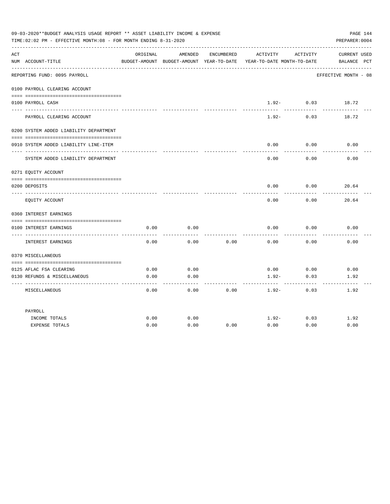| 09-03-2020**BUDGET ANALYSIS USAGE REPORT ** ASSET LIABILITY INCOME & EXPENSE<br>PAGE 144<br>TIME: 02:02 PM - EFFECTIVE MONTH: 08 - FOR MONTH ENDING 8-31-2020<br>PREPARER: 0004 |                                        |          |                       |            |                                                                                          |                               |                             |  |
|---------------------------------------------------------------------------------------------------------------------------------------------------------------------------------|----------------------------------------|----------|-----------------------|------------|------------------------------------------------------------------------------------------|-------------------------------|-----------------------------|--|
| ACT                                                                                                                                                                             | NUM ACCOUNT-TITLE                      | ORIGINAL | AMENDED               | ENCUMBERED | ACTIVITY ACTIVITY<br>BUDGET-AMOUNT BUDGET-AMOUNT YEAR-TO-DATE YEAR-TO-DATE MONTH-TO-DATE |                               | CURRENT USED<br>BALANCE PCT |  |
|                                                                                                                                                                                 | REPORTING FUND: 0095 PAYROLL           |          |                       |            |                                                                                          |                               | EFFECTIVE MONTH - 08        |  |
|                                                                                                                                                                                 | 0100 PAYROLL CLEARING ACCOUNT          |          |                       |            |                                                                                          |                               |                             |  |
|                                                                                                                                                                                 | 0100 PAYROLL CASH                      |          |                       |            | -----------                                                                              | $1.92 - 0.03$<br>------------ | 18.72<br>---------          |  |
|                                                                                                                                                                                 | PAYROLL CLEARING ACCOUNT               |          |                       |            | $1.92 -$                                                                                 | 0.03                          | 18.72                       |  |
|                                                                                                                                                                                 | 0200 SYSTEM ADDED LIABILITY DEPARTMENT |          |                       |            |                                                                                          |                               |                             |  |
|                                                                                                                                                                                 | 0910 SYSTEM ADDED LIABILITY LINE-ITEM  |          |                       |            | 0.00                                                                                     | 0.00                          | 0.00                        |  |
|                                                                                                                                                                                 | SYSTEM ADDED LIABILITY DEPARTMENT      |          |                       |            | 0.00                                                                                     | 0.00                          | 0.00                        |  |
|                                                                                                                                                                                 | 0271 EOUITY ACCOUNT                    |          |                       |            |                                                                                          |                               |                             |  |
|                                                                                                                                                                                 | 0200 DEPOSITS                          |          |                       |            | 0.00                                                                                     | $0.00$ 20.64                  |                             |  |
|                                                                                                                                                                                 |                                        |          |                       |            |                                                                                          |                               |                             |  |
|                                                                                                                                                                                 | EQUITY ACCOUNT                         |          |                       |            | 0.00                                                                                     | 0.00                          | 20.64                       |  |
|                                                                                                                                                                                 | 0360 INTEREST EARNINGS                 |          |                       |            |                                                                                          |                               |                             |  |
|                                                                                                                                                                                 |                                        |          |                       |            |                                                                                          |                               |                             |  |
|                                                                                                                                                                                 | 0100 INTEREST EARNINGS                 | 0.00     | 0.00                  |            | 0.00                                                                                     | 0.00                          | 0.00                        |  |
|                                                                                                                                                                                 | INTEREST EARNINGS                      | 0.00     | 0.00                  | 0.00       | 0.00                                                                                     | 0.00                          | 0.00                        |  |
|                                                                                                                                                                                 | 0370 MISCELLANEOUS                     |          |                       |            |                                                                                          |                               |                             |  |
|                                                                                                                                                                                 |                                        |          |                       |            |                                                                                          |                               |                             |  |
|                                                                                                                                                                                 | 0125 AFLAC FSA CLEARING                | 0.00     | 0.00                  |            | 0.00                                                                                     | 0.00                          | 0.00                        |  |
|                                                                                                                                                                                 | 0130 REFUNDS & MISCELLANEOUS           | 0.00     | 0.00<br>$\frac{1}{2}$ |            | $1.92 -$                                                                                 | 0.03<br>----------            | 1.92                        |  |
|                                                                                                                                                                                 | MISCELLANEOUS                          | 0.00     | 0.00                  | 0.00       | $1.92 -$                                                                                 | 0.03                          | 1.92                        |  |
|                                                                                                                                                                                 | PAYROLL                                |          |                       |            |                                                                                          |                               |                             |  |
|                                                                                                                                                                                 | INCOME TOTALS                          | 0.00     | 0.00                  |            | $1.92-$                                                                                  | 0.03                          | 1.92                        |  |
|                                                                                                                                                                                 | <b>EXPENSE TOTALS</b>                  | 0.00     | 0.00                  | 0.00       | 0.00                                                                                     | 0.00                          | 0.00                        |  |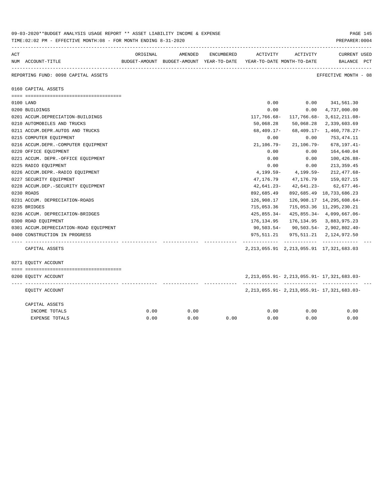|     | 09-03-2020**BUDGET ANALYSIS USAGE REPORT ** ASSET LIABILITY INCOME & EXPENSE<br>PAGE 145<br>TIME: 02:02 PM - EFFECTIVE MONTH: 08 - FOR MONTH ENDING 8-31-2020<br>PREPARER: 0004 |          |                                                                     |            |                |            |                                                                |  |  |
|-----|---------------------------------------------------------------------------------------------------------------------------------------------------------------------------------|----------|---------------------------------------------------------------------|------------|----------------|------------|----------------------------------------------------------------|--|--|
| ACT |                                                                                                                                                                                 | ORIGINAL | AMENDED                                                             | ENCUMBERED | ACTIVITY       | ACTIVITY   | -------------<br><b>CURRENT USED</b>                           |  |  |
|     | NUM ACCOUNT-TITLE                                                                                                                                                               |          | BUDGET-AMOUNT BUDGET-AMOUNT YEAR-TO-DATE YEAR-TO-DATE MONTH-TO-DATE |            |                |            | BALANCE PCT                                                    |  |  |
|     | REPORTING FUND: 0098 CAPITAL ASSETS                                                                                                                                             |          |                                                                     |            |                |            | EFFECTIVE MONTH - 08                                           |  |  |
|     | 0160 CAPITAL ASSETS                                                                                                                                                             |          |                                                                     |            |                |            |                                                                |  |  |
|     |                                                                                                                                                                                 |          |                                                                     |            |                |            |                                                                |  |  |
|     | 0100 LAND                                                                                                                                                                       |          |                                                                     |            | 0.00           |            | $0.00$ $341,561.30$                                            |  |  |
|     | 0200 BUILDINGS                                                                                                                                                                  |          |                                                                     |            | 0.00           | 0.00       | 4,737,000.00                                                   |  |  |
|     | 0201 ACCUM.DEPRECIATION-BUILDINGS                                                                                                                                               |          |                                                                     |            |                |            | 117, 766.68- 117, 766.68- 3, 612, 211.08-                      |  |  |
|     | 0210 AUTOMOBILES AND TRUCKS                                                                                                                                                     |          |                                                                     |            | 50,068.28      | 50,068.28  | 2,339,603.69                                                   |  |  |
|     | 0211 ACCUM.DEPR.AUTOS AND TRUCKS                                                                                                                                                |          |                                                                     |            | $68,409.17-$   |            | 68,409.17- 1,460,778.27-                                       |  |  |
|     | 0215 COMPUTER EQUIPMENT                                                                                                                                                         |          |                                                                     |            | 0.00           | 0.00       | 753,474.11                                                     |  |  |
|     | 0216 ACCUM.DEPR.-COMPUTER EQUIPMENT                                                                                                                                             |          |                                                                     |            | $21, 106.79 -$ | 21,106.79- | 678,197.41-                                                    |  |  |
|     | 0220 OFFICE EQUIPMENT                                                                                                                                                           |          |                                                                     |            | 0.00           | 0.00       | 164,640.04                                                     |  |  |
|     | 0221 ACCUM. DEPR. - OFFICE EQUIPMENT                                                                                                                                            |          |                                                                     |            | 0.00           | 0.00       | $100, 426.88 -$                                                |  |  |
|     | 0225 RADIO EQUIPMENT                                                                                                                                                            |          |                                                                     |            | 0.00           | 0.00       | 213,359.45                                                     |  |  |
|     | 0226 ACCUM.DEPR.-RADIO EQUIPMENT                                                                                                                                                |          |                                                                     |            | 4,199.59-      | 4,199.59-  | 212,477.68-                                                    |  |  |
|     | 0227 SECURITY EQUIPMENT                                                                                                                                                         |          |                                                                     |            | 47,176.79      | 47,176.79  | 159,027.15                                                     |  |  |
|     | 0228 ACCUM.DEP. - SECURITY EQUIPMENT                                                                                                                                            |          |                                                                     |            | $42,641.23-$   | 42,641.23- | 62,677.46-                                                     |  |  |
|     | 0230 ROADS                                                                                                                                                                      |          |                                                                     |            | 892,685.49     |            | 892,685.49 18,733,686.23                                       |  |  |
|     | 0231 ACCUM. DEPRECIATION-ROADS                                                                                                                                                  |          |                                                                     |            | 126,908.17     |            | 126,908.17 14,295,608.64-                                      |  |  |
|     | 0235 BRIDGES                                                                                                                                                                    |          |                                                                     |            | 715,053.36     |            | 715,053.36 11,295,230.21                                       |  |  |
|     | 0236 ACCUM. DEPRECIATION-BRIDGES                                                                                                                                                |          |                                                                     |            | 425,855.34-    |            | $425,855.34 - 4,099,667.06 -$                                  |  |  |
|     | 0300 ROAD EQUIPMENT                                                                                                                                                             |          |                                                                     |            | 176,134.95     |            | 176, 134.95 3, 883, 975.23                                     |  |  |
|     | 0301 ACCUM.DEPRECIATION-ROAD EQUIPMENT                                                                                                                                          |          |                                                                     |            |                |            | $90,503.54 - 90,503.54 - 2,902,802.40 -$                       |  |  |
|     | 0400 CONSTRUCTION IN PROGRESS                                                                                                                                                   |          |                                                                     |            | 975,511.21     |            | 975, 511.21 2, 124, 972.50                                     |  |  |
|     | --------------------------<br>CAPITAL ASSETS                                                                                                                                    |          |                                                                     |            |                |            | _____________<br>2, 213, 055.91 2, 213, 055.91 17, 321, 683.03 |  |  |
|     | 0271 EQUITY ACCOUNT                                                                                                                                                             |          |                                                                     |            |                |            |                                                                |  |  |
|     |                                                                                                                                                                                 |          |                                                                     |            |                |            |                                                                |  |  |
|     | 0200 EQUITY ACCOUNT                                                                                                                                                             |          |                                                                     |            |                |            | 2, 213, 055.91 - 2, 213, 055.91 - 17, 321, 683.03 -            |  |  |
|     | EQUITY ACCOUNT                                                                                                                                                                  |          |                                                                     |            |                |            | 2, 213, 055. 91 - 2, 213, 055. 91 - 17, 321, 683. 03 -         |  |  |
|     | CAPITAL ASSETS                                                                                                                                                                  |          |                                                                     |            |                |            |                                                                |  |  |
|     | INCOME TOTALS                                                                                                                                                                   | 0.00     | 0.00                                                                |            | 0.00           | 0.00       | 0.00                                                           |  |  |
|     | <b>EXPENSE TOTALS</b>                                                                                                                                                           | 0.00     | 0.00                                                                | 0.00       | 0.00           | 0.00       | 0.00                                                           |  |  |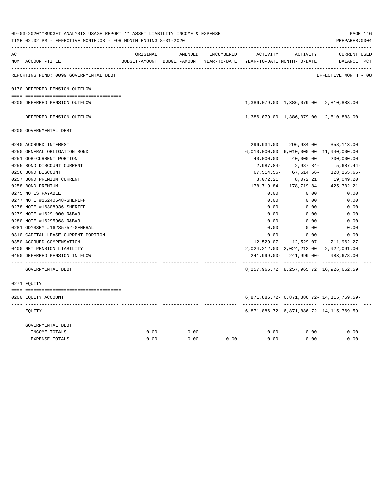|     | 09-03-2020**BUDGET ANALYSIS USAGE REPORT ** ASSET LIABILITY INCOME & EXPENSE<br>PAGE 146<br>TIME: 02:02 PM - EFFECTIVE MONTH: 08 - FOR MONTH ENDING 8-31-2020<br>PREPARER: 0004 |          |                                                                     |            |                                        |                                         |                                                  |  |  |
|-----|---------------------------------------------------------------------------------------------------------------------------------------------------------------------------------|----------|---------------------------------------------------------------------|------------|----------------------------------------|-----------------------------------------|--------------------------------------------------|--|--|
| ACT |                                                                                                                                                                                 | ORIGINAL | AMENDED                                                             | ENCUMBERED | ACTIVITY                               | ACTIVITY                                | <b>CURRENT USED</b>                              |  |  |
|     | NUM ACCOUNT-TITLE                                                                                                                                                               |          | BUDGET-AMOUNT BUDGET-AMOUNT YEAR-TO-DATE YEAR-TO-DATE MONTH-TO-DATE |            |                                        |                                         | BALANCE PCT                                      |  |  |
|     | REPORTING FUND: 0099 GOVERNMENTAL DEBT                                                                                                                                          |          |                                                                     |            |                                        |                                         | EFFECTIVE MONTH - 08                             |  |  |
|     | 0170 DEFERRED PENSION OUTFLOW                                                                                                                                                   |          |                                                                     |            |                                        |                                         |                                                  |  |  |
|     | 0200 DEFERRED PENSION OUTFLOW                                                                                                                                                   |          |                                                                     |            |                                        |                                         | 1,386,079.00 1,386,079.00 2,810,883.00           |  |  |
|     | DEFERRED PENSION OUTFLOW                                                                                                                                                        |          |                                                                     |            | 1,386,079.00 1,386,079.00 2,810,883.00 |                                         |                                                  |  |  |
|     | 0200 GOVERNMENTAL DEBT                                                                                                                                                          |          |                                                                     |            |                                        |                                         |                                                  |  |  |
|     |                                                                                                                                                                                 |          |                                                                     |            |                                        |                                         |                                                  |  |  |
|     | 0240 ACCRUED INTEREST                                                                                                                                                           |          |                                                                     |            | 296,934.00                             | 296,934.00                              | 358,113.00                                       |  |  |
|     | 0250 GENERAL OBLIGATION BOND                                                                                                                                                    |          |                                                                     |            |                                        | 6,010,000.00 6,010,000.00 11,940,000.00 |                                                  |  |  |
|     | 0251 GOB-CURRENT PORTION                                                                                                                                                        |          |                                                                     |            | 40,000.00                              | 40,000.00                               | 200,000.00                                       |  |  |
|     | 0255 BOND DISCOUNT CURRENT                                                                                                                                                      |          |                                                                     |            | 2,987.84-                              | 2,987.84-                               | $5,687.44-$                                      |  |  |
|     | 0256 BOND DISCOUNT                                                                                                                                                              |          |                                                                     |            | 67,514.56-                             | $67,514.56-$                            | 128,255.65-                                      |  |  |
|     | 0257 BOND PREMIUM CURRENT                                                                                                                                                       |          |                                                                     |            | 8,072.21                               | 8,072.21                                | 19,049.20                                        |  |  |
|     | 0258 BOND PREMIUM                                                                                                                                                               |          |                                                                     |            | 178,719.84                             | 178,719.84                              | 425,702.21                                       |  |  |
|     | 0275 NOTES PAYABLE                                                                                                                                                              |          |                                                                     |            | 0.00                                   | 0.00                                    | 0.00                                             |  |  |
|     | 0277 NOTE #16240648-SHERIFF                                                                                                                                                     |          |                                                                     |            | 0.00                                   | 0.00                                    | 0.00                                             |  |  |
|     | 0278 NOTE #16308936-SHERIFF                                                                                                                                                     |          |                                                                     |            | 0.00                                   | 0.00                                    | 0.00                                             |  |  |
|     | 0279 NOTE #16291000-R&B#3                                                                                                                                                       |          |                                                                     |            | 0.00                                   | 0.00                                    | 0.00                                             |  |  |
|     | 0280 NOTE #16295968-R&B#3                                                                                                                                                       |          |                                                                     |            | 0.00                                   | 0.00                                    | 0.00                                             |  |  |
|     | 0281 ODYSSEY #16235752-GENERAL                                                                                                                                                  |          |                                                                     |            | 0.00                                   | 0.00                                    | 0.00                                             |  |  |
|     | 0310 CAPITAL LEASE-CURRENT PORTION                                                                                                                                              |          |                                                                     |            | 0.00                                   | 0.00                                    | 0.00                                             |  |  |
|     | 0350 ACCRUED COMPENSATION                                                                                                                                                       |          |                                                                     |            | 12,529.07                              | 12,529.07                               | 211,962.27                                       |  |  |
|     | 0400 NET PENSION LIABILITY                                                                                                                                                      |          |                                                                     |            |                                        |                                         | 2,024,212.00 2,024,212.00 2,922,091.00           |  |  |
|     | 0450 DEFERRED PENSION IN FLOW                                                                                                                                                   |          |                                                                     |            |                                        | 241,999.00-241,999.00-                  | 983,678.00                                       |  |  |
|     | GOVERNMENTAL DEBT                                                                                                                                                               |          |                                                                     |            |                                        |                                         | 8, 257, 965. 72 8, 257, 965. 72 16, 926, 652. 59 |  |  |
|     | 0271 EQUITY                                                                                                                                                                     |          |                                                                     |            |                                        |                                         |                                                  |  |  |
|     | 0200 EQUITY ACCOUNT                                                                                                                                                             |          |                                                                     |            |                                        |                                         | 6,871,886.72-6,871,886.72-14,115,769.59-         |  |  |
|     | EQUITY                                                                                                                                                                          |          |                                                                     |            |                                        |                                         | 6, 871, 886.72-6, 871, 886.72-14, 115, 769.59-   |  |  |
|     | GOVERNMENTAL DEBT                                                                                                                                                               |          |                                                                     |            |                                        |                                         |                                                  |  |  |
|     | INCOME TOTALS                                                                                                                                                                   | 0.00     | 0.00                                                                |            | 0.00                                   | 0.00                                    | 0.00                                             |  |  |
|     | <b>EXPENSE TOTALS</b>                                                                                                                                                           | 0.00     | 0.00                                                                | 0.00       | 0.00                                   | 0.00                                    | 0.00                                             |  |  |